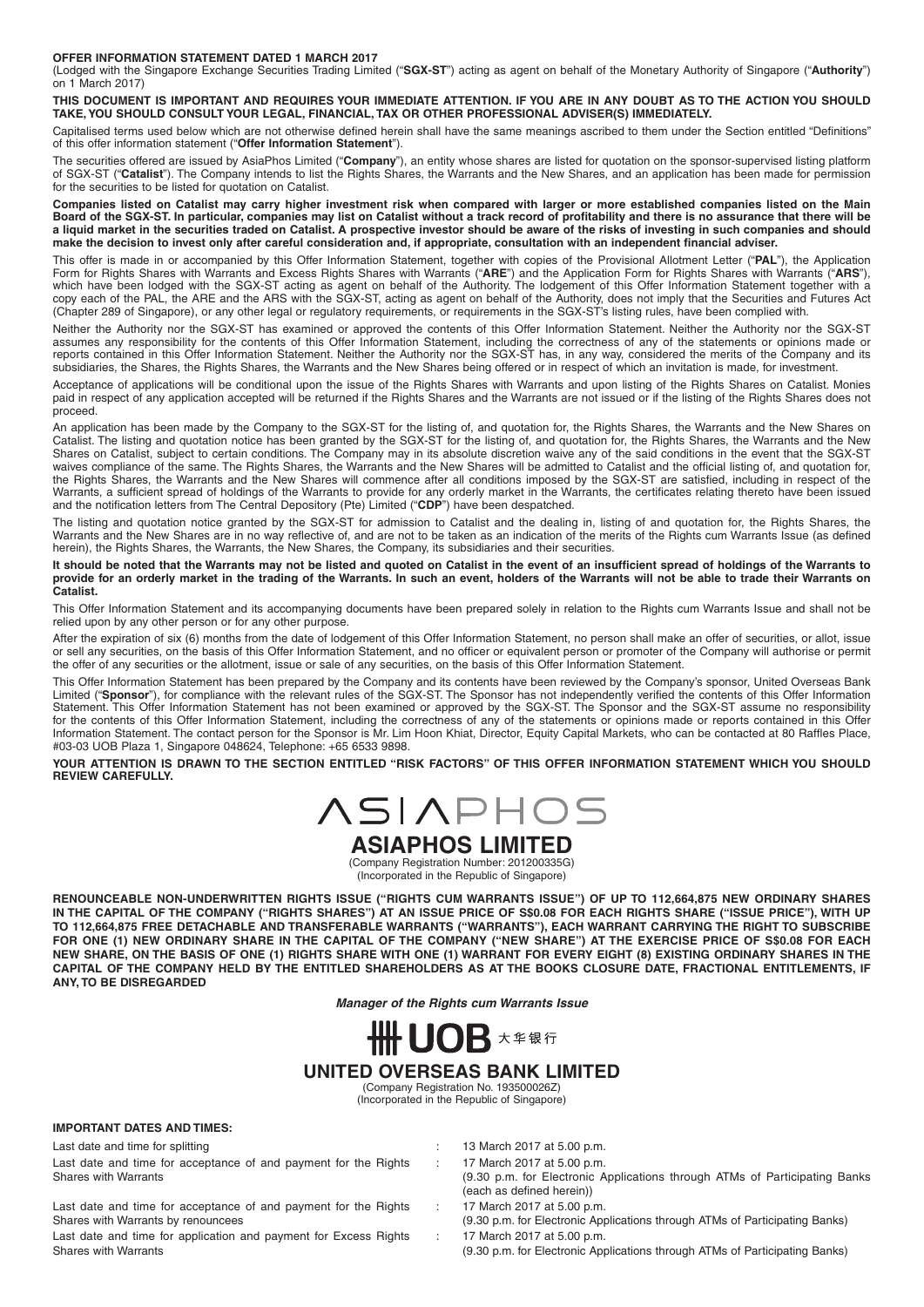#### **OFFER INFORMATION STATEMENT DATED 1 MARCH 2017**

(Lodged with the Singapore Exchange Securities Trading Limited ("**SGX-ST**") acting as agent on behalf of the Monetary Authority of Singapore ("**Authority**") on  $1$  March 2017)

**THIS DOCUMENT IS IMPORTANT AND REQUIRES YOUR IMMEDIATE ATTENTION. IF YOU ARE IN ANY DOUBT AS TO THE ACTION YOU SHOULD TAKE, YOU SHOULD CONSULT YOUR LEGAL, FINANCIAL, TAXOR OTHER PROFESSIONAL ADVISER(S) IMMEDIATELY.**

Capitalised terms used below which are not otherwise defined herein shall have the same meanings ascribed to them under the Section entitled "Definitions" of this offer information statement ("**Offer Information Statement**").

The securities offered are issued by AsiaPhos Limited ("**Company**"), an entity whose shares are listed for quotation on the sponsor-supervised listing platform of SGX-ST ("**Catalist**"). The Company intends to list the Rights Shares, the Warrants and the New Shares, and an application has been made for permission for the securities to be listed for quotation on Catalist.

**Companies listed on Catalist may carry higher investment risk when compared with larger or more established companies listed on the Main**  Board of the SGX-ST. In particular, companies may list on Catalist without a track record of profitability and there is no assurance that there will be **a liquid market in the securities traded on Catalist. A prospective investor should be aware of the risks of investing in such companies and should**  make the decision to invest only after careful consideration and, if appropriate, consultation with an independent financial adviser.

This offer is made in or accompanied by this Offer Information Statement, together with copies of the Provisional Allotment Letter ("**PAL**"), the Application Form for Rights Shares with Warrants and Excess Rights Shares with Warrants ("**ARE**") and the Application Form for Rights Shares with Warrants ("**ARS**"), which have been lodged with the SGX-ST acting as agent on behalf of the Authority. The lodgement of this Offer Information Statement together with a copy each of the PAL, the ARE and the ARS with the SGX-ST, acting as agent on behalf of the Authority, does not imply that the Securities and Futures Act (Chapter 289 of Singapore), or any other legal or regulatory requirements, or requirements in the SGX-ST's listing rules, have been complied with.

Neither the Authority nor the SGX-ST has examined or approved the contents of this Offer Information Statement. Neither the Authority nor the SGX-ST assumes any responsibility for the contents of this Offer Information Statement, including the correctness of any of the statements or opinions made or reports contained in this Offer Information Statement. Neither the Authority nor the SGX-ST has, in any way, considered the merits of the Company and its subsidiaries, the Shares, the Rights Shares, the Warrants and the New Shares being offered or in respect of which an invitation is made, for investment.

Acceptance of applications will be conditional upon the issue of the Rights Shares with Warrants and upon listing of the Rights Shares on Catalist. Monies paid in respect of any application accepted will be returned if the Rights Shares and the Warrants are not issued or if the listing of the Rights Shares does not proceed.

An application has been made by the Company to the SGX-ST for the listing of, and quotation for, the Rights Shares, the Warrants and the New Shares on Catalist. The listing and quotation notice has been granted by the SGX-ST for the listing of, and quotation for, the Rights Shares, the Warrants and the New Shares on Catalist, subject to certain conditions. The Company may in its absolute discretion waive any of the said conditions in the event that the SGX-ST waives compliance of the same. The Rights Shares, the Warrants and the New Shares will be admitted to Catalist and the official listing of, and quotation for, the Rights Shares, the Warrants and the New Shares will commence after all conditions imposed by the SGX-ST are satisfied, including in respect of the Warrants, a sufficient spread of holdings of the Warrants to provide for any orderly market in the Warrants, the certificates relating thereto have been issued and the notification letters from The Central Depository (Pte) Limited ("CDP") have been despatched.

The listing and quotation notice granted by the SGX-ST for admission to Catalist and the dealing in, listing of and quotation for, the Rights Shares, the Warrants and the New Shares are in no way reflective of, and are not to be taken as an indication of the merits of the Rights cum Warrants Issue (as defined herein), the Rights Shares, the Warrants, the New Shares, the Company, its subsidiaries and their securities.

It should be noted that the Warrants may not be listed and quoted on Catalist in the event of an insufficient spread of holdings of the Warrants to **provide for an orderly market in the trading of the Warrants. In such an event, holders of the Warrants will not be able to trade their Warrants on Catalist.**

This Offer Information Statement and its accompanying documents have been prepared solely in relation to the Rights cum Warrants Issue and shall not be relied upon by any other person or for any other purpose.

After the expiration of six (6) months from the date of lodgement of this Offer Information Statement, no person shall make an offer of securities, or allot, issue or sell any securities, on the basis of this Offer Information Statement, and no officer or equivalent person or promoter of the Company will authorise or permit the offer of any securities or the allotment, issue or sale of any securities, on the basis of this Offer Information Statement.

This Offer Information Statement has been prepared by the Company and its contents have been reviewed by the Company's sponsor, United Overseas Bank Limited ("Sponsor"), for compliance with the relevant rules of the SGX-ST. The Sponsor has not independently verified the contents of this Offer Information Statement. This Offer Information Statement has not been examined or approved by the SGX-ST. The Sponsor and the SGX-ST assume no responsibility for the contents of this Offer Information Statement, including the correctness of any of the statements or opinions made or reports contained in this Offer Information Statement. The contact person for the Sponsor is Mr. Lim Hoon Khiat, Director, Equity Capital Markets, who can be contacted at 80 Raffles Place, #03-03 UOB Plaza 1, Singapore 048624, Telephone: +65 6533 9898.

YOUR ATTENTION IS DRAWN TO THE SECTION ENTITLED "RISK FACTORS" OF THIS OFFER INFORMATION STATEMENT WHICH YOU SHOULD **REVIEW CAREFULLY.**



**ASIAPHOS LIMITED** (Company Registration Number: 201200335G)

(Incorporated in the Republic of Singapore)

**RENOUNCEABLE NON-UNDERWRITTEN RIGHTS ISSUE ("RIGHTS CUM WARRANTS ISSUE") OF UP TO 112,664,875 NEW ORDINARY SHARES IN THE CAPITAL OF THE COMPANY ("RIGHTS SHARES") AT AN ISSUE PRICE OF S\$0.08 FOR EACH RIGHTS SHARE ("ISSUE PRICE"), WITH UP TO 112,664,875 FREE DETACHABLE AND TRANSFERABLE WARRANTS ("WARRANTS"), EACH WARRANT CARRYING THE RIGHT TO SUBSCRIBE FOR ONE (1) NEW ORDINARY SHARE IN THE CAPITAL OF THE COMPANY ("NEW SHARE") AT THE EXERCISE PRICE OF S\$0.08 FOR EACH NEW SHARE, ON THE BASIS OF ONE (1) RIGHTS SHARE WITH ONE (1) WARRANT FOR EVERY EIGHT (8) EXISTING ORDINARY SHARES IN THE CAPITAL OF THE COMPANY HELD BY THE ENTITLED SHAREHOLDERS AS AT THE BOOKS CLOSURE DATE, FRACTIONAL ENTITLEMENTS, IF ANY, TO BE DISREGARDED**

*Manager of the Rights cum Warrants Issue*



(Company Registration No. 193500026Z) (Incorporated in the Republic of Singapore)

#### **IMPORTANT DATES AND TIMES:**

Last date and time for splitting in the set of the set of the set of the 13 March 2017 at 5.00 p.m.

Last date and time for acceptance of and payment for the Rights Shares with Warrants

Last date and time for acceptance of and payment for the Rights Shares with Warrants by renouncees

Last date and time for application and payment for Excess Rights Shares with Warrants

- - 17 March 2017 at 5.00 p.m. (9.30 p.m. for Electronic Applications through ATMs of Participating Banks (each as defined herein))
- : 17 March 2017 at 5.00 p.m.
	- (9.30 p.m. for Electronic Applications through ATMs of Participating Banks) 17 March 2017 at 5.00 p.m.
		- (9.30 p.m. for Electronic Applications through ATMs of Participating Banks)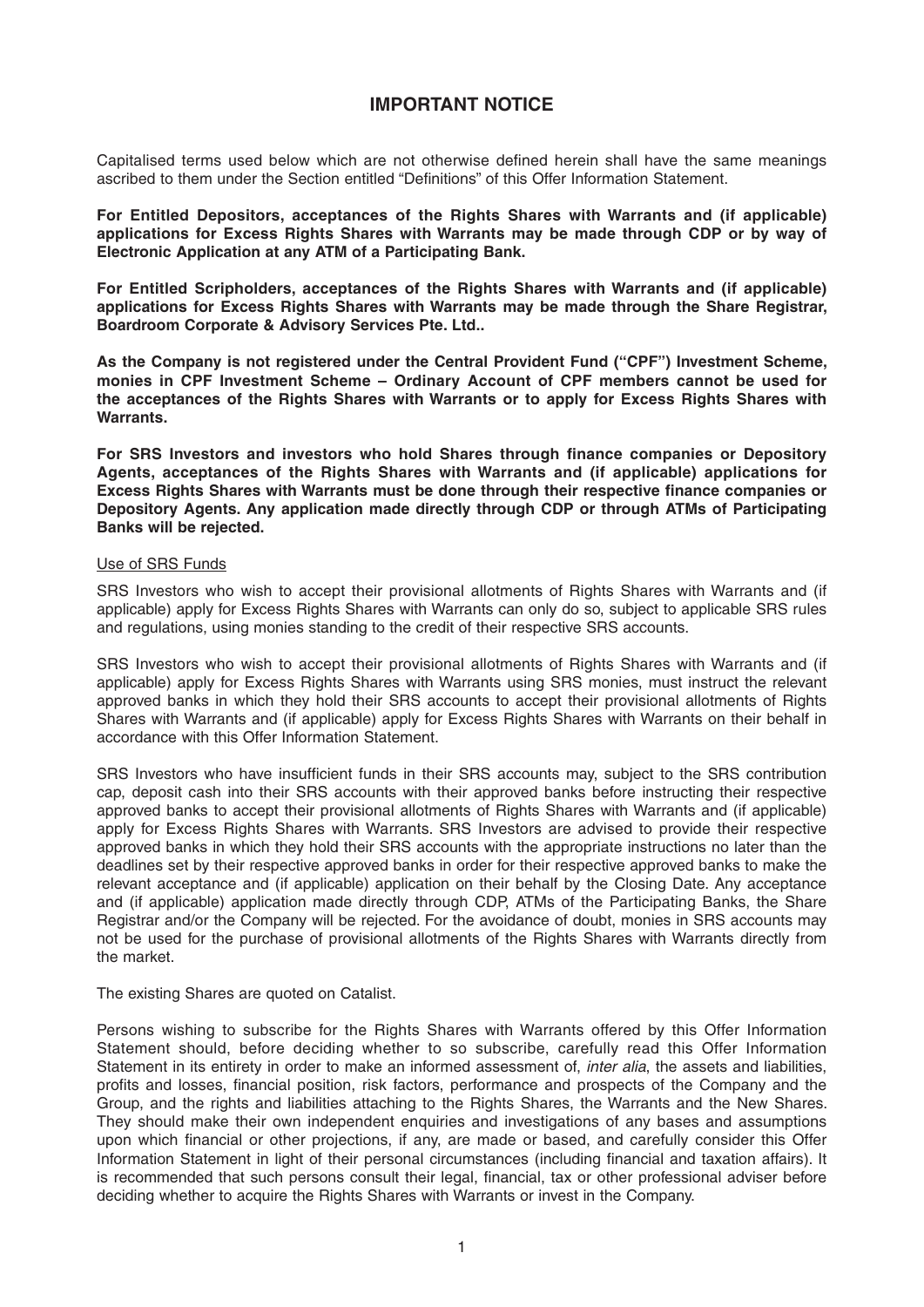## **IMPORTANT NOTICE**

Capitalised terms used below which are not otherwise defined herein shall have the same meanings ascribed to them under the Section entitled "Definitions" of this Offer Information Statement.

**For Entitled Depositors, acceptances of the Rights Shares with Warrants and (if applicable) applications for Excess Rights Shares with Warrants may be made through CDP or by way of Electronic Application at any ATM of a Participating Bank.**

**For Entitled Scripholders, acceptances of the Rights Shares with Warrants and (if applicable) applications for Excess Rights Shares with Warrants may be made through the Share Registrar, Boardroom Corporate & Advisory Services Pte. Ltd..**

**As the Company is not registered under the Central Provident Fund ("CPF") Investment Scheme, monies in CPF Investment Scheme – Ordinary Account of CPF members cannot be used for the acceptances of the Rights Shares with Warrants or to apply for Excess Rights Shares with Warrants.**

For SRS Investors and investors who hold Shares through finance companies or Depository **Agents, acceptances of the Rights Shares with Warrants and (if applicable) applications for**  Excess Rights Shares with Warrants must be done through their respective finance companies or **Depository Agents. Any application made directly through CDP or through ATMs of Participating Banks will be rejected.**

#### Use of SRS Funds

SRS Investors who wish to accept their provisional allotments of Rights Shares with Warrants and (if applicable) apply for Excess Rights Shares with Warrants can only do so, subject to applicable SRS rules and regulations, using monies standing to the credit of their respective SRS accounts.

SRS Investors who wish to accept their provisional allotments of Rights Shares with Warrants and (if applicable) apply for Excess Rights Shares with Warrants using SRS monies, must instruct the relevant approved banks in which they hold their SRS accounts to accept their provisional allotments of Rights Shares with Warrants and (if applicable) apply for Excess Rights Shares with Warrants on their behalf in accordance with this Offer Information Statement.

SRS Investors who have insufficient funds in their SRS accounts may, subject to the SRS contribution cap, deposit cash into their SRS accounts with their approved banks before instructing their respective approved banks to accept their provisional allotments of Rights Shares with Warrants and (if applicable) apply for Excess Rights Shares with Warrants. SRS Investors are advised to provide their respective approved banks in which they hold their SRS accounts with the appropriate instructions no later than the deadlines set by their respective approved banks in order for their respective approved banks to make the relevant acceptance and (if applicable) application on their behalf by the Closing Date. Any acceptance and (if applicable) application made directly through CDP, ATMs of the Participating Banks, the Share Registrar and/or the Company will be rejected. For the avoidance of doubt, monies in SRS accounts may not be used for the purchase of provisional allotments of the Rights Shares with Warrants directly from the market.

The existing Shares are quoted on Catalist.

Persons wishing to subscribe for the Rights Shares with Warrants offered by this Offer Information Statement should, before deciding whether to so subscribe, carefully read this Offer Information Statement in its entirety in order to make an informed assessment of, *inter alia*, the assets and liabilities, profits and losses, financial position, risk factors, performance and prospects of the Company and the Group, and the rights and liabilities attaching to the Rights Shares, the Warrants and the New Shares. They should make their own independent enquiries and investigations of any bases and assumptions upon which financial or other projections, if any, are made or based, and carefully consider this Offer Information Statement in light of their personal circumstances (including financial and taxation affairs). It is recommended that such persons consult their legal, financial, tax or other professional adviser before deciding whether to acquire the Rights Shares with Warrants or invest in the Company.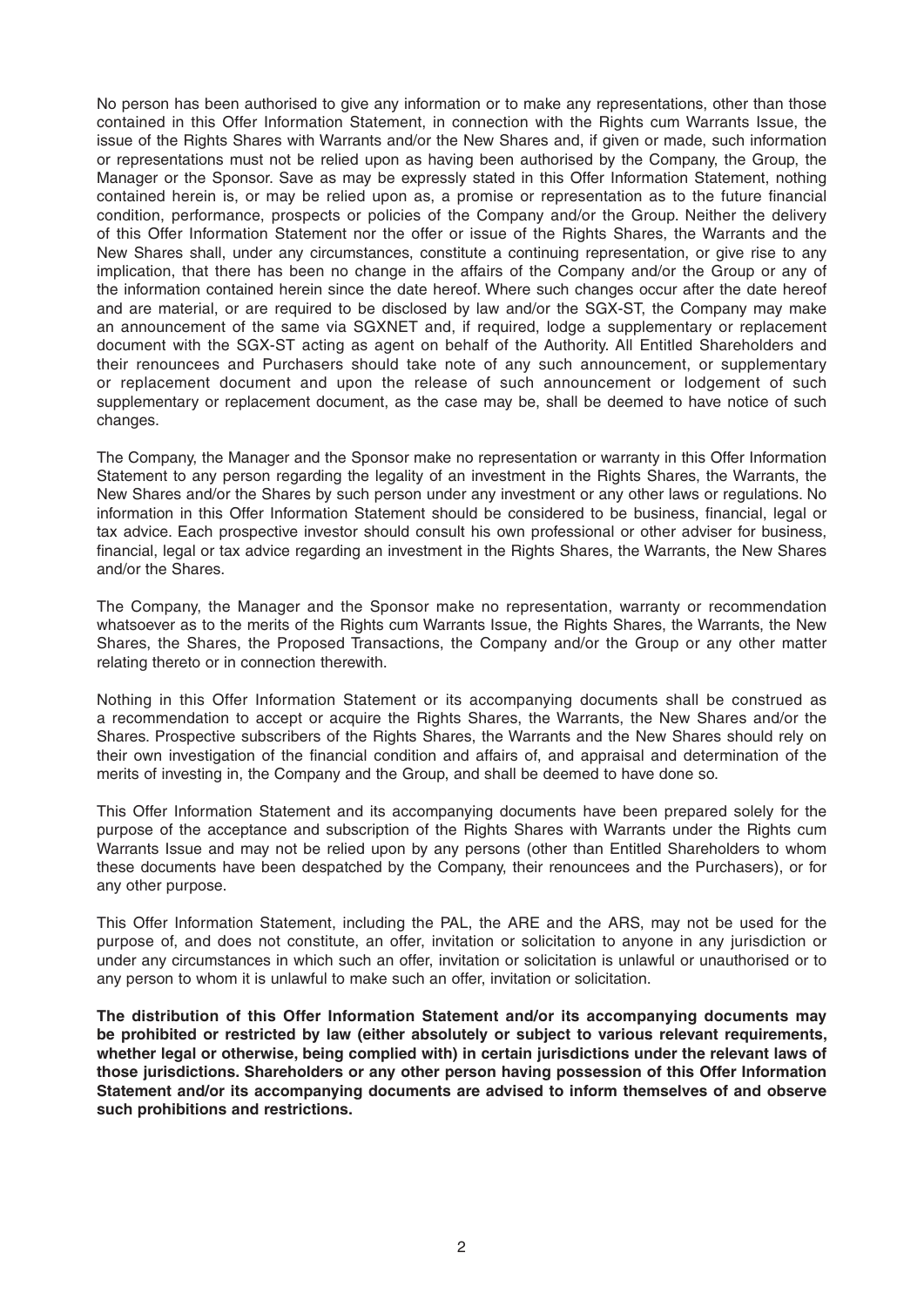No person has been authorised to give any information or to make any representations, other than those contained in this Offer Information Statement, in connection with the Rights cum Warrants Issue, the issue of the Rights Shares with Warrants and/or the New Shares and, if given or made, such information or representations must not be relied upon as having been authorised by the Company, the Group, the Manager or the Sponsor. Save as may be expressly stated in this Offer Information Statement, nothing contained herein is, or may be relied upon as, a promise or representation as to the future financial condition, performance, prospects or policies of the Company and/or the Group. Neither the delivery of this Offer Information Statement nor the offer or issue of the Rights Shares, the Warrants and the New Shares shall, under any circumstances, constitute a continuing representation, or give rise to any implication, that there has been no change in the affairs of the Company and/or the Group or any of the information contained herein since the date hereof. Where such changes occur after the date hereof and are material, or are required to be disclosed by law and/or the SGX-ST, the Company may make an announcement of the same via SGXNET and, if required, lodge a supplementary or replacement document with the SGX-ST acting as agent on behalf of the Authority. All Entitled Shareholders and their renouncees and Purchasers should take note of any such announcement, or supplementary or replacement document and upon the release of such announcement or lodgement of such supplementary or replacement document, as the case may be, shall be deemed to have notice of such changes.

The Company, the Manager and the Sponsor make no representation or warranty in this Offer Information Statement to any person regarding the legality of an investment in the Rights Shares, the Warrants, the New Shares and/or the Shares by such person under any investment or any other laws or regulations. No information in this Offer Information Statement should be considered to be business, financial, legal or tax advice. Each prospective investor should consult his own professional or other adviser for business, financial, legal or tax advice regarding an investment in the Rights Shares, the Warrants, the New Shares and/or the Shares.

The Company, the Manager and the Sponsor make no representation, warranty or recommendation whatsoever as to the merits of the Rights cum Warrants Issue, the Rights Shares, the Warrants, the New Shares, the Shares, the Proposed Transactions, the Company and/or the Group or any other matter relating thereto or in connection therewith.

Nothing in this Offer Information Statement or its accompanying documents shall be construed as a recommendation to accept or acquire the Rights Shares, the Warrants, the New Shares and/or the Shares. Prospective subscribers of the Rights Shares, the Warrants and the New Shares should rely on their own investigation of the financial condition and affairs of, and appraisal and determination of the merits of investing in, the Company and the Group, and shall be deemed to have done so.

This Offer Information Statement and its accompanying documents have been prepared solely for the purpose of the acceptance and subscription of the Rights Shares with Warrants under the Rights cum Warrants Issue and may not be relied upon by any persons (other than Entitled Shareholders to whom these documents have been despatched by the Company, their renouncees and the Purchasers), or for any other purpose.

This Offer Information Statement, including the PAL, the ARE and the ARS, may not be used for the purpose of, and does not constitute, an offer, invitation or solicitation to anyone in any jurisdiction or under any circumstances in which such an offer, invitation or solicitation is unlawful or unauthorised or to any person to whom it is unlawful to make such an offer, invitation or solicitation.

**The distribution of this Offer Information Statement and/or its accompanying documents may be prohibited or restricted by law (either absolutely or subject to various relevant requirements, whether legal or otherwise, being complied with) in certain jurisdictions under the relevant laws of those jurisdictions. Shareholders or any other person having possession of this Offer Information Statement and/or its accompanying documents are advised to inform themselves of and observe such prohibitions and restrictions.**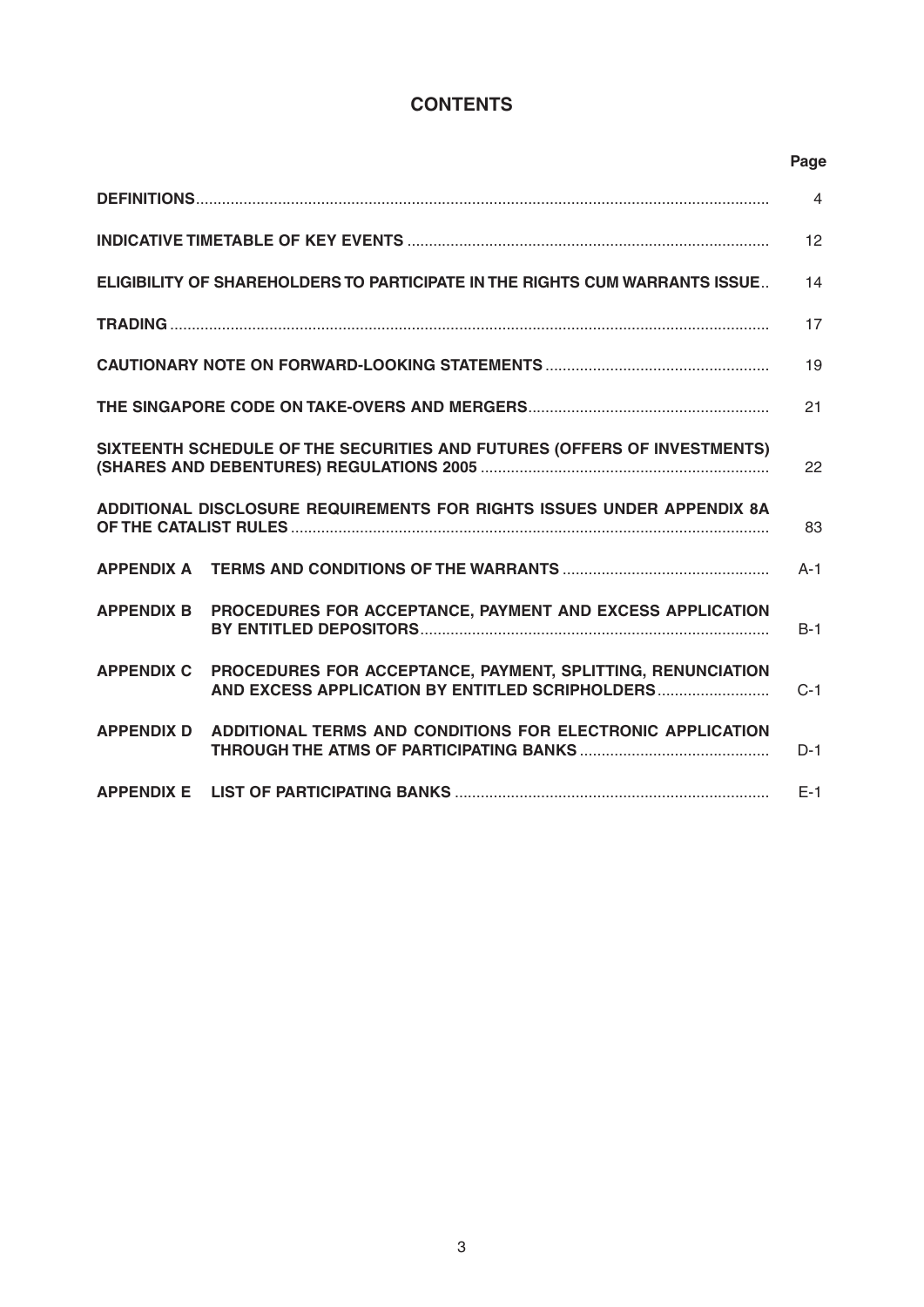# **CONTENTS**

|                                                                          |  |                                                                                                                | Page           |
|--------------------------------------------------------------------------|--|----------------------------------------------------------------------------------------------------------------|----------------|
|                                                                          |  |                                                                                                                | $\overline{4}$ |
|                                                                          |  |                                                                                                                | 12             |
|                                                                          |  | <b>ELIGIBILITY OF SHAREHOLDERS TO PARTICIPATE IN THE RIGHTS CUM WARRANTS ISSUE</b>                             | 14             |
|                                                                          |  |                                                                                                                | 17             |
|                                                                          |  |                                                                                                                | 19             |
|                                                                          |  |                                                                                                                | 21             |
| SIXTEENTH SCHEDULE OF THE SECURITIES AND FUTURES (OFFERS OF INVESTMENTS) |  |                                                                                                                | 22             |
|                                                                          |  | ADDITIONAL DISCLOSURE REQUIREMENTS FOR RIGHTS ISSUES UNDER APPENDIX 8A                                         | 83             |
|                                                                          |  |                                                                                                                | $A-1$          |
| <b>APPENDIX B</b>                                                        |  | PROCEDURES FOR ACCEPTANCE, PAYMENT AND EXCESS APPLICATION                                                      | $B-1$          |
| <b>APPENDIX C</b>                                                        |  | PROCEDURES FOR ACCEPTANCE, PAYMENT, SPLITTING, RENUNCIATION<br>AND EXCESS APPLICATION BY ENTITLED SCRIPHOLDERS | $C-1$          |
| <b>APPENDIX D</b>                                                        |  | ADDITIONAL TERMS AND CONDITIONS FOR ELECTRONIC APPLICATION                                                     | $D-1$          |
| <b>APPENDIX E</b>                                                        |  |                                                                                                                | $E-1$          |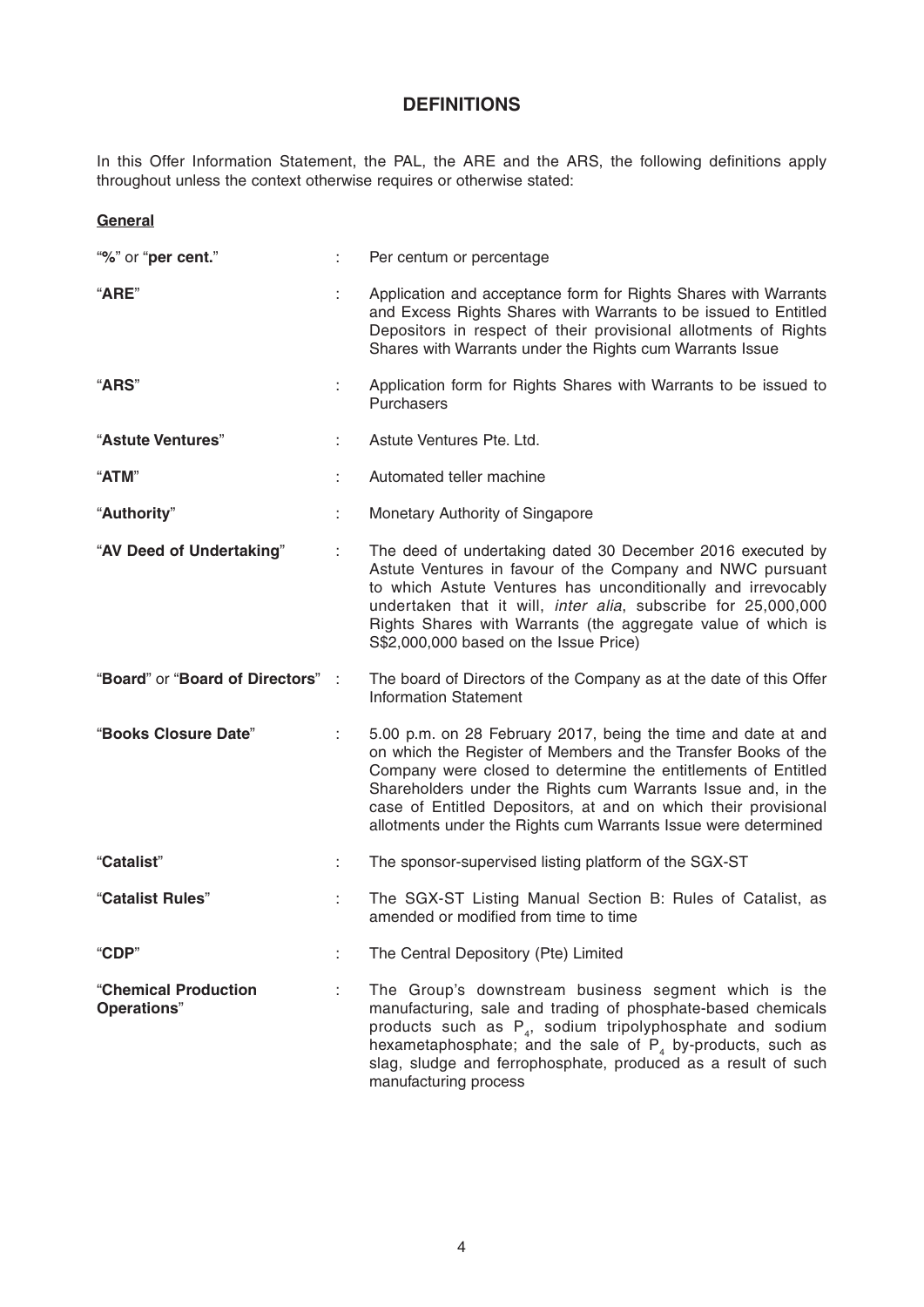# **DEFINITIONS**

In this Offer Information Statement, the PAL, the ARE and the ARS, the following definitions apply throughout unless the context otherwise requires or otherwise stated:

## **General**

| "%" or "per cent."                  |    | Per centum or percentage                                                                                                                                                                                                                                                                                                                                                                             |
|-------------------------------------|----|------------------------------------------------------------------------------------------------------------------------------------------------------------------------------------------------------------------------------------------------------------------------------------------------------------------------------------------------------------------------------------------------------|
| "ARE"                               |    | Application and acceptance form for Rights Shares with Warrants<br>and Excess Rights Shares with Warrants to be issued to Entitled<br>Depositors in respect of their provisional allotments of Rights<br>Shares with Warrants under the Rights cum Warrants Issue                                                                                                                                    |
| <b>"ARS"</b>                        |    | Application form for Rights Shares with Warrants to be issued to<br>Purchasers                                                                                                                                                                                                                                                                                                                       |
| "Astute Ventures"                   |    | Astute Ventures Pte. Ltd.                                                                                                                                                                                                                                                                                                                                                                            |
| "ATM"                               |    | Automated teller machine                                                                                                                                                                                                                                                                                                                                                                             |
| "Authority"                         |    | Monetary Authority of Singapore                                                                                                                                                                                                                                                                                                                                                                      |
| "AV Deed of Undertaking"            |    | The deed of undertaking dated 30 December 2016 executed by<br>Astute Ventures in favour of the Company and NWC pursuant<br>to which Astute Ventures has unconditionally and irrevocably<br>undertaken that it will, inter alia, subscribe for 25,000,000<br>Rights Shares with Warrants (the aggregate value of which is<br>S\$2,000,000 based on the Issue Price)                                   |
| "Board" or "Board of Directors":    |    | The board of Directors of the Company as at the date of this Offer<br><b>Information Statement</b>                                                                                                                                                                                                                                                                                                   |
| "Books Closure Date"                | ÷  | 5.00 p.m. on 28 February 2017, being the time and date at and<br>on which the Register of Members and the Transfer Books of the<br>Company were closed to determine the entitlements of Entitled<br>Shareholders under the Rights cum Warrants Issue and, in the<br>case of Entitled Depositors, at and on which their provisional<br>allotments under the Rights cum Warrants Issue were determined |
| "Catalist"                          |    | The sponsor-supervised listing platform of the SGX-ST                                                                                                                                                                                                                                                                                                                                                |
| "Catalist Rules"                    | t. | The SGX-ST Listing Manual Section B: Rules of Catalist, as<br>amended or modified from time to time                                                                                                                                                                                                                                                                                                  |
| "CDP"                               |    | The Central Depository (Pte) Limited                                                                                                                                                                                                                                                                                                                                                                 |
| "Chemical Production<br>Operations" |    | The Group's downstream business segment which is the<br>manufacturing, sale and trading of phosphate-based chemicals<br>products such as $P_4$ , sodium tripolyphosphate and sodium<br>hexametaphosphate; and the sale of $P_4$ by-products, such as<br>slag, sludge and ferrophosphate, produced as a result of such<br>manufacturing process                                                       |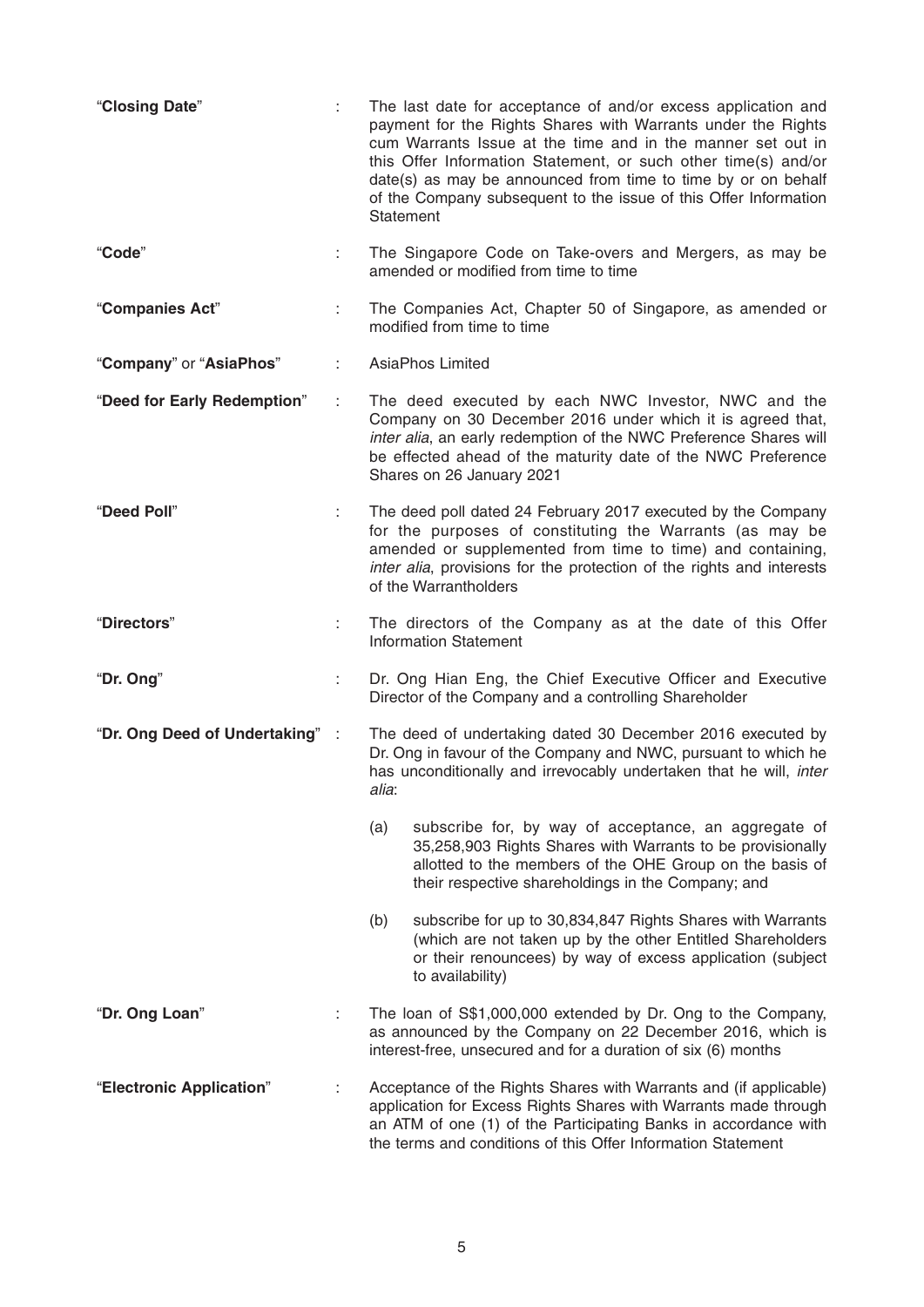| "Closing Date"                 |    | The last date for acceptance of and/or excess application and<br>payment for the Rights Shares with Warrants under the Rights<br>cum Warrants Issue at the time and in the manner set out in<br>this Offer Information Statement, or such other time(s) and/or<br>date(s) as may be announced from time to time by or on behalf<br>of the Company subsequent to the issue of this Offer Information<br>Statement |  |
|--------------------------------|----|------------------------------------------------------------------------------------------------------------------------------------------------------------------------------------------------------------------------------------------------------------------------------------------------------------------------------------------------------------------------------------------------------------------|--|
| "Code"                         | ÷. | The Singapore Code on Take-overs and Mergers, as may be<br>amended or modified from time to time                                                                                                                                                                                                                                                                                                                 |  |
| "Companies Act"                |    | The Companies Act, Chapter 50 of Singapore, as amended or<br>modified from time to time                                                                                                                                                                                                                                                                                                                          |  |
| "Company" or "AsiaPhos"        |    | <b>AsiaPhos Limited</b>                                                                                                                                                                                                                                                                                                                                                                                          |  |
| "Deed for Early Redemption"    |    | The deed executed by each NWC Investor, NWC and the<br>Company on 30 December 2016 under which it is agreed that,<br>inter alia, an early redemption of the NWC Preference Shares will<br>be effected ahead of the maturity date of the NWC Preference<br>Shares on 26 January 2021                                                                                                                              |  |
| "Deed Poll"                    |    | The deed poll dated 24 February 2017 executed by the Company<br>for the purposes of constituting the Warrants (as may be<br>amended or supplemented from time to time) and containing,<br>inter alia, provisions for the protection of the rights and interests<br>of the Warrantholders                                                                                                                         |  |
| "Directors"                    |    | The directors of the Company as at the date of this Offer<br><b>Information Statement</b>                                                                                                                                                                                                                                                                                                                        |  |
| "Dr. Ong"                      |    | Dr. Ong Hian Eng, the Chief Executive Officer and Executive<br>Director of the Company and a controlling Shareholder                                                                                                                                                                                                                                                                                             |  |
| "Dr. Ong Deed of Undertaking": |    | The deed of undertaking dated 30 December 2016 executed by<br>Dr. Ong in favour of the Company and NWC, pursuant to which he<br>has unconditionally and irrevocably undertaken that he will, inter<br>alia:                                                                                                                                                                                                      |  |
|                                |    | (a)<br>subscribe for, by way of acceptance, an aggregate of<br>35,258,903 Rights Shares with Warrants to be provisionally<br>allotted to the members of the OHE Group on the basis of<br>their respective shareholdings in the Company; and                                                                                                                                                                      |  |
|                                |    | subscribe for up to 30,834,847 Rights Shares with Warrants<br>(b)<br>(which are not taken up by the other Entitled Shareholders<br>or their renouncees) by way of excess application (subject<br>to availability)                                                                                                                                                                                                |  |
| "Dr. Ong Loan"                 |    | The loan of S\$1,000,000 extended by Dr. Ong to the Company,<br>as announced by the Company on 22 December 2016, which is<br>interest-free, unsecured and for a duration of six (6) months                                                                                                                                                                                                                       |  |
| "Electronic Application"       |    | Acceptance of the Rights Shares with Warrants and (if applicable)<br>application for Excess Rights Shares with Warrants made through<br>an ATM of one (1) of the Participating Banks in accordance with<br>the terms and conditions of this Offer Information Statement                                                                                                                                          |  |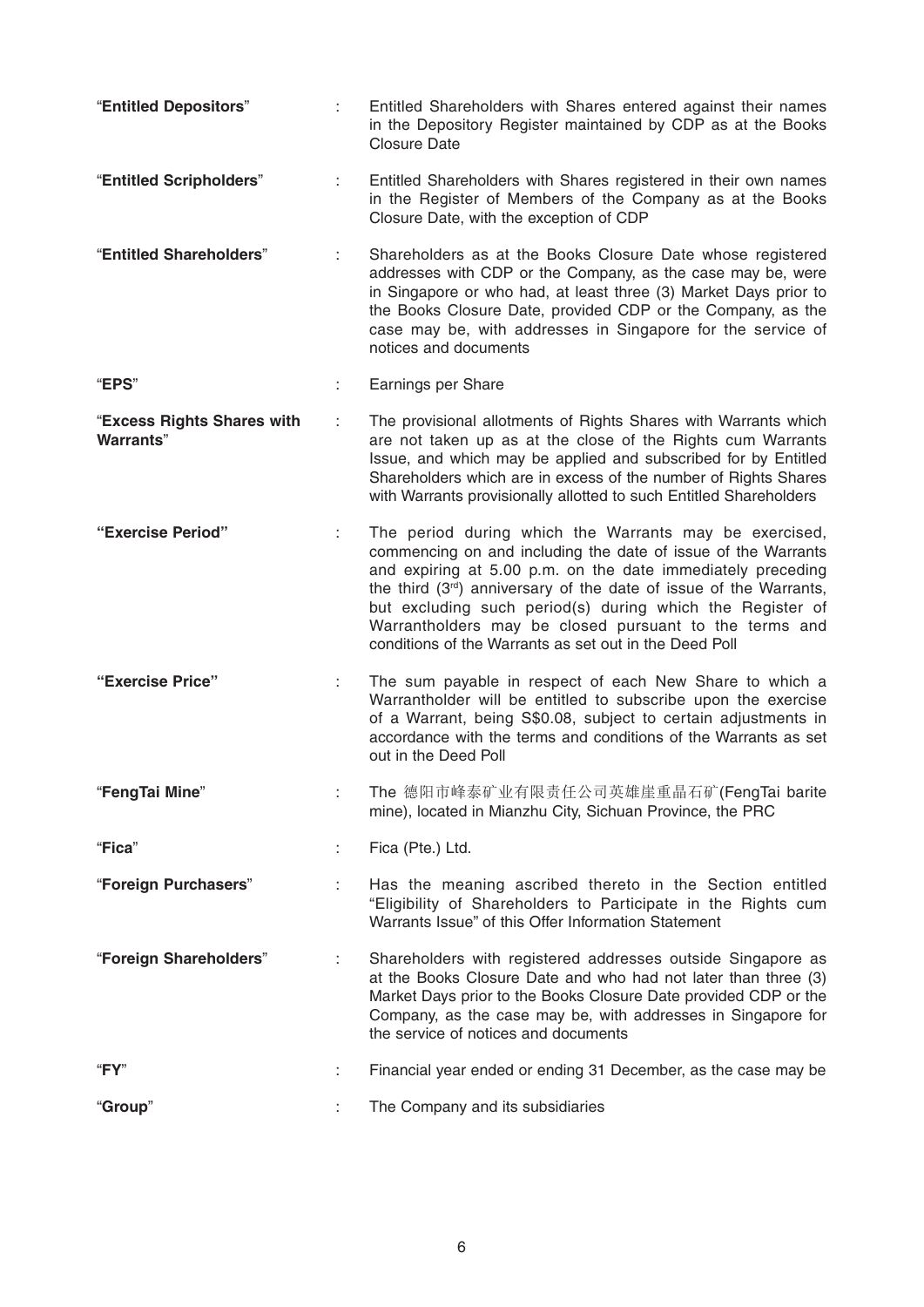"**Entitled Depositors**" : Entitled Shareholders with Shares entered against their names in the Depository Register maintained by CDP as at the Books Closure Date "**Entitled Scripholders**" : Entitled Shareholders with Shares registered in their own names in the Register of Members of the Company as at the Books Closure Date, with the exception of CDP "**Entitled Shareholders**" : Shareholders as at the Books Closure Date whose registered addresses with CDP or the Company, as the case may be, were in Singapore or who had, at least three (3) Market Days prior to the Books Closure Date, provided CDP or the Company, as the case may be, with addresses in Singapore for the service of notices and documents "**EPS**" : Earnings per Share "**Excess Rights Shares with Warrants**" : The provisional allotments of Rights Shares with Warrants which are not taken up as at the close of the Rights cum Warrants Issue, and which may be applied and subscribed for by Entitled Shareholders which are in excess of the number of Rights Shares with Warrants provisionally allotted to such Entitled Shareholders **"Exercise Period"** : The period during which the Warrants may be exercised, commencing on and including the date of issue of the Warrants and expiring at 5.00 p.m. on the date immediately preceding the third (3rd) anniversary of the date of issue of the Warrants, but excluding such period(s) during which the Register of Warrantholders may be closed pursuant to the terms and conditions of the Warrants as set out in the Deed Poll **"Exercise Price"** : The sum payable in respect of each New Share to which a Warrantholder will be entitled to subscribe upon the exercise of a Warrant, being S\$0.08, subject to certain adjustments in accordance with the terms and conditions of the Warrants as set out in the Deed Poll "**FengTai Mine**" : The 德阳市峰泰矿业有限责任公司英雄崖重晶石矿 (FengTai barite mine), located in Mianzhu City, Sichuan Province, the PRC "**Fica**" : Fica (Pte.) Ltd. "**Foreign Purchasers**" : Has the meaning ascribed thereto in the Section entitled "Eligibility of Shareholders to Participate in the Rights cum Warrants Issue" of this Offer Information Statement "**Foreign Shareholders**" : Shareholders with registered addresses outside Singapore as at the Books Closure Date and who had not later than three (3) Market Days prior to the Books Closure Date provided CDP or the Company, as the case may be, with addresses in Singapore for the service of notices and documents "**FY**" : Financial year ended or ending 31 December, as the case may be "**Group**" : The Company and its subsidiaries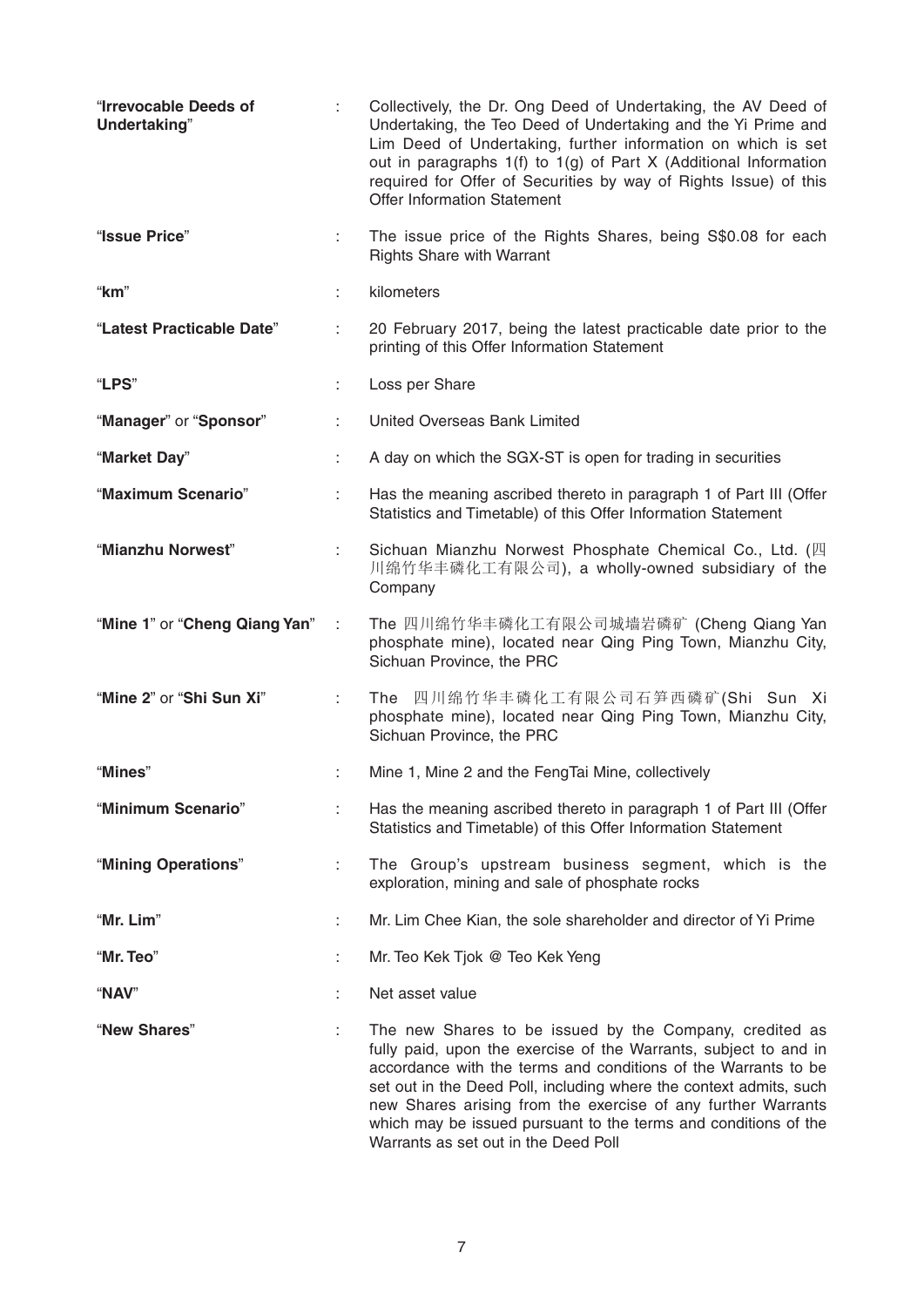| "Irrevocable Deeds of<br>Undertaking" |   | Collectively, the Dr. Ong Deed of Undertaking, the AV Deed of<br>Undertaking, the Teo Deed of Undertaking and the Yi Prime and<br>Lim Deed of Undertaking, further information on which is set<br>out in paragraphs 1(f) to 1(g) of Part X (Additional Information<br>required for Offer of Securities by way of Rights Issue) of this<br><b>Offer Information Statement</b>                                                                   |
|---------------------------------------|---|------------------------------------------------------------------------------------------------------------------------------------------------------------------------------------------------------------------------------------------------------------------------------------------------------------------------------------------------------------------------------------------------------------------------------------------------|
| "Issue Price"                         | ÷ | The issue price of the Rights Shares, being S\$0.08 for each<br><b>Rights Share with Warrant</b>                                                                                                                                                                                                                                                                                                                                               |
| "km"                                  |   | kilometers                                                                                                                                                                                                                                                                                                                                                                                                                                     |
| "Latest Practicable Date"             |   | 20 February 2017, being the latest practicable date prior to the<br>printing of this Offer Information Statement                                                                                                                                                                                                                                                                                                                               |
| "LPS"                                 |   | Loss per Share                                                                                                                                                                                                                                                                                                                                                                                                                                 |
| "Manager" or "Sponsor"                |   | United Overseas Bank Limited                                                                                                                                                                                                                                                                                                                                                                                                                   |
| "Market Day"                          |   | A day on which the SGX-ST is open for trading in securities                                                                                                                                                                                                                                                                                                                                                                                    |
| "Maximum Scenario"                    |   | Has the meaning ascribed thereto in paragraph 1 of Part III (Offer<br>Statistics and Timetable) of this Offer Information Statement                                                                                                                                                                                                                                                                                                            |
| "Mianzhu Norwest"                     |   | Sichuan Mianzhu Norwest Phosphate Chemical Co., Ltd. (四<br>川绵竹华丰磷化工有限公司), a wholly-owned subsidiary of the<br>Company                                                                                                                                                                                                                                                                                                                          |
| "Mine 1" or "Cheng Qiang Yan"         |   | The 四川绵竹华丰磷化工有限公司城墙岩磷矿 (Cheng Qiang Yan<br>phosphate mine), located near Qing Ping Town, Mianzhu City,<br>Sichuan Province, the PRC                                                                                                                                                                                                                                                                                                            |
| "Mine 2" or "Shi Sun Xi"              |   | The 四川绵竹华丰磷化工有限公司石笋西磷矿(Shi Sun Xi<br>phosphate mine), located near Qing Ping Town, Mianzhu City,<br>Sichuan Province, the PRC                                                                                                                                                                                                                                                                                                                  |
| "Mines"                               |   | Mine 1, Mine 2 and the FengTai Mine, collectively                                                                                                                                                                                                                                                                                                                                                                                              |
| "Minimum Scenario"                    | ÷ | Has the meaning ascribed thereto in paragraph 1 of Part III (Offer<br>Statistics and Timetable) of this Offer Information Statement                                                                                                                                                                                                                                                                                                            |
| "Mining Operations"                   | ÷ | The Group's upstream business segment, which is the<br>exploration, mining and sale of phosphate rocks                                                                                                                                                                                                                                                                                                                                         |
| "Mr. Lim"                             |   | Mr. Lim Chee Kian, the sole shareholder and director of Yi Prime                                                                                                                                                                                                                                                                                                                                                                               |
| "Mr. Teo"                             |   | Mr. Teo Kek Tjok @ Teo Kek Yeng                                                                                                                                                                                                                                                                                                                                                                                                                |
| "NAV"                                 |   | Net asset value                                                                                                                                                                                                                                                                                                                                                                                                                                |
| "New Shares"                          |   | The new Shares to be issued by the Company, credited as<br>fully paid, upon the exercise of the Warrants, subject to and in<br>accordance with the terms and conditions of the Warrants to be<br>set out in the Deed Poll, including where the context admits, such<br>new Shares arising from the exercise of any further Warrants<br>which may be issued pursuant to the terms and conditions of the<br>Warrants as set out in the Deed Poll |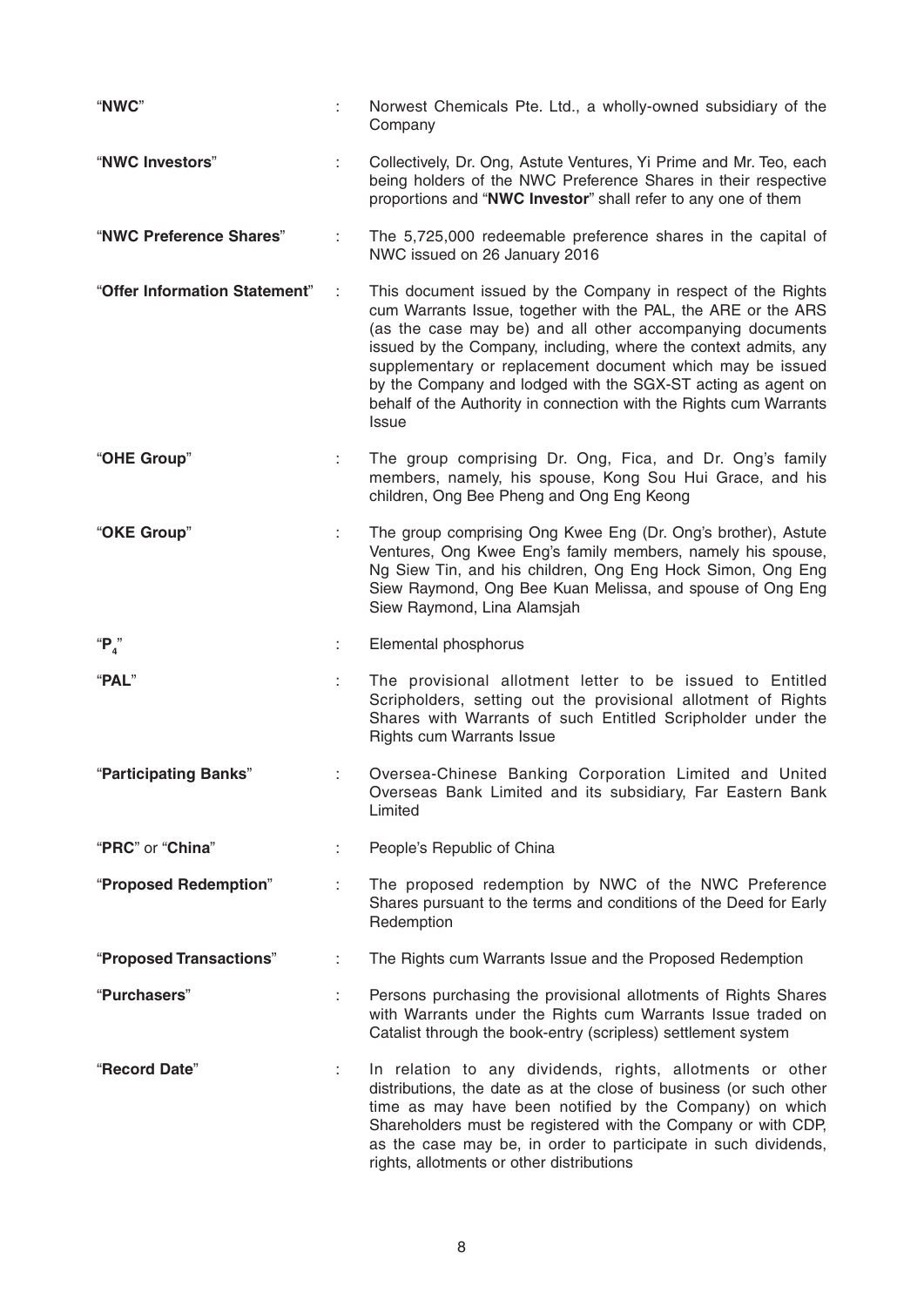| "NWC"                         |    | Norwest Chemicals Pte. Ltd., a wholly-owned subsidiary of the<br>Company                                                                                                                                                                                                                                                                                                                                                                                                         |
|-------------------------------|----|----------------------------------------------------------------------------------------------------------------------------------------------------------------------------------------------------------------------------------------------------------------------------------------------------------------------------------------------------------------------------------------------------------------------------------------------------------------------------------|
| "NWC Investors"               |    | Collectively, Dr. Ong, Astute Ventures, Yi Prime and Mr. Teo, each<br>being holders of the NWC Preference Shares in their respective<br>proportions and "NWC Investor" shall refer to any one of them                                                                                                                                                                                                                                                                            |
| "NWC Preference Shares"       |    | The 5,725,000 redeemable preference shares in the capital of<br>NWC issued on 26 January 2016                                                                                                                                                                                                                                                                                                                                                                                    |
| "Offer Information Statement" |    | This document issued by the Company in respect of the Rights<br>cum Warrants Issue, together with the PAL, the ARE or the ARS<br>(as the case may be) and all other accompanying documents<br>issued by the Company, including, where the context admits, any<br>supplementary or replacement document which may be issued<br>by the Company and lodged with the SGX-ST acting as agent on<br>behalf of the Authority in connection with the Rights cum Warrants<br><b>Issue</b> |
| "OHE Group"                   |    | The group comprising Dr. Ong, Fica, and Dr. Ong's family<br>members, namely, his spouse, Kong Sou Hui Grace, and his<br>children, Ong Bee Pheng and Ong Eng Keong                                                                                                                                                                                                                                                                                                                |
| "OKE Group"                   |    | The group comprising Ong Kwee Eng (Dr. Ong's brother), Astute<br>Ventures, Ong Kwee Eng's family members, namely his spouse,<br>Ng Siew Tin, and his children, Ong Eng Hock Simon, Ong Eng<br>Siew Raymond, Ong Bee Kuan Melissa, and spouse of Ong Eng<br>Siew Raymond, Lina Alamsjah                                                                                                                                                                                           |
| " $P_4$ "                     | ÷  | Elemental phosphorus                                                                                                                                                                                                                                                                                                                                                                                                                                                             |
| "PAL"                         |    | The provisional allotment letter to be issued to Entitled<br>Scripholders, setting out the provisional allotment of Rights<br>Shares with Warrants of such Entitled Scripholder under the<br><b>Rights cum Warrants Issue</b>                                                                                                                                                                                                                                                    |
| "Participating Banks"         |    | Oversea-Chinese Banking Corporation Limited and United<br>Overseas Bank Limited and its subsidiary, Far Eastern Bank<br>Limited                                                                                                                                                                                                                                                                                                                                                  |
| "PRC" or "China"              |    | People's Republic of China                                                                                                                                                                                                                                                                                                                                                                                                                                                       |
| "Proposed Redemption"         | ÷  | The proposed redemption by NWC of the NWC Preference<br>Shares pursuant to the terms and conditions of the Deed for Early<br>Redemption                                                                                                                                                                                                                                                                                                                                          |
| "Proposed Transactions"       | ÷  | The Rights cum Warrants Issue and the Proposed Redemption                                                                                                                                                                                                                                                                                                                                                                                                                        |
| "Purchasers"                  |    | Persons purchasing the provisional allotments of Rights Shares<br>with Warrants under the Rights cum Warrants Issue traded on<br>Catalist through the book-entry (scripless) settlement system                                                                                                                                                                                                                                                                                   |
| "Record Date"                 | ÷. | In relation to any dividends, rights, allotments or other<br>distributions, the date as at the close of business (or such other<br>time as may have been notified by the Company) on which<br>Shareholders must be registered with the Company or with CDP,<br>as the case may be, in order to participate in such dividends,<br>rights, allotments or other distributions                                                                                                       |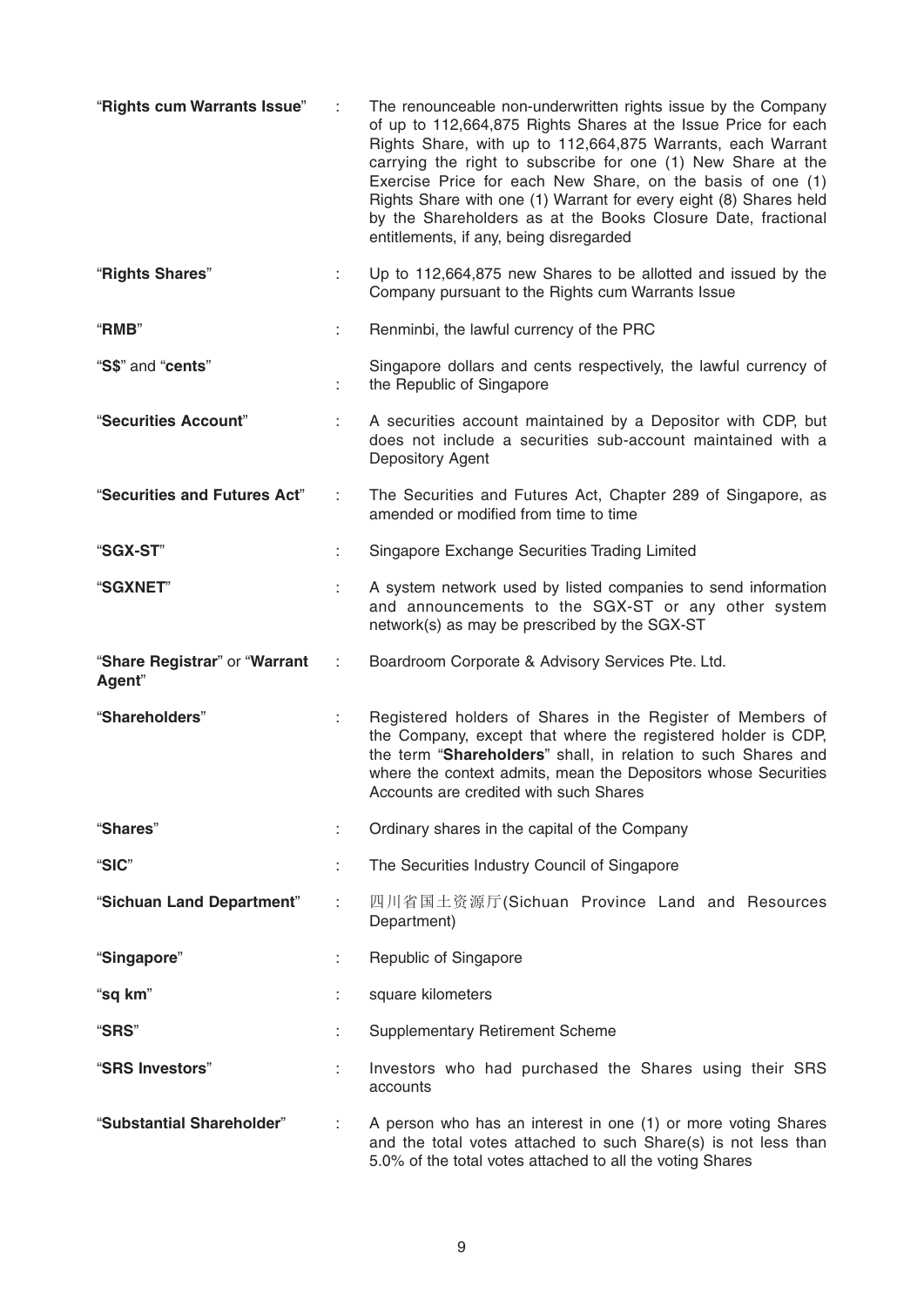| "Rights cum Warrants Issue"             |    | The renounceable non-underwritten rights issue by the Company<br>of up to 112,664,875 Rights Shares at the Issue Price for each<br>Rights Share, with up to 112,664,875 Warrants, each Warrant<br>carrying the right to subscribe for one (1) New Share at the<br>Exercise Price for each New Share, on the basis of one (1)<br>Rights Share with one (1) Warrant for every eight (8) Shares held<br>by the Shareholders as at the Books Closure Date, fractional<br>entitlements, if any, being disregarded |
|-----------------------------------------|----|--------------------------------------------------------------------------------------------------------------------------------------------------------------------------------------------------------------------------------------------------------------------------------------------------------------------------------------------------------------------------------------------------------------------------------------------------------------------------------------------------------------|
| "Rights Shares"                         |    | Up to 112,664,875 new Shares to be allotted and issued by the<br>Company pursuant to the Rights cum Warrants Issue                                                                                                                                                                                                                                                                                                                                                                                           |
| "RMB"                                   | ÷. | Renminbi, the lawful currency of the PRC                                                                                                                                                                                                                                                                                                                                                                                                                                                                     |
| "S\$" and "cents"                       |    | Singapore dollars and cents respectively, the lawful currency of<br>the Republic of Singapore                                                                                                                                                                                                                                                                                                                                                                                                                |
| "Securities Account"                    |    | A securities account maintained by a Depositor with CDP, but<br>does not include a securities sub-account maintained with a<br>Depository Agent                                                                                                                                                                                                                                                                                                                                                              |
| "Securities and Futures Act"            | t. | The Securities and Futures Act, Chapter 289 of Singapore, as<br>amended or modified from time to time                                                                                                                                                                                                                                                                                                                                                                                                        |
| "SGX-ST"                                |    | Singapore Exchange Securities Trading Limited                                                                                                                                                                                                                                                                                                                                                                                                                                                                |
| <b>"SGXNET"</b>                         | ÷  | A system network used by listed companies to send information<br>and announcements to the SGX-ST or any other system<br>network(s) as may be prescribed by the SGX-ST                                                                                                                                                                                                                                                                                                                                        |
| "Share Registrar" or "Warrant<br>Agent" | ÷  | Boardroom Corporate & Advisory Services Pte. Ltd.                                                                                                                                                                                                                                                                                                                                                                                                                                                            |
| "Shareholders"                          |    | Registered holders of Shares in the Register of Members of<br>the Company, except that where the registered holder is CDP,<br>the term "Shareholders" shall, in relation to such Shares and<br>where the context admits, mean the Depositors whose Securities<br>Accounts are credited with such Shares                                                                                                                                                                                                      |
| "Shares"                                |    | Ordinary shares in the capital of the Company                                                                                                                                                                                                                                                                                                                                                                                                                                                                |
| "SIC"                                   |    | The Securities Industry Council of Singapore                                                                                                                                                                                                                                                                                                                                                                                                                                                                 |
| "Sichuan Land Department"               |    | 四川省国土资源厅(Sichuan Province Land and Resources<br>Department)                                                                                                                                                                                                                                                                                                                                                                                                                                                  |
| "Singapore"                             |    | Republic of Singapore                                                                                                                                                                                                                                                                                                                                                                                                                                                                                        |
| "sq km"                                 |    | square kilometers                                                                                                                                                                                                                                                                                                                                                                                                                                                                                            |
| "SRS"                                   |    | <b>Supplementary Retirement Scheme</b>                                                                                                                                                                                                                                                                                                                                                                                                                                                                       |
| "SRS Investors"                         |    | Investors who had purchased the Shares using their SRS<br>accounts                                                                                                                                                                                                                                                                                                                                                                                                                                           |
| "Substantial Shareholder"               |    | A person who has an interest in one (1) or more voting Shares<br>and the total votes attached to such Share(s) is not less than<br>5.0% of the total votes attached to all the voting Shares                                                                                                                                                                                                                                                                                                                 |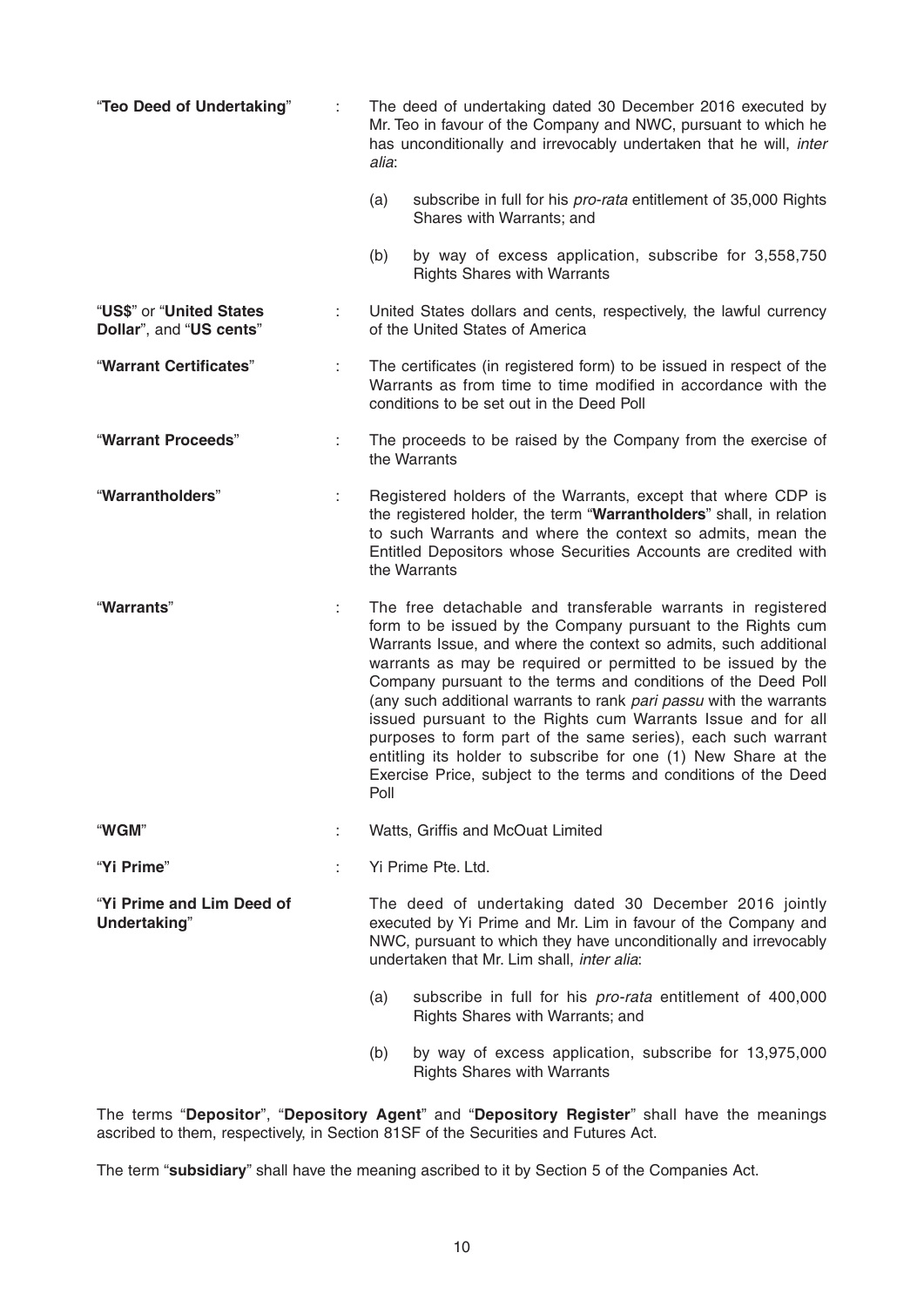| "Teo Deed of Undertaking"                           |    | The deed of undertaking dated 30 December 2016 executed by<br>Mr. Teo in favour of the Company and NWC, pursuant to which he<br>has unconditionally and irrevocably undertaken that he will, inter<br>alia:                                                                                                                                                                                                                                                                                                                                                                                                                                                                        |  |
|-----------------------------------------------------|----|------------------------------------------------------------------------------------------------------------------------------------------------------------------------------------------------------------------------------------------------------------------------------------------------------------------------------------------------------------------------------------------------------------------------------------------------------------------------------------------------------------------------------------------------------------------------------------------------------------------------------------------------------------------------------------|--|
|                                                     |    | (a)<br>subscribe in full for his pro-rata entitlement of 35,000 Rights<br>Shares with Warrants; and                                                                                                                                                                                                                                                                                                                                                                                                                                                                                                                                                                                |  |
|                                                     |    | (b)<br>by way of excess application, subscribe for 3,558,750<br><b>Rights Shares with Warrants</b>                                                                                                                                                                                                                                                                                                                                                                                                                                                                                                                                                                                 |  |
| "US\$" or "United States<br>Dollar", and "US cents" | ÷  | United States dollars and cents, respectively, the lawful currency<br>of the United States of America                                                                                                                                                                                                                                                                                                                                                                                                                                                                                                                                                                              |  |
| "Warrant Certificates"                              | ÷. | The certificates (in registered form) to be issued in respect of the<br>Warrants as from time to time modified in accordance with the<br>conditions to be set out in the Deed Poll                                                                                                                                                                                                                                                                                                                                                                                                                                                                                                 |  |
| "Warrant Proceeds"                                  | ÷  | The proceeds to be raised by the Company from the exercise of<br>the Warrants                                                                                                                                                                                                                                                                                                                                                                                                                                                                                                                                                                                                      |  |
| "Warrantholders"                                    |    | Registered holders of the Warrants, except that where CDP is<br>the registered holder, the term "Warrantholders" shall, in relation<br>to such Warrants and where the context so admits, mean the<br>Entitled Depositors whose Securities Accounts are credited with<br>the Warrants                                                                                                                                                                                                                                                                                                                                                                                               |  |
| "Warrants"                                          | ÷  | The free detachable and transferable warrants in registered<br>form to be issued by the Company pursuant to the Rights cum<br>Warrants Issue, and where the context so admits, such additional<br>warrants as may be required or permitted to be issued by the<br>Company pursuant to the terms and conditions of the Deed Poll<br>(any such additional warrants to rank pari passu with the warrants<br>issued pursuant to the Rights cum Warrants Issue and for all<br>purposes to form part of the same series), each such warrant<br>entitling its holder to subscribe for one (1) New Share at the<br>Exercise Price, subject to the terms and conditions of the Deed<br>Poll |  |
| "WGM"                                               |    | Watts, Griffis and McOuat Limited                                                                                                                                                                                                                                                                                                                                                                                                                                                                                                                                                                                                                                                  |  |
| "Yi Prime"                                          |    | Yi Prime Pte. Ltd.                                                                                                                                                                                                                                                                                                                                                                                                                                                                                                                                                                                                                                                                 |  |
| "Yi Prime and Lim Deed of<br>Undertaking"           |    | The deed of undertaking dated 30 December 2016 jointly<br>executed by Yi Prime and Mr. Lim in favour of the Company and<br>NWC, pursuant to which they have unconditionally and irrevocably<br>undertaken that Mr. Lim shall, inter alia:                                                                                                                                                                                                                                                                                                                                                                                                                                          |  |
|                                                     |    | subscribe in full for his pro-rata entitlement of 400,000<br>(a)<br>Rights Shares with Warrants; and                                                                                                                                                                                                                                                                                                                                                                                                                                                                                                                                                                               |  |
|                                                     |    | by way of excess application, subscribe for 13,975,000<br>(b)<br><b>Rights Shares with Warrants</b>                                                                                                                                                                                                                                                                                                                                                                                                                                                                                                                                                                                |  |

The terms "**Depositor**", "**Depository Agent**" and "**Depository Register**" shall have the meanings ascribed to them, respectively, in Section 81SF of the Securities and Futures Act.

The term "**subsidiary**" shall have the meaning ascribed to it by Section 5 of the Companies Act.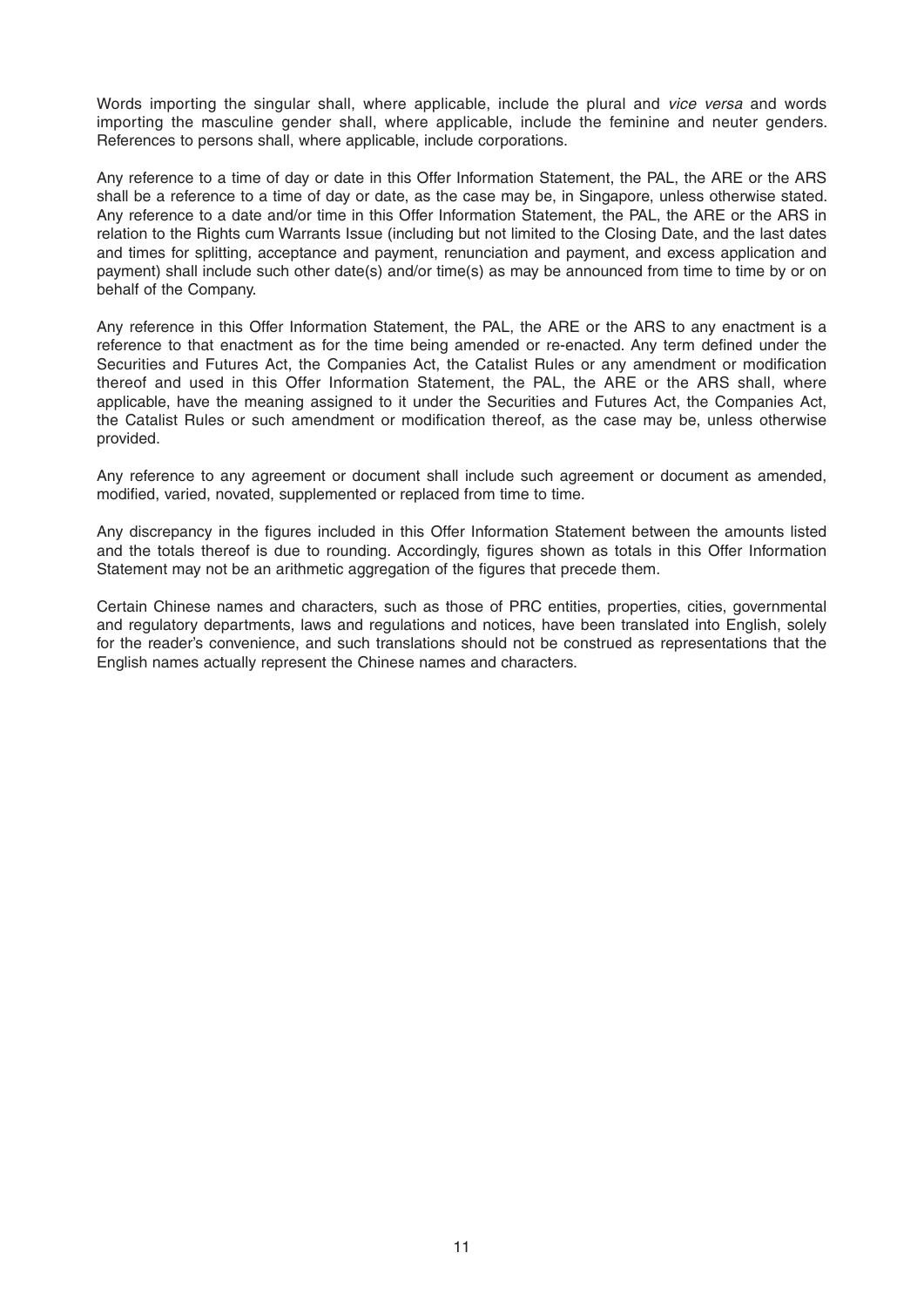Words importing the singular shall, where applicable, include the plural and *vice versa* and words importing the masculine gender shall, where applicable, include the feminine and neuter genders. References to persons shall, where applicable, include corporations.

Any reference to a time of day or date in this Offer Information Statement, the PAL, the ARE or the ARS shall be a reference to a time of day or date, as the case may be, in Singapore, unless otherwise stated. Any reference to a date and/or time in this Offer Information Statement, the PAL, the ARE or the ARS in relation to the Rights cum Warrants Issue (including but not limited to the Closing Date, and the last dates and times for splitting, acceptance and payment, renunciation and payment, and excess application and payment) shall include such other date(s) and/or time(s) as may be announced from time to time by or on behalf of the Company.

Any reference in this Offer Information Statement, the PAL, the ARE or the ARS to any enactment is a reference to that enactment as for the time being amended or re-enacted. Any term defined under the Securities and Futures Act, the Companies Act, the Catalist Rules or any amendment or modification thereof and used in this Offer Information Statement, the PAL, the ARE or the ARS shall, where applicable, have the meaning assigned to it under the Securities and Futures Act, the Companies Act, the Catalist Rules or such amendment or modification thereof, as the case may be, unless otherwise provided.

Any reference to any agreement or document shall include such agreement or document as amended, modified, varied, novated, supplemented or replaced from time to time.

Any discrepancy in the figures included in this Offer Information Statement between the amounts listed and the totals thereof is due to rounding. Accordingly, figures shown as totals in this Offer Information Statement may not be an arithmetic aggregation of the figures that precede them.

Certain Chinese names and characters, such as those of PRC entities, properties, cities, governmental and regulatory departments, laws and regulations and notices, have been translated into English, solely for the reader's convenience, and such translations should not be construed as representations that the English names actually represent the Chinese names and characters.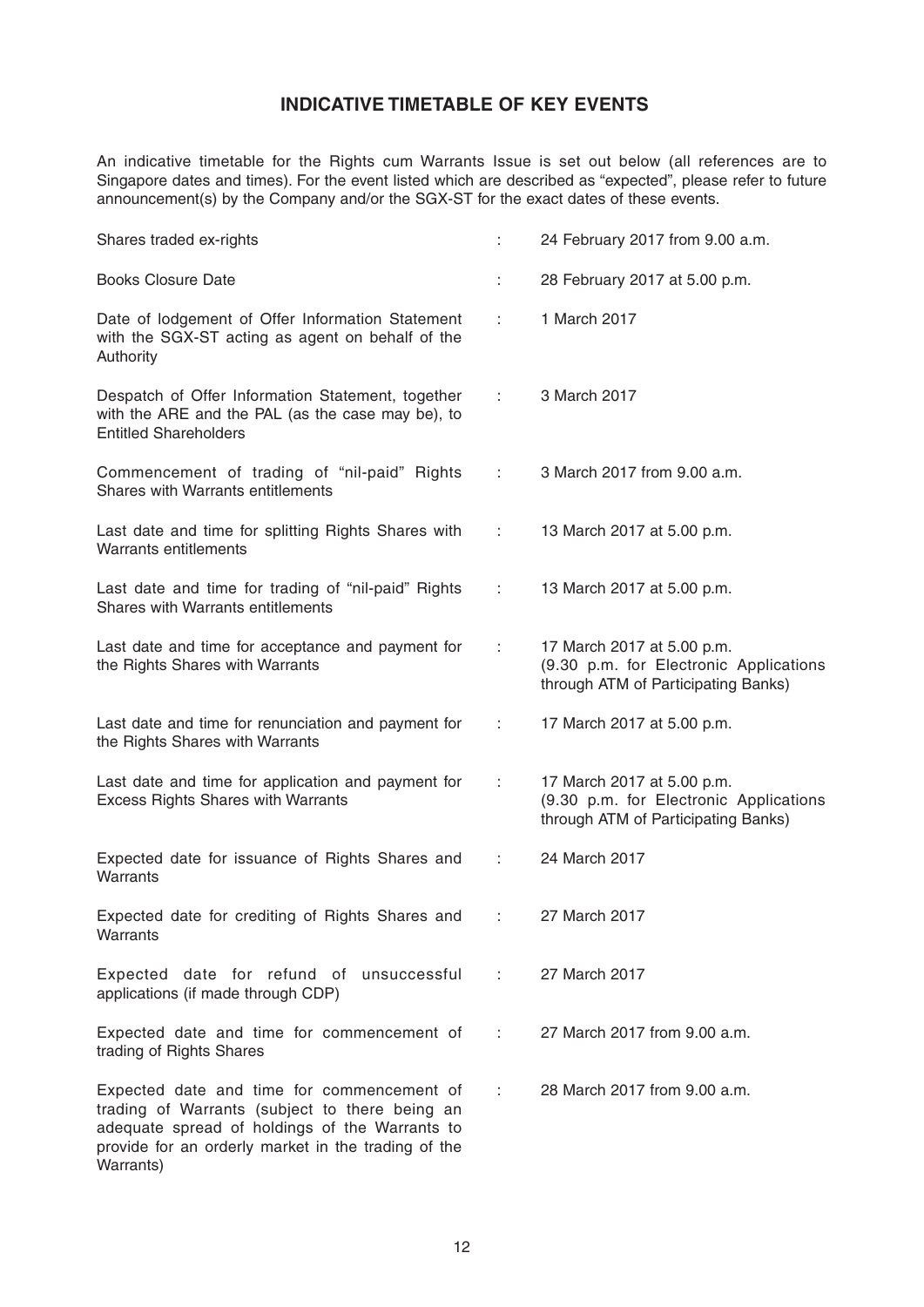# **INDICATIVE TIMETABLE OF KEY EVENTS**

An indicative timetable for the Rights cum Warrants Issue is set out below (all references are to Singapore dates and times). For the event listed which are described as "expected", please refer to future announcement(s) by the Company and/or the SGX-ST for the exact dates of these events.

| Shares traded ex-rights                                                                                                                                                                                            | ÷.               | 24 February 2017 from 9.00 a.m.                                                                             |
|--------------------------------------------------------------------------------------------------------------------------------------------------------------------------------------------------------------------|------------------|-------------------------------------------------------------------------------------------------------------|
| <b>Books Closure Date</b>                                                                                                                                                                                          |                  | 28 February 2017 at 5.00 p.m.                                                                               |
| Date of lodgement of Offer Information Statement<br>with the SGX-ST acting as agent on behalf of the<br>Authority                                                                                                  | ÷                | 1 March 2017                                                                                                |
| Despatch of Offer Information Statement, together<br>with the ARE and the PAL (as the case may be), to<br><b>Entitled Shareholders</b>                                                                             | 10000            | 3 March 2017                                                                                                |
| Commencement of trading of "nil-paid" Rights<br>Shares with Warrants entitlements                                                                                                                                  | ÷                | 3 March 2017 from 9.00 a.m.                                                                                 |
| Last date and time for splitting Rights Shares with<br><b>Warrants entitlements</b>                                                                                                                                | $1 - 1$          | 13 March 2017 at 5.00 p.m.                                                                                  |
| Last date and time for trading of "nil-paid" Rights<br>Shares with Warrants entitlements                                                                                                                           | ÷                | 13 March 2017 at 5.00 p.m.                                                                                  |
| Last date and time for acceptance and payment for<br>the Rights Shares with Warrants                                                                                                                               | $\mathbb{Z}^n$ . | 17 March 2017 at 5.00 p.m.<br>(9.30 p.m. for Electronic Applications<br>through ATM of Participating Banks) |
| Last date and time for renunciation and payment for<br>the Rights Shares with Warrants                                                                                                                             | 1000             | 17 March 2017 at 5.00 p.m.                                                                                  |
| Last date and time for application and payment for<br><b>Excess Rights Shares with Warrants</b>                                                                                                                    | ÷.               | 17 March 2017 at 5.00 p.m.<br>(9.30 p.m. for Electronic Applications<br>through ATM of Participating Banks) |
| Expected date for issuance of Rights Shares and<br>Warrants                                                                                                                                                        | ÷                | 24 March 2017                                                                                               |
| Expected date for crediting of Rights Shares and<br>Warrants                                                                                                                                                       |                  | 27 March 2017                                                                                               |
| Expected date for refund of unsuccessful<br>applications (if made through CDP)                                                                                                                                     | ÷                | 27 March 2017                                                                                               |
| Expected date and time for commencement of<br>trading of Rights Shares                                                                                                                                             | 10000            | 27 March 2017 from 9.00 a.m.                                                                                |
| Expected date and time for commencement of<br>trading of Warrants (subject to there being an<br>adequate spread of holdings of the Warrants to<br>provide for an orderly market in the trading of the<br>Warrants) | ÷                | 28 March 2017 from 9.00 a.m.                                                                                |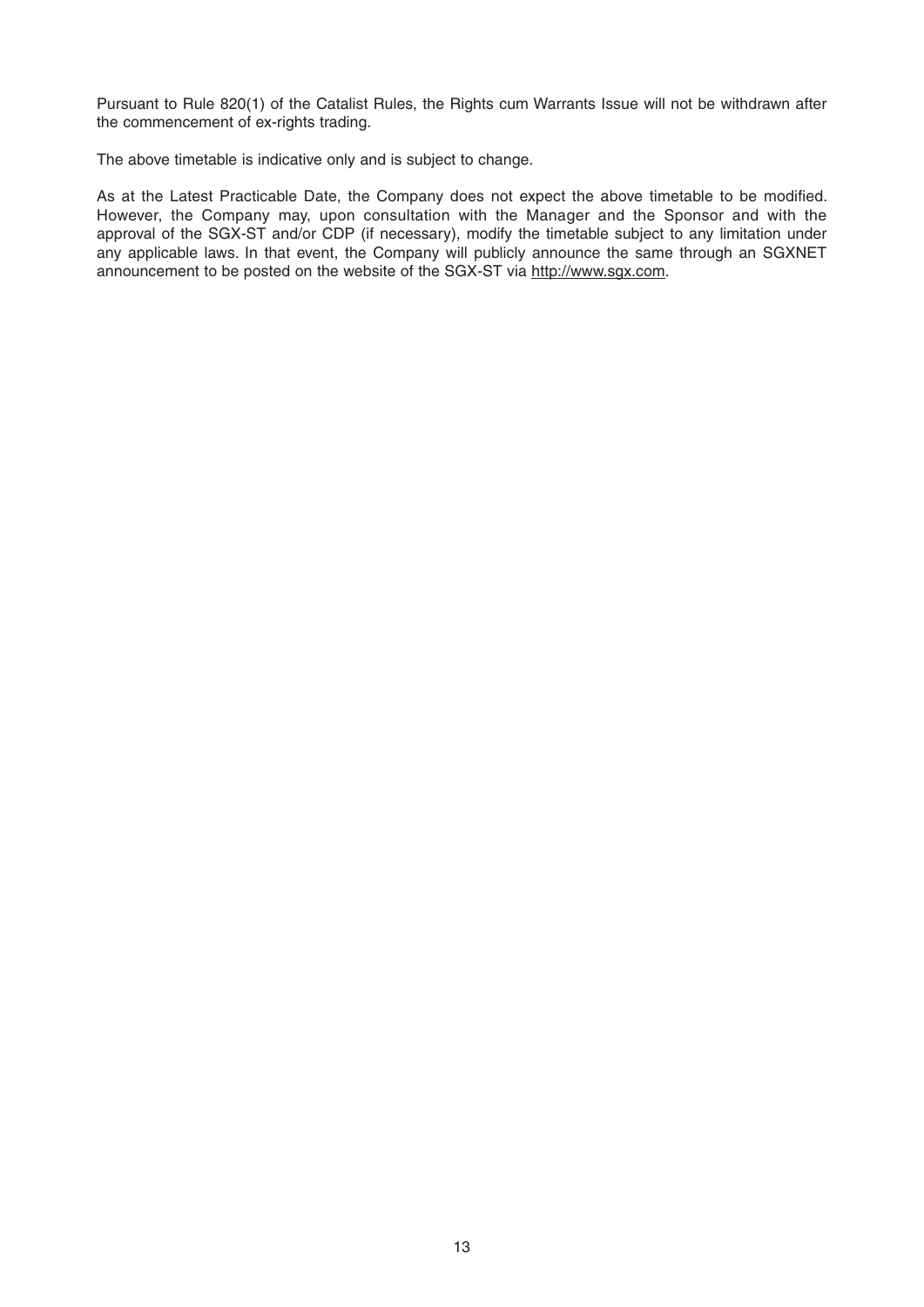Pursuant to Rule 820(1) of the Catalist Rules, the Rights cum Warrants Issue will not be withdrawn after the commencement of ex-rights trading.

The above timetable is indicative only and is subject to change.

As at the Latest Practicable Date, the Company does not expect the above timetable to be modified. However, the Company may, upon consultation with the Manager and the Sponsor and with the approval of the SGX-ST and/or CDP (if necessary), modify the timetable subject to any limitation under any applicable laws. In that event, the Company will publicly announce the same through an SGXNET announcement to be posted on the website of the SGX-ST via http://www.sgx.com.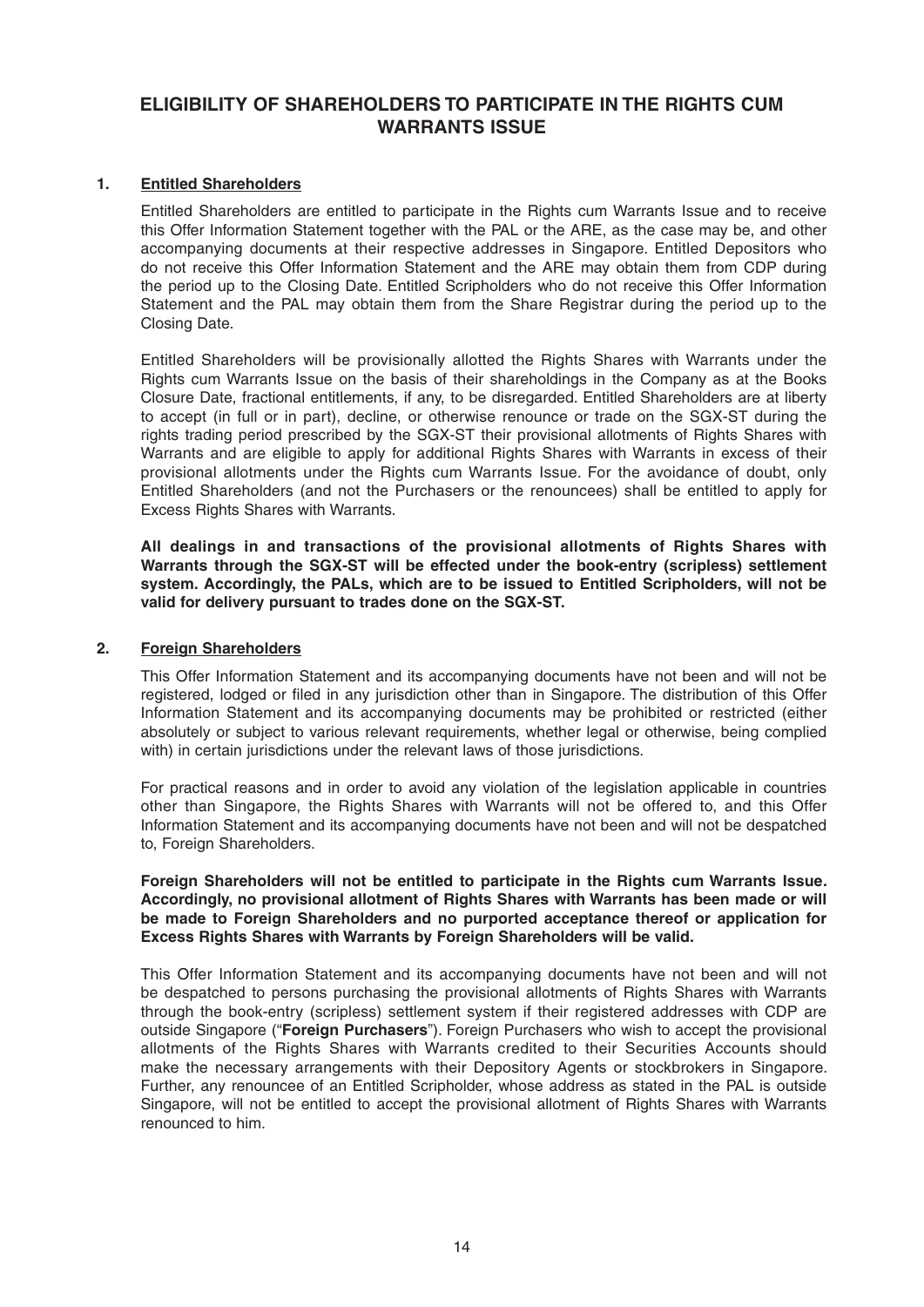# **ELIGIBILITY OF SHAREHOLDERS TO PARTICIPATE IN THE RIGHTS CUM WARRANTS ISSUE**

## **1. Entitled Shareholders**

 Entitled Shareholders are entitled to participate in the Rights cum Warrants Issue and to receive this Offer Information Statement together with the PAL or the ARE, as the case may be, and other accompanying documents at their respective addresses in Singapore. Entitled Depositors who do not receive this Offer Information Statement and the ARE may obtain them from CDP during the period up to the Closing Date. Entitled Scripholders who do not receive this Offer Information Statement and the PAL may obtain them from the Share Registrar during the period up to the Closing Date.

 Entitled Shareholders will be provisionally allotted the Rights Shares with Warrants under the Rights cum Warrants Issue on the basis of their shareholdings in the Company as at the Books Closure Date, fractional entitlements, if any, to be disregarded. Entitled Shareholders are at liberty to accept (in full or in part), decline, or otherwise renounce or trade on the SGX-ST during the rights trading period prescribed by the SGX-ST their provisional allotments of Rights Shares with Warrants and are eligible to apply for additional Rights Shares with Warrants in excess of their provisional allotments under the Rights cum Warrants Issue. For the avoidance of doubt, only Entitled Shareholders (and not the Purchasers or the renouncees) shall be entitled to apply for Excess Rights Shares with Warrants.

 **All dealings in and transactions of the provisional allotments of Rights Shares with Warrants through the SGX-ST will be effected under the book-entry (scripless) settlement system. Accordingly, the PALs, which are to be issued to Entitled Scripholders, will not be valid for delivery pursuant to trades done on the SGX-ST.**

## **2. Foreign Shareholders**

 This Offer Information Statement and its accompanying documents have not been and will not be registered, lodged or filed in any jurisdiction other than in Singapore. The distribution of this Offer Information Statement and its accompanying documents may be prohibited or restricted (either absolutely or subject to various relevant requirements, whether legal or otherwise, being complied with) in certain jurisdictions under the relevant laws of those jurisdictions.

 For practical reasons and in order to avoid any violation of the legislation applicable in countries other than Singapore, the Rights Shares with Warrants will not be offered to, and this Offer Information Statement and its accompanying documents have not been and will not be despatched to, Foreign Shareholders.

#### **Foreign Shareholders will not be entitled to participate in the Rights cum Warrants Issue. Accordingly, no provisional allotment of Rights Shares with Warrants has been made or will be made to Foreign Shareholders and no purported acceptance thereof or application for Excess Rights Shares with Warrants by Foreign Shareholders will be valid.**

 This Offer Information Statement and its accompanying documents have not been and will not be despatched to persons purchasing the provisional allotments of Rights Shares with Warrants through the book-entry (scripless) settlement system if their registered addresses with CDP are outside Singapore ("**Foreign Purchasers**"). Foreign Purchasers who wish to accept the provisional allotments of the Rights Shares with Warrants credited to their Securities Accounts should make the necessary arrangements with their Depository Agents or stockbrokers in Singapore. Further, any renouncee of an Entitled Scripholder, whose address as stated in the PAL is outside Singapore, will not be entitled to accept the provisional allotment of Rights Shares with Warrants renounced to him.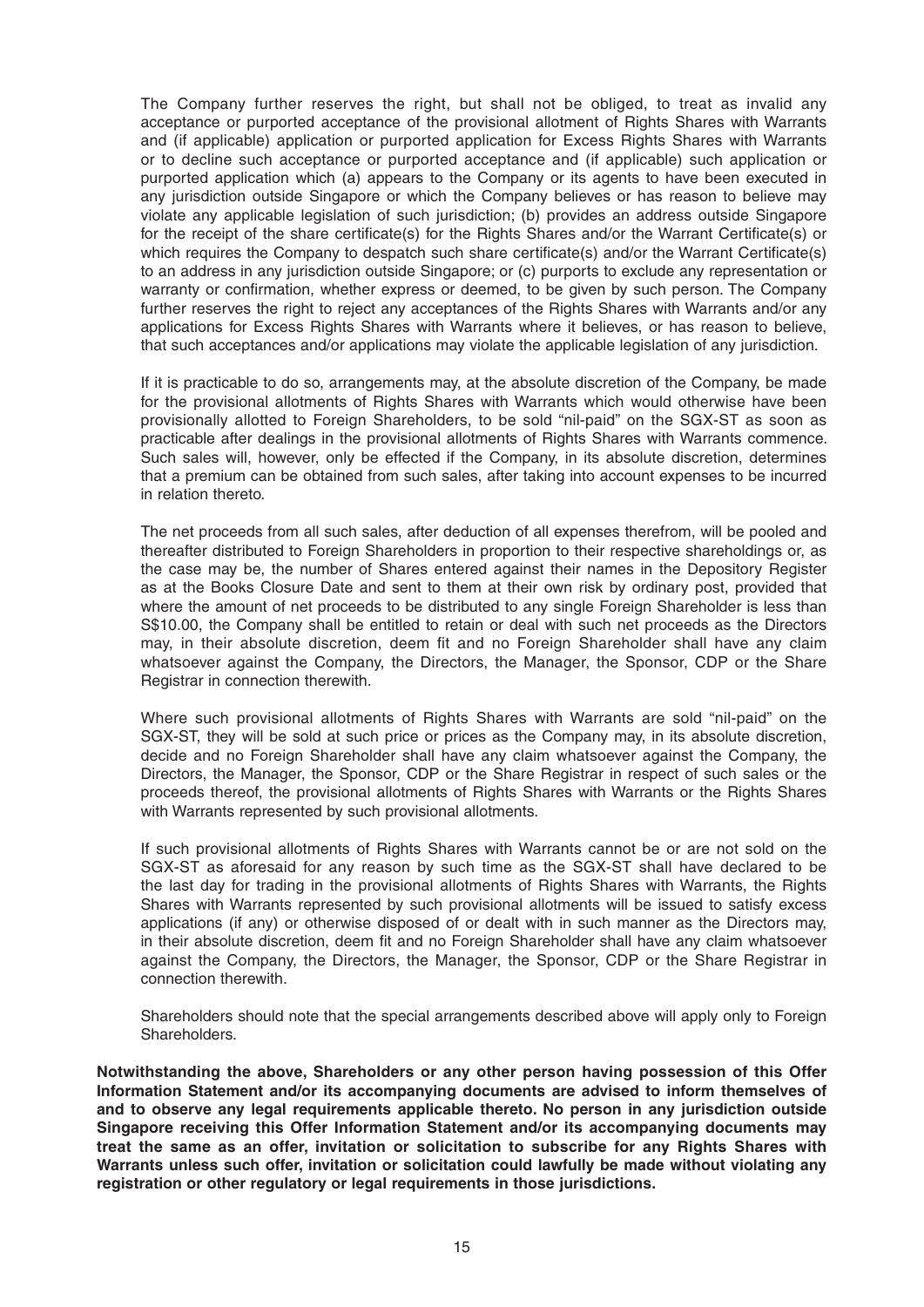The Company further reserves the right, but shall not be obliged, to treat as invalid any acceptance or purported acceptance of the provisional allotment of Rights Shares with Warrants and (if applicable) application or purported application for Excess Rights Shares with Warrants or to decline such acceptance or purported acceptance and (if applicable) such application or purported application which (a) appears to the Company or its agents to have been executed in any jurisdiction outside Singapore or which the Company believes or has reason to believe may violate any applicable legislation of such jurisdiction; (b) provides an address outside Singapore for the receipt of the share certificate(s) for the Rights Shares and/or the Warrant Certificate(s) or which requires the Company to despatch such share certificate(s) and/or the Warrant Certificate(s) to an address in any jurisdiction outside Singapore; or (c) purports to exclude any representation or warranty or confirmation, whether express or deemed, to be given by such person. The Company further reserves the right to reject any acceptances of the Rights Shares with Warrants and/or any applications for Excess Rights Shares with Warrants where it believes, or has reason to believe, that such acceptances and/or applications may violate the applicable legislation of any jurisdiction.

 If it is practicable to do so, arrangements may, at the absolute discretion of the Company, be made for the provisional allotments of Rights Shares with Warrants which would otherwise have been provisionally allotted to Foreign Shareholders, to be sold "nil-paid" on the SGX-ST as soon as practicable after dealings in the provisional allotments of Rights Shares with Warrants commence. Such sales will, however, only be effected if the Company, in its absolute discretion, determines that a premium can be obtained from such sales, after taking into account expenses to be incurred in relation thereto.

 The net proceeds from all such sales, after deduction of all expenses therefrom, will be pooled and thereafter distributed to Foreign Shareholders in proportion to their respective shareholdings or, as the case may be, the number of Shares entered against their names in the Depository Register as at the Books Closure Date and sent to them at their own risk by ordinary post, provided that where the amount of net proceeds to be distributed to any single Foreign Shareholder is less than S\$10.00, the Company shall be entitled to retain or deal with such net proceeds as the Directors may, in their absolute discretion, deem fit and no Foreign Shareholder shall have any claim whatsoever against the Company, the Directors, the Manager, the Sponsor, CDP or the Share Registrar in connection therewith.

 Where such provisional allotments of Rights Shares with Warrants are sold "nil-paid" on the SGX-ST, they will be sold at such price or prices as the Company may, in its absolute discretion, decide and no Foreign Shareholder shall have any claim whatsoever against the Company, the Directors, the Manager, the Sponsor, CDP or the Share Registrar in respect of such sales or the proceeds thereof, the provisional allotments of Rights Shares with Warrants or the Rights Shares with Warrants represented by such provisional allotments.

 If such provisional allotments of Rights Shares with Warrants cannot be or are not sold on the SGX-ST as aforesaid for any reason by such time as the SGX-ST shall have declared to be the last day for trading in the provisional allotments of Rights Shares with Warrants, the Rights Shares with Warrants represented by such provisional allotments will be issued to satisfy excess applications (if any) or otherwise disposed of or dealt with in such manner as the Directors may, in their absolute discretion, deem fit and no Foreign Shareholder shall have any claim whatsoever against the Company, the Directors, the Manager, the Sponsor, CDP or the Share Registrar in connection therewith.

 Shareholders should note that the special arrangements described above will apply only to Foreign Shareholders.

**Notwithstanding the above, Shareholders or any other person having possession of this Offer Information Statement and/or its accompanying documents are advised to inform themselves of and to observe any legal requirements applicable thereto. No person in any jurisdiction outside Singapore receiving this Offer Information Statement and/or its accompanying documents may treat the same as an offer, invitation or solicitation to subscribe for any Rights Shares with Warrants unless such offer, invitation or solicitation could lawfully be made without violating any registration or other regulatory or legal requirements in those jurisdictions.**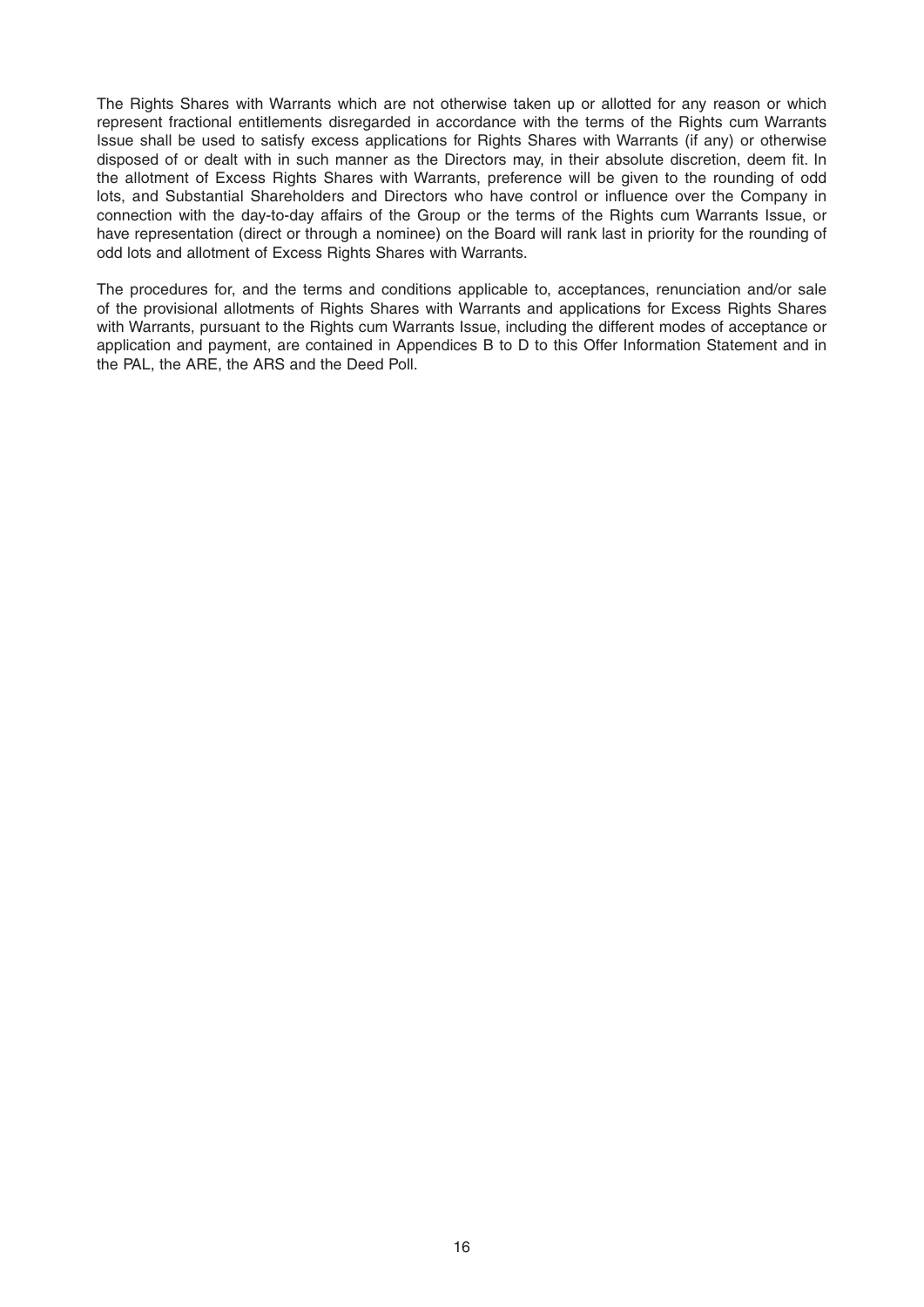The Rights Shares with Warrants which are not otherwise taken up or allotted for any reason or which represent fractional entitlements disregarded in accordance with the terms of the Rights cum Warrants Issue shall be used to satisfy excess applications for Rights Shares with Warrants (if any) or otherwise disposed of or dealt with in such manner as the Directors may, in their absolute discretion, deem fit. In the allotment of Excess Rights Shares with Warrants, preference will be given to the rounding of odd lots, and Substantial Shareholders and Directors who have control or influence over the Company in connection with the day-to-day affairs of the Group or the terms of the Rights cum Warrants Issue, or have representation (direct or through a nominee) on the Board will rank last in priority for the rounding of odd lots and allotment of Excess Rights Shares with Warrants.

The procedures for, and the terms and conditions applicable to, acceptances, renunciation and/or sale of the provisional allotments of Rights Shares with Warrants and applications for Excess Rights Shares with Warrants, pursuant to the Rights cum Warrants Issue, including the different modes of acceptance or application and payment, are contained in Appendices B to D to this Offer Information Statement and in the PAL, the ARE, the ARS and the Deed Poll.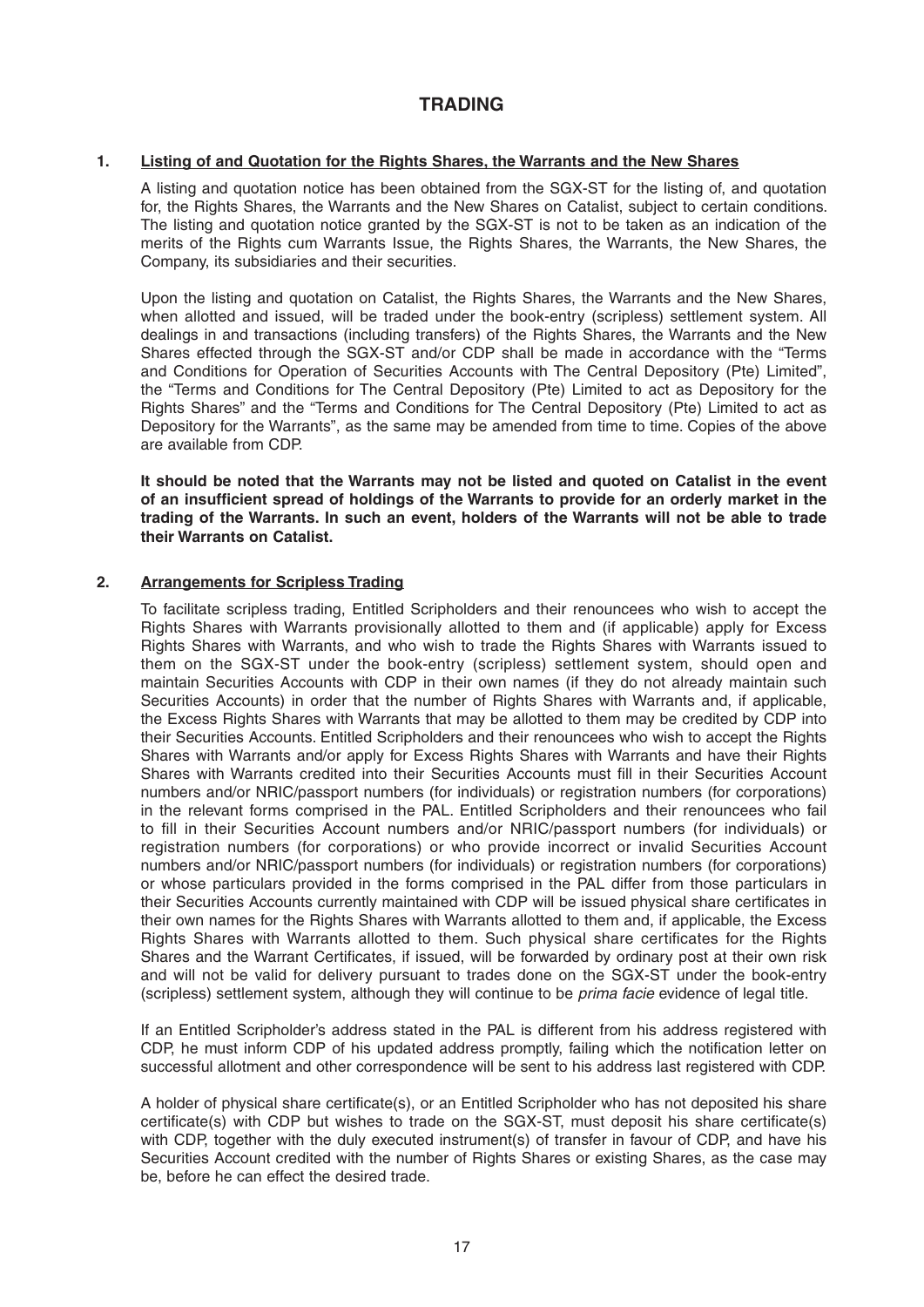# **TRADING**

## **1. Listing of and Quotation for the Rights Shares, the Warrants and the New Shares**

 A listing and quotation notice has been obtained from the SGX-ST for the listing of, and quotation for, the Rights Shares, the Warrants and the New Shares on Catalist, subject to certain conditions. The listing and quotation notice granted by the SGX-ST is not to be taken as an indication of the merits of the Rights cum Warrants Issue, the Rights Shares, the Warrants, the New Shares, the Company, its subsidiaries and their securities.

 Upon the listing and quotation on Catalist, the Rights Shares, the Warrants and the New Shares, when allotted and issued, will be traded under the book-entry (scripless) settlement system. All dealings in and transactions (including transfers) of the Rights Shares, the Warrants and the New Shares effected through the SGX-ST and/or CDP shall be made in accordance with the "Terms and Conditions for Operation of Securities Accounts with The Central Depository (Pte) Limited", the "Terms and Conditions for The Central Depository (Pte) Limited to act as Depository for the Rights Shares" and the "Terms and Conditions for The Central Depository (Pte) Limited to act as Depository for the Warrants", as the same may be amended from time to time. Copies of the above are available from CDP.

 **It should be noted that the Warrants may not be listed and quoted on Catalist in the event**  of an insufficient spread of holdings of the Warrants to provide for an orderly market in the **trading of the Warrants. In such an event, holders of the Warrants will not be able to trade their Warrants on Catalist.** 

## **2. Arrangements for Scripless Trading**

 To facilitate scripless trading, Entitled Scripholders and their renouncees who wish to accept the Rights Shares with Warrants provisionally allotted to them and (if applicable) apply for Excess Rights Shares with Warrants, and who wish to trade the Rights Shares with Warrants issued to them on the SGX-ST under the book-entry (scripless) settlement system, should open and maintain Securities Accounts with CDP in their own names (if they do not already maintain such Securities Accounts) in order that the number of Rights Shares with Warrants and, if applicable, the Excess Rights Shares with Warrants that may be allotted to them may be credited by CDP into their Securities Accounts. Entitled Scripholders and their renouncees who wish to accept the Rights Shares with Warrants and/or apply for Excess Rights Shares with Warrants and have their Rights Shares with Warrants credited into their Securities Accounts must fill in their Securities Account numbers and/or NRIC/passport numbers (for individuals) or registration numbers (for corporations) in the relevant forms comprised in the PAL. Entitled Scripholders and their renouncees who fail to fill in their Securities Account numbers and/or NRIC/passport numbers (for individuals) or registration numbers (for corporations) or who provide incorrect or invalid Securities Account numbers and/or NRIC/passport numbers (for individuals) or registration numbers (for corporations) or whose particulars provided in the forms comprised in the PAL differ from those particulars in their Securities Accounts currently maintained with CDP will be issued physical share certificates in their own names for the Rights Shares with Warrants allotted to them and, if applicable, the Excess Rights Shares with Warrants allotted to them. Such physical share certificates for the Rights Shares and the Warrant Certificates, if issued, will be forwarded by ordinary post at their own risk and will not be valid for delivery pursuant to trades done on the SGX-ST under the book-entry (scripless) settlement system, although they will continue to be *prima facie* evidence of legal title.

 If an Entitled Scripholder's address stated in the PAL is different from his address registered with CDP, he must inform CDP of his updated address promptly, failing which the notification letter on successful allotment and other correspondence will be sent to his address last registered with CDP.

A holder of physical share certificate(s), or an Entitled Scripholder who has not deposited his share certificate(s) with CDP but wishes to trade on the SGX-ST, must deposit his share certificate(s) with CDP, together with the duly executed instrument(s) of transfer in favour of CDP, and have his Securities Account credited with the number of Rights Shares or existing Shares, as the case may be, before he can effect the desired trade.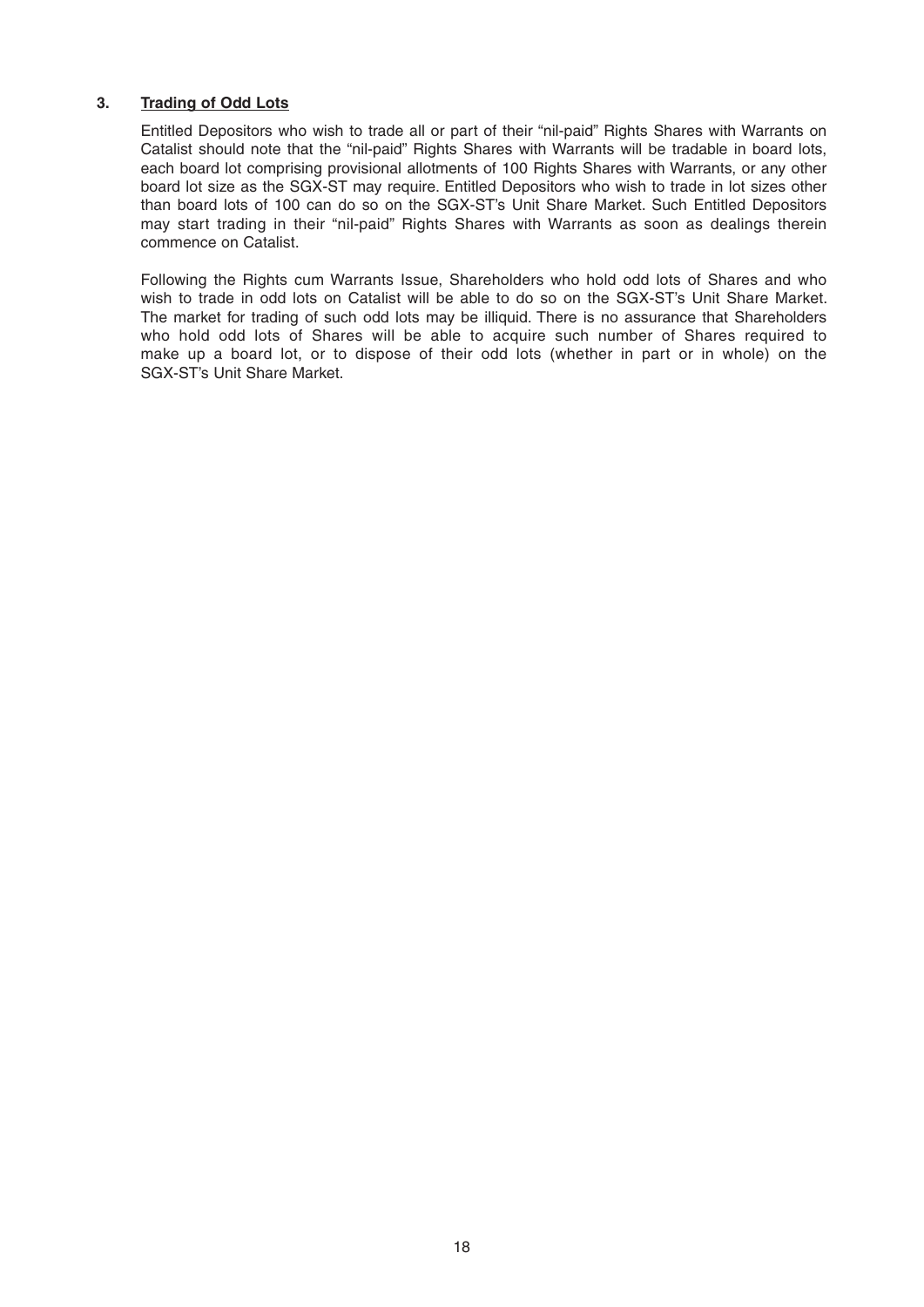## **3. Trading of Odd Lots**

 Entitled Depositors who wish to trade all or part of their "nil-paid" Rights Shares with Warrants on Catalist should note that the "nil-paid" Rights Shares with Warrants will be tradable in board lots, each board lot comprising provisional allotments of 100 Rights Shares with Warrants, or any other board lot size as the SGX-ST may require. Entitled Depositors who wish to trade in lot sizes other than board lots of 100 can do so on the SGX-ST's Unit Share Market. Such Entitled Depositors may start trading in their "nil-paid" Rights Shares with Warrants as soon as dealings therein commence on Catalist.

 Following the Rights cum Warrants Issue, Shareholders who hold odd lots of Shares and who wish to trade in odd lots on Catalist will be able to do so on the SGX-ST's Unit Share Market. The market for trading of such odd lots may be illiquid. There is no assurance that Shareholders who hold odd lots of Shares will be able to acquire such number of Shares required to make up a board lot, or to dispose of their odd lots (whether in part or in whole) on the SGX-ST's Unit Share Market.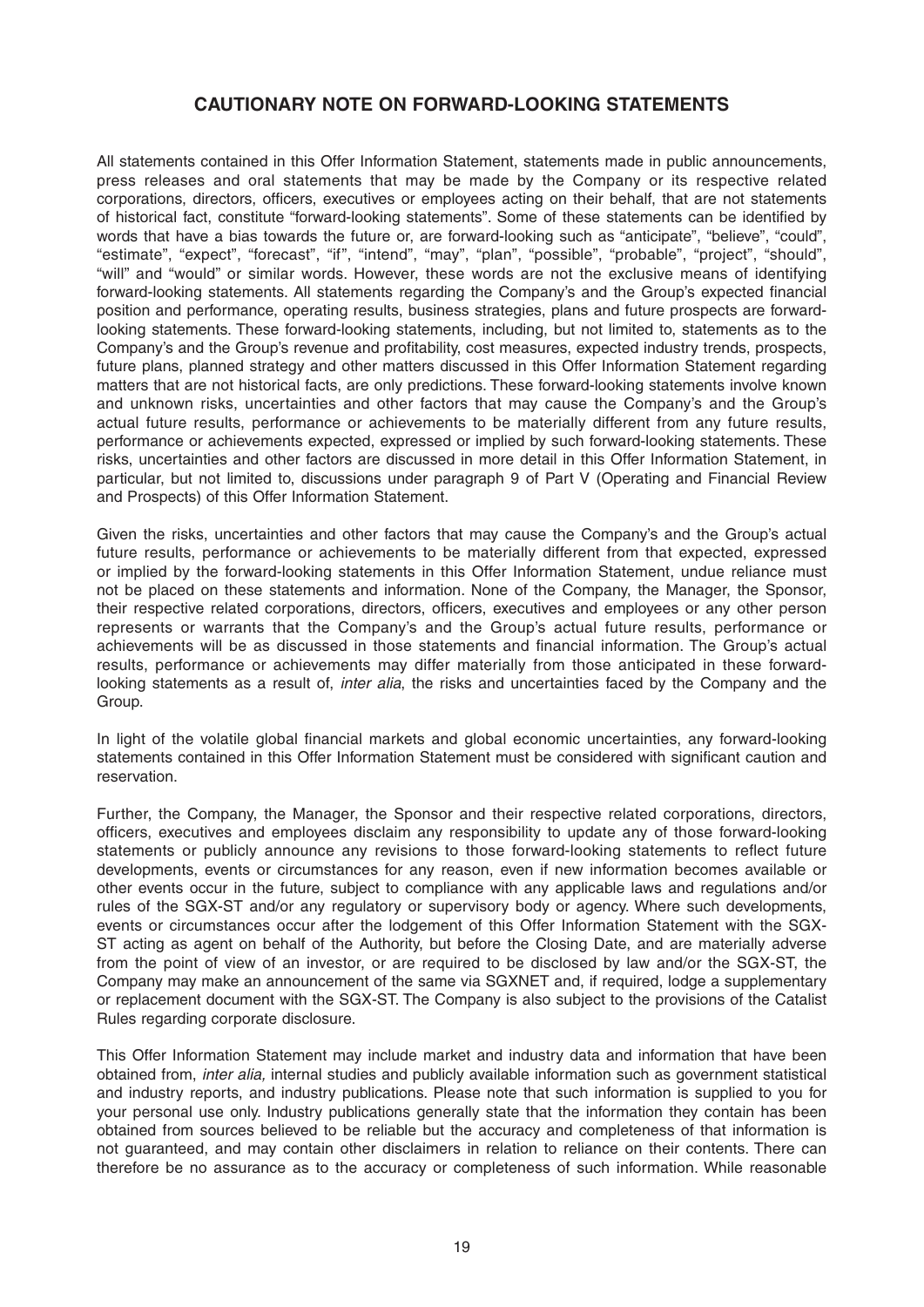# **CAUTIONARY NOTE ON FORWARD-LOOKING STATEMENTS**

All statements contained in this Offer Information Statement, statements made in public announcements, press releases and oral statements that may be made by the Company or its respective related corporations, directors, officers, executives or employees acting on their behalf, that are not statements of historical fact, constitute "forward-looking statements". Some of these statements can be identified by words that have a bias towards the future or, are forward-looking such as "anticipate", "believe", "could", "estimate", "expect", "forecast", "if", "intend", "may", "plan", "possible", "probable", "project", "should", "will" and "would" or similar words. However, these words are not the exclusive means of identifying forward-looking statements. All statements regarding the Company's and the Group's expected financial position and performance, operating results, business strategies, plans and future prospects are forwardlooking statements. These forward-looking statements, including, but not limited to, statements as to the Company's and the Group's revenue and profitability, cost measures, expected industry trends, prospects, future plans, planned strategy and other matters discussed in this Offer Information Statement regarding matters that are not historical facts, are only predictions. These forward-looking statements involve known and unknown risks, uncertainties and other factors that may cause the Company's and the Group's actual future results, performance or achievements to be materially different from any future results, performance or achievements expected, expressed or implied by such forward-looking statements. These risks, uncertainties and other factors are discussed in more detail in this Offer Information Statement, in particular, but not limited to, discussions under paragraph 9 of Part V (Operating and Financial Review and Prospects) of this Offer Information Statement.

Given the risks, uncertainties and other factors that may cause the Company's and the Group's actual future results, performance or achievements to be materially different from that expected, expressed or implied by the forward-looking statements in this Offer Information Statement, undue reliance must not be placed on these statements and information. None of the Company, the Manager, the Sponsor, their respective related corporations, directors, officers, executives and employees or any other person represents or warrants that the Company's and the Group's actual future results, performance or achievements will be as discussed in those statements and financial information. The Group's actual results, performance or achievements may differ materially from those anticipated in these forwardlooking statements as a result of, *inter alia*, the risks and uncertainties faced by the Company and the Group.

In light of the volatile global financial markets and global economic uncertainties, any forward-looking statements contained in this Offer Information Statement must be considered with significant caution and reservation.

Further, the Company, the Manager, the Sponsor and their respective related corporations, directors, officers, executives and employees disclaim any responsibility to update any of those forward-looking statements or publicly announce any revisions to those forward-looking statements to reflect future developments, events or circumstances for any reason, even if new information becomes available or other events occur in the future, subject to compliance with any applicable laws and regulations and/or rules of the SGX-ST and/or any regulatory or supervisory body or agency. Where such developments, events or circumstances occur after the lodgement of this Offer Information Statement with the SGX-ST acting as agent on behalf of the Authority, but before the Closing Date, and are materially adverse from the point of view of an investor, or are required to be disclosed by law and/or the SGX-ST, the Company may make an announcement of the same via SGX NET and, if required, lodge a supplementary or replacement document with the SGX-ST. The Company is also subject to the provisions of the Catalist Rules regarding corporate disclosure.

This Offer Information Statement may include market and industry data and information that have been obtained from, *inter alia,* internal studies and publicly available information such as government statistical and industry reports, and industry publications. Please note that such information is supplied to you for your personal use only. Industry publications generally state that the information they contain has been obtained from sources believed to be reliable but the accuracy and completeness of that information is not guaranteed, and may contain other disclaimers in relation to reliance on their contents. There can therefore be no assurance as to the accuracy or completeness of such information. While reasonable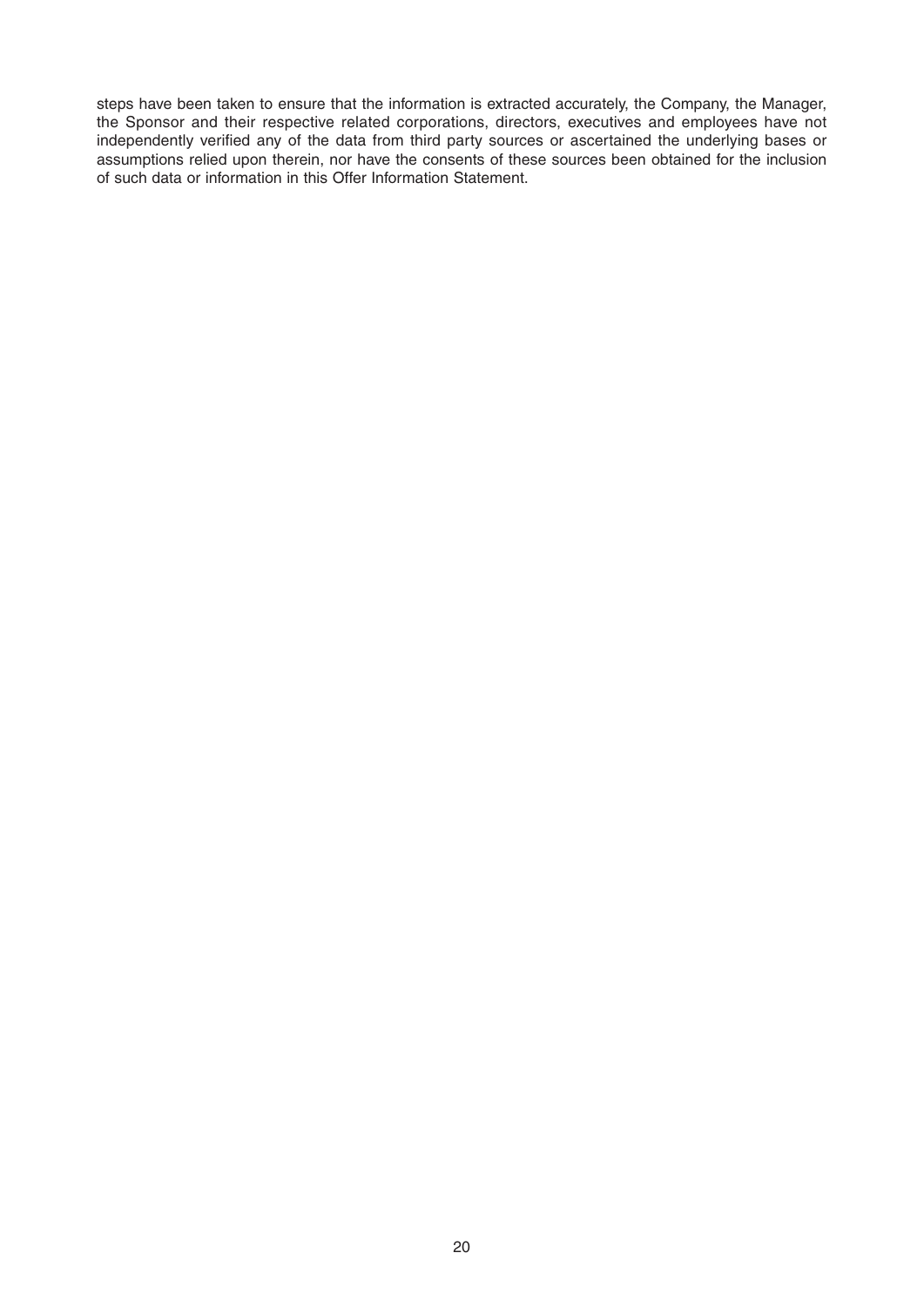steps have been taken to ensure that the information is extracted accurately, the Company, the Manager, the Sponsor and their respective related corporations, directors, executives and employees have not independently verified any of the data from third party sources or ascertained the underlying bases or assumptions relied upon therein, nor have the consents of these sources been obtained for the inclusion of such data or information in this Offer Information Statement.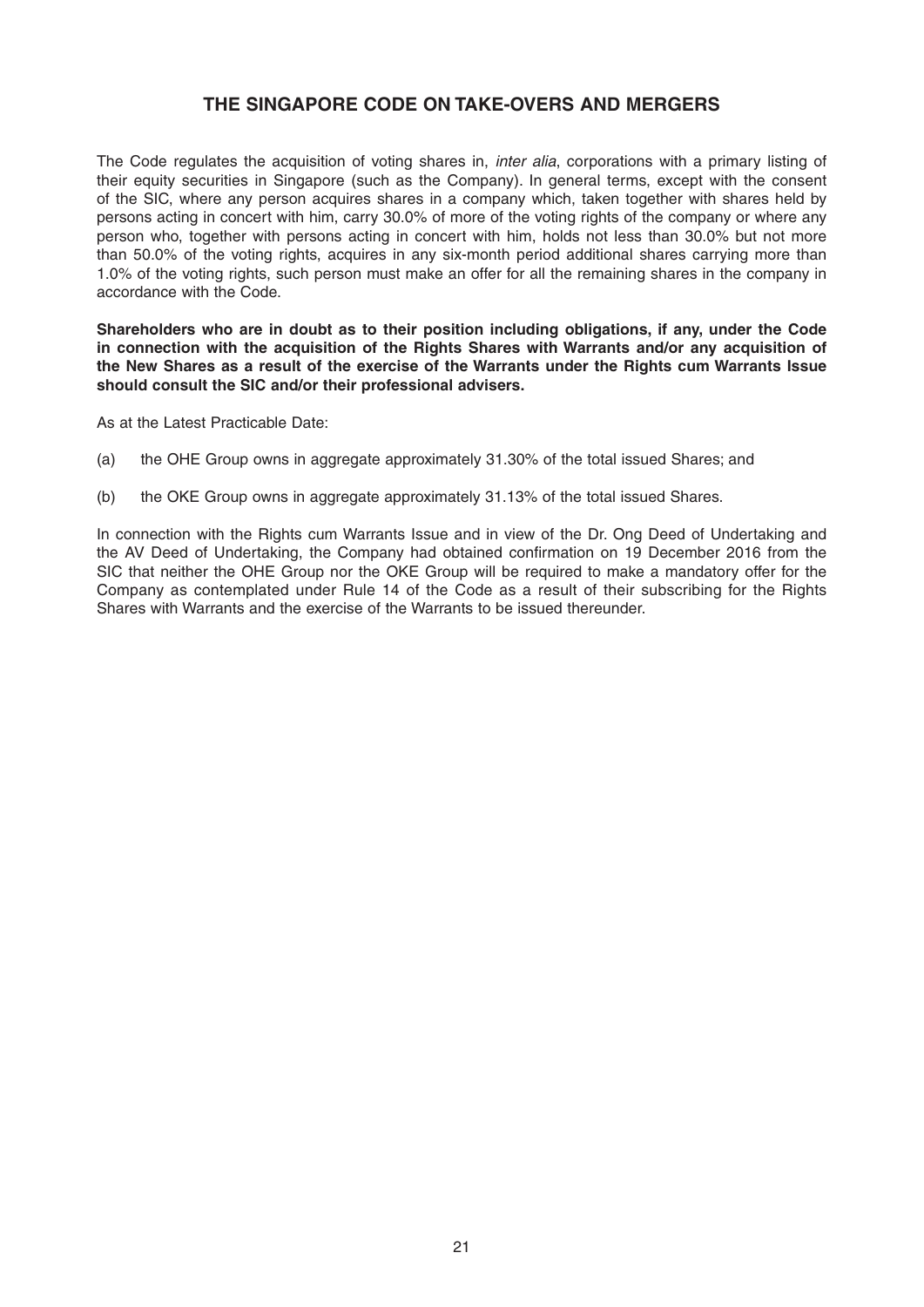# **THE SINGAPORE CODE ON TAKE-OVERS AND MERGERS**

The Code regulates the acquisition of voting shares in, *inter alia*, corporations with a primary listing of their equity securities in Singapore (such as the Company). In general terms, except with the consent of the SIC, where any person acquires shares in a company which, taken together with shares held by persons acting in concert with him, carry 30.0% of more of the voting rights of the company or where any person who, together with persons acting in concert with him, holds not less than 30.0% but not more than 50.0% of the voting rights, acquires in any six-month period additional shares carrying more than 1.0% of the voting rights, such person must make an offer for all the remaining shares in the company in accordance with the Code.

**Shareholders who are in doubt as to their position including obligations, if any, under the Code in connection with the acquisition of the Rights Shares with Warrants and/or any acquisition of the New Shares as a result of the exercise of the Warrants under the Rights cum Warrants Issue should consult the SIC and/or their professional advisers.**

As at the Latest Practicable Date:

- (a) the OHE Group owns in aggregate approximately 31.30% of the total issued Shares; and
- (b) the OKE Group owns in aggregate approximately 31.13% of the total issued Shares.

In connection with the Rights cum Warrants Issue and in view of the Dr. Ong Deed of Undertaking and the AV Deed of Undertaking, the Company had obtained confirmation on 19 December 2016 from the SIC that neither the OHE Group nor the OKE Group will be required to make a mandatory offer for the Company as contemplated under Rule 14 of the Code as a result of their subscribing for the Rights Shares with Warrants and the exercise of the Warrants to be issued thereunder.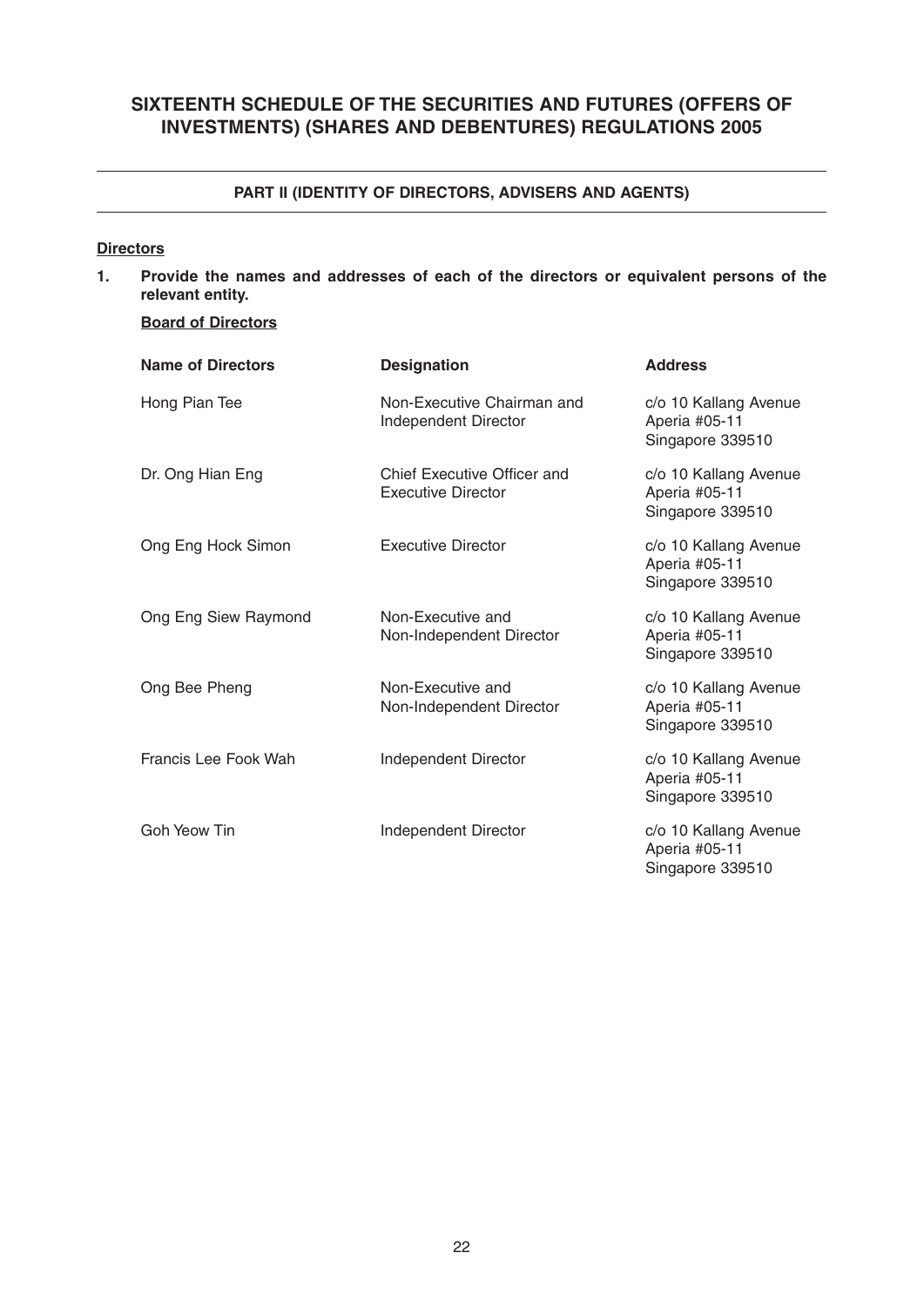# **SIXTEENTH SCHEDULE OF THE SECURITIES AND FUTURES (OFFERS OF INVESTMENTS) (SHARES AND DEBENTURES) REGULATIONS 2005**

## **PART II (IDENTITY OF DIRECTORS, ADVISERS AND AGENTS)**

## **Directors**

**1. Provide the names and addresses of each of the directors or equivalent persons of the relevant entity.**

## **Board of Directors**

| <b>Name of Directors</b> | <b>Designation</b>                                       | <b>Address</b>                                             |
|--------------------------|----------------------------------------------------------|------------------------------------------------------------|
| Hong Pian Tee            | Non-Executive Chairman and<br>Independent Director       | c/o 10 Kallang Avenue<br>Aperia #05-11<br>Singapore 339510 |
| Dr. Ong Hian Eng         | Chief Executive Officer and<br><b>Executive Director</b> | c/o 10 Kallang Avenue<br>Aperia #05-11<br>Singapore 339510 |
| Ong Eng Hock Simon       | <b>Executive Director</b>                                | c/o 10 Kallang Avenue<br>Aperia #05-11<br>Singapore 339510 |
| Ong Eng Siew Raymond     | Non-Executive and<br>Non-Independent Director            | c/o 10 Kallang Avenue<br>Aperia #05-11<br>Singapore 339510 |
| Ong Bee Pheng            | Non-Executive and<br>Non-Independent Director            | c/o 10 Kallang Avenue<br>Aperia #05-11<br>Singapore 339510 |
| Francis Lee Fook Wah     | Independent Director                                     | c/o 10 Kallang Avenue<br>Aperia #05-11<br>Singapore 339510 |
| Goh Yeow Tin             | Independent Director                                     | c/o 10 Kallang Avenue<br>Aperia #05-11<br>Singapore 339510 |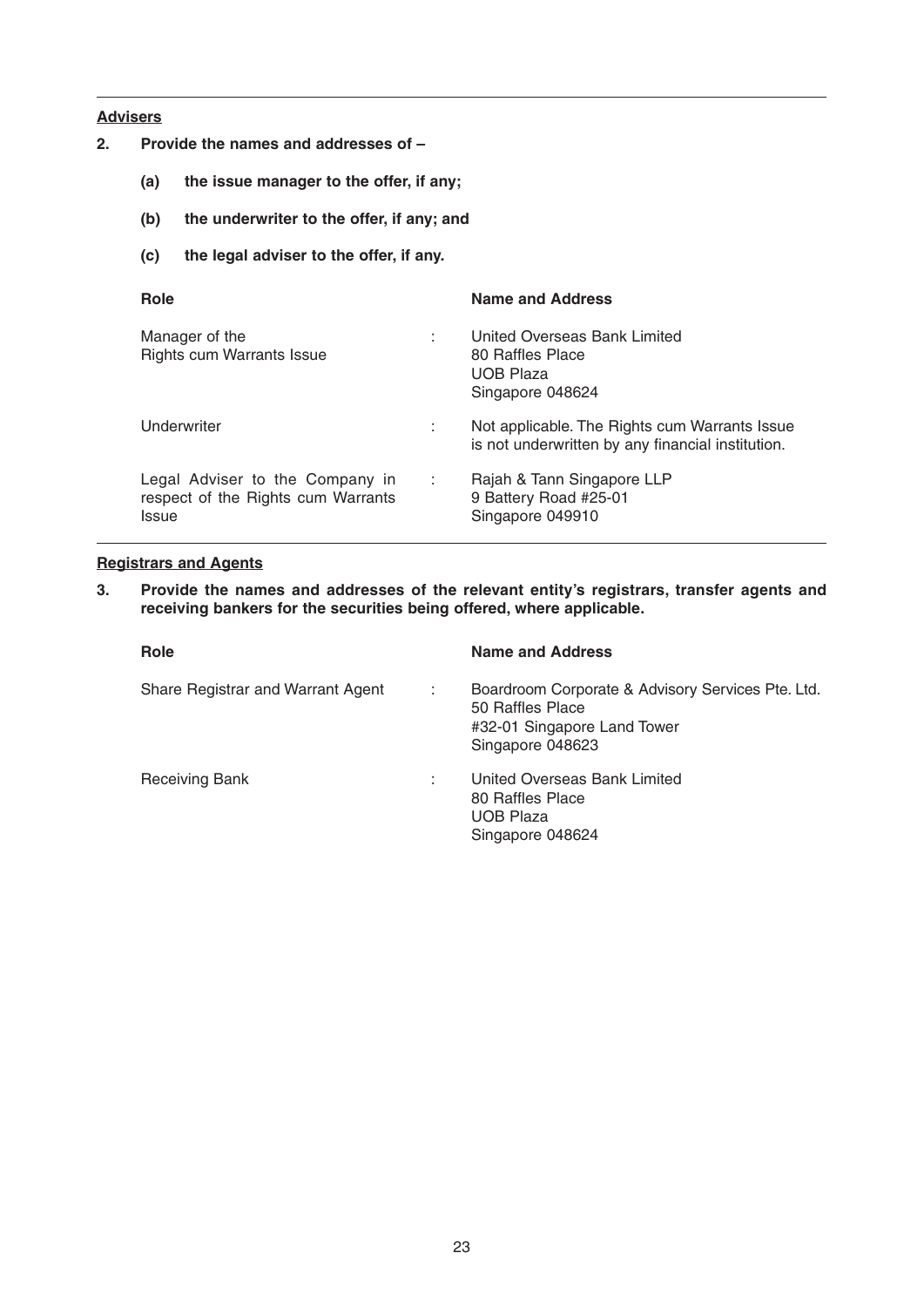## **Advisers**

- **2. Provide the names and addresses of** 
	- **(a) the issue manager to the offer, if any;**
	- **(b) the underwriter to the offer, if any; and**
	- **(c) the legal adviser to the offer, if any.**

| Role                                                                                  |     | <b>Name and Address</b>                                                                            |
|---------------------------------------------------------------------------------------|-----|----------------------------------------------------------------------------------------------------|
| Manager of the<br><b>Rights cum Warrants Issue</b>                                    | ÷   | United Overseas Bank Limited<br>80 Raffles Place<br><b>UOB Plaza</b><br>Singapore 048624           |
| Underwriter                                                                           | ÷   | Not applicable. The Rights cum Warrants Issue<br>is not underwritten by any financial institution. |
| Legal Adviser to the Company in<br>respect of the Rights cum Warrants<br><b>Issue</b> | -11 | Rajah & Tann Singapore LLP<br>9 Battery Road #25-01<br>Singapore 049910                            |

## **Registrars and Agents**

**3. Provide the names and addresses of the relevant entity's registrars, transfer agents and receiving bankers for the securities being offered, where applicable.**

| Role                                   | <b>Name and Address</b>                                                                                                  |
|----------------------------------------|--------------------------------------------------------------------------------------------------------------------------|
| Share Registrar and Warrant Agent<br>÷ | Boardroom Corporate & Advisory Services Pte. Ltd.<br>50 Raffles Place<br>#32-01 Singapore Land Tower<br>Singapore 048623 |
| <b>Receiving Bank</b><br>÷             | United Overseas Bank Limited<br>80 Raffles Place<br><b>UOB Plaza</b><br>Singapore 048624                                 |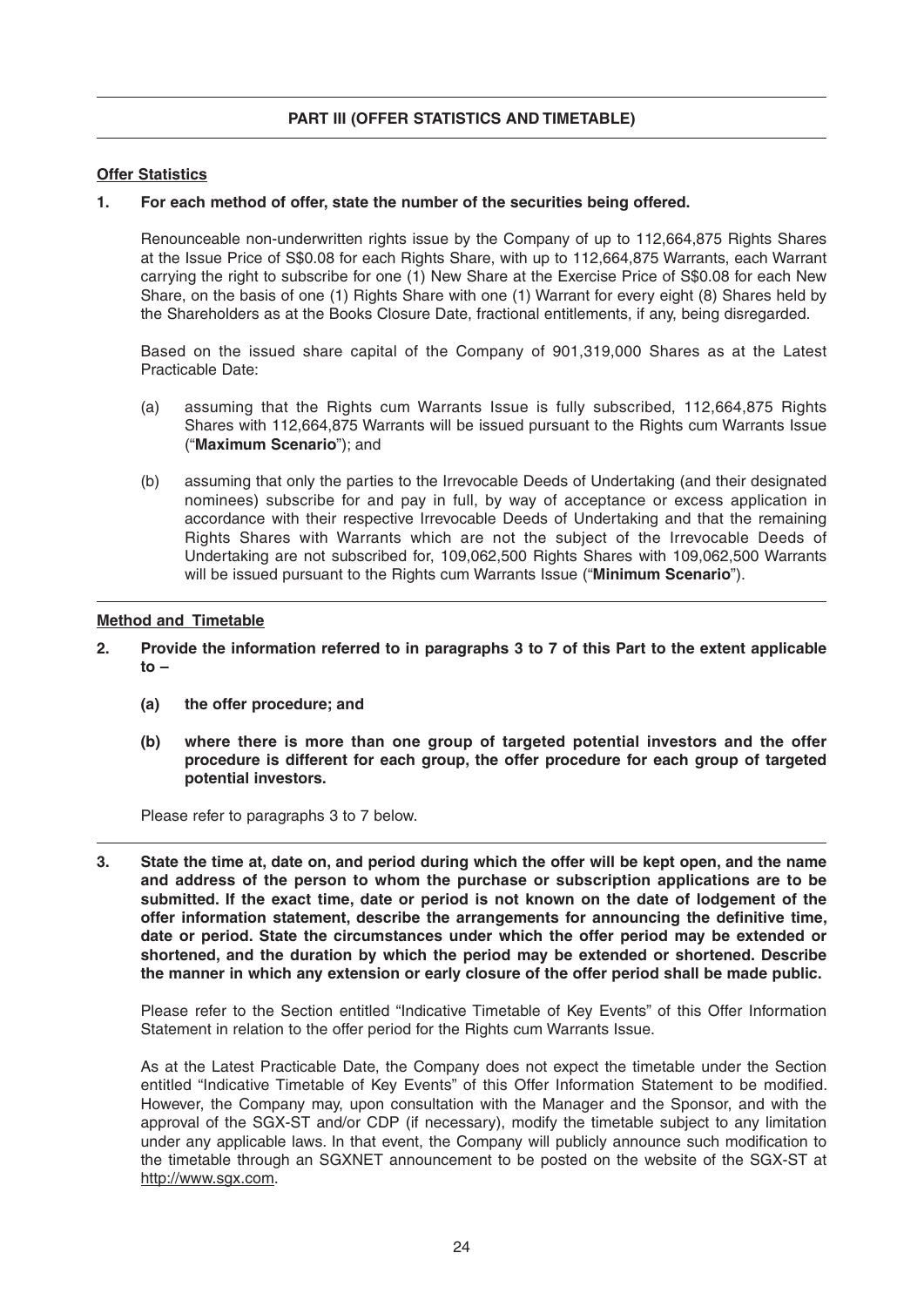## **Offer Statistics**

#### **1. For each method of offer, state the number of the securities being offered.**

 Renounceable non-underwritten rights issue by the Company of up to 112,664,875 Rights Shares at the Issue Price of S\$0.08 for each Rights Share, with up to 112,664,875 Warrants, each Warrant carrying the right to subscribe for one (1) New Share at the Exercise Price of S\$0.08 for each New Share, on the basis of one (1) Rights Share with one (1) Warrant for every eight (8) Shares held by the Shareholders as at the Books Closure Date, fractional entitlements, if any, being disregarded.

 Based on the issued share capital of the Company of 901,319,000 Shares as at the Latest Practicable Date:

- (a) assuming that the Rights cum Warrants Issue is fully subscribed, 112,664,875 Rights Shares with 112,664,875 Warrants will be issued pursuant to the Rights cum Warrants Issue ("**Maximum Scenario**"); and
- (b) assuming that only the parties to the Irrevocable Deeds of Undertaking (and their designated nominees) subscribe for and pay in full, by way of acceptance or excess application in accordance with their respective Irrevocable Deeds of Undertaking and that the remaining Rights Shares with Warrants which are not the subject of the Irrevocable Deeds of Undertaking are not subscribed for, 109,062,500 Rights Shares with 109,062,500 Warrants will be issued pursuant to the Rights cum Warrants Issue ("**Minimum Scenario**").

#### **Method and Timetable**

- **2. Provide the information referred to in paragraphs 3 to 7 of this Part to the extent applicable to –** 
	- (a) the offer procedure; and
	- **(b) where there is more than one group of targeted potential investors and the offer procedure is different for each group, the offer procedure for each group of targeted potential investors.**

Please refer to paragraphs 3 to 7 below.

**3. State the time at, date on, and period during which the offer will be kept open, and the name and address of the person to whom the purchase or subscription applications are to be submitted. If the exact time, date or period is not known on the date of lodgement of the**  offer information statement, describe the arrangements for announcing the definitive time, **date or period. State the circumstances under which the offer period may be extended or shortened, and the duration by which the period may be extended or shortened. Describe the manner in which any extension or early closure of the offer period shall be made public.**

 Please refer to the Section entitled "Indicative Timetable of Key Events" of this Offer Information Statement in relation to the offer period for the Rights cum Warrants Issue.

 As at the Latest Practicable Date, the Company does not expect the timetable under the Section entitled "Indicative Timetable of Key Events" of this Offer Information Statement to be modified. However, the Company may, upon consultation with the Manager and the Sponsor, and with the approval of the SGX-ST and/or CDP (if necessary), modify the timetable subject to any limitation under any applicable laws. In that event, the Company will publicly announce such modification to the timetable through an SGXNET announcement to be posted on the website of the SGX-ST at http://www.sgx.com.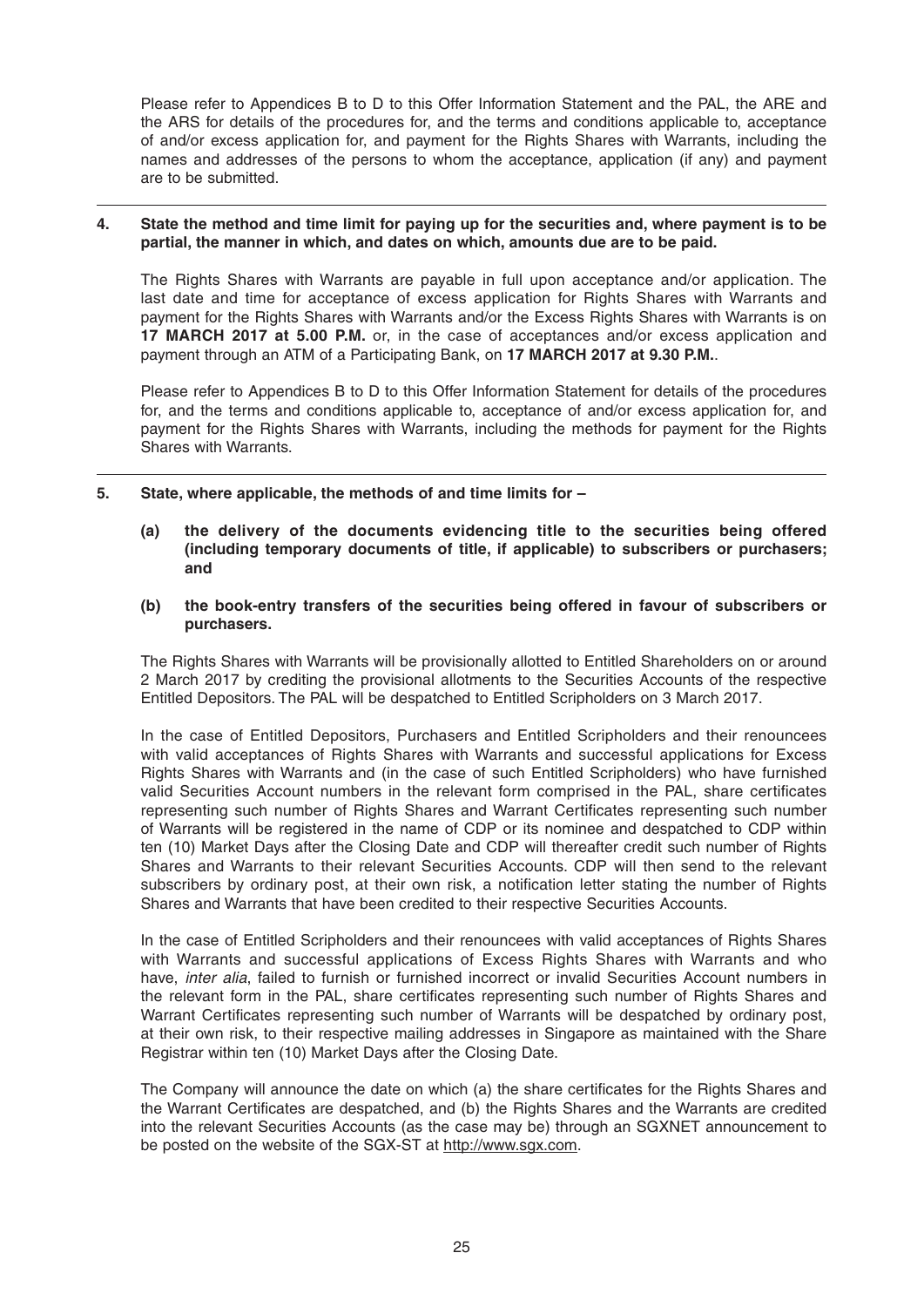Please refer to Appendices B to D to this Offer Information Statement and the PAL, the ARE and the ARS for details of the procedures for, and the terms and conditions applicable to, acceptance of and/or excess application for, and payment for the Rights Shares with Warrants, including the names and addresses of the persons to whom the acceptance, application (if any) and payment are to be submitted.

#### **4. State the method and time limit for paying up for the securities and, where payment is to be partial, the manner in which, and dates on which, amounts due are to be paid.**

 The Rights Shares with Warrants are payable in full upon acceptance and/or application. The last date and time for acceptance of excess application for Rights Shares with Warrants and payment for the Rights Shares with Warrants and/or the Excess Rights Shares with Warrants is on **17 MARCH 2017at 5.00 P.M.** or, in the case of acceptances and/or excess application and payment through an ATM of a Participating Bank, on **17 MARCH 2017at 9.30 P.M.**.

 Please refer to Appendices B to D to this Offer Information Statement for details of the procedures for, and the terms and conditions applicable to, acceptance of and/or excess application for, and payment for the Rights Shares with Warrants, including the methods for payment for the Rights Shares with Warrants.

- **5. State, where applicable, the methods of and time limits for** 
	- **(a) the delivery of the documents evidencing title to the securities being offered (including temporary documents of title, if applicable) to subscribers or purchasers; and**
	- **(b) the book-entry transfers of the securities being offered in favour of subscribers or purchasers.**

 The Rights Shares with Warrants will be provisionally allotted to Entitled Shareholders on or around 2 March 2017 by crediting the provisional allotments to the Securities Accounts of the respective Entitled Depositors. The PAL will be despatched to Entitled Scripholders on 3 March 2017.

 In the case of Entitled Depositors, Purchasers and Entitled Scripholders and their renouncees with valid acceptances of Rights Shares with Warrants and successful applications for Excess Rights Shares with Warrants and (in the case of such Entitled Scripholders) who have furnished valid Securities Account numbers in the relevant form comprised in the PAL, share certificates representing such number of Rights Shares and Warrant Certificates representing such number of Warrants will be registered in the name of CDP or its nominee and despatched to CDP within ten (10) Market Days after the Closing Date and CDP will thereafter credit such number of Rights Shares and Warrants to their relevant Securities Accounts. CDP will then send to the relevant subscribers by ordinary post, at their own risk, a notification letter stating the number of Rights Shares and Warrants that have been credited to their respective Securities Accounts.

 In the case of Entitled Scripholders and their renouncees with valid acceptances of Rights Shares with Warrants and successful applications of Excess Rights Shares with Warrants and who have, *inter alia*, failed to furnish or furnished incorrect or invalid Securities Account numbers in the relevant form in the PAL, share certificates representing such number of Rights Shares and Warrant Certificates representing such number of Warrants will be despatched by ordinary post, at their own risk, to their respective mailing addresses in Singapore as maintained with the Share Registrar within ten (10) Market Days after the Closing Date.

The Company will announce the date on which (a) the share certificates for the Rights Shares and the Warrant Certificates are despatched, and (b) the Rights Shares and the Warrants are credited into the relevant Securities Accounts (as the case may be) through an SGXNET announcement to be posted on the website of the SGX-ST at http://www.sgx.com.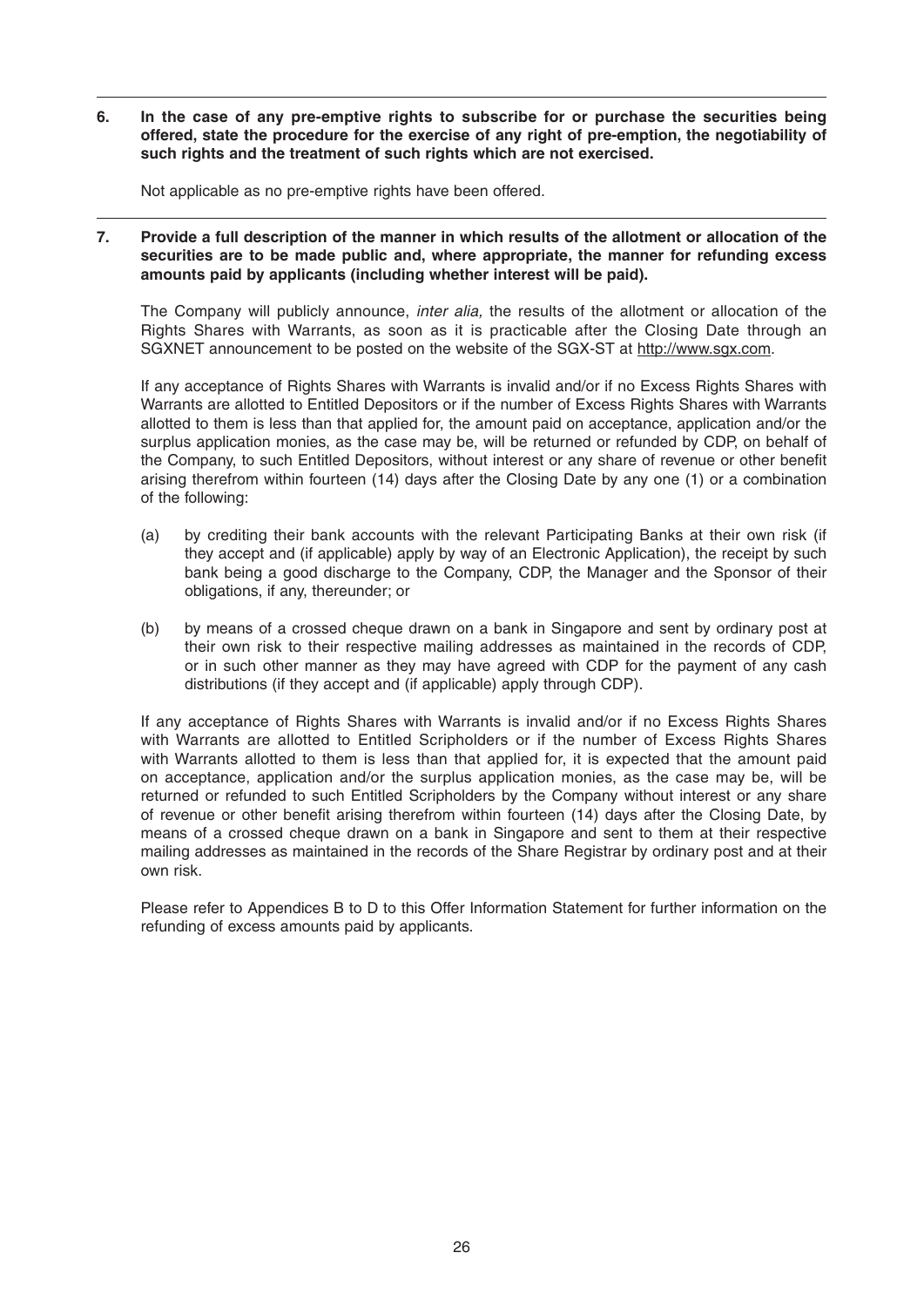**6. In the case of any pre-emptive rights to subscribe for or purchase the securities being offered, state the procedure for the exercise of any right of pre-emption, the negotiability of such rights and the treatment of such rights which are not exercised.**

Not applicable as no pre-emptive rights have been offered.

**7. Provide a full description of the manner in which results of the allotment or allocation of the securities are to be made public and, where appropriate, the manner for refunding excess amounts paid by applicants (including whether interest will be paid).**

 The Company will publicly announce, *inter alia,* the results of the allotment or allocation of the Rights Shares with Warrants, as soon as it is practicable after the Closing Date through an SGXNET announcement to be posted on the website of the SGX-ST at http://www.sgx.com.

 If any acceptance of Rights Shares with Warrants is invalid and/or if no Excess Rights Shares with Warrants are allotted to Entitled Depositors or if the number of Excess Rights Shares with Warrants allotted to them is less than that applied for, the amount paid on acceptance, application and/or the surplus application monies, as the case may be, will be returned or refunded by CDP, on behalf of the Company, to such Entitled Depositors, without interest or any share of revenue or other benefit arising therefrom within fourteen (14) days after the Closing Date by any one (1) or a combination of the following:

- (a) by crediting their bank accounts with the relevant Participating Banks at their own risk (if they accept and (if applicable) apply by way of an Electronic Application), the receipt by such bank being a good discharge to the Company, CDP, the Manager and the Sponsor of their obligations, if any, thereunder; or
- (b) by means of a crossed cheque drawn on a bank in Singapore and sent by ordinary post at their own risk to their respective mailing addresses as maintained in the records of CDP, or in such other manner as they may have agreed with CDP for the payment of any cash distributions (if they accept and (if applicable) apply through CDP).

 If any acceptance of Rights Shares with Warrants is invalid and/or if no Excess Rights Shares with Warrants are allotted to Entitled Scripholders or if the number of Excess Rights Shares with Warrants allotted to them is less than that applied for, it is expected that the amount paid on acceptance, application and/or the surplus application monies, as the case may be, will be returned or refunded to such Entitled Scripholders by the Company without interest or any share of revenue or other benefit arising therefrom within fourteen (14) days after the Closing Date, by means of a crossed cheque drawn on a bank in Singapore and sent to them at their respective mailing addresses as maintained in the records of the Share Registrar by ordinary post and at their own risk.

 Please refer to Appendices B to D to this Offer Information Statement for further information on the refunding of excess amounts paid by applicants.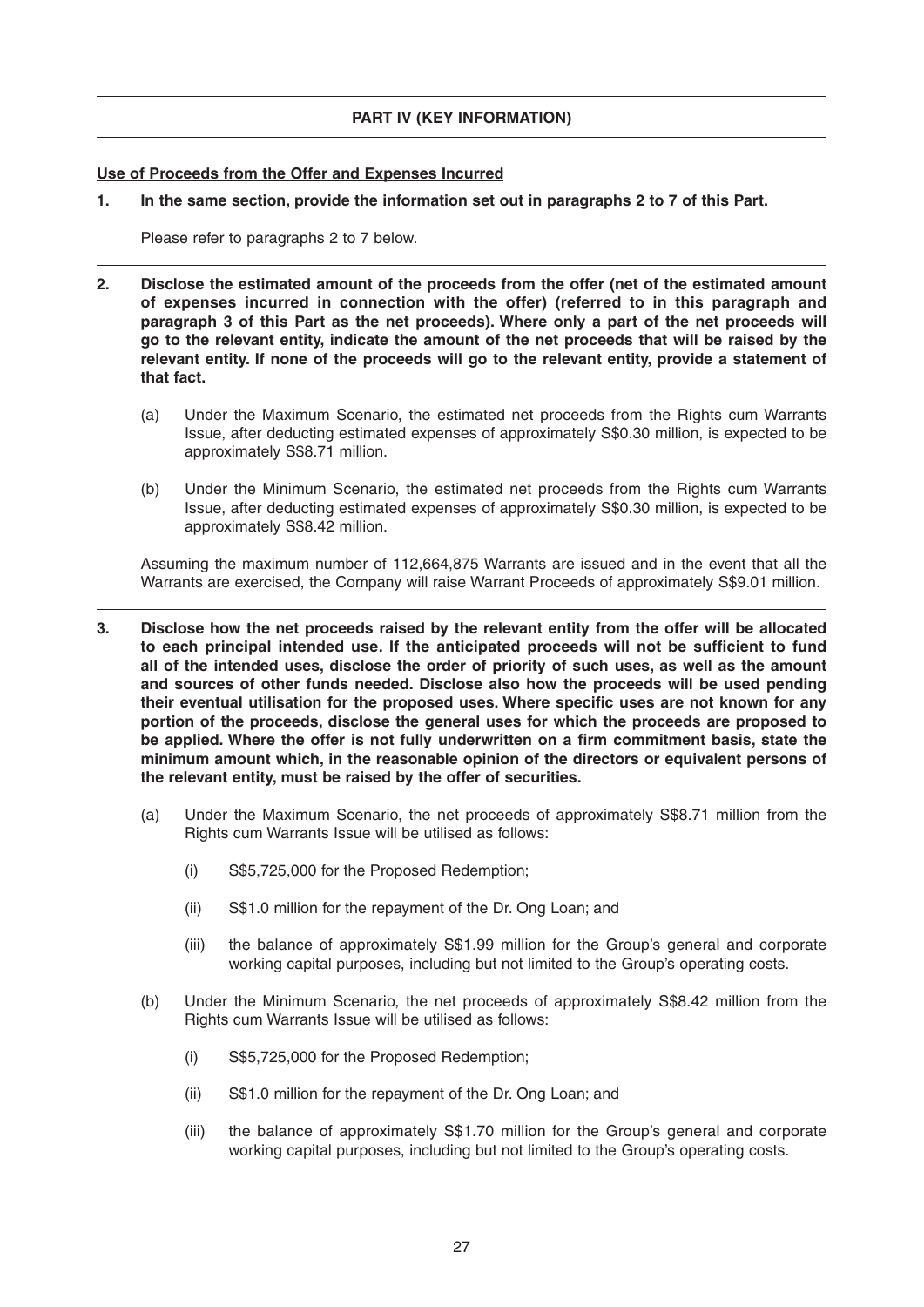## **PART IV (KEY INFORMATION)**

## **Use of Proceeds from the Offer and Expenses Incurred**

**1. In the same section, provide the information set out in paragraphs 2 to 7 of this Part.**

Please refer to paragraphs 2 to 7 below.

- **2. Disclose the estimated amount of the proceeds from the offer (net of the estimated amount of expenses incurred in connection with the offer) (referred to in this paragraph and paragraph 3 of this Part as the net proceeds). Where only a part of the net proceeds will go to the relevant entity, indicate the amount of the net proceeds that will be raised by the relevant entity. If none of the proceeds will go to the relevant entity, provide a statement of that fact.**
	- (a) Under the Maximum Scenario, the estimated net proceeds from the Rights cum Warrants Issue, after deducting estimated expenses of approximately S\$0.30 million, is expected to be approximately S\$8.71 million.
	- (b) Under the Minimum Scenario, the estimated net proceeds from the Rights cum Warrants Issue, after deducting estimated expenses of approximately S\$0.30 million, is expected to be approximately S\$8.42 million.

 Assuming the maximum number of 112,664,875 Warrants are issued and in the event that all the Warrants are exercised, the Company will raise Warrant Proceeds of approximately S\$9.01 million.

- **3. Disclose how the net proceeds raised by the relevant entity from the offer will be allocated**  to each principal intended use. If the anticipated proceeds will not be sufficient to fund **all of the intended uses, disclose the order of priority of such uses, as well as the amount and sources of other funds needed. Disclose also how the proceeds will be used pending**  their eventual utilisation for the proposed uses. Where specific uses are not known for any **portion of the proceeds, disclose the general uses for which the proceeds are proposed to**  be applied. Where the offer is not fully underwritten on a firm commitment basis, state the **minimum amount which, in the reasonable opinion of the directors or equivalent persons of the relevant entity, must be raised by the offer of securities.**
	- (a) Under the Maximum Scenario, the net proceeds of approximately S\$8.71 million from the Rights cum Warrants Issue will be utilised as follows:
		- (i) S\$5,725,000 for the Proposed Redemption;
		- (ii) S\$1.0 million for the repayment of the Dr. Ong Loan; and
		- (iii) the balance of approximately S\$1.99 million for the Group's general and corporate working capital purposes, including but not limited to the Group's operating costs.
	- (b) Under the Minimum Scenario, the net proceeds of approximately S\$8.42 million from the Rights cum Warrants Issue will be utilised as follows:
		- (i) S\$5,725,000 for the Proposed Redemption;
		- (ii) S\$1.0 million for the repayment of the Dr. Ong Loan; and
		- (iii) the balance of approximately S\$1.70 million for the Group's general and corporate working capital purposes, including but not limited to the Group's operating costs.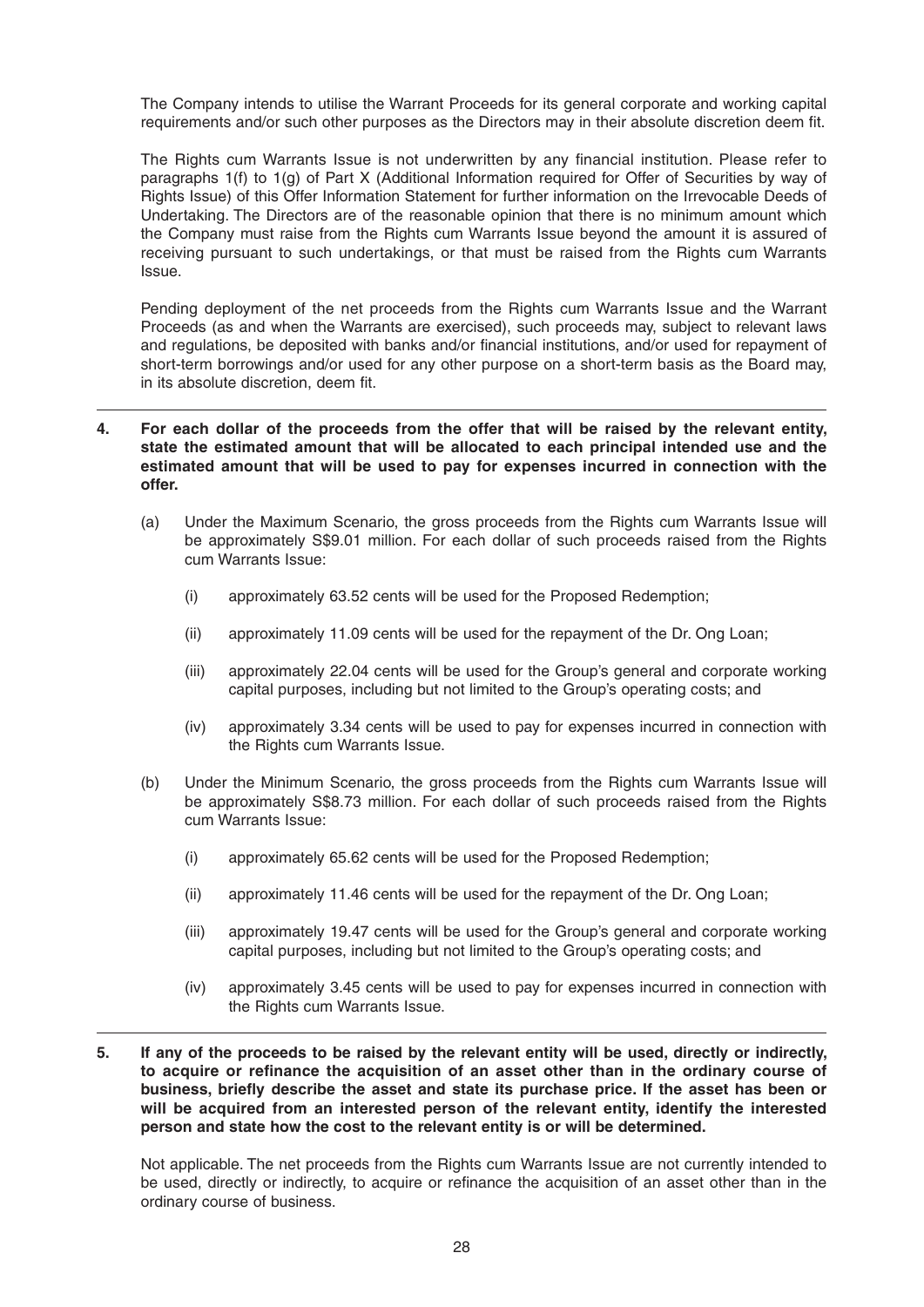The Company intends to utilise the Warrant Proceeds for its general corporate and working capital requirements and/or such other purposes as the Directors may in their absolute discretion deem fit.

The Rights cum Warrants Issue is not underwritten by any financial institution. Please refer to paragraphs 1(f) to 1(g) of Part X (Additional Information required for Offer of Securities by way of Rights Issue) of this Offer Information Statement for further information on the Irrevocable Deeds of Undertaking. The Directors are of the reasonable opinion that there is no minimum amount which the Company must raise from the Rights cum Warrants Issue beyond the amount it is assured of receiving pursuant to such undertakings, or that must be raised from the Rights cum Warrants Issue.

 Pending deployment of the net proceeds from the Rights cum Warrants Issue and the Warrant Proceeds (as and when the Warrants are exercised), such proceeds may, subject to relevant laws and regulations, be deposited with banks and/or financial institutions, and/or used for repayment of short-term borrowings and/or used for any other purpose on a short-term basis as the Board may, in its absolute discretion, deem fit.

## **4. For each dollar of the proceeds from the offer that will be raised by the relevant entity, state the estimated amount that will be allocated to each principal intended use and the estimated amount that will be used to pay for expenses incurred in connection with the offer.**

- (a) Under the Maximum Scenario, the gross proceeds from the Rights cum Warrants Issue will be approximately S\$9.01 million. For each dollar of such proceeds raised from the Rights cum Warrants Issue:
	- (i) approximately 63.52 cents will be used for the Proposed Redemption;
	- (ii) approximately 11.09 cents will be used for the repayment of the Dr. Ong Loan;
	- (iii) approximately 22.04 cents will be used for the Group's general and corporate working capital purposes, including but not limited to the Group's operating costs; and
	- (iv) approximately 3.34 cents will be used to pay for expenses incurred in connection with the Rights cum Warrants Issue.
- (b) Under the Minimum Scenario, the gross proceeds from the Rights cum Warrants Issue will be approximately S\$8.73 million. For each dollar of such proceeds raised from the Rights cum Warrants Issue:
	- (i) approximately 65.62 cents will be used for the Proposed Redemption;
	- (ii) approximately 11.46 cents will be used for the repayment of the Dr. Ong Loan;
	- (iii) approximately 19.47 cents will be used for the Group's general and corporate working capital purposes, including but not limited to the Group's operating costs; and
	- (iv) approximately 3.45 cents will be used to pay for expenses incurred in connection with the Rights cum Warrants Issue.
- **5. If any of the proceeds to be raised by the relevant entity will be used, directly or indirectly,**  to acquire or refinance the acquisition of an asset other than in the ordinary course of business, briefly describe the asset and state its purchase price. If the asset has been or **will be acquired from an interested person of the relevant entity, identify the interested person and state how the cost to the relevant entity is or will be determined.**

Not applicable. The net proceeds from the Rights cum Warrants Issue are not currently intended to be used, directly or indirectly, to acquire or refinance the acquisition of an asset other than in the ordinary course of business.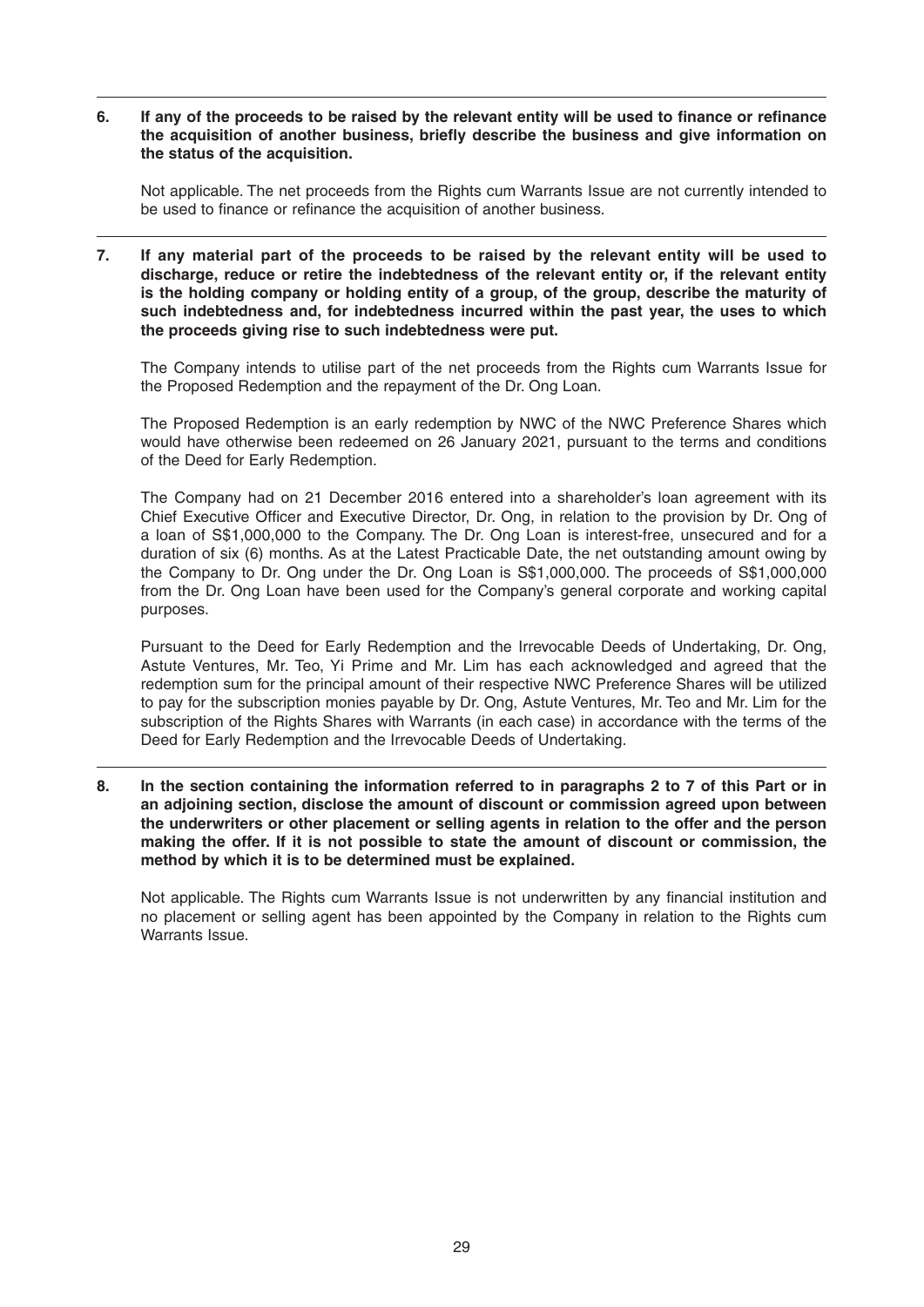6. If any of the proceeds to be raised by the relevant entity will be used to finance or refinance the acquisition of another business, briefly describe the business and give information on **the status of the acquisition.**

Not applicable. The net proceeds from the Rights cum Warrants Issue are not currently intended to be used to finance or refinance the acquisition of another business.

**7. If any material part of the proceeds to be raised by the relevant entity will be used to discharge, reduce or retire the indebtedness of the relevant entity or, if the relevant entity is the holding company or holding entity of a group, of the group, describe the maturity of such indebtedness and, for indebtedness incurred within the past year, the uses to which the proceeds giving rise to such indebtedness were put.**

The Company intends to utilise part of the net proceeds from the Rights cum Warrants Issue for the Proposed Redemption and the repayment of the Dr. Ong Loan.

 The Proposed Redemption is an early redemption by NWC of the NWC Preference Shares which would have otherwise been redeemed on 26 January 2021, pursuant to the terms and conditions of the Deed for Early Redemption.

 The Company had on 21 December 2016 entered into a shareholder's loan agreement with its Chief Executive Officer and Executive Director, Dr. Ong, in relation to the provision by Dr. Ong of a loan of S\$1,000,000 to the Company. The Dr. Ong Loan is interest-free, unsecured and for a duration of six (6) months. As at the Latest Practicable Date, the net outstanding amount owing by the Company to Dr. Ong under the Dr. Ong Loan is S\$1,000,000. The proceeds of S\$1,000,000 from the Dr. Ong Loan have been used for the Company's general corporate and working capital purposes.

 Pursuant to the Deed for Early Redemption and the Irrevocable Deeds of Undertaking, Dr. Ong, Astute Ventures, Mr. Teo, Yi Prime and Mr. Lim has each acknowledged and agreed that the redemption sum for the principal amount of their respective NWC Preference Shares will be utilized to pay for the subscription monies payable by Dr. Ong, Astute Ventures, Mr. Teo and Mr. Lim for the subscription of the Rights Shares with Warrants (in each case) in accordance with the terms of the Deed for Early Redemption and the Irrevocable Deeds of Undertaking.

**8. In the section containing the information referred to in paragraphs 2 to 7 of this Part or in an adjoining section, disclose the amount of discount or commission agreed upon between the underwriters or other placement or selling agents in relation to the offer and the person making the offer. If it is not possible to state the amount of discount or commission, the method by which it is to be determined must be explained.**

Not applicable. The Rights cum Warrants Issue is not underwritten by any financial institution and no placement or selling agent has been appointed by the Company in relation to the Rights cum Warrants Issue.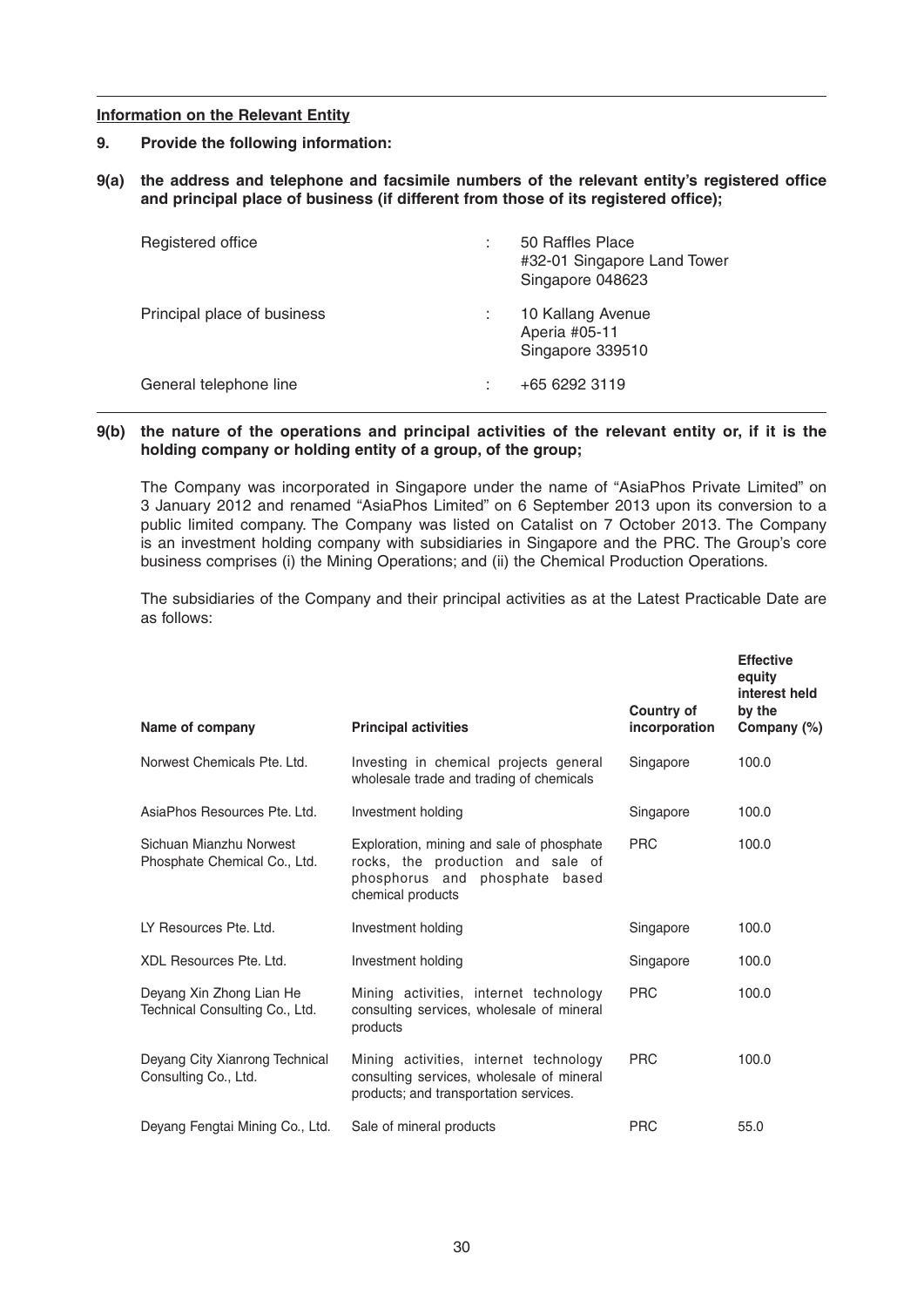#### **Information on the Relevant Entity**

- **9. Provide the following information:**
- 9(a) the address and telephone and facsimile numbers of the relevant entity's registered office and principal place of business (if different from those of its registered office);

| Registered office           | 50 Raffles Place<br>#32-01 Singapore Land Tower<br>Singapore 048623 |
|-----------------------------|---------------------------------------------------------------------|
| Principal place of business | 10 Kallang Avenue<br>Aperia #05-11<br>Singapore 339510              |
| General telephone line      | +65 6292 3119                                                       |

#### **9(b) the nature of the operations and principal activities of the relevant entity or, if it is the holding company or holding entity of a group, of the group;**

 The Company was incorporated in Singapore under the name of "AsiaPhos Private Limited" on 3 January 2012 and renamed "AsiaPhos Limited" on 6 September 2013 upon its conversion to a public limited company. The Company was listed on Catalist on 7 October 2013. The Company is an investment holding company with subsidiaries in Singapore and the PRC. The Group's core business comprises (i) the Mining Operations; and (ii) the Chemical Production Operations.

 The subsidiaries of the Company and their principal activities as at the Latest Practicable Date are as follows:

| Name of company                                            | <b>Principal activities</b>                                                                                                           | Country of<br>incorporation | <b>Effective</b><br>equity<br>interest held<br>by the<br>Company (%) |  |
|------------------------------------------------------------|---------------------------------------------------------------------------------------------------------------------------------------|-----------------------------|----------------------------------------------------------------------|--|
| Norwest Chemicals Pte. Ltd.                                | Investing in chemical projects general<br>wholesale trade and trading of chemicals                                                    | Singapore                   | 100.0                                                                |  |
| AsiaPhos Resources Pte. Ltd.                               | Investment holding                                                                                                                    | Singapore                   | 100.0                                                                |  |
| Sichuan Mianzhu Norwest<br>Phosphate Chemical Co., Ltd.    | Exploration, mining and sale of phosphate<br>rocks, the production and sale of<br>phosphorus and phosphate based<br>chemical products | <b>PRC</b>                  | 100.0                                                                |  |
| LY Resources Pte. Ltd.                                     | Investment holding                                                                                                                    | Singapore                   | 100.0                                                                |  |
| XDL Resources Pte. Ltd.                                    | Investment holding                                                                                                                    | Singapore                   | 100.0                                                                |  |
| Deyang Xin Zhong Lian He<br>Technical Consulting Co., Ltd. | Mining activities, internet technology<br>consulting services, wholesale of mineral<br>products                                       | <b>PRC</b>                  | 100.0                                                                |  |
| Deyang City Xianrong Technical<br>Consulting Co., Ltd.     | Mining activities, internet technology<br>consulting services, wholesale of mineral<br>products; and transportation services.         | <b>PRC</b>                  | 100.0                                                                |  |
| Deyang Fengtai Mining Co., Ltd.                            | Sale of mineral products                                                                                                              | <b>PRC</b>                  | 55.0                                                                 |  |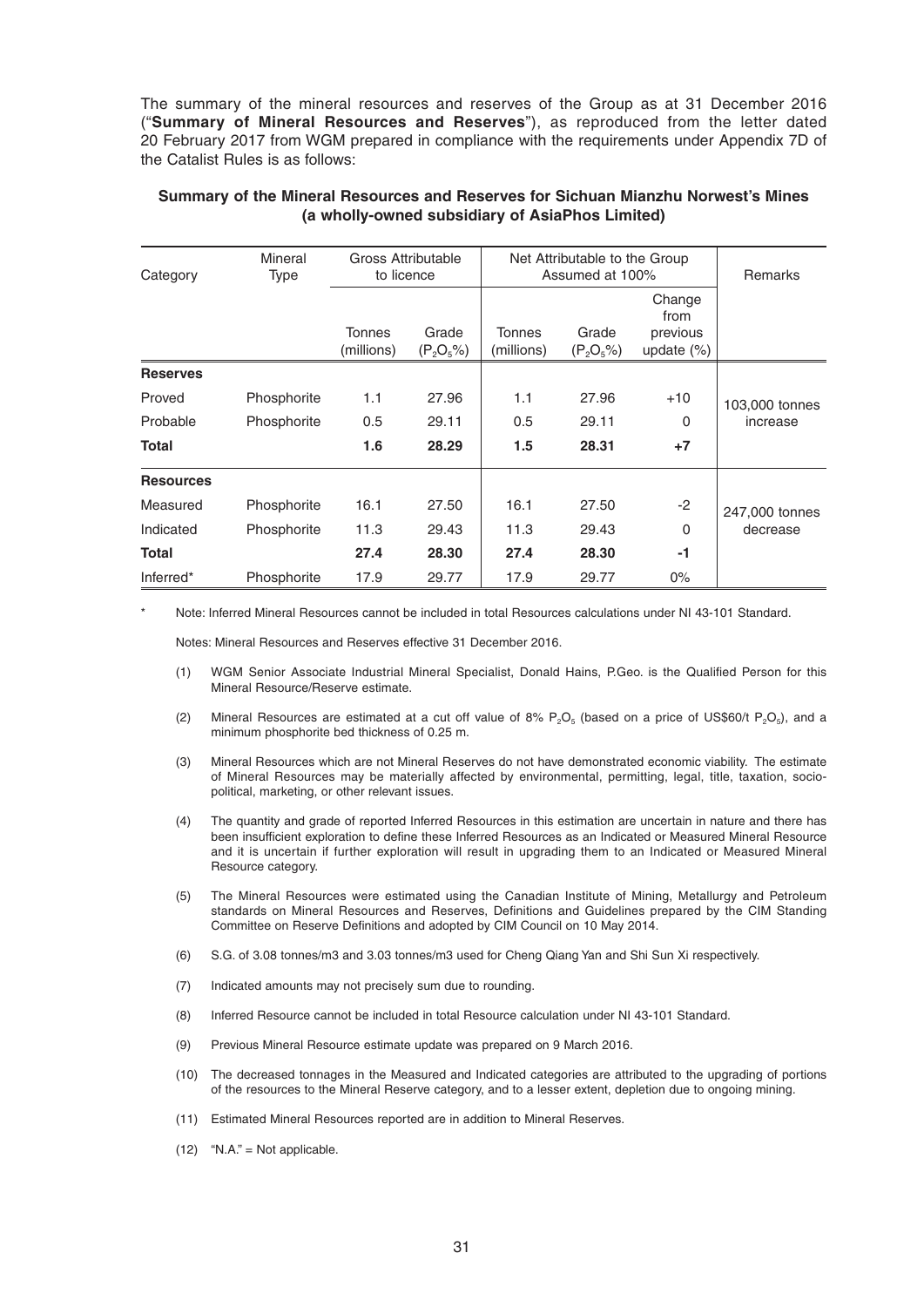The summary of the mineral resources and reserves of the Group as at 31 December 2016 ("**Summary of Mineral Resources and Reserves**"), as reproduced from the letter dated 20 February 2017 from WGM prepared in compliance with the requirements under Appendix 7D of the Catalist Rules is as follows:

| Mineral<br>Category<br><b>Type</b> |             | Gross Attributable<br>to licence |                       | Net Attributable to the Group<br>Assumed at 100% |                       |                                             | <b>Remarks</b>             |
|------------------------------------|-------------|----------------------------------|-----------------------|--------------------------------------------------|-----------------------|---------------------------------------------|----------------------------|
|                                    |             | <b>Tonnes</b><br>(millions)      | Grade<br>$(P_2O_5\%)$ | <b>Tonnes</b><br>(millions)                      | Grade<br>$(P_2O_5\%)$ | Change<br>from<br>previous<br>update $(\%)$ |                            |
| <b>Reserves</b>                    |             |                                  |                       |                                                  |                       |                                             |                            |
| Proved                             | Phosphorite | 1.1                              | 27.96                 | 1.1                                              | 27.96                 | $+10$                                       | 103,000 tonnes<br>increase |
| Probable                           | Phosphorite | 0.5                              | 29.11                 | 0.5                                              | 29.11                 | $\Omega$                                    |                            |
| <b>Total</b>                       |             | 1.6                              | 28.29                 | 1.5                                              | 28.31                 | $+7$                                        |                            |
| <b>Resources</b>                   |             |                                  |                       |                                                  |                       |                                             |                            |
| Measured                           | Phosphorite | 16.1                             | 27.50                 | 16.1                                             | 27.50                 | $-2$                                        | 247,000 tonnes<br>decrease |
| Indicated                          | Phosphorite | 11.3                             | 29.43                 | 11.3                                             | 29.43                 | 0                                           |                            |
| <b>Total</b>                       |             | 27.4                             | 28.30                 | 27.4                                             | 28.30                 | -1                                          |                            |
| Inferred*                          | Phosphorite | 17.9                             | 29.77                 | 17.9                                             | 29.77                 | $0\%$                                       |                            |

#### **Summary of the Mineral Resources and Reserves for Sichuan Mianzhu Norwest's Mines (a wholly-owned subsidiary of AsiaPhos Limited)**

Note: Inferred Mineral Resources cannot be included in total Resources calculations under NI 43-101 Standard.

Notes: Mineral Resources and Reserves effective 31 December 2016.

- (1) WGM Senior Associate Industrial Mineral Specialist, Donald Hains, P.Geo. is the Qualified Person for this Mineral Resource/Reserve estimate.
- (2) Mineral Resources are estimated at a cut off value of 8%  $P_2O_5$  (based on a price of US\$60/t  $P_2O_5$ ), and a minimum phosphorite bed thickness of 0.25 m.
- (3) Mineral Resources which are not Mineral Reserves do not have demonstrated economic viability. The estimate of Mineral Resources may be materially affected by environmental, permitting, legal, title, taxation, sociopolitical, marketing, or other relevant issues.
- (4) The quantity and grade of reported Inferred Resources in this estimation are uncertain in nature and there has been insufficient exploration to define these Inferred Resources as an Indicated or Measured Mineral Resource and it is uncertain if further exploration will result in upgrading them to an Indicated or Measured Mineral Resource category.
- (5) The Mineral Resources were estimated using the Canadian Institute of Mining, Metallurgy and Petroleum standards on Mineral Resources and Reserves, Definitions and Guidelines prepared by the CIM Standing Committee on Reserve Definitions and adopted by CIM Council on 10 May 2014.
- (6) S.G. of 3.08 tonnes/m3 and 3.03 tonnes/m3 used for Cheng Qiang Yan and Shi Sun Xi respectively.
- (7) Indicated amounts may not precisely sum due to rounding.
- (8) Inferred Resource cannot be included in total Resource calculation under NI 43-101 Standard.
- (9) Previous Mineral Resource estimate update was prepared on 9 March 2016.
- (10) The decreased tonnages in the Measured and Indicated categories are attributed to the upgrading of portions of the resources to the Mineral Reserve category, and to a lesser extent, depletion due to ongoing mining.
- (11) Estimated Mineral Resources reported are in addition to Mineral Reserves.
- $(12)$  "N.A." = Not applicable.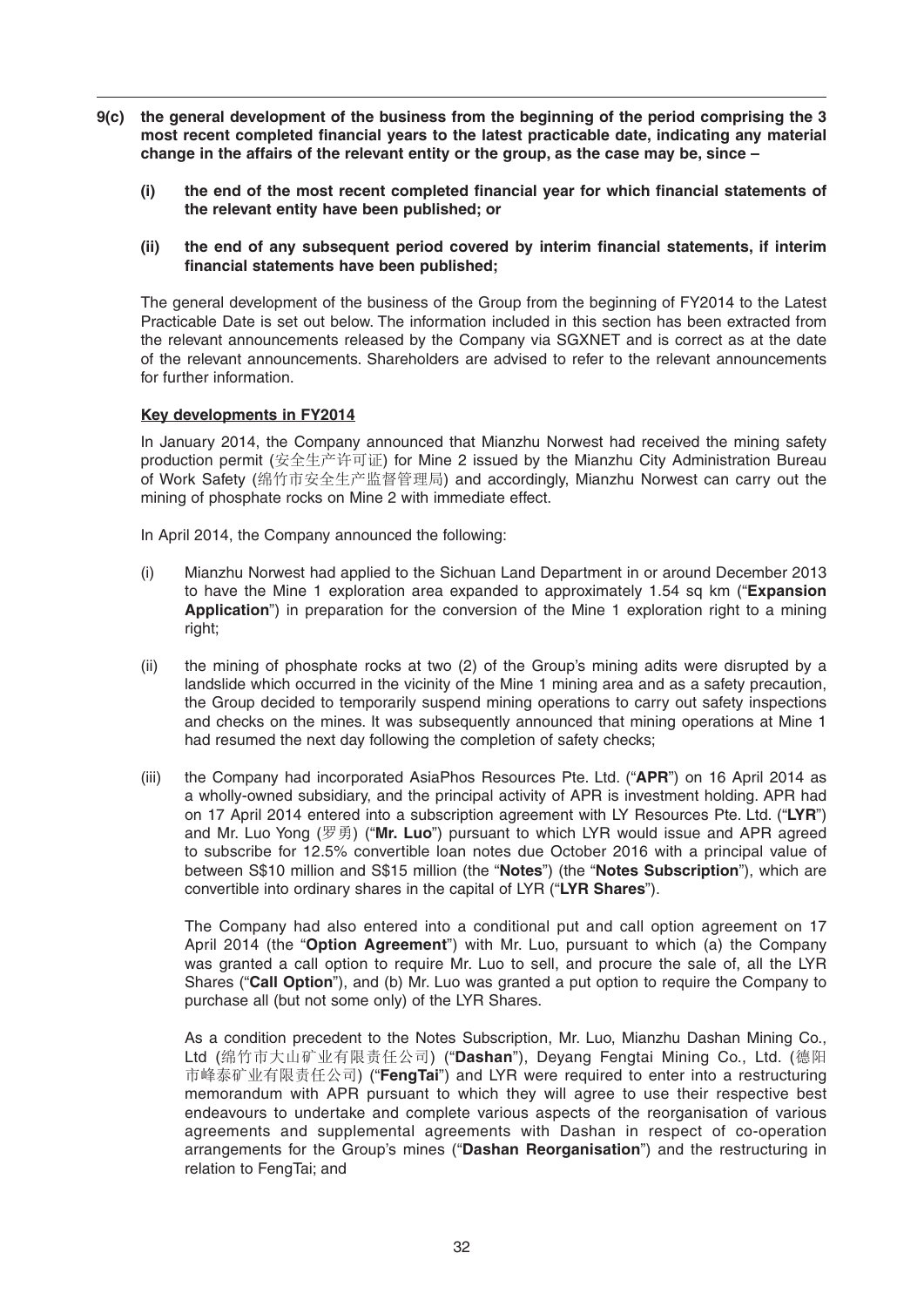- **9(c) the general development of the business from the beginning of the period comprising the 3**  most recent completed financial years to the latest practicable date, indicating any material **change in the affairs of the relevant entity or the group, as the case may be, since –**
	- (i) the end of the most recent completed financial year for which financial statements of **the relevant entity have been published; or**
	- (ii) the end of any subsequent period covered by interim financial statements, if interim financial statements have been published:

 The general development of the business of the Group from the beginning of FY2014 to the Latest Practicable Date is set out below. The information included in this section has been extracted from the relevant announcements released by the Company via SGXNET and is correct as at the date of the relevant announcements. Shareholders are advised to refer to the relevant announcements for further information.

## **Key developments in FY2014**

 In January 2014, the Company announced that Mianzhu Norwest had received the mining safety production permit (安全生产许可证) for Mine 2 issued by the Mianzhu City Administration Bureau of Work Safety (绵竹市安全生产监督管理局) and accordingly, Mianzhu Norwest can carry out the mining of phosphate rocks on Mine 2 with immediate effect.

In April 2014, the Company announced the following:

- (i) Mianzhu Norwest had applied to the Sichuan Land Department in or around December 2013 to have the Mine 1 exploration area expanded to approximately 1.54 sq km ("**Expansion Application**") in preparation for the conversion of the Mine 1 exploration right to a mining right;
- (ii) the mining of phosphate rocks at two (2) of the Group's mining adits were disrupted by a landslide which occurred in the vicinity of the Mine 1 mining area and as a safety precaution, the Group decided to temporarily suspend mining operations to carry out safety inspections and checks on the mines. It was subsequently announced that mining operations at Mine 1 had resumed the next day following the completion of safety checks;
- (iii) the Company had incorporated AsiaPhos Resources Pte. Ltd. ("**APR**") on 16 April 2014 as a wholly-owned subsidiary, and the principal activity of APR is investment holding. APR had on 17 April 2014 entered into a subscription agreement with LY Resources Pte. Ltd. ("**LYR**") and Mr. Luo Yong (罗勇) ("**Mr. Luo**") pursuant to which LYR wouldissueand APR agreed to subscribe for 12.5% convertible loan notes due October 2016 with a principal value of between S\$10 million and S\$15 million (the "**Notes**") (the "**Notes Subscription**"), which are convertible into ordinary shares in the capital of LYR ("**LYR Shares**").

 The Company had also entered into a conditional put and call option agreement on 17 April 2014 (the "**Option Agreement**") with Mr. Luo, pursuant to which (a) the Company was granted a call option to require Mr. Luo to sell, and procure the sale of, all the LYR Shares ("Call Option"), and (b) Mr. Luo was granted a put option to require the Company to purchase all (but not some only) of the LYR Shares.

 As a condition precedent to the Notes Subscription, Mr. Luo, Mianzhu Dashan Mining Co., Ltd (绵竹市大山矿业有限责任公司) ("**Dashan**"), Deyang Fengtai Mining Co., Ltd. (德阳 市峰泰矿业有限责任公司) ("**FengTai**") and LYR were required to enter into a restructuring memorandum with APR pursuant to which they will agree to use their respective best endeavours to undertake and complete various aspects of the reorganisation of various agreements and supplemental agreements with Dashan in respect of co-operation arrangements for the Group's mines ("**Dashan Reorganisation**") and the restructuring in relation to FengTai; and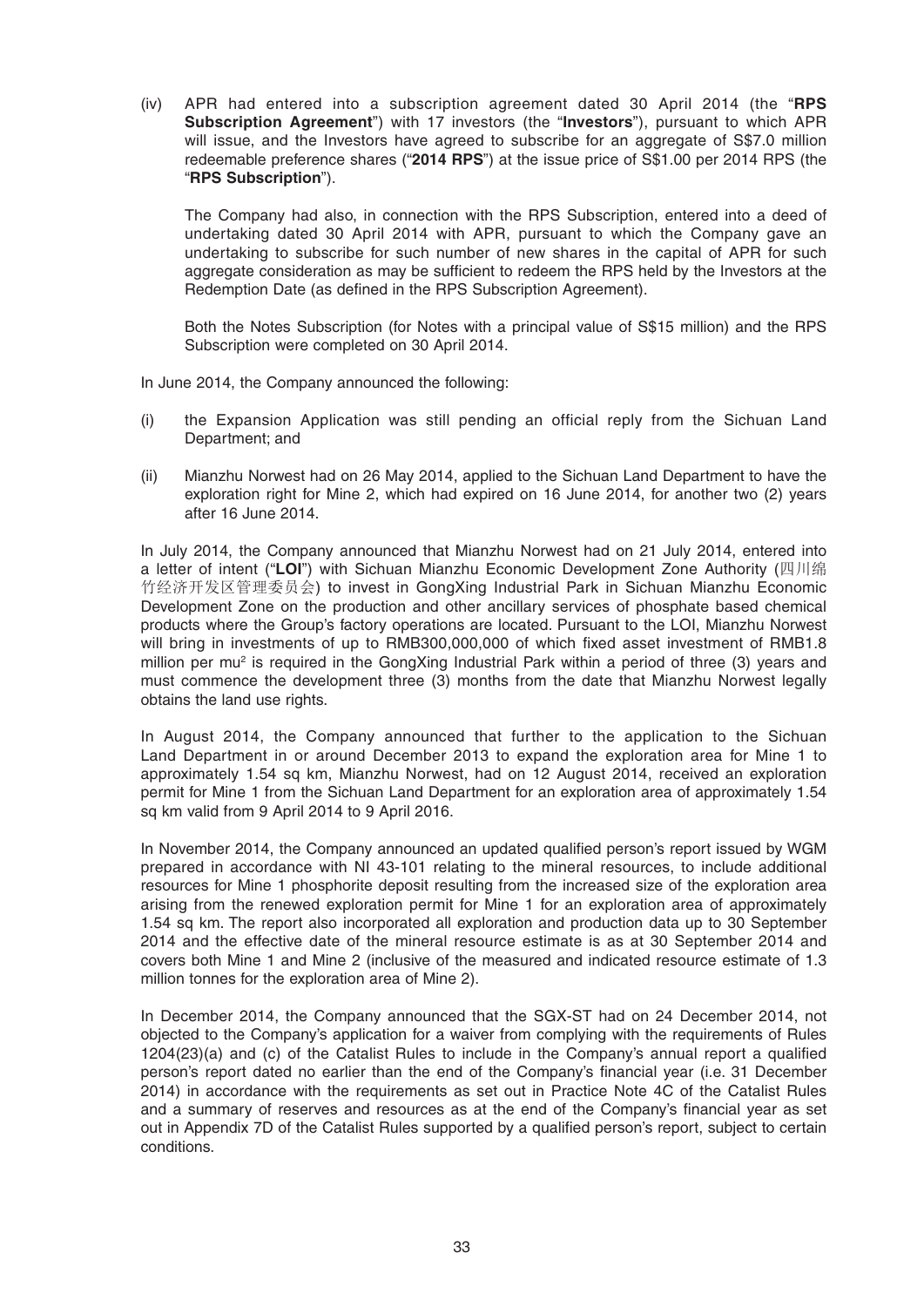(iv) APR had entered into a subscription agreement dated 30 April 2014 (the "**RPS Subscription Agreement**") with 17 investors (the "**Investors**"), pursuant to which APR will issue, and the Investors have agreed to subscribe for an aggregate of S\$7.0 million redeemable preference shares ("**2014 RPS**") at the issue price of S\$1.00 per 2014 RPS (the "**RPS Subscription**").

 The Company had also, in connection with the RPS Subscription, entered into a deed of undertaking dated 30 April 2014 with APR, pursuant to which the Company gave an undertaking to subscribe for such number of new shares in the capital of APR for such aggregate consideration as may be sufficient to redeem the RPS held by the Investors at the Redemption Date (as defined in the RPS Subscription Agreement).

 Both the Notes Subscription (for Notes with a principal value of S\$15 million) and the RPS Subscription were completed on 30 April 2014.

In June 2014, the Company announced the following:

- (i) the Expansion Application was still pending an official reply from the Sichuan Land Department; and
- (ii) Mianzhu Norwest had on 26 May 2014, applied to the Sichuan Land Department to have the exploration right for Mine 2, which had expired on 16 June 2014, for another two (2) years after 16 June 2014.

 In July 2014, the Company announced that Mianzhu Norwest had on 21 July 2014, entered into a letter of intent ("**LOI**") with Sichuan Mianzhu Economic Development Zone Authority (四川绵 竹经济开发区管理委员会) to invest in GongXing Industrial Park in Sichuan Mianzhu Economic Development Zone on the production and other ancillary services of phosphate based chemical products where the Group's factory operations are located. Pursuant to the LOI, Mianzhu Norwest will bring in investments of up to RMB300,000,000 of which fixed asset investment of RMB1.8 million per mu<sup>2</sup> is required in the GongXing Industrial Park within a period of three (3) years and must commence the development three (3) months from the date that Mianzhu Norwest legally obtains the land use rights.

 In August 2014, the Company announced that further to the application to the Sichuan Land Department in or around December 2013 to expand the exploration area for Mine 1 to approximately 1.54 sq km, Mianzhu Norwest, had on 12 August 2014, received an exploration permit for Mine 1 from the Sichuan Land Department for an exploration area of approximately 1.54 sq km valid from 9 April 2014 to 9 April 2016.

In November 2014, the Company announced an updated qualified person's report issued by WGM prepared in accordance with NI 43-101 relating to the mineral resources, to include additional resources for Mine 1 phosphorite deposit resulting from the increased size of the exploration area arising from the renewed exploration permit for Mine 1 for an exploration area of approximately 1.54 sq km. The report also incorporated all exploration and production data up to 30 September 2014 and the effective date of the mineral resource estimate is as at 30 September 2014 and covers both Mine 1 and Mine 2 (inclusive of the measured and indicated resource estimate of 1.3 million tonnes for the exploration area of Mine 2).

 In December 2014, the Company announced that the SGX-ST had on 24 December 2014, not objected to the Company's application for a waiver from complying with the requirements of Rules  $1204(23)(a)$  and  $(c)$  of the Catalist Rules to include in the Company's annual report a qualified person's report dated no earlier than the end of the Company's financial year (i.e. 31 December 2014) in accordance with the requirements as set out in Practice Note 4C of the Catalist Rules and a summary of reserves and resources as at the end of the Company's financial year as set out in Appendix 7D of the Catalist Rules supported by a qualified person's report, subject to certain conditions.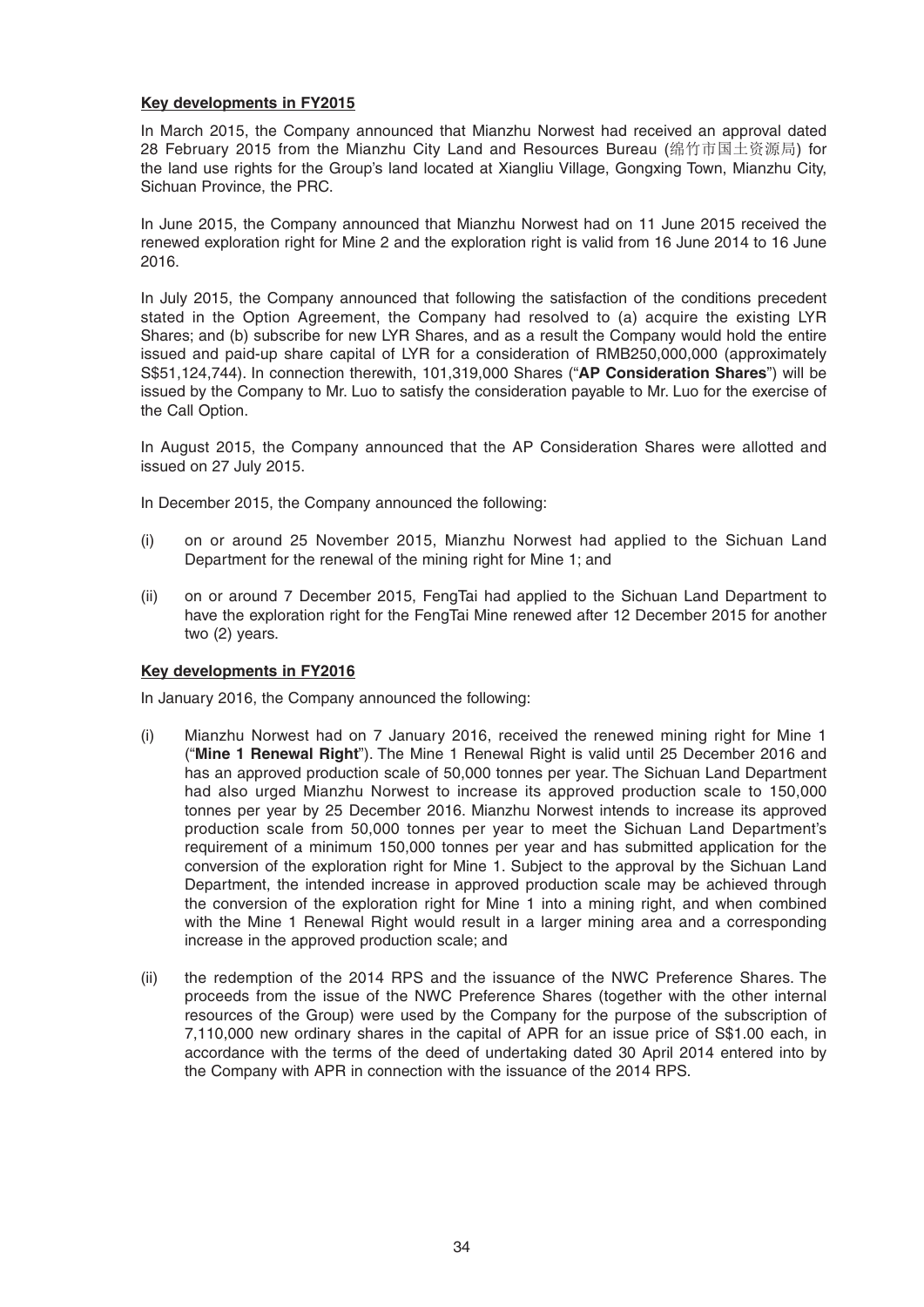#### **Key developments in FY2015**

In March 2015, the Company announced that Mianzhu Norwest had received an approval dated 28 February 2015 from the Mianzhu City Land and Resources Bureau (绵竹市国土资源局) for the land use rights for the Group's land located at Xiangliu Village, Gongxing Town, Mianzhu City, Sichuan Province, the PRC.

 In June 2015, the Company announced that Mianzhu Norwest had on 11 June 2015 received the renewed exploration right for Mine 2 and the exploration right is valid from 16 June 2014 to 16 June 2016.

 In July 2015, the Company announced that following the satisfaction of the conditions precedent stated in the Option Agreement, the Company had resolved to (a) acquire the existing LYR Shares; and (b) subscribe for new LYR Shares, and as a result the Company would hold the entire issued and paid-up share capital of LYR for a consideration of RMB250,000,000 (approximately S\$51,124,744). In connection therewith, 101,319,000 Shares ("**AP Consideration Shares**") will be issued by the Company to Mr. Luo to satisfy the consideration payable to Mr. Luo for the exercise of the Call Option.

 In August 2015, the Company announced that the AP Consideration Shares were allotted and issued on 27 July 2015.

In December 2015, the Company announced the following:

- (i) on or around 25 November 2015, Mianzhu Norwest had applied to the Sichuan Land Department for the renewal of the mining right for Mine 1; and
- (ii) on or around 7 December 2015, FengTai had applied to the Sichuan Land Department to have the exploration right for the FengTai Mine renewed after 12 December 2015 for another two (2) years.

#### **Key developments in FY2016**

In January 2016, the Company announced the following:

- (i) Mianzhu Norwest had on 7 January 2016, received the renewed mining right for Mine 1 ("**Mine 1 Renewal Right**"). The Mine 1 Renewal Right is valid until 25 December 2016 and has an approved production scale of 50,000 tonnes per year. The Sichuan Land Department had also urged Mianzhu Norwest to increase its approved production scale to 150,000 tonnes per year by 25 December 2016. Mianzhu Norwest intends to increase its approved production scale from 50,000 tonnes per year to meet the Sichuan Land Department's requirement of a minimum 150,000 tonnes per year and has submitted application for the conversion of the exploration right for Mine 1. Subject to the approval by the Sichuan Land Department, the intended increase in approved production scale may be achieved through the conversion of the exploration right for Mine 1 into a mining right, and when combined with the Mine 1 Renewal Right would result in a larger mining area and a corresponding increase in the approved production scale; and
- (ii) the redemption of the 2014 RPS and the issuance of the NWC Preference Shares. The proceeds from the issue of the NWC Preference Shares (together with the other internal resources of the Group) were used by the Company for the purpose of the subscription of 7,110,000 new ordinary shares in the capital of APR for an issue price of S\$1.00 each, in accordance with the terms of the deed of undertaking dated 30 April 2014 entered into by the Company with APR in connection with the issuance of the 2014 RPS.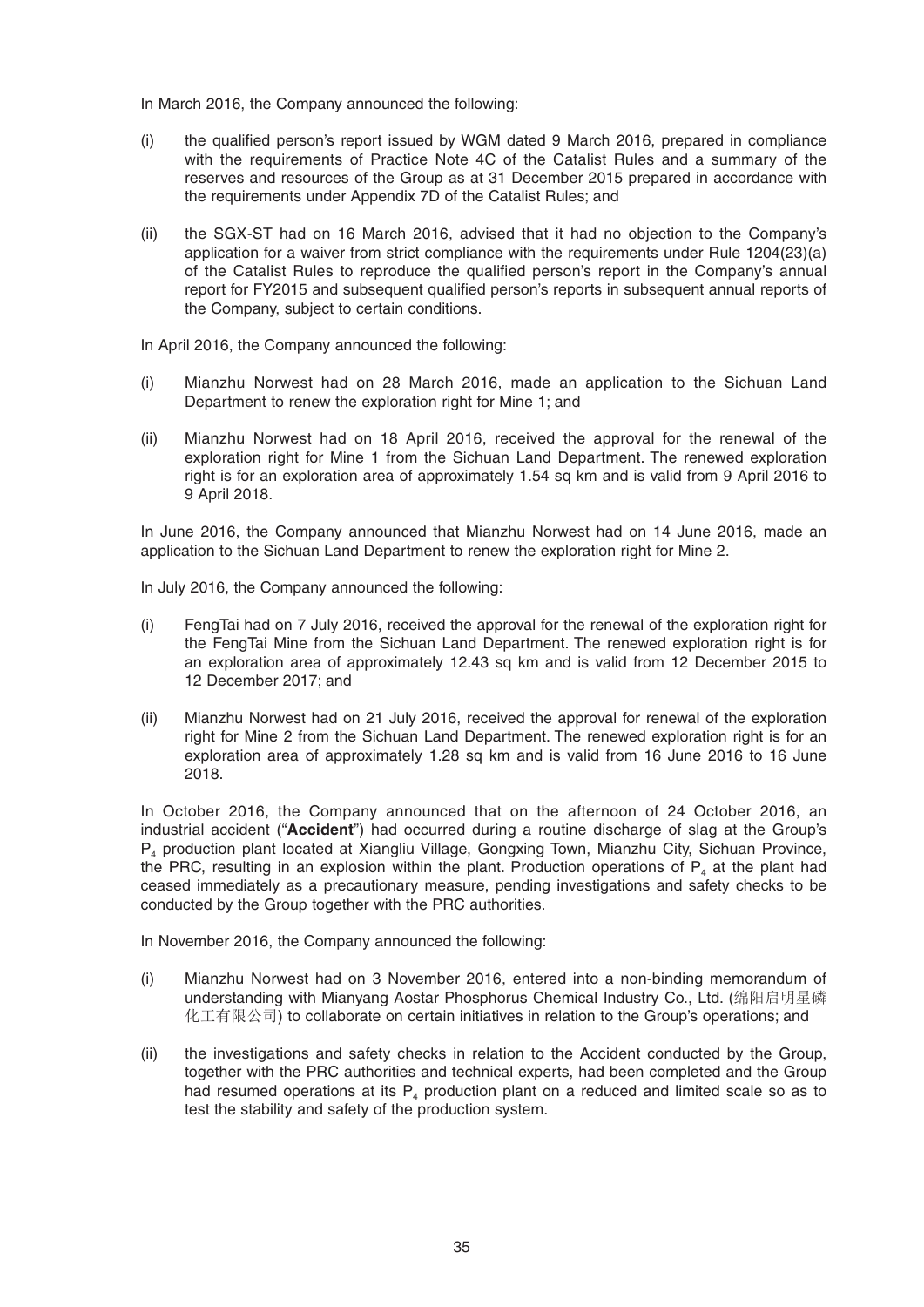In March 2016, the Company announced the following:

- (i) the qualified person's report issued by WGM dated 9 March 2016, prepared in compliance with the requirements of Practice Note 4C of the Catalist Rules and a summary of the reserves and resources of the Group as at 31 December 2015 prepared in accordance with the requirements under Appendix 7D of the Catalist Rules; and
- (ii) the SGX-ST had on 16 March 2016, advised that it had no objection to the Company's application for a waiver from strict compliance with the requirements under Rule 1204(23)(a) of the Catalist Rules to reproduce the qualified person's report in the Company's annual report for FY2015 and subsequent qualified person's reports in subsequent annual reports of the Company, subject to certain conditions.

In April 2016, the Company announced the following:

- (i) Mianzhu Norwest had on 28 March 2016, made an application to the Sichuan Land Department to renew the exploration right for Mine 1; and
- (ii) Mianzhu Norwest had on 18 April 2016, received the approval for the renewal of the exploration right for Mine 1 from the Sichuan Land Department. The renewed exploration right is for an exploration area of approximately 1.54 sq km and is valid from 9 April 2016 to 9 April 2018.

 In June 2016, the Company announced that Mianzhu Norwest had on 14 June 2016, made an application to the Sichuan Land Department to renew the exploration right for Mine 2.

In July 2016, the Company announced the following:

- (i) FengTai had on 7 July 2016, received the approval for the renewal of the exploration right for the FengTai Mine from the Sichuan Land Department. The renewed exploration right is for an exploration area of approximately 12.43 sq km and is valid from 12 December 2015 to 12 December 2017; and
- (ii) Mianzhu Norwest had on 21 July 2016, received the approval for renewal of the exploration right for Mine 2 from the Sichuan Land Department. The renewed exploration right is for an exploration area of approximately 1.28 sq km and is valid from 16 June 2016 to 16 June 2018.

 In October 2016, the Company announced that on the afternoon of 24 October 2016, an industrial accident ("**Accident**") had occurred during a routine discharge of slag at the Group's P4 production plant located at Xiangliu Village, Gongxing Town, Mianzhu City, Sichuan Province, the PRC, resulting in an explosion within the plant. Production operations of  $P<sub>4</sub>$  at the plant had ceased immediately as a precautionary measure, pending investigations and safety checks to be conducted by the Group together with the PRC authorities.

In November 2016, the Company announced the following:

- (i) Mianzhu Norwest had on 3 November 2016, entered into a non-binding memorandum of understanding with Mianyang Aostar Phosphorus Chemical Industry Co., Ltd. (绵阳启明星磷 化工有限公司) to collaborate on certain initiatives in relation to the Group's operations; and
- (ii) the investigations and safety checks in relation to the Accident conducted by the Group, together with the PRC authorities and technical experts, had been completed and the Group had resumed operations at its  $P_4$  production plant on a reduced and limited scale so as to test the stability and safety of the production system.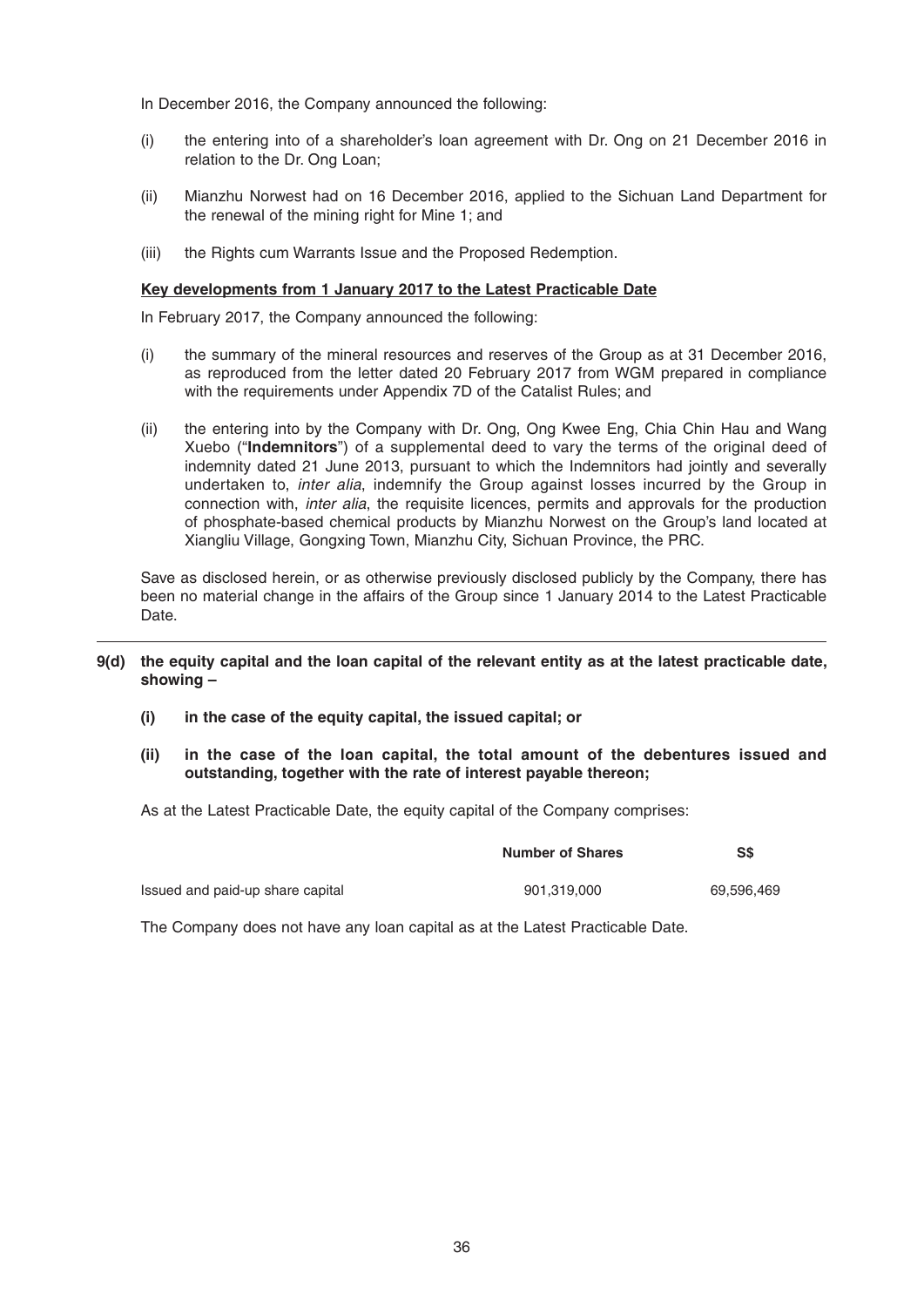In December 2016, the Company announced the following:

- (i) the entering into of a shareholder's loan agreement with Dr. Ong on 21 December 2016 in relation to the Dr. Ong Loan;
- (ii) Mianzhu Norwest had on 16 December 2016, applied to the Sichuan Land Department for the renewal of the mining right for Mine 1; and
- (iii) the Rights cum Warrants Issue and the Proposed Redemption.

### **Key developments from 1 January 2017 to the Latest Practicable Date**

In February 2017, the Company announced the following:

- (i) the summary of the mineral resources and reserves of the Group as at 31 December 2016, as reproduced from the letter dated 20 February 2017 from WGM prepared in compliance with the requirements under Appendix 7D of the Catalist Rules; and
- (ii) the entering into by the Company with Dr. Ong, Ong Kwee Eng, Chia Chin Hau and Wang Xuebo ("**Indemnitors**") of a supplemental deed to vary the terms of the original deed of indemnity dated 21 June 2013, pursuant to which the Indemnitors had jointly and severally undertaken to, *inter alia*, indemnify the Group against losses incurred by the Group in connection with, *inter alia*, the requisite licences, permits and approvals for the production of phosphate-based chemical products by Mianzhu Norwest on the Group's land located at Xiangliu Village, Gongxing Town, Mianzhu City, Sichuan Province, the PRC.

 Save as disclosed herein, or as otherwise previously disclosed publicly by the Company, there has been no material change in the affairs of the Group since 1 January 2014 to the Latest Practicable Date.

### **9(d) the equity capital and the loan capital of the relevant entity as at the latest practicable date, showing –**

- **(i) in the case of the equity capital, the issued capital; or**
- **(ii) in the case of the loan capital, the total amount of the debentures issued and outstanding, together with the rate of interest payable thereon;**

As at the Latest Practicable Date, the equity capital of the Company comprises:

|                                  | <b>Number of Shares</b> | SS         |  |
|----------------------------------|-------------------------|------------|--|
| Issued and paid-up share capital | 901.319.000             | 69.596.469 |  |

The Company does not have any loan capital as at the Latest Practicable Date.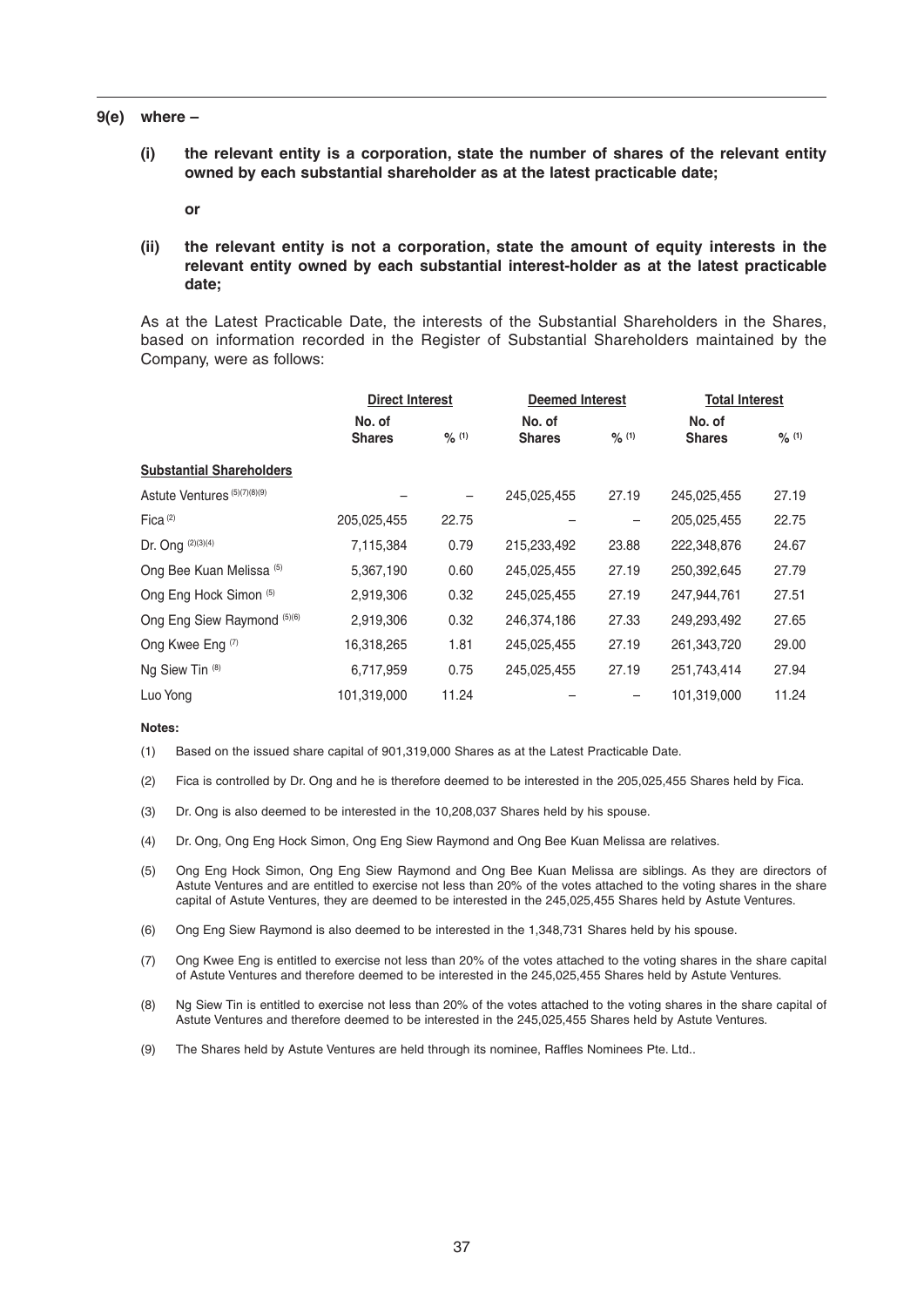#### **9(e) where –**

 **(i) the relevant entity is a corporation, state the number of shares of the relevant entity owned by each substantial shareholder as at the latest practicable date;**

 **or** 

 **(ii) the relevant entity is not a corporation, state the amount of equity interests in the relevant entity owned by each substantial interest-holder as at the latest practicable date;**

 As at the Latest Practicable Date, the interests of the Substantial Shareholders in the Shares, based on information recorded in the Register of Substantial Shareholders maintained by the Company, were as follows:

|                                     | <b>Direct Interest</b> |        |               | <b>Deemed Interest</b> |               | <b>Total Interest</b> |  |
|-------------------------------------|------------------------|--------|---------------|------------------------|---------------|-----------------------|--|
|                                     | No. of                 |        | No. of        |                        | No. of        |                       |  |
|                                     | <b>Shares</b>          | 9/6(1) | <b>Shares</b> | 9/6(1)                 | <b>Shares</b> | 9/6(1)                |  |
| <b>Substantial Shareholders</b>     |                        |        |               |                        |               |                       |  |
| Astute Ventures (5)(7)(8)(9)        |                        |        | 245,025,455   | 27.19                  | 245,025,455   | 27.19                 |  |
| Fica $(2)$                          | 205,025,455            | 22.75  |               |                        | 205,025,455   | 22.75                 |  |
| Dr. Ong (2)(3)(4)                   | 7,115,384              | 0.79   | 215,233,492   | 23.88                  | 222,348,876   | 24.67                 |  |
| Ong Bee Kuan Melissa <sup>(5)</sup> | 5,367,190              | 0.60   | 245,025,455   | 27.19                  | 250,392,645   | 27.79                 |  |
| Ong Eng Hock Simon (5)              | 2,919,306              | 0.32   | 245,025,455   | 27.19                  | 247,944,761   | 27.51                 |  |
| Ong Eng Siew Raymond (5)(6)         | 2,919,306              | 0.32   | 246,374,186   | 27.33                  | 249,293,492   | 27.65                 |  |
| Ong Kwee Eng (7)                    | 16,318,265             | 1.81   | 245,025,455   | 27.19                  | 261,343,720   | 29.00                 |  |
| Ng Siew Tin (8)                     | 6,717,959              | 0.75   | 245,025,455   | 27.19                  | 251,743,414   | 27.94                 |  |
| Luo Yong                            | 101,319,000            | 11.24  |               |                        | 101,319,000   | 11.24                 |  |

#### **Notes:**

- (1) Based on the issued share capital of 901,319,000 Shares as at the Latest Practicable Date.
- (2) Fica is controlled by Dr. Ong and he is therefore deemed to be interested in the 205,025,455 Shares held by Fica.
- (3) Dr. Ong is also deemed to be interested in the 10,208,037 Shares held by his spouse.
- (4) Dr. Ong, Ong Eng Hock Simon, Ong Eng Siew Raymond and Ong Bee Kuan Melissa are relatives.
- (5) Ong Eng Hock Simon, Ong Eng Siew Raymond and Ong Bee Kuan Melissa are siblings. As they are directors of Astute Ventures and are entitled to exercise not less than 20% of the votes attached to the voting shares in the share capital of Astute Ventures, they are deemed to be interested in the 245,025,455 Shares held by Astute Ventures.
- (6) Ong Eng Siew Raymond is also deemed to be interested in the 1,348,731 Shares held by his spouse.
- (7) Ong Kwee Eng is entitled to exercise not less than 20% of the votes attached to the voting shares in the share capital of Astute Ventures and therefore deemed to be interested in the 245,025,455 Shares held by Astute Ventures.
- (8) Ng Siew Tin is entitled to exercise not less than 20% of the votes attached to the voting shares in the share capital of Astute Ventures and therefore deemed to be interested in the 245,025,455 Shares held by Astute Ventures.
- (9) The Shares held by Astute Ventures are held through its nominee, Raffles Nominees Pte. Ltd..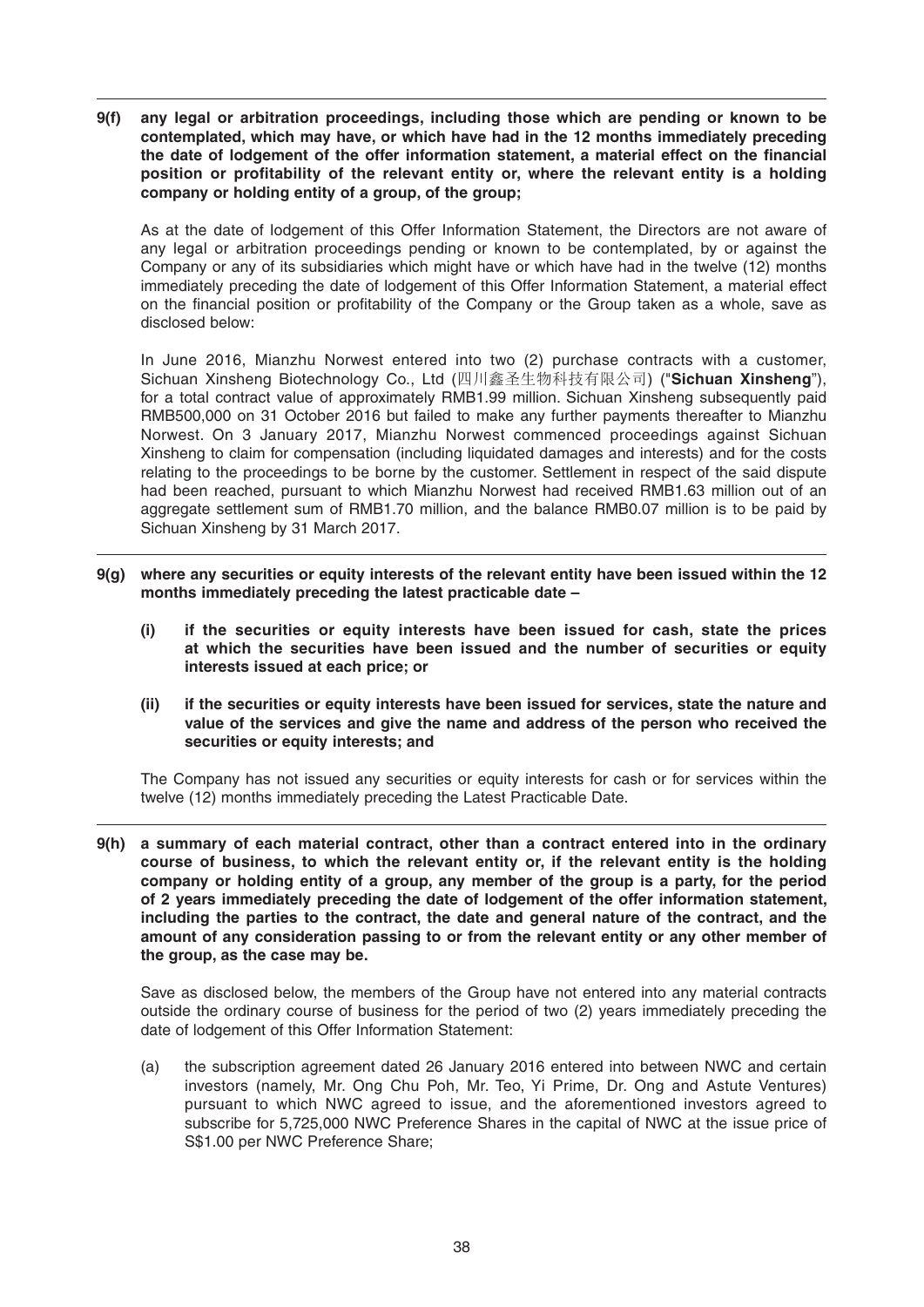**9(f) any legal or arbitration proceedings, including those which are pending or known to be contemplated, which may have, or which have had in the 12 months immediately preceding**  the date of lodgement of the offer information statement, a material effect on the financial position or profitability of the relevant entity or, where the relevant entity is a holding **company or holding entity of a group, of the group;**

 As at the date of lodgement of this Offer Information Statement, the Directors are not aware of any legal or arbitration proceedings pending or known to be contemplated, by or against the Company or any of its subsidiaries which might have or which have had in the twelve (12) months immediately preceding the date of lodgement of this Offer Information Statement, a material effect on the financial position or profitability of the Company or the Group taken as a whole, save as disclosed below:

 In June 2016, Mianzhu Norwest entered into two (2) purchase contracts with a customer, Sichuan Xinsheng Biotechnology Co., Ltd (四川鑫圣生物科技有限公司) ("**Sichuan Xinsheng**"), for a total contract value of approximately RMB1.99 million. Sichuan Xinsheng subsequently paid RMB500,000 on 31 October 2016 but failed to make any further payments thereafter to Mianzhu Norwest. On 3 January 2017, Mianzhu Norwest commenced proceedings against Sichuan Xinsheng to claim for compensation (including liquidated damages and interests) and for the costs relating to the proceedings to be borne by the customer. Settlement in respect of the said dispute had been reached, pursuant to which Mianzhu Norwest had received RMB1.63 million out of an aggregate settlement sum of RMB1.70 million, and the balance RMB0.07 million is to be paid by Sichuan Xinsheng by 31 March 2017.

- **9(g) where any securities or equity interests of the relevant entity have been issued within the 12 months immediately preceding the latest practicable date –**
	- **(i) if the securities or equity interests have been issued for cash, state the prices at which the securities have been issued and the number of securities or equity interests issued at each price; or**
	- **(ii) if the securities or equity interests have been issued for services, state the nature and value of the services and give the name and address of the person who received the securities or equity interests; and**

 The Company has not issued any securities or equity interests for cash or for services within the twelve (12) months immediately preceding the Latest Practicable Date.

**9(h) a summary of each material contract, other than a contract entered into in the ordinary course of business, to which the relevant entity or, if the relevant entity is the holding company or holding entity of a group, any member of the group is a party, for the period of 2 years immediately preceding the date of lodgement of the offer information statement, including the parties to the contract, the date and general nature of the contract, and the amount of any consideration passing to or from the relevant entity or any other member of the group, as the case may be.**

 Save as disclosed below, the members of the Group have not entered into any material contracts outside the ordinary course of business for the period of two (2) years immediately preceding the date of lodgement of this Offer Information Statement:

 (a) the subscription agreement dated 26 January 2016 entered into between NWC and certain investors (namely, Mr. Ong Chu Poh, Mr. Teo, Yi Prime, Dr. Ong and Astute Ventures) pursuant to which NWC agreed to issue, and the aforementioned investors agreed to subscribe for 5,725,000 NWC Preference Shares in the capital of NWC at the issue price of S\$1.00 per NWC Preference Share;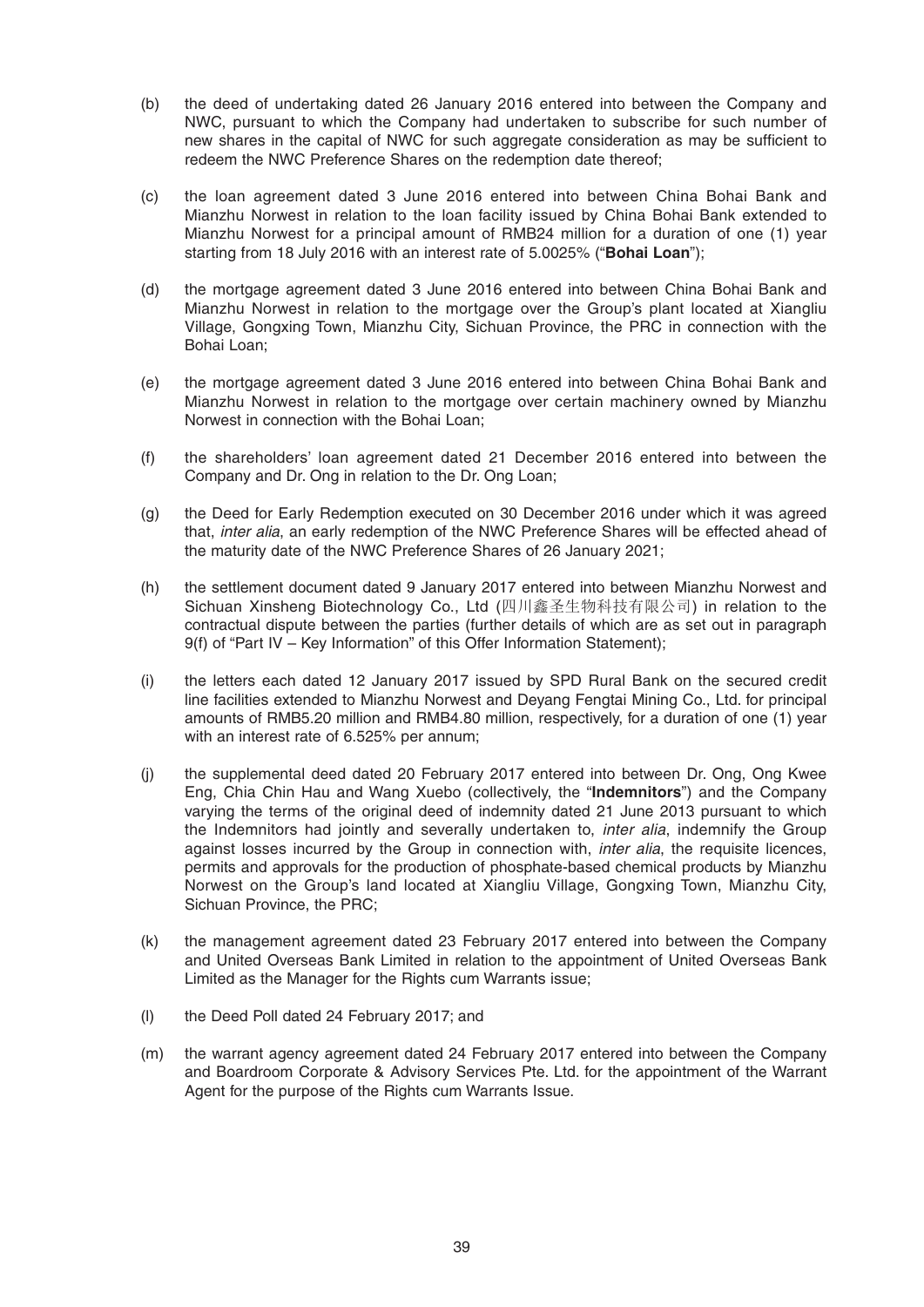- (b) the deed of undertaking dated 26 January 2016 entered into between the Company and NWC, pursuant to which the Company had undertaken to subscribe for such number of new shares in the capital of NWC for such aggregate consideration as may be sufficient to redeem the NWC Preference Shares on the redemption date thereof;
- (c) t he loan agreement dated 3 June 2016 entered into between China Bohai Bank and Mianzhu Norwestin relation to the loan facility issued by China Bohai Bank extended to Mianzhu Norwest for a principal amount of RMB24 million for a duration of one (1) year starting from 18 July 2016 with an interest rate of 5.0025% ("**Bohai Loan**");
- (d) the mortgage agreement dated 3 June 2016 entered into between China Bohai Bank and Mianzhu Norwestin relation to the mortgage over the Group's plant located at Xiangliu Village, Gongxing Town, Mianzhu City, Sichuan Province, the PRC in connection with the Bohai Loan;
- (e) t he mortgage agreement dated 3 June 2016 entered into between China Bohai Bank and Mianzhu Norwestin relation to the mortgage over certain machinery owned by Mianzhu Norwest in connection with the Bohai Loan;
- (f) the shareholders' loan agreement dated 21 December 2016 entered into between the Company and Dr. Ong in relation to the Dr. Ong Loan;
- (g) the Deed for Early Redemption executed on 30 December 2016 under which it was agreed that, *inter alia*, an early redemption of the NWC Preference Shares will be effected ahead of the maturity date of the NWC Preference Shares of 26 January 2021;
- (h) the settlement document dated 9 January 2017 entered into between Mianzhu Norwest and Sichuan Xinsheng Biotechnology Co., Ltd (四川鑫圣生物科技有限公司) in relation to the contractual dispute between the parties (further details of which are as set out in paragraph 9(f) of "Part IV – Key Information" of this Offer Information Statement);
- (i) the letters each dated 12 January 2017 issued by SPD Rural Bank on the secured credit line facilities extended to Mianzhu Norwest and Deyang Fengtai Mining Co., Ltd. for principal amounts of RMB5.20 million and RMB4.80 million, respectively, for a duration of one (1) year with an interest rate of 6.525% per annum;
- (j) the supplemental deed dated 20 February 2017 entered into between Dr. Ong, Ong Kwee Eng, Chia Chin Hau and Wang Xuebo (collectively, the "**Indemnitors**") and the Company varying the terms of the original deed of indemnity dated 21 June 2013 pursuant to which the Indemnitors had jointly and severally undertaken to, *inter alia*, indemnify the Group against losses incurred by the Group in connection with, *inter alia*, the requisite licences, permits and approvals for the production of phosphate-based chemical products by Mianzhu Norwest on the Group's land located at Xiangliu Village, Gongxing Town, Mianzhu City, Sichuan Province, the PRC;
- (k) the management agreement dated 23 February 2017 entered into between the Company and United Overseas Bank Limited in relation to the appointment of United Overseas Bank Limited as the Manager for the Rights cum Warrants issue;
- (l) the Deed Poll dated 24 February 2017; and
- (m) the warrant agency agreement dated 24 February 2017 entered into between the Company and Boardroom Corporate & Advisory Services Pte. Ltd. for the appointment of the Warrant Agent for the purpose of the Rights cum Warrants Issue.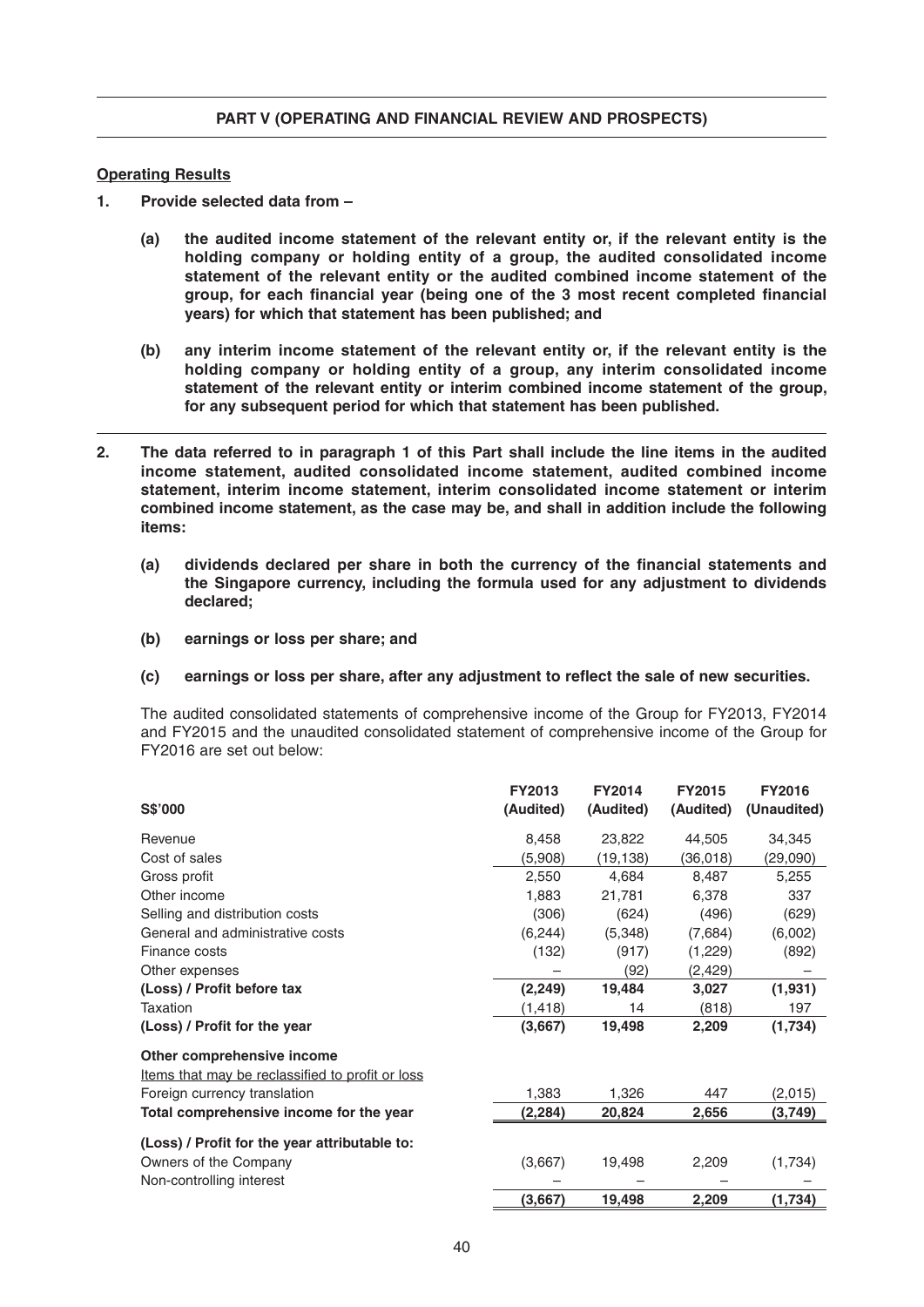# **Operating Results**

- **1. Provide selected data from –**
	- **(a) the audited income statement of the relevant entity or, if the relevant entity is the holding company or holding entity of a group, the audited consolidated income statement of the relevant entity or the audited combined income statement of the**  group, for each financial year (being one of the 3 most recent completed financial **years) for which that statement has been published; and**
	- **(b) any interim income statement of the relevant entity or, if the relevant entity is the holding company or holding entity of a group, any interim consolidated income statement of the relevant entity or interim combined income statement of the group, for any subsequent period for which that statement has been published.**
- **2. The data referred to in paragraph 1 of this Part shall include the line items in the audited income statement, audited consolidated income statement, audited combined income statement, interim income statement, interim consolidated income statement or interim combined income statement, as the case may be, and shall in addition include the following items:**
	- (a) dividends declared per share in both the currency of the financial statements and **the Singapore currency, including the formula used for any adjustment to dividends declared;**
	- **(b) earnings or loss per share; and**

### **(c)** earnings or loss per share, after any adjustment to reflect the sale of new securities.

 The audited consolidated statements of comprehensive income of the Group for FY2013, FY2014 and FY2015 and the unaudited consolidated statement of comprehensive income of the Group for FY2016 are set out below:

|                                                  | <b>FY2013</b> | <b>FY2014</b> | <b>FY2015</b> | <b>FY2016</b> |
|--------------------------------------------------|---------------|---------------|---------------|---------------|
| <b>S\$'000</b>                                   | (Audited)     | (Audited)     | (Audited)     | (Unaudited)   |
| Revenue                                          | 8,458         | 23,822        | 44,505        | 34,345        |
| Cost of sales                                    | (5,908)       | (19, 138)     | (36, 018)     | (29,090)      |
| Gross profit                                     | 2,550         | 4,684         | 8,487         | 5,255         |
| Other income                                     | 1,883         | 21,781        | 6,378         | 337           |
| Selling and distribution costs                   | (306)         | (624)         | (496)         | (629)         |
| General and administrative costs                 | (6, 244)      | (5,348)       | (7,684)       | (6,002)       |
| Finance costs                                    | (132)         | (917)         | (1,229)       | (892)         |
| Other expenses                                   |               | (92)          | (2, 429)      |               |
| (Loss) / Profit before tax                       | (2, 249)      | 19,484        | 3,027         | (1,931)       |
| Taxation                                         | (1, 418)      | 14            | (818)         | 197           |
| (Loss) / Profit for the year                     | (3,667)       | 19,498        | 2,209         | (1,734)       |
| Other comprehensive income                       |               |               |               |               |
| Items that may be reclassified to profit or loss |               |               |               |               |
| Foreign currency translation                     | 1,383         | 1,326         | 447           | (2,015)       |
| Total comprehensive income for the year          | (2, 284)      | 20,824        | 2,656         | (3,749)       |
| (Loss) / Profit for the year attributable to:    |               |               |               |               |
| Owners of the Company                            | (3,667)       | 19,498        | 2,209         | (1,734)       |
| Non-controlling interest                         |               |               |               |               |
|                                                  | (3,667)       | 19,498        | 2,209         | (1,734)       |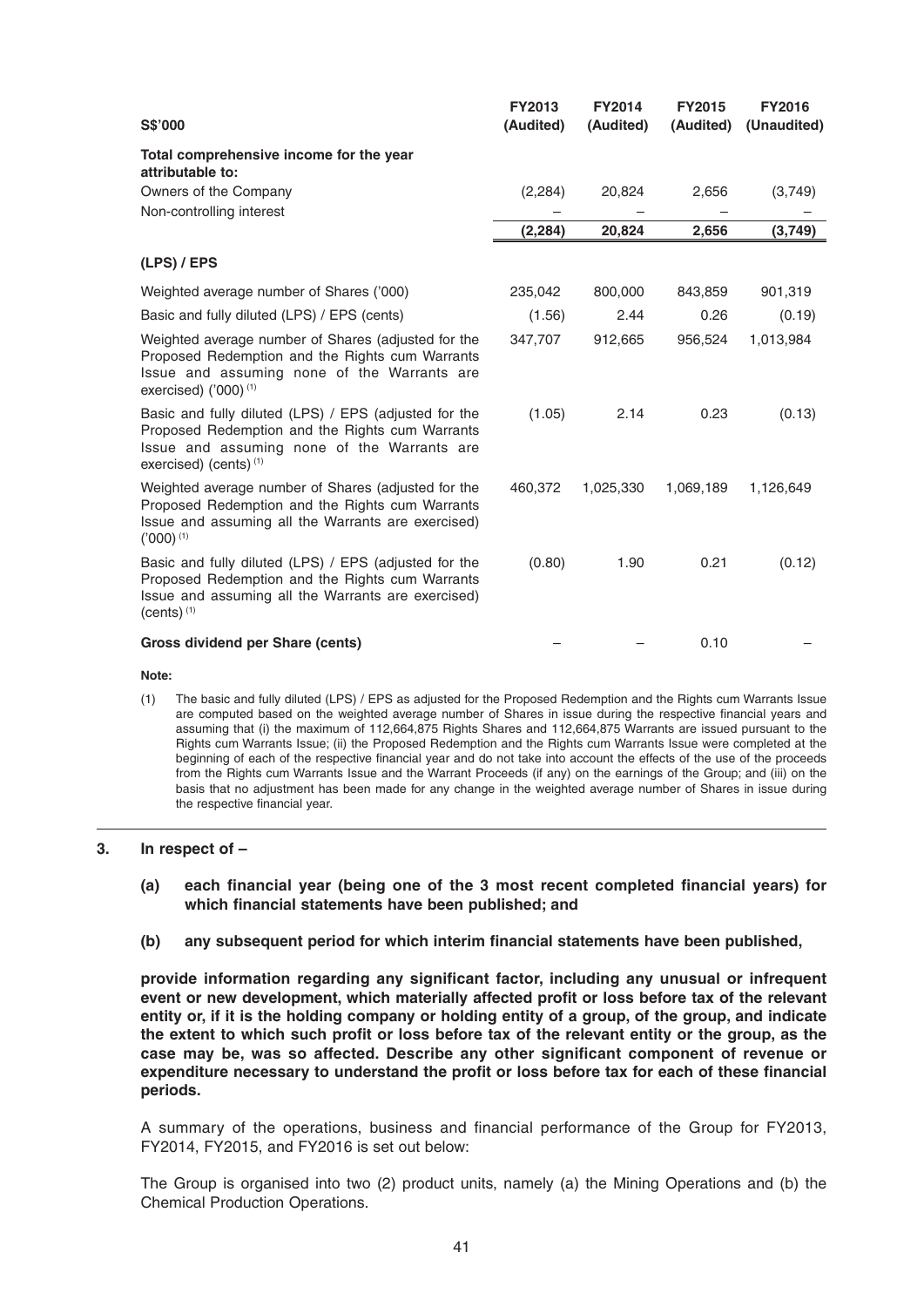| S\$'000                                                                                                                                                                                                 | <b>FY2013</b><br>(Audited) | <b>FY2014</b><br>(Audited) | <b>FY2015</b><br>(Audited) | <b>FY2016</b><br>(Unaudited) |
|---------------------------------------------------------------------------------------------------------------------------------------------------------------------------------------------------------|----------------------------|----------------------------|----------------------------|------------------------------|
| Total comprehensive income for the year<br>attributable to:                                                                                                                                             |                            |                            |                            |                              |
| Owners of the Company                                                                                                                                                                                   | (2, 284)                   | 20,824                     | 2,656                      | (3,749)                      |
| Non-controlling interest                                                                                                                                                                                |                            |                            |                            |                              |
|                                                                                                                                                                                                         | (2, 284)                   | 20,824                     | 2,656                      | (3,749)                      |
| (LPS) / EPS                                                                                                                                                                                             |                            |                            |                            |                              |
| Weighted average number of Shares ('000)                                                                                                                                                                | 235,042                    | 800,000                    | 843,859                    | 901,319                      |
| Basic and fully diluted (LPS) / EPS (cents)                                                                                                                                                             | (1.56)                     | 2.44                       | 0.26                       | (0.19)                       |
| Weighted average number of Shares (adjusted for the<br>Proposed Redemption and the Rights cum Warrants<br>Issue and assuming none of the Warrants are<br>exercised) $(000)^{(1)}$                       | 347,707                    | 912,665                    | 956,524                    | 1,013,984                    |
| Basic and fully diluted (LPS) / EPS (adjusted for the<br>Proposed Redemption and the Rights cum Warrants<br>Issue and assuming none of the Warrants are<br>exercised) (cents) $(1)$                     | (1.05)                     | 2.14                       | 0.23                       | (0.13)                       |
| Weighted average number of Shares (adjusted for the<br>Proposed Redemption and the Rights cum Warrants<br>Issue and assuming all the Warrants are exercised)<br>$('000)$ <sup>(1)</sup>                 | 460,372                    | 1,025,330                  | 1,069,189                  | 1,126,649                    |
| Basic and fully diluted (LPS) / EPS (adjusted for the<br>Proposed Redemption and the Rights cum Warrants<br>Issue and assuming all the Warrants are exercised)<br>$(cents)$ <sup><math>(1)</math></sup> | (0.80)                     | 1.90                       | 0.21                       | (0.12)                       |
| Gross dividend per Share (cents)                                                                                                                                                                        |                            |                            | 0.10                       |                              |

#### **Note :**

 (1) The basic and fully diluted (LPS) / EPS as adjusted for the Proposed Redemption and the Rights cum Warrants Issue are computed based on the weighted average number of Shares in issue during the respective financial years and assuming that (i) the maximum of 112,664,875 Rights Shares and 112,664,875 Warrants are issued pursuant to the Rights cum Warrants Issue; (ii) the Proposed Redemption and the Rights cum Warrants Issue were completed at the beginning of each of the respective financial year and do not take into account the effects of the use of the proceeds from the Rights cum Warrants Issue and the Warrant Proceeds (if any) on the earnings of the Group; and (iii) on the basis that no adjustment has been made for any change in the weighted average number of Shares in issue during the respective financial year.

#### **3. In respect of –**

- (a) each financial year (being one of the 3 most recent completed financial years) for which financial statements have been published; and
- (b) any subsequent period for which interim financial statements have been published,

provide information regarding any significant factor, including any unusual or infrequent event or new development, which materially affected profit or loss before tax of the relevant **entity or, if it is the holding company or holding entity of a group, of the group, and indicate**  the extent to which such profit or loss before tax of the relevant entity or the group, as the case may be, was so affected. Describe any other significant component of revenue or expenditure necessary to understand the profit or loss before tax for each of these financial **periods.**

A summary of the operations, business and financial performance of the Group for FY2013, FY2014, FY2015, and FY2016 is set out below:

 The Group is organised into two (2) product units, namely (a) the Mining Operations and (b) the Chemical Production Operations.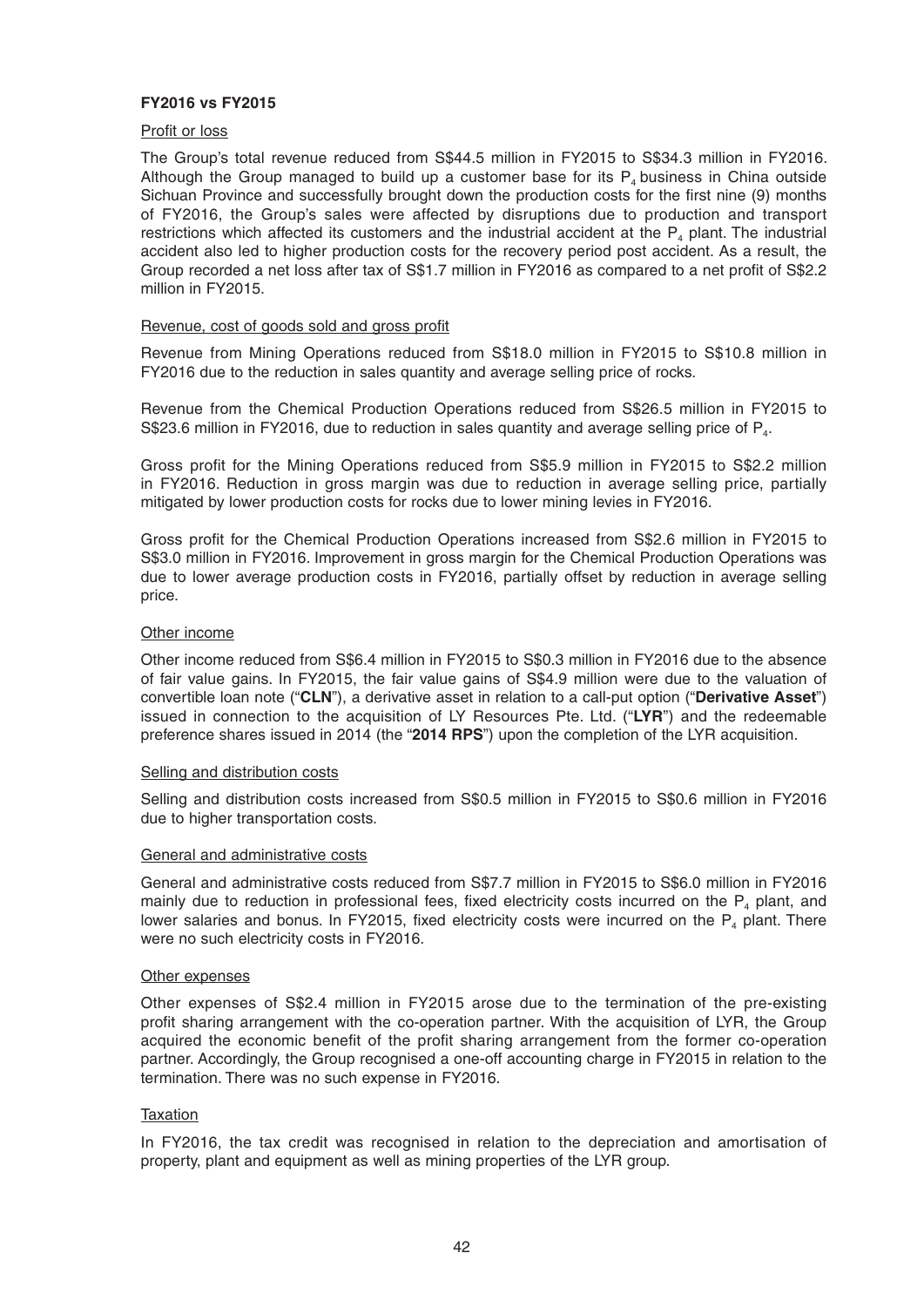# **FY2016 vs FY2015**

# Profit or loss

 The Group's total revenue reduced from S\$44.5 million in FY2015 to S\$34.3 million in FY2016. Although the Group managed to build up a customer base for its  $P_4$  business in China outside Sichuan Province and successfully brought down the production costs for the first nine (9) months of FY2016, the Group's sales were affected by disruptions due to production and transport restrictions which affected its customers and the industrial accident at the  $P<sub>4</sub>$  plant. The industrial accident also led to higher production costs for the recovery period post accident. As a result, the Group recorded a net loss after tax of S\$1.7 million in FY2016 as compared to a net profit of S\$2.2 million in FY2015.

#### Revenue, cost of goods sold and gross profit

 Revenue from Mining Operations reduced from S\$18.0 million in FY2015 to S\$10.8 million in FY2016 due to the reduction in sales quantity and average selling price of rocks.

 Revenue from the Chemical Production Operations reduced from S\$26.5 million in FY2015 to S\$23.6 million in FY2016, due to reduction in sales quantity and average selling price of  $P_{4}$ .

Gross profit for the Mining Operations reduced from S\$5.9 million in FY2015 to S\$2.2 million in FY2016. Reduction in gross margin was due to reduction in average selling price, partially mitigated by lower production costs for rocks due to lower mining levies in FY2016.

Gross profit for the Chemical Production Operations increased from S\$2.6 million in FY2015 to S\$3.0 million in FY2016. Improvement in gross margin for the Chemical Production Operations was due to lower average production costs in FY2016, partially offset by reduction in average selling price.

#### Other income

 Other income reduced from S\$6.4 million in FY2015 to S\$0.3 million in FY2016 due to the absence of fair value gains. In FY2015, the fair value gains of S\$4.9 million were due to the valuation of convertible loan note ("**CLN**"), a derivative asset in relation to a call-put option ("**Derivative Asset**") issued in connection to the acquisition of LY Resources Pte. Ltd. ("LYR") and the redeemable preference shares issued in 2014 (the "2014 RPS") upon the completion of the LYR acquisition.

### Selling and distribution costs

 Selling and distribution costs increased from S\$0.5 million in FY2015 to S\$0.6 million in FY2016 due to higher transportation costs.

### General and administrative costs

 General and administrative costs reduced from S\$7.7 million in FY2015 to S\$6.0 million in FY2016 mainly due to reduction in professional fees, fixed electricity costs incurred on the  $P_4$  plant, and lower salaries and bonus. In FY2015, fixed electricity costs were incurred on the  $P_4$  plant. There were no such electricity costs in FY2016.

#### Other expenses

 Other expenses of S\$2.4 million in FY2015 arose due to the termination of the pre-existing profit sharing arrangement with the co-operation partner. With the acquisition of LYR, the Group acquired the economic benefit of the profit sharing arrangement from the former co-operation partner. Accordingly, the Group recognised a one-off accounting charge in FY2015 in relation to the termination. There was no such expense in FY2016.

### Taxation

 In FY2016, the tax credit was recognised in relation to the depreciation and amortisation of property, plant and equipment as well as mining properties of the LYR group.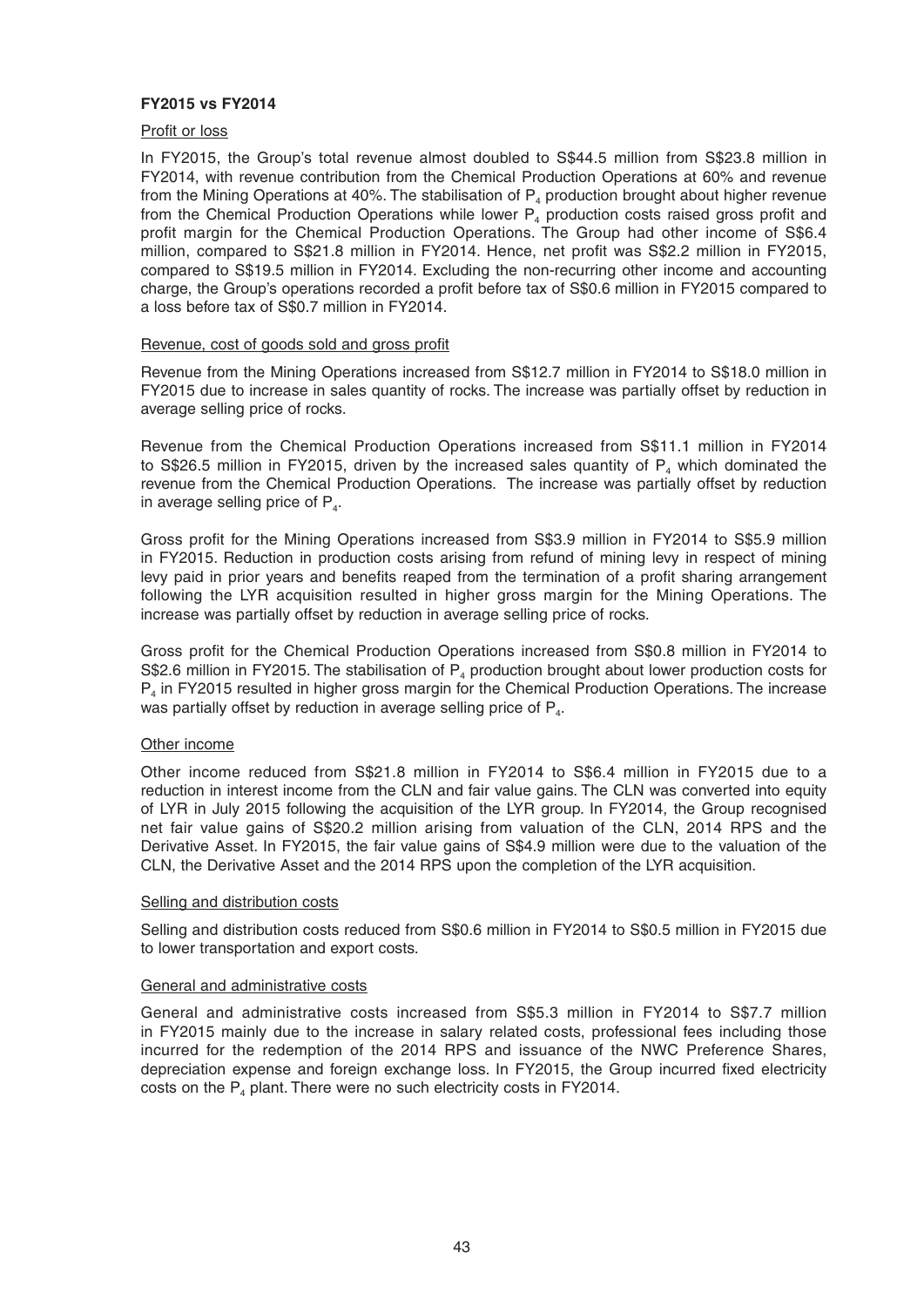# **FY2015 vs FY2014**

### Profit or loss

 In FY2015, the Group's total revenue almost doubled to S\$44.5 million from S\$23.8 million in FY2014, with revenue contribution from the Chemical Production Operations at 60% and revenue from the Mining Operations at 40%. The stabilisation of  $P_4$  production brought about higher revenue from the Chemical Production Operations while lower  $P_4$  production costs raised gross profit and profit margin for the Chemical Production Operations. The Group had other income of S\$6.4 million, compared to S\$21.8 million in FY2014. Hence, net profit was S\$2.2 million in FY2015, compared to S\$19.5 million in FY2014. Excluding the non-recurring other income and accounting charge, the Group's operations recorded a profit before tax of S\$0.6 million in FY2015 compared to a loss before tax of S\$0.7 million in FY2014.

# Revenue, cost of goods sold and gross profit

 Revenue from the Mining Operations increased from S\$12.7 million in FY2014 to S\$18.0 million in FY2015 due to increase in sales quantity of rocks. The increase was partially offset by reduction in average selling price of rocks.

 Revenue from the Chemical Production Operations increased from S\$11.1 million in FY2014 to S\$26.5 million in FY2015, driven by the increased sales quantity of  $P<sub>4</sub>$  which dominated the revenue from the Chemical Production Operations. The increase was partially offset by reduction in average selling price of  $P_{4}$ .

Gross profit for the Mining Operations increased from S\$3.9 million in FY2014 to S\$5.9 million in FY2015. Reduction in production costs arising from refund of mining levy in respect of mining levy paid in prior years and benefits reaped from the termination of a profit sharing arrangement following the LYR acquisition resulted in higher gross margin for the Mining Operations. The increase was partially offset by reduction in average selling price of rocks.

Gross profit for the Chemical Production Operations increased from S\$0.8 million in FY2014 to S\$2.6 million in FY2015. The stabilisation of  $P_4$  production brought about lower production costs for P<sub>4</sub> in FY2015 resulted in higher gross margin for the Chemical Production Operations. The increase was partially offset by reduction in average selling price of P<sub>4</sub>.

### Other income

 Other income reduced from S\$21.8 million in FY2014 to S\$6.4 million in FY2015 due to a reduction in interest income from the CLN and fair value gains. The CLN was converted into equity of LYR in July 2015 following the acquisition of the LYR group. In FY2014, the Group recognised net fair value gains of S\$20.2 million arising from valuation of the CLN, 2014 RPS and the Derivative Asset. In FY2015, the fair value gains of S\$4.9 million were due to the valuation of the CLN, the Derivative Asset and the 2014 RPS upon the completion of the LYR acquisition.

### Selling and distribution costs

 Selling and distribution costs reduced from S\$0.6 million in FY2014 to S\$0.5 million in FY2015 due to lower transportation and export costs.

### General and administrative costs

 General and administrative costs increased from S\$5.3 million in FY2014 to S\$7.7 million in FY2015 mainly due to the increase in salary related costs, professional fees including those incurred for the redemption of the 2014 RPS and issuance of the NWC Preference Shares, depreciation expense and foreign exchange loss. In FY2015, the Group incurred fixed electricity costs on the  $P_4$  plant. There were no such electricity costs in FY2014.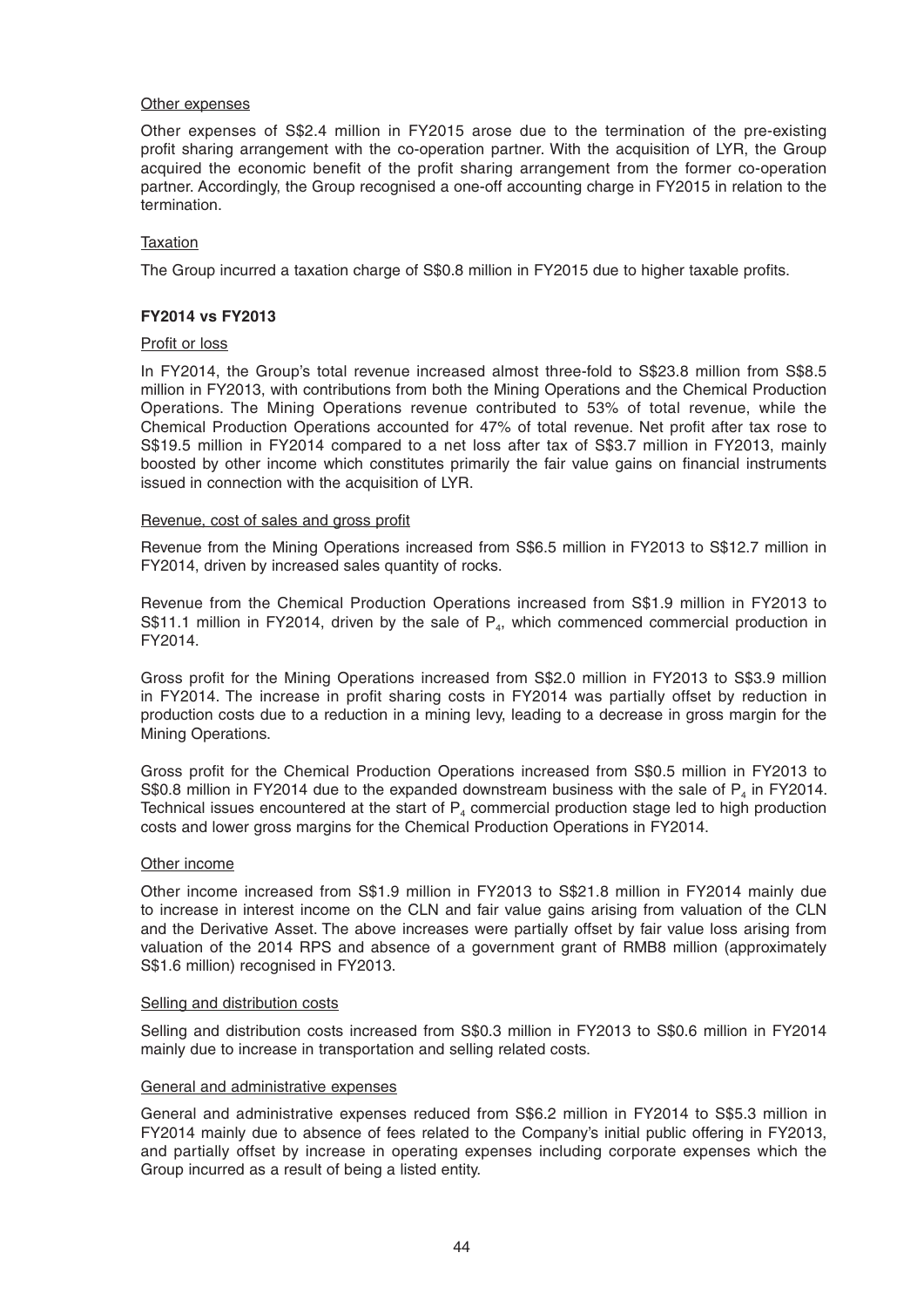### Other expenses

 Other expenses of S\$2.4 million in FY2015 arose due to the termination of the pre-existing profit sharing arrangement with the co-operation partner. With the acquisition of LYR, the Group acquired the economic benefit of the profit sharing arrangement from the former co-operation partner. Accordingly, the Group recognised a one-off accounting charge in FY2015 in relation to the termination.

# **Taxation**

The Group incurred a taxation charge of S\$0.8 million in FY2015 due to higher taxable profits.

# **FY2014 vs FY2013**

### Profit or loss

 In FY2014, the Group's total revenue increased almost three-fold to S\$23.8 million from S\$8.5 million in FY2013, with contributions from both the Mining Operations and the Chemical Production Operations. The Mining Operations revenue contributed to 53% of total revenue, while the Chemical Production Operations accounted for 47% of total revenue. Net profit after tax rose to S\$19.5 million in FY2014 compared to a net loss after tax of S\$3.7 million in FY2013, mainly boosted by other income which constitutes primarily the fair value gains on financial instruments issued in connection with the acquisition of LYR.

### Revenue, cost of sales and gross profit

 Revenue from the Mining Operations increased from S\$6.5 million in FY2013 to S\$12.7 million in FY2014, driven by increased sales quantity of rocks.

 Revenue from the Chemical Production Operations increased from S\$1.9 million in FY2013 to S\$11.1 million in FY2014, driven by the sale of  $P_{4}$ , which commenced commercial production in FY2014.

Gross profit for the Mining Operations increased from S\$2.0 million in FY2013 to S\$3.9 million in FY2014. The increase in profit sharing costs in FY2014 was partially offset by reduction in production costs due to a reduction in a mining levy, leading to a decrease in gross margin for the Mining Operations.

Gross profit for the Chemical Production Operations increased from S\$0.5 million in FY2013 to S\$0.8 million in FY2014 due to the expanded downstream business with the sale of  $P_4$  in FY2014. Technical issues encountered at the start of  $P<sub>4</sub>$  commercial production stage led to high production costs and lower gross margins for the Chemical Production Operations in FY2014.

### Other income

 Other income increased from S\$1.9 million in FY2013 to S\$21.8 million in FY2014 mainly due to increase in interest income on the CLN and fair value gains arising from valuation of the CLN and the Derivative Asset. The above increases were partially offset by fair value loss arising from valuation of the 2014 RPS and absence of a government grant of RMB8 million (approximately S\$1.6 million) recognised in FY2013.

### Selling and distribution costs

 Selling and distribution costs increased from S\$0.3 million in FY2013 to S\$0.6 million in FY2014 mainly due to increase in transportation and selling related costs.

### General and administrative expenses

 General and administrative expenses reduced from S\$6.2 million in FY2014 to S\$5.3 million in FY2014 mainly due to absence of fees related to the Company's initial public offering in FY2013, and partially offset by increase in operating expenses including corporate expenses which the Group incurred as a result of being a listed entity.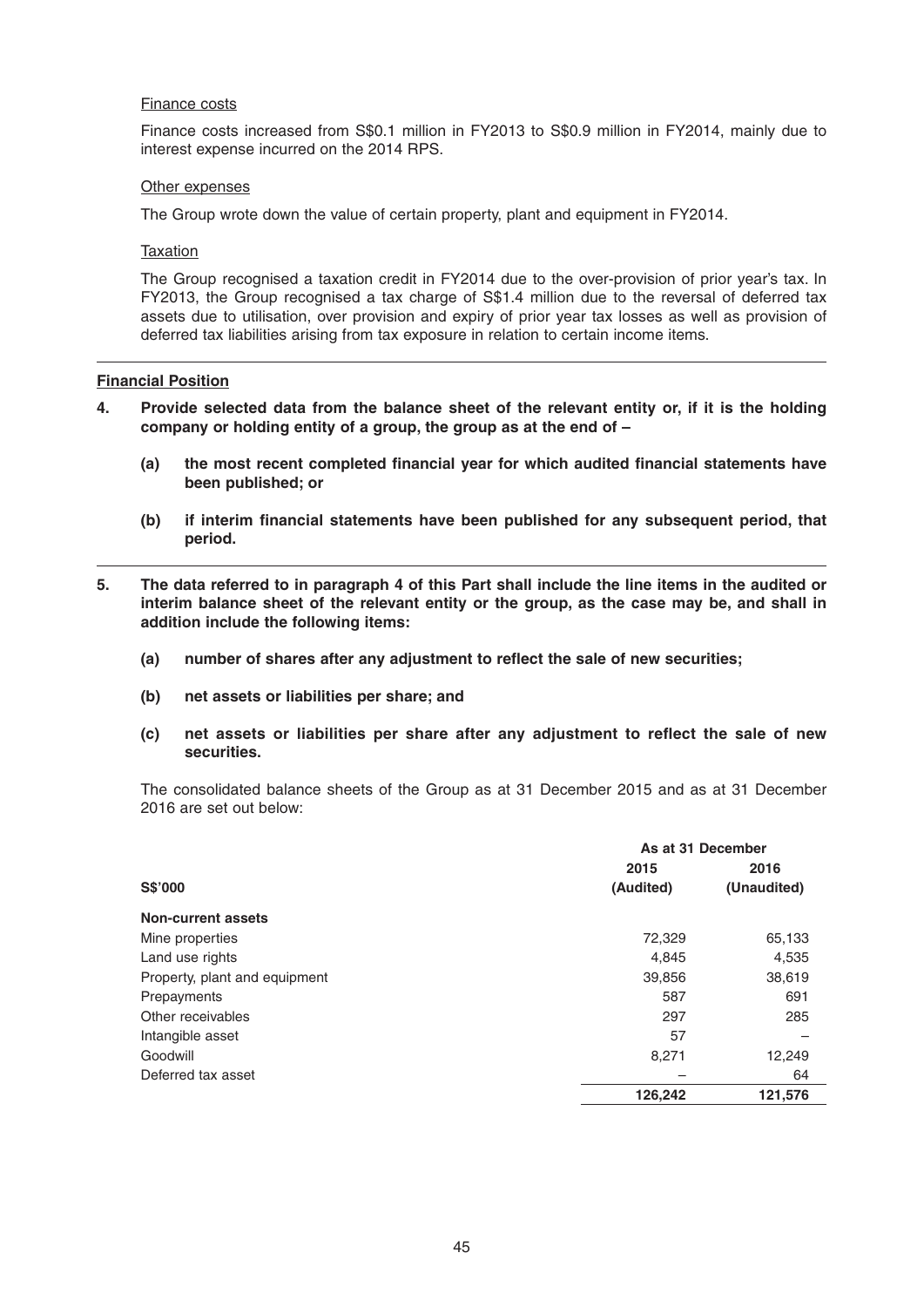#### Finance costs

 Finance costs increased from S\$0.1 million in FY2013 to S\$0.9 million in FY2014, mainly due to interest expense incurred on the 2014 RPS.

#### Other expenses

The Group wrote down the value of certain property, plant and equipment in FY2014.

Taxation

 The Group recognised a taxation credit in FY2014 due to the over -provision of prior year's tax. In FY2013, the Group recognised a tax charge of S\$1.4 million due to the reversal of deferred tax assets due to utilisation, over provision and expiry of prior year tax losses as well as provision of deferred tax liabilities arising from tax exposure in relation to certain income items.

#### **Financial Position**

- **4. Provide selected data from the balance sheet of the relevant entity or, if it is the holding company or holding entity of a group, the group as at the end of –**
	- (a) the most recent completed financial year for which audited financial statements have **been published; or**
	- (b) if interim financial statements have been published for any subsequent period, that **period.**
- **5. The data referred to in paragraph 4 of this Part shall include the line items in the audited or interim balance sheet of the relevant entity or the group, as the case may be, and shall in addition include the following items:**
	- (a) number of shares after any adjustment to reflect the sale of new securities;
	- **(b) net assets or liabilities per share; and**
	- (c) net assets or liabilities per share after any adjustment to reflect the sale of new **securities.**

 The consolidated balance sheets of the Group as at 31 December 2015 and as at 31 December 2016 are set out below:

|                               | As at 31 December |             |  |  |
|-------------------------------|-------------------|-------------|--|--|
|                               | 2015              | 2016        |  |  |
| S\$'000                       | (Audited)         | (Unaudited) |  |  |
| <b>Non-current assets</b>     |                   |             |  |  |
| Mine properties               | 72,329            | 65,133      |  |  |
| Land use rights               | 4,845             | 4,535       |  |  |
| Property, plant and equipment | 39,856            | 38,619      |  |  |
| Prepayments                   | 587               | 691         |  |  |
| Other receivables             | 297               | 285         |  |  |
| Intangible asset              | 57                |             |  |  |
| Goodwill                      | 8,271             | 12,249      |  |  |
| Deferred tax asset            |                   | 64          |  |  |
|                               | 126,242           | 121,576     |  |  |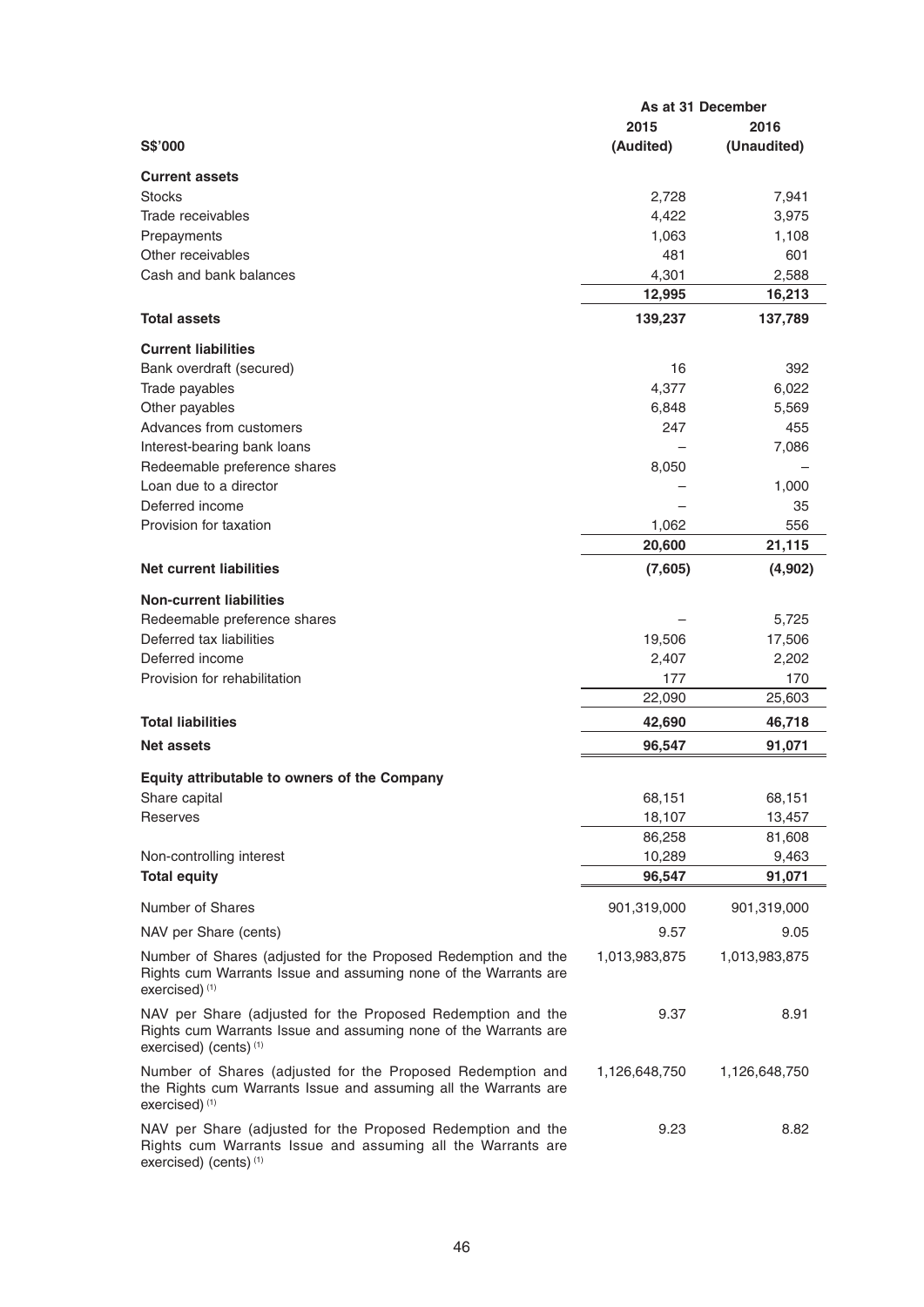|                                                                                                                                                                 | As at 31 December |               |  |
|-----------------------------------------------------------------------------------------------------------------------------------------------------------------|-------------------|---------------|--|
|                                                                                                                                                                 | 2015              | 2016          |  |
| S\$'000                                                                                                                                                         | (Audited)         | (Unaudited)   |  |
| <b>Current assets</b>                                                                                                                                           |                   |               |  |
| <b>Stocks</b>                                                                                                                                                   | 2,728             | 7,941         |  |
| Trade receivables                                                                                                                                               | 4,422             | 3,975         |  |
| Prepayments                                                                                                                                                     | 1,063             | 1,108         |  |
| Other receivables                                                                                                                                               | 481               | 601           |  |
| Cash and bank balances                                                                                                                                          | 4,301             | 2,588         |  |
|                                                                                                                                                                 | 12,995            | 16,213        |  |
| <b>Total assets</b>                                                                                                                                             | 139,237           | 137,789       |  |
| <b>Current liabilities</b>                                                                                                                                      |                   |               |  |
| Bank overdraft (secured)                                                                                                                                        | 16                | 392           |  |
| Trade payables                                                                                                                                                  | 4,377             | 6,022         |  |
| Other payables                                                                                                                                                  | 6,848             | 5,569         |  |
| Advances from customers                                                                                                                                         | 247               | 455           |  |
| Interest-bearing bank loans                                                                                                                                     |                   | 7,086         |  |
| Redeemable preference shares                                                                                                                                    | 8,050             |               |  |
| Loan due to a director                                                                                                                                          |                   | 1,000         |  |
| Deferred income                                                                                                                                                 |                   | 35            |  |
| Provision for taxation                                                                                                                                          | 1,062             | 556           |  |
|                                                                                                                                                                 | 20,600            | 21,115        |  |
| <b>Net current liabilities</b>                                                                                                                                  | (7,605)           | (4,902)       |  |
| <b>Non-current liabilities</b>                                                                                                                                  |                   |               |  |
| Redeemable preference shares                                                                                                                                    |                   | 5,725         |  |
| Deferred tax liabilities                                                                                                                                        | 19,506            | 17,506        |  |
| Deferred income                                                                                                                                                 | 2,407             | 2,202         |  |
| Provision for rehabilitation                                                                                                                                    | 177               | 170           |  |
|                                                                                                                                                                 | 22,090            | 25,603        |  |
| <b>Total liabilities</b>                                                                                                                                        | 42,690            | 46,718        |  |
| <b>Net assets</b>                                                                                                                                               | 96,547            | 91,071        |  |
| Equity attributable to owners of the Company                                                                                                                    |                   |               |  |
| Share capital                                                                                                                                                   | 68,151            | 68,151        |  |
| Reserves                                                                                                                                                        | 18,107            | 13,457        |  |
|                                                                                                                                                                 | 86,258            | 81,608        |  |
| Non-controlling interest                                                                                                                                        | 10,289            | 9,463         |  |
| <b>Total equity</b>                                                                                                                                             | 96,547            | 91,071        |  |
| Number of Shares                                                                                                                                                | 901,319,000       | 901,319,000   |  |
| NAV per Share (cents)                                                                                                                                           | 9.57              | 9.05          |  |
| Number of Shares (adjusted for the Proposed Redemption and the<br>Rights cum Warrants Issue and assuming none of the Warrants are<br>exercised) <sup>(1)</sup>  | 1,013,983,875     | 1,013,983,875 |  |
| NAV per Share (adjusted for the Proposed Redemption and the<br>Rights cum Warrants Issue and assuming none of the Warrants are<br>exercised) (cents) (1)        | 9.37              | 8.91          |  |
| Number of Shares (adjusted for the Proposed Redemption and<br>the Rights cum Warrants Issue and assuming all the Warrants are<br>exercised) <sup>(1)</sup>      | 1,126,648,750     | 1,126,648,750 |  |
| NAV per Share (adjusted for the Proposed Redemption and the<br>Rights cum Warrants Issue and assuming all the Warrants are<br>exercised) (cents) <sup>(1)</sup> | 9.23              | 8.82          |  |

46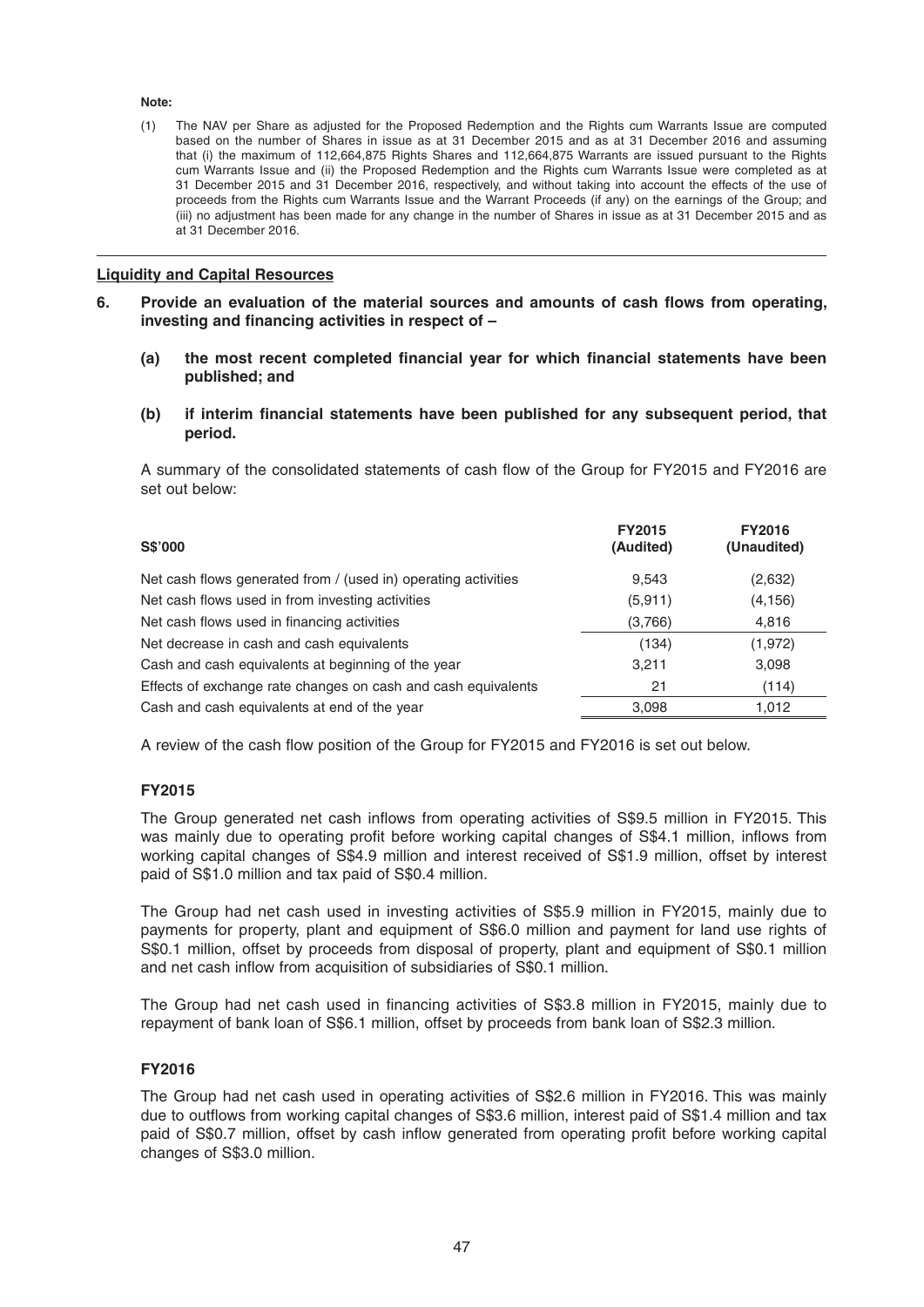#### **Note:**

 (1) The NAV per Share as adjusted for the Proposed Redemption and the Rights cum Warrants Issue are computed based on the number of Shares in issue as at 31 December 2015 and as at 31 December 2016 and assuming that (i) the maximum of 112,664,875 Rights Shares and 112,664,875 Warrants are issued pursuant to the Rights cum Warrants Issue and (ii) the Proposed Redemption and the Rights cum Warrants Issue were completed as at 31 December 2015 and 31 December 2016, respectively, and without taking into account the effects of the use of proceeds from the Rights cum Warrants Issue and the Warrant Proceeds (if any) on the earnings of the Group; and (iii) no adjustment has been made for any change in the number of Shares in issue as at 31 December 2015 and as at 31 December 2016.

### **Liquidity and Capital Resources**

- 6. Provide an evaluation of the material sources and amounts of cash flows from operating, investing and financing activities in respect of –
	- (a) the most recent completed financial year for which financial statements have been **published; and**
	- (b) if interim financial statements have been published for any subsequent period, that **period.**

A summary of the consolidated statements of cash flow of the Group for FY2015 and FY2016 are set out below:

| <b>S\$'000</b>                                                 | <b>FY2015</b><br>(Audited) | <b>FY2016</b><br>(Unaudited) |
|----------------------------------------------------------------|----------------------------|------------------------------|
| Net cash flows generated from / (used in) operating activities | 9,543                      | (2,632)                      |
| Net cash flows used in from investing activities               | (5,911)                    | (4, 156)                     |
| Net cash flows used in financing activities                    | (3,766)                    | 4,816                        |
| Net decrease in cash and cash equivalents                      | (134)                      | (1,972)                      |
| Cash and cash equivalents at beginning of the year             | 3,211                      | 3,098                        |
| Effects of exchange rate changes on cash and cash equivalents  | 21                         | (114)                        |
| Cash and cash equivalents at end of the year                   | 3,098                      | 1,012                        |

A review of the cash flow position of the Group for FY2015 and FY2016 is set out below.

# **FY2015**

The Group generated net cash inflows from operating activities of S\$9.5 million in FY2015. This was mainly due to operating profit before working capital changes of S\$4.1 million, inflows from working capital changes of S\$4.9 million and interest received of S\$1.9 million, offset by interest paid of S\$1.0 million and tax paid of S\$0.4 million.

 The Group had net cash used in investing activities of S\$5.9 million in FY2015, mainly due to payments for property, plant and equipment of S\$6.0 million and payment for land use rights of S\$0.1 million, offset by proceeds from disposal of property, plant and equipment of S\$0.1 million and net cash inflow from acquisition of subsidiaries of S\$0.1 million.

The Group had net cash used in financing activities of S\$3.8 million in FY2015, mainly due to repayment of bank loan of S\$6.1 million, offset by proceeds from bank loan of S\$2.3 million.

### **FY2016**

The Group had net cash used in operating activities of S\$2. 6 million in FY2016. This was mainly due to outflows from working capital changes of S\$3.6 million, interest paid of S\$1.4 million and tax paid of S\$0.7 million, offset by cash inflow generated from operating profit before working capital changes of S\$3.0 million.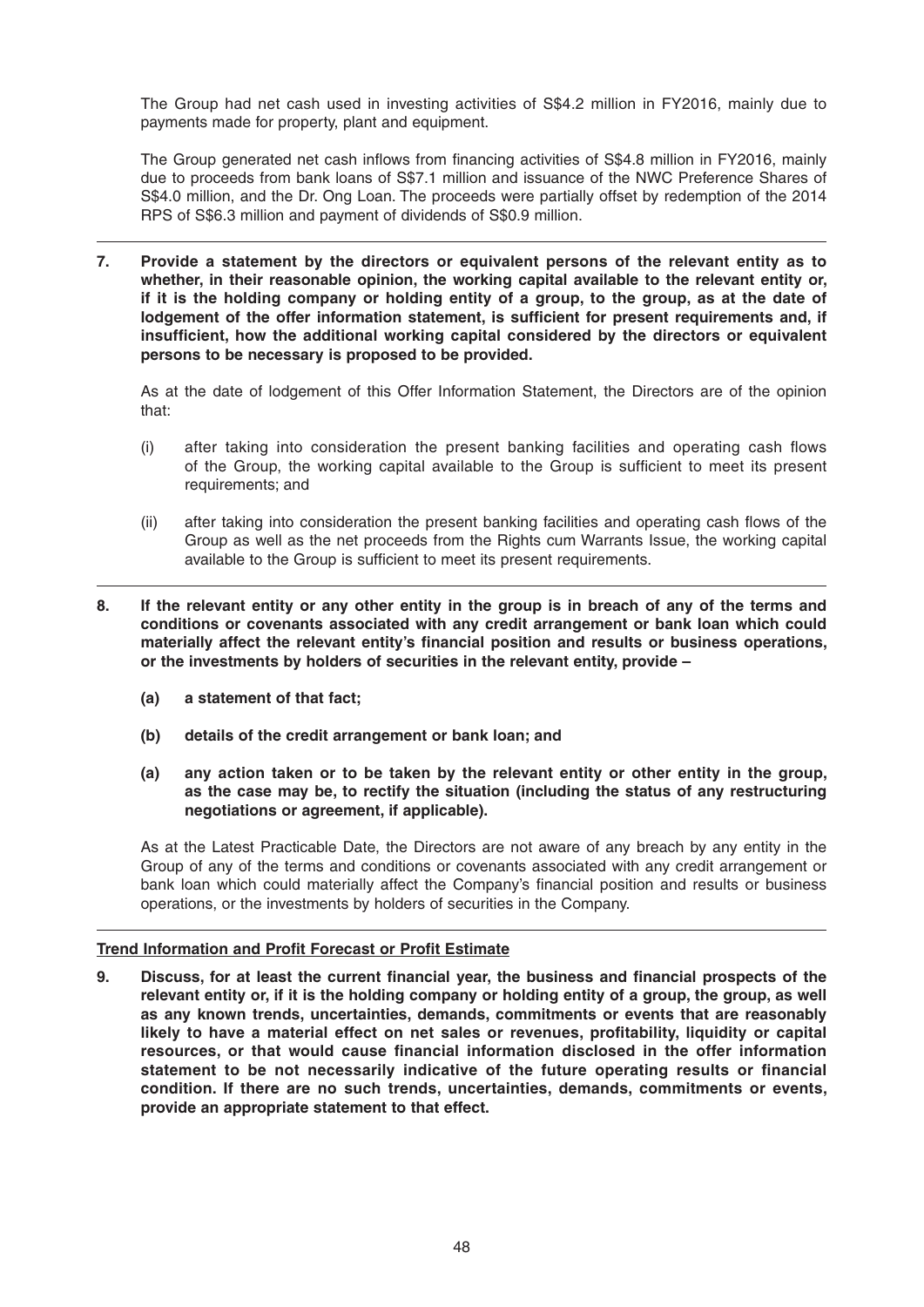The Group had net cash used in investing activities of S\$4.2 million in FY2016, mainly due to payments made for property, plant and equipment.

The Group generated net cash inflows from financing activities of S\$4.8 million in FY2016, mainly due to proceeds from bank loans of S\$7.1 million and issuance of the NWC Preference Shares of S\$4.0 million, and the Dr. Ong Loan. The proceeds were partially offset by redemption of the 2014 RPS of S\$6.3 million and payment of dividends of S\$0.9 million.

**7. Provide a statement by the directors or equivalent persons of the relevant entity as to whether, in their reasonable opinion, the working capital available to the relevant entity or, if it is the holding company or holding entity of a group, to the group, as at the date of**  lodgement of the offer information statement, is sufficient for present requirements and, if insufficient, how the additional working capital considered by the directors or equivalent **persons to be necessary is proposed to be provided.**

 As at the date of lodgement of this Offer Information Statement, the Directors are of the opinion that:

- (i) after taking into consideration the present banking facilities and operating cash flows of the Group, the working capital available to the Group is sufficient to meet its present requirements; and
- (ii) after taking into consideration the present banking facilities and operating cash flows of the Group as well as the net proceeds from the Rights cum Warrants Issue, the working capital available to the Group is sufficient to meet its present requirements.
- **8. If the relevant entity or any other entity in the group is in breach of any of the terms and conditions or covenants associated with any credit arrangement or bank loan which could**  materially affect the relevant entity's financial position and results or business operations, **or the investments by holders of securities in the relevant entity, provide –**
	- **(a) a statement of that fact;**
	- **(b) details of the credit arrangement or bank loan; and**
	- **(a) any action taken or to be taken by the relevant entity or other entity in the group, as the case may be, to rectify the situation (including the status of any restructuring negotiations or agreement, if applicable).**

 As at the Latest Practicable Date, the Directors are not aware of any breach by any entity in the Group of any of the terms and conditions or covenants associated with any credit arrangement or bank loan which could materially affect the Company's financial position and results or business operations, or the investments by holders of securities in the Company.

# **Trend Information and Profit Forecast or Profit Estimate**

**9.** Discuss, for at least the current financial year, the business and financial prospects of the **relevant entity or, if it is the holding company or holding entity of a group, the group, as well as any known trends, uncertainties, demands, commitments or events that are reasonably**  likely to have a material effect on net sales or revenues, profitability, liquidity or capital resources, or that would cause financial information disclosed in the offer information statement to be not necessarily indicative of the future operating results or financial **condition. If there are no such trends, uncertainties, demands, commitments or events, provide an appropriate statement to that effect.**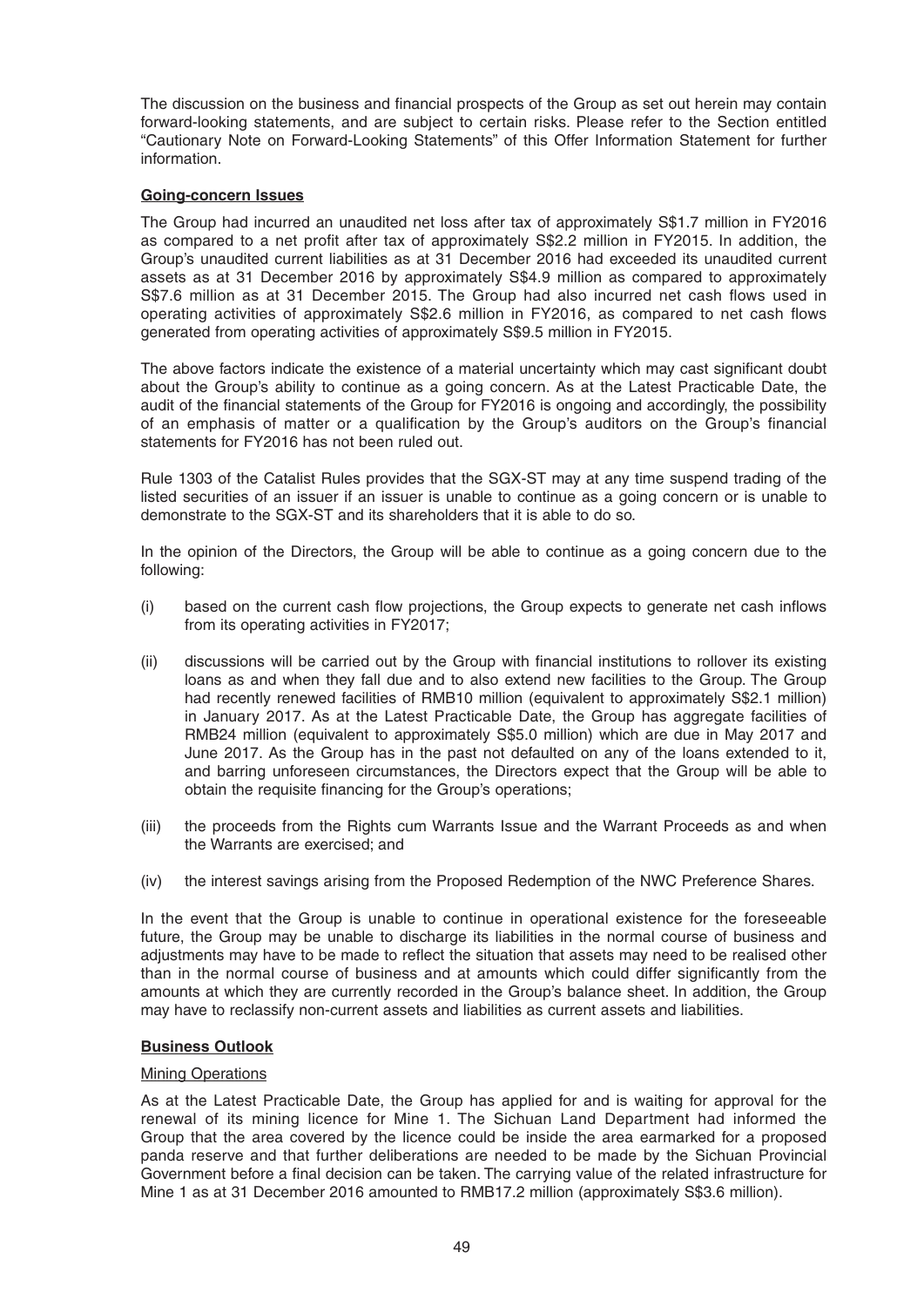The discussion on the business and financial prospects of the Group as set out herein may contain forward-looking statements, and are subject to certain risks. Please refer to the Section entitled "Cautionary Note on Forward-Looking Statements" of this Offer Information Statement for further information.

# **Going-concern Issues**

The Group had incurred an unaudited net loss after tax of approximately S\$1.7 million in FY2016 as compared to a net profit after tax of approximately S\$2.2 million in FY2015. In addition, the Group's unaudited current liabilities as at 31 December 2016 had exceeded its unaudited current assets as at 31 December 2016 by approximately S\$4.9 million as compared to approximately S\$7.6 million as at 31 December 2015. The Group had also incurred net cash flows used in operating activities of approximately S\$2.6 million in FY2016, as compared to net cash flows generated from operating activities of approximately S\$9.5 million in FY2015.

The above factors indicate the existence of a material uncertainty which may cast significant doubt about the Group's ability to continue as a going concern. As at the Latest Practicable Date, the audit of the financial statements of the Group for FY2016 is ongoing and accordingly, the possibility of an emphasis of matter or a qualification by the Group's auditors on the Group's financial statements for FY2016 has not been ruled out.

 Rule 1303 of the Catalist Rules provides that the SGX-ST may at any time suspend trading of the listed securities of an issuer if an issuer is unable to continue as a going concern or is unable to demonstrate to the SGX-ST and its shareholders that it is able to do so.

 In the opinion of the Directors, the Group will be able to continue as a going concern due to the following:

- $(i)$  based on the current cash flow projections, the Group expects to generate net cash inflows from its operating activities in FY2017;
- (ii) discussions will be carried out by the Group with financial institutions to rollover its existing loans as and when they fall due and to also extend new facilities to the Group. The Group had recently renewed facilities of RMB10 million (equivalent to approximately S\$2.1 million) in January 2017. As at the Latest Practicable Date, the Group has aggregate facilities of RMB24 million (equivalent to approximately S\$5.0 million) which are due in May 2017 and June 2017. As the Group has in the past not defaulted on any of the loans extended to it, and barring unforeseen circumstances, the Directors expect that the Group will be able to obtain the requisite financing for the Group's operations;
- (iii) the proceeds from the Rights cum Warrants Issue and the Warrant Proceeds as and when the Warrants are exercised; and
- (iv) the interest savings arising from the Proposed Redemption of the NWC Preference Shares.

 In the event that the Group is unable to continue in operational existence for the foreseeable future, the Group may be unable to discharge its liabilities in the normal course of business and adjustments may have to be made to reflect the situation that assets may need to be realised other than in the normal course of business and at amounts which could differ significantly from the amounts at which they are currently recorded in the Group's balance sheet. In addition, the Group may have to reclassify non-current assets and liabilities as current assets and liabilities.

### **Business Outlook**

### **Mining Operations**

 As at the Latest Practicable Date, the Group has applied for and is waiting for approval for the renewal of its mining licence for Mine 1. The Sichuan Land Department had informed the Group that the area covered by the licence could be inside the area earmarked for a proposed panda reserve and that further deliberations are needed to be made by the Sichuan Provincial Government before a final decision can be taken. The carrying value of the related infrastructure for Mine 1 as at 31 December 2016 amounted to RMB17.2 million (approximately S\$3.6 million).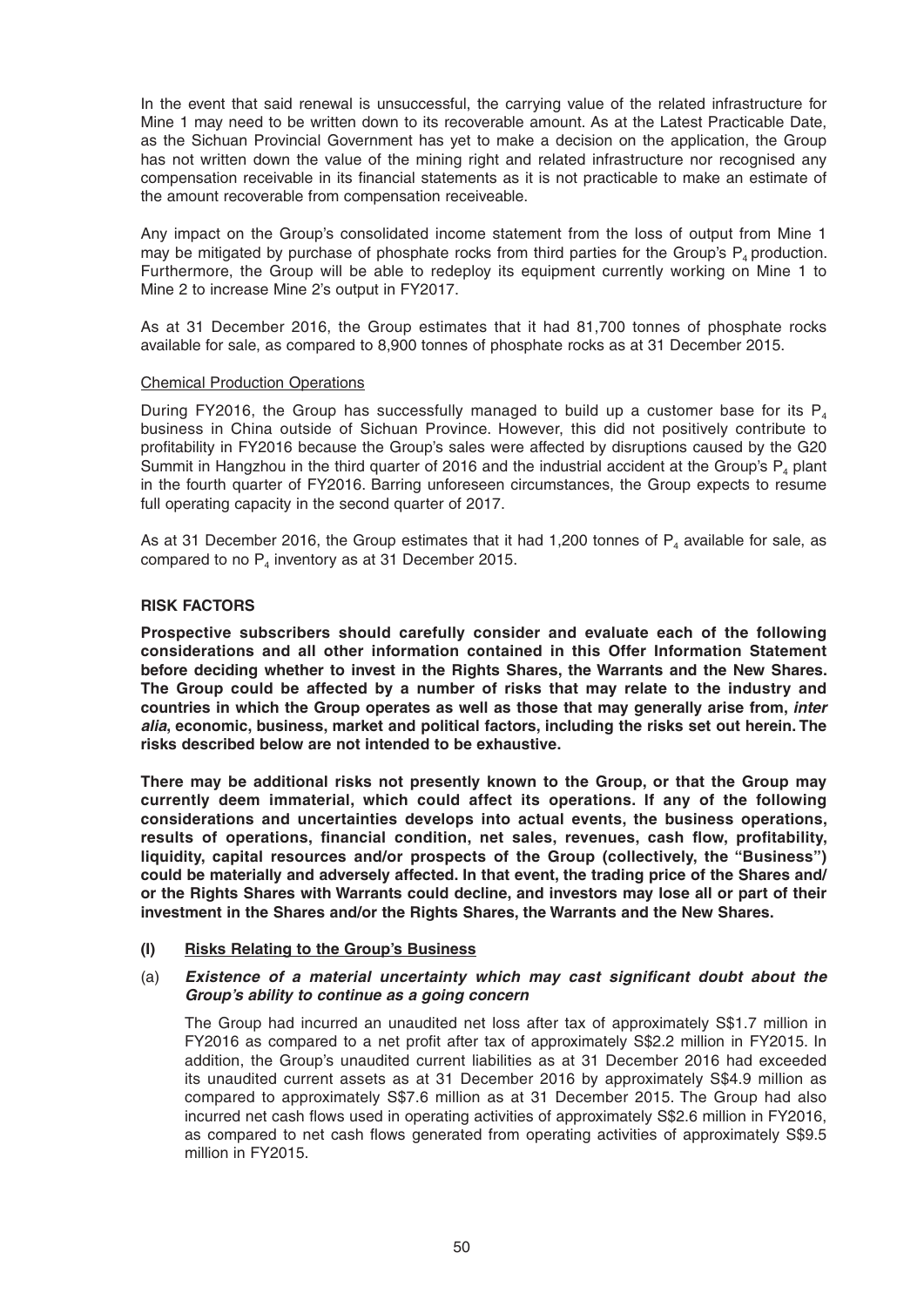In the event that said renewal is unsuccessful, the carrying value of the related infrastructure for Mine 1 may need to be written down to its recoverable amount. As at the Latest Practicable Date, as the Sichuan Provincial Government has yet to make a decision on the application, the Group has not written down the value of the mining right and related infrastructure nor recognised any compensation receivable in its financial statements as it is not practicable to make an estimate of the amount recoverable from compensation receiveable.

 Any impact on the Group's consolidated income statement from the loss of output from Mine 1 may be mitigated by purchase of phosphate rocks from third parties for the Group's  $P_4$  production. Furthermore, the Group will be able to redeploy its equipment currently working on Mine 1 to Mine 2 to increase Mine 2's output in FY2017.

 As at 31 December 2016, the Group estimates that it had 81,700 tonnes of phosphate rocks available for sale, as compared to 8,900 tonnes of phosphate rocks as at 31 December 2015.

### Chemical Production Operations

During FY2016, the Group has successfully managed to build up a customer base for its  $P_{4}$ business in China outside of Sichuan Province. However, this did not positively contribute to profi tability in FY2016 because the Group's sales were affected by disruptions caused by the G20 Summit in Hangzhou in the third quarter of 2016 and the industrial accident at the Group's P, plant in the fourth quarter of FY2016. Barring unforeseen circumstances, the Group expects to resume full operating capacity in the second quarter of 2017.

As at 31 December 2016, the Group estimates that it had 1,200 tonnes of  $P<sub>4</sub>$  available for sale, as compared to no  $P_4$  inventory as at 31 December 2015.

# **RISK FACTORS**

 **Prospective subscribers should carefully consider and evaluate each of the following considerations and all other information contained in this Offer Information Statement before deciding whether to invest in the Rights Shares, the Warrants and the New Shares. The Group could be affected by a number of risks that may relate to the industry and countries in which the Group operates as well as those that may generally arise from,** *inter alia***, economic, business, market and political factors, including the risks set out herein. The risks described below are not intended to be exhaustive.** 

 **There may be additional risks not presently known to the Group, or that the Group may currently deem immaterial, which could affect its operations. If any of the following considerations and uncertainties develops into actual events, the business operations,**  results of operations, financial condition, net sales, revenues, cash flow, profitability, **liquidity, capital resources and/or prospects of the Group (collectively, the "Business") could be materially and adversely affected. In that event, the trading price of the Shares and/ or the Rights Shares with Warrants could decline, and investors may lose all or part of their investment in the Shares and/or the Rights Shares, the Warrants and the New Shares.** 

# **(I) Risks Relating to the Group's Business**

# (a) *Existence of a material uncertainty which may cast significant doubt about the Group's ability to continue as a going concern*

 The Group had incurred an unaudited net loss after tax of approximately S\$1.7 million in FY2016 as compared to a net profit after tax of approximately S\$2.2 million in FY2015. In addition, the Group's unaudited current liabilities as at 31 December 2016 had exceeded its unaudited current assets as at 31 December 2016 by approximately S\$4.9 million as compared to approximately S\$7.6 million as at 31 December 2015. The Group had also incurred net cash flows used in operating activities of approximately S\$2.6 million in FY2016, as compared to net cash flows generated from operating activities of approximately S\$9.5 million in FY2015.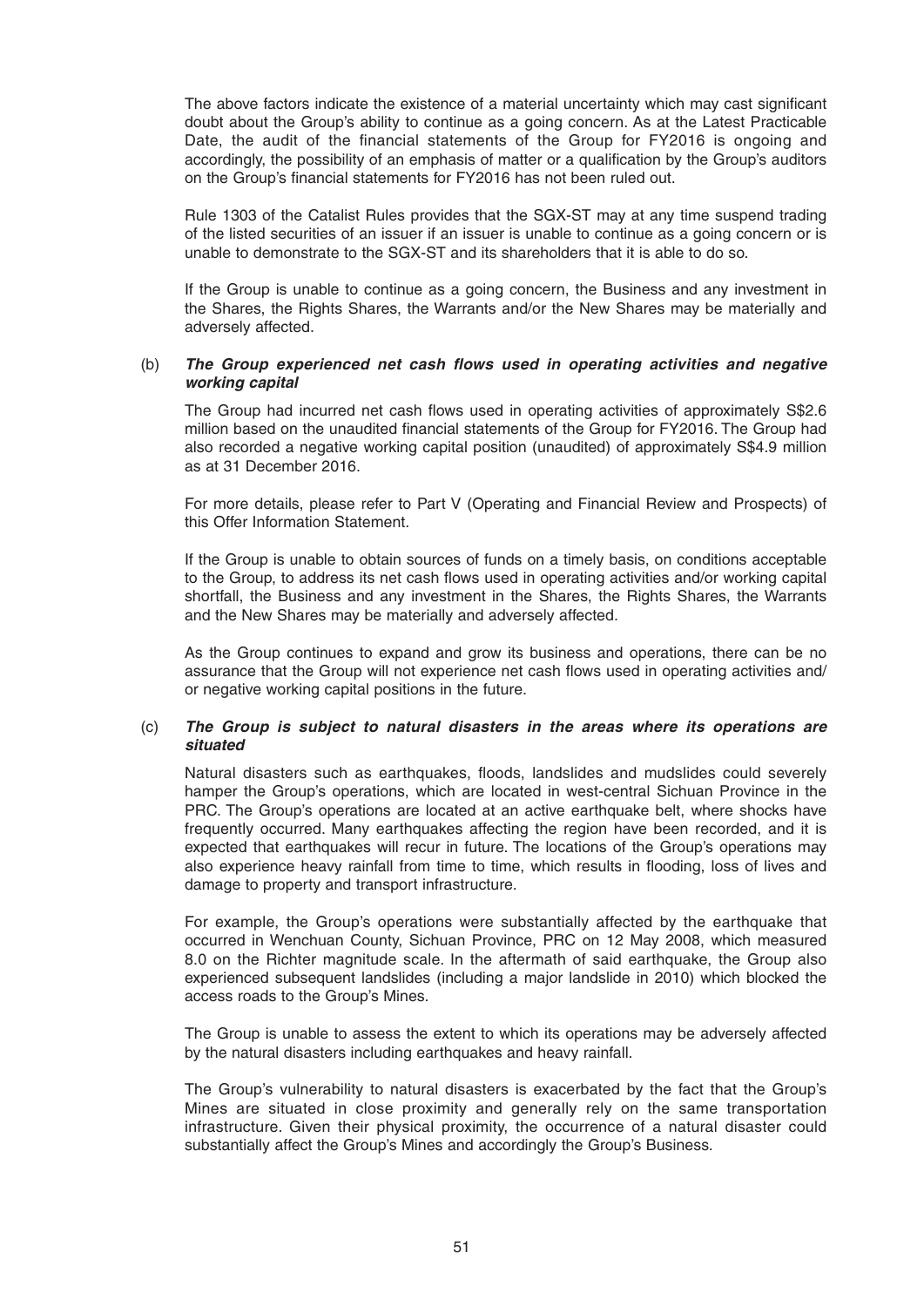The above factors indicate the existence of a material uncertainty which may cast significant doubt about the Group's ability to continue as a going concern. As at the Latest Practicable Date, the audit of the financial statements of the Group for FY2016 is ongoing and accordingly, the possibility of an emphasis of matter or a qualification by the Group's auditors on the Group's financial statements for FY2016 has not been ruled out.

 Rule 1303 of the Catalist Rules provides that the SGX-ST may at any time suspend trading of the listed securities of an issuer if an issuer is unable to continue as a going concern or is unable to demonstrate to the SGX-ST and its shareholders that it is able to do so.

 If the Group is unable to continue as a going concern, the Business and any investment in the Shares, the Rights Shares, the Warrants and/or the New Shares may be materially and adversely affected.

# (b) **The Group experienced net cash flows used in operating activities and negative** *working capital*

The Group had incurred net cash flows used in operating activities of approximately S\$2.6 million based on the unaudited financial statements of the Group for FY2016. The Group had also recorded a negative working capital position (unaudited) of approximately S\$4.9 million as at 31 December 2016.

 For more details, please refer to Part V (Operating and Financial Review and Prospects) of this Offer Information Statement.

 If the Group is unable to obtain sources of funds on a timely basis, on conditions acceptable to the Group, to address its net cash flows used in operating activities and/or working capital shortfall, the Business and any investment in the Shares, the Rights Shares, the Warrants and the New Shares may be materially and adversely affected.

 As the Group continues to expand and grow its business and operations, there can be no assurance that the Group will not experience net cash flows used in operating activities and/ or negative working capital positions in the future.

# (c) *The Group is subject to natural disasters in the areas where its operations are situated*

Natural disasters such as earthquakes, floods, landslides and mudslides could severely hamper the Group's operations, which are located in west-central Sichuan Province in the PRC. The Group's operations are located at an active earthquake belt, where shocks have frequently occurred. Many earthquakes affecting the region have been recorded, and it is expected that earthquakes will recur in future. The locations of the Group's operations may also experience heavy rainfall from time to time, which results in flooding, loss of lives and damage to property and transport infrastructure.

 For example, the Group's operations were substantially affected by the earthquake that occurred in Wenchuan County, Sichuan Province, PRC on 12 May 2008, which measured 8.0 on the Richter magnitude scale. In the aftermath of said earthquake, the Group also experienced subsequent landslides (including a major landslide in 2010) which blocked the access roads to the Group's Mines.

 The Group is unable to assess the extent to which its operations may be adversely affected by the natural disasters including earthquakes and heavy rainfall.

 The Group's vulnerability to natural disasters is exacerbated by the fact that the Group's Mines are situated in close proximity and generally rely on the same transportation infrastructure. Given their physical proximity, the occurrence of a natural disaster could substantially affect the Group's Mines and accordingly the Group's Business.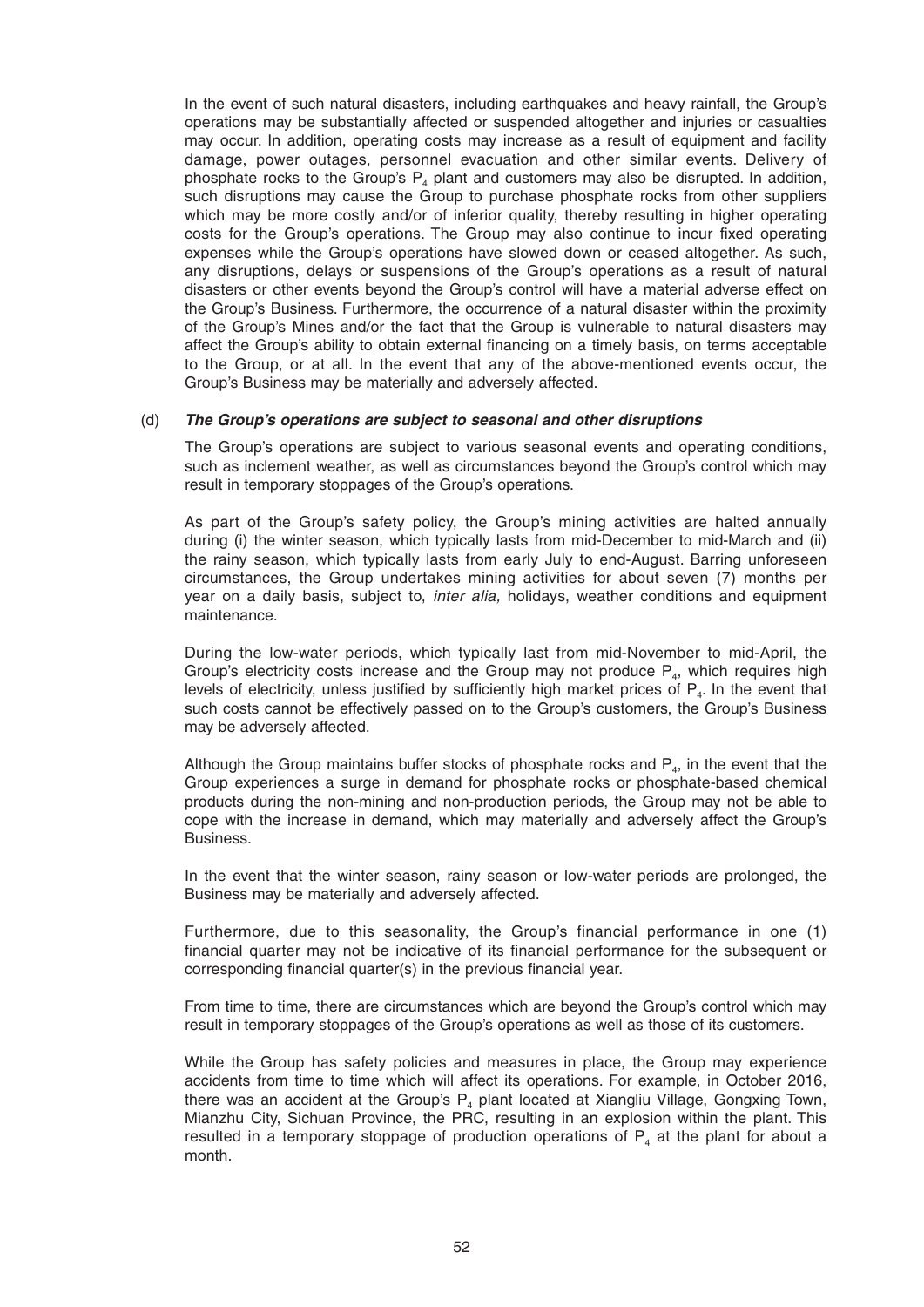In the event of such natural disasters, including earthquakes and heavy rainfall, the Group's operations may be substantially affected or suspended altogether and injuries or casualties may occur. In addition, operating costs may increase as a result of equipment and facility damage, power outages, personnel evacuation and other similar events. Delivery of phosphate rocks to the Group's  $P_4$  plant and customers may also be disrupted. In addition, such disruptions may cause the Group to purchase phosphate rocks from other suppliers which may be more costly and/or of inferior quality, thereby resulting in higher operating costs for the Group's operations. The Group may also continue to incur fixed operating expenses while the Group's operations have slowed down or ceased altogether. As such, any disruptions, delays or suspensions of the Group's operations as a result of natural disasters or other events beyond the Group's control will have a material adverse effect on the Group's Business. Furthermore, the occurrence of a natural disaster within the proximity of the Group's Mines and/or the fact that the Group is vulnerable to natural disasters may affect the Group's ability to obtain external financing on a timely basis, on terms acceptable to the Group, or at all. In the event that any of the above-mentioned events occur, the Group's Business may be materially and adversely affected.

# (d) *The Group's operations are subject to seasonal and other disruptions*

The Group's operations are subject to various seasonal events and operating conditions, such as inclement weather, as well as circumstances beyond the Group's control which may result in temporary stoppages of the Group's operations.

 As part of the Group's safety policy, the Group's mining activities are halted annually during (i) the winter season, which typically lasts from mid-December to mid-March and (ii) the rainy season, which typically lasts from early July to end-August. Barring unforeseen circumstances, the Group undertakes mining activities for about seven (7) months per year on a daily basis, subject to, *inter alia,* holidays, weather conditions and equipment maintenance.

 During the low-water periods, which typically last from mid-November to mid-April, the Group's electricity costs increase and the Group may not produce  $P_{4}$ , which requires high levels of electricity, unless justified by sufficiently high market prices of  $P<sub>4</sub>$ . In the event that such costs cannot be effectively passed on to the Group's customers, the Group's Business may be adversely affected.

Although the Group maintains buffer stocks of phosphate rocks and  $P<sub>4</sub>$ , in the event that the Group experiences a surge in demand for phosphate rocks or phosphate-based chemical products during the non-mining and non-production periods, the Group may not be able to cope with the increase in demand, which may materially and adversely affect the Group's Business.

 In the event that the winter season, rainy season or low-water periods are prolonged, the Business may be materially and adversely affected.

 Furthermore, due to this seasonality, the Group's financial performance in one (1) financial quarter may not be indicative of its financial performance for the subsequent or corresponding financial quarter(s) in the previous financial year.

 From time to time, there are circumstances which are beyond the Group's control which may result in temporary stoppages of the Group's operations as well as those of its customers.

 While the Group has safety policies and measures in place, the Group may experience accidents from time to time which will affect its operations. For example, in October 2016, there was an accident at the Group's  $P_4$  plant located at Xiangliu Village, Gongxing Town, Mianzhu City, Sichuan Province, the PRC, resulting in an explosion within the plant. This resulted in a temporary stoppage of production operations of  $P_4$  at the plant for about a month.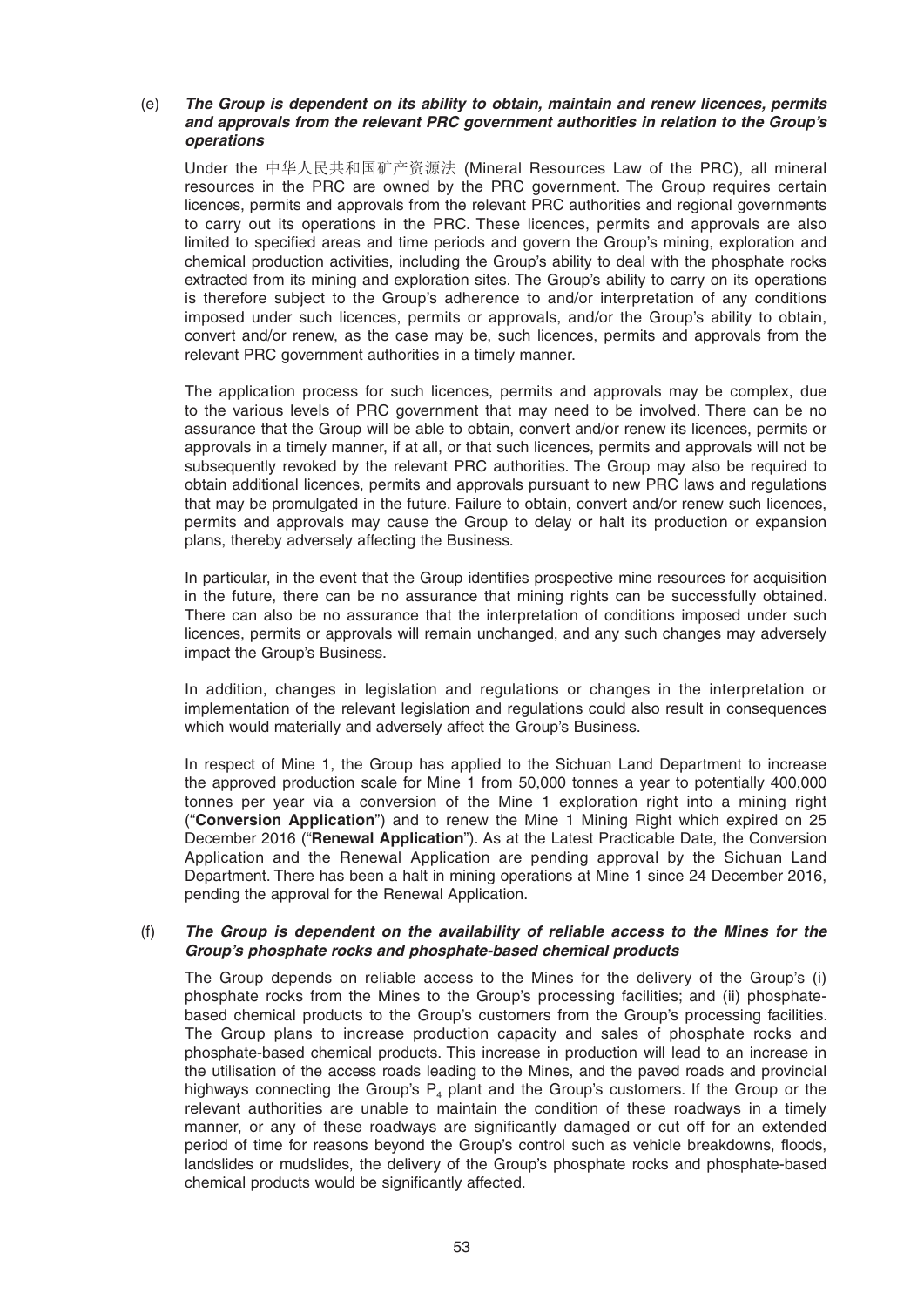# (e) *The Group is dependent on its ability to obtain, maintain and renew licences, permits and approvals from the relevant PRC government authorities in relation to the Group's operations*

Under the 中华人民共和国矿产资源法 (Mineral Resources Law of the PRC), all mineral resources in the PRC are owned by the PRC government. The Group requires certain licences, permits and approvals from the relevant PRC authorities and regional governments to carry out its operations in the PRC. These licences, permits and approvals are also limited to specified areas and time periods and govern the Group's mining, exploration and chemical production activities, including the Group's ability to deal with the phosphate rocks extracted from its mining and exploration sites. The Group's ability to carry on its operations is therefore subject to the Group's adherence to and/or interpretation of any conditions imposed under such licences, permits or approvals, and/or the Group's ability to obtain, convert and/or renew, as the case may be, such licences, permits and approvals from the relevant PRC government authorities in a timely manner.

 The application process for such licences, permits and approvals may be complex, due to the various levels of PRC government that may need to be involved. There can be no assurance that the Group will be able to obtain, convert and/or renew its licences, permits or approvals in a timely manner, if at all, or that such licences, permits and approvals will not be subsequently revoked by the relevant PRC authorities. The Group may also be required to obtain additional licences, permits and approvals pursuant to new PRC laws and regulations that may be promulgated in the future. Failure to obtain, convert and/or renew such licences, permits and approvals may cause the Group to delay or halt its production or expansion plans, thereby adversely affecting the Business.

In particular, in the event that the Group identifies prospective mine resources for acquisition in the future, there can be no assurance that mining rights can be successfully obtained. There can also be no assurance that the interpretation of conditions imposed under such licences, permits or approvals will remain unchanged, and any such changes may adversely impact the Group's Business.

 In addition, changes in legislation and regulations or changes in the interpretation or implementation of the relevant legislation and regulations could also result in consequences which would materially and adversely affect the Group's Business.

 In respect of Mine 1, the Group has applied to the Sichuan Land Department to increase the approved production scale for Mine 1 from 50,000 tonnes a year to potentially 400,000 tonnes per year via a conversion of the Mine 1 exploration right into a mining right ("**Conversion Application**") and to renew the Mine 1 Mining Right which expired on 25 December 2016 ("**Renewal Application**"). As at the Latest Practicable Date, the Conversion Application and the Renewal Application are pending approval by the Sichuan Land Department. There has been a halt in mining operations at Mine 1 since 24 December 2016, pending the approval for the Renewal Application.

# (f) *The Group is dependent on the availability of reliable access to the Mines for the Group's phosphate rocks and phosphate-based chemical products*

 The Group depends on reliable access to the Mines for the delivery of the Group's (i) phosphate rocks from the Mines to the Group's processing facilities; and (ii) phosphatebased chemical products to the Group's customers from the Group's processing facilities. The Group plans to increase production capacity and sales of phosphate rocks and phosphate-based chemical products. This increase in production will lead to an increase in the utilisation of the access roads leading to the Mines, and the paved roads and provincial highways connecting the Group's  $P_4$  plant and the Group's customers. If the Group or the relevant authorities are unable to maintain the condition of these roadways in a timely manner, or any of these roadways are significantly damaged or cut off for an extended period of time for reasons beyond the Group's control such as vehicle breakdowns, floods, landslides or mudslides, the delivery of the Group's phosphate rocks and phosphate-based chemical products would be significantly affected.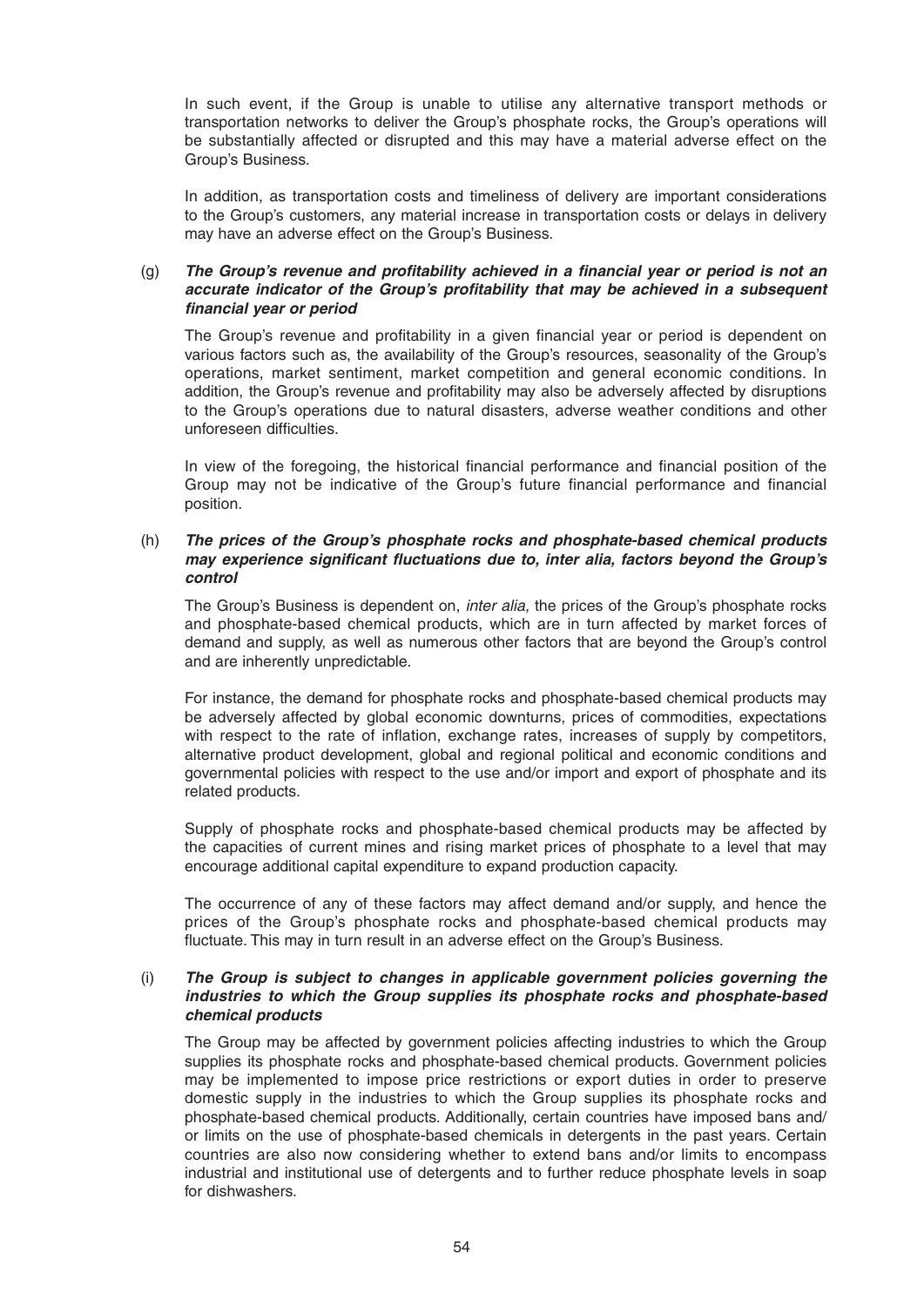In such event, if the Group is unable to utilise any alternative transport methods or transportation networks to deliver the Group's phosphate rocks, the Group's operations will be substantially affected or disrupted and this may have a material adverse effect on the Group's Business.

 In addition, as transportation costs and timeliness of delivery are important considerations to the Group's customers, any material increase in transportation costs or delays in delivery may have an adverse effect on the Group's Business.

# (g) The Group's revenue and profitability achieved in a financial year or period is not an *accurate indicator of the Group's profitability that may be achieved in a subsequent fi nancial year or period*

The Group's revenue and profitability in a given financial year or period is dependent on various factors such as, the availability of the Group's resources, seasonality of the Group's operations, market sentiment, market competition and general economic conditions. In addition, the Group's revenue and profitability may also be adversely affected by disruptions to the Group's operations due to natural disasters, adverse weather conditions and other unforeseen difficulties.

In view of the foregoing, the historical financial performance and financial position of the Group may not be indicative of the Group's future financial performance and financial position.

# (h) *The prices of the Group's phosphate rocks and phosphate-based chemical products may experience significant fluctuations due to, inter alia, factors beyond the Group's control*

 The Group's Business is dependent on, *inter alia,* the prices of the Group's phosphate rocks and phosphate-based chemical products, which are in turn affected by market forces of demand and supply, as well as numerous other factors that are beyond the Group's control and are inherently unpredictable.

 For instance, the demand for phosphate rocks and phosphate-based chemical products may be adversely affected by global economic downturns, prices of commodities, expectations with respect to the rate of inflation, exchange rates, increases of supply by competitors, alternative product development, global and regional political and economic conditions and governmental policies with respect to the use and/or import and export of phosphate and its related products.

 Supply of phosphate rocks and phosphate-based chemical products may be affected by the capacities of current mines and rising market prices of phosphate to a level that may encourage additional capital expenditure to expand production capacity.

 The occurrence of any of these factors may affect demand and/or supply, and hence the prices of the Group's phosphate rocks and phosphate-based chemical products may fluctuate. This may in turn result in an adverse effect on the Group's Business.

# (i) *The Group is subject to changes in applicable government policies governing the industries to which the Group supplies its phosphate rocks and phosphate-based chemical products*

The Group may be affected by government policies affecting industries to which the Group supplies its phosphate rocks and phosphate-based chemical products. Government policies may be implemented to impose price restrictions or export duties in order to preserve domestic supply in the industries to which the Group supplies its phosphate rocks and phosphate-based chemical products. Additionally, certain countries have imposed bans and/ or limits on the use of phosphate-based chemicals in detergents in the past years. Certain countries are also now considering whether to extend bans and/or limits to encompass industrial and institutional use of detergents and to further reduce phosphate levels in soap for dishwashers.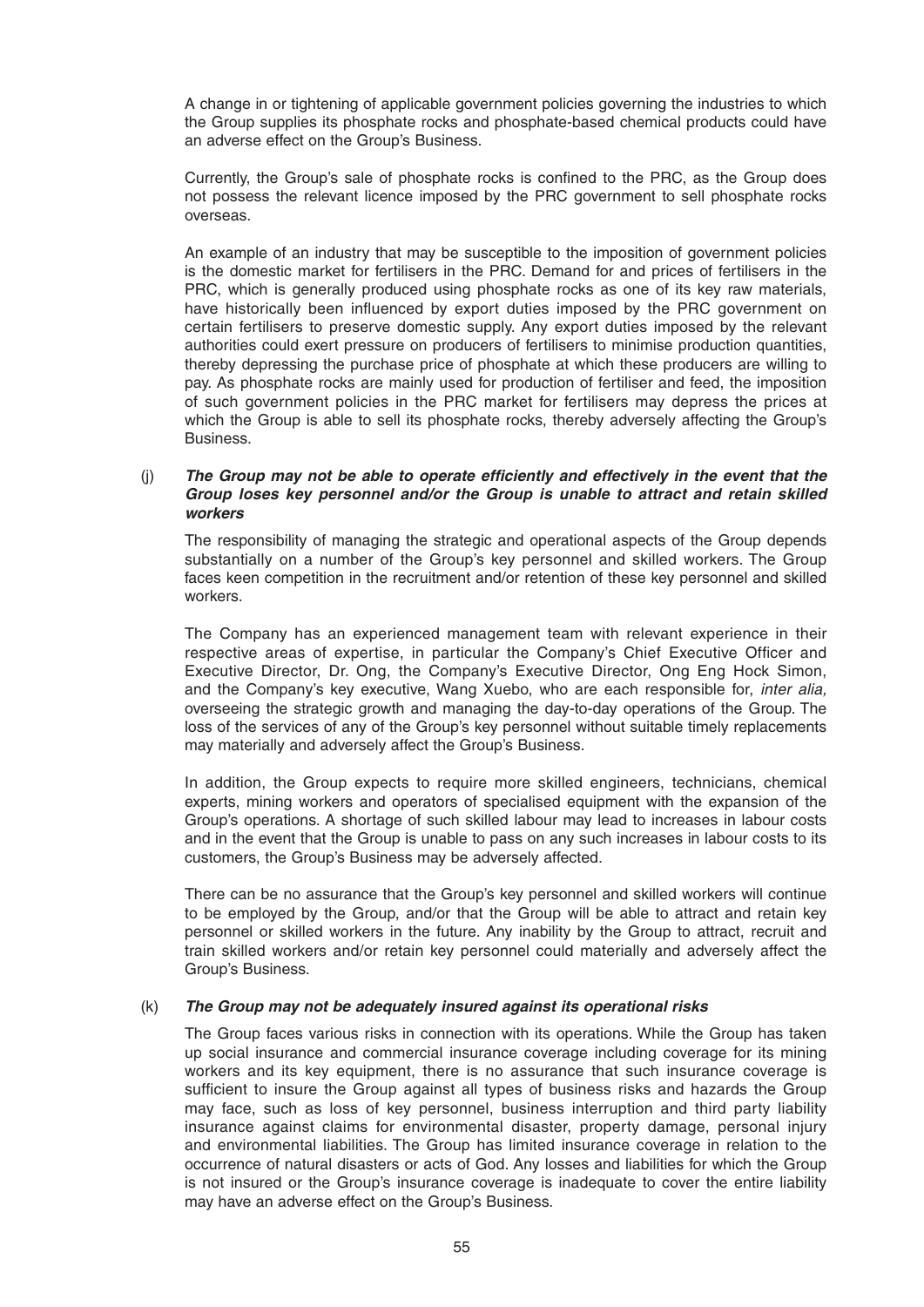A change in or tightening of applicable government policies governing the industries to which the Group supplies its phosphate rocks and phosphate-based chemical products could have an adverse effect on the Group's Business.

Currently, the Group's sale of phosphate rocks is confined to the PRC, as the Group does not possess the relevant licence imposed by the PRC government to sell phosphate rocks overseas.

 An example of an industry that may be susceptible to the imposition of government policies is the domestic market for fertilisers in the PRC. Demand for and prices of fertilisers in the PRC, which is generally produced using phosphate rocks as one of its key raw materials, have historically been influenced by export duties imposed by the PRC government on certain fertilisers to preserve domestic supply. Any export duties imposed by the relevant authorities could exert pressure on producers of fertilisers to minimise production quantities, thereby depressing the purchase price of phosphate at which these producers are willing to pay. As phosphate rocks are mainly used for production of fertiliser and feed, the imposition of such government policies in the PRC market for fertilisers may depress the prices at which the Group is able to sell its phosphate rocks, thereby adversely affecting the Group's Business.

# (j) **The Group may not be able to operate efficiently and effectively in the event that the** *Group loses key personnel and/or the Group is unable to attract and retain skilled workers*

 The responsibility of managing the strategic and operational aspects of the Group depends substantially on a number of the Group's key personnel and skilled workers. The Group faces keen competition in the recruitment and/or retention of these key personnel and skilled workers.

 The Company has an experienced management team with relevant experience in their respective areas of expertise, in particular the Company's Chief Executive Officer and Executive Director, Dr. Ong, the Company's Executive Director, Ong Eng Hock Simon, and the Company's key executive, Wang Xuebo, who are each responsible for, *inter alia,*  overseeing the strategic growth and managing the day-to-day operations of the Group. The loss of the services of any of the Group's key personnel without suitable timely replacements may materially and adversely affect the Group's Business.

 In addition, the Group expects to require more skilled engineers, technicians, chemical experts, mining workers and operators of specialised equipment with the expansion of the Group's operations. A shortage of such skilled labour may lead to increases in labour costs and in the event that the Group is unable to pass on any such increases in labour costs to its customers, the Group's Business may be adversely affected.

 There can be no assurance that the Group's key personnel and skilled workers will continue to be employed by the Group, and/or that the Group will be able to attract and retain key personnel or skilled workers in the future. Any inability by the Group to attract, recruit and train skilled workers and/or retain key personnel could materially and adversely affect the Group's Business.

# (k) *The Group may not be adequately insured against its operational risks*

 The Group faces various risks in connection with its operations. While the Group has taken up social insurance and commercial insurance coverage including coverage for its mining workers and its key equipment, there is no assurance that such insurance coverage is sufficient to insure the Group against all types of business risks and hazards the Group may face, such as loss of key personnel, business interruption and third party liability insurance against claims for environmental disaster, property damage, personal injury and environmental liabilities. The Group has limited insurance coverage in relation to the occurrence of natural disasters or acts of God. Any losses and liabilities for which the Group is not insured or the Group's insurance coverage is inadequate to cover the entire liability may have an adverse effect on the Group's Business.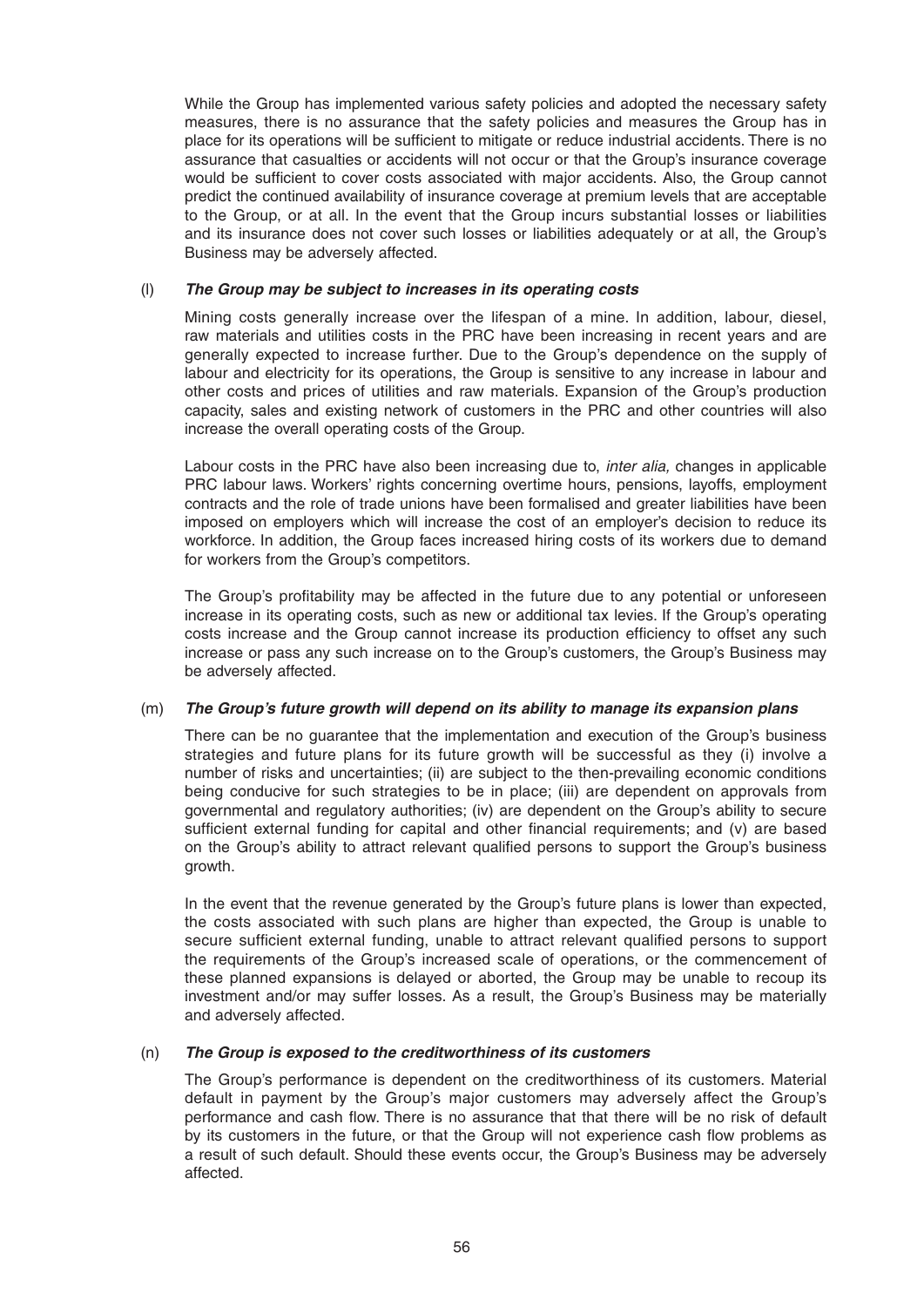While the Group has implemented various safety policies and adopted the necessary safety measures, there is no assurance that the safety policies and measures the Group has in place for its operations will be sufficient to mitigate or reduce industrial accidents. There is no assurance that casualties or accidents will not occur or that the Group's insurance coverage would be sufficient to cover costs associated with major accidents. Also, the Group cannot predict the continued availability of insurance coverage at premium levels that are acceptable to the Group, or at all. In the event that the Group incurs substantial losses or liabilities and its insurance does not cover such losses or liabilities adequately or at all, the Group's Business may be adversely affected.

# (l) *The Group may be subject to increases in its operating costs*

 Mining costs generally increase over the lifespan of a mine. In addition, labour, diesel, raw materials and utilities costs in the PRC have been increasing in recent years and are generally expected to increase further. Due to the Group's dependence on the supply of labour and electricity for its operations, the Group is sensitive to any increase in labour and other costs and prices of utilities and raw materials. Expansion of the Group's production capacity, sales and existing network of customers in the PRC and other countries will also increase the overall operating costs of the Group.

 Labour costs in the PRC have also been increasing due to, *inter alia,* changes in applicable PRC labour laws. Workers' rights concerning overtime hours, pensions, layoffs, employment contracts and the role of trade unions have been formalised and greater liabilities have been imposed on employers which will increase the cost of an employer's decision to reduce its workforce. In addition, the Group faces increased hiring costs of its workers due to demand for workers from the Group's competitors.

The Group's profitability may be affected in the future due to any potential or unforeseen increase in its operating costs, such as new or additional tax levies. If the Group's operating costs increase and the Group cannot increase its production efficiency to offset any such increase or pass any such increase on to the Group's customers, the Group's Business may be adversely affected.

# (m) *The Group's future growth will depend on its ability to manage its expansion plans*

 There can be no guarantee that the implementation and execution of the Group's business strategies and future plans for its future growth will be successful as they (i) involve a number of risks and uncertainties; (ii) are subject to the then-prevailing economic conditions being conducive for such strategies to be in place; (iii) are dependent on approvals from governmental and regulatory authorities; (iv) are dependent on the Group's ability to secure sufficient external funding for capital and other financial requirements; and  $(v)$  are based on the Group's ability to attract relevant qualified persons to support the Group's business growth.

 In the event that the revenue generated by the Group's future plans is lower than expected, the costs associated with such plans are higher than expected, the Group is unable to secure sufficient external funding, unable to attract relevant qualified persons to support the requirements of the Group's increased scale of operations, or the commencement of these planned expansions is delayed or aborted, the Group may be unable to recoup its investment and/or may suffer losses. As a result, the Group's Business may be materially and adversely affected.

# (n) *The Group is exposed to the creditworthiness of its customers*

The Group's performance is dependent on the creditworthiness of its customers. Material default in payment by the Group's major customers may adversely affect the Group's performance and cash flow. There is no assurance that that there will be no risk of default by its customers in the future, or that the Group will not experience cash flow problems as a result of such default. Should these events occur, the Group's Business may be adversely affected.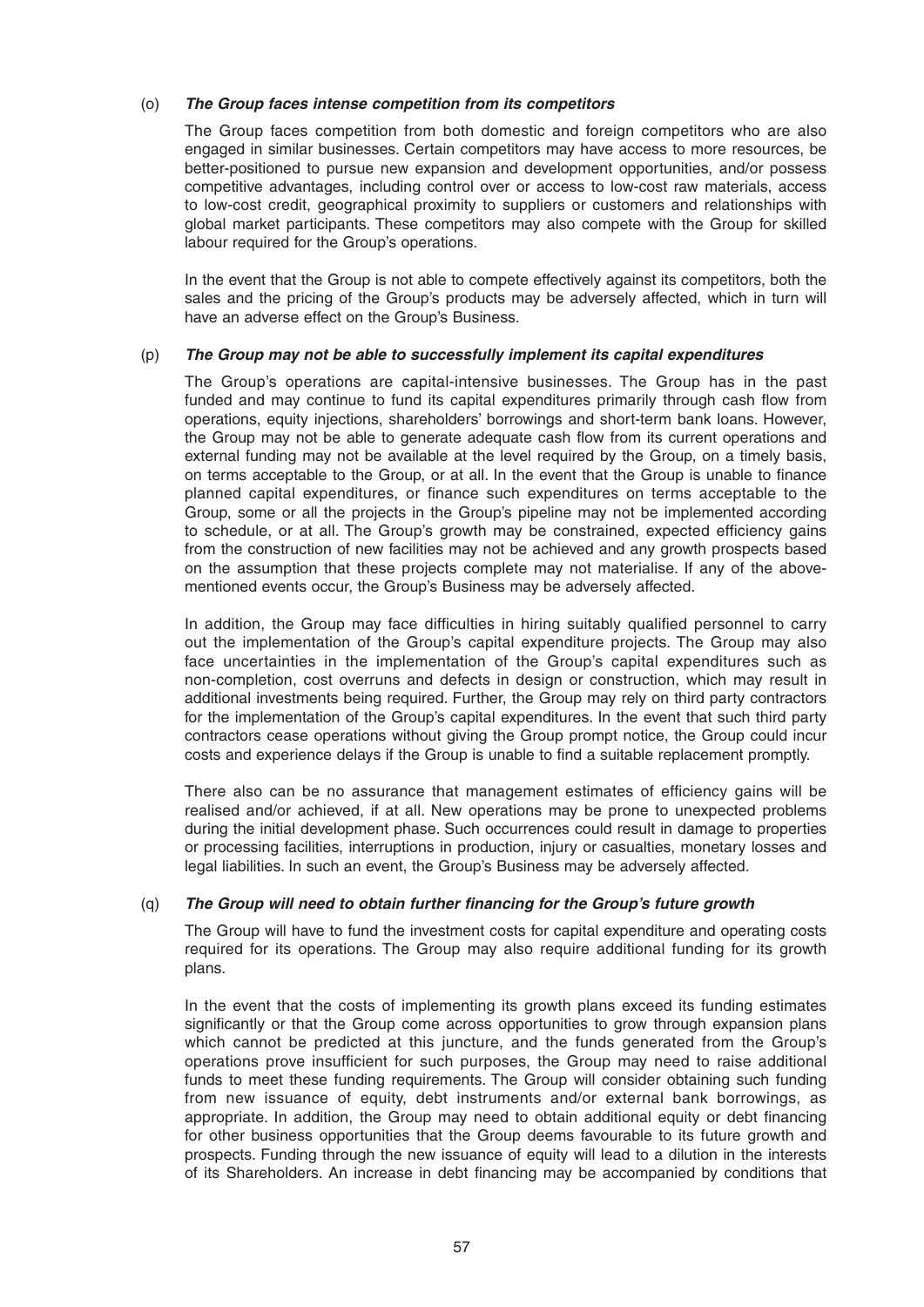# (o) *The Group faces intense competition from its competitors*

The Group faces competition from both domestic and foreign competitors who are also engaged in similar businesses. Certain competitors may have access to more resources, be better-positioned to pursue new expansion and development opportunities, and/or possess competitive advantages, including control over or access to low-cost raw materials, access to low-cost credit, geographical proximity to suppliers or customers and relationships with global market participants. These competitors may also compete with the Group for skilled labour required for the Group's operations.

 In the event that the Group is not able to compete effectively against its competitors, both the sales and the pricing of the Group's products may be adversely affected, which in turn will have an adverse effect on the Group's Business.

### (p) *The Group may not be able to successfully implement its capital expenditures*

The Group's operations are capital-intensive businesses. The Group has in the past funded and may continue to fund its capital expenditures primarily through cash flow from operations, equity injections, shareholders' borrowings and short-term bank loans. However, the Group may not be able to generate adequate cash flow from its current operations and external funding may not be available at the level required by the Group, on a timely basis, on terms acceptable to the Group, or at all. In the event that the Group is unable to finance planned capital expenditures, or finance such expenditures on terms acceptable to the Group, some or all the projects in the Group's pipeline may not be implemented according to schedule, or at all. The Group's growth may be constrained, expected efficiency gains from the construction of new facilities may not be achieved and any growth prospects based on the assumption that these projects complete may not materialise. If any of the abovementioned events occur, the Group's Business may be adversely affected.

In addition, the Group may face difficulties in hiring suitably qualified personnel to carry out the implementation of the Group's capital expenditure projects. The Group may also face uncertainties in the implementation of the Group's capital expenditures such as non-completion, cost overruns and defects in design or construction, which may result in additional investments being required. Further, the Group may rely on third party contractors for the implementation of the Group's capital expenditures. In the event that such third party contractors cease operations without giving the Group prompt notice, the Group could incur costs and experience delays if the Group is unable to find a suitable replacement promptly.

There also can be no assurance that management estimates of efficiency gains will be realised and/or achieved, if at all. New operations may be prone to unexpected problems during the initial development phase. Such occurrences could result in damage to properties or processing facilities, interruptions in production, injury or casualties, monetary losses and legal liabilities. In such an event, the Group's Business may be adversely affected.

### (q) *The Group will need to obtain further fi nancing for the Group's future growth*

The Group will have to fund the investment costs for capital expenditure and operating costs required for its operations. The Group may also require additional funding for its growth plans.

 In the event that the costs of implementing its growth plans exceed its funding estimates significantly or that the Group come across opportunities to grow through expansion plans which cannot be predicted at this juncture, and the funds generated from the Group's operations prove insufficient for such purposes, the Group may need to raise additional funds to meet these funding requirements. The Group will consider obtaining such funding from new issuance of equity, debt instruments and/or external bank borrowings, as appropriate. In addition, the Group may need to obtain additional equity or debt financing for other business opportunities that the Group deems favourable to its future growth and prospects. Funding through the new issuance of equity will lead to a dilution in the interests of its Shareholders. An increase in debt financing may be accompanied by conditions that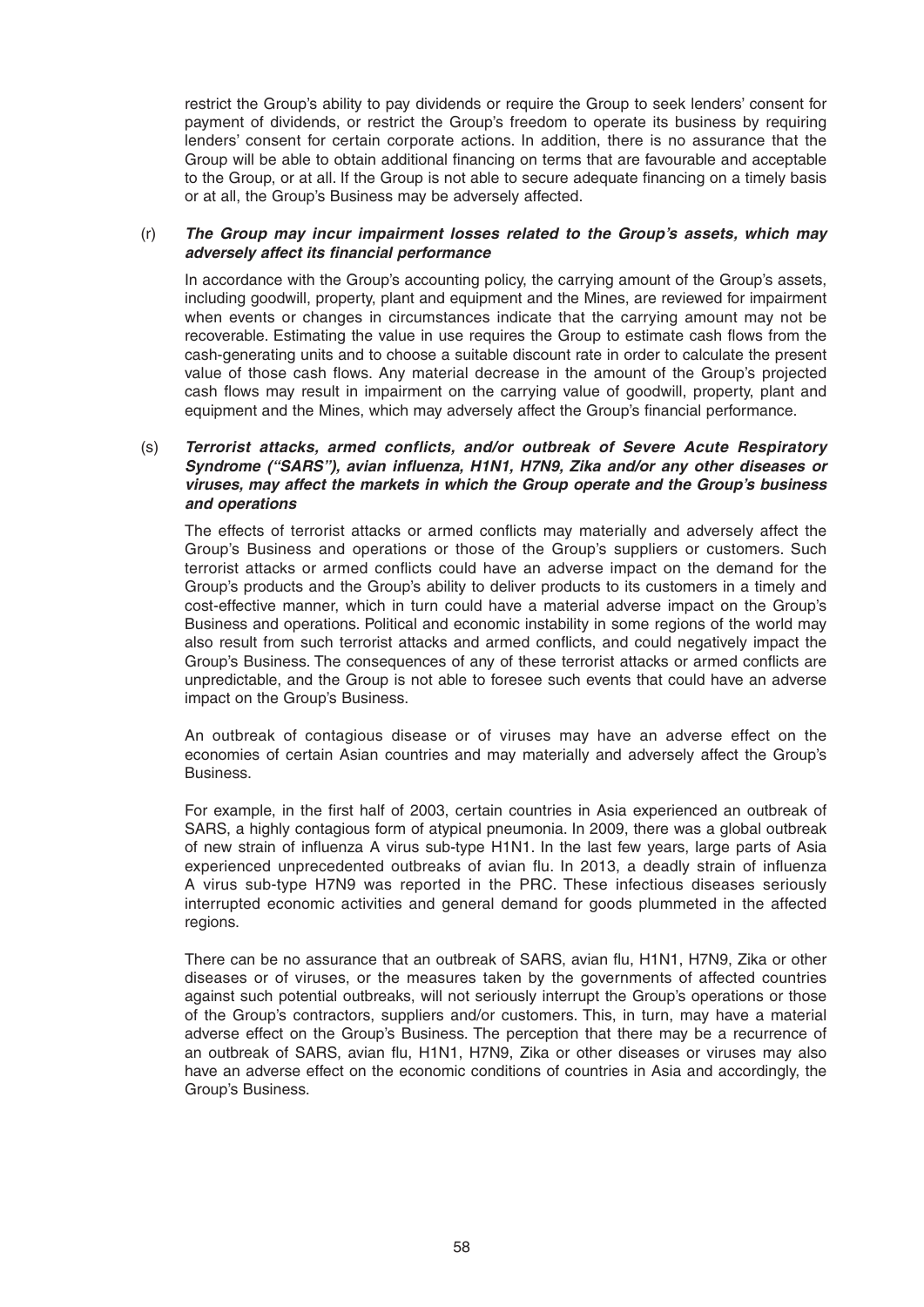restrict the Group's ability to pay dividends or require the Group to seek lenders' consent for payment of dividends, or restrict the Group's freedom to operate its business by requiring lenders' consent for certain corporate actions. In addition, there is no assurance that the Group will be able to obtain additional financing on terms that are favourable and acceptable to the Group, or at all. If the Group is not able to secure adequate financing on a timely basis or at all, the Group's Business may be adversely affected.

# (r) *The Group may incur impairment losses related to the Group's assets, which may adversely affect its fi nancial performance*

In accordance with the Group's accounting policy, the carrying amount of the Group's assets, including goodwill, property, plant and equipment and the Mines, are reviewed for impairment when events or changes in circumstances indicate that the carrying amount may not be recoverable. Estimating the value in use requires the Group to estimate cash flows from the cash-generating units and to choose a suitable discount rate in order to calculate the present value of those cash flows. Any material decrease in the amount of the Group's projected cash flows may result in impairment on the carrying value of goodwill, property, plant and equipment and the Mines, which may adversely affect the Group's financial performance.

# (s) *Terrorist attacks, armed conflicts, and/or outbreak of Severe Acute Respiratory Syndrome ("SARS"), avian infl uenza, H1N1, H7N9, Zika and/or any other diseases or viruses, may affect the markets in which the Group operate and the Group's business and operations*

The effects of terrorist attacks or armed conflicts may materially and adversely affect the Group's Business and operations or those of the Group's suppliers or customers. Such terrorist attacks or armed conflicts could have an adverse impact on the demand for the Group's products and the Group's ability to deliver products to its customers in a timely and cost-effective manner, which in turn could have a material adverse impact on the Group's Business and operations. Political and economic instability in some regions of the world may also result from such terrorist attacks and armed conflicts, and could negatively impact the Group's Business. The consequences of any of these terrorist attacks or armed conflicts are unpredictable, and the Group is not able to foresee such events that could have an adverse impact on the Group's Business.

 An outbreak of contagious disease or of viruses may have an adverse effect on the economies of certain Asian countries and may materially and adversely affect the Group's Business.

For example, in the first half of 2003, certain countries in Asia experienced an outbreak of SARS, a highly contagious form of atypical pneumonia. In 2009, there was a global outbreak of new strain of influenza A virus sub-type H1N1. In the last few years, large parts of Asia experienced unprecedented outbreaks of avian flu. In 2013, a deadly strain of influenza A virus sub-type H7N9 was reported in the PRC. These infectious diseases seriously interrupted economic activities and general demand for goods plummeted in the affected regions.

There can be no assurance that an outbreak of SARS, avian flu, H1N1, H7N9, Zika or other diseases or of viruses, or the measures taken by the governments of affected countries against such potential outbreaks, will not seriously interrupt the Group's operations or those of the Group's contractors, suppliers and/or customers. This, in turn, may have a material adverse effect on the Group's Business. The perception that there may be a recurrence of an outbreak of SARS, avian flu, H1N1, H7N9, Zika or other diseases or viruses may also have an adverse effect on the economic conditions of countries in Asia and accordingly, the Group's Business.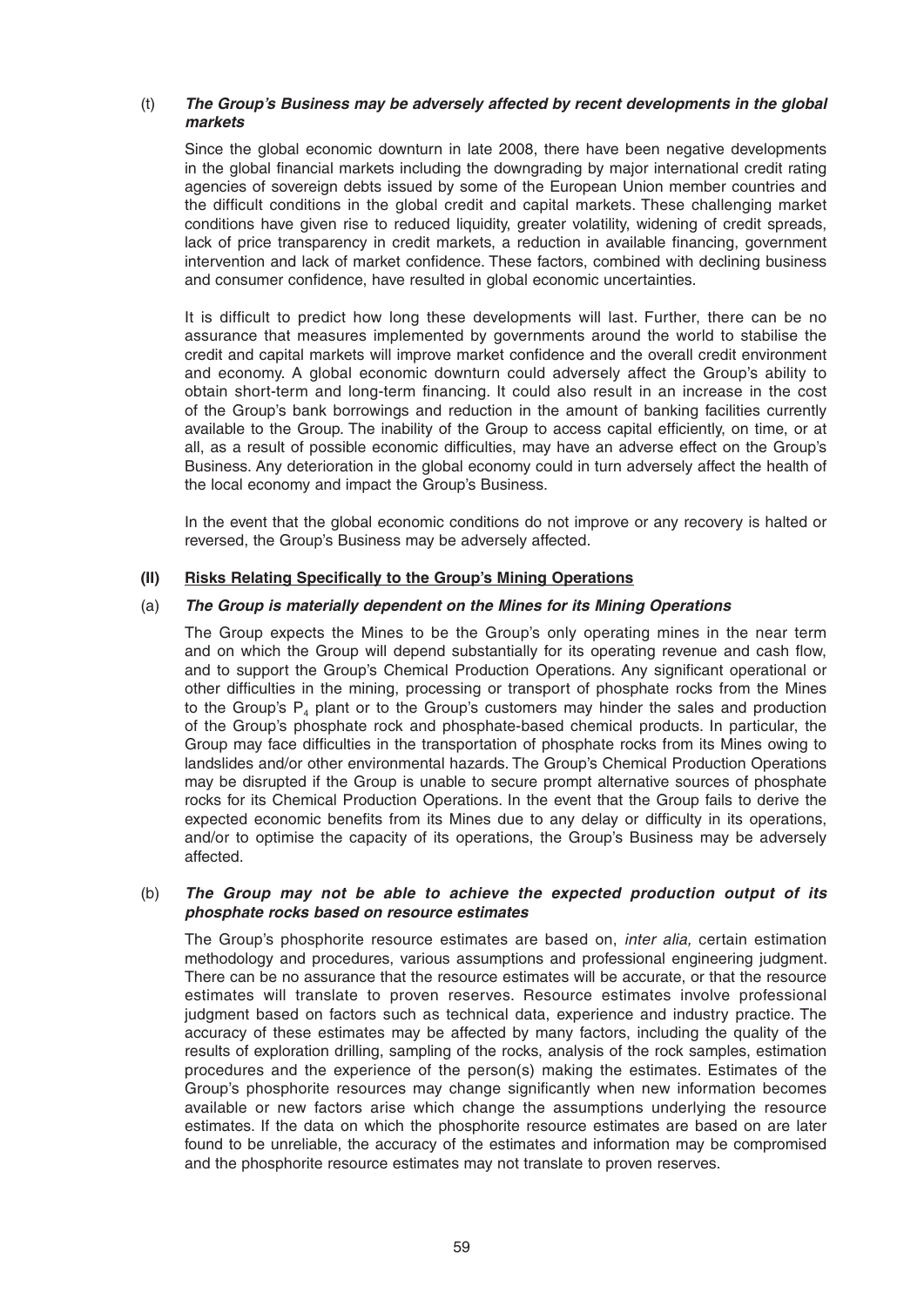# (t) *The Group's Business may be adversely affected by recent developments in the global markets*

 Since the global economic downturn in late 2008, there have been negative developments in the global financial markets including the downgrading by major international credit rating agencies of sovereign debts issued by some of the European Union member countries and the difficult conditions in the global credit and capital markets. These challenging market conditions have given rise to reduced liquidity, greater volatility, widening of credit spreads, lack of price transparency in credit markets, a reduction in available financing, government intervention and lack of market confidence. These factors, combined with declining business and consumer confidence, have resulted in global economic uncertainties.

It is difficult to predict how long these developments will last. Further, there can be no assurance that measures implemented by governments around the world to stabilise the credit and capital markets will improve market confidence and the overall credit environment and economy. A global economic downturn could adversely affect the Group's ability to obtain short-term and long-term financing. It could also result in an increase in the cost of the Group's bank borrowings and reduction in the amount of banking facilities currently available to the Group. The inability of the Group to access capital efficiently, on time, or at all, as a result of possible economic difficulties, may have an adverse effect on the Group's Business. Any deterioration in the global economy could in turn adversely affect the health of the local economy and impact the Group's Business.

 In the event that the global economic conditions do not improve or any recovery is halted or reversed, the Group's Business may be adversely affected.

# **(II) Risks Relating Specifically to the Group's Mining Operations**

# (a) *The Group is materially dependent on the Mines for its Mining Operations*

The Group expects the Mines to be the Group's only operating mines in the near term and on which the Group will depend substantially for its operating revenue and cash flow, and to support the Group's Chemical Production Operations. Any significant operational or other difficulties in the mining, processing or transport of phosphate rocks from the Mines to the Group's  $P_4$  plant or to the Group's customers may hinder the sales and production of the Group's phosphate rock and phosphate-based chemical products. In particular, the Group may face difficulties in the transportation of phosphate rocks from its Mines owing to landslides and/or other environmental hazards. The Group's Chemical Production Operations may be disrupted if the Group is unable to secure prompt alternative sources of phosphate rocks for its Chemical Production Operations. In the event that the Group fails to derive the expected economic benefits from its Mines due to any delay or difficulty in its operations, and/or to optimise the capacity of its operations, the Group's Business may be adversely affected.

### (b) *The Group may not be able to achieve the expected production output of its phosphate rocks based on resource estimates*

The Group's phosphorite resource estimates are based on, *inter alia,* certain estimation methodology and procedures, various assumptions and professional engineering judgment. There can be no assurance that the resource estimates will be accurate, or that the resource estimates will translate to proven reserves. Resource estimates involve professional judgment based on factors such as technical data, experience and industry practice. The accuracy of these estimates may be affected by many factors, including the quality of the results of exploration drilling, sampling of the rocks, analysis of the rock samples, estimation procedures and the experience of the person(s) making the estimates. Estimates of the Group's phosphorite resources may change significantly when new information becomes available or new factors arise which change the assumptions underlying the resource estimates. If the data on which the phosphorite resource estimates are based on are later found to be unreliable, the accuracy of the estimates and information may be compromised and the phosphorite resource estimates may not translate to proven reserves.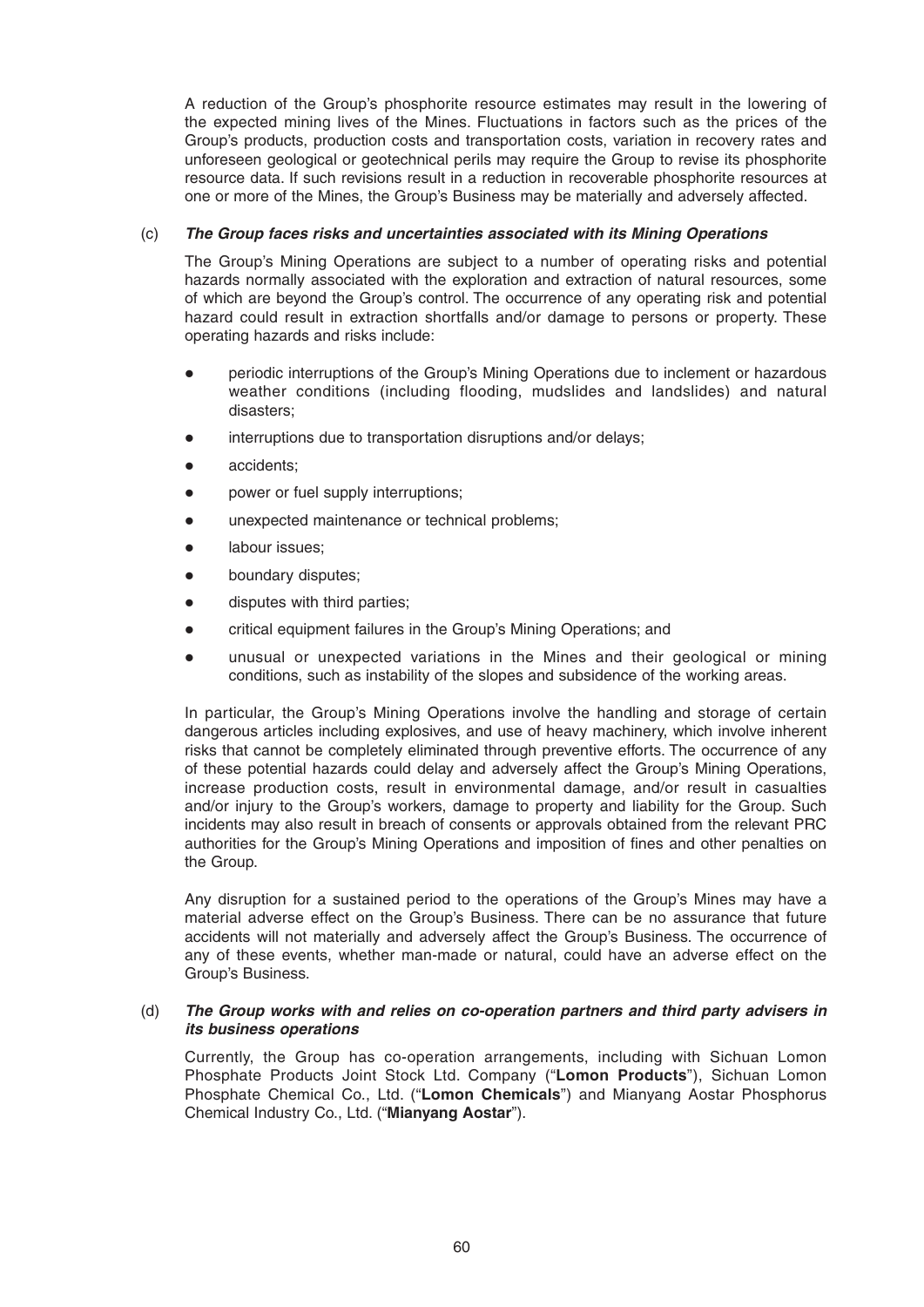A reduction of the Group's phosphorite resource estimates may result in the lowering of the expected mining lives of the Mines. Fluctuations in factors such as the prices of the Group's products, production costs and transportation costs, variation in recovery rates and unforeseen geological or geotechnical perils may require the Group to revise its phosphorite resource data. If such revisions result in a reduction in recoverable phosphorite resources at one or more of the Mines, the Group's Business may be materially and adversely affected.

# (c) *The Group faces risks and uncertainties associated with its Mining Operations*

The Group's Mining Operations are subject to a number of operating risks and potential hazards normally associated with the exploration and extraction of natural resources, some of which are beyond the Group's control. The occurrence of any operating risk and potential hazard could result in extraction shortfalls and/or damage to persons or property. These operating hazards and risks include:

- periodic interruptions of the Group's Mining Operations due to inclement or hazardous weather conditions (including flooding, mudslides and landslides) and natural disasters;
- interruptions due to transportation disruptions and/or delays;
- accidents:
- power or fuel supply interruptions;
- unexpected maintenance or technical problems:
- **•** labour issues;
- boundary disputes;
- disputes with third parties;
- critical equipment failures in the Group's Mining Operations; and
- unusual or unexpected variations in the Mines and their geological or mining conditions, such as instability of the slopes and subsidence of the working areas.

 In particular, the Group's Mining Operations involve the handling and storage of certain dangerous articles including explosives, and use of heavy machinery, which involve inherent risks that cannot be completely eliminated through preventive efforts. The occurrence of any of these potential hazards could delay and adversely affect the Group's Mining Operations, increase production costs, result in environmental damage, and/or result in casualties and/or injury to the Group's workers, damage to property and liability for the Group. Such incidents may also result in breach of consents or approvals obtained from the relevant PRC authorities for the Group's Mining Operations and imposition of fines and other penalties on the Group.

 Any disruption for a sustained period to the operations of the Group's Mines may have a material adverse effect on the Group's Business. There can be no assurance that future accidents will not materially and adversely affect the Group's Business. The occurrence of any of these events, whether man-made or natural, could have an adverse effect on the Group's Business.

# (d) **The Group works with and relies on co-operation partners and third party advisers in** *its business operations*

Currently, the Group has co-operation arrangements, including with Sichuan Lomon Phosphate Products Joint Stock Ltd. Company ("**Lomon Products**"), Sichuan Lomon Phosphate Chemical Co., Ltd. ("**Lomon Chemicals**") and Mianyang Aostar Phosphorus Chemical Industry Co., Ltd. ("**Mianyang Aostar**").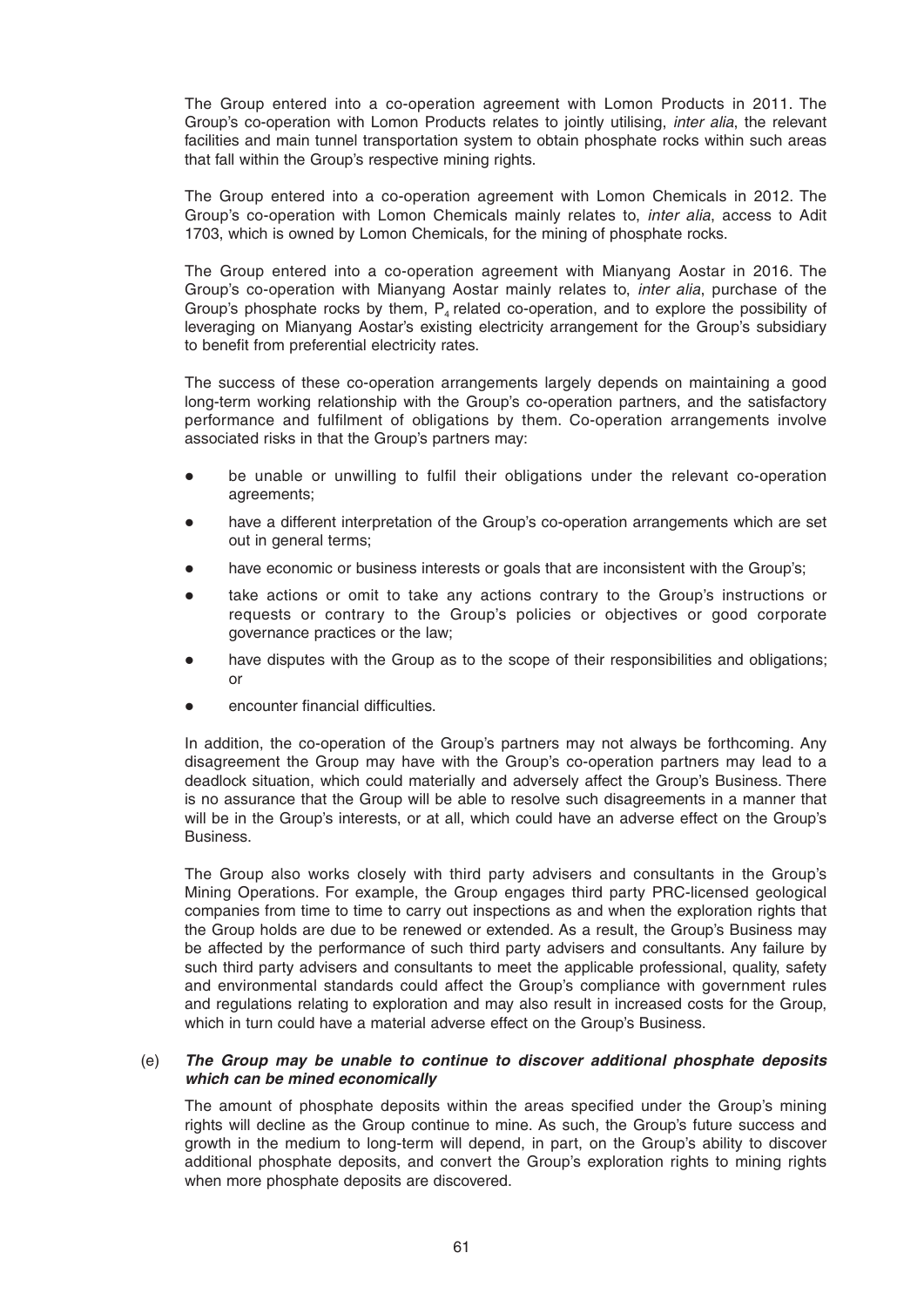The Group entered into a co-operation agreement with Lomon Products in 2011. The Group's co-operation with Lomon Products relates to jointly utilising, *inter alia*, the relevant facilities and main tunnel transportation system to obtain phosphate rocks within such areas that fall within the Group's respective mining rights.

 The Group entered into a co-operation agreement with Lomon Chemicals in 2012. The Group's co-operation with Lomon Chemicals mainly relates to, *inter alia*, access to Adit 1703, which is owned by Lomon Chemicals, for the mining of phosphate rocks.

 The Group entered into a co-operation agreement with Mianyang Aostar in 2016. The Group's co-operation with Mianyang Aostar mainly relates to, *inter alia*, purchase of the Group's phosphate rocks by them,  $P<sub>4</sub>$  related co-operation, and to explore the possibility of leveraging on Mianyang Aostar's existing electricity arrangement for the Group's subsidiary to benefit from preferential electricity rates.

 The success of these co-operation arrangements largely depends on maintaining a good long-term working relationship with the Group's co-operation partners, and the satisfactory performance and fulfilment of obligations by them. Co-operation arrangements involve associated risks in that the Group's partners may:

- be unable or unwilling to fulfil their obligations under the relevant co-operation agreements;
- have a different interpretation of the Group's co-operation arrangements which are set out in general terms;
- have economic or business interests or goals that are inconsistent with the Group's;
- take actions or omit to take any actions contrary to the Group's instructions or requests or contrary to the Group's policies or objectives or good corporate governance practices or the law;
- have disputes with the Group as to the scope of their responsibilities and obligations; or
- encounter financial difficulties.

 In addition, the co-operation of the Group's partners may not always be forthcoming. Any disagreement the Group may have with the Group's co-operation partners may lead to a deadlock situation, which could materially and adversely affect the Group's Business. There is no assurance that the Group will be able to resolve such disagreements in a manner that will be in the Group's interests, or at all, which could have an adverse effect on the Group's Business.

 The Group also works closely with third party advisers and consultants in the Group's Mining Operations. For example, the Group engages third party PRC-licensed geological companies from time to time to carry out inspections as and when the exploration rights that the Group holds are due to be renewed or extended. As a result, the Group's Business may be affected by the performance of such third party advisers and consultants. Any failure by such third party advisers and consultants to meet the applicable professional, quality, safety and environmental standards could affect the Group's compliance with government rules and regulations relating to exploration and may also result in increased costs for the Group, which in turn could have a material adverse effect on the Group's Business.

# (e) *The Group may be unable to continue to discover additional phosphate deposits which can be mined economically*

The amount of phosphate deposits within the areas specified under the Group's mining rights will decline as the Group continue to mine. As such, the Group's future success and growth in the medium to long-term will depend, in part, on the Group's ability to discover additional phosphate deposits, and convert the Group's exploration rights to mining rights when more phosphate deposits are discovered.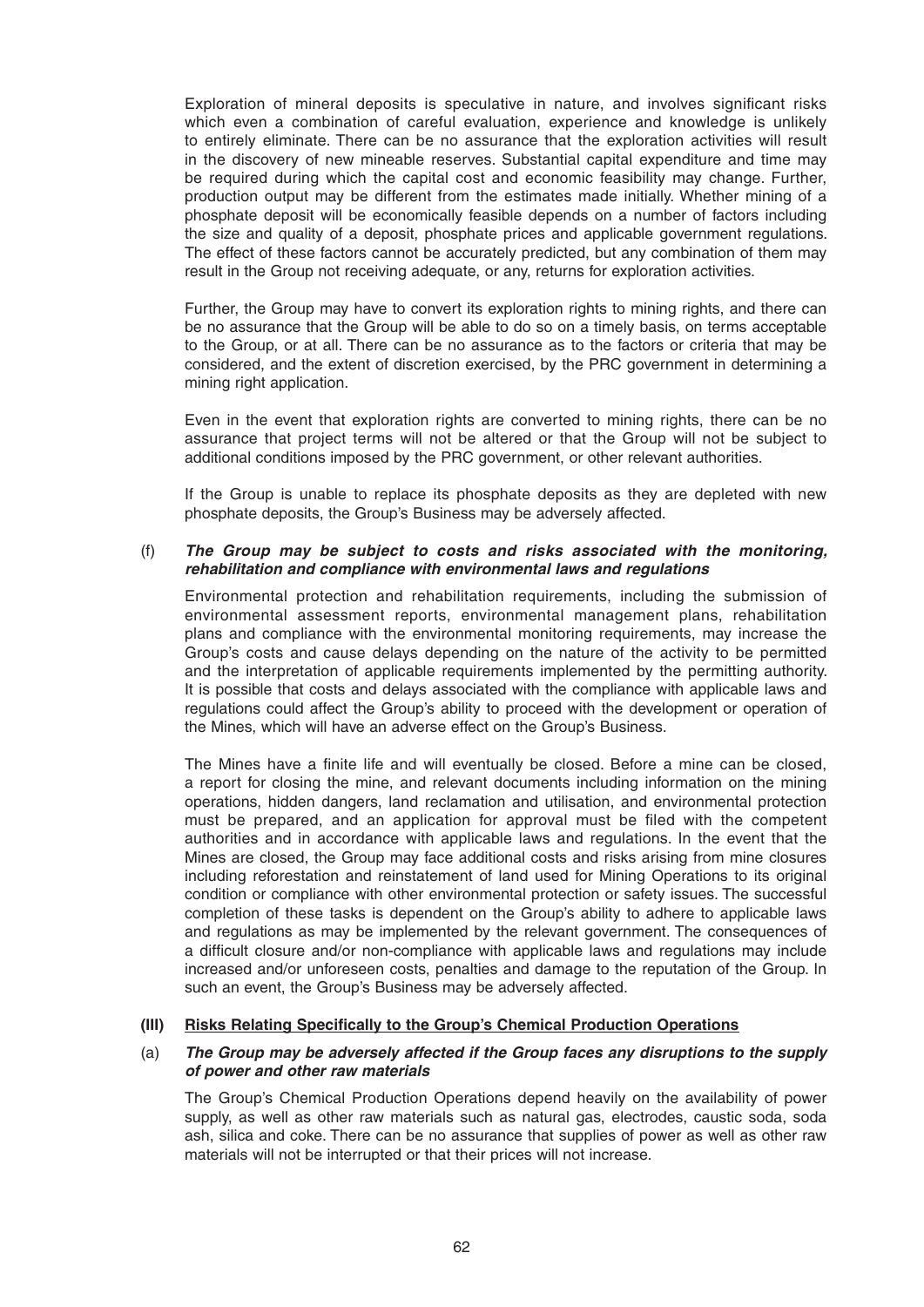Exploration of mineral deposits is speculative in nature, and involves significant risks which even a combination of careful evaluation, experience and knowledge is unlikely to entirely eliminate. There can be no assurance that the exploration activities will result in the discovery of new mineable reserves. Substantial capital expenditure and time may be required during which the capital cost and economic feasibility may change. Further, production output may be different from the estimates made initially. Whether mining of a phosphate deposit will be economically feasible depends on a number of factors including the size and quality of a deposit, phosphate prices and applicable government regulations. The effect of these factors cannot be accurately predicted, but any combination of them may result in the Group not receiving adequate, or any, returns for exploration activities.

 Further, the Group may have to convert its exploration rights to mining rights, and there can be no assurance that the Group will be able to do so on a timely basis, on terms acceptable to the Group, or at all. There can be no assurance as to the factors or criteria that may be considered, and the extent of discretion exercised, by the PRC government in determining a mining right application.

 Even in the event that exploration rights are converted to mining rights, there can be no assurance that project terms will not be altered or that the Group will not be subject to additional conditions imposed by the PRC government, or other relevant authorities.

 If the Group is unable to replace its phosphate deposits as they are depleted with new phosphate deposits, the Group's Business may be adversely affected.

# (f) *The Group may be subject to costs and risks associated with the monitoring, rehabilitation and compliance with environmental laws and regulations*

 Environmental protection and rehabilitation requirements, including the submission of environmental assessment reports, environmental management plans, rehabilitation plans and compliance with the environmental monitoring requirements, may increase the Group's costs and cause delays depending on the nature of the activity to be permitted and the interpretation of applicable requirements implemented by the permitting authority. It is possible that costs and delays associated with the compliance with applicable laws and regulations could affect the Group's ability to proceed with the development or operation of the Mines, which will have an adverse effect on the Group's Business.

The Mines have a finite life and will eventually be closed. Before a mine can be closed, a report for closing the mine, and relevant documents including information on the mining operations, hidden dangers, land reclamation and utilisation, and environmental protection must be prepared, and an application for approval must be filed with the competent authorities and in accordance with applicable laws and regulations. In the event that the Mines are closed, the Group may face additional costs and risks arising from mine closures including reforestation and reinstatement of land used for Mining Operations to its original condition or compliance with other environmental protection or safety issues. The successful completion of these tasks is dependent on the Group's ability to adhere to applicable laws and regulations as may be implemented by the relevant government. The consequences of a difficult closure and/or non-compliance with applicable laws and regulations may include increased and/or unforeseen costs, penalties and damage to the reputation of the Group. In such an event, the Group's Business may be adversely affected.

### **(III)** Risks Relating Specifically to the Group's Chemical Production Operations

# (a) *The Group may be adversely affected if the Group faces any disruptions to the supply of power and other raw materials*

The Group's Chemical Production Operations depend heavily on the availability of power supply, as well as other raw materials such as natural gas, electrodes, caustic soda, soda ash, silica and coke. There can be no assurance that supplies of power as well as other raw materials will not be interrupted or that their prices will not increase.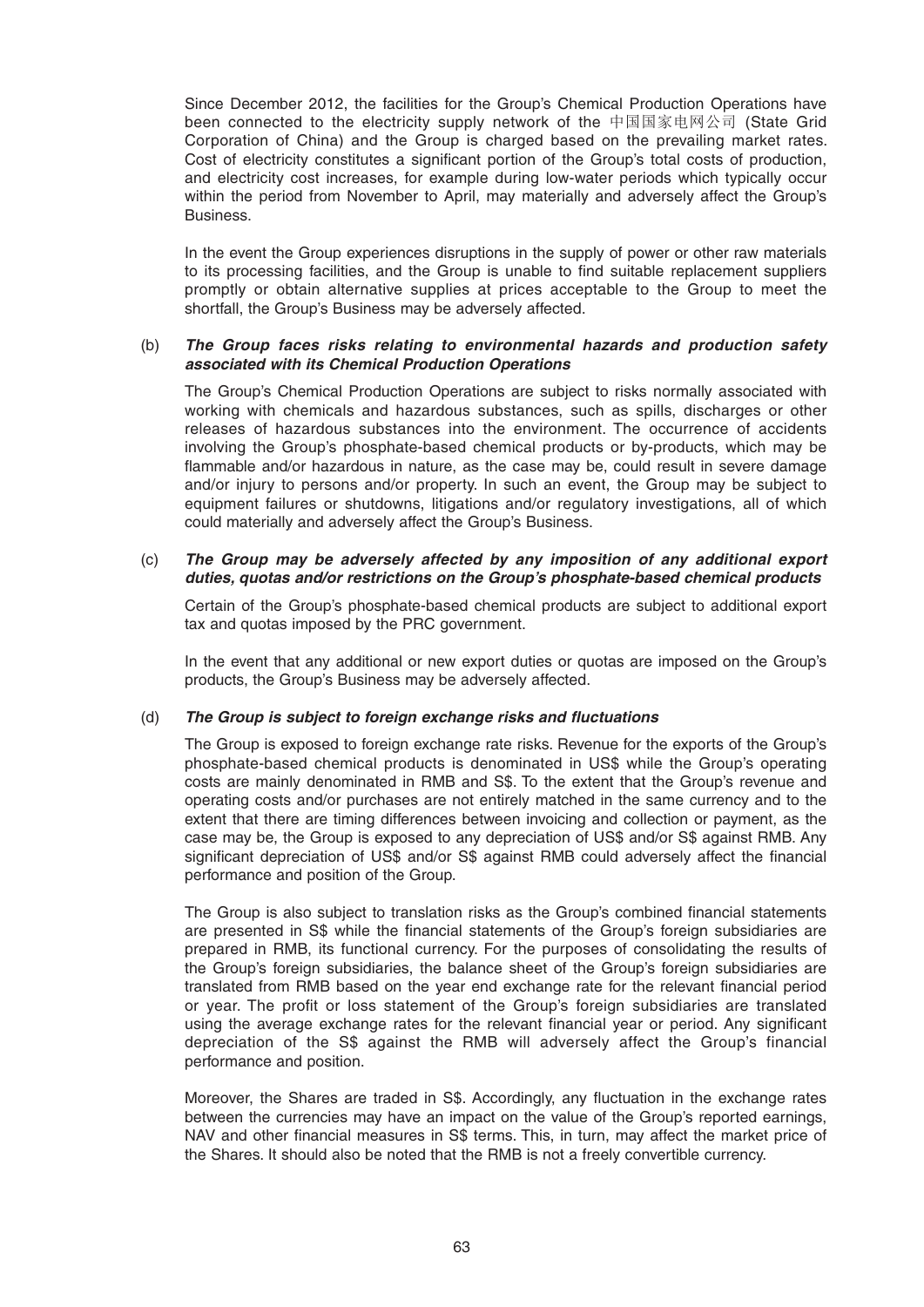Since December 2012, the facilities for the Group's Chemical Production Operations have been connected to the electricity supply network of the 中国国家电网公司 (State Grid Corporation of China) and the Group is charged based on the prevailing market rates. Cost of electricity constitutes a significant portion of the Group's total costs of production, and electricity cost increases, for example during low-water periods which typically occur within the period from November to April, may materially and adversely affect the Group's Business.

 In the event the Group experiences disruptions in the supply of power or other raw materials to its processing facilities, and the Group is unable to find suitable replacement suppliers promptly or obtain alternative supplies at prices acceptable to the Group to meet the shortfall, the Group's Business may be adversely affected.

# (b) *The Group faces risks relating to environmental hazards and production safety associated with its Chemical Production Operations*

The Group's Chemical Production Operations are subject to risks normally associated with working with chemicals and hazardous substances, such as spills, discharges or other releases of hazardous substances into the environment. The occurrence of accidents involving the Group's phosphate-based chemical products or by-products, which may be flammable and/or hazardous in nature, as the case may be, could result in severe damage and/or injury to persons and/or property. In such an event, the Group may be subject to equipment failures or shutdowns, litigations and/or regulatory investigations, all of which could materially and adversely affect the Group's Business.

# (c) *The Group may be adversely affected by any imposition of any additional export duties, quotas and/or restrictions on the Group's phosphate-based chemical products*

 Certain of the Group's phosphate-based chemical products are subject to additional export tax and quotas imposed by the PRC government.

 In the event that any additional or new export duties or quotas are imposed on the Group's products, the Group's Business may be adversely affected.

# (d) The Group is subject to foreign exchange risks and fluctuations

 The Group is exposed to foreign exchange rate risks. Revenue for the exports of the Group's phosphate-based chemical products is denominated in US\$ while the Group's operating costs are mainly denominated in RMB and S\$. To the extent that the Group's revenue and operating costs and/or purchases are not entirely matched in the same currency and to the extent that there are timing differences between invoicing and collection or payment, as the case may be, the Group is exposed to any depreciation of US\$ and/or S\$ against RMB. Any significant depreciation of US\$ and/or S\$ against RMB could adversely affect the financial performance and position of the Group.

The Group is also subject to translation risks as the Group's combined financial statements are presented in S\$ while the financial statements of the Group's foreign subsidiaries are prepared in RMB, its functional currency. For the purposes of consolidating the results of the Group's foreign subsidiaries, the balance sheet of the Group's foreign subsidiaries are translated from RMB based on the year end exchange rate for the relevant financial period or year. The profit or loss statement of the Group's foreign subsidiaries are translated using the average exchange rates for the relevant financial year or period. Any significant depreciation of the S\$ against the RMB will adversely affect the Group's financial performance and position.

Moreover, the Shares are traded in S\$. Accordingly, any fluctuation in the exchange rates between the currencies may have an impact on the value of the Group's reported earnings, NAV and other financial measures in S\$ terms. This, in turn, may affect the market price of the Shares. It should also be noted that the RMB is not a freely convertible currency.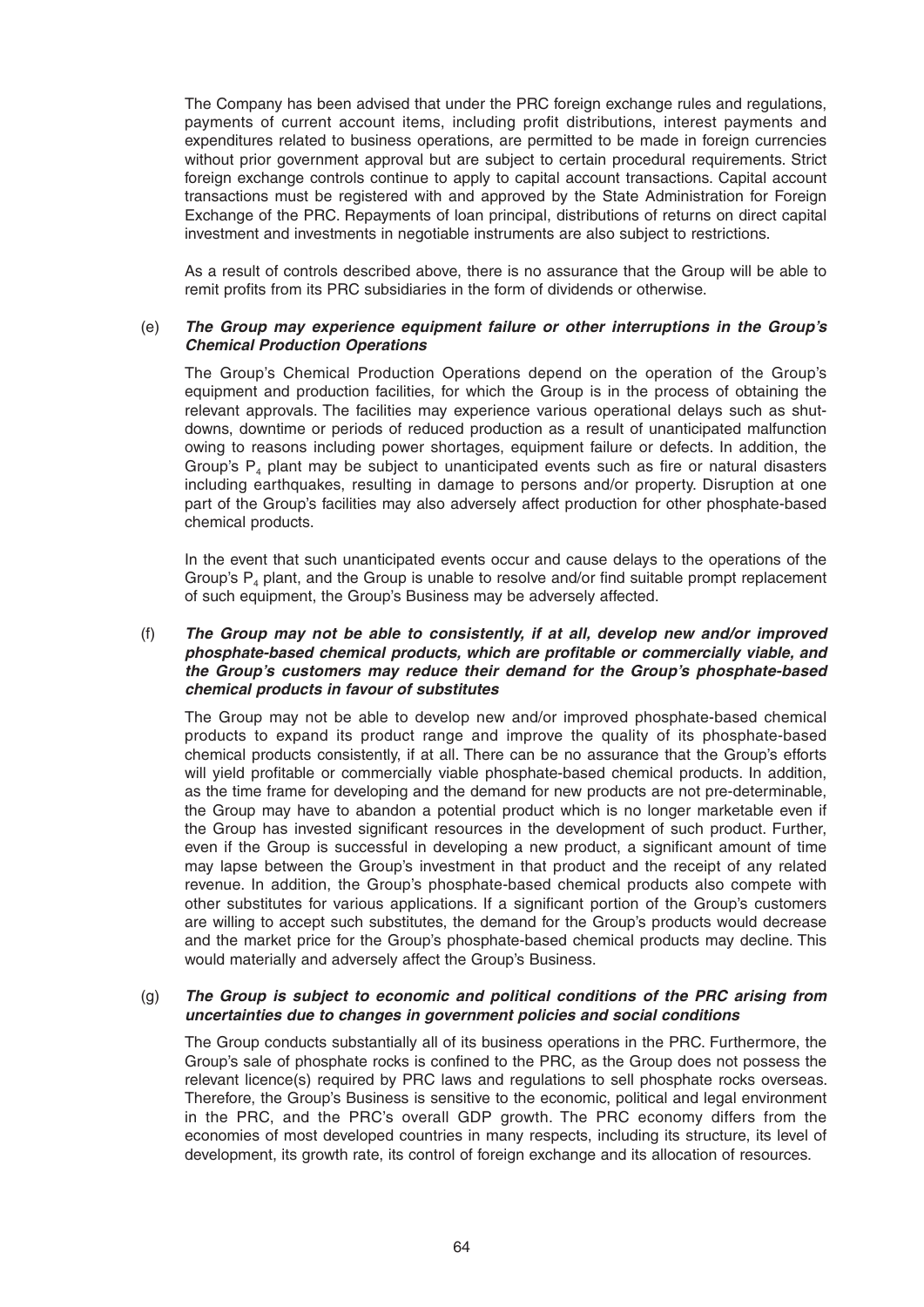The Company has been advised that under the PRC foreign exchange rules and regulations, payments of current account items, including profit distributions, interest payments and expenditures related to business operations, are permitted to be made in foreign currencies without prior government approval but are subject to certain procedural requirements. Strict foreign exchange controls continue to apply to capital account transactions. Capital account transactions must be registered with and approved by the State Administration for Foreign Exchange of the PRC. Repayments of loan principal, distributions of returns on direct capital investment and investments in negotiable instruments are also subject to restrictions.

 As a result of controls described above, there is no assurance that the Group will be able to remit profits from its PRC subsidiaries in the form of dividends or otherwise.

### (e) *The Group may experience equipment failure or other interruptions in the Group's Chemical Production Operations*

The Group's Chemical Production Operations depend on the operation of the Group's equipment and production facilities, for which the Group is in the process of obtaining the relevant approvals. The facilities may experience various operational delays such as shutdowns, downtime or periods of reduced production as a result of unanticipated malfunction owing to reasons including power shortages, equipment failure or defects. In addition, the Group's  $P_4$  plant may be subject to unanticipated events such as fire or natural disasters including earthquakes, resulting in damage to persons and/or property. Disruption at one part of the Group's facilities may also adversely affect production for other phosphate-based chemical products.

 In the event that such unanticipated events occur and cause delays to the operations of the Group's  $P_4$  plant, and the Group is unable to resolve and/or find suitable prompt replacement of such equipment, the Group's Business may be adversely affected.

# (f) *The Group may not be able to consistently, if at all, develop new and/or improved phosphate-based chemical products, which are profi table or commercially viable, and the Group's customers may reduce their demand for the Group's phosphate-based chemical products in favour of substitutes*

The Group may not be able to develop new and/or improved phosphate-based chemical products to expand its product range and improve the quality of its phosphate-based chemical products consistently, if at all. There can be no assurance that the Group's efforts will yield profitable or commercially viable phosphate-based chemical products. In addition, as the time frame for developing and the demand for new products are not pre-determinable, the Group may have to abandon a potential product which is no longer marketable even if the Group has invested significant resources in the development of such product. Further, even if the Group is successful in developing a new product, a significant amount of time may lapse between the Group's investment in that product and the receipt of any related revenue. In addition, the Group's phosphate-based chemical products also compete with other substitutes for various applications. If a significant portion of the Group's customers are willing to accept such substitutes, the demand for the Group's products would decrease and the market price for the Group's phosphate-based chemical products may decline. This would materially and adversely affect the Group's Business.

# (g) *The Group is subject to economic and political conditions of the PRC arising from uncertainties due to changes in government policies and social conditions*

 The Group conducts substantially all of its business operations in the PRC. Furthermore, the Group's sale of phosphate rocks is confined to the PRC, as the Group does not possess the relevant licence(s) required by PRC laws and regulations to sell phosphate rocks overseas. Therefore, the Group's Business is sensitive to the economic, political and legal environment in the PRC, and the PRC's overall GDP growth. The PRC economy differs from the economies of most developed countries in many respects, including its structure, its level of development, its growth rate, its control of foreign exchange and its allocation of resources.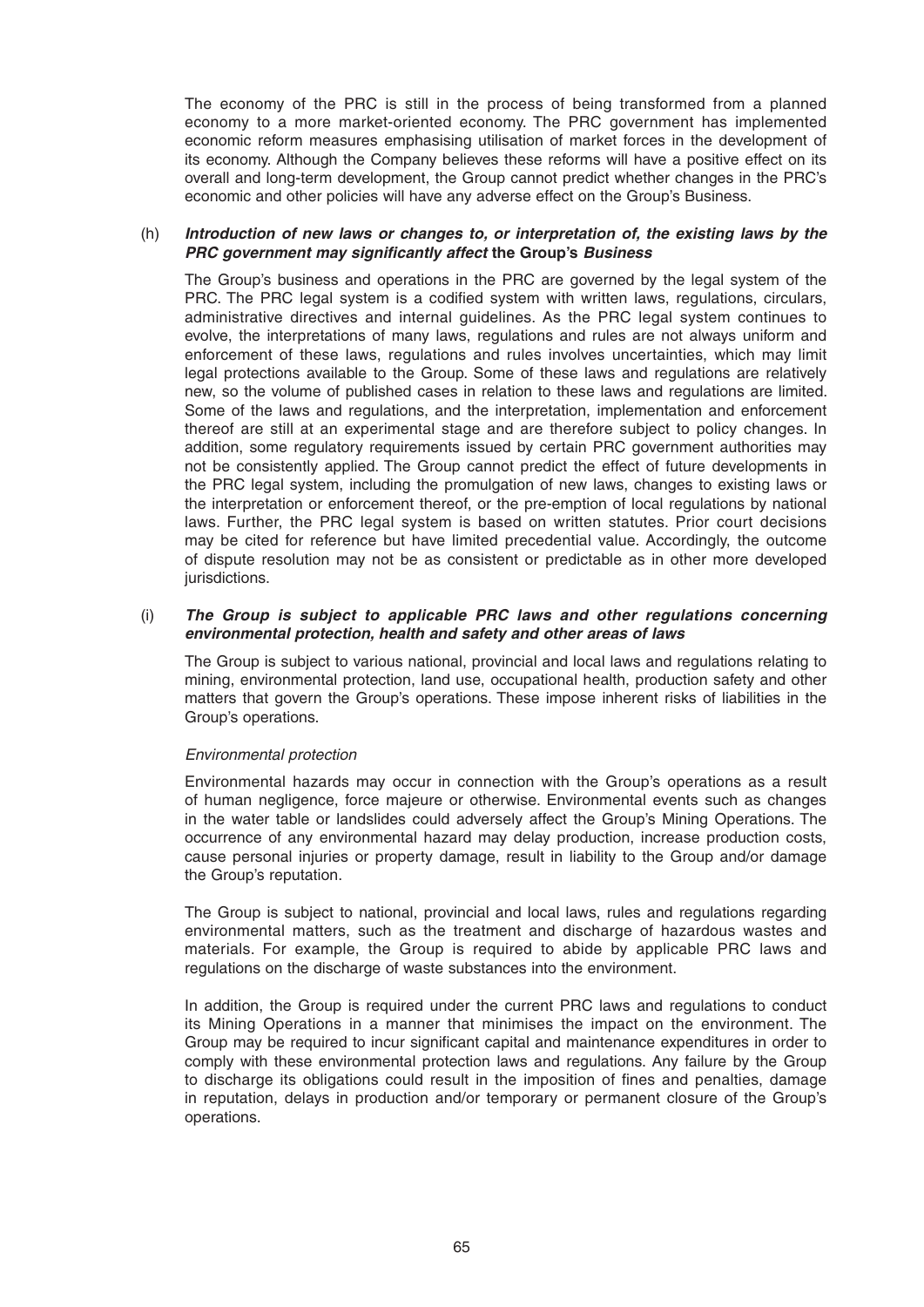The economy of the PRC is still in the process of being transformed from a planned economy to a more market-oriented economy. The PRC government has implemented economic reform measures emphasising utilisation of market forces in the development of its economy. Although the Company believes these reforms will have a positive effect on its overall and long-term development, the Group cannot predict whether changes in the PRC's economic and other policies will have any adverse effect on the Group's Business.

# (h) *Introduction of new laws or changes to, or interpretation of, the existing laws by the PRC government may significantly affect the Group's Business*

The Group's business and operations in the PRC are governed by the legal system of the PRC. The PRC legal system is a codified system with written laws, regulations, circulars, administrative directives and internal guidelines. As the PRC legal system continues to evolve, the interpretations of many laws, regulations and rules are not always uniform and enforcement of these laws, regulations and rules involves uncertainties, which may limit legal protections available to the Group. Some of these laws and regulations are relatively new, so the volume of published cases in relation to these laws and regulations are limited. Some of the laws and regulations, and the interpretation, implementation and enforcement thereof are still at an experimental stage and are therefore subject to policy changes. In addition, some regulatory requirements issued by certain PRC government authorities may not be consistently applied. The Group cannot predict the effect of future developments in the PRC legal system, including the promulgation of new laws, changes to existing laws or the interpretation or enforcement thereof, or the pre-emption of local regulations by national laws. Further, the PRC legal system is based on written statutes. Prior court decisions may be cited for reference but have limited precedential value. Accordingly, the outcome of dispute resolution may not be as consistent or predictable as in other more developed jurisdictions.

# (i) *The Group is subject to applicable PRC laws and other regulations concerning environmental protection, health and safety and other areas of laws*

 The Group is subject to various national, provincial and local laws and regulations relating to mining, environmental protection, land use, occupational health, production safety and other matters that govern the Group's operations. These impose inherent risks of liabilities in the Group's operations.

# *Environmental protection*

 Environmental hazards may occur in connection with the Group's operations as a result of human negligence, force majeure or otherwise. Environmental events such as changes in the water table or landslides could adversely affect the Group's Mining Operations. The occurrence of any environmental hazard may delay production, increase production costs, cause personal injuries or property damage, result in liability to the Group and/or damage the Group's reputation.

 The Group is subject to national, provincial and local laws, rules and regulations regarding environmental matters, such as the treatment and discharge of hazardous wastes and materials. For example, the Group is required to abide by applicable PRC laws and regulations on the discharge of waste substances into the environment.

 In addition, the Group is required under the current PRC laws and regulations to conduct its Mining Operations in a manner that minimises the impact on the environment. The Group may be required to incur significant capital and maintenance expenditures in order to comply with these environmental protection laws and regulations. Any failure by the Group to discharge its obligations could result in the imposition of fines and penalties, damage in reputation, delays in production and/or temporary or permanent closure of the Group's operations.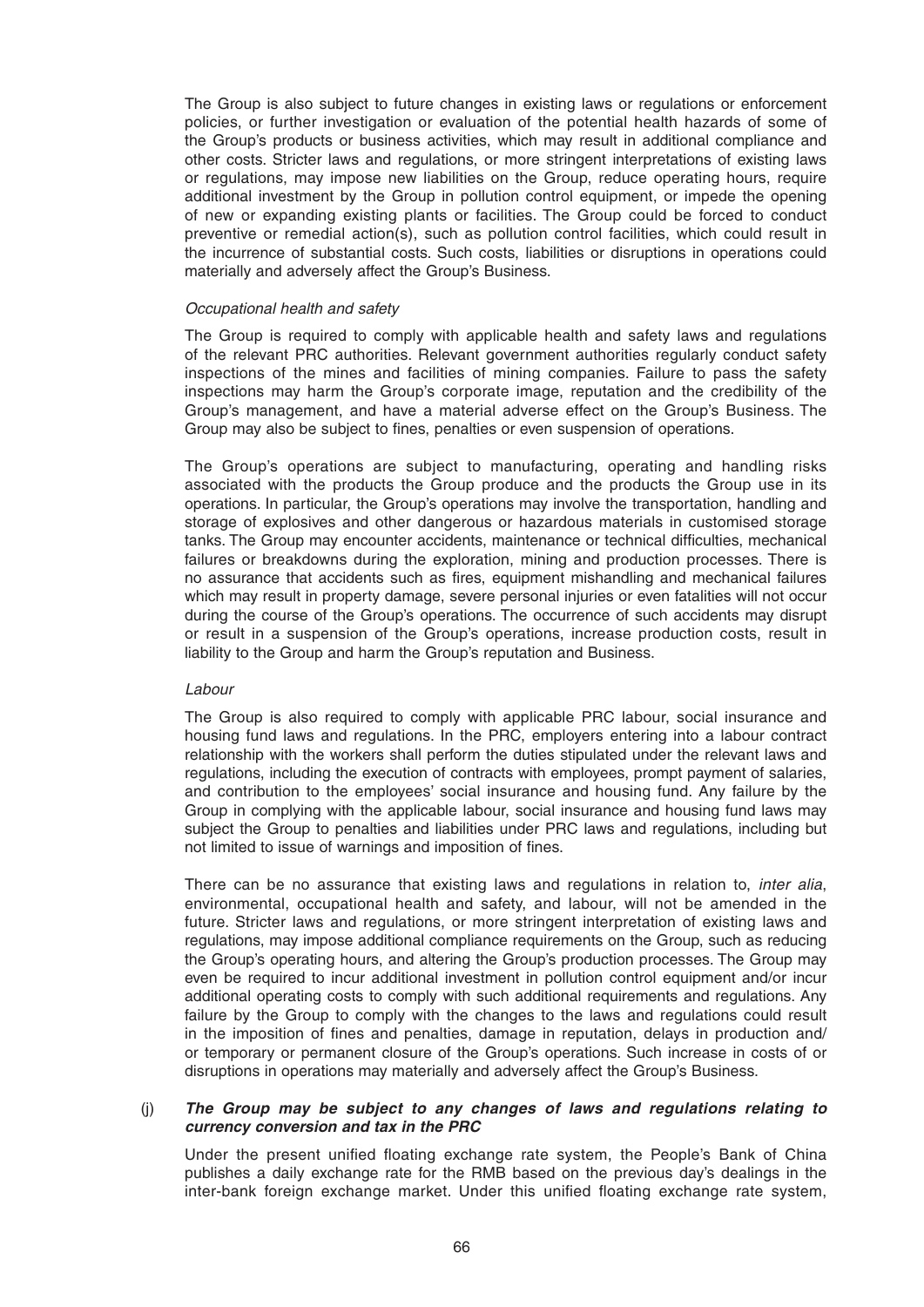The Group is also subject to future changes in existing laws or regulations or enforcement policies, or further investigation or evaluation of the potential health hazards of some of the Group's products or business activities, which may result in additional compliance and other costs. Stricter laws and regulations, or more stringent interpretations of existing laws or regulations, may impose new liabilities on the Group, reduce operating hours, require additional investment by the Group in pollution control equipment, or impede the opening of new or expanding existing plants or facilities. The Group could be forced to conduct preventive or remedial action(s), such as pollution control facilities, which could result in the incurrence of substantial costs. Such costs, liabilities or disruptions in operations could materially and adversely affect the Group's Business.

### *Occupational health and safety*

 The Group is required to comply with applicable health and safety laws and regulations of the relevant PRC authorities. Relevant government authorities regularly conduct safety inspections of the mines and facilities of mining companies. Failure to pass the safety inspections may harm the Group's corporate image, reputation and the credibility of the Group's management, and have a material adverse effect on the Group's Business. The Group may also be subject to fines, penalties or even suspension of operations.

 The Group's operations are subject to manufacturing, operating and handling risks associated with the products the Group produce and the products the Group use in its operations. In particular, the Group's operations may involve the transportation, handling and storage of explosives and other dangerous or hazardous materials in customised storage tanks. The Group may encounter accidents, maintenance or technical difficulties, mechanical failures or breakdowns during the exploration, mining and production processes. There is no assurance that accidents such as fires, equipment mishandling and mechanical failures which may result in property damage, severe personal injuries or even fatalities will not occur during the course of the Group's operations. The occurrence of such accidents may disrupt or result in a suspension of the Group's operations, increase production costs, result in liability to the Group and harm the Group's reputation and Business.

### *Labour*

 The Group is also required to comply with applicable PRC labour, social insurance and housing fund laws and regulations. In the PRC, employers entering into a labour contract relationship with the workers shall perform the duties stipulated under the relevant laws and regulations, including the execution of contracts with employees, prompt payment of salaries, and contribution to the employees' social insurance and housing fund. Any failure by the Group in complying with the applicable labour, social insurance and housing fund laws may subject the Group to penalties and liabilities under PRC laws and regulations, including but not limited to issue of warnings and imposition of fines.

 There can be no assurance that existing laws and regulations in relation to, *inter alia*, environmental, occupational health and safety, and labour, will not be amended in the future. Stricter laws and regulations, or more stringent interpretation of existing laws and regulations, may impose additional compliance requirements on the Group, such as reducing the Group's operating hours, and altering the Group's production processes. The Group may even be required to incur additional investment in pollution control equipment and/or incur additional operating costs to comply with such additional requirements and regulations. Any failure by the Group to comply with the changes to the laws and regulations could result in the imposition of fines and penalties, damage in reputation, delays in production and/ or temporary or permanent closure of the Group's operations. Such increase in costs of or disruptions in operations may materially and adversely affect the Group's Business.

### (j) *The Group may be subject to any changes of laws and regulations relating to currency conversion and tax in the PRC*

Under the present unified floating exchange rate system, the People's Bank of China publishes a daily exchange rate for the RMB based on the previous day's dealings in the inter-bank foreign exchange market. Under this unified floating exchange rate system,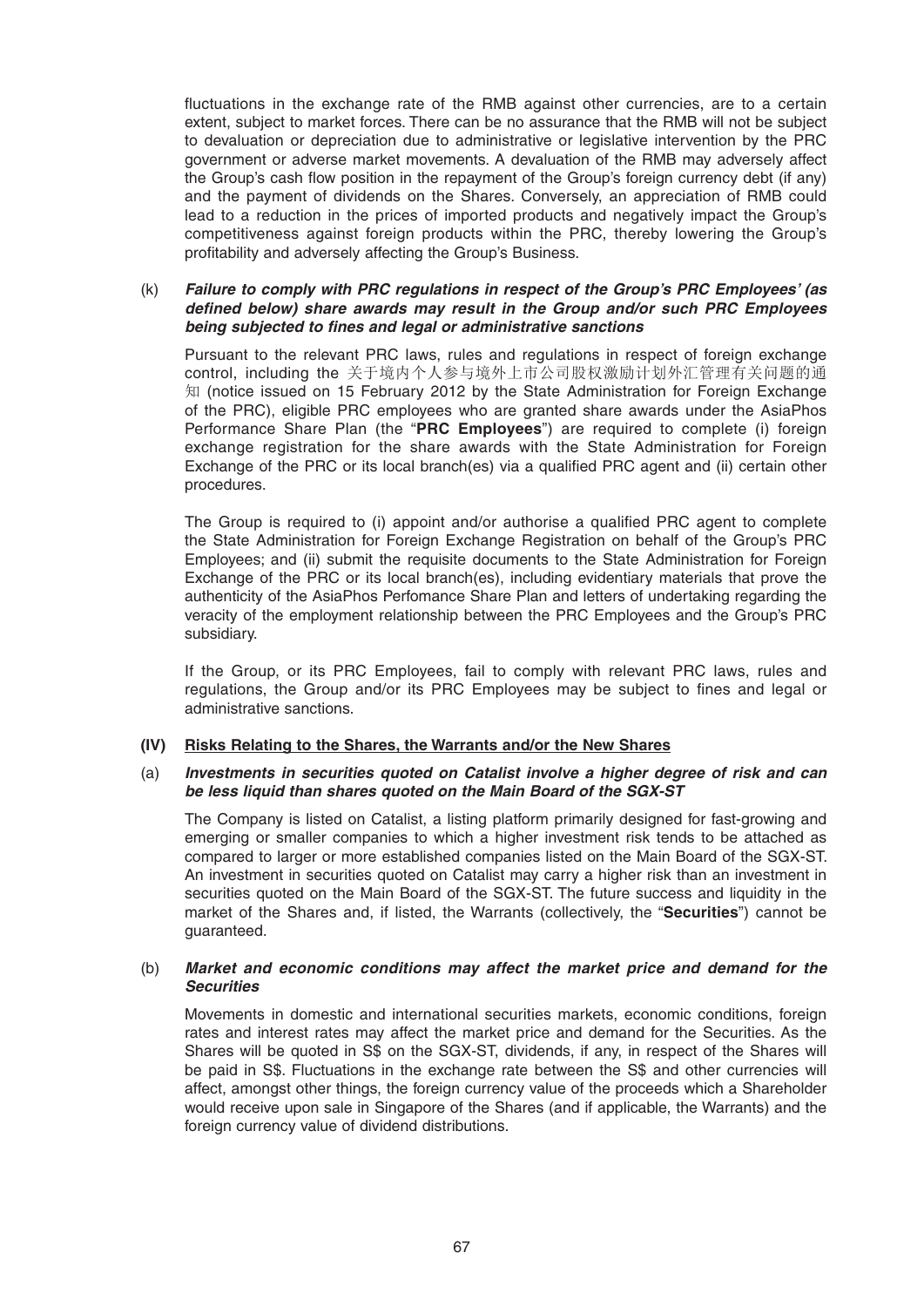fluctuations in the exchange rate of the RMB against other currencies, are to a certain extent, subject to market forces. There can be no assurance that the RMB will not be subject to devaluation or depreciation due to administrative or legislative intervention by the PRC government or adverse market movements. A devaluation of the RMB may adversely affect the Group's cash flow position in the repayment of the Group's foreign currency debt (if any) and the payment of dividends on the Shares. Conversely, an appreciation of RMB could lead to a reduction in the prices of imported products and negatively impact the Group's competitiveness against foreign products within the PRC, thereby lowering the Group's profitability and adversely affecting the Group's Business.

# (k) *Failure to comply with PRC regulations in respect of the Group's PRC Employees' (as defined below) share awards may result in the Group and/or such PRC Employees being subjected to fi nes and legal or administrative sanctions*

 Pursuant to the relevant PRC laws, rules and regulations in respect of foreign exchange control, including the 关于境内个人参与境外上市公司股权激励计划外汇管理有关问题的通 知 (notice issued on 15 February 2012 by the State Administration for Foreign Exchange of the PRC), eligible PRC employees who are granted share awards under the AsiaPhos Performance Share Plan (the "**PRC Employees**") are required to complete (i) foreign exchange registration for the share awards with the State Administration for Foreign Exchange of the PRC or its local branch(es) via a qualified PRC agent and (ii) certain other procedures.

The Group is required to (i) appoint and/or authorise a qualified PRC agent to complete the State Administration for Foreign Exchange Registration on behalf of the Group's PRC Employees; and (ii) submit the requisite documents to the State Administration for Foreign Exchange of the PRC or its local branch(es), including evidentiary materials that prove the authenticity of the AsiaPhos Perfomance Share Plan and letters of undertaking regarding the veracity of the employment relationship between the PRC Employees and the Group's PRC subsidiary.

 If the Group, or its PRC Employees, fail to comply with relevant PRC laws, rules and regulations, the Group and/or its PRC Employees may be subject to fines and legal or administrative sanctions.

# **(IV) Risks Relating to the Shares, the Warrants and/or the New Shares**

# (a) *Investments in securities quoted on Catalist involve a higher degree of risk and can be less liquid than shares quoted on the Main Board of the SGX-ST*

 The Company is listed on Catalist, a listing platform primarily designed for fast-growing and emerging or smaller companies to which a higher investment risk tends to be attached as compared to larger or more established companies listed on the Main Board of the SGX-ST. An investment in securities quoted on Catalist may carry a higher risk than an investment in securities quoted on the Main Board of the SGX-ST. The future success and liquidity in the market of the Shares and, if listed, the Warrants (collectively, the "**Securities**") cannot be guaranteed.

# (b) *Market and economic conditions may affect the market price and demand for the Securities*

 Movements in domestic and international securities markets, economic conditions, foreign rates and interest rates may affect the market price and demand for the Securities. As the Shares will be quoted in S\$ on the SGX-ST, dividends, if any, in respect of the Shares will be paid in S\$. Fluctuations in the exchange rate between the S\$ and other currencies will affect, amongst other things, the foreign currency value of the proceeds which a Shareholder would receive upon sale in Singapore of the Shares (and if applicable, the Warrants) and the foreign currency value of dividend distributions.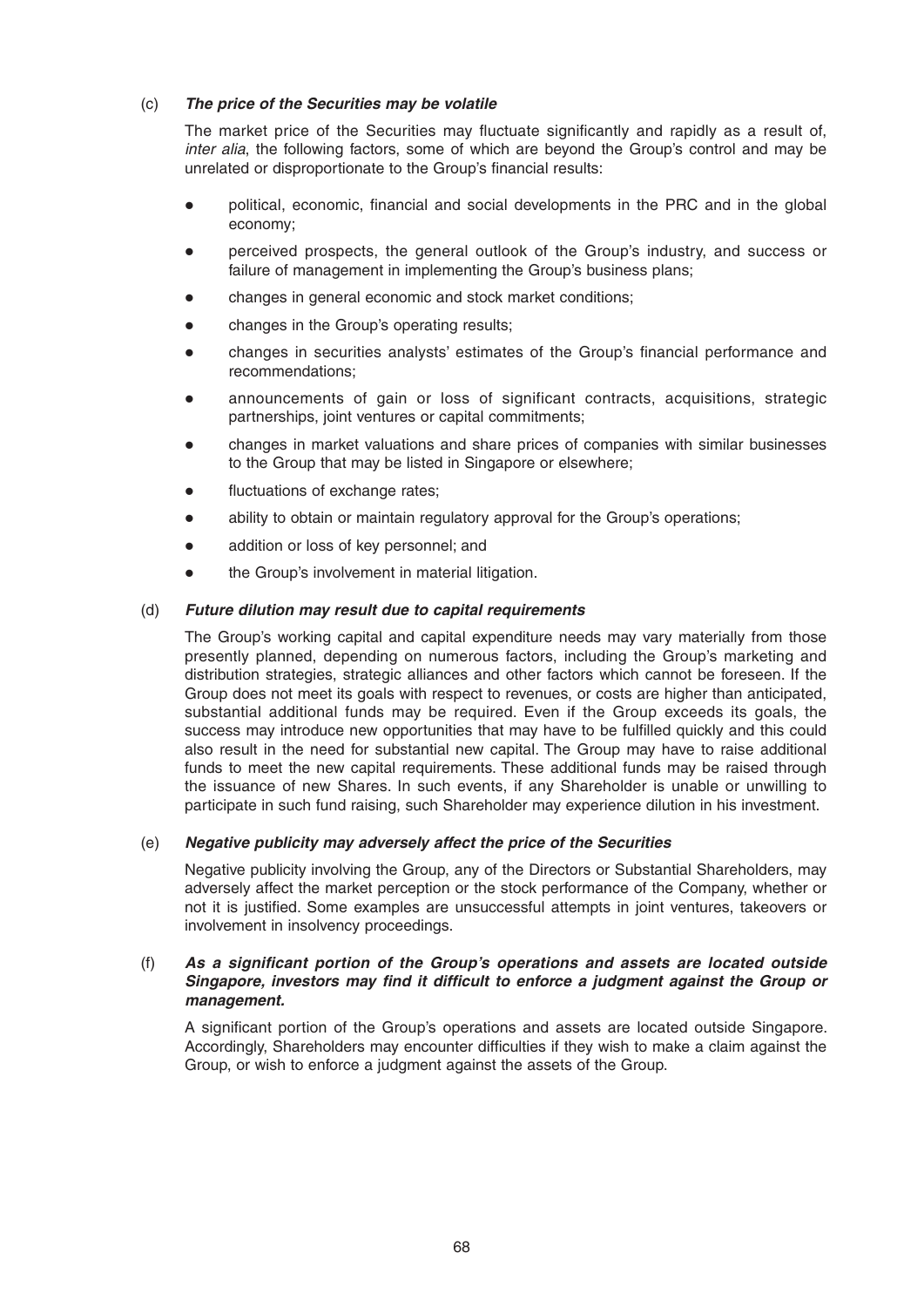# (c) *The price of the Securities may be volatile*

The market price of the Securities may fluctuate significantly and rapidly as a result of, *inter alia*, the following factors, some of which are beyond the Group's control and may be unrelated or disproportionate to the Group's financial results:

- $\bullet$  political, economic, financial and social developments in the PRC and in the global economy;
- perceived prospects, the general outlook of the Group's industry, and success or failure of management in implementing the Group's business plans;
- changes in general economic and stock market conditions;
- changes in the Group's operating results;
- changes in securities analysts' estimates of the Group's financial performance and recommendations;
- announcements of gain or loss of significant contracts, acquisitions, strategic partnerships, joint ventures or capital commitments;
- changes in market valuations and share prices of companies with similar businesses to the Group that may be listed in Singapore or elsewhere;
- fluctuations of exchange rates;
- ability to obtain or maintain regulatory approval for the Group's operations;
- addition or loss of key personnel; and
- the Group's involvement in material litigation.

# (d) *Future dilution may result due to capital requirements*

 The Group's working capital and capital expenditure needs may vary materially from those presently planned, depending on numerous factors, including the Group's marketing and distribution strategies, strategic alliances and other factors which cannot be foreseen. If the Group does not meet its goals with respect to revenues, or costs are higher than anticipated, substantial additional funds may be required. Even if the Group exceeds its goals, the success may introduce new opportunities that may have to be fulfilled quickly and this could also result in the need for substantial new capital. The Group may have to raise additional funds to meet the new capital requirements. These additional funds may be raised through the issuance of new Shares. In such events, if any Shareholder is unable or unwilling to participate in such fund raising, such Shareholder may experience dilution in his investment.

# (e) *Negative publicity may adversely affect the price of the Securities*

 Negative publicity involving the Group, any of the Directors or Substantial Shareholders, may adversely affect the market perception or the stock performance of the Company, whether or not it is justified. Some examples are unsuccessful attempts in joint ventures, takeovers or involvement in insolvency proceedings.

### (f) As a significant portion of the Group's operations and assets are located outside Singapore, investors may find it difficult to enforce a judgment against the Group or *management.*

A significant portion of the Group's operations and assets are located outside Singapore. Accordingly, Shareholders may encounter difficulties if they wish to make a claim against the Group, or wish to enforce a judgment against the assets of the Group.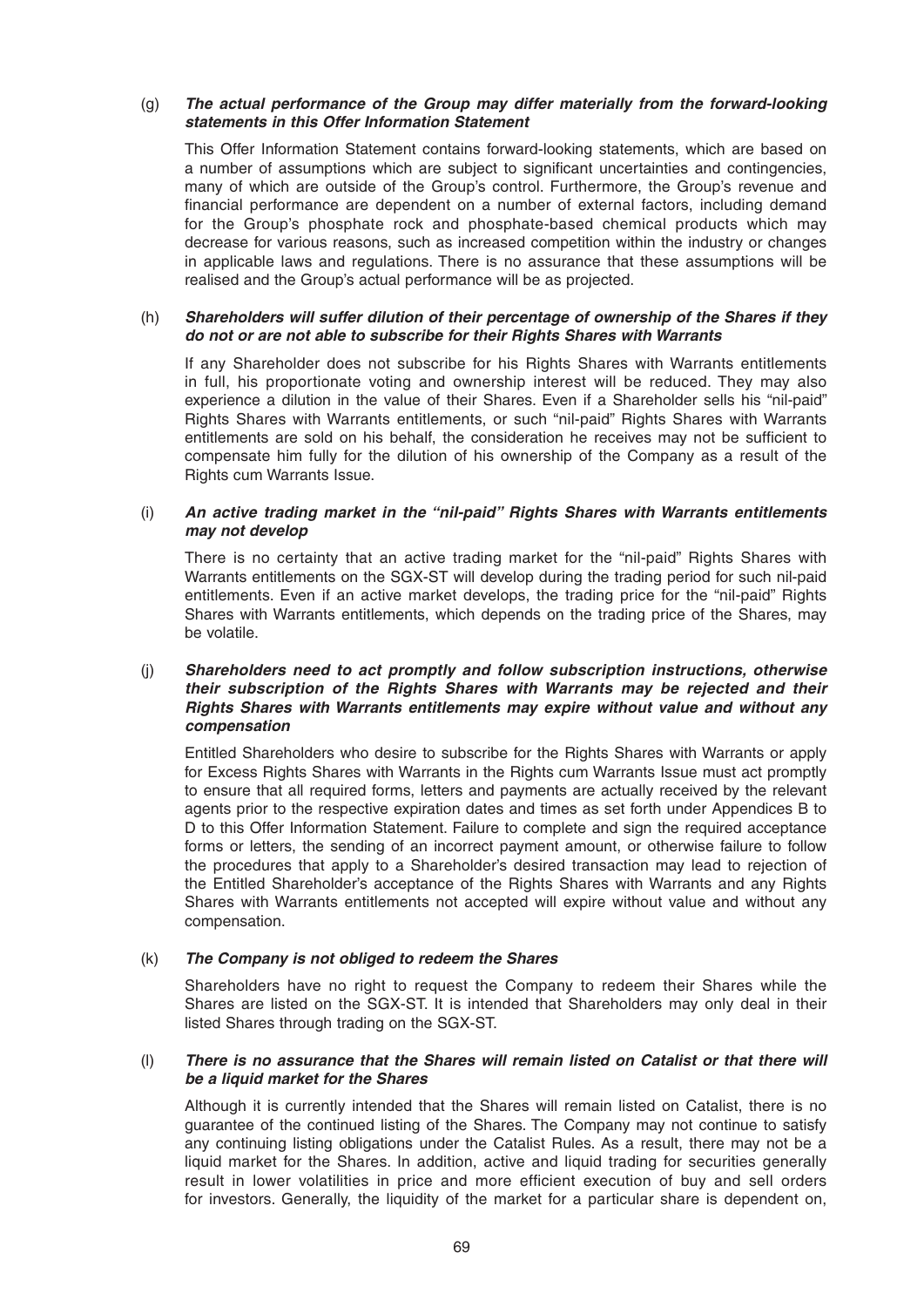# (g) *The actual performance of the Group may differ materially from the forward-looking statements in this Offer Information Statement*

This Offer Information Statement contains forward-looking statements, which are based on a number of assumptions which are subject to significant uncertainties and contingencies, many of which are outside of the Group's control. Furthermore, the Group's revenue and financial performance are dependent on a number of external factors, including demand for the Group's phosphate rock and phosphate-based chemical products which may decrease for various reasons, such as increased competition within the industry or changes in applicable laws and regulations. There is no assurance that these assumptions will be realised and the Group's actual performance will be as projected.

# (h) *Shareholders will suffer dilution of their percentage of ownership of the Shares if they do not or are not able to subscribe for their Rights Shares with Warrants*

If any Shareholder does not subscribe for his Rights Shares with Warrants entitlements in full, his proportionate voting and ownership interest will be reduced. They may also experience a dilution in the value of their Shares. Even if a Shareholder sells his "nil-paid" Rights Shares with Warrants entitlements, or such "nil-paid" Rights Shares with Warrants entitlements are sold on his behalf, the consideration he receives may not be sufficient to compensate him fully for the dilution of his ownership of the Company as a result of the Rights cum Warrants Issue.

# (i) *An active trading market in the "nil-paid" Rights Shares with Warrants entitlements may not develop*

There is no certainty that an active trading market for the "nil-paid" Rights Shares with Warrants entitlements on the SGX-ST will develop during the trading period for such nil-paid entitlements. Even if an active market develops, the trading price for the "nil-paid" Rights Shares with Warrants entitlements, which depends on the trading price of the Shares, may be volatile.

# (j) *Shareholders need to act promptly and follow subscription instructions, otherwise their subscription of the Rights Shares with Warrants may be rejected and their Rights Shares with Warrants entitlements may expire without value and without any compensation*

Entitled Shareholders who desire to subscribe for the Rights Shares with Warrants or apply for Excess Rights Shares with Warrants in the Rights cum Warrants Issue must act promptly to ensure that all required forms, letters and payments are actually received by the relevant agents prior to the respective expiration dates and times as set forth under Appendices B to D to this Offer Information Statement. Failure to complete and sign the required acceptance forms or letters, the sending of an incorrect payment amount, or otherwise failure to follow the procedures that apply to a Shareholder's desired transaction may lead to rejection of the Entitled Shareholder's acceptance of the Rights Shares with Warrants and any Rights Shares with Warrants entitlements not accepted will expire without value and without any compensation.

# (k) *The Company is not obliged to redeem the Shares*

Shareholders have no right to request the Company to redeem their Shares while the Shares are listed on the SGX-ST. It is intended that Shareholders may only deal in their listed Shares through trading on the SGX-ST.

# (l) *There is no assurance that the Shares will remain listed on Catalist or that there will be a liquid market for the Shares*

Although it is currently intended that the Shares will remain listed on Catalist, there is no guarantee of the continued listing of the Shares. The Company may not continue to satisfy any continuing listing obligations under the Catalist Rules. As a result, there may not be a liquid market for the Shares. In addition, active and liquid trading for securities generally result in lower volatilities in price and more efficient execution of buy and sell orders for investors. Generally, the liquidity of the market for a particular share is dependent on,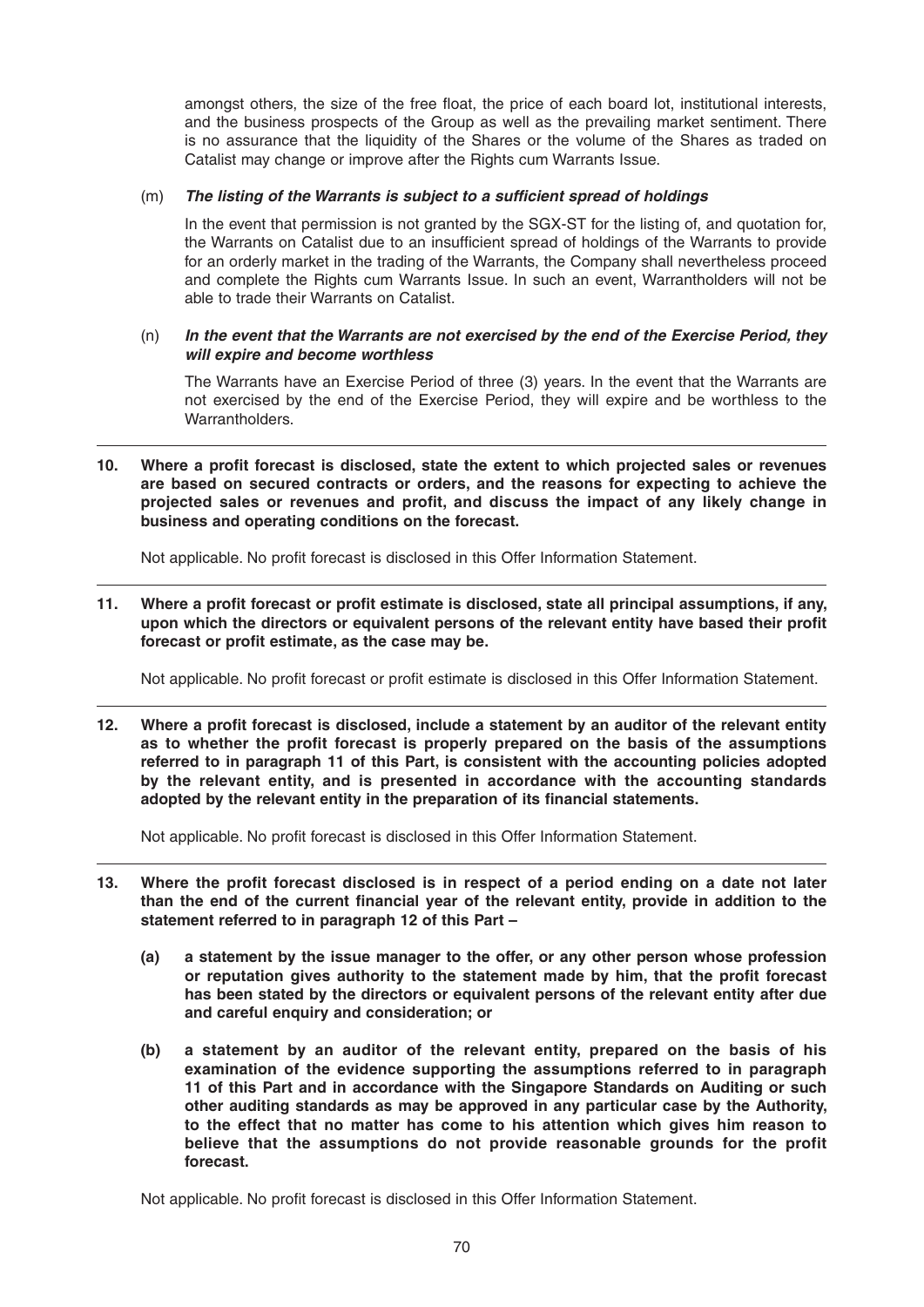amongst others, the size of the free float, the price of each board lot, institutional interests, and the business prospects of the Group as well as the prevailing market sentiment. There is no assurance that the liquidity of the Shares or the volume of the Shares as traded on Catalist may change or improve after the Rights cum Warrants Issue.

# (m) The listing of the Warrants is subject to a sufficient spread of holdings

 In the event that permission is not granted by the SGX-ST for the listing of, and quotation for, the Warrants on Catalist due to an insufficient spread of holdings of the Warrants to provide for an orderly market in the trading of the Warrants, the Company shall nevertheless proceed and complete the Rights cum Warrants Issue. In such an event, Warrantholders will not be able to trade their Warrants on Catalist.

# (n) *In the event that the Warrants are not exercised by the end of the Exercise Period, they will expire and become worthless*

 The Warrants have an Exercise Period of three (3) years. In the event that the Warrants are not exercised by the end of the Exercise Period, they will expire and be worthless to the Warrantholders

10. Where a profit forecast is disclosed, state the extent to which projected sales or revenues **are based on secured contracts or orders, and the reasons for expecting to achieve the**  projected sales or revenues and profit, and discuss the impact of any likely change in **business and operating conditions on the forecast.**

Not applicable. No profit forecast is disclosed in this Offer Information Statement.

11. Where a profit forecast or profit estimate is disclosed, state all principal assumptions, if any, upon which the directors or equivalent persons of the relevant entity have based their profit forecast or profit estimate, as the case may be.

Not applicable. No profit forecast or profit estimate is disclosed in this Offer Information Statement.

12. Where a profit forecast is disclosed, include a statement by an auditor of the relevant entity as to whether the profit forecast is properly prepared on the basis of the assumptions **referred to in paragraph 11 of this Part, is consistent with the accounting policies adopted by the relevant entity, and is presented in accordance with the accounting standards**  adopted by the relevant entity in the preparation of its financial statements.

Not applicable. No profit forecast is disclosed in this Offer Information Statement.

- 13. Where the profit forecast disclosed is in respect of a period ending on a date not later than the end of the current financial year of the relevant entity, provide in addition to the **statement referred to in paragraph 12 of this Part –**
	- **(a) a statement by the issue manager to the offer, or any other person whose profession**  or reputation gives authority to the statement made by him, that the profit forecast **has been stated by the directors or equivalent persons of the relevant entity after due and careful enquiry and consideration; or**
	- **(b) a statement by an auditor of the relevant entity, prepared on the basis of his examination of the evidence supporting the assumptions referred to in paragraph 11 of this Part and in accordance with the Singapore Standards on Auditing or such other auditing standards as may be approved in any particular case by the Authority, to the effect that no matter has come to his attention which gives him reason to believe that the assumptions do not provide reasonable grounds for the profit forecast.**

Not applicable. No profit forecast is disclosed in this Offer Information Statement.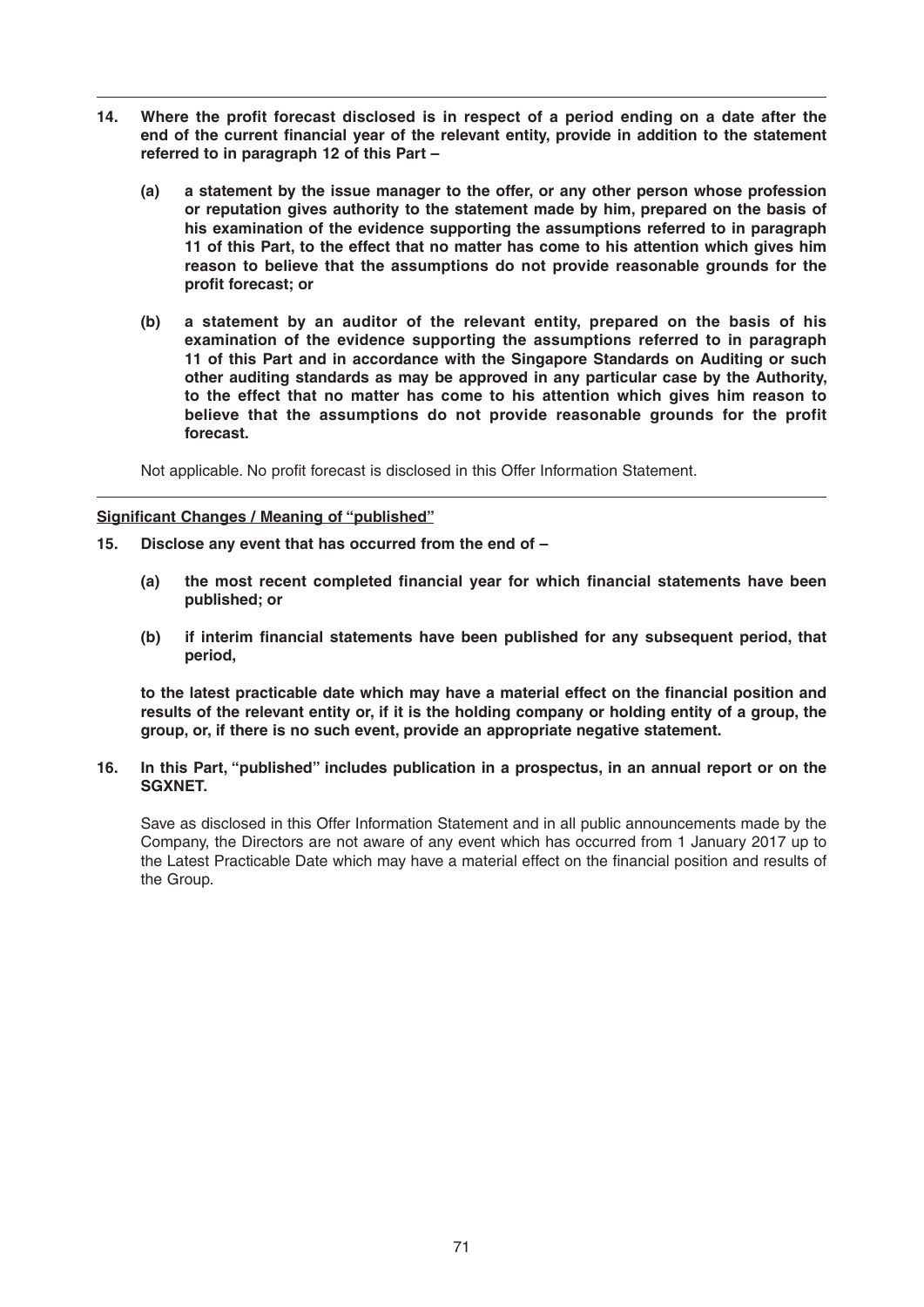- 14. Where the profit forecast disclosed is in respect of a period ending on a date after the end of the current financial year of the relevant entity, provide in addition to the statement **referred to in paragraph 12 of this Part –**
	- **(a) a statement by the issue manager to the offer, or any other person whose profession or reputation gives authority to the statement made by him, prepared on the basis of his examination of the evidence supporting the assumptions referred to in paragraph 11 of this Part, to the effect that no matter has come to his attention which gives him reason to believe that the assumptions do not provide reasonable grounds for the profit forecast: or**
	- **(b) a statement by an auditor of the relevant entity, prepared on the basis of his examination of the evidence supporting the assumptions referred to in paragraph 11 of this Part and in accordance with the Singapore Standards on Auditing or such other auditing standards as may be approved in any particular case by the Authority, to the effect that no matter has come to his attention which gives him reason to believe that the assumptions do not provide reasonable grounds for the profit forecast.**

Not applicable. No profit forecast is disclosed in this Offer Information Statement.

### **Significant Changes / Meaning of "published"**

- **15. Disclose any event that has occurred from the end of –**
	- (a) the most recent completed financial year for which financial statements have been **published; or**
	- (b) if interim financial statements have been published for any subsequent period, that **period,**

to the latest practicable date which may have a material effect on the financial position and **results of the relevant entity or, if it is the holding company or holding entity of a group, the group, or, if there is no such event, provide an appropriate negative statement.**

**16. In this Part, "published" includes publication in a prospectus, in an annual report or on the SGXNET.**

 Save as disclosed in this Offer Information Statement and in all public announcements made by the Company, the Directors are not aware of any event which has occurred from 1 January 2017 up to the Latest Practicable Date which may have a material effect on the financial position and results of the Group.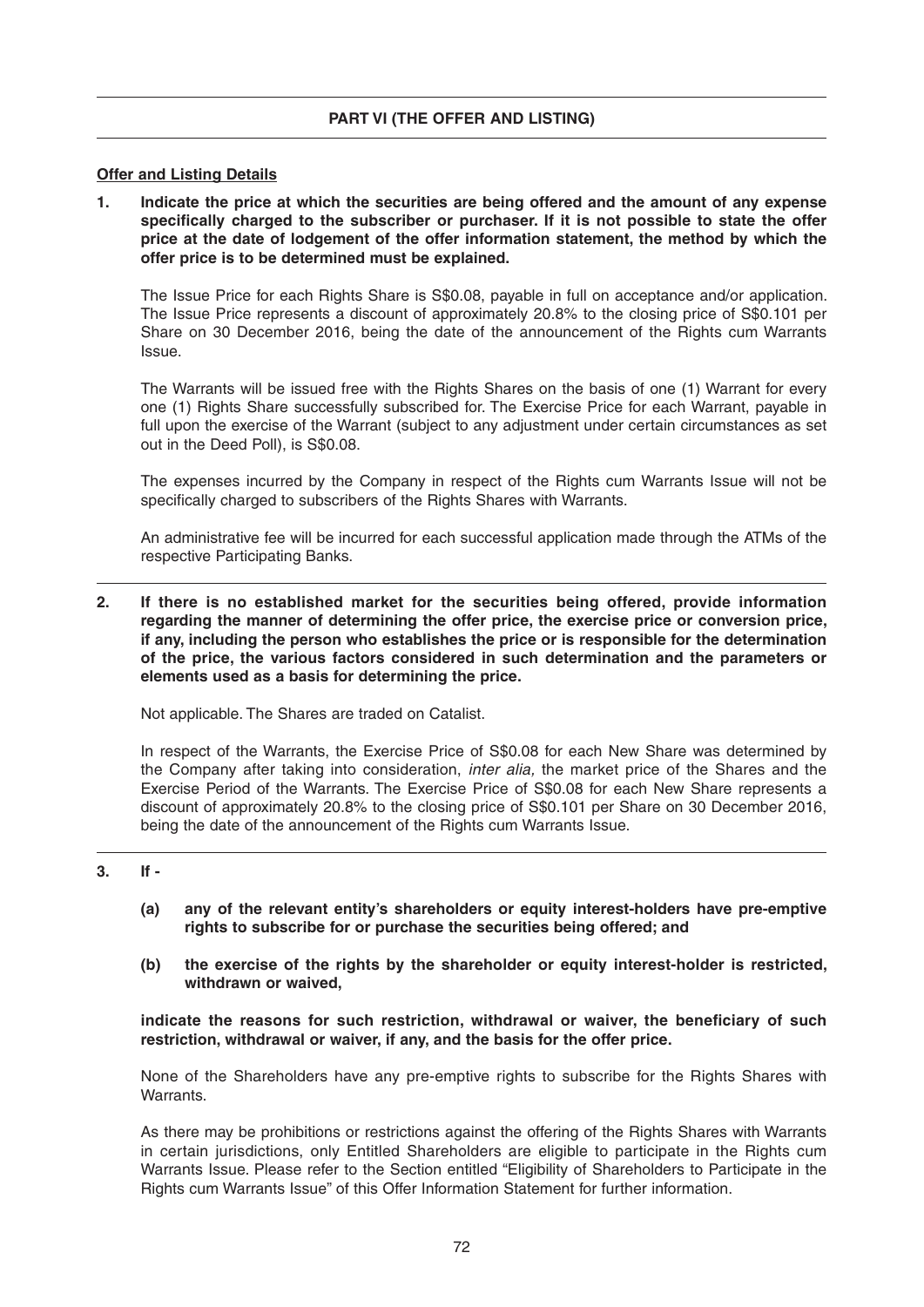#### **PART VI (THE OFFER AND LISTING)**

#### **Offer and Listing Details**

**1. Indicate the price at which the securities are being offered and the amount of any expense**  specifically charged to the subscriber or purchaser. If it is not possible to state the offer **price at the date of lodgement of the offer information statement, the method by which the offer price is to be determined must be explained.**

 The Issue Price for each Rights Share is S\$0.08, payable in full on acceptance and/or application. The Issue Price represents a discount of approximately 20.8% to the closing price of S\$0.101 per Share on 30 December 2016, being the date of the announcement of the Rights cum Warrants Issue.

 The Warrants will be issued free with the Rights Shares on the basis of one (1) Warrant for every one (1) Rights Share successfully subscribed for . The Exercise Price for each Warrant, payable in full upon the exercise of the Warrant (subject to any adjustment under certain circumstances as set out in the Deed Poll), is S\$0.08.

 The expenses incurred by the Company in respect of the Rights cum Warrants Issue will not be specifically charged to subscribers of the Rights Shares with Warrants.

 An administrative fee will be incurred for each successful application made through the ATMs of the respective Participating Banks.

**2. If there is no established market for the securities being offered, provide information regarding the manner of determining the offer price, the exercise price or conversion price, if any, including the person who establishes the price or is responsible for the determination of the price, the various factors considered in such determination and the parameters or elements used as a basis for determining the price.**

Not applicable. The Shares are traded on Catalist.

 In respect of the Warrants, the Exercise Price of S\$0.08 for each New Share was determined by the Company after taking into consideration, *inter alia,* the market price of the Shares and the Exercise Period of the Warrants. The Exercise Price of S\$0.08 for each New Share represents a discount of approximately 20.8% to the closing price of S\$0.101 per Share on 30 December 2016, being the date of the announcement of the Rights cum Warrants Issue.

#### **3. If -**

- **(a) any of the relevant entity's shareholders or equity interest-holders have pre-emptive rights to subscribe for or purchase the securities being offered; and**
- **(b) the exercise of the rights by the shareholder or equity interest-holder is restricted, withdrawn or waived,**

indicate the reasons for such restriction, withdrawal or waiver, the beneficiary of such **restriction, withdrawal or waiver, if any, and the basis for the offer price.**

None of the Shareholders have any pre-emptive rights to subscribe for the Rights Shares with Warrants.

 As there may be prohibitions or restrictions against the offering of the Rights Shares with Warrants in certain jurisdictions, only Entitled Shareholders are eligible to participate in the Rights cum Warrants Issue. Please refer to the Section entitled "Eligibility of Shareholders to Participate in the Rights cum Warrants Issue" of this Offer Information Statement for further information.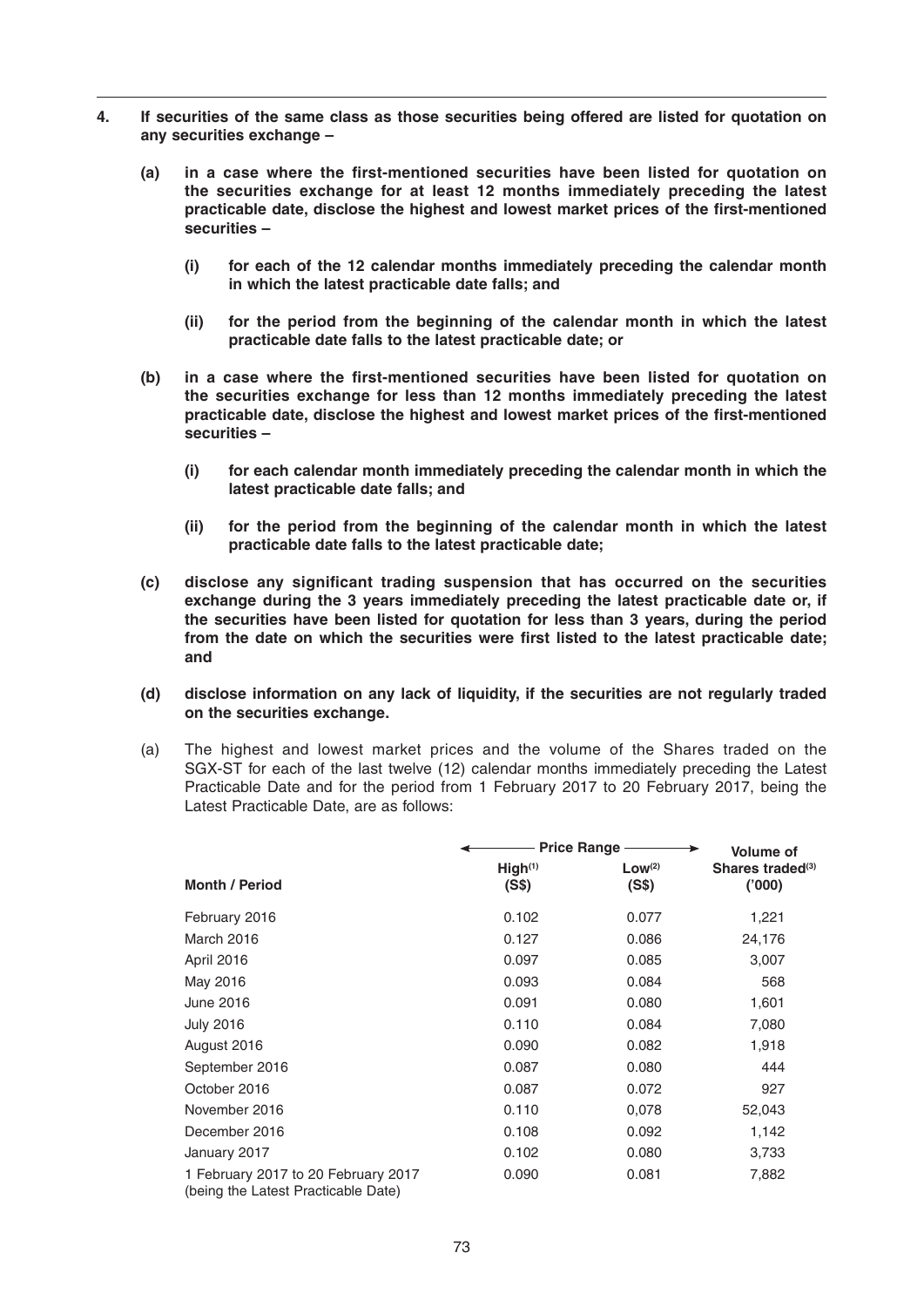- **4. If securities of the same class as those securities being offered are listed for quotation on any securities exchange –**
	- (a) in a case where the first-mentioned securities have been listed for quotation on **the securities exchange for at least 12 months immediately preceding the latest**  practicable date, disclose the highest and lowest market prices of the first-mentioned **securities –**
		- **(i) for each of the 12 calendar months immediately preceding the calendar month in which the latest practicable date falls; and**
		- **(ii) for the period from the beginning of the calendar month in which the latest practicable date falls to the latest practicable date; or**
	- (b) in a case where the first-mentioned securities have been listed for quotation on **the securities exchange for less than 12 months immediately preceding the latest**  practicable date, disclose the highest and lowest market prices of the first-mentioned **securities –**
		- **(i) for each calendar month immediately preceding the calendar month in which the latest practicable date falls; and**
		- **(ii) for the period from the beginning of the calendar month in which the latest practicable date falls to the latest practicable date;**
	- **(c)** disclose any significant trading suspension that has occurred on the securities **exchange during the 3 years immediately preceding the latest practicable date or, if the securities have been listed for quotation for less than 3 years, during the period**  from the date on which the securities were first listed to the latest practicable date; **and**
	- **(d) disclose information on any lack of liquidity, if the securities are not regularly traded on the securities exchange.**
	- (a) The highest and lowest market prices and the volume of the Shares traded on the SGX-ST for each of the last twelve (12) calendar months immediately preceding the Latest Practicable Date and for the period from 1 February 2017 to 20 February 2017, being the Latest Practicable Date, are as follows:

|                                                                            | Price Range -                | <b>Volume of</b>     |                                        |
|----------------------------------------------------------------------------|------------------------------|----------------------|----------------------------------------|
| <b>Month / Period</b>                                                      | High <sup>(1)</sup><br>(S\$) | $Low^{(2)}$<br>(S\$) | Shares traded <sup>(3)</sup><br>('000) |
| February 2016                                                              | 0.102                        | 0.077                | 1,221                                  |
| March 2016                                                                 | 0.127                        | 0.086                | 24,176                                 |
| April 2016                                                                 | 0.097                        | 0.085                | 3,007                                  |
| May 2016                                                                   | 0.093                        | 0.084                | 568                                    |
| June 2016                                                                  | 0.091                        | 0.080                | 1,601                                  |
| <b>July 2016</b>                                                           | 0.110                        | 0.084                | 7,080                                  |
| August 2016                                                                | 0.090                        | 0.082                | 1,918                                  |
| September 2016                                                             | 0.087                        | 0.080                | 444                                    |
| October 2016                                                               | 0.087                        | 0.072                | 927                                    |
| November 2016                                                              | 0.110                        | 0,078                | 52,043                                 |
| December 2016                                                              | 0.108                        | 0.092                | 1,142                                  |
| January 2017                                                               | 0.102                        | 0.080                | 3,733                                  |
| 1 February 2017 to 20 February 2017<br>(being the Latest Practicable Date) | 0.090                        | 0.081                | 7,882                                  |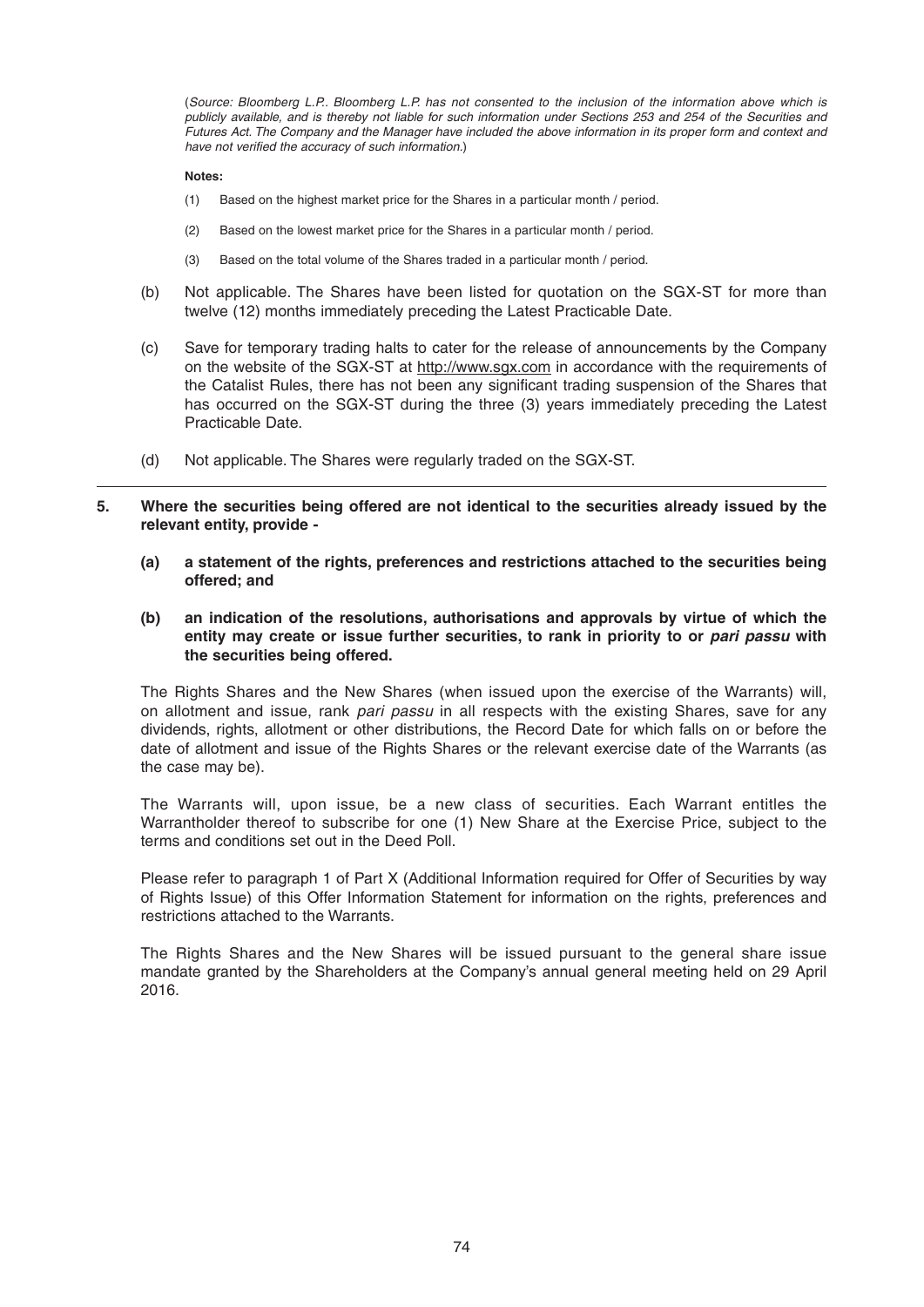(*Source: Bloomberg L.P.. Bloomberg L.P. has not consented to the inclusion of the information above which is*  publicly available, and is thereby not liable for such information under Sections 253 and 254 of the Securities and *Futures Act. The Company and the Manager have included the above information in its proper form and context and*  have not verified the accuracy of such information.)

#### **Notes:**

- (1) Based on the highest market price for the Shares in a particular month / period.
- (2) Based on the lowest market price for the Shares in a particular month / period.
- (3) Based on the total volume of the Shares traded in a particular month / period.
- (b) Not applicable. The Shares have been listed for quotation on the SGX-ST for more than twelve (12) months immediately preceding the Latest Practicable Date.
- (c) Save for temporary trading halts to cater for the release of announcements by the Company on the website of the SGX-ST at http://www.sqx.com in accordance with the requirements of the Catalist Rules, there has not been any significant trading suspension of the Shares that has occurred on the SGX-ST during the three (3) years immediately preceding the Latest Practicable Date.
- (d) Not applicable. The Shares were regularly traded on the SGX-ST.

#### **5. Where the securities being offered are not identical to the securities already issued by the relevant entity, provide -**

- **(a) a statement of the rights, preferences and restrictions attached to the securities being offered; and**
- **(b) an indication of the resolutions, authorisations and approvals by virtue of which the entity may create or issue further securities, to rank in priority to or** *pari passu* **with the securities being offered.**

 The Rights Shares and the New Shares (when issued upon the exercise of the Warrants) will, on allotment and issue, rank *pari passu* in all respects with the existing Shares, save for any dividends, rights, allotment or other distributions, the Record Date for which falls on or before the date of allotment and issue of the Rights Shares or the relevant exercise date of the Warrants (as the case may be).

 The Warrants will, upon issue, be a new class of securities. Each Warrant entitles the Warrantholder thereof to subscribe for one (1) New Share at the Exercise Price, subject to the terms and conditions set out in the Deed Poll.

Please refer to paragraph 1 of Part X (Additional Information required for Offer of Securities by way of Rights Issue) of this Offer Information Statement for information on the rights, preferences and restrictions attached to the Warrants.

 The Rights Shares and the New Shares will be issued pursuant to the general share issue mandate granted by the Shareholders at the Company's annual general meeting held on 29 April 2016.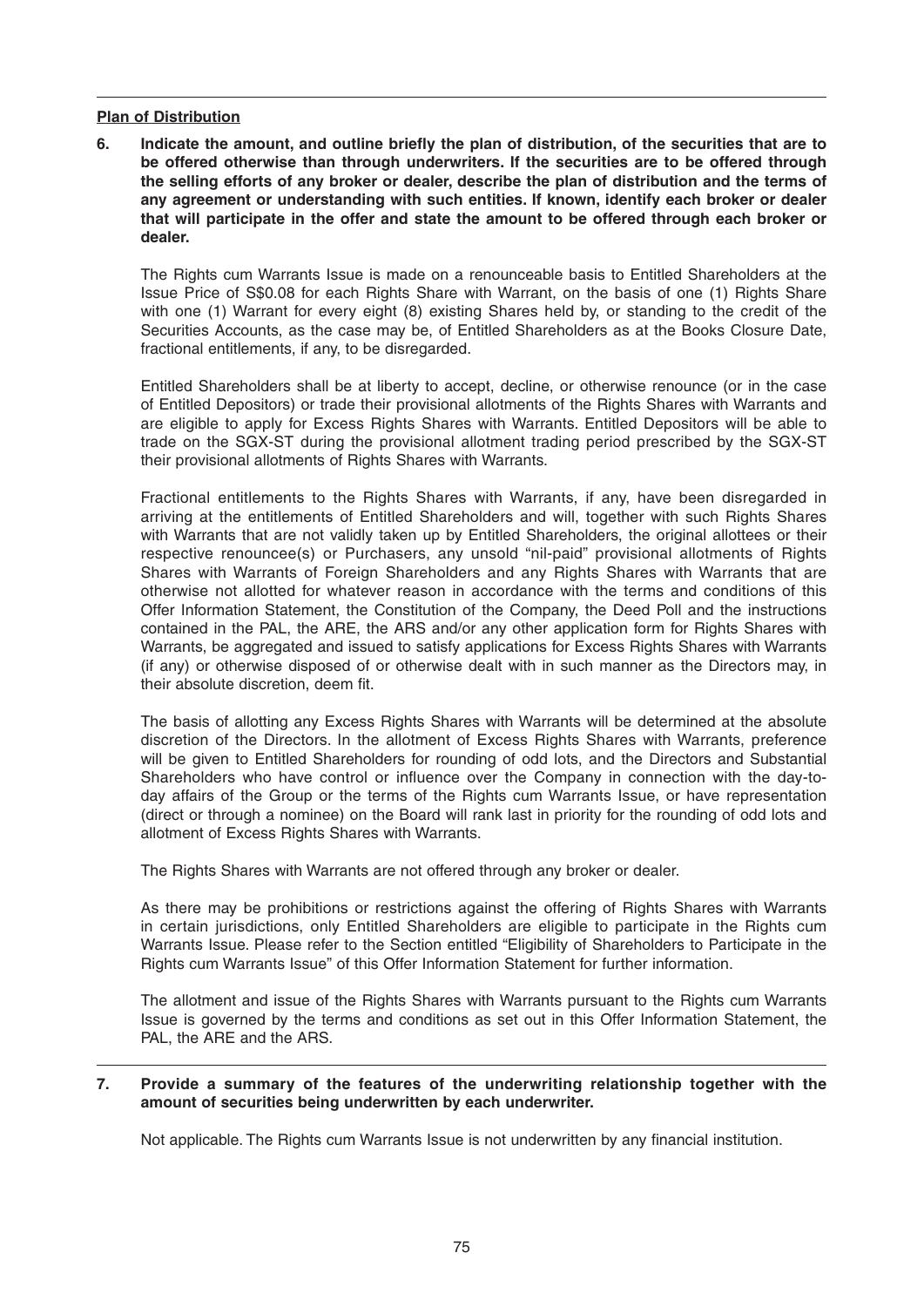#### **Plan of Distribution**

**6.** Indicate the amount, and outline briefly the plan of distribution, of the securities that are to **be offered otherwise than through underwriters. If the securities are to be offered through the selling efforts of any broker or dealer, describe the plan of distribution and the terms of any agreement or understanding with such entities. If known, identify each broker or dealer that will participate in the offer and state the amount to be offered through each broker or dealer.**

 The Rights cum Warrants Issue is made on a renounceable basis to Entitled Shareholders at the Issue Price of S\$0.08 for each Rights Share with Warrant, on the basis of one (1) Rights Share with one (1) Warrant for every eight (8) existing Shares held by, or standing to the credit of the Securities Accounts, as the case may be, of Entitled Shareholders as at the Books Closure Date, fractional entitlements, if any, to be disregarded.

 Entitled Shareholders shall be at liberty to accept, decline, or otherwise renounce (or in the case of Entitled Depositors) or trade their provisional allotments of the Rights Shares with Warrants and are eligible to apply for Excess Rights Shares with Warrants. Entitled Depositors will be able to trade on the SGX-ST during the provisional allotment trading period prescribed by the SGX-ST their provisional allotments of Rights Shares with Warrants.

 Fractional entitlements to the Rights Shares with Warrants, if any, have been disregarded in arriving at the entitlements of Entitled Shareholders and will, together with such Rights Shares with Warrants that are not validly taken up by Entitled Shareholders, the original allottees or their respective renouncee(s) or Purchasers, any unsold "nil-paid" provisional allotments of Rights Shares with Warrants of Foreign Shareholders and any Rights Shares with Warrants that are otherwise not allotted for whatever reason in accordance with the terms and conditions of this Offer Information Statement, the Constitution of the Company, the Deed Poll and the instructions contained in the PAL, the ARE, the ARS and/or any other application form for Rights Shares with Warrants, be aggregated and issued to satisfy applications for Excess Rights Shares with Warrants (if any) or otherwise disposed of or otherwise dealt with in such manner as the Directors may, in their absolute discretion, deem fit.

 The basis of allotting any Excess Rights Shares with Warrants will be determined at the absolute discretion of the Directors. In the allotment of Excess Rights Shares with Warrants, preference will be given to Entitled Shareholders for rounding of odd lots, and the Directors and Substantial Shareholders who have control or influence over the Company in connection with the day-today affairs of the Group or the terms of the Rights cum Warrants Issue, or have representation (direct or through a nominee) on the Board will rank last in priority for the rounding of odd lots and allotment of Excess Rights Shares with Warrants.

The Rights Shares with Warrants are not offered through any broker or dealer.

 As there may be prohibitions or restrictions against the offering of Rights Shares with Warrants in certain jurisdictions, only Entitled Shareholders are eligible to participate in the Rights cum Warrants Issue. Please refer to the Section entitled "Eligibility of Shareholders to Participate in the Rights cum Warrants Issue" of this Offer Information Statement for further information.

The allotment and issue of the Rights Shares with Warrants pursuant to the Rights cum Warrants Issue is governed by the terms and conditions as set out in this Offer Information Statement, the PAL, the ARE and the ARS.

#### **7. Provide a summary of the features of the underwriting relationship together with the amount of securities being underwritten by each underwriter.**

Not applicable. The Rights cum Warrants Issue is not underwritten by any financial institution.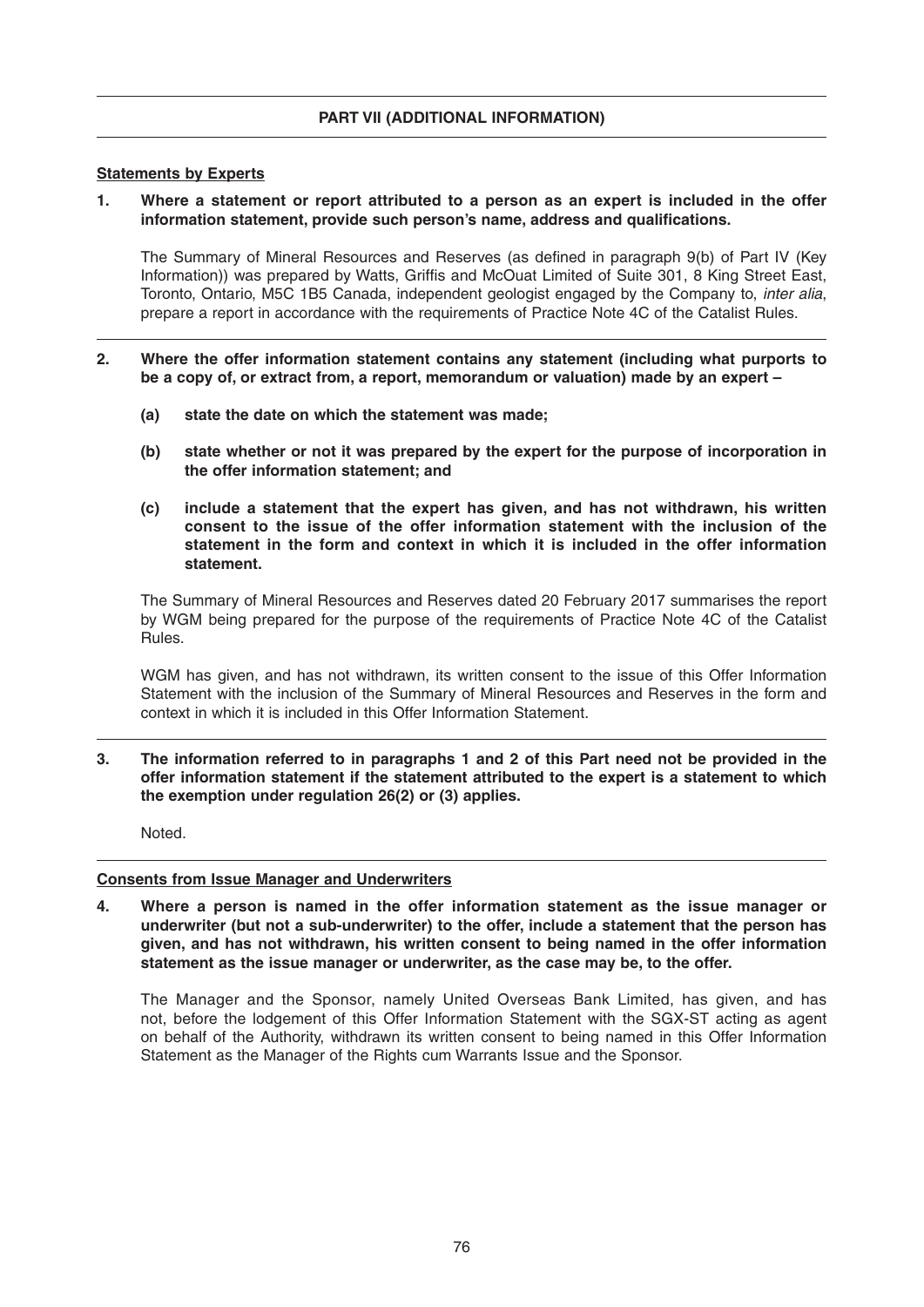#### **Statements by Experts**

**1. Where a statement or report attributed to a person as an expert is included in the offer** information statement, provide such person's name, address and qualifications.

The Summary of Mineral Resources and Reserves (as defined in paragraph 9(b) of Part IV (Key Information)) was prepared by Watts, Griffis and McOuat Limited of Suite 301, 8 King Street East, Toronto, Ontario, M5C 1B5 Canada, independent geologistengaged by the Company to, *inter alia*, prepare a report in accordance with the requirements of Practice Note 4C of the Catalist Rules.

- **2. Where the offer information statement contains any statement (including what purports to be a copy of, or extract from, a report, memorandum or valuation) made by an expert –**
	- **(a) state the date on which the statement was made;**
	- **(b) state whether or not it was prepared by the expert for the purpose of incorporation in the offer information statement; and**
	- **(c) include a statement that the expert has given, and has not withdrawn, his written consent to the issue of the offer information statement with the inclusion of the statement in the form and context in which it is included in the offer information statement.**

The Summary of Mineral Resources and Reserves dated 20 February 2017 summarises the report by WGM being prepared for the purpose of the requirements of Practice Note 4C of the Catalist Rules.

 WGM has given, and has not withdrawn, its written consent to the issue of this Offer Information Statement with the inclusion of the Summary of Mineral Resources and Reserves in the form and context in which it is included in this Offer Information Statement.

**3. The information referred to in paragraphs 1 and 2 of this Part need not be provided in the offer information statement if the statement attributed to the expert is a statement to which the exemption under regulation 26(2) or (3) applies.**

Noted.

 $\overline{a}$ 

#### **Consents from Issue Manager and Underwriters**

**4. Where a person is named in the offer information statement as the issue manager or underwriter (but not a sub-underwriter) to the offer, include a statement that the person has given, and has not withdrawn, his written consent to being named in the offer information statement as the issue manager or underwriter, as the case may be, to the offer.**

 The Manager and the Sponsor, namely United Overseas Bank Limited, has given, and has not, before the lodgement of this Offer Information Statement with the SGX-ST acting as agent on behalf of the Authority, withdrawn its written consent to being named in this Offer Information Statement as the Manager of the Rights cum Warrants Issue and the Sponsor.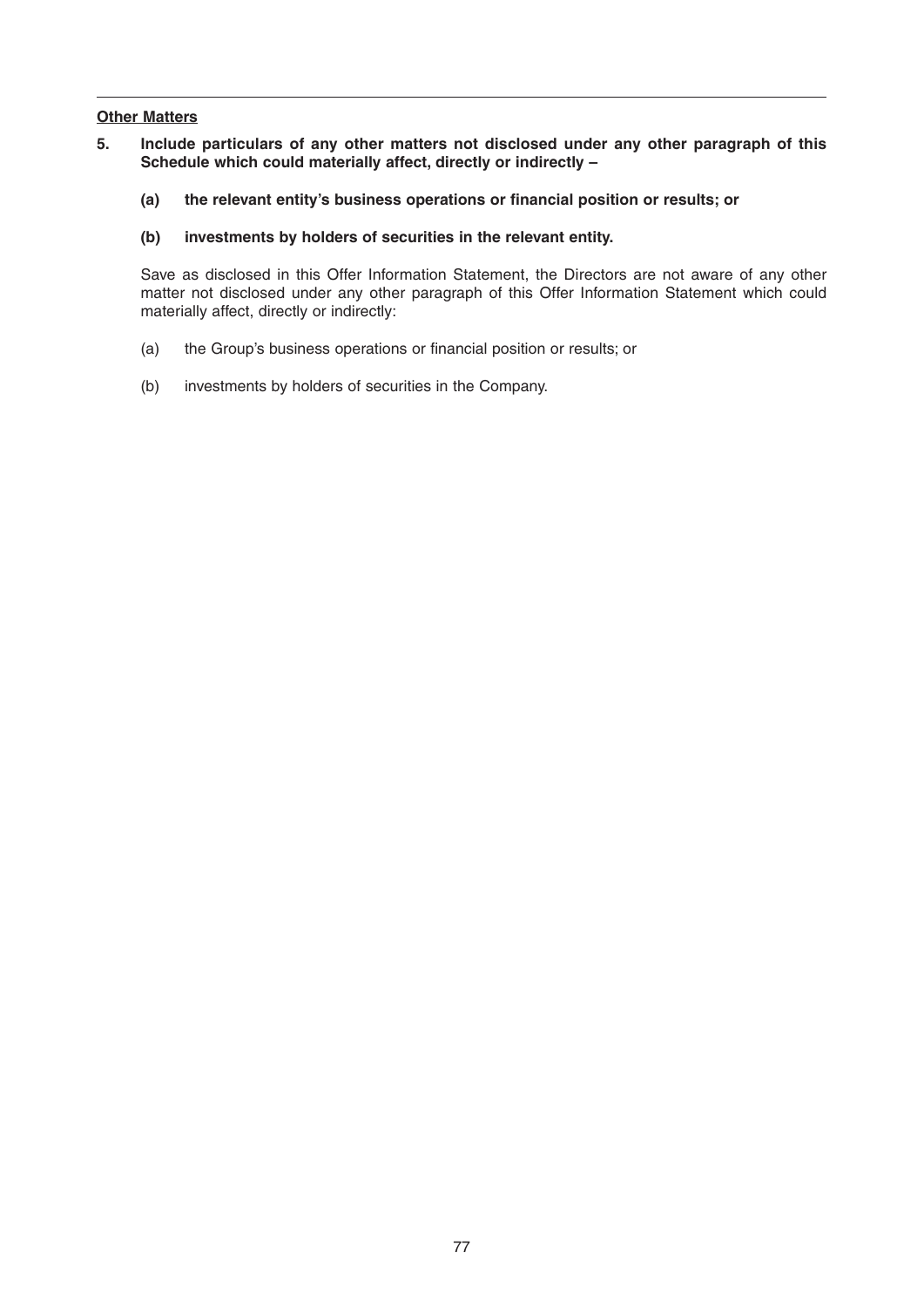# **Other Matters**

- **5. Include particulars of any other matters not disclosed under any other paragraph of this Schedule which could materially affect, directly or indirectly –**
	- (a) the relevant entity's business operations or financial position or results; or
	- **(b) investments by holders of securities in the relevant entity.**

 Save as disclosed in this Offer Information Statement, the Directors are not aware of any other matter not disclosed under any other paragraph of this Offer Information Statement which could materially affect, directly or indirectly:

- (a) the Group's business operations or financial position or results; or
- (b) investments by holders of securities in the Company.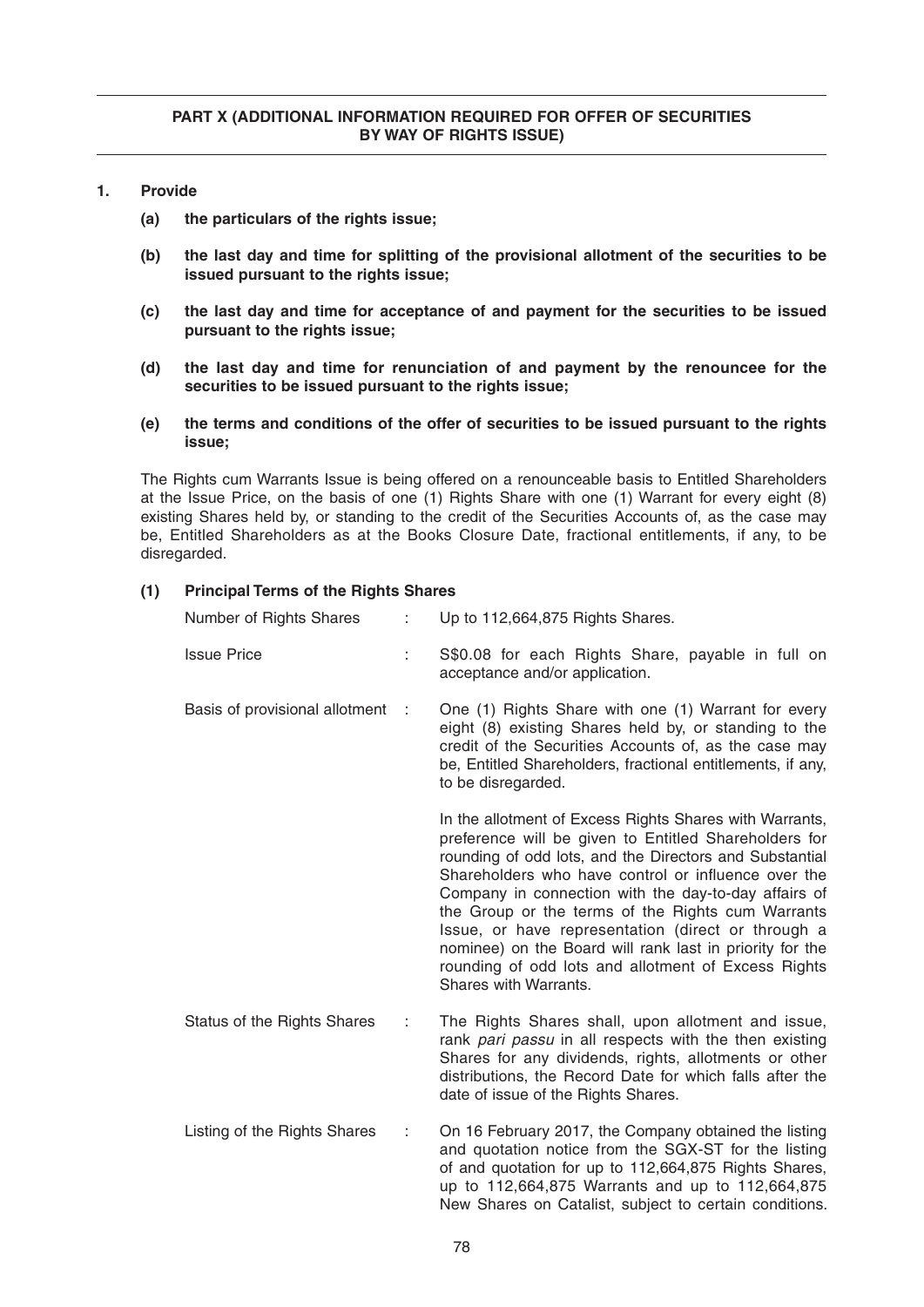- **1. Provide**
	- **(a) the particulars of the rights issue;**
	- **(b) the last day and time for splitting of the provisional allotment of the securities to be issued pursuant to the rights issue;**
	- **(c) the last day and time for acceptance of and payment for the securities to be issued pursuant to the rights issue;**
	- **(d) the last day and time for renunciation of and payment by the renouncee for the securities to be issued pursuant to the rights issue;**
	- **(e) the terms and conditions of the offer of securities to be issued pursuant to the rights issue;**

The Rights cum Warrants Issue is being offered on a renounceable basis to Entitled Shareholders at the Issue Price, on the basis of one (1) Rights Share with one (1) Warrant for every eight (8) existing Shares held by, or standing to the credit of the Securities Accounts of, as the case may be, Entitled Shareholders as at the Books Closure Date, fractional entitlements, if any, to be disregarded.

| Number of Rights Shares          | ÷ | Up to 112,664,875 Rights Shares.                                                                                                                                                                                                                                                                                                                                                                                                                                                                                                                  |
|----------------------------------|---|---------------------------------------------------------------------------------------------------------------------------------------------------------------------------------------------------------------------------------------------------------------------------------------------------------------------------------------------------------------------------------------------------------------------------------------------------------------------------------------------------------------------------------------------------|
| <b>Issue Price</b>               | ÷ | S\$0.08 for each Rights Share, payable in full on<br>acceptance and/or application.                                                                                                                                                                                                                                                                                                                                                                                                                                                               |
| Basis of provisional allotment : |   | One (1) Rights Share with one (1) Warrant for every<br>eight (8) existing Shares held by, or standing to the<br>credit of the Securities Accounts of, as the case may<br>be, Entitled Shareholders, fractional entitlements, if any,<br>to be disregarded.                                                                                                                                                                                                                                                                                        |
|                                  |   | In the allotment of Excess Rights Shares with Warrants,<br>preference will be given to Entitled Shareholders for<br>rounding of odd lots, and the Directors and Substantial<br>Shareholders who have control or influence over the<br>Company in connection with the day-to-day affairs of<br>the Group or the terms of the Rights cum Warrants<br>Issue, or have representation (direct or through a<br>nominee) on the Board will rank last in priority for the<br>rounding of odd lots and allotment of Excess Rights<br>Shares with Warrants. |
| Status of the Rights Shares      | ÷ | The Rights Shares shall, upon allotment and issue,<br>rank pari passu in all respects with the then existing<br>Shares for any dividends, rights, allotments or other<br>distributions, the Record Date for which falls after the<br>date of issue of the Rights Shares.                                                                                                                                                                                                                                                                          |
| Listing of the Rights Shares     | ÷ | On 16 February 2017, the Company obtained the listing<br>and quotation notice from the SGX-ST for the listing<br>of and quotation for up to 112,664,875 Rights Shares,<br>up to 112,664,875 Warrants and up to 112,664,875<br>New Shares on Catalist, subject to certain conditions.                                                                                                                                                                                                                                                              |

# **(1) Principal Terms of the Rights Shares**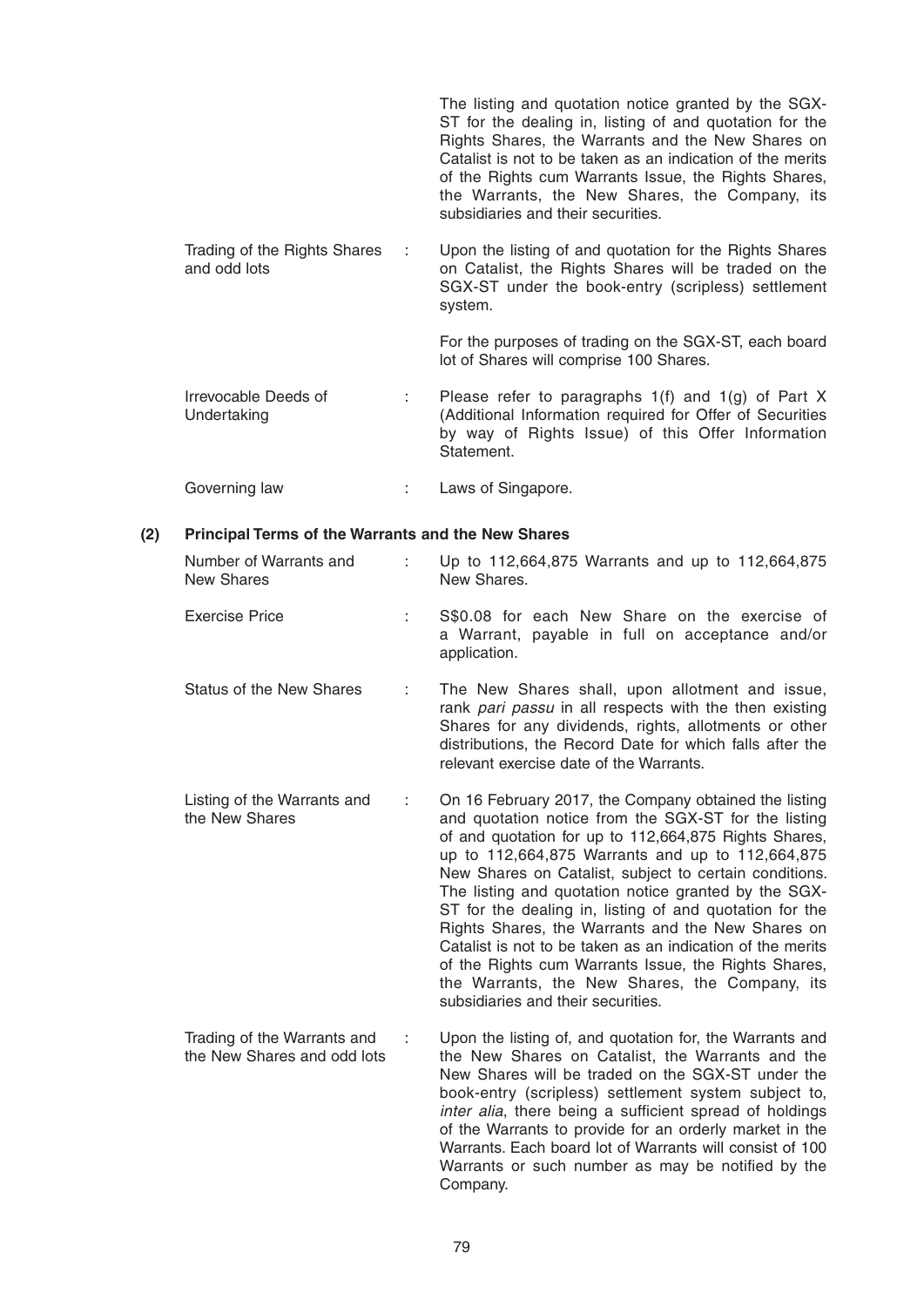|                                                   | The listing and quotation notice granted by the SGX-<br>ST for the dealing in, listing of and quotation for the<br>Rights Shares, the Warrants and the New Shares on<br>Catalist is not to be taken as an indication of the merits<br>of the Rights cum Warrants Issue, the Rights Shares,<br>the Warrants, the New Shares, the Company, its<br>subsidiaries and their securities. |
|---------------------------------------------------|------------------------------------------------------------------------------------------------------------------------------------------------------------------------------------------------------------------------------------------------------------------------------------------------------------------------------------------------------------------------------------|
| Trading of the Rights Shares<br>÷<br>and odd lots | Upon the listing of and quotation for the Rights Shares<br>on Catalist, the Rights Shares will be traded on the<br>SGX-ST under the book-entry (scripless) settlement<br>system.                                                                                                                                                                                                   |
|                                                   | For the purposes of trading on the SGX-ST, each board<br>lot of Shares will comprise 100 Shares.                                                                                                                                                                                                                                                                                   |
| Irrevocable Deeds of<br>÷<br>Undertaking          | Please refer to paragraphs $1(f)$ and $1(g)$ of Part X<br>(Additional Information required for Offer of Securities<br>by way of Rights Issue) of this Offer Information<br>Statement.                                                                                                                                                                                              |
| Governing law                                     | Laws of Singapore.                                                                                                                                                                                                                                                                                                                                                                 |

#### **(2) Principal Terms of the Warrants and the New Shares**

| Number of Warrants and<br><b>New Shares</b>   |   | Up to 112,664,875 Warrants and up to 112,664,875<br>New Shares.                                                                                                                                                                                                                                                                                                                                                                                                                                                                                                                                                                      |
|-----------------------------------------------|---|--------------------------------------------------------------------------------------------------------------------------------------------------------------------------------------------------------------------------------------------------------------------------------------------------------------------------------------------------------------------------------------------------------------------------------------------------------------------------------------------------------------------------------------------------------------------------------------------------------------------------------------|
| <b>Exercise Price</b>                         |   | S\$0.08 for each New Share on the exercise of<br>a Warrant, payable in full on acceptance and/or<br>application.                                                                                                                                                                                                                                                                                                                                                                                                                                                                                                                     |
| <b>Status of the New Shares</b>               |   | The New Shares shall, upon allotment and issue,<br>rank pari passu in all respects with the then existing<br>Shares for any dividends, rights, allotments or other<br>distributions, the Record Date for which falls after the<br>relevant exercise date of the Warrants.                                                                                                                                                                                                                                                                                                                                                            |
| Listing of the Warrants and<br>the New Shares | ÷ | On 16 February 2017, the Company obtained the listing<br>and quotation notice from the SGX-ST for the listing<br>of and quotation for up to 112,664,875 Rights Shares,<br>up to 112,664,875 Warrants and up to 112,664,875<br>New Shares on Catalist, subject to certain conditions.<br>The listing and quotation notice granted by the SGX-<br>ST for the dealing in, listing of and quotation for the<br>Rights Shares, the Warrants and the New Shares on<br>Catalist is not to be taken as an indication of the merits<br>of the Rights cum Warrants Issue, the Rights Shares,<br>the Warrants, the New Shares, the Company, its |

Trading of the Warrants and : Upon the listing of, and quotation for, the Warrants and the New Shares on Catalist, the Warrants and the the New Shares on Catalist, the Warrants and the New Shares will be traded on the SGX-ST under the book-entry (scripless) settlement system subject to, *inter alia*, there being a sufficient spread of holdings of the Warrants to provide for an orderly market in the Warrants. Each board lot of Warrants will consist of 100 Warrants or such number as may be notified by the Company.

subsidiaries and their securities.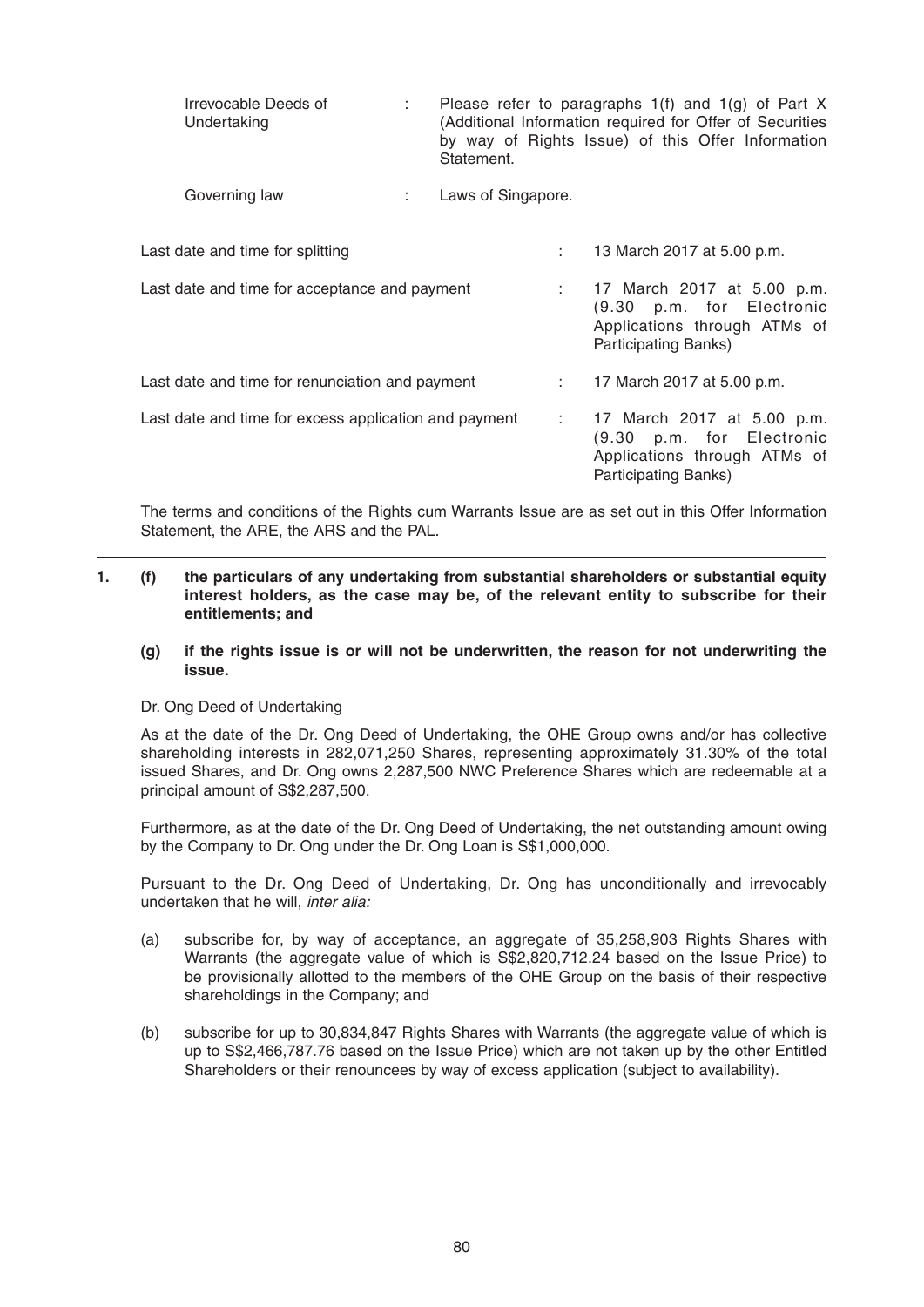| Irrevocable Deeds of<br>Undertaking                   |    | Statement.         |   | Please refer to paragraphs $1(f)$ and $1(g)$ of Part X<br>(Additional Information required for Offer of Securities<br>by way of Rights Issue) of this Offer Information |
|-------------------------------------------------------|----|--------------------|---|-------------------------------------------------------------------------------------------------------------------------------------------------------------------------|
| Governing law                                         | ÷. | Laws of Singapore. |   |                                                                                                                                                                         |
| Last date and time for splitting                      |    |                    | ÷ | 13 March 2017 at 5.00 p.m.                                                                                                                                              |
| Last date and time for acceptance and payment         |    |                    |   | 17 March 2017 at 5.00 p.m.<br>(9.30 p.m. for Electronic<br>Applications through ATMs of<br>Participating Banks)                                                         |
| Last date and time for renunciation and payment       |    |                    |   | 17 March 2017 at 5.00 p.m.                                                                                                                                              |
| Last date and time for excess application and payment |    |                    |   | : 17 March 2017 at 5.00 p.m.<br>(9.30 p.m. for Electronic<br>Applications through ATMs of<br><b>Participating Banks)</b>                                                |

 The terms and conditions of the Rights cum Warrants Issue are as set out in this Offer Information Statement, the ARE, the ARS and the PAL.

# **1. (f) the particulars of any undertaking from substantial shareholders or substantial equity interest holders, as the case may be, of the relevant entity to subscribe for their entitlements; and**

 **(g) if the rights issue is or will not be underwritten, the reason for not underwriting the issue.**

#### Dr. Ong Deed of Undertaking

As at the date of the Dr. Ong Deed of Undertaking, the OHE Group owns and/or has collective shareholding interests in 282,071,250 Shares, representing approximately 31.30% of the total issued Shares, and Dr. Ong owns 2,287,500 NWC Preference Shares which are redeemable at a principal amount of S\$2,287,500.

 Furthermore, as at the date of the Dr. Ong Deed of Undertaking , the net outstanding amount owing by the Company to Dr. Ong under the Dr. Ong Loan is S\$1,000,000.

 Pursuant to the Dr. Ong Deed of Undertaking, Dr. Ong has unconditionally and irrevocably undertaken that he will, *inter alia:* 

- (a) subscribe for, by way of acceptance, an aggregate of 35,258,903 Rights Shares with Warrants (the aggregate value of which is S\$2,820,712.24 based on the Issue Price) to be provisionally allotted to the members of the OHE Group on the basis of their respective shareholdings in the Company; and
- (b) subscribe for up to 30,834,847 Rights Shares with Warrants (the aggregate value of which is up to S\$2,466,787.76 based on the Issue Price) which are not taken up by the other Entitled Shareholders or their renouncees by way of excess application (subject to availability).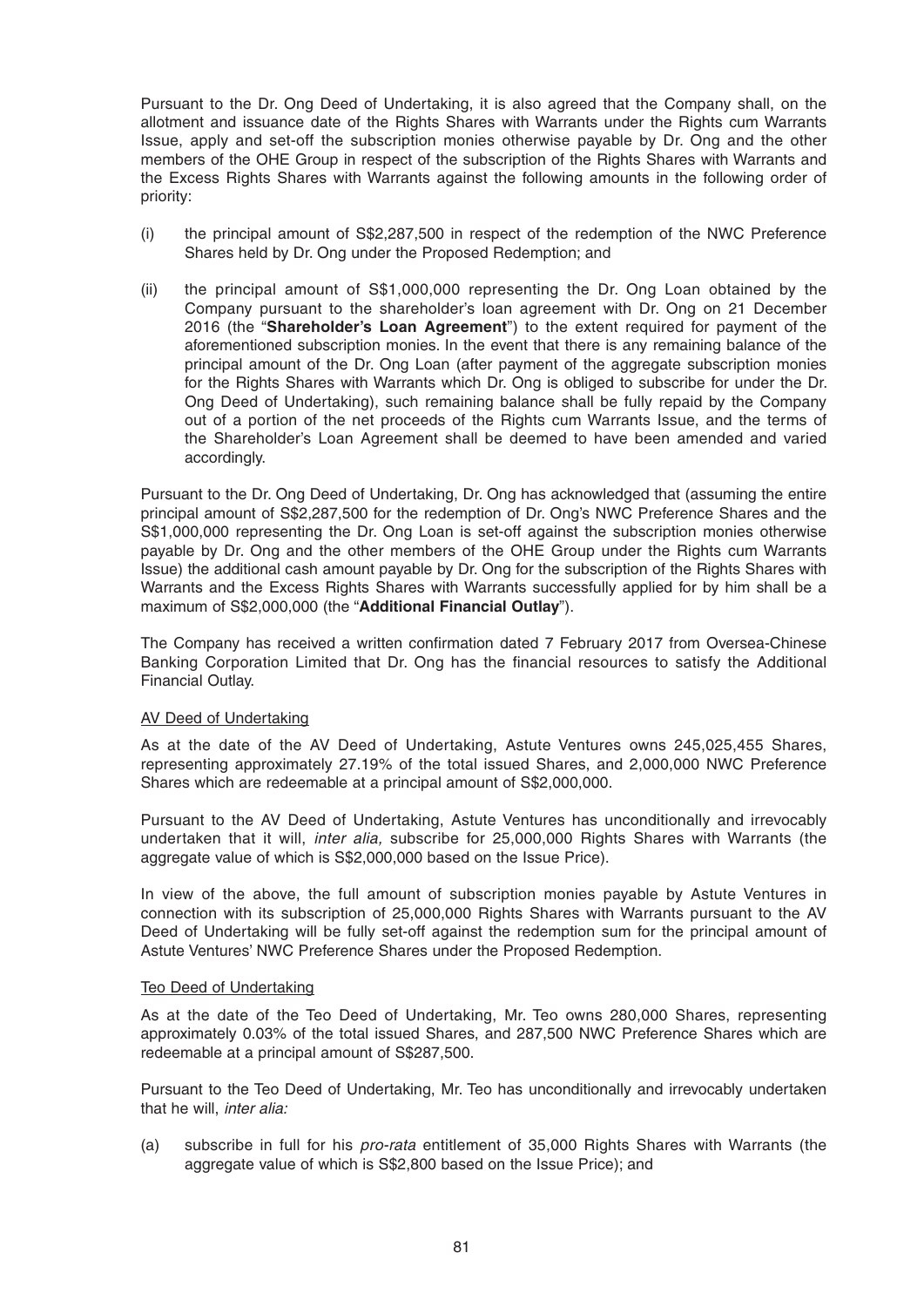Pursuant to the Dr. Ong Deed of Undertaking, it is also agreed that the Company shall, on the allotment and issuance date of the Rights Shares with Warrants under the Rights cum Warrants Issue, apply and set-off the subscription monies otherwise payable by Dr. Ong and the other members of the OHE Group in respect of the subscription of the Rights Shares with Warrants and the Excess Rights Shares with Warrants against the following amounts in the following order of priority:

- (i) the principal amount of S\$2,287,500 in respect of the redemption of the NWC Preference Shares held by Dr. Ong under the Proposed Redemption; and
- (ii) the principal amount of S\$1,000,000 representing the Dr. Ong Loan obtained by the Company pursuant to the shareholder's loan agreement with Dr. Ong on 21 December 2016 (the "**Shareholder's Loan Agreement**") to the extent required for payment of the aforementioned subscription monies. In the event that there is any remaining balance of the principal amount of the Dr. Ong Loan (after payment of the aggregate subscription monies for the Rights Shares with Warrants which Dr. Ong is obliged to subscribe for under the Dr. Ong Deed of Undertaking), such remaining balance shall be fully repaid by the Company out of a portion of the net proceeds of the Rights cum Warrants Issue, and the terms of the Shareholder's Loan Agreement shall be deemed to have been amended and varied accordingly.

Pursuant to the Dr. Ong Deed of Undertaking, Dr. Ong has acknowledged that (assuming the entire principal amount of S\$2,287,500 for the redemption of Dr. Ong's NWC Preference Shares and the S\$1,000,000 representing the Dr. Ong Loan is set-off against the subscription monies otherwise payable by Dr. Ong and the other members of the OHE Group under the Rights cum Warrants Issue) the additional cash amount payable by Dr. Ong for the subscription of the Rights Shares with Warrants and the Excess Rights Shares with Warrants successfully applied for by him shall be a maximum of S\$2,000,000 (the "**Additional Financial Outlay**").

The Company has received a written confirmation dated 7 February 2017 from Oversea-Chinese Banking Corporation Limited that Dr. Ong has the financial resources to satisfy the Additional Financial Outlay.

#### AV Deed of Undertaking

As at the date of the AV Deed of Undertaking, Astute Ventures owns 245,025,455 Shares, representing approximately 27.19% of the total issued Shares, and 2,000,000 NWC Preference Shares which are redeemable at a principal amount of S\$2,000,000.

 Pursuant to the AV Deed of Undertaking, Astute Ventures has unconditionally and irrevocably undertaken that it will, *inter alia,* subscribe for 25,000,000 Rights Shares with Warrants (the aggregate value of which is S\$2,000,000 based on the Issue Price).

 In view of the above, the full amount of subscription monies payable by Astute Ventures in connection with its subscription of 25,000,000 Rights Shares with Warrants pursuant to the AV Deed of Undertaking will be fully set-off against the redemption sum for the principal amount of Astute Ventures' NWC Preference Shares under the Proposed Redemption.

#### Teo Deed of Undertaking

 As at the date of the Teo Deed of Undertaking , Mr. Teo owns 280,000 Shares, representing approximately 0.03% of the total issued Shares, and 287,500 NWC Preference Shares which are redeemable at a principal amount of S\$287,500.

 Pursuant to the Teo Deed of Undertaking, Mr. Teo has unconditionally and irrevocably undertaken that he will, *inter alia:* 

 (a) subscribe in full for his *pro-rata* entitlement of 35,000 Rights Shares with Warrants (the aggregate value of which is S\$2,800 based on the Issue Price); and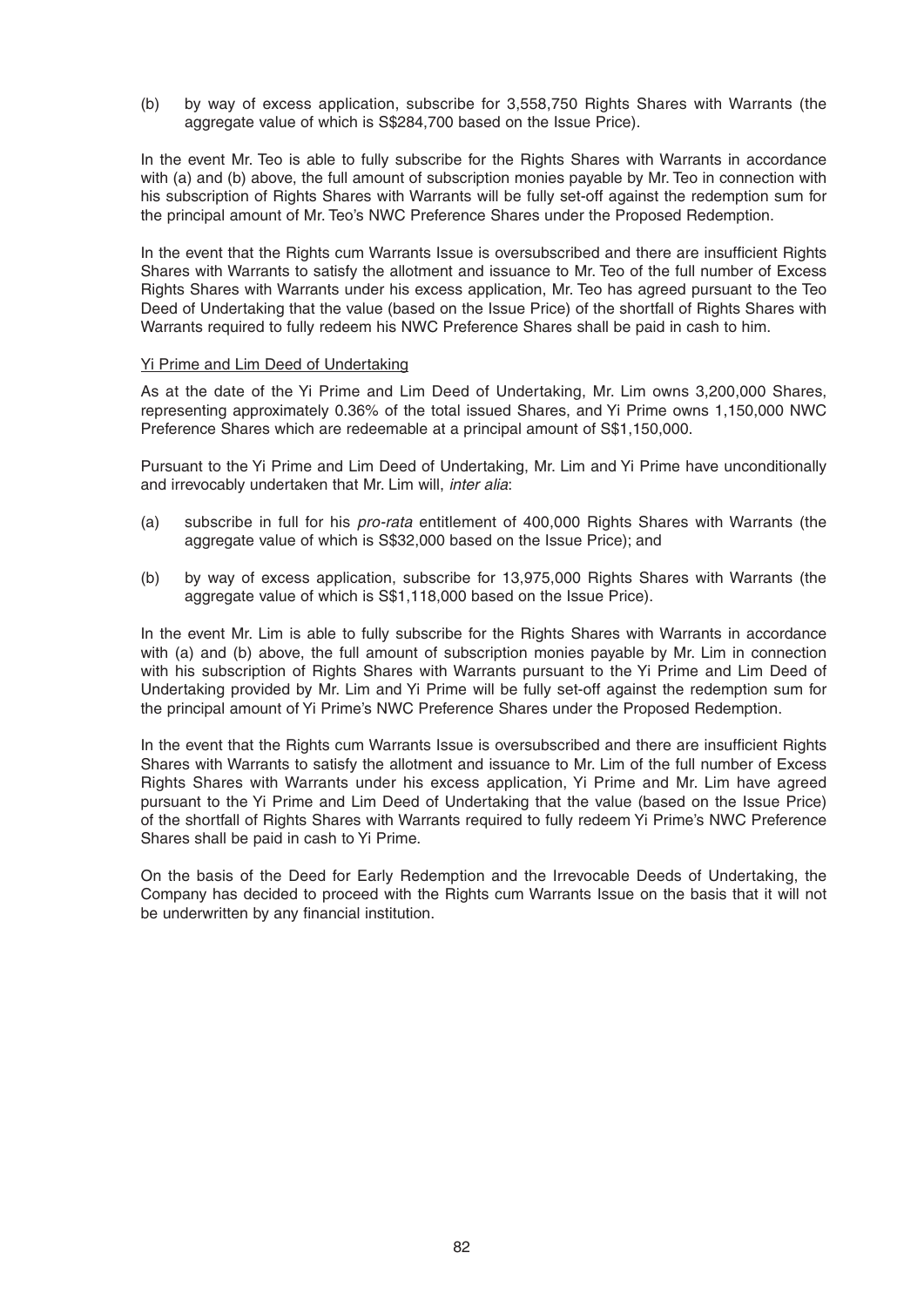(b) by way of excess application, subscribe for 3,558,750 Rights Shares with Warrants (the aggregate value of which is S\$284,700 based on the Issue Price).

 In the event Mr. Teo is able to fully subscribe for the Rights Shares with Warrants in accordance with (a) and (b) above, the full amount of subscription monies payable by Mr. Teo in connection with his subscription of Rights Shares with Warrants will be fully set-off against the redemption sum for the principal amount of Mr. Teo's NWC Preference Shares under the Proposed Redemption.

In the event that the Rights cum Warrants Issue is oversubscribed and there are insufficient Rights Shares with Warrants to satisfy the allotment and issuance to Mr. Teo of the full number of Excess Rights Shares with Warrants under his excess application, Mr. Teo has agreed pursuant to the Teo Deed of Undertaking that the value (based on the Issue Price) of the shortfall of Rights Shares with Warrants required to fully redeem his NWC Preference Shares shall be paid in cash to him.

#### Yi Prime and Lim Deed of Undertaking

As at the date of the Yi Prime and Lim Deed of Undertaking, Mr. Lim owns 3,200,000 Shares, representing approximately 0.36% of the total issued Shares, and Yi Prime owns 1,150,000 NWC Preference Shares which are redeemable at a principal amount of S\$1,150,000.

 Pursuant to the Yi Prime and Lim Deed of Undertaking, Mr. Lim and Yi Prime have unconditionally and irrevocably undertaken that Mr. Lim will, *inter alia*:

- (a) subscribe in full for his *pro-rata* entitlement of 400,000 Rights Shares with Warrants (the aggregate value of which is S\$32,000 based on the Issue Price); and
- (b) by way of excess application, subscribe for 13,975,000 Rights Shares with Warrants (the aggregate value of which is S\$1,118,000 based on the Issue Price).

 In the event Mr. Lim is able to fully subscribe for the Rights Shares with Warrants in accordance with (a) and (b) above, the full amount of subscription monies payable by Mr. Lim in connection with his subscription of Rights Shares with Warrants pursuant to the Yi Prime and Lim Deed of Undertaking provided by Mr. Lim and Yi Prime will be fully set-off against the redemption sum for the principal amount of Yi Prime's NWC Preference Shares under the Proposed Redemption.

In the event that the Rights cum Warrants Issue is oversubscribed and there are insufficient Rights Shares with Warrants to satisfy the allotment and issuance to Mr. Lim of the full number of Excess Rights Shares with Warrants under his excess application, Yi Prime and Mr. Lim have agreed pursuant to the Yi Prime and Lim Deed of Undertaking that the value (based on the Issue Price) of the shortfall of Rights Shares with Warrants required to fully redeem Yi Prime's NWC Preference Shares shall be paid in cash to Yi Prime.

 On the basis of the Deed for Early Redemption and the Irrevocable Deeds of Undertaking, the Company has decided to proceed with the Rights cum Warrants Issue on the basis that it will not be underwritten by any financial institution.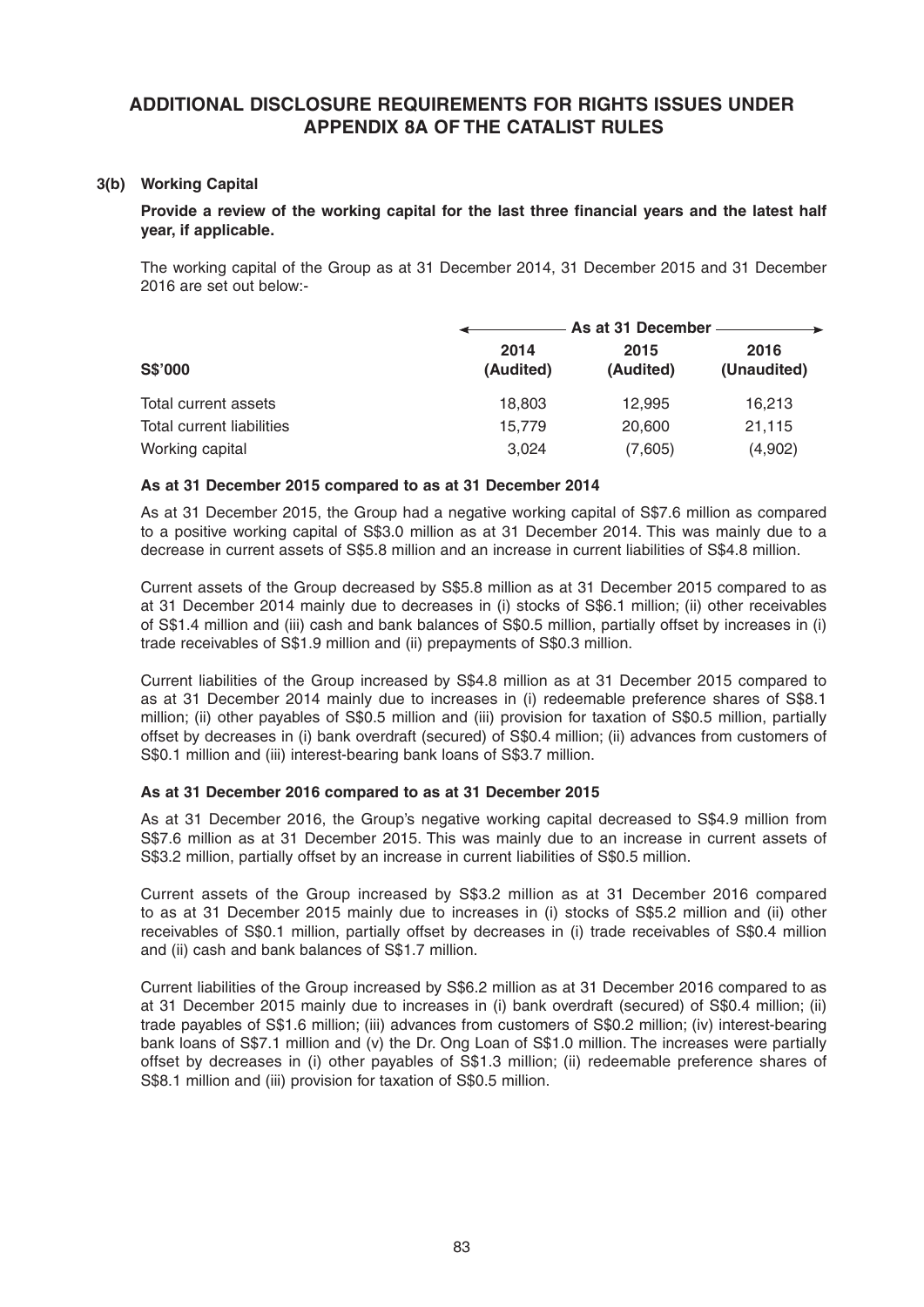# **ADDITIONAL DISCLOSURE REQUIREMENTS FOR RIGHTS ISSUES UNDER APPENDIX 8A OF THE CATALIST RULES**

# **3(b) Working Capital**

Provide a review of the working capital for the last three financial years and the latest half **year, if applicable.**

 The working capital of the Group as at 31 December 2014, 31 December 2015 and 31 December 2016 are set out below:-

| <b>S\$'000</b>            |                   | As at 31 December - |                     |  |  |
|---------------------------|-------------------|---------------------|---------------------|--|--|
|                           | 2014<br>(Audited) | 2015<br>(Audited)   | 2016<br>(Unaudited) |  |  |
| Total current assets      | 18,803            | 12,995              | 16.213              |  |  |
| Total current liabilities | 15.779            | 20,600              | 21,115              |  |  |
| Working capital           | 3.024             | (7,605)             | (4,902)             |  |  |

#### **As at 31 December 2015 compared to as at 31 December 2014**

 As at 31 December 2015, the Group had a negative working capital of S\$7.6 million as compared to a positive working capital of S\$3.0 million as at 31 December 2014. This was mainly due to a decrease in current assets of S\$5.8 million and an increase in current liabilities of S\$4.8 million.

 Current assets of the Group decreased by S\$5.8 million as at 31 December 2015 compared to as at 31 December 2014 mainly due to decreases in (i) stocks of S\$6.1 million; (ii) other receivables of S\$1.4 million and (iii) cash and bank balances of S\$0.5 million, partially offset by increases in (i) trade receivables of S\$1.9 million and (ii) prepayments of S\$0.3 million.

 Current liabilities of the Group increased by S\$4.8 million as at 31 December 2015 compared to as at 31 December 2014 mainly due to increases in (i) redeemable preference shares of S\$8.1 million; (ii) other payables of S\$0.5 million and (iii) provision for taxation of S\$0.5 million, partially offset by decreases in (i) bank overdraft (secured) of S\$0.4 million; (ii) advances from customers of S\$0.1 million and (iii) interest-bearing bank loans of S\$3.7 million.

# **As at 31 December 2016 compared to as at 31 December 2015**

As at 31 December 2016, the Group's negative working capital decreased to S\$4.9 million from S\$7.6 million as at 31 December 2015. This was mainly due to an increase in current assets of S\$3.2 million, partially offset by an increase in current liabilities of S\$0.5 million.

 Current assets of the Group increased by S\$3.2 million as at 31 December 2016 compared to as at 31 December 2015 mainly due to increases in (i) stocks of S\$5.2 million and (ii) other receivables of S\$0.1 million, partially offset by decreases in (i) trade receivables of S\$0.4 million and (ii) cash and bank balances of S\$1.7 million.

 Current liabilities of the Group increased by S\$6.2 million as at 31 December 2016 compared to as at 31 December 2015 mainly due to increases in (i) bank overdraft (secured) of S\$0.4 million; (ii) trade payables of S\$1.6 million; (iii) advances from customers of S\$0.2 million; (iv) interest-bearing bank loans of S\$7.1 million and (v) the Dr. Ong Loan of S\$1.0 million. The increases were partially offset by decreases in (i) other payables of S\$1.3 million; (ii) redeemable preference shares of S\$8.1 million and (iii) provision for taxation of S\$0.5 million.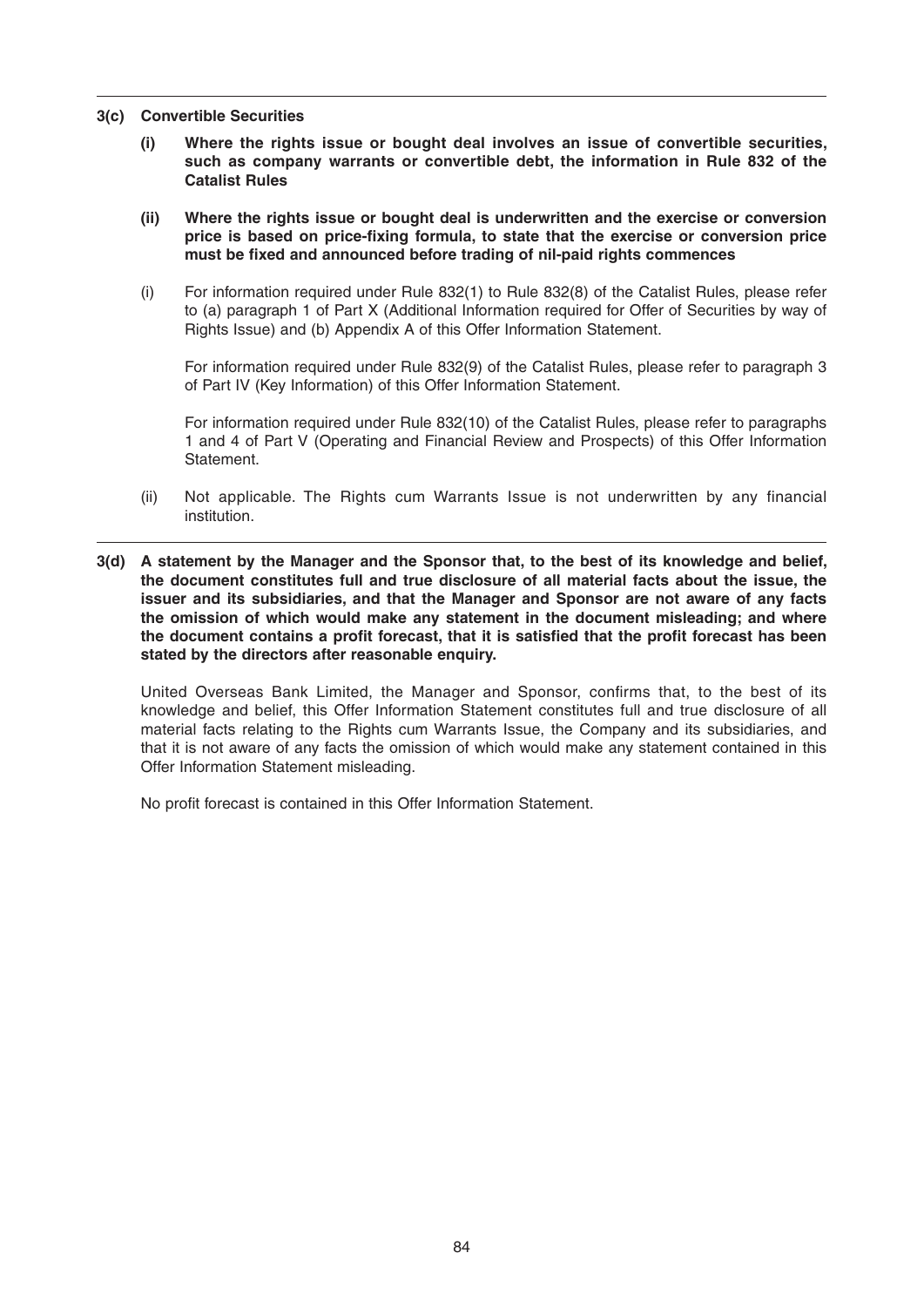- **3(c) Convertible Securities**
	- **(i) Where the rights issue or bought deal involves an issue of convertible securities, such as company warrants or convertible debt, the information in Rule 832 of the Catalist Rules**
	- **(ii) Where the rights issue or bought deal is underwritten and the exercise or conversion**  price is based on price-fixing formula, to state that the exercise or conversion price **must be fi xed and announced before trading of nil-paid rights commences**
	- (i) For information required under Rule 832(1) to Rule 832(8) of the Catalist Rules, please refer to (a) paragraph 1 of Part X (Additional Information required for Offer of Securities by way of Rights Issue) and (b) Appendix A of this Offer Information Statement.

 For information required under Rule 832(9) of the Catalist Rules, please refer to paragraph 3 of Part IV (Key Information) of this Offer Information Statement.

 For information required under Rule 832(10) of the Catalist Rules, please refer to paragraphs 1 and 4 of Part V (Operating and Financial Review and Prospects) of this Offer Information Statement.

- (ii) Not applicable. The Rights cum Warrants Issue is not underwritten by any financial institution.
- **3(d) A statement by the Manager and the Sponsor that, to the best of its knowledge and belief, the document constitutes full and true disclosure of all material facts about the issue, the issuer and its subsidiaries, and that the Manager and Sponsor are not aware of any facts the omission of which would make any statement in the document misleading; and where**  the document contains a profit forecast, that it is satisfied that the profit forecast has been **stated by the directors after reasonable enquiry.**

United Overseas Bank Limited, the Manager and Sponsor, confirms that, to the best of its knowledge and belief, this Offer Information Statement constitutes full and true disclosure of all material facts relating to the Rights cum Warrants Issue, the Company and its subsidiaries, and that it is not aware of any facts the omission of which would make any statement contained in this Offer Information Statement misleading.

No profit forecast is contained in this Offer Information Statement.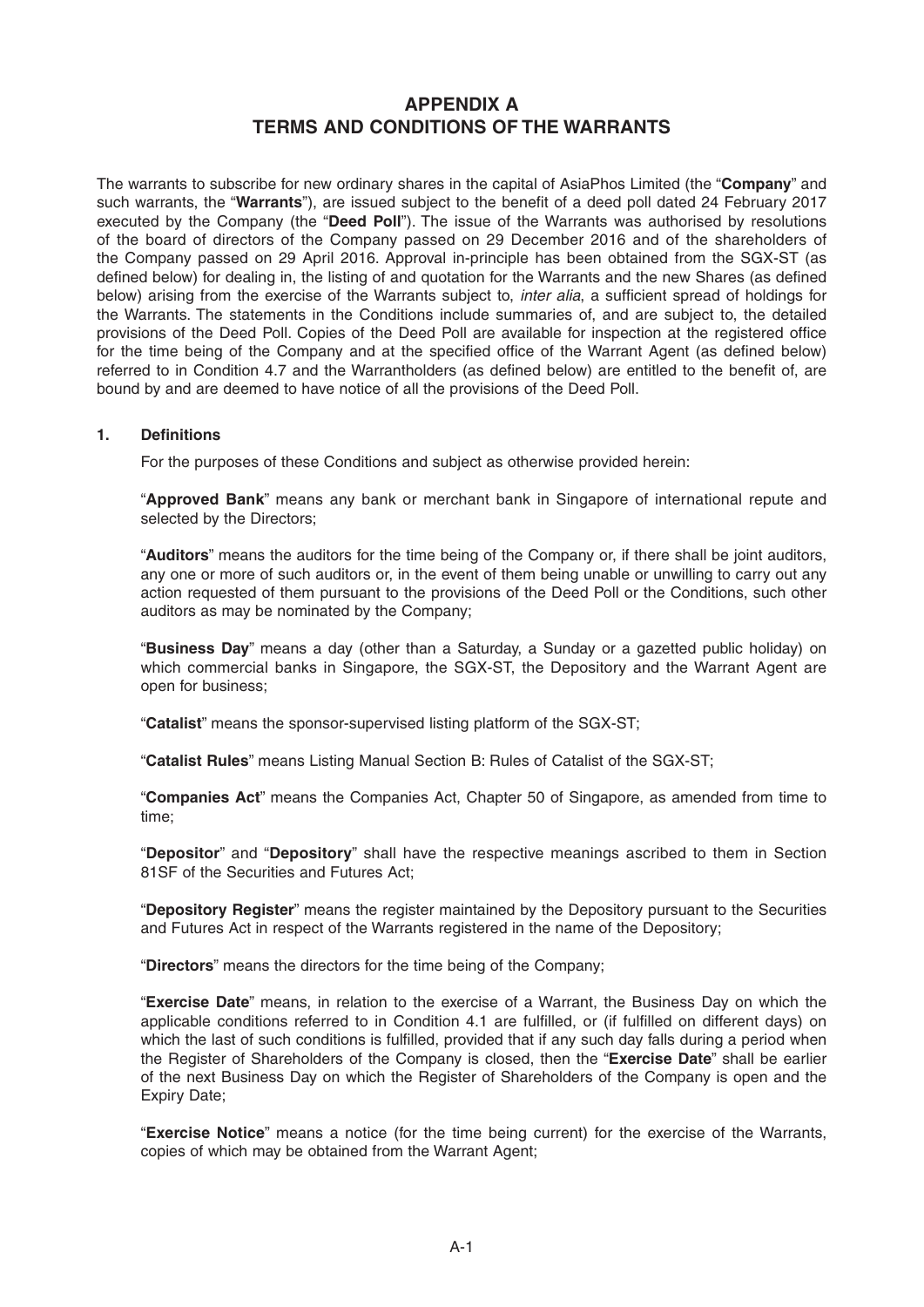# **APPENDIX A TERMS AND CONDITIONS OF THE WARRANTS**

The warrants to subscribe for new ordinary shares in the capital of AsiaPhos Limited (the "**Company**" and such warrants, the "Warrants"), are issued subject to the benefit of a deed poll dated 24 February 2017 executed by the Company (the "**Deed Poll**"). The issue of the Warrants was authorised by resolutions of the board of directors of the Company passed on 29 December 2016 and of the shareholders of the Company passed on 29 April 2016. Approval in-principle has been obtained from the SGX-ST (as defined below) for dealing in, the listing of and quotation for the Warrants and the new Shares (as defined below) arising from the exercise of the Warrants subject to, *inter alia*, a sufficient spread of holdings for the Warrants. The statements in the Conditions include summaries of, and are subject to, the detailed provisions of the Deed Poll. Copies of the Deed Poll are available for inspection at the registered office for the time being of the Company and at the specified office of the Warrant Agent (as defined below) referred to in Condition 4.7 and the Warrantholders (as defined below) are entitled to the benefit of, are bound by and are deemed to have notice of all the provisions of the Deed Poll.

# 1. **Definitions**

For the purposes of these Conditions and subject as otherwise provided herein:

 "**Approved Bank**" means any bank or merchant bank in Singapore of international repute and selected by the Directors;

 "**Auditors**" means the auditors for the time being of the Company or, if there shall be joint auditors, any one or more of such auditors or, in the event of them being unable or unwilling to carry out any action requested of them pursuant to the provisions of the Deed Poll or the Conditions, such other auditors as may be nominated by the Company;

 "**Business Day**" means a day (other than a Saturday, a Sunday or a gazetted public holiday) on which commercial banks in Singapore, the SGX-ST, the Depository and the Warrant Agent are open for business;

"**Catalist**" means the sponsor-supervised listing platform of the SGX-ST;

"**Catalist Rules**" means Listing Manual Section B: Rules of Catalist of the SGX-ST;

 "**Companies Act**" means the Companies Act, Chapter 50 of Singapore, as amended from time to time;

 "**Depositor**" and "**Depository**" shall have the respective meanings ascribed to them in Section 81SF of the Securities and Futures Act;

 "**Depository Register**" means the register maintained by the Depository pursuant to the Securities and Futures Act in respect of the Warrants registered in the name of the Depository;

"**Directors**" means the directors for the time being of the Company;

 "**Exercise Date**" means, in relation to the exercise of a Warrant, the Business Day on which the applicable conditions referred to in Condition 4.1 are fulfilled, or (if fulfilled on different days) on which the last of such conditions is fulfilled, provided that if any such day falls during a period when the Register of Shareholders of the Company is closed, then the "**Exercise Date**" shall be earlier of the next Business Day on which the Register of Shareholders of the Company is open and the Expiry Date;

 "**Exercise Notice**" means a notice (for the time being current) for the exercise of the Warrants, copies of which may be obtained from the Warrant Agent;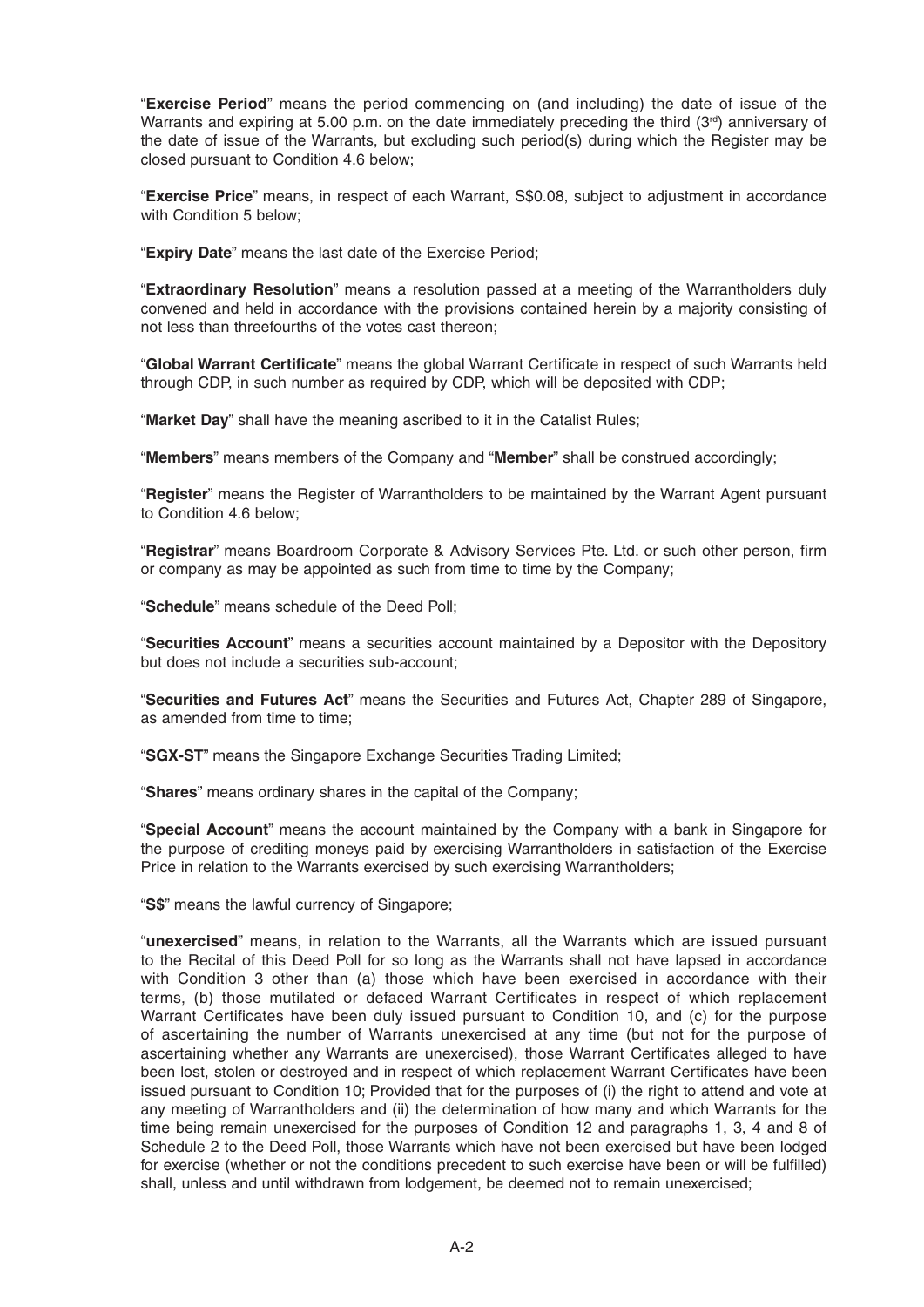"**Exercise Period**" means the period commencing on (and including) the date of issue of the Warrants and expiring at 5.00 p.m. on the date immediately preceding the third ( $3<sup>rd</sup>$ ) anniversary of the date of issue of the Warrants, but excluding such period(s) during which the Register may be closed pursuant to Condition 4.6 below;

 "**Exercise Price**" means, in respect of each Warrant, S\$0.08, subject to adjustment in accordance with Condition 5 below;

"**Expiry Date**" means the last date of the Exercise Period;

 "**Extraordinary Resolution**" means a resolution passed at a meeting of the Warrantholders duly convened and held in accordance with the provisions contained herein by a majority consisting of not less than threefourths of the votes cast thereon;

"Global Warrant Certificate" means the global Warrant Certificate in respect of such Warrants held through CDP, in such number as required by CDP, which will be deposited with CDP;

"**Market Day**" shall have the meaning ascribed to it in the Catalist Rules;

"**Members**" means members of the Company and "**Member**" shall be construed accordingly;

 "**Register**" means the Register of Warrantholders to be maintained by the Warrant Agent pursuant to Condition 4.6 below;

"Registrar" means Boardroom Corporate & Advisory Services Pte. Ltd. or such other person, firm or company as may be appointed as such from time to time by the Company;

"**Schedule**" means schedule of the Deed Poll;

 "**Securities Account**" means a securities account maintained by a Depositor with the Depository but does not include a securities sub-account;

 "**Securities and Futures Act**" means the Securities and Futures Act, Chapter 289 of Singapore, as amended from time to time;

"**SGX-ST**" means the Singapore Exchange Securities Trading Limited;

"**Shares**" means ordinary shares in the capital of the Company;

 "**Special Account**" means the account maintained by the Company with a bank in Singapore for the purpose of crediting moneys paid by exercising Warrantholders in satisfaction of the Exercise Price in relation to the Warrants exercised by such exercising Warrantholders;

"**S\$**" means the lawful currency of Singapore;

 "**unexercised**" means, in relation to the Warrants, all the Warrants which are issued pursuant to the Recital of this Deed Poll for so long as the Warrants shall not have lapsed in accordance with Condition 3 other than (a) those which have been exercised in accordance with their terms, (b) those mutilated or defaced Warrant Certificates in respect of which replacement Warrant Certificates have been duly issued pursuant to Condition 10, and (c) for the purpose of ascertaining the number of Warrants unexercised at any time (but not for the purpose of ascertaining whether any Warrants are unexercised), those Warrant Certificates alleged to have been lost, stolen or destroyed and in respect of which replacement Warrant Certificates have been issued pursuant to Condition 10; Provided that for the purposes of (i) the right to attend and vote at any meeting of Warrantholders and (ii) the determination of how many and which Warrants for the time being remain unexercised for the purposes of Condition 12 and paragraphs 1, 3, 4 and 8 of Schedule 2 to the Deed Poll, those Warrants which have not been exercised but have been lodged for exercise (whether or not the conditions precedent to such exercise have been or will be fulfilled) shall, unless and until withdrawn from lodgement, be deemed not to remain unexercised;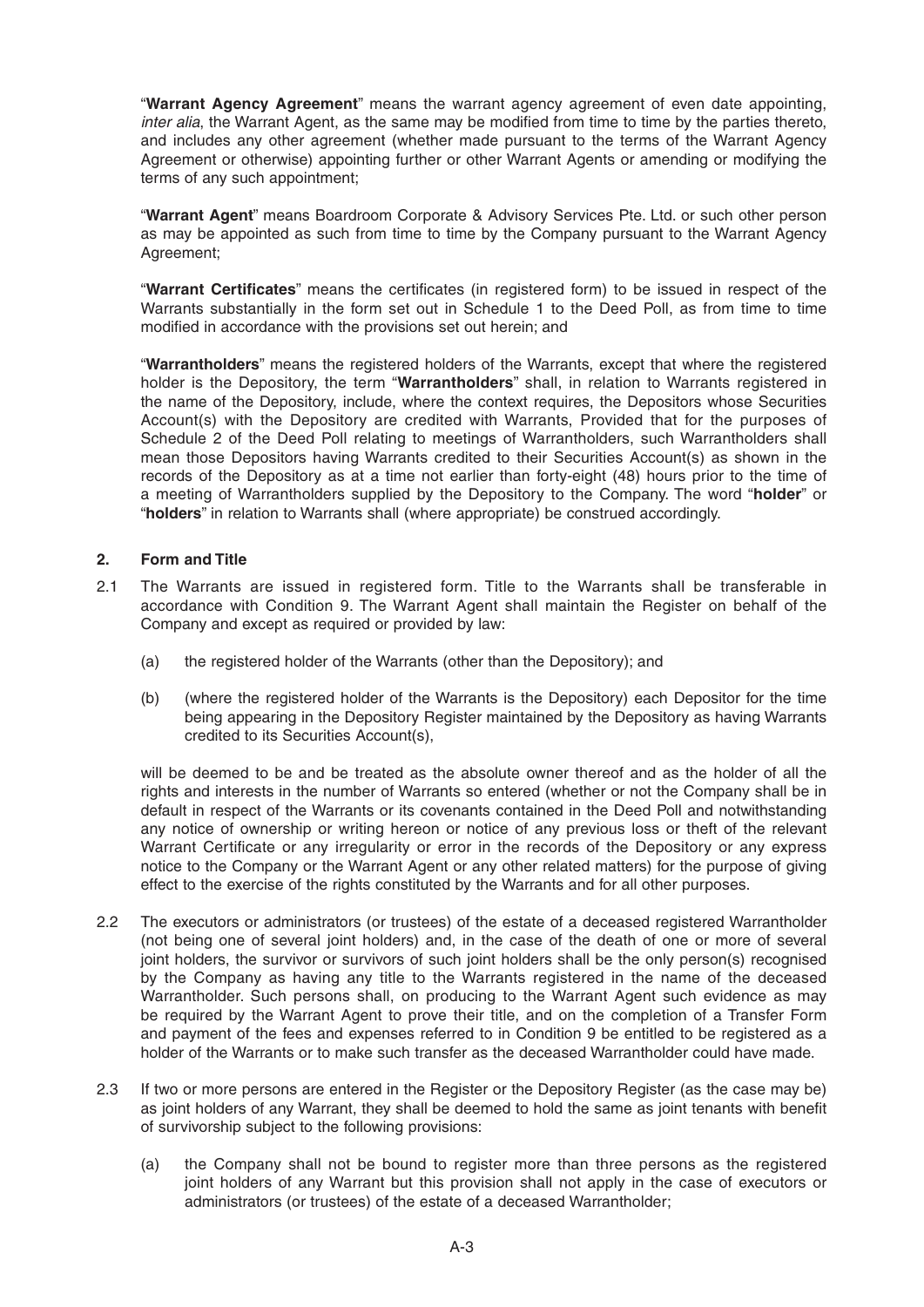"**Warrant Agency Agreement**" means the warrant agency agreement of even date appointing, *inter alia*, the Warrant Agent, as the same may be modified from time to time by the parties thereto, and includes any other agreement (whether made pursuant to the terms of the Warrant Agency Agreement or otherwise) appointing further or other Warrant Agents or amending or modifying the terms of any such appointment;

 "**Warrant Agent**" means Boardroom Corporate & Advisory Services Pte. Ltd. or such other person as may be appointed as such from time to time by the Company pursuant to the Warrant Agency Agreement;

"Warrant Certificates" means the certificates (in registered form) to be issued in respect of the Warrants substantially in the form set out in Schedule 1 to the Deed Poll, as from time to time modified in accordance with the provisions set out herein; and

 "**Warrantholders**" means the registered holders of the Warrants, except that where the registered holder is the Depository, the term "**Warrantholders**" shall, in relation to Warrants registered in the name of the Depository, include, where the context requires, the Depositors whose Securities Account(s) with the Depository are credited with Warrants, Provided that for the purposes of Schedule 2 of the Deed Poll relating to meetings of Warrantholders, such Warrantholders shall mean those Depositors having Warrants credited to their Securities Account(s) as shown in the records of the Depository as at a time not earlier than forty-eight (48) hours prior to the time of a meeting of Warrantholders supplied by the Depository to the Company. The word "**holder**" or "**holders**" in relation to Warrants shall (where appropriate) be construed accordingly.

# **2. Form and Title**

- 2.1 The Warrants are issued in registered form. Title to the Warrants shall be transferable in accordance with Condition 9. The Warrant Agent shall maintain the Register on behalf of the Company and except as required or provided by law:
	- (a) the registered holder of the Warrants (other than the Depository); and
	- (b) (where the registered holder of the Warrants is the Depository) each Depositor for the time being appearing in the Depository Register maintained by the Depository as having Warrants credited to its Securities Account(s),

 will be deemed to be and be treated as the absolute owner thereof and as the holder of all the rights and interests in the number of Warrants so entered (whether or not the Company shall be in default in respect of the Warrants or its covenants contained in the Deed Poll and notwithstanding any notice of ownership or writing hereon or notice of any previous loss or theft of the relevant Warrant Certificate or any irregularity or error in the records of the Depository or any express notice to the Company or the Warrant Agent or any other related matters) for the purpose of giving effect to the exercise of the rights constituted by the Warrants and for all other purposes.

- 2.2 The executors or administrators (or trustees) of the estate of a deceased registered Warrantholder (not being one of several joint holders) and, in the case of the death of one or more of several joint holders, the survivor or survivors of such joint holders shall be the only person(s) recognised by the Company as having any title to the Warrants registered in the name of the deceased Warrantholder. Such persons shall, on producing to the Warrant Agent such evidence as may be required by the Warrant Agent to prove their title, and on the completion of a Transfer Form and payment of the fees and expenses referred to in Condition 9 be entitled to be registered as a holder of the Warrants or to make such transfer as the deceased Warrantholder could have made.
- 2.3 If two or more persons are entered in the Register or the Depository Register (as the case may be) as joint holders of any Warrant, they shall be deemed to hold the same as joint tenants with benefit of survivorship subject to the following provisions:
	- (a) the Company shall not be bound to register more than three persons as the registered joint holders of any Warrant but this provision shall not apply in the case of executors or administrators (or trustees) of the estate of a deceased Warrantholder;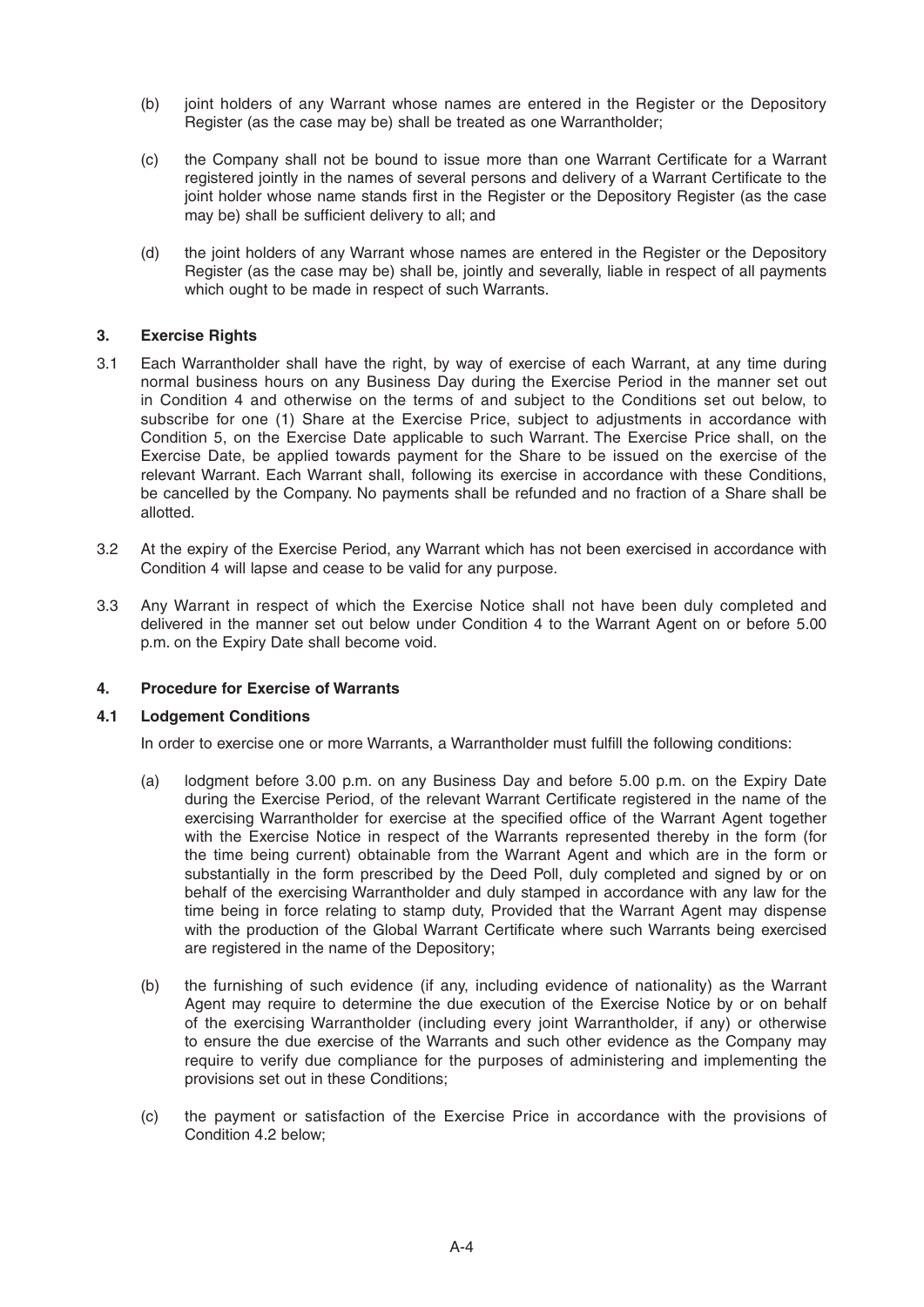- (b) joint holders of any Warrant whose names are entered in the Register or the Depository Register (as the case may be) shall be treated as one Warrantholder;
- (c) the Company shall not be bound to issue more than one Warrant Certificate for a Warrant registered jointly in the names of several persons and delivery of a Warrant Certificate to the joint holder whose name stands first in the Register or the Depository Register (as the case may be) shall be sufficient delivery to all; and
- (d) the joint holders of any Warrant whose names are entered in the Register or the Depository Register (as the case may be) shall be, jointly and severally, liable in respect of all payments which ought to be made in respect of such Warrants.

# **3. Exercise Rights**

- 3.1 Each Warrantholder shall have the right, by way of exercise of each Warrant, at any time during normal business hours on any Business Day during the Exercise Period in the manner set out in Condition 4 and otherwise on the terms of and subject to the Conditions set out below, to subscribe for one (1) Share at the Exercise Price, subject to adjustments in accordance with Condition 5, on the Exercise Date applicable to such Warrant. The Exercise Price shall, on the Exercise Date, be applied towards payment for the Share to be issued on the exercise of the relevant Warrant. Each Warrant shall, following its exercise in accordance with these Conditions, be cancelled by the Company. No payments shall be refunded and no fraction of a Share shall be allotted.
- 3.2 At the expiry of the Exercise Period, any Warrant which has not been exercised in accordance with Condition 4 will lapse and cease to be valid for any purpose.
- 3.3 Any Warrant in respect of which the Exercise Notice shall not have been duly completed and delivered in the manner set out below under Condition 4 to the Warrant Agent on or before 5.00 p.m. on the Expiry Date shall become void.

# **4. Procedure for Exercise of Warrants**

# **4.1 Lodgement Conditions**

In order to exercise one or more Warrants, a Warrantholder must fulfill the following conditions:

- (a) lodgment before 3.00 p.m. on any Business Day and before 5.00 p.m. on the Expiry Date during the Exercise Period, of the relevant Warrant Certificate registered in the name of the exercising Warrantholder for exercise at the specified office of the Warrant Agent together with the Exercise Notice in respect of the Warrants represented thereby in the form (for the time being current) obtainable from the Warrant Agent and which are in the form or substantially in the form prescribed by the Deed Poll, duly completed and signed by or on behalf of the exercising Warrantholder and duly stamped in accordance with any law for the time being in force relating to stamp duty, Provided that the Warrant Agent may dispense with the production of the Global Warrant Certificate where such Warrants being exercised are registered in the name of the Depository;
- (b) the furnishing of such evidence (if any, including evidence of nationality) as the Warrant Agent may require to determine the due execution of the Exercise Notice by or on behalf of the exercising Warrantholder (including every joint Warrantholder, if any) or otherwise to ensure the due exercise of the Warrants and such other evidence as the Company may require to verify due compliance for the purposes of administering and implementing the provisions set out in these Conditions;
- (c) the payment or satisfaction of the Exercise Price in accordance with the provisions of Condition 4.2 below;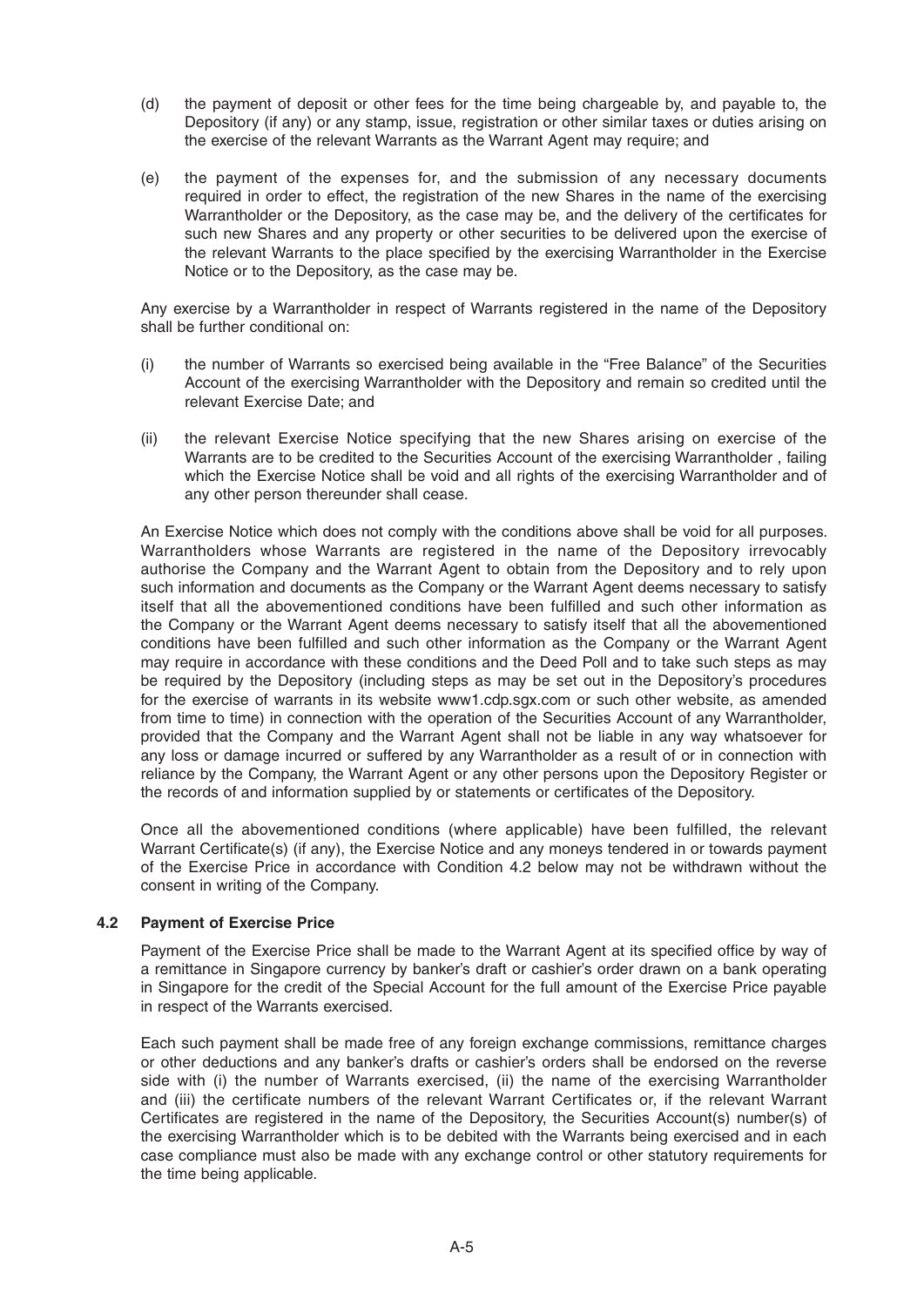- (d) the payment of deposit or other fees for the time being chargeable by, and payable to, the Depository (if any) or any stamp, issue, registration or other similar taxes or duties arising on the exercise of the relevant Warrants as the Warrant Agent may require; and
- (e) the payment of the expenses for, and the submission of any necessary documents required in order to effect, the registration of the new Shares in the name of the exercising Warrantholder or the Depository, as the case may be, and the delivery of the certificates for such new Shares and any property or other securities to be delivered upon the exercise of the relevant Warrants to the place specified by the exercising Warrantholder in the Exercise Notice or to the Depository, as the case may be.

 Any exercise by a Warrantholder in respect of Warrants registered in the name of the Depository shall be further conditional on:

- (i) the number of Warrants so exercised being available in the "Free Balance" of the Securities Account of the exercising Warrantholder with the Depository and remain so credited until the relevant Exercise Date; and
- (ii) the relevant Exercise Notice specifying that the new Shares arising on exercise of the Warrants are to be credited to the Securities Account of the exercising Warrantholder , failing which the Exercise Notice shall be void and all rights of the exercising Warrantholder and of any other person thereunder shall cease.

 An Exercise Notice which does not comply with the conditions above shall be void for all purposes. Warrantholders whose Warrants are registered in the name of the Depository irrevocably authorise the Company and the Warrant Agent to obtain from the Depository and to rely upon such information and documents as the Company or the Warrant Agent deems necessary to satisfy itself that all the abovementioned conditions have been fulfilled and such other information as the Company or the Warrant Agent deems necessary to satisfy itself that all the abovementioned conditions have been fulfilled and such other information as the Company or the Warrant Agent may require in accordance with these conditions and the Deed Poll and to take such steps as may be required by the Depository (including steps as may be set out in the Depository's procedures for the exercise of warrants in its website www1.cdp.sgx.com or such other website, as amended from time to time) in connection with the operation of the Securities Account of any Warrantholder, provided that the Company and the Warrant Agent shall not be liable in any way whatsoever for any loss or damage incurred or suffered by any Warrantholder as a result of or in connection with reliance by the Company, the Warrant Agent or any other persons upon the Depository Register or the records of and information supplied by or statements or certificates of the Depository.

Once all the abovementioned conditions (where applicable) have been fulfilled, the relevant Warrant Certificate(s) (if any), the Exercise Notice and any moneys tendered in or towards payment of the Exercise Price in accordance with Condition 4.2 below may not be withdrawn without the consent in writing of the Company.

# **4.2 Payment of Exercise Price**

Payment of the Exercise Price shall be made to the Warrant Agent at its specified office by way of a remittance in Singapore currency by banker's draft or cashier's order drawn on a bank operating in Singapore for the credit of the Special Account for the full amount of the Exercise Price payable in respect of the Warrants exercised.

 Each such payment shall be made free of any foreign exchange commissions, remittance charges or other deductions and any banker's drafts or cashier's orders shall be endorsed on the reverse side with (i) the number of Warrants exercised, (ii) the name of the exercising Warrantholder and (iii) the certificate numbers of the relevant Warrant Certificates or, if the relevant Warrant Certificates are registered in the name of the Depository, the Securities Account(s) number(s) of the exercising Warrantholder which is to be debited with the Warrants being exercised and in each case compliance must also be made with any exchange control or other statutory requirements for the time being applicable.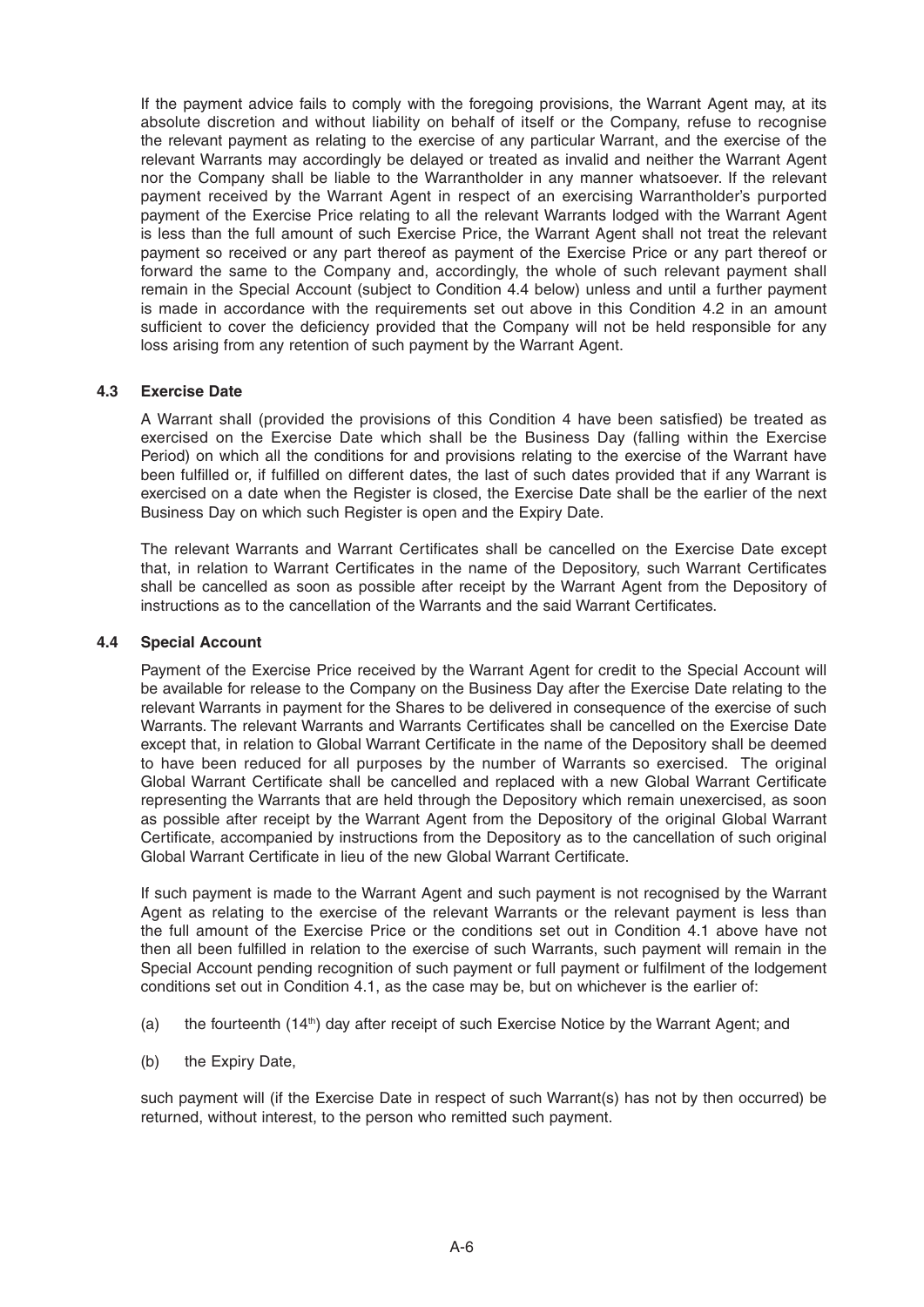If the payment advice fails to comply with the foregoing provisions, the Warrant Agent may, at its absolute discretion and without liability on behalf of itself or the Company, refuse to recognise the relevant payment as relating to the exercise of any particular Warrant, and the exercise of the relevant Warrants may accordingly be delayed or treated as invalid and neither the Warrant Agent nor the Company shall be liable to the Warrantholder in any manner whatsoever. If the relevant payment received by the Warrant Agent in respect of an exercising Warrantholder's purported payment of the Exercise Price relating to all the relevant Warrants lodged with the Warrant Agent is less than the full amount of such Exercise Price, the Warrant Agent shall not treat the relevant payment so received or any part thereof as payment of the Exercise Price or any part thereof or forward the same to the Company and, accordingly, the whole of such relevant payment shall remain in the Special Account (subject to Condition 4.4 below) unless and until a further payment is made in accordance with the requirements set out above in this Condition 4.2 in an amount sufficient to cover the deficiency provided that the Company will not be held responsible for any loss arising from any retention of such payment by the Warrant Agent.

#### **4.3 Exercise Date**

A Warrant shall (provided the provisions of this Condition 4 have been satisfied) be treated as exercised on the Exercise Date which shall be the Business Day (falling within the Exercise Period) on which all the conditions for and provisions relating to the exercise of the Warrant have been fulfilled or, if fulfilled on different dates, the last of such dates provided that if any Warrant is exercised on a date when the Register is closed, the Exercise Date shall be the earlier of the next Business Day on which such Register is open and the Expiry Date.

The relevant Warrants and Warrant Certificates shall be cancelled on the Exercise Date except that, in relation to Warrant Certificates in the name of the Depository, such Warrant Certificates shall be cancelled as soon as possible after receipt by the Warrant Agent from the Depository of instructions as to the cancellation of the Warrants and the said Warrant Certificates.

#### **4.4 Special Account**

Payment of the Exercise Price received by the Warrant Agent for credit to the Special Account will be available for release to the Company on the Business Day after the Exercise Date relating to the relevant Warrants in payment for the Shares to be delivered in consequence of the exercise of such Warrants. The relevant Warrants and Warrants Certificates shall be cancelled on the Exercise Date except that, in relation to Global Warrant Certificate in the name of the Depository shall be deemed to have been reduced for all purposes by the number of Warrants so exercised. The original Global Warrant Certificate shall be cancelled and replaced with a new Global Warrant Certificate representing the Warrants that are held through the Depository which remain unexercised, as soon as possible after receipt by the Warrant Agent from the Depository of the original Global Warrant Certificate, accompanied by instructions from the Depository as to the cancellation of such original Global Warrant Certificate in lieu of the new Global Warrant Certificate.

 If such payment is made to the Warrant Agent and such payment is not recognised by the Warrant Agent as relating to the exercise of the relevant Warrants or the relevant payment is less than the full amount of the Exercise Price or the conditions set out in Condition 4.1 above have not then all been fulfilled in relation to the exercise of such Warrants, such payment will remain in the Special Account pending recognition of such payment or full payment or fulfilment of the lodgement conditions set out in Condition 4.1, as the case may be, but on whichever is the earlier of:

- (a) the fourteenth  $(14<sup>th</sup>)$  day after receipt of such Exercise Notice by the Warrant Agent; and
- (b) the Expiry Date,

 such payment will (if the Exercise Date in respect of such Warrant(s) has not by then occurred) be returned, without interest, to the person who remitted such payment.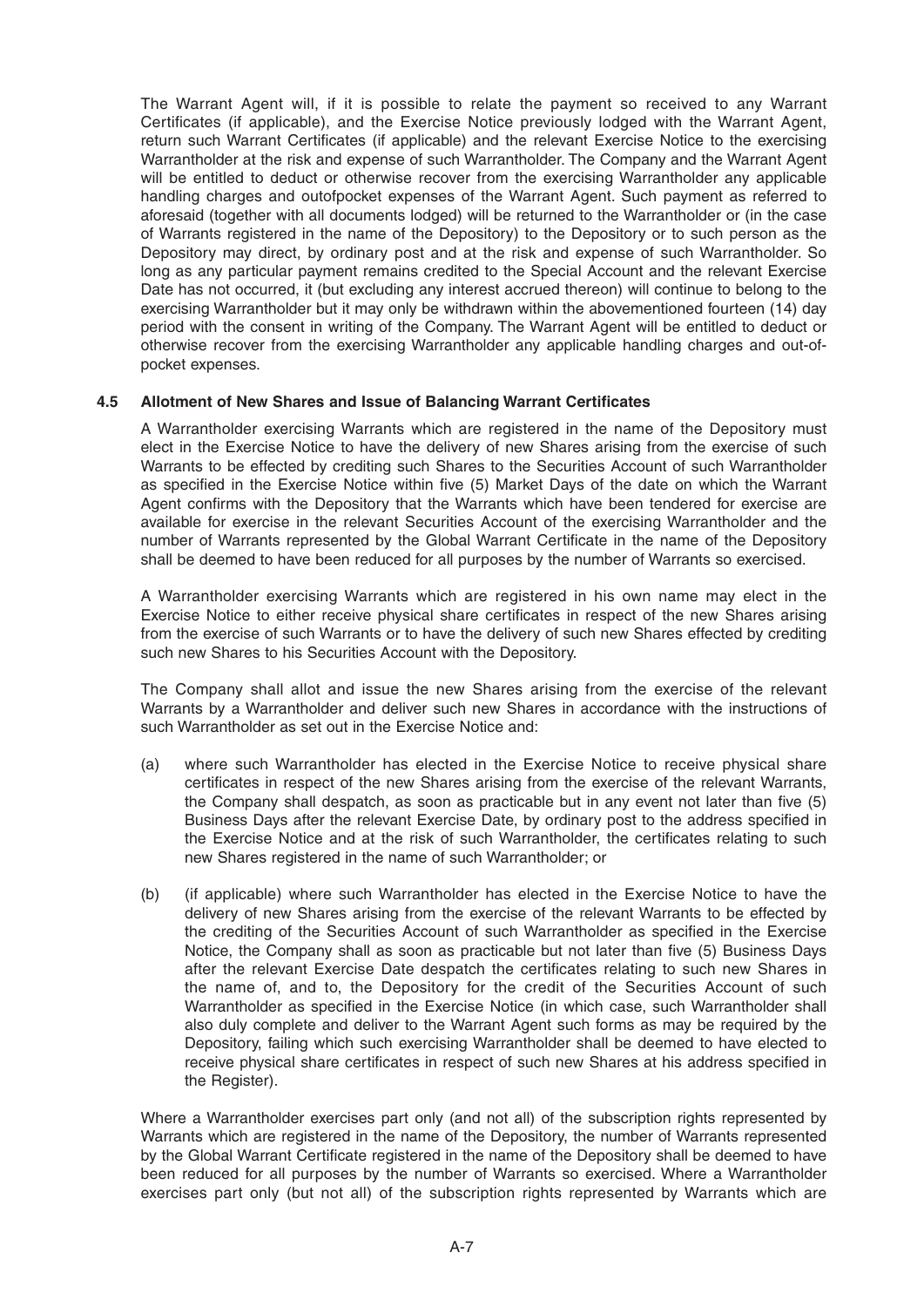The Warrant Agent will, if it is possible to relate the payment so received to any Warrant Certificates (if applicable), and the Exercise Notice previously lodged with the Warrant Agent, return such Warrant Certificates (if applicable) and the relevant Exercise Notice to the exercising Warrantholder at the risk and expense of such Warrantholder. The Company and the Warrant Agent will be entitled to deduct or otherwise recover from the exercising Warrantholder any applicable handling charges and outofpocket expenses of the Warrant Agent. Such payment as referred to aforesaid (together with all documents lodged) will be returned to the Warrantholder or (in the case of Warrants registered in the name of the Depository) to the Depository or to such person as the Depository may direct, by ordinary post and at the risk and expense of such Warrantholder. So long as any particular payment remains credited to the Special Account and the relevant Exercise Date has not occurred, it (but excluding any interest accrued thereon) will continue to belong to the exercising Warrantholder but it may only be withdrawn within the abovementioned fourteen (14) day period with the consent in writing of the Company. The Warrant Agent will be entitled to deduct or otherwise recover from the exercising Warrantholder any applicable handling charges and out-ofpocket expenses.

# **4.5 Allotment of New Shares and Issue of Balancing Warrant Certificates**

A Warrantholder exercising Warrants which are registered in the name of the Depository must elect in the Exercise Notice to have the delivery of new Shares arising from the exercise of such Warrants to be effected by crediting such Shares to the Securities Account of such Warrantholder as specified in the Exercise Notice within five (5) Market Days of the date on which the Warrant Agent confirms with the Depository that the Warrants which have been tendered for exercise are available for exercise in the relevant Securities Account of the exercising Warrantholder and the number of Warrants represented by the Global Warrant Certificate in the name of the Depository shall be deemed to have been reduced for all purposes by the number of Warrants so exercised.

 A Warrantholder exercising Warrants which are registered in his own name may elect in the Exercise Notice to either receive physical share certificates in respect of the new Shares arising from the exercise of such Warrants or to have the delivery of such new Shares effected by crediting such new Shares to his Securities Account with the Depository.

 The Company shall allot and issue the new Shares arising from the exercise of the relevant Warrants by a Warrantholder and deliver such new Shares in accordance with the instructions of such Warrantholder as set out in the Exercise Notice and:

- (a) where such Warrantholder has elected in the Exercise Notice to receive physical share certificates in respect of the new Shares arising from the exercise of the relevant Warrants, the Company shall despatch, as soon as practicable but in any event not later than five  $(5)$ Business Days after the relevant Exercise Date, by ordinary post to the address specified in the Exercise Notice and at the risk of such Warrantholder, the certificates relating to such new Shares registered in the name of such Warrantholder; or
- (b) (if applicable) where such Warrantholder has elected in the Exercise Notice to have the delivery of new Shares arising from the exercise of the relevant Warrants to be effected by the crediting of the Securities Account of such Warrantholder as specified in the Exercise Notice, the Company shall as soon as practicable but not later than five (5) Business Days after the relevant Exercise Date despatch the certificates relating to such new Shares in the name of, and to, the Depository for the credit of the Securities Account of such Warrantholder as specified in the Exercise Notice (in which case, such Warrantholder shall also duly complete and deliver to the Warrant Agent such forms as may be required by the Depository, failing which such exercising Warrantholder shall be deemed to have elected to receive physical share certificates in respect of such new Shares at his address specified in the Register).

 Where a Warrantholder exercises part only (and not all) of the subscription rights represented by Warrants which are registered in the name of the Depository, the number of Warrants represented by the Global Warrant Certificate registered in the name of the Depository shall be deemed to have been reduced for all purposes by the number of Warrants so exercised. Where a Warrantholder exercises part only (but not all) of the subscription rights represented by Warrants which are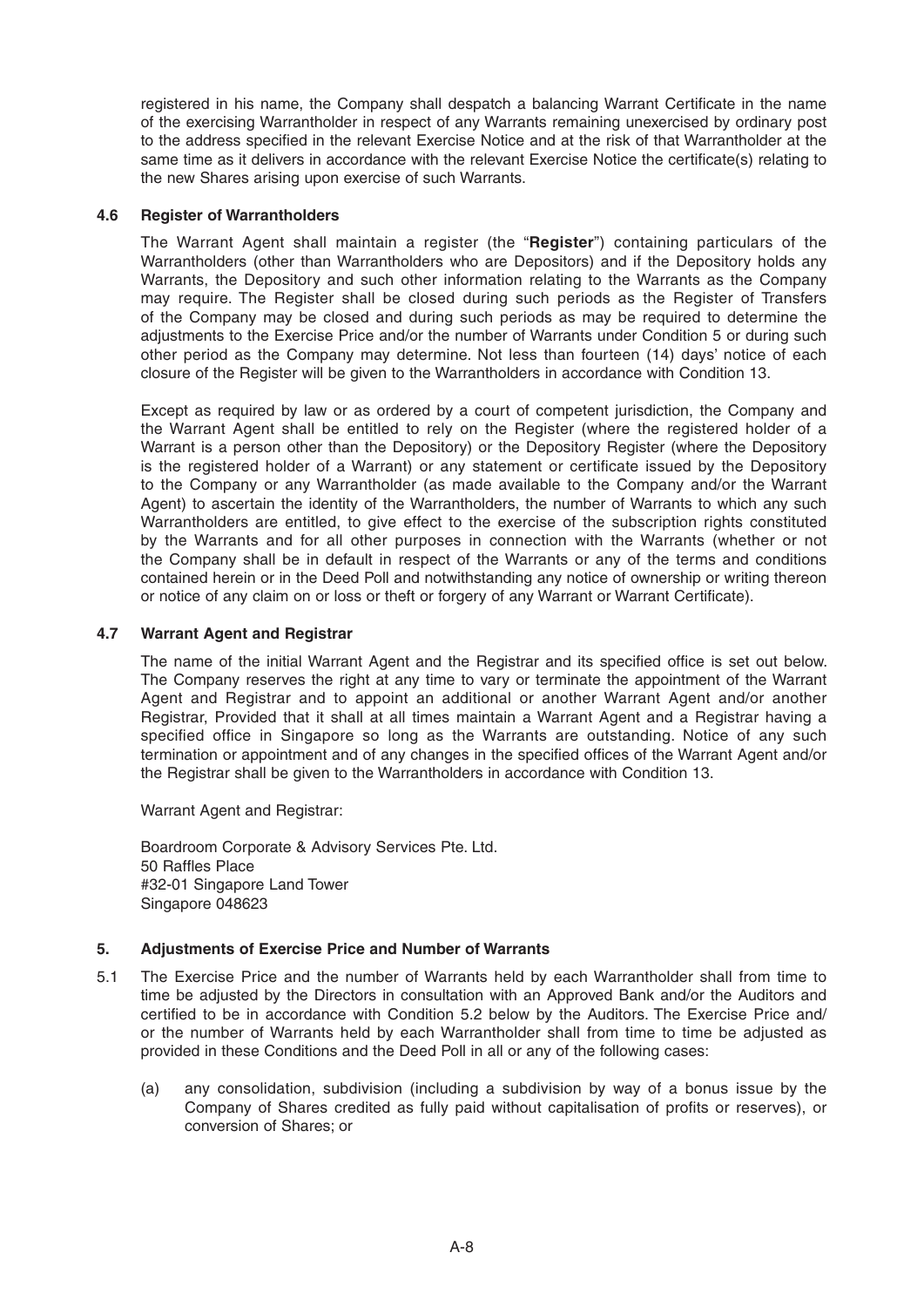registered in his name, the Company shall despatch a balancing Warrant Certificate in the name of the exercising Warrantholder in respect of any Warrants remaining unexercised by ordinary post to the address specified in the relevant Exercise Notice and at the risk of that Warrantholder at the same time as it delivers in accordance with the relevant Exercise Notice the certificate(s) relating to the new Shares arising upon exercise of such Warrants.

# **4.6 Register of Warrantholders**

The Warrant Agent shall maintain a register (the "**Register**") containing particulars of the Warrantholders (other than Warrantholders who are Depositors) and if the Depository holds any Warrants, the Depository and such other information relating to the Warrants as the Company may require. The Register shall be closed during such periods as the Register of Transfers of the Company may be closed and during such periods as may be required to determine the adjustments to the Exercise Price and/or the number of Warrants under Condition 5 or during such other period as the Company may determine. Not less than fourteen (14) days' notice of each closure of the Register will be given to the Warrantholders in accordance with Condition 13.

 Except as required by law or as ordered by a court of competent jurisdiction, the Company and the Warrant Agent shall be entitled to rely on the Register (where the registered holder of a Warrant is a person other than the Depository) or the Depository Register (where the Depository is the registered holder of a Warrant) or any statement or certificate issued by the Depository to the Company or any Warrantholder (as made available to the Company and/or the Warrant Agent) to ascertain the identity of the Warrantholders, the number of Warrants to which any such Warrantholders are entitled, to give effect to the exercise of the subscription rights constituted by the Warrants and for all other purposes in connection with the Warrants (whether or not the Company shall be in default in respect of the Warrants or any of the terms and conditions contained herein or in the Deed Poll and notwithstanding any notice of ownership or writing thereon or notice of any claim on or loss or theft or forgery of any Warrant or Warrant Certificate).

#### **4.7 Warrant Agent and Registrar**

The name of the initial Warrant Agent and the Registrar and its specified office is set out below. The Company reserves the right at any time to vary or terminate the appointment of the Warrant Agent and Registrar and to appoint an additional or another Warrant Agent and/or another Registrar, Provided that it shall at all times maintain a Warrant Agent and a Registrar having a specified office in Singapore so long as the Warrants are outstanding. Notice of any such termination or appointment and of any changes in the specified offices of the Warrant Agent and/or the Registrar shall be given to the Warrantholders in accordance with Condition 13.

Warrant Agent and Registrar:

 Boardroom Corporate & Advisory Services Pte. Ltd. 50 Raffles Place #32-01 Singapore Land Tower Singapore 048623

#### **5. Adjustments of Exercise Price and Number of Warrants**

- 5.1 The Exercise Price and the number of Warrants held by each Warrantholder shall from time to time be adjusted by the Directors in consultation with an Approved Bank and/or the Auditors and certified to be in accordance with Condition 5.2 below by the Auditors. The Exercise Price and/ or the number of Warrants held by each Warrantholder shall from time to time be adjusted as provided in these Conditions and the Deed Poll in all or any of the following cases:
	- (a) any consolidation, subdivision (including a subdivision by way of a bonus issue by the Company of Shares credited as fully paid without capitalisation of profits or reserves), or conversion of Shares; or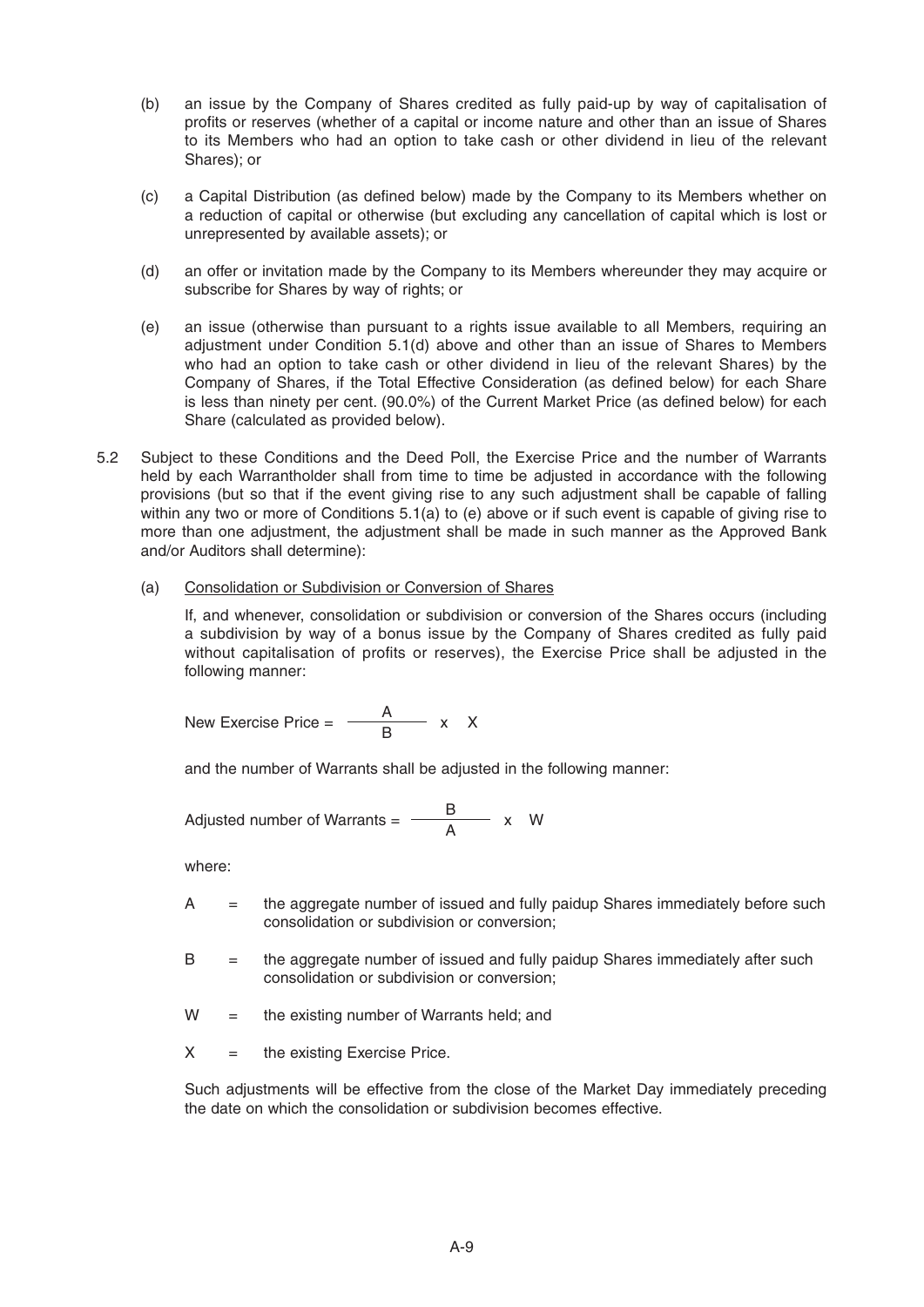- (b) an issue by the Company of Shares credited as fully paid-up by way of capitalisation of profits or reserves (whether of a capital or income nature and other than an issue of Shares to its Members who had an option to take cash or other dividend in lieu of the relevant Shares); or
- (c) a Capital Distribution (as defined below) made by the Company to its Members whether on a reduction of capital or otherwise (but excluding any cancellation of capital which is lost or unrepresented by available assets); or
- (d) an offer or invitation made by the Company to its Members whereunder they may acquire or subscribe for Shares by way of rights; or
- (e) an issue (otherwise than pursuant to a rights issue available to all Members, requiring an adjustment under Condition 5.1(d) above and other than an issue of Shares to Members who had an option to take cash or other dividend in lieu of the relevant Shares) by the Company of Shares, if the Total Effective Consideration (as defined below) for each Share is less than ninety per cent. (90.0%) of the Current Market Price (as defined below) for each Share (calculated as provided below).
- 5.2 Subject to these Conditions and the Deed Poll, the Exercise Price and the number of Warrants held by each Warrantholder shall from time to time be adjusted in accordance with the following provisions (but so that if the event giving rise to any such adjustment shall be capable of falling within any two or more of Conditions 5.1(a) to (e) above or if such event is capable of giving rise to more than one adjustment, the adjustment shall be made in such manner as the Approved Bank and/or Auditors shall determine):
	- (a) Consolidation or Subdivision or Conversion of Shares

 If, and whenever, consolidation or subdivision or conversion of the Shares occurs (including a subdivision by way of a bonus issue by the Company of Shares credited as fully paid without capitalisation of profits or reserves), the Exercise Price shall be adjusted in the following manner:

New Exercise Price =  $\frac{A}{B}$  x X

and the number of Warrants shall be adjusted in the following manner:

Adjusted number of Warrants =  $\frac{B}{\Delta}$  x W

where:

- A = the aggregate number of issued and fully paidup Shares immediately before such consolidation or subdivision or conversion;
- B = the aggregate number of issued and fully paidup Shares immediately after such consolidation or subdivision or conversion;
- $W =$  the existing number of Warrants held; and
- $X =$  the existing Exercise Price.

 Such adjustments will be effective from the close of the Market Day immediately preceding the date on which the consolidation or subdivision becomes effective.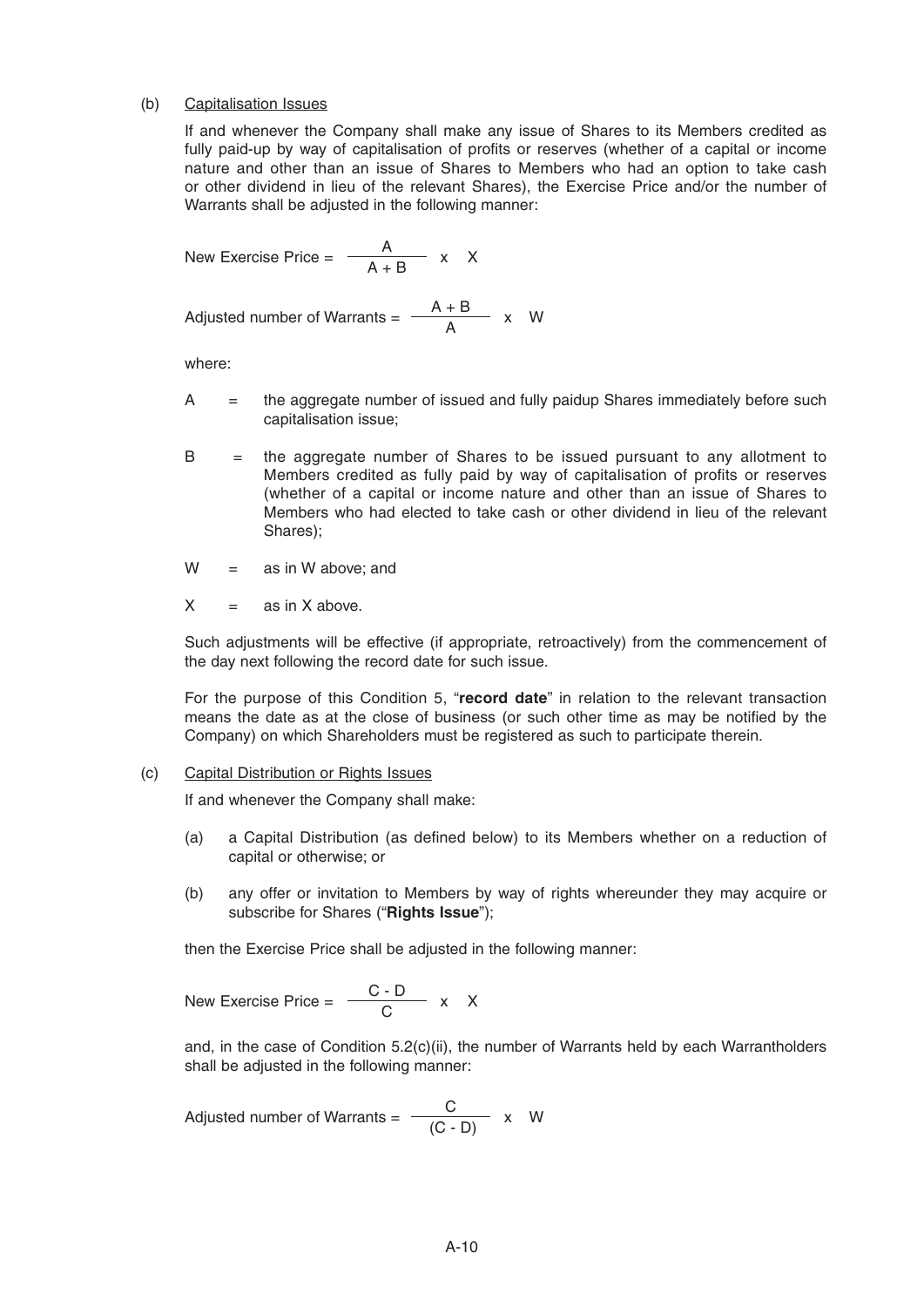#### (b) Capitalisation Issues

 If and whenever the Company shall make any issue of Shares to its Members credited as fully paid-up by way of capitalisation of profits or reserves (whether of a capital or income nature and other than an issue of Shares to Members who had an option to take cash or other dividend in lieu of the relevant Shares), the Exercise Price and/or the number of Warrants shall be adjusted in the following manner:

New Exercise Price = 
$$
\frac{A}{A+B}
$$
 x X

Adjusted number of Warrants =  $\frac{A + B}{\Delta}$  x W

where:

- A  $=$  the aggregate number of issued and fully paidup Shares immediately before such capitalisation issue;
- $B =$  the aggregate number of Shares to be issued pursuant to any allotment to Members credited as fully paid by way of capitalisation of profits or reserves (whether of a capital or income nature and other than an issue of Shares to Members who had elected to take cash or other dividend in lieu of the relevant Shares);
- $W =$  as in W above; and
- $X = \text{as in } X \text{ above.}$

 Such adjustments will be effective (if appropriate, retroactively) from the commencement of the day next following the record date for such issue.

 For the purpose of this Condition 5, "**record date**" in relation to the relevant transaction means the date as at the close of business (or such other time as may be notified by the Company) on which Shareholders must be registered as such to participate therein.

#### (c) Capital Distribution or Rights Issues

If and whenever the Company shall make:

- (a) a Capital Distribution (as defined below) to its Members whether on a reduction of capital or otherwise; or
- (b) any offer or invitation to Members by way of rights whereunder they may acquire or subscribe for Shares ("**Rights Issue**");

then the Exercise Price shall be adjusted in the following manner:

New Exercise Price = 
$$
\frac{C - D}{C} \times X
$$

 and, in the case of Condition 5.2(c)(ii), the number of Warrants held by each Warrantholders shall be adjusted in the following manner:

Adjusted number of Warrants =  $\frac{C}{(C - D)}$  x W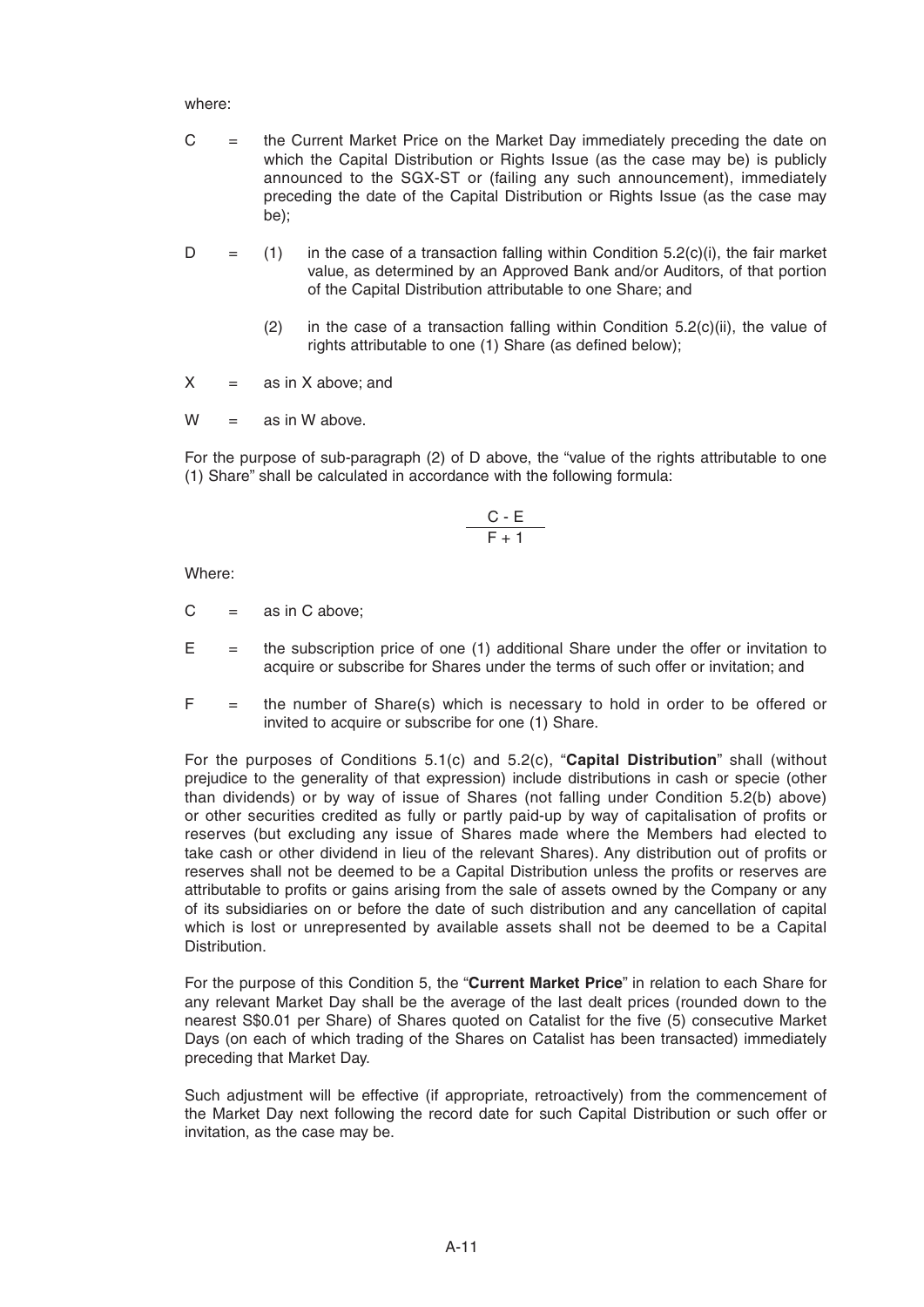where:

- C = the Current Market Price on the Market Day immediately preceding the date on which the Capital Distribution or Rights Issue (as the case may be) is publicly announced to the SGX-ST or (failing any such announcement), immediately preceding the date of the Capital Distribution or Rights Issue (as the case may be);
- $D =$  (1) in the case of a transaction falling within Condition 5.2(c)(i), the fair market value, as determined by an Approved Bank and/or Auditors, of that portion of the Capital Distribution attributable to one Share; and
	- (2) in the case of a transaction falling within Condition  $5.2(c)(ii)$ , the value of rights attributable to one (1) Share (as defined below);
- $X =$  as in X above; and
- $W =$  as in W above.

 For the purpose of sub-paragraph (2) of D above, the "value of the rights attributable to one (1) Share" shall be calculated in accordance with the following formula:

$$
\frac{C - E}{F + 1}
$$

Where:

- $C =$  as in C above:
- $E =$  the subscription price of one (1) additional Share under the offer or invitation to acquire or subscribe for Shares under the terms of such offer or invitation; and
- $F =$  the number of Share(s) which is necessary to hold in order to be offered or invited to acquire or subscribe for one (1) Share.

 For the purposes of Conditions 5.1(c) and 5.2(c), "**Capital Distribution**" shall (without prejudice to the generality of that expression) include distributions in cash or specie (other than dividends) or by way of issue of Shares (not falling under Condition 5.2(b) above) or other securities credited as fully or partly paid-up by way of capitalisation of profits or reserves (but excluding any issue of Shares made where the Members had elected to take cash or other dividend in lieu of the relevant Shares). Any distribution out of profits or reserves shall not be deemed to be a Capital Distribution unless the profits or reserves are attributable to profits or gains arising from the sale of assets owned by the Company or any of its subsidiaries on or before the date of such distribution and any cancellation of capital which is lost or unrepresented by available assets shall not be deemed to be a Capital Distribution.

 For the purpose of this Condition 5, the "**Current Market Price**" in relation to each Share for any relevant Market Day shall be the average of the last dealt prices (rounded down to the nearest S\$0.01 per Share) of Shares quoted on Catalist for the five (5) consecutive Market Days (on each of which trading of the Shares on Catalist has been transacted) immediately preceding that Market Day.

 Such adjustment will be effective (if appropriate, retroactively) from the commencement of the Market Day next following the record date for such Capital Distribution or such offer or invitation, as the case may be.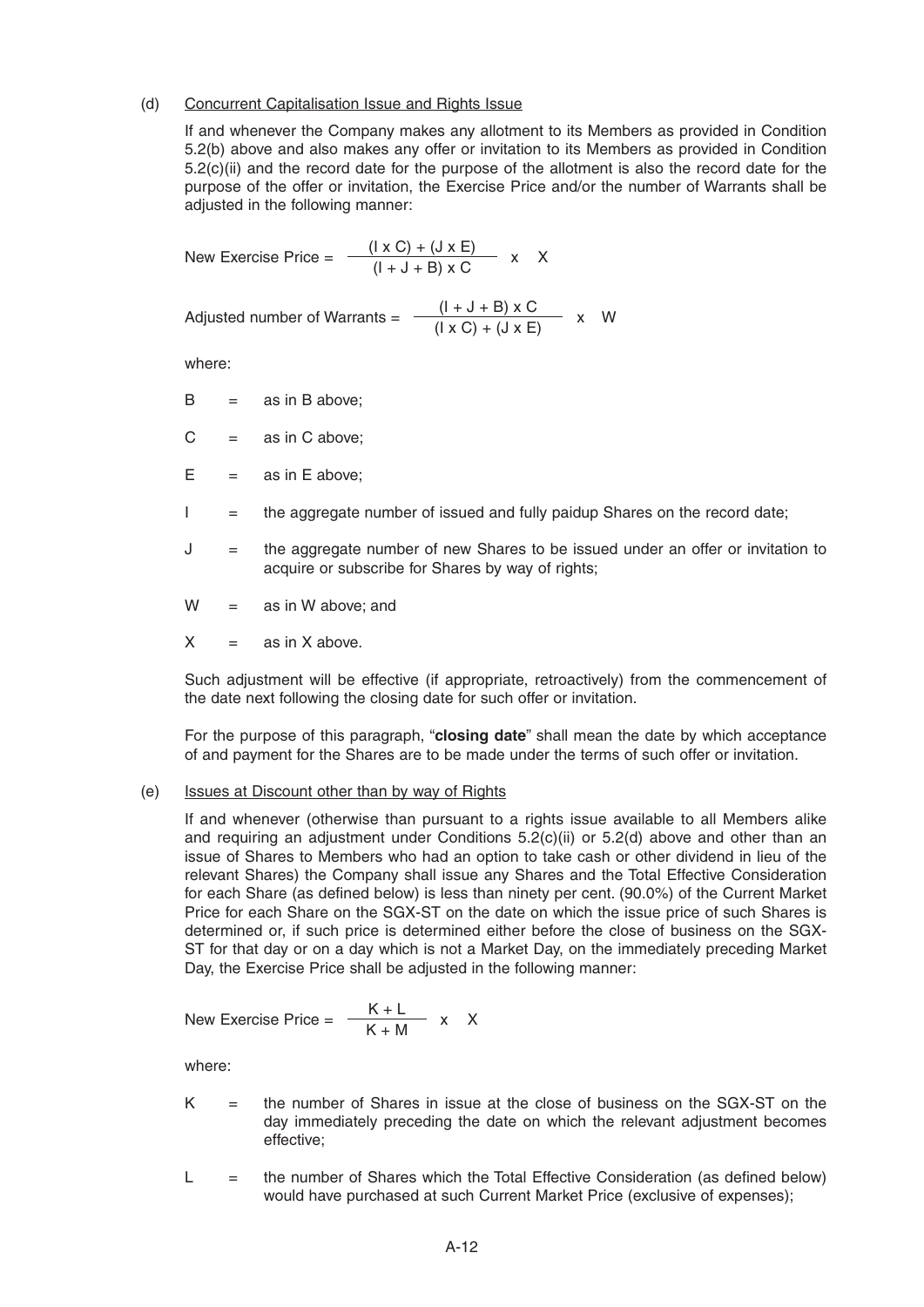#### (d) Concurrent Capitalisation Issue and Rights Issue

 If and whenever the Company makes any allotment to its Members as provided in Condition 5.2(b) above and also makes any offer or invitation to its Members as provided in Condition 5.2(c)(ii) and the record date for the purpose of the allotment is also the record date for the purpose of the offer or invitation, the Exercise Price and/or the number of Warrants shall be adjusted in the following manner:

New Exercise Price = 
$$
\frac{(\vert x \vert C) + (\vert J \vert x \vert E)}{(\vert + \vert J + \vert B) \vert x \vert C} \quad x \quad X
$$

Adjusted number of Warrants =

\n
$$
\frac{(I + J + B) \times C}{(I \times C) + (J \times E)} \times W
$$

where:

- $B =$ as in B above;
- $C =$  as in C above;
- $E = \text{as in E above:}$
- I = the aggregate number of issued and fully paidup Shares on the record date;
- J = the aggregate number of new Shares to be issued under an offer or invitation to acquire or subscribe for Shares by way of rights;
- $W =$  as in W above: and
- $X = \text{as in } X \text{ above.}$

 Such adjustment will be effective (if appropriate, retroactively) from the commencement of the date next following the closing date for such offer or invitation.

 For the purpose of this paragraph, "**closing date**" shall mean the date by which acceptance of and payment for the Shares are to be made under the terms of such offer or invitation.

#### (e) Issues at Discount other than by way of Rights

 If and whenever (otherwise than pursuant to a rights issue available to all Members alike and requiring an adjustment under Conditions  $5.2(c)(ii)$  or  $5.2(d)$  above and other than an issue of Shares to Members who had an option to take cash or other dividend in lieu of the relevant Shares) the Company shall issue any Shares and the Total Effective Consideration for each Share (as defined below) is less than ninety per cent. (90.0%) of the Current Market Price for each Share on the SGX-ST on the date on which the issue price of such Shares is determined or, if such price is determined either before the close of business on the SGX-ST for that day or on a day which is not a Market Day, on the immediately preceding Market Day, the Exercise Price shall be adjusted in the following manner:

New Exercise Price = 
$$
\frac{K + L}{K + M} \times X
$$

where:

- $K =$  the number of Shares in issue at the close of business on the SGX-ST on the day immediately preceding the date on which the relevant adjustment becomes effective;
- $L =$  the number of Shares which the Total Effective Consideration (as defined below) would have purchased at such Current Market Price (exclusive of expenses);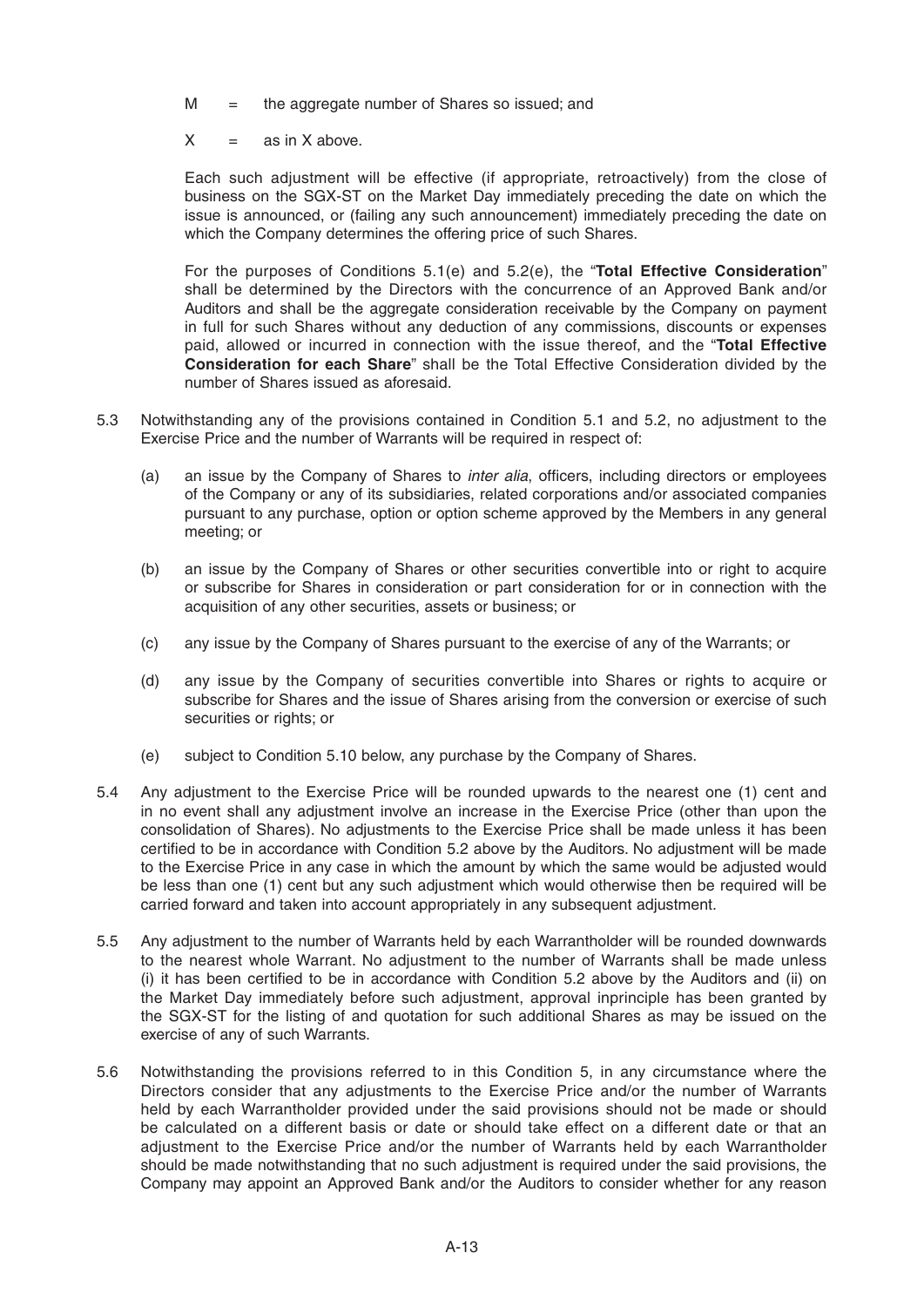- $M =$  the aggregate number of Shares so issued; and
- $X = \text{as in } X \text{ above.}$

 Each such adjustment will be effective (if appropriate, retroactively) from the close of business on the SGX-ST on the Market Day immediately preceding the date on which the issue is announced, or (failing any such announcement) immediately preceding the date on which the Company determines the offering price of such Shares.

 For the purposes of Conditions 5.1(e) and 5.2(e), the "**Total Effective Consideration**" shall be determined by the Directors with the concurrence of an Approved Bank and/or Auditors and shall be the aggregate consideration receivable by the Company on payment in full for such Shares without any deduction of any commissions, discounts or expenses paid, allowed or incurred in connection with the issue thereof, and the "**Total Effective Consideration for each Share**" shall be the Total Effective Consideration divided by the number of Shares issued as aforesaid.

- 5.3 Notwithstanding any of the provisions contained in Condition 5.1 and 5.2, no adjustment to the Exercise Price and the number of Warrants will be required in respect of:
	- (a) an issue by the Company of Shares to *inter alia*, officers, including directors or employees of the Company or any of its subsidiaries, related corporations and/or associated companies pursuant to any purchase, option or option scheme approved by the Members in any general meeting; or
	- (b) an issue by the Company of Shares or other securities convertible into or right to acquire or subscribe for Shares in consideration or part consideration for or in connection with the acquisition of any other securities, assets or business; or
	- (c) any issue by the Company of Shares pursuant to the exercise of any of the Warrants; or
	- (d) any issue by the Company of securities convertible into Shares or rights to acquire or subscribe for Shares and the issue of Shares arising from the conversion or exercise of such securities or rights; or
	- (e) subject to Condition 5.10 below, any purchase by the Company of Shares.
- 5.4 Any adjustment to the Exercise Price will be rounded upwards to the nearest one (1) cent and in no event shall any adjustment involve an increase in the Exercise Price (other than upon the consolidation of Shares). No adjustments to the Exercise Price shall be made unless it has been certified to be in accordance with Condition 5.2 above by the Auditors. No adjustment will be made to the Exercise Price in any case in which the amount by which the same would be adjusted would be less than one (1) cent but any such adjustment which would otherwise then be required will be carried forward and taken into account appropriately in any subsequent adjustment.
- 5.5 Any adjustment to the number of Warrants held by each Warrantholder will be rounded downwards to the nearest whole Warrant. No adjustment to the number of Warrants shall be made unless (i) it has been certified to be in accordance with Condition 5.2 above by the Auditors and (ii) on the Market Day immediately before such adjustment, approval inprinciple has been granted by the SGX-ST for the listing of and quotation for such additional Shares as may be issued on the exercise of any of such Warrants.
- 5.6 Notwithstanding the provisions referred to in this Condition 5, in any circumstance where the Directors consider that any adjustments to the Exercise Price and/or the number of Warrants held by each Warrantholder provided under the said provisions should not be made or should be calculated on a different basis or date or should take effect on a different date or that an adjustment to the Exercise Price and/or the number of Warrants held by each Warrantholder should be made notwithstanding that no such adjustment is required under the said provisions, the Company may appoint an Approved Bank and/or the Auditors to consider whether for any reason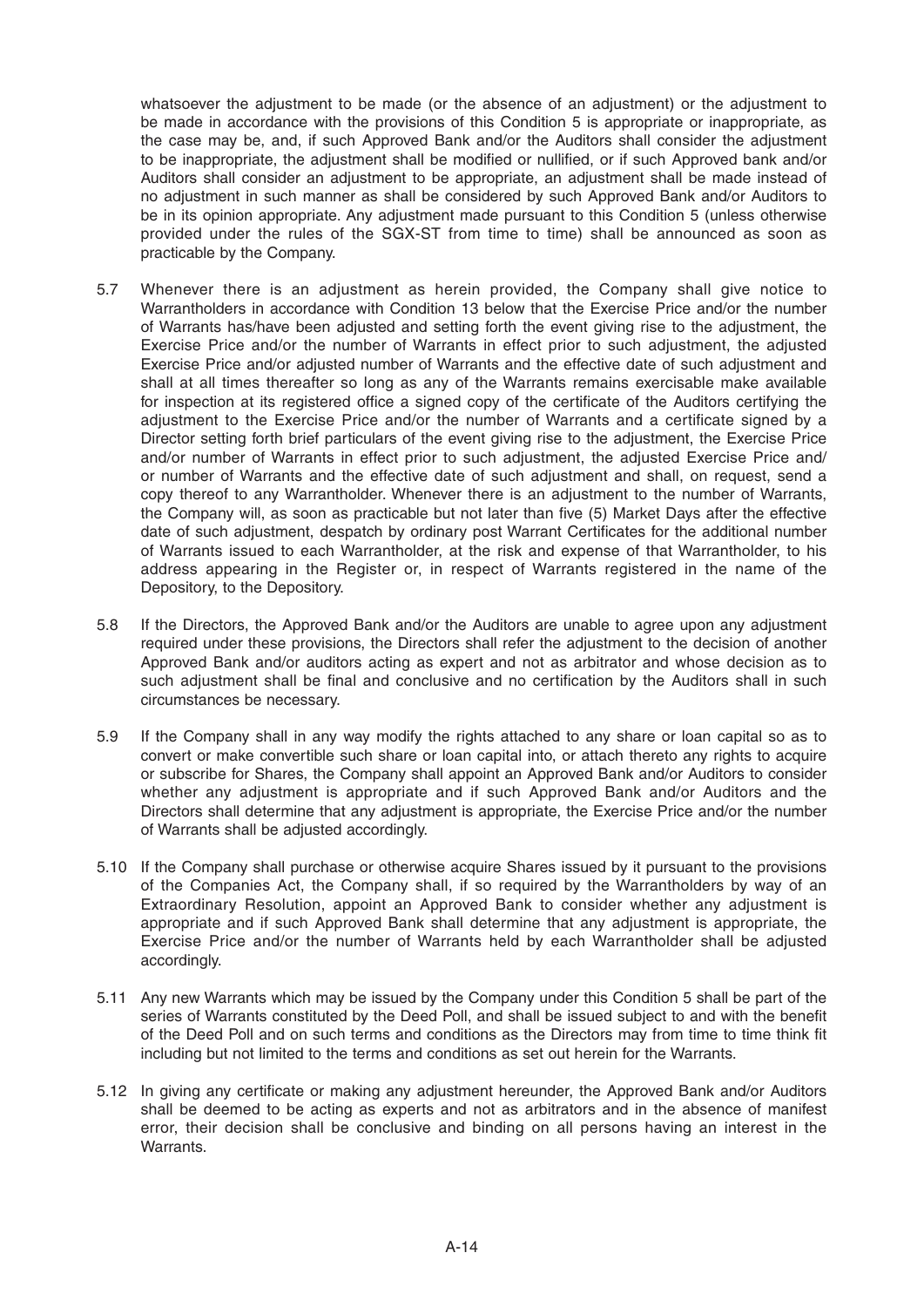whatsoever the adjustment to be made (or the absence of an adjustment) or the adjustment to be made in accordance with the provisions of this Condition 5 is appropriate or inappropriate, as the case may be, and, if such Approved Bank and/or the Auditors shall consider the adjustment to be inappropriate, the adjustment shall be modified or nullified, or if such Approved bank and/or Auditors shall consider an adjustment to be appropriate, an adjustment shall be made instead of no adjustment in such manner as shall be considered by such Approved Bank and/or Auditors to be in its opinion appropriate. Any adjustment made pursuant to this Condition 5 (unless otherwise provided under the rules of the SGX-ST from time to time) shall be announced as soon as practicable by the Company.

- 5.7 Whenever there is an adjustment as herein provided, the Company shall give notice to Warrantholders in accordance with Condition 13 below that the Exercise Price and/or the number of Warrants has/have been adjusted and setting forth the event giving rise to the adjustment, the Exercise Price and/or the number of Warrants in effect prior to such adjustment, the adjusted Exercise Price and/or adjusted number of Warrants and the effective date of such adjustment and shall at all times thereafter so long as any of the Warrants remains exercisable make available for inspection at its registered office a signed copy of the certificate of the Auditors certifying the adjustment to the Exercise Price and/or the number of Warrants and a certificate signed by a Director setting forth brief particulars of the event giving rise to the adjustment, the Exercise Price and/or number of Warrants in effect prior to such adjustment, the adjusted Exercise Price and/ or number of Warrants and the effective date of such adjustment and shall, on request, send a copy thereof to any Warrantholder. Whenever there is an adjustment to the number of Warrants, the Company will, as soon as practicable but not later than five (5) Market Days after the effective date of such adjustment, despatch by ordinary post Warrant Certificates for the additional number of Warrants issued to each Warrantholder, at the risk and expense of that Warrantholder, to his address appearing in the Register or, in respect of Warrants registered in the name of the Depository, to the Depository.
- 5.8 If the Directors, the Approved Bank and/or the Auditors are unable to agree upon any adjustment required under these provisions, the Directors shall refer the adjustment to the decision of another Approved Bank and/or auditors acting as expert and not as arbitrator and whose decision as to such adjustment shall be final and conclusive and no certification by the Auditors shall in such circumstances be necessary.
- 5.9 If the Company shall in any way modify the rights attached to any share or loan capital so as to convert or make convertible such share or loan capital into, or attach thereto any rights to acquire or subscribe for Shares, the Company shall appoint an Approved Bank and/or Auditors to consider whether any adjustment is appropriate and if such Approved Bank and/or Auditors and the Directors shall determine that any adjustment is appropriate, the Exercise Price and/or the number of Warrants shall be adjusted accordingly.
- 5.10 If the Company shall purchase or otherwise acquire Shares issued by it pursuant to the provisions of the Companies Act, the Company shall, if so required by the Warrantholders by way of an Extraordinary Resolution, appoint an Approved Bank to consider whether any adjustment is appropriate and if such Approved Bank shall determine that any adjustment is appropriate, the Exercise Price and/or the number of Warrants held by each Warrantholder shall be adjusted accordingly.
- 5.11 Any new Warrants which may be issued by the Company under this Condition 5 shall be part of the series of Warrants constituted by the Deed Poll, and shall be issued subject to and with the benefit of the Deed Poll and on such terms and conditions as the Directors may from time to time think fit including but not limited to the terms and conditions as set out herein for the Warrants.
- 5.12 In giving any certificate or making any adjustment hereunder, the Approved Bank and/or Auditors shall be deemed to be acting as experts and not as arbitrators and in the absence of manifest error, their decision shall be conclusive and binding on all persons having an interest in the Warrants.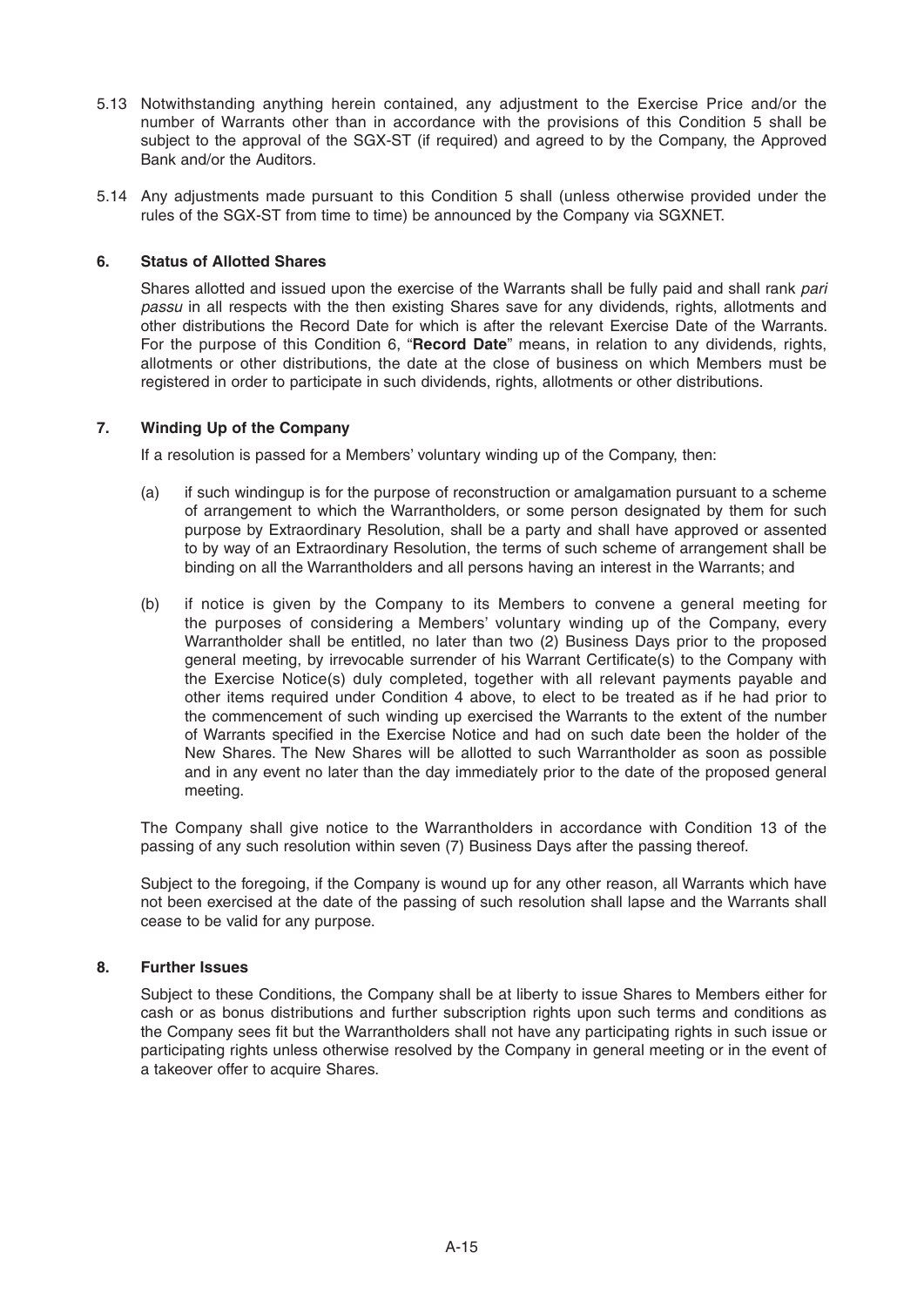- 5.13 Notwithstanding anything herein contained, any adjustment to the Exercise Price and/or the number of Warrants other than in accordance with the provisions of this Condition 5 shall be subject to the approval of the SGX-ST (if required) and agreed to by the Company, the Approved Bank and/or the Auditors.
- 5.14 Any adjustments made pursuant to this Condition 5 shall (unless otherwise provided under the rules of the SGX-ST from time to time) be announced by the Company via SGXNET.

# **6. Status of Allotted Shares**

Shares allotted and issued upon the exercise of the Warrants shall be fully paid and shall rank *pari passu* in all respects with the then existing Shares save for any dividends, rights, allotments and other distributions the Record Date for which is after the relevant Exercise Date of the Warrants. For the purpose of this Condition 6, "**Record Date**" means, in relation to any dividends, rights, allotments or other distributions, the date at the close of business on which Members must be registered in order to participate in such dividends, rights, allotments or other distributions.

# **7. Winding Up of the Company**

If a resolution is passed for a Members' voluntary winding up of the Company, then:

- (a) if such windingup is for the purpose of reconstruction or amalgamation pursuant to a scheme of arrangement to which the Warrantholders, or some person designated by them for such purpose by Extraordinary Resolution, shall be a party and shall have approved or assented to by way of an Extraordinary Resolution, the terms of such scheme of arrangement shall be binding on all the Warrantholders and all persons having an interest in the Warrants; and
- (b) if notice is given by the Company to its Members to convene a general meeting for the purposes of considering a Members' voluntary winding up of the Company, every Warrantholder shall be entitled, no later than two (2) Business Days prior to the proposed general meeting, by irrevocable surrender of his Warrant Certificate(s) to the Company with the Exercise Notice(s) duly completed, together with all relevant payments payable and other items required under Condition 4 above, to elect to be treated as if he had prior to the commencement of such winding up exercised the Warrants to the extent of the number of Warrants specified in the Exercise Notice and had on such date been the holder of the New Shares. The New Shares will be allotted to such Warrantholder as soon as possible and in any event no later than the day immediately prior to the date of the proposed general meeting.

 The Company shall give notice to the Warrantholders in accordance with Condition 13 of the passing of any such resolution within seven (7) Business Days after the passing thereof.

 Subject to the foregoing, if the Company is wound up for any other reason, all Warrants which have not been exercised at the date of the passing of such resolution shall lapse and the Warrants shall cease to be valid for any purpose.

# **8. Further Issues**

Subject to these Conditions, the Company shall be at liberty to issue Shares to Members either for cash or as bonus distributions and further subscription rights upon such terms and conditions as the Company sees fit but the Warrantholders shall not have any participating rights in such issue or participating rights unless otherwise resolved by the Company in general meeting or in the event of a takeover offer to acquire Shares.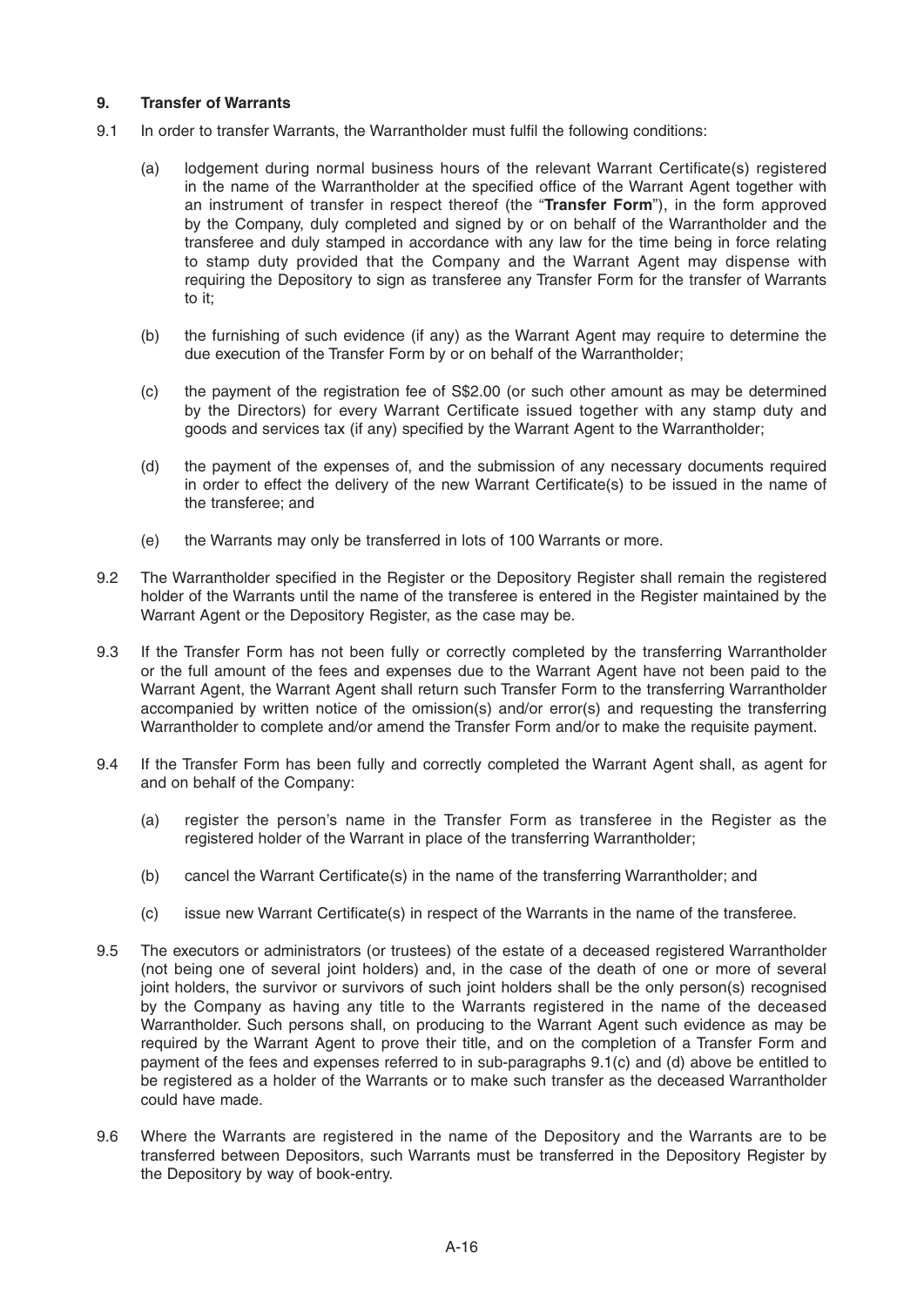# **9. Transfer of Warrants**

- 9.1 In order to transfer Warrants, the Warrantholder must fulfil the following conditions:
	- (a) lodgement during normal business hours of the relevant Warrant Certificate(s) registered in the name of the Warrantholder at the specified office of the Warrant Agent together with an instrument of transfer in respect thereof (the "**Transfer Form**"), in the form approved by the Company, duly completed and signed by or on behalf of the Warrantholder and the transferee and duly stamped in accordance with any law for the time being in force relating to stamp duty provided that the Company and the Warrant Agent may dispense with requiring the Depository to sign as transferee any Transfer Form for the transfer of Warrants to it;
	- (b) the furnishing of such evidence (if any) as the Warrant Agent may require to determine the due execution of the Transfer Form by or on behalf of the Warrantholder;
	- (c) the payment of the registration fee of S\$2.00 (or such other amount as may be determined by the Directors) for every Warrant Certificate issued together with any stamp duty and goods and services tax (if any) specified by the Warrant Agent to the Warrantholder;
	- (d) the payment of the expenses of, and the submission of any necessary documents required in order to effect the delivery of the new Warrant Certificate(s) to be issued in the name of the transferee; and
	- (e) the Warrants may only be transferred in lots of 100 Warrants or more.
- 9.2 The Warrantholder specified in the Register or the Depository Register shall remain the registered holder of the Warrants until the name of the transferee is entered in the Register maintained by the Warrant Agent or the Depository Register, as the case may be.
- 9.3 If the Transfer Form has not been fully or correctly completed by the transferring Warrantholder or the full amount of the fees and expenses due to the Warrant Agent have not been paid to the Warrant Agent, the Warrant Agent shall return such Transfer Form to the transferring Warrantholder accompanied by written notice of the omission(s) and/or error(s) and requesting the transferring Warrantholder to complete and/or amend the Transfer Form and/or to make the requisite payment.
- 9.4 If the Transfer Form has been fully and correctly completed the Warrant Agent shall, as agent for and on behalf of the Company:
	- (a) register the person's name in the Transfer Form as transferee in the Register as the registered holder of the Warrant in place of the transferring Warrantholder;
	- $(b)$  cancel the Warrant Certificate(s) in the name of the transferring Warrantholder; and
	- (c) issue new Warrant Certificate(s) in respect of the Warrants in the name of the transferee.
- 9.5 The executors or administrators (or trustees) of the estate of a deceased registered Warrantholder (not being one of several joint holders) and, in the case of the death of one or more of several joint holders, the survivor or survivors of such joint holders shall be the only person(s) recognised by the Company as having any title to the Warrants registered in the name of the deceased Warrantholder. Such persons shall, on producing to the Warrant Agent such evidence as may be required by the Warrant Agent to prove their title, and on the completion of a Transfer Form and payment of the fees and expenses referred to in sub-paragraphs 9.1(c) and (d) above be entitled to be registered as a holder of the Warrants or to make such transfer as the deceased Warrantholder could have made.
- 9.6 Where the Warrants are registered in the name of the Depository and the Warrants are to be transferred between Depositors, such Warrants must be transferred in the Depository Register by the Depository by way of book-entry.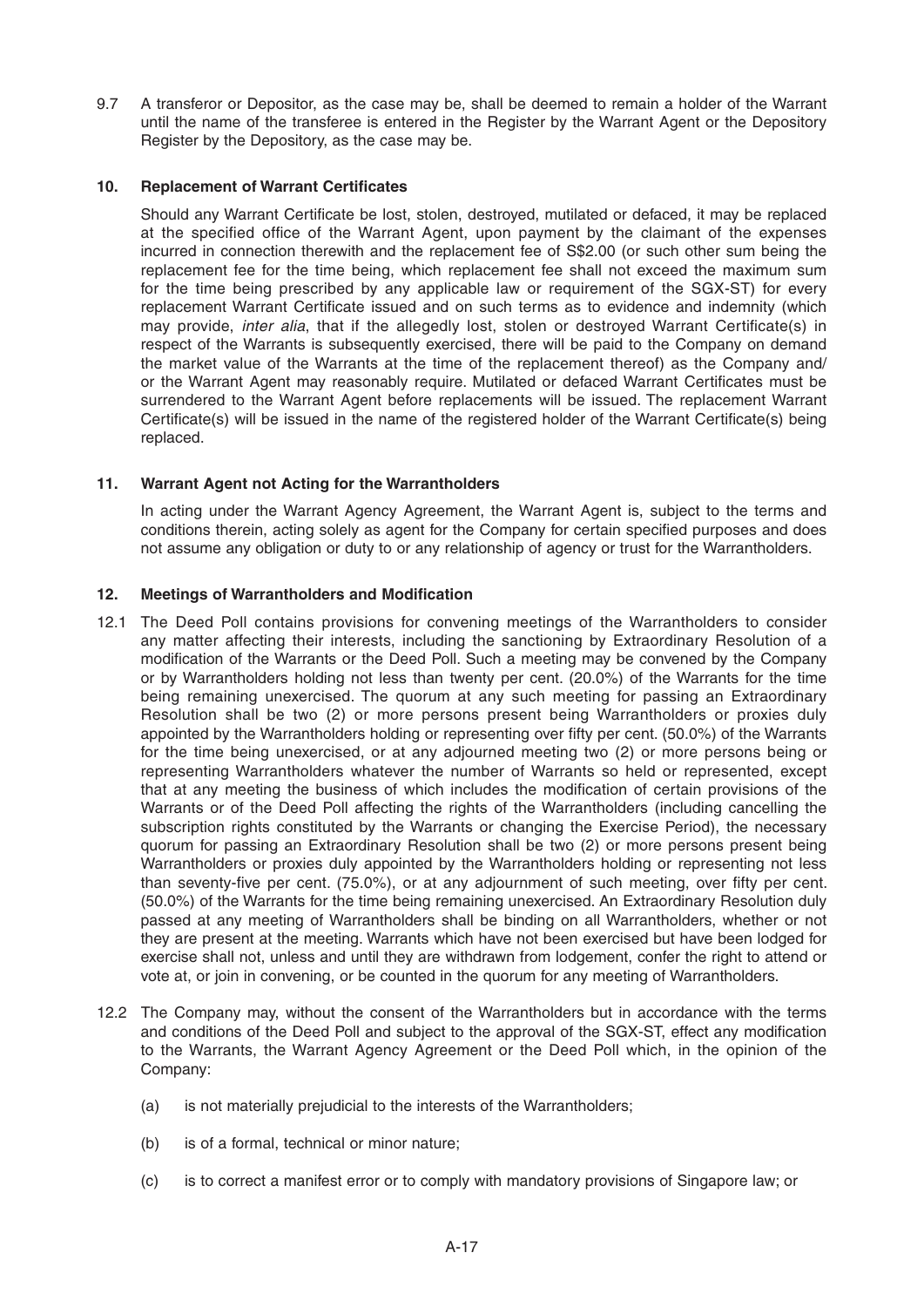9.7 A transferor or Depositor, as the case may be, shall be deemed to remain a holder of the Warrant until the name of the transferee is entered in the Register by the Warrant Agent or the Depository Register by the Depository, as the case may be.

#### **10. Replacement of Warrant Certificates**

Should any Warrant Certificate be lost, stolen, destroyed, mutilated or defaced, it may be replaced at the specified office of the Warrant Agent, upon payment by the claimant of the expenses incurred in connection therewith and the replacement fee of S\$2.00 (or such other sum being the replacement fee for the time being, which replacement fee shall not exceed the maximum sum for the time being prescribed by any applicable law or requirement of the SGX-ST) for every replacement Warrant Certificate issued and on such terms as to evidence and indemnity (which may provide, *inter alia*, that if the allegedly lost, stolen or destroyed Warrant Certificate(s) in respect of the Warrants is subsequently exercised, there will be paid to the Company on demand the market value of the Warrants at the time of the replacement thereof) as the Company and/ or the Warrant Agent may reasonably require. Mutilated or defaced Warrant Certificates must be surrendered to the Warrant Agent before replacements will be issued. The replacement Warrant Certificate(s) will be issued in the name of the registered holder of the Warrant Certificate(s) being replaced.

#### **11. Warrant Agent not Acting for the Warrantholders**

In acting under the Warrant Agency Agreement, the Warrant Agent is, subject to the terms and conditions therein, acting solely as agent for the Company for certain specified purposes and does not assume any obligation or duty to or any relationship of agency or trust for the Warrantholders.

#### **12. Meetings of Warrantholders and Modification**

- 12.1 The Deed Poll contains provisions for convening meetings of the Warrantholders to consider any matter affecting their interests, including the sanctioning by Extraordinary Resolution of a modification of the Warrants or the Deed Poll. Such a meeting may be convened by the Company or by Warrantholders holding not less than twenty per cent. (20.0%) of the Warrants for the time being remaining unexercised. The quorum at any such meeting for passing an Extraordinary Resolution shall be two (2) or more persons present being Warrantholders or proxies duly appointed by the Warrantholders holding or representing over fifty per cent. (50.0%) of the Warrants for the time being unexercised, or at any adjourned meeting two (2) or more persons being or representing Warrantholders whatever the number of Warrants so held or represented, except that at any meeting the business of which includes the modification of certain provisions of the Warrants or of the Deed Poll affecting the rights of the Warrantholders (including cancelling the subscription rights constituted by the Warrants or changing the Exercise Period), the necessary quorum for passing an Extraordinary Resolution shall be two (2) or more persons present being Warrantholders or proxies duly appointed by the Warrantholders holding or representing not less than seventy-five per cent. (75.0%), or at any adjournment of such meeting, over fifty per cent. (50.0%) of the Warrants for the time being remaining unexercised. An Extraordinary Resolution duly passed at any meeting of Warrantholders shall be binding on all Warrantholders, whether or not they are present at the meeting. Warrants which have not been exercised but have been lodged for exercise shall not, unless and until they are withdrawn from lodgement, confer the right to attend or vote at, or join in convening, or be counted in the quorum for any meeting of Warrantholders.
- 12.2 The Company may, without the consent of the Warrantholders but in accordance with the terms and conditions of the Deed Poll and subject to the approval of the SGX-ST, effect any modification to the Warrants, the Warrant Agency Agreement or the Deed Poll which, in the opinion of the Company:
	- (a) is not materially prejudicial to the interests of the Warrantholders;
	- (b) is of a formal, technical or minor nature;
	- (c) is to correct a manifest error or to comply with mandatory provisions of Singapore law; or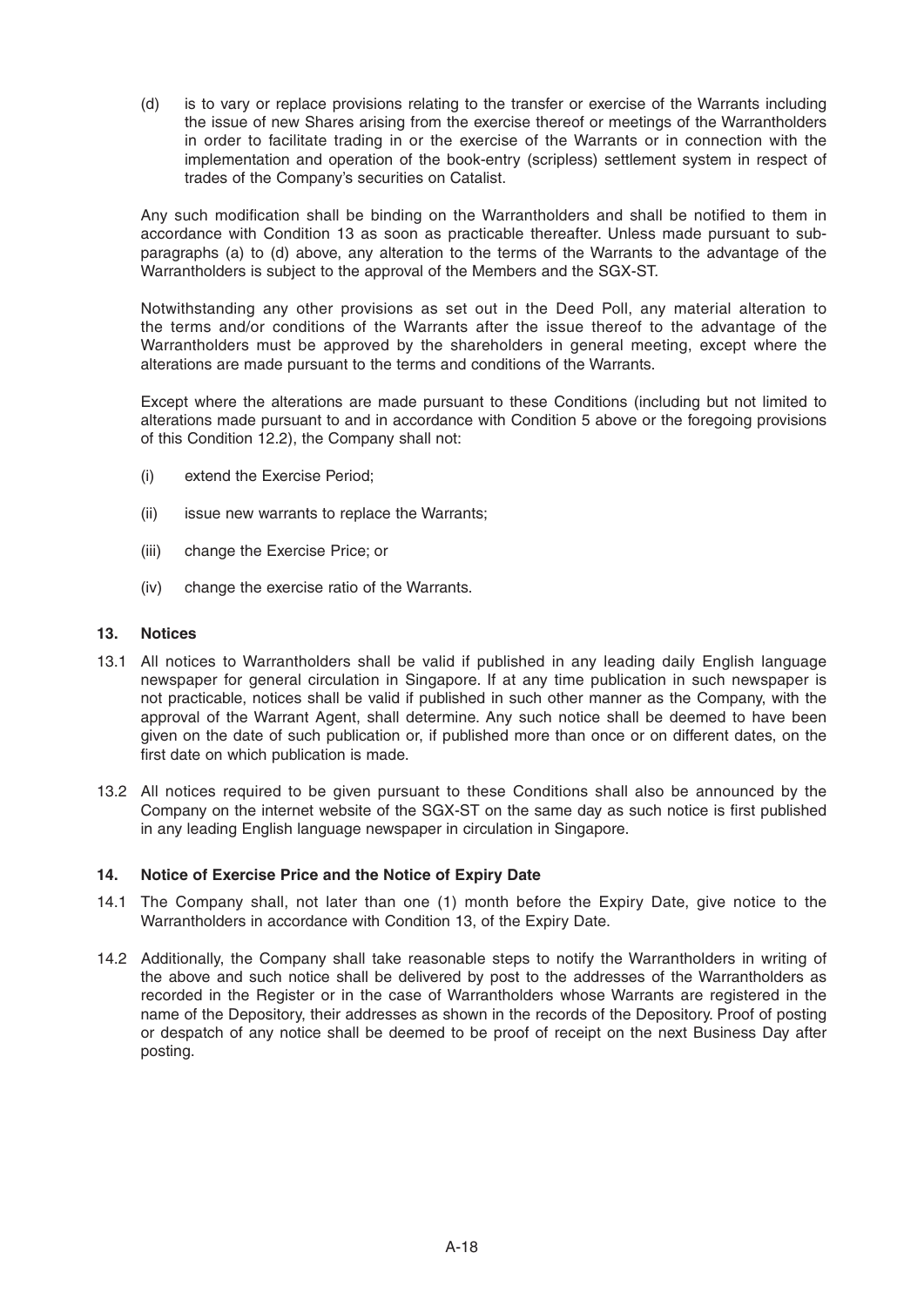(d) is to vary or replace provisions relating to the transfer or exercise of the Warrants including the issue of new Shares arising from the exercise thereof or meetings of the Warrantholders in order to facilitate trading in or the exercise of the Warrants or in connection with the implementation and operation of the book-entry (scripless) settlement system in respect of trades of the Company's securities on Catalist.

Any such modification shall be binding on the Warrantholders and shall be notified to them in accordance with Condition 13 as soon as practicable thereafter. Unless made pursuant to subparagraphs (a) to (d) above, any alteration to the terms of the Warrants to the advantage of the Warrantholders is subject to the approval of the Members and the SGX-ST.

 Notwithstanding any other provisions as set out in the Deed Poll, any material alteration to the terms and/or conditions of the Warrants after the issue thereof to the advantage of the Warrantholders must be approved by the shareholders in general meeting, except where the alterations are made pursuant to the terms and conditions of the Warrants.

 Except where the alterations are made pursuant to these Conditions (including but not limited to alterations made pursuant to and in accordance with Condition 5 above or the foregoing provisions of this Condition 12.2), the Company shall not:

- (i) extend the Exercise Period;
- (ii) issue new warrants to replace the Warrants;
- (iii) change the Exercise Price; or
- (iv) change the exercise ratio of the Warrants.

#### **13. Notices**

- 13.1 All notices to Warrantholders shall be valid if published in any leading daily English language newspaper for general circulation in Singapore. If at any time publication in such newspaper is not practicable, notices shall be valid if published in such other manner as the Company, with the approval of the Warrant Agent, shall determine. Any such notice shall be deemed to have been given on the date of such publication or, if published more than once or on different dates, on the first date on which publication is made.
- 13.2 All notices required to be given pursuant to these Conditions shall also be announced by the Company on the internet website of the SGX-ST on the same day as such notice is first published in any leading English language newspaper in circulation in Singapore.

# **14. Notice of Exercise Price and the Notice of Expiry Date**

- 14.1 The Company shall, not later than one (1) month before the Expiry Date, give notice to the Warrantholders in accordance with Condition 13, of the Expiry Date.
- 14.2 Additionally, the Company shall take reasonable steps to notify the Warrantholders in writing of the above and such notice shall be delivered by post to the addresses of the Warrantholders as recorded in the Register or in the case of Warrantholders whose Warrants are registered in the name of the Depository, their addresses as shown in the records of the Depository. Proof of posting or despatch of any notice shall be deemed to be proof of receipt on the next Business Day after posting.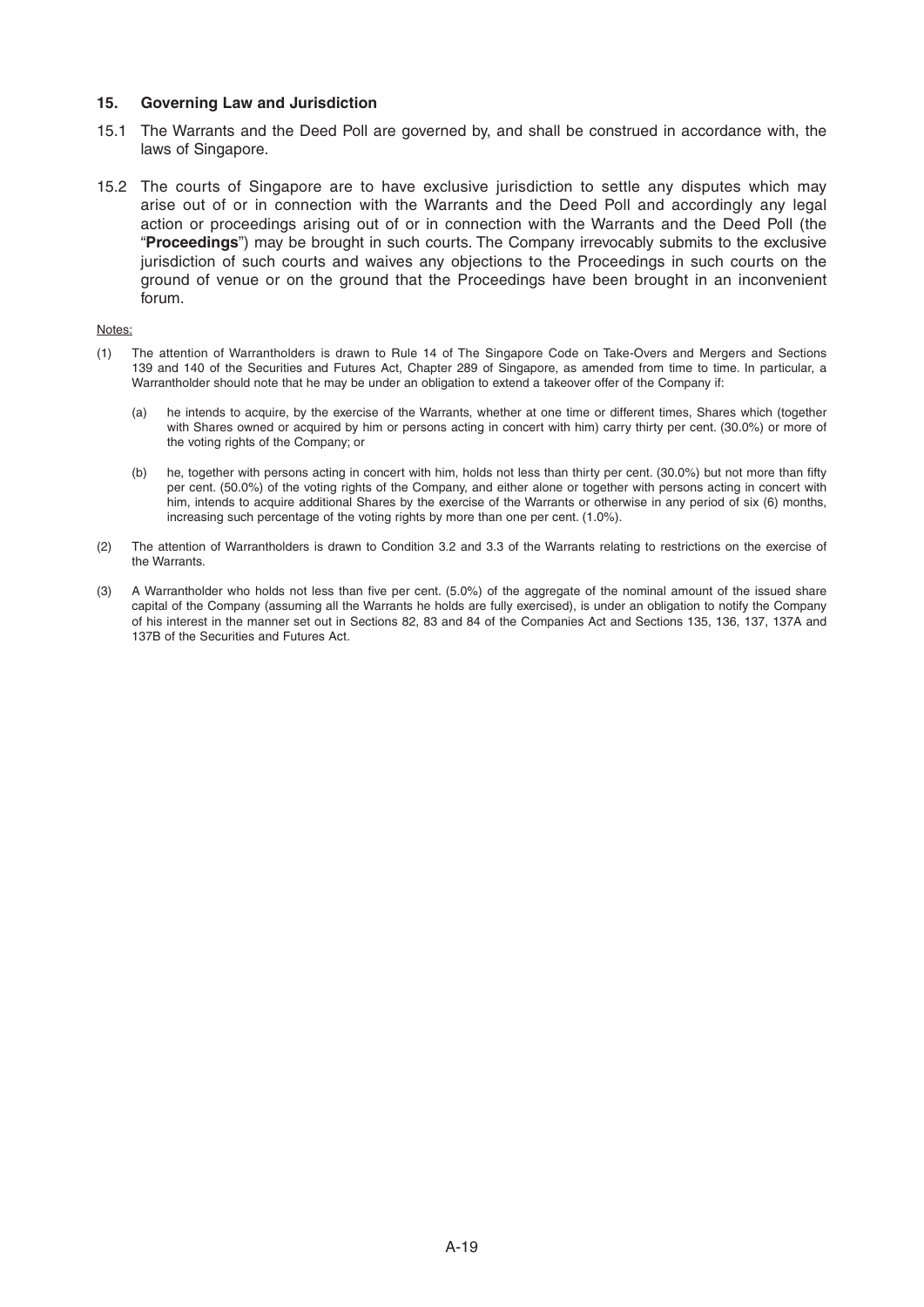#### **15. Governing Law and Jurisdiction**

- 15.1 The Warrants and the Deed Poll are governed by, and shall be construed in accordance with, the laws of Singapore.
- 15.2 The courts of Singapore are to have exclusive jurisdiction to settle any disputes which may arise out of or in connection with the Warrants and the Deed Poll and accordingly any legal action or proceedings arising out of or in connection with the Warrants and the Deed Poll (the "**Proceedings**") may be brought in such courts. The Company irrevocably submits to the exclusive jurisdiction of such courts and waives any objections to the Proceedings in such courts on the ground of venue or on the ground that the Proceedings have been brought in an inconvenient forum.

#### Notes:

- (1) The attention of Warrantholders is drawn to Rule 14 of The Singapore Code on Take-Overs and Mergers and Sections 139 and 140 of the Securities and Futures Act, Chapter 289 of Singapore, as amended from time to time. In particular, a Warrantholder should note that he may be under an obligation to extend a takeover offer of the Company if:
	- (a) he intends to acquire, by the exercise of the Warrants, whether at one time or different times, Shares which (together with Shares owned or acquired by him or persons acting in concert with him) carry thirty per cent. (30.0%) or more of the voting rights of the Company; or
	- (b) he, together with persons acting in concert with him, holds not less than thirty per cent. (30.0%) but not more than fifty per cent. (50.0%) of the voting rights of the Company, and either alone or together with persons acting in concert with him, intends to acquire additional Shares by the exercise of the Warrants or otherwise in any period of six (6) months, increasing such percentage of the voting rights by more than one per cent. (1.0%).
- (2) The attention of Warrantholders is drawn to Condition 3.2 and 3.3 of the Warrants relating to restrictions on the exercise of the Warrants.
- (3) A Warrantholder who holds not less than five per cent. (5.0%) of the aggregate of the nominal amount of the issued share capital of the Company (assuming all the Warrants he holds are fully exercised), is under an obligation to notify the Company of his interest in the manner set out in Sections 82, 83 and 84 of the Companies Actand Sections 135, 136, 137, 137A and 137B of the Securities and Futures Act.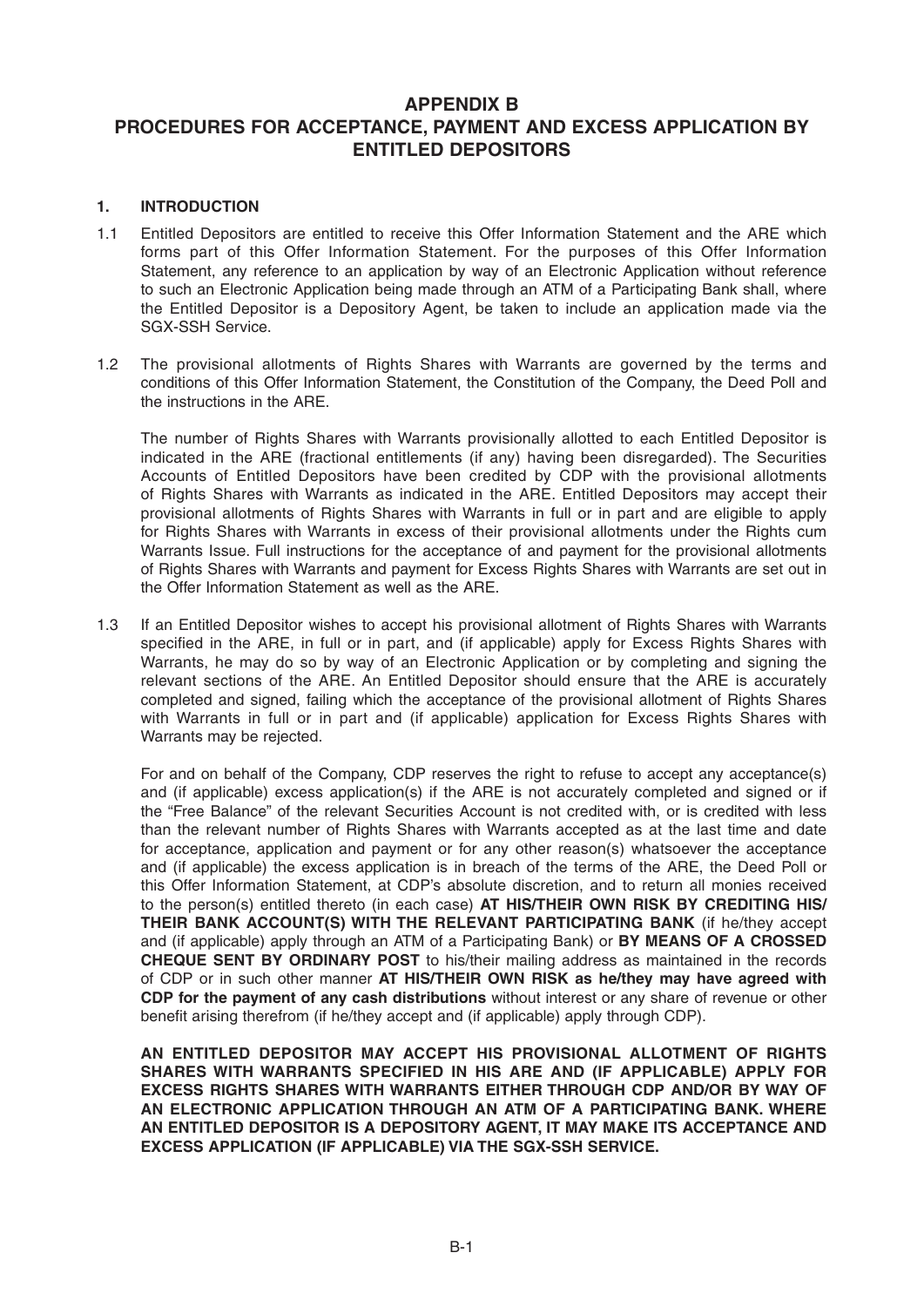# **APPENDIX B PROCEDURES FOR ACCEPTANCE, PAYMENT AND EXCESS APPLICATION BY ENTITLED DEPOSITORS**

#### **1. INTRODUCTION**

- 1.1 Entitled Depositors are entitled to receive this Offer Information Statement and the ARE which forms part of this Offer Information Statement. For the purposes of this Offer Information Statement, any reference to an application by way of an Electronic Application without reference to such an Electronic Application being made through an ATM of a Participating Bank shall, where the Entitled Depositor is a Depository Agent, be taken to include an application made via the SGX-SSH Service.
- 1.2 The provisional allotments of Rights Shares with Warrants are governed by the terms and conditions of this Offer Information Statement, the Constitution of the Company, the Deed Poll and the instructions in the ARE.

 The number of Rights Shares with Warrants provisionally allotted to each Entitled Depositor is indicated in the ARE (fractional entitlements (if any) having been disregarded). The Securities Accounts of Entitled Depositors have been credited by CDP with the provisional allotments of Rights Shares with Warrants as indicated in the ARE. Entitled Depositors may accept their provisional allotments of Rights Shares with Warrants in full or in part and are eligible to apply for Rights Shares with Warrants in excess of their provisional allotments under the Rights cum Warrants Issue. Full instructions for the acceptance of and payment for the provisional allotments of Rights Shares with Warrants and payment for Excess Rights Shares with Warrants are set out in the Offer Information Statement as well as the ARE.

1.3 If an Entitled Depositor wishes to accept his provisional allotment of Rights Shares with Warrants specified in the ARE, in full or in part, and (if applicable) apply for Excess Rights Shares with Warrants, he may do so by way of an Electronic Application or by completing and signing the relevant sections of the ARE. An Entitled Depositor should ensure that the ARE is accurately completed and signed, failing which the acceptance of the provisional allotment of Rights Shares with Warrants in full or in part and (if applicable) application for Excess Rights Shares with Warrants may be rejected.

 For and on behalf of the Company, CDP reserves the right to refuse to accept any acceptance(s) and (if applicable) excess application(s) if the ARE is not accurately completed and signed or if the "Free Balance" of the relevant Securities Account is not credited with, or is credited with less than the relevant number of Rights Shares with Warrants accepted as at the last time and date for acceptance, application and payment or for any other reason(s) whatsoever the acceptance and (if applicable) the excess application is in breach of the terms of the ARE, the Deed Poll or this Offer Information Statement, at CDP's absolute discretion, and to return all monies received to the person(s) entitled thereto (in each case) **AT HIS/THEIR OWN RISK BY CREDITING HIS/ THEIR BANK ACCOUNT(S) WITH THE RELEVANT PARTICIPATING BANK** (if he/they accept and (if applicable) apply through an ATM of a Participating Bank) or **BY MEANS OF A CROSSED CHEQUE SENT BY ORDINARY POST** to his/their mailing address as maintained in the records of CDP or in such other manner **AT HIS/THEIR OWN RISK as he/they may have agreed with CDP for the payment of any cash distributions** without interest or any share of revenue or other benefit arising therefrom (if he/they accept and (if applicable) apply through CDP).

 **AN ENTITLED DEPOSITOR MAY ACCEPT HIS PROVISIONAL ALLOTMENT OF RIGHTS SHARES WITH WARRANTS SPECIFIED IN HIS ARE AND (IF APPLICABLE) APPLY FOR EXCESS RIGHTS SHARES WITH WARRANTS EITHER THROUGH CDP AND/OR BY WAY OF AN ELECTRONIC APPLICATION THROUGH AN ATM OF A PARTICIPATING BANK. WHERE AN ENTITLED DEPOSITOR IS A DEPOSITORY AGENT, IT MAY MAKE ITS ACCEPTANCE AND EXCESS APPLICATION (IF APPLICABLE) VIA THE SGX-SSH SERVICE.**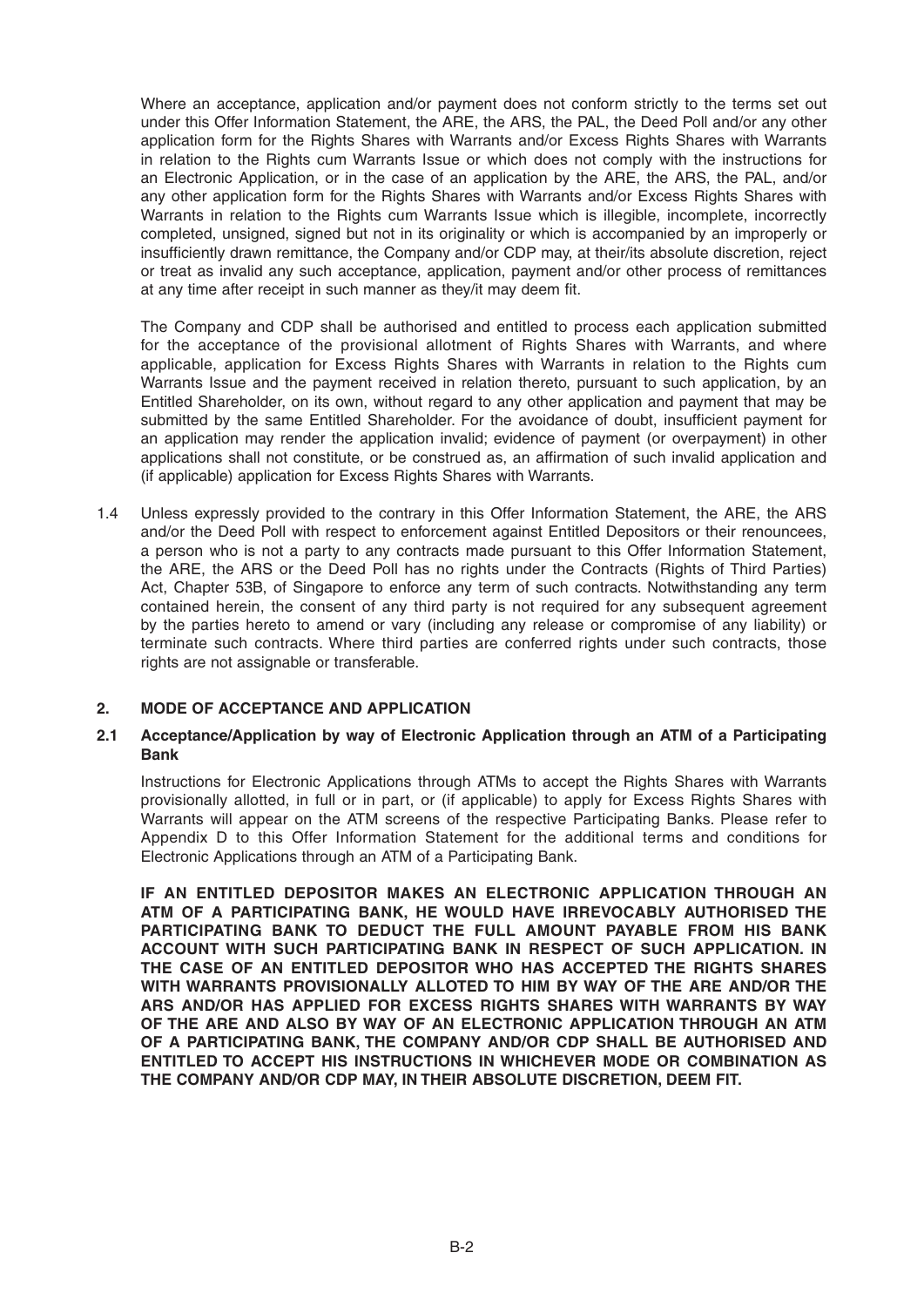Where an acceptance, application and/or payment does not conform strictly to the terms set out under this Offer Information Statement, the ARE, the ARS, the PAL, the Deed Poll and/or any other application form for the Rights Shares with Warrants and/or Excess Rights Shares with Warrants in relation to the Rights cum Warrants Issue or which does not comply with the instructions for an Electronic Application, or in the case of an application by the ARE, the ARS, the PAL, and/or any other application form for the Rights Shares with Warrants and/or Excess Rights Shares with Warrants in relation to the Rights cum Warrants Issue which is illegible, incomplete, incorrectly completed, unsigned, signed but not in its originality or which is accompanied by an improperly or insufficiently drawn remittance, the Company and/or CDP may, at their/its absolute discretion, reject or treat as invalid any such acceptance, application, payment and/or other process of remittances at any time after receipt in such manner as they/it may deem fit.

 The Company and CDP shall be authorised and entitled to process each application submitted for the acceptance of the provisional allotment of Rights Shares with Warrants, and where applicable, application for Excess Rights Shares with Warrants in relation to the Rights cum Warrants Issue and the payment received in relation thereto, pursuant to such application, by an Entitled Shareholder, on its own, without regard to any other application and payment that may be submitted by the same Entitled Shareholder. For the avoidance of doubt, insufficient payment for an application may render the application invalid; evidence of payment (or overpayment) in other applications shall not constitute, or be construed as, an affirmation of such invalid application and (if applicable) application for Excess Rights Shares with Warrants.

1.4 Unless expressly provided to the contrary in this Offer Information Statement, the ARE, the ARS and/or the Deed Poll with respect to enforcement against Entitled Depositors or their renouncees, a person who is not a party to any contracts made pursuant to this Offer Information Statement, the ARE, the ARS or the Deed Poll has no rights under the Contracts (Rights of Third Parties) Act, Chapter 53B, of Singapore to enforce any term of such contracts. Notwithstanding any term contained herein, the consent of any third party is not required for any subsequent agreement by the parties hereto to amend or vary (including any release or compromise of any liability) or terminate such contracts. Where third parties are conferred rights under such contracts, those rights are not assignable or transferable.

# **2. MODE OF ACCEPTANCE AND APPLICATION**

#### **2.1 Acceptance/Application by way of Electronic Application through an ATM of a Participating Bank**

 Instructions for Electronic Applications through ATMs to accept the Rights Shares with Warrants provisionally allotted, in full or in part, or (if applicable) to apply for Excess Rights Shares with Warrants will appear on the ATM screens of the respective Participating Banks. Please refer to Appendix D to this Offer Information Statement for the additional terms and conditions for Electronic Applications through an ATM of a Participating Bank.

 **IF AN ENTITLED DEPOSITOR MAKES AN ELECTRONIC APPLICATION THROUGH AN ATM OF A PARTICIPATING BANK, HE WOULD HAVE IRREVOCABLY AUTHORISED THE PARTICIPATING BANK TO DEDUCT THE FULL AMOUNT PAYABLE FROM HIS BANK ACCOUNT WITH SUCH PARTICIPATING BANK IN RESPECT OF SUCH APPLICATION. IN THE CASE OF AN ENTITLED DEPOSITOR WHO HAS ACCEPTED THE RIGHTS SHARES WITH WARRANTS PROVISIONALLY ALLOTED TO HIM BY WAY OF THE ARE AND/OR THE ARS AND/OR HAS APPLIED FOR EXCESS RIGHTS SHARES WITH WARRANTS BY WAY OF THE ARE AND ALSO BY WAY OF AN ELECTRONIC APPLICATION THROUGH AN ATM OF A PARTICIPATING BANK, THE COMPANY AND/OR CDP SHALL BE AUTHORISED AND ENTITLED TO ACCEPT HIS INSTRUCTIONS IN WHICHEVER MODE OR COMBINATION AS THE COMPANY AND/OR CDP MAY, IN THEIR ABSOLUTE DISCRETION, DEEM FIT.**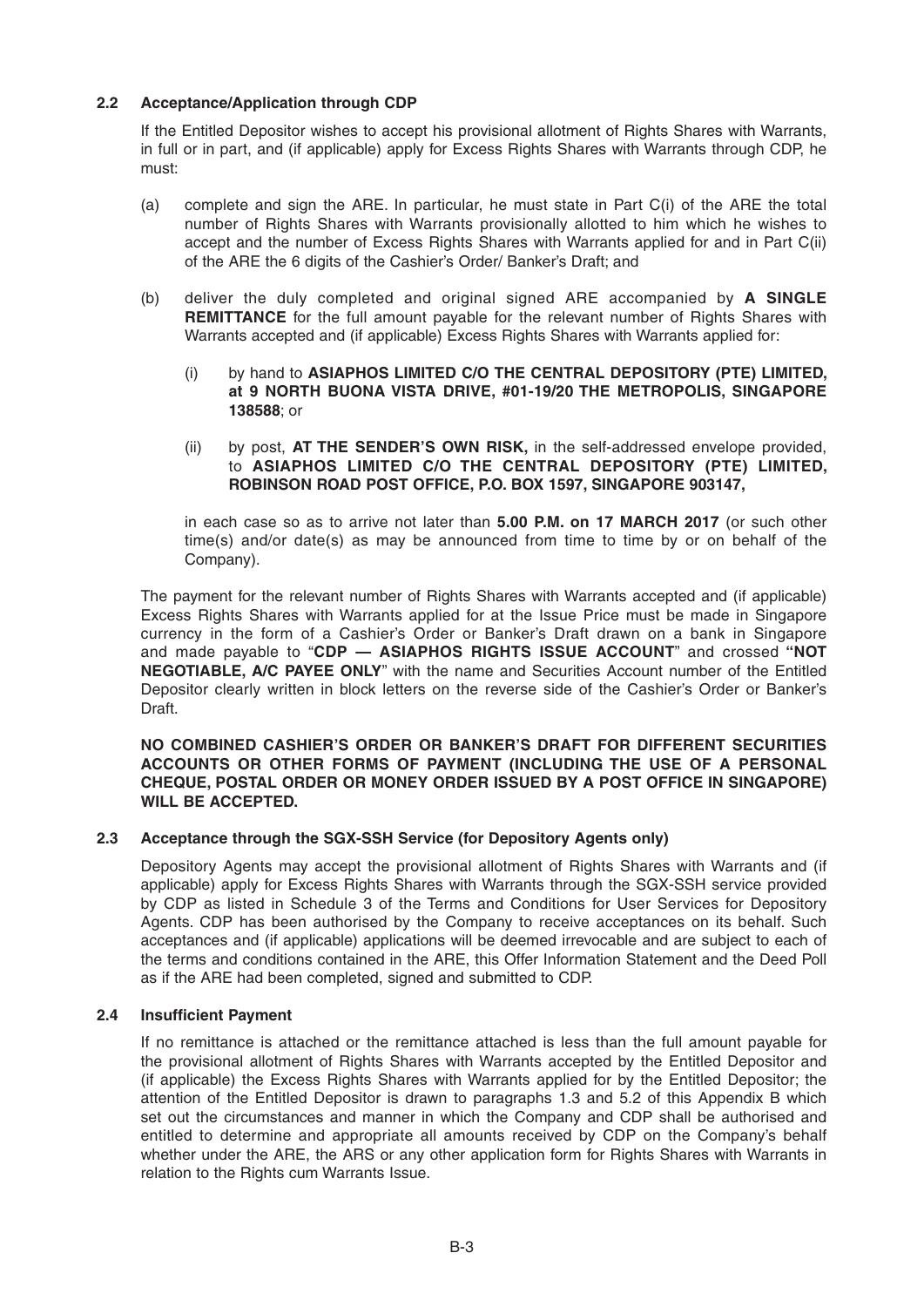# **2.2 Acceptance/Application through CDP**

 If the Entitled Depositor wishes to accept his provisional allotment of Rights Shares with Warrants, in full or in part, and (if applicable) apply for Excess Rights Shares with Warrants through CDP, he must:

- (a) complete and sign the ARE. In particular, he must state in Part C(i) of the ARE the total number of Rights Shares with Warrants provisionally allotted to him which he wishes to accept and the number of Excess Rights Shares with Warrants applied for and in Part C(ii) of the ARE the 6 digits of the Cashier's Order/ Banker's Draft; and
- (b) deliver the duly completed and original signed ARE accompanied by **A SINGLE REMITTANCE** for the full amount payable for the relevant number of Rights Shares with Warrants accepted and (if applicable) Excess Rights Shares with Warrants applied for:
	- (i) by hand to **ASIAPHOS LIMITED C/O THE CENTRAL DEPOSITORY (PTE) LIMITED, at 9 NORTH BUONA VISTA DRIVE, #01-19/20 THE METROPOLIS, SINGAPORE 138588**; or
	- (ii) by post, **AT THE SENDER'S OWN RISK,** in the self-addressed envelope provided, to **ASIAPHOS LIMITED C/O THE CENTRAL DEPOSITORY (PTE) LIMITED, ROBINSON ROAD POST OFFICE, P.O. BOX 1597, SINGAPORE 903147,**

in each case so as to arrive not later than **5.00 P.M. on 17 MARCH 2017** (or such other time(s) and/or date(s) as may be announced from time to time by or on behalf of the Company).

 The payment for the relevant number of Rights Shares with Warrants accepted and (if applicable) Excess Rights Shares with Warrants applied for at the Issue Price must be made in Singapore currency in the form of a Cashier's Order or Banker's Draft drawn on a bank in Singapore and made payable to "**CDP — ASIAPHOS RIGHTS ISSUE ACCOUNT**" and crossed **"NOT NEGOTIABLE, A/C PAYEE ONLY**'' with the name and Securities Account number of the Entitled Depositor clearly written in block letters on the reverse side of the Cashier's Order or Banker's Draft.

#### **NO COMBINED CASHIER'S ORDER OR BANKER'S DRAFT FOR DIFFERENT SECURITIES ACCOUNTS OR OTHER FORMS OF PAYMENT (INCLUDING THE USE OF A PERSONAL CHEQUE, POSTAL ORDER OR MONEY ORDER ISSUED BY A POST OFFICE IN SINGAPORE) WILL BE ACCEPTED.**

# **2.3 Acceptance through the SGX-SSH Service (for Depository Agents only)**

Depository Agents may accept the provisional allotment of Rights Shares with Warrants and (if applicable) apply for Excess Rights Shares with Warrants through the SGX-SSH service provided by CDP as listed in Schedule 3 of the Terms and Conditions for User Services for Depository Agents. CDP has been authorised by the Company to receive acceptances on its behalf. Such acceptances and (if applicable) applications will be deemed irrevocable and are subject to each of the terms and conditions contained in the ARE, this Offer Information Statement and the Deed Poll as if the ARE had been completed, signed and submitted to CDP.

# **2.4 Insufficient Payment**

If no remittance is attached or the remittance attached is less than the full amount payable for the provisional allotment of Rights Shares with Warrants accepted by the Entitled Depositor and (if applicable) the Excess Rights Shares with Warrants applied for by the Entitled Depositor; the attention of the Entitled Depositor is drawn to paragraphs 1.3 and 5.2 of this Appendix B which set out the circumstances and manner in which the Company and CDP shall be authorised and entitled to determine and appropriate all amounts received by CDP on the Company's behalf whether under the ARE, the ARS or any other application form for Rights Shares with Warrants in relation to the Rights cum Warrants Issue.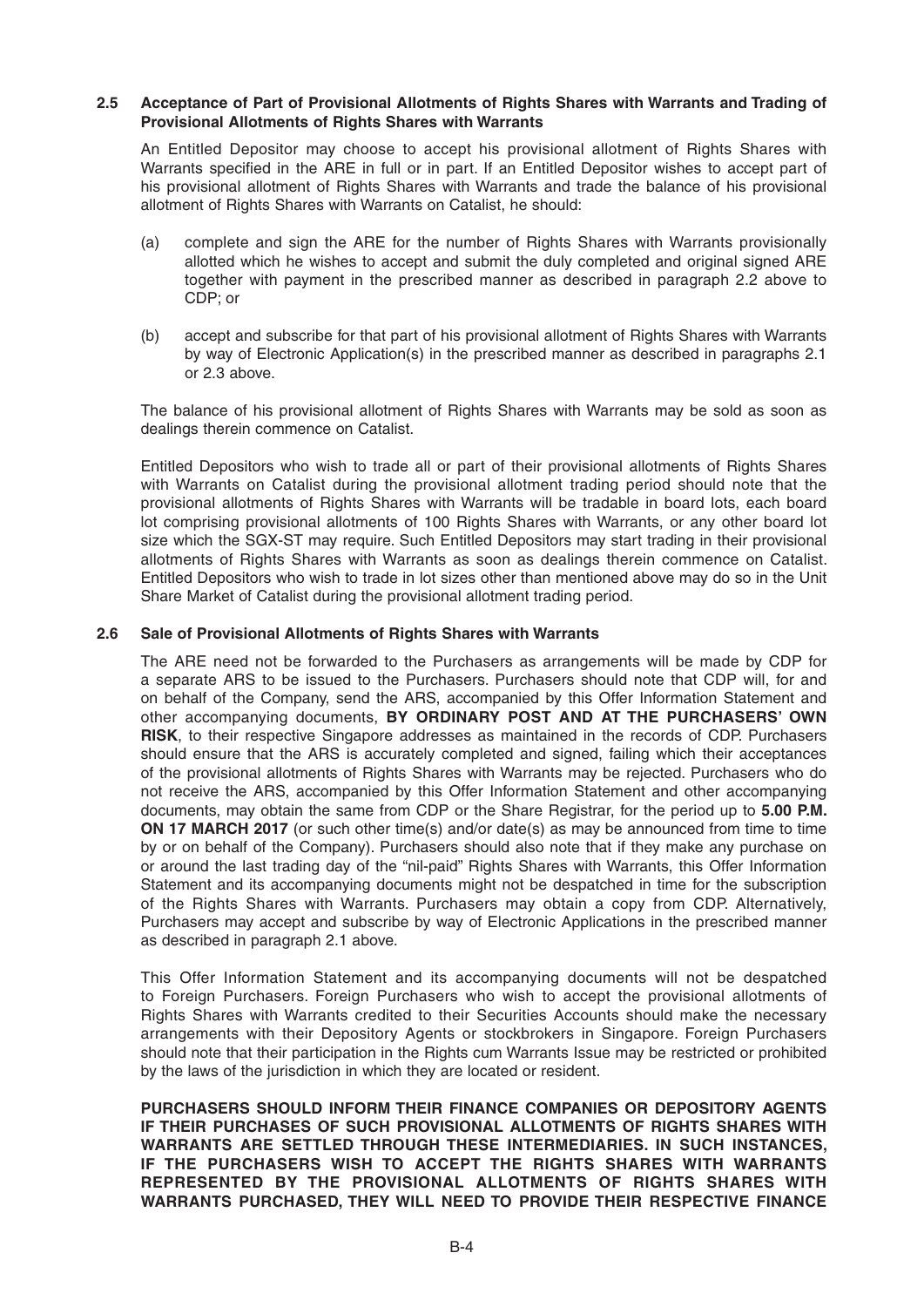#### **2.5 Acceptance of Part of Provisional Allotments of Rights Shares with Warrants and Trading of Provisional Allotments of Rights Shares with Warrants**

 An Entitled Depositor may choose to accept his provisional allotment of Rights Shares with Warrants specified in the ARE in full or in part. If an Entitled Depositor wishes to accept part of his provisional allotment of Rights Shares with Warrants and trade the balance of his provisional allotment of Rights Shares with Warrants on Catalist, he should:

- (a) complete and sign the ARE for the number of Rights Shares with Warrants provisionally allotted which he wishes to accept and submit the duly completed and original signed ARE together with payment in the prescribed manner as described in paragraph 2.2 above to CDP; or
- (b) accept and subscribe for that part of his provisional allotment of Rights Shares with Warrants by way of Electronic Application(s) in the prescribed manner as described in paragraphs 2.1 or 2.3 above.

 The balance of his provisional allotment of Rights Shares with Warrants may be sold as soon as dealings therein commence on Catalist.

 Entitled Depositors who wish to trade all or part of their provisional allotments of Rights Shares with Warrants on Catalist during the provisional allotment trading period should note that the provisional allotments of Rights Shares with Warrants will be tradable in board lots, each board lot comprising provisional allotments of 100 Rights Shares with Warrants, or any other board lot size which the SGX-ST may require. Such Entitled Depositors may start trading in their provisional allotments of Rights Shares with Warrants as soon as dealings therein commence on Catalist. Entitled Depositors who wish to trade in lot sizes other than mentioned above may do so in the Unit Share Market of Catalist during the provisional allotment trading period.

#### **2.6 Sale of Provisional Allotments of Rights Shares with Warrants**

The ARE need not be forwarded to the Purchasers as arrangements will be made by CDP for a separate ARS to be issued to the Purchasers. Purchasers should note that CDP will, for and on behalf of the Company, send the ARS, accompanied by this Offer Information Statement and other accompanying documents, **BY ORDINARY POST AND AT THE PURCHASERS' OWN RISK**, to their respective Singapore addresses as maintained in the records of CDP. Purchasers should ensure that the ARS is accurately completed and signed, failing which their acceptances of the provisional allotments of Rights Shares with Warrants may be rejected. Purchasers who do not receive the ARS, accompanied by this Offer Information Statement and other accompanying documents, may obtain the same from CDP or the Share Registrar, for the period up to **5.00 P.M. ON 17 MARCH 2017** (or such other time(s) and/or date(s) as may be announced from time to time by or on behalf of the Company). Purchasers should also note that if they make any purchase on or around the last trading day of the "nil-paid" Rights Shares with Warrants, this Offer Information Statement and its accompanying documents might not be despatched in time for the subscription of the Rights Shares with Warrants. Purchasers may obtain a copy from CDP. Alternatively, Purchasers may accept and subscribe by way of Electronic Applications in the prescribed manner as described in paragraph 2.1 above.

 This Offer Information Statement and its accompanying documents will not be despatched to Foreign Purchasers. Foreign Purchasers who wish to accept the provisional allotments of Rights Shares with Warrants credited to their Securities Accounts should make the necessary arrangements with their Depository Agents or stockbrokers in Singapore. Foreign Purchasers should note that their participation in the Rights cum Warrants Issue may be restricted or prohibited by the laws of the jurisdiction in which they are located or resident.

 **PURCHASERS SHOULD INFORM THEIR FINANCE COMPANIES OR DEPOSITORY AGENTS IF THEIR PURCHASES OF SUCH PROVISIONAL ALLOTMENTS OF RIGHTS SHARES WITH WARRANTS ARE SETTLED THROUGH THESE INTERMEDIARIES. IN SUCH INSTANCES, IF THE PURCHASERS WISH TO ACCEPT THE RIGHTS SHARES WITH WARRANTS REPRESENTED BY THE PROVISIONAL ALLOTMENTS OF RIGHTS SHARES WITH WARRANTS PURCHASED, THEY WILL NEED TO PROVIDE THEIR RESPECTIVE FINANCE**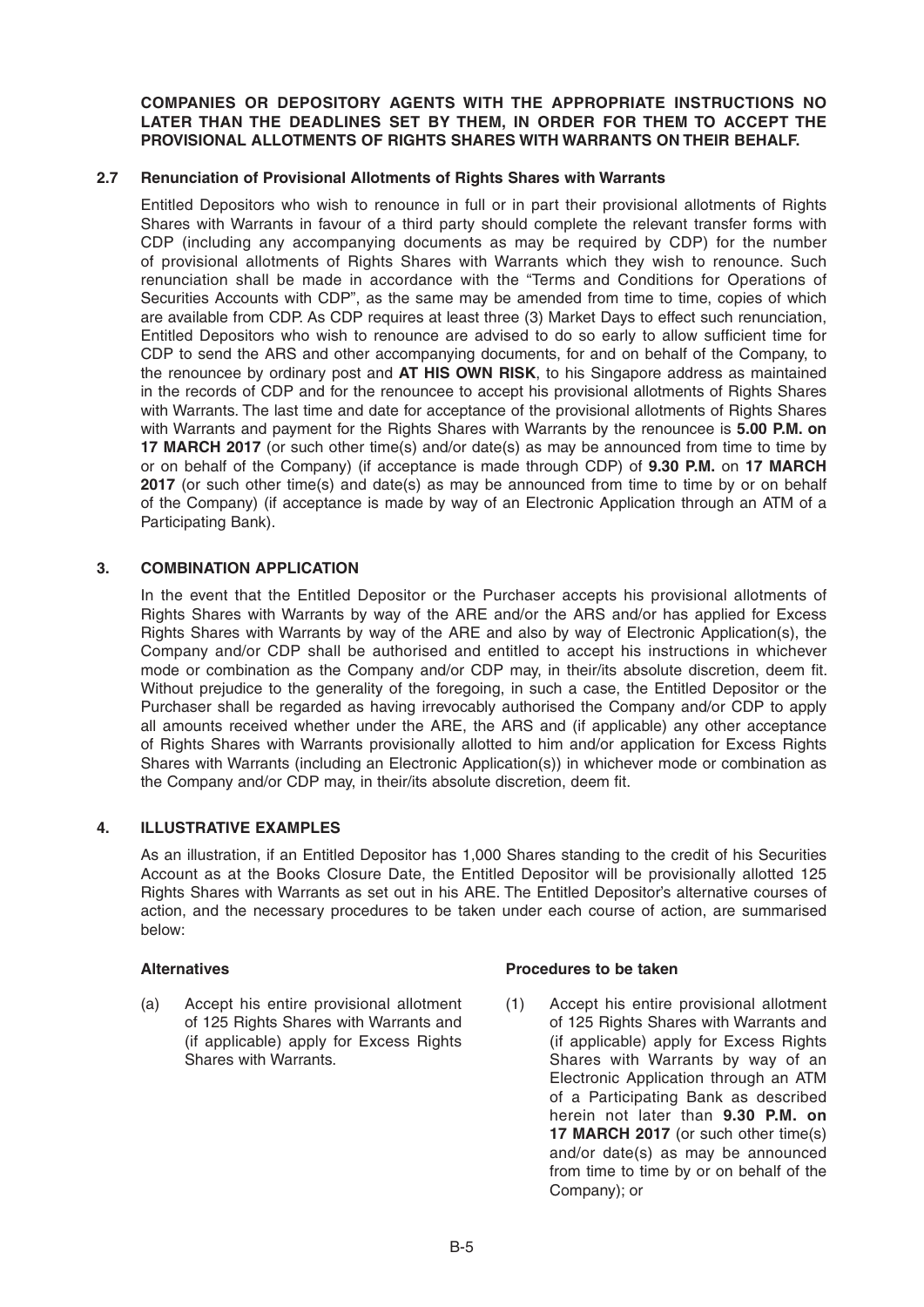**COMPANIES OR DEPOSITORY AGENTS WITH THE APPROPRIATE INSTRUCTIONS NO LATER THAN THE DEADLINES SET BY THEM, IN ORDER FOR THEM TO ACCEPT THE PROVISIONAL ALLOTMENTS OF RIGHTS SHARES WITH WARRANTS ON THEIR BEHALF.**

## **2.7 Renunciation of Provisional Allotments of Rights Shares with Warrants**

Entitled Depositors who wish to renounce in full or in part their provisional allotments of Rights Shares with Warrants in favour of a third party should complete the relevant transfer forms with CDP (including any accompanying documents as may be required by CDP) for the number of provisional allotments of Rights Shares with Warrants which they wish to renounce. Such renunciation shall be made in accordance with the "Terms and Conditions for Operations of Securities Accounts with CDP", as the same may be amended from time to time, copies of which are available from CDP. As CDP requires at least three (3) Market Days to effect such renunciation, Entitled Depositors who wish to renounce are advised to do so early to allow sufficient time for CDP to send the ARS and other accompanying documents, for and on behalf of the Company, to the renouncee by ordinary post and **AT HIS OWN RISK**, to his Singapore address as maintained in the records of CDP and for the renouncee to accept his provisional allotments of Rights Shares with Warrants. The last time and date for acceptance of the provisional allotments of Rights Shares with Warrants and payment for the Rights Shares with Warrants by the renouncee is **5.00 P.M. on 17MARCH 2017** (or such other time(s) and/or date(s) as may be announced from time to time by or on behalf of the Company) (if acceptance is made through CDP) of **9 .30 P.M.** on **17MARCH 2017** (or such other time(s) and date(s) as may be announced from time to time by or on behalf of the Company) (if acceptance is made by way of an Electronic Application through an ATM of a Participating Bank).

## **3. COMBINATION APPLICATION**

 In the event that the Entitled Depositor or the Purchaser accepts his provisional allotments of Rights Shares with Warrants by way of the ARE and/or the ARS and/or has applied for Excess Rights Shares with Warrants by way of the ARE and also by way of Electronic Application(s), the Company and/or CDP shall be authorised and entitled to accept his instructions in whichever mode or combination as the Company and/or CDP may, in their/its absolute discretion, deem fit. Without prejudice to the generality of the foregoing, in such a case, the Entitled Depositor or the Purchaser shall be regarded as having irrevocably authorised the Company and/or CDP to apply all amounts received whether under the ARE, the ARS and (if applicable) any other acceptance of Rights Shares with Warrants provisionally allotted to him and/or application for Excess Rights Shares with Warrants (including an Electronic Application(s)) in whichever mode or combination as the Company and/or CDP may, in their/its absolute discretion, deem fit.

## **4. ILLUSTRATIVE EXAMPLES**

As an illustration, if an Entitled Depositor has 1,000 Shares standing to the credit of his Securities Account as at the Books Closure Date, the Entitled Depositor will be provisionally allotted 125 Rights Shares with Warrants as set out in his ARE. The Entitled Depositor's alternative courses of action, and the necessary procedures to be taken under each course of action, are summarised below:

(a) Accept his entire provisional allotment of 125 Rights Shares with Warrants and (if applicable) apply for Excess Rights Shares with Warrants.

## Alternatives **Alternatives Alternatives Procedures** to be taken

(1) Accept his entire provisional allotment of 125 Rights Shares with Warrants and (if applicable) apply for Excess Rights Shares with Warrants by way of an Electronic Application through an ATM of a Participating Bank as described herein not later than **9.30 P.M. on 17 MARCH 2017** (or such other time(s) and/or date(s) as may be announced from time to time by or on behalf of the Company); or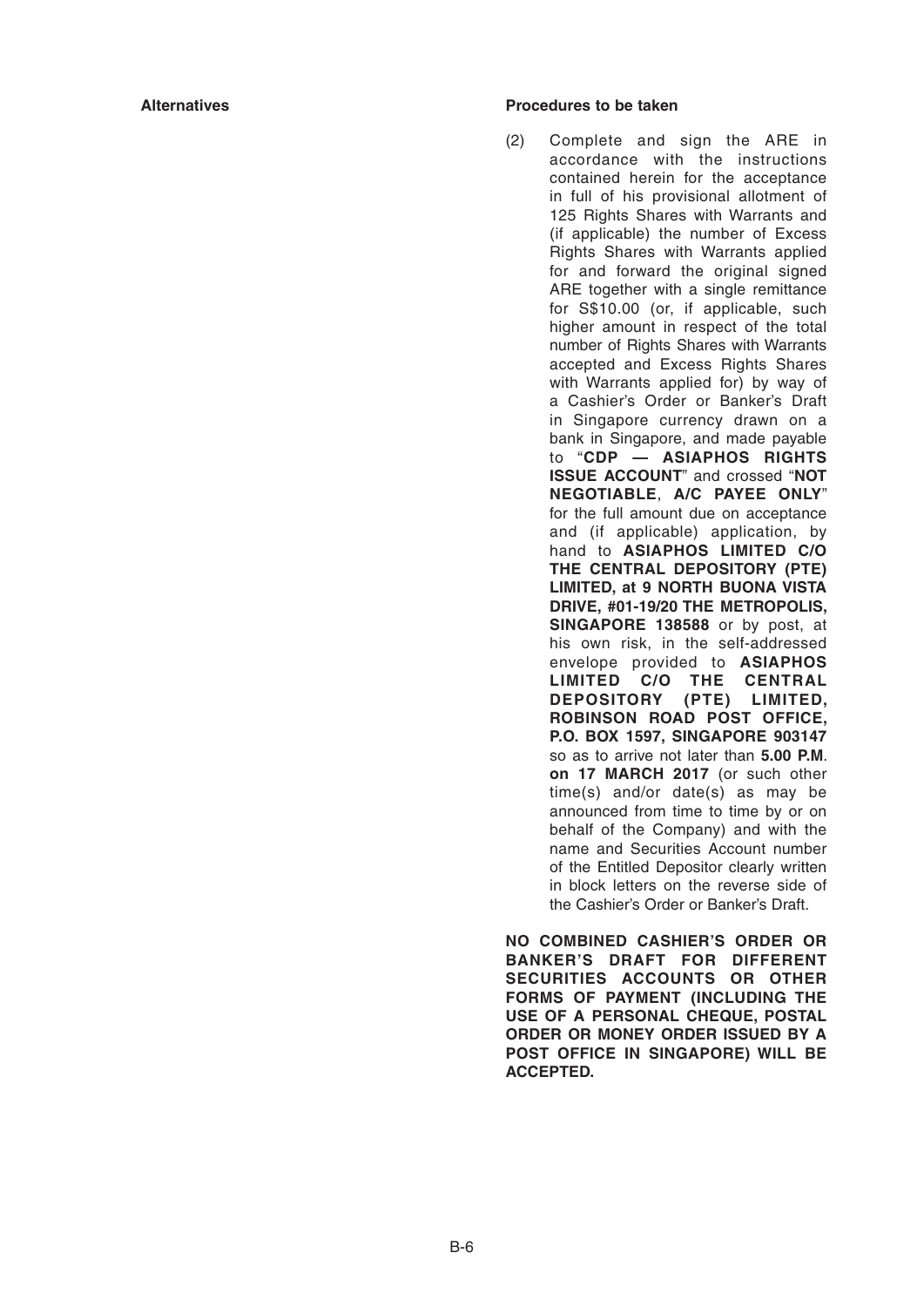### **Alternatives Procedures to be taken**

(2) Complete and sign the ARE in accordance with the instructions contained herein for the acceptance in full of his provisional allotment of 125 Rights Shares with Warrants and (if applicable) the number of Excess Rights Shares with Warrants applied for and forward the original signed ARE together with a single remittance for S\$10.00 (or, if applicable, such higher amount in respect of the total number of Rights Shares with Warrants accepted and Excess Rights Shares with Warrants applied for) by way of a Cashier's Order or Banker's Draft in Singapore currency drawn on a bank in Singapore, and made payable to "**CDP — ASIAPHOS RIGHTS ISSUE ACCOUNT**" and crossed "**NOT NEGOTIABLE**, **A/C PAYEE ONLY**" for the full amount due on acceptance and (if applicable) application, by hand to **ASIAPHOS LIMITED C/O THE CENTRAL DEPOSITORY (PTE) LIMITED, at 9 NORTH BUONA VISTA DRIVE, #01-19/20 THE METROPOLIS, SINGAPORE 138588** or by post, at his own risk, in the self-addressed envelope provided to **ASIAPHOS LIMITED C/O THE CENTRAL DEPOSITORY (PTE) LIMITED, ROBINSON ROAD POST OFFICE, P.O. BOX 1597, SINGAPORE 903147**  so as to arrive not later than **5.00 P.M**. **on 17MARCH 2017** (or such other time(s) and/or date(s) as may be announced from time to time by or on behalf of the Company) and with the name and Securities Account number of the Entitled Depositor clearly written in block letters on the reverse side of the Cashier's Order or Banker's Draft.

**NO COMBINED CASHIER'S ORDER OR BANKER'S DRAFT FOR DIFFERENT SECURITIES ACCOUNTS OR OTHER FORMS OF PAYMENT (INCLUDING THE USE OF A PERSONAL CHEQUE, POSTAL ORDER OR MONEY ORDER ISSUED BY A POST OFFICE IN SINGAPORE) WILL BE ACCEPTED.**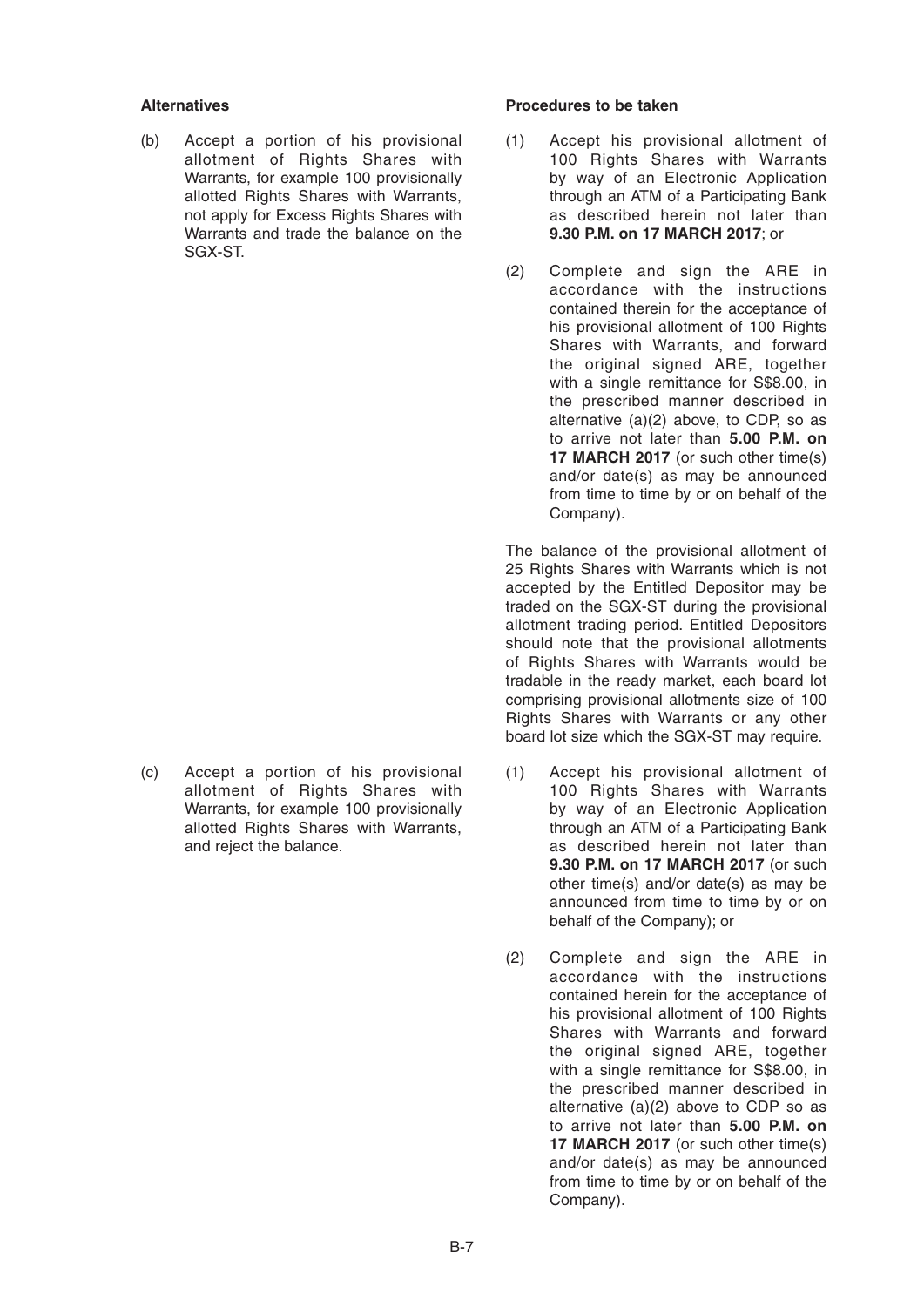(b) Accept a portion of his provisional allotment of Rights Shares with Warrants, for example 100 provisionally allotted Rights Shares with Warrants, not apply for Excess Rights Shares with Warrants and trade the balance on the SGX-ST.

(c) Accept a portion of his provisional allotment of Rights Shares with Warrants, for example 100 provisionally allotted Rights Shares with Warrants, and reject the balance.

## **Alternatives Procedures to be taken**

- (1) Accept his provisional allotment of 100 Rights Shares with Warrants by way of an Electronic Application through an ATM of a Participating Bank as described herein not later than **9.30 P.M. on 17MARCH 2017**; or
- (2) Complete and sign the ARE in accordance with the instructions contained therein for the acceptance of his provisional allotment of 100 Rights Shares with Warrants, and forward the original signed ARE, together with a single remittance for S\$8.00, in the prescribed manner described in alternative (a)(2) above, to CDP, so as to arrive not later than **5.00 P.M. on 17 MARCH 2017** (or such other time(s) and/or date(s) as may be announced from time to time by or on behalf of the Company).

The balance of the provisional allotment of 25 Rights Shares with Warrants which is not accepted by the Entitled Depositor may be traded on the SGX-ST during the provisional allotment trading period. Entitled Depositors should note that the provisional allotments of Rights Shares with Warrants would be tradable in the ready market, each board lot comprising provisional allotments size of 100 Rights Shares with Warrants or any other board lot size which the SGX-ST may require.

- (1) Accept his provisional allotment of 100 Rights Shares with Warrants by way of an Electronic Application through an ATM of a Participating Bank as described herein not later than **9.30 P.M. on 17MARCH 2017** (or such other time(s) and/or date(s) as may be announced from time to time by or on behalf of the Company); or
- (2) Complete and sign the ARE in accordance with the instructions contained herein for the acceptance of his provisional allotment of 100 Rights Shares with Warrants and forward the original signed ARE, together with a single remittance for S\$8.00, in the prescribed manner described in alternative (a)(2) above to CDP so as to arrive not later than **5.00 P.M. on 17 MARCH 2017** (or such other time(s) and/or date(s) as may be announced from time to time by or on behalf of the Company).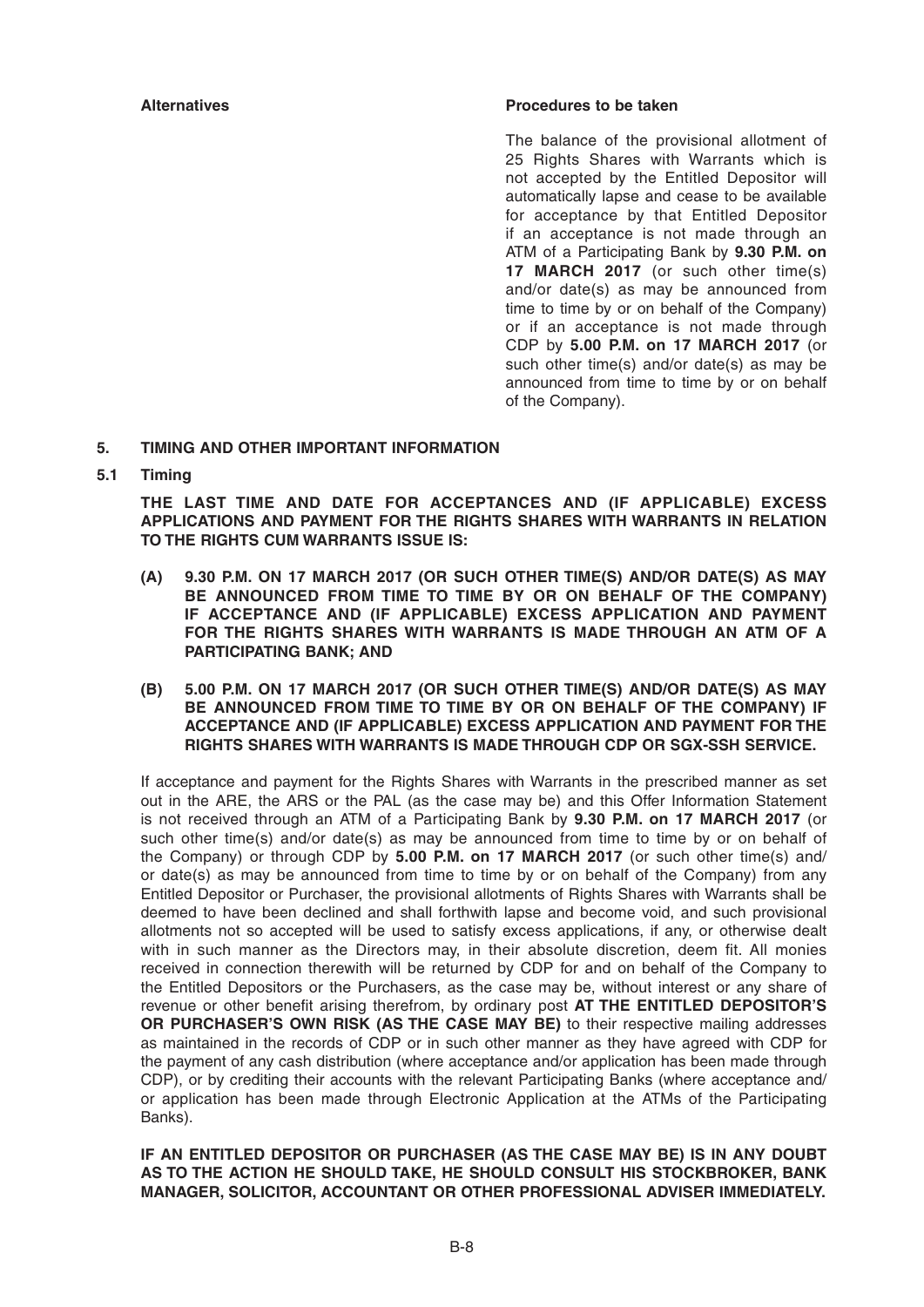## **Alternatives Procedures to be taken**

The balance of the provisional allotment of 25 Rights Shares with Warrants which is not accepted by the Entitled Depositor will automatically lapse and cease to be available for acceptance by that Entitled Depositor if an acceptance is not made through an ATM of a Participating Bank by **9.30 P.M. on 17MARCH 2017** (or such other time(s) and/or date(s) as may be announced from time to time by or on behalf of the Company) or if an acceptance is not made through CDP by **5.00 P.M. on 17MARCH 2017** (or such other time(s) and/or date(s) as may be announced from time to time by or on behalf of the Company).

## **5. TIMING AND OTHER IMPORTANT INFORMATION**

**5.1 Timing**

 **THE LAST TIME AND DATE FOR ACCEPTANCES AND (IF APPLICABLE) EXCESS APPLICATIONS AND PAYMENT FOR THE RIGHTS SHARES WITH WARRANTS IN RELATION TO THE RIGHTS CUM WARRANTS ISSUE IS:**

- **(A) 9.30 P.M. ON 17MARCH 2017 (OR SUCH OTHER TIME(S) AND/OR DATE(S) AS MAY BE ANNOUNCED FROM TIME TO TIME BY OR ON BEHALF OF THE COMPANY) IF ACCEPTANCE AND (IF APPLICABLE) EXCESS APPLICATION AND PAYMENT FOR THE RIGHTS SHARES WITH WARRANTS IS MADE THROUGH AN ATM OF A PARTICIPATING BANK; AND**
- **(B) 5.00 P.M. ON 17MARCH 2017 (OR SUCH OTHER TIME(S) AND/OR DATE(S) AS MAY BE ANNOUNCED FROM TIME TO TIME BY OR ON BEHALF OF THE COMPANY) IF ACCEPTANCE AND (IF APPLICABLE) EXCESS APPLICATION AND PAYMENT FOR THE RIGHTS SHARES WITH WARRANTS IS MADE THROUGH CDP OR SGX-SSH SERVICE.**

If acceptance and payment for the Rights Shares with Warrants in the prescribed manner as set out in the ARE, the ARS or the PAL (as the case may be) and this Offer Information Statement is not received through an ATM of a Participating Bank by 9.30 P.M. on 17 MARCH 2017 (or such other time(s) and/or date(s) as may be announced from time to time by or on behalf of the Company) or through CDP by **5.00 P.M. on 17 MARCH 2017** (or such other time(s) and/ or date(s) as may be announced from time to time by or on behalf of the Company) from any Entitled Depositor or Purchaser, the provisional allotments of Rights Shares with Warrants shall be deemed to have been declined and shall forthwith lapse and become void, and such provisional allotments not so accepted will be used to satisfy excess applications, if any, or otherwise dealt with in such manner as the Directors may, in their absolute discretion, deem fit. All monies received in connection therewith will be returned by CDP for and on behalf of the Company to the Entitled Depositors or the Purchasers, as the case may be, without interest or any share of revenue or other benefit arising therefrom, by ordinary post **AT THE ENTITLED DEPOSITOR'S OR PURCHASER'S OWN RISK (AS THE CASE MAY BE)** to their respective mailing addresses as maintained in the records of CDP or in such other manner as they have agreed with CDP for the payment of any cash distribution (where acceptance and/or application has been made through CDP), or by crediting their accounts with the relevant Participating Banks (where acceptance and/ or application has been made through Electronic Application at the ATMs of the Participating Banks).

 **IF AN ENTITLED DEPOSITOR OR PURCHASER (AS THE CASE MAY BE) IS IN ANY DOUBT AS TO THE ACTION HE SHOULD TAKE, HE SHOULD CONSULT HIS STOCKBROKER, BANK MANAGER, SOLICITOR, ACCOUNTANT OR OTHER PROFESSIONAL ADVISER IMMEDIATELY.**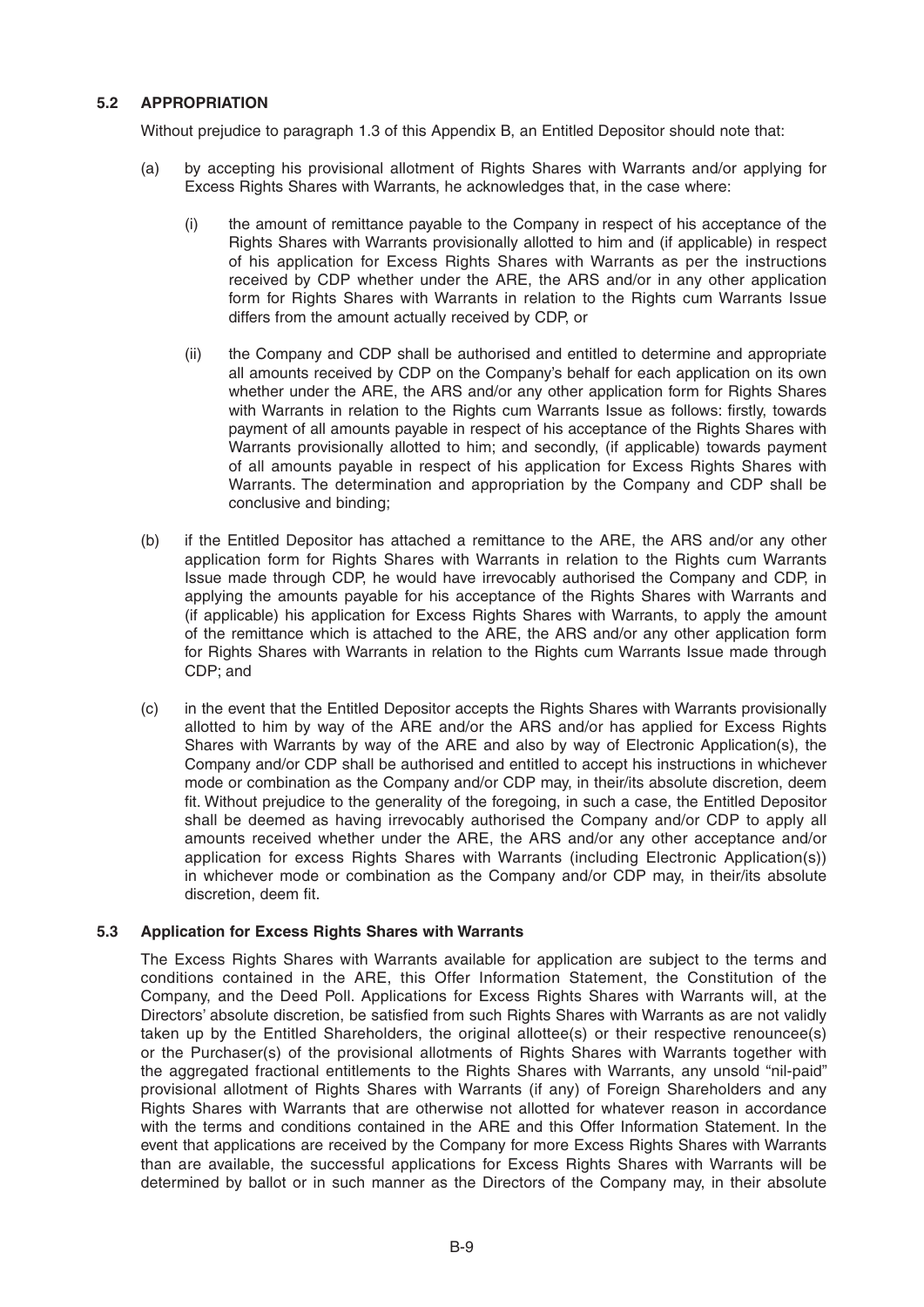## **5.2 APPROPRIATION**

Without prejudice to paragraph 1.3 of this Appendix B, an Entitled Depositor should note that:

- (a) by accepting his provisional allotment of Rights Shares with Warrants and/or applying for Excess Rights Shares with Warrants, he acknowledges that, in the case where:
	- (i) the amount of remittance payable to the Company in respect of his acceptance of the Rights Shares with Warrants provisionally allotted to him and (if applicable) in respect of his application for Excess Rights Shares with Warrants as per the instructions received by CDP whether under the ARE, the ARS and/or in any other application form for Rights Shares with Warrants in relation to the Rights cum Warrants Issue differs from the amount actually received by CDP, or
	- (ii) the Company and CDP shall be authorised and entitled to determine and appropriate all amounts received by CDP on the Company's behalf for each application on its own whether under the ARE, the ARS and/or any other application form for Rights Shares with Warrants in relation to the Rights cum Warrants Issue as follows: firstly, towards payment of all amounts payable in respect of his acceptance of the Rights Shares with Warrants provisionally allotted to him; and secondly, (if applicable) towards payment of all amounts payable in respect of his application for Excess Rights Shares with Warrants. The determination and appropriation by the Company and CDP shall be conclusive and binding;
- (b) if the Entitled Depositor has attached a remittance to the ARE, the ARS and/or any other application form for Rights Shares with Warrants in relation to the Rights cum Warrants Issue made through CDP, he would have irrevocably authorised the Company and CDP, in applying the amounts payable for his acceptance of the Rights Shares with Warrants and (if applicable) his application for Excess Rights Shares with Warrants, to apply the amount of the remittance which is attached to the ARE, the ARS and/or any other application form for Rights Shares with Warrants in relation to the Rights cum Warrants Issue made through CDP; and
- (c) in the event that the Entitled Depositor accepts the Rights Shares with Warrants provisionally allotted to him by way of the ARE and/or the ARS and/or has applied for Excess Rights Shares with Warrants by way of the ARE and also by way of Electronic Application(s), the Company and/or CDP shall be authorised and entitled to accept his instructions in whichever mode or combination as the Company and/or CDP may, in their/its absolute discretion, deem fit. Without prejudice to the generality of the foregoing, in such a case, the Entitled Depositor shall be deemed as having irrevocably authorised the Company and/or CDP to apply all amounts received whether under the ARE, the ARS and/or any other acceptance and/or application for excess Rights Shares with Warrants (including Electronic Application(s)) in whichever mode or combination as the Company and/or CDP may, in their/its absolute discretion, deem fit.

## **5.3 Application for Excess Rights Shares with Warrants**

The Excess Rights Shares with Warrants available for application are subject to the terms and conditions contained in the ARE, this Offer Information Statement, the Constitution of the Company, and the Deed Poll. Applications for Excess Rights Shares with Warrants will, at the Directors' absolute discretion, be satisfied from such Rights Shares with Warrants as are not validly taken up by the Entitled Shareholders, the original allottee(s) or their respective renouncee(s) or the Purchaser(s) of the provisional allotments of Rights Shares with Warrants together with the aggregated fractional entitlements to the Rights Shares with Warrants, any unsold "nil-paid" provisional allotment of Rights Shares with Warrants (if any) of Foreign Shareholders and any Rights Shares with Warrants that are otherwise not allotted for whatever reason in accordance with the terms and conditions contained in the ARE and this Offer Information Statement. In the event that applications are received by the Company for more Excess Rights Shares with Warrants than are available, the successful applications for Excess Rights Shares with Warrants will be determined by ballot or in such manner as the Directors of the Company may, in their absolute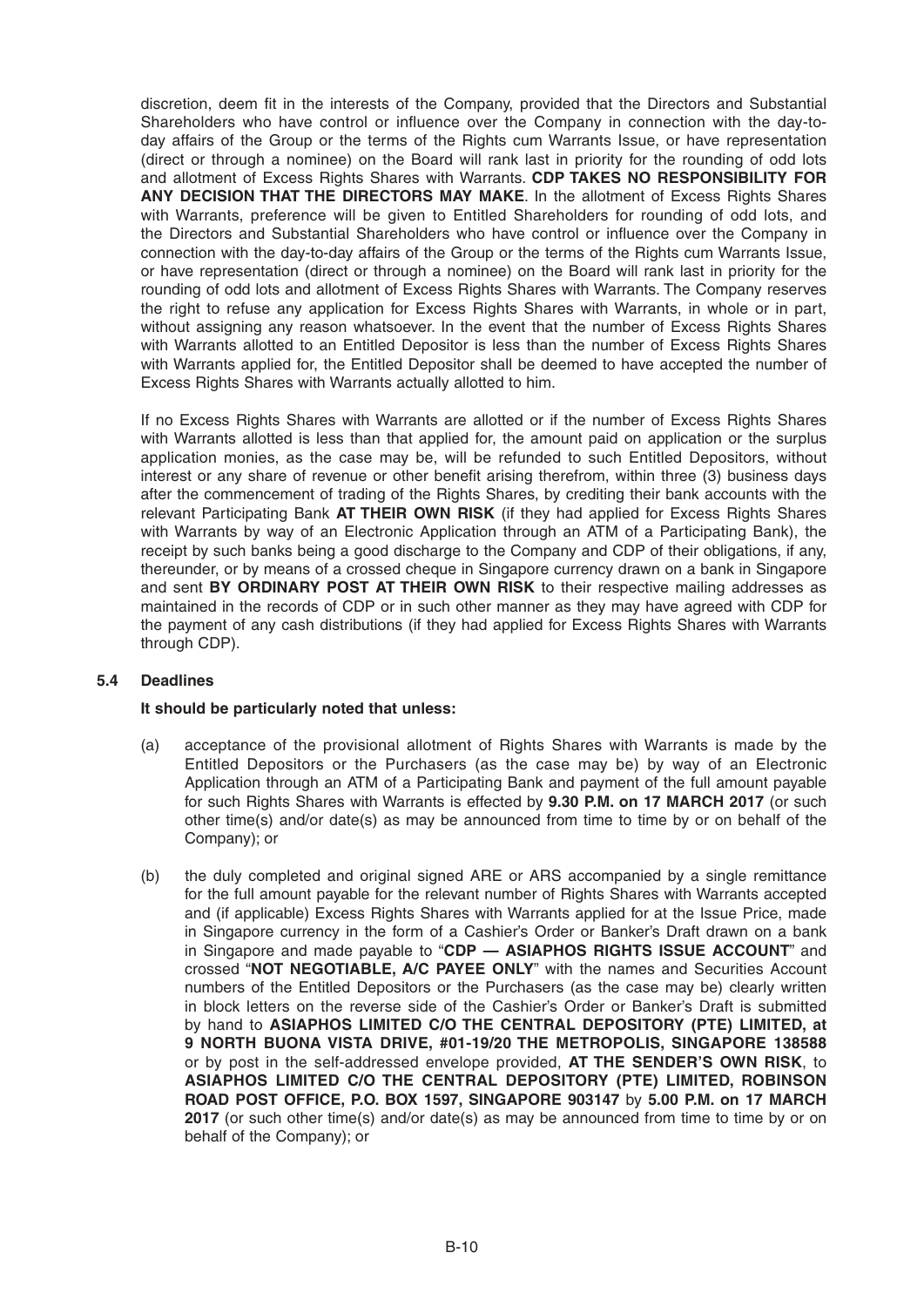discretion, deem fit in the interests of the Company, provided that the Directors and Substantial Shareholders who have control or influence over the Company in connection with the day-today affairs of the Group or the terms of the Rights cum Warrants Issue, or have representation (direct or through a nominee) on the Board will rank last in priority for the rounding of odd lots and allotment of Excess Rights Shares with Warrants. **CDP TAKES NO RESPONSIBILITY FOR ANY DECISION THAT THE DIRECTORS MAY MAKE**. In the allotment of Excess Rights Shares with Warrants, preference will be given to Entitled Shareholders for rounding of odd lots, and the Directors and Substantial Shareholders who have control or influence over the Company in connection with the day-to-day affairs of the Group or the terms of the Rights cum Warrants Issue, or have representation (direct or through a nominee) on the Board will rank last in priority for the rounding of odd lots and allotment of Excess Rights Shares with Warrants. The Company reserves the right to refuse any application for Excess Rights Shares with Warrants, in whole or in part, without assigning any reason whatsoever. In the event that the number of Excess Rights Shares with Warrants allotted to an Entitled Depositor is less than the number of Excess Rights Shares with Warrants applied for, the Entitled Depositor shall be deemed to have accepted the number of Excess Rights Shares with Warrants actually allotted to him.

If no Excess Rights Shares with Warrants are allotted or if the number of Excess Rights Shares with Warrants allotted is less than that applied for, the amount paid on application or the surplus application monies, as the case may be, will be refunded to such Entitled Depositors, without interest or any share of revenue or other benefit arising therefrom, within three (3) business days after the commencement of trading of the Rights Shares, by crediting their bank accounts with the relevant Participating Bank **AT THEIR OWN RISK** (if they had applied for Excess Rights Shares with Warrants by way of an Electronic Application through an ATM of a Participating Bank), the receipt by such banks being a good discharge to the Company and CDP of their obligations, if any, thereunder, or by means of a crossed cheque in Singapore currency drawn on a bank in Singapore and sent **BY ORDINARY POST AT THEIR OWN RISK** to their respective mailing addresses as maintained in the records of CDP or in such other manner as they may have agreed with CDP for the payment of any cash distributions (if they had applied for Excess Rights Shares with Warrants through CDP).

## **5.4 Deadlines**

## **It should be particularly noted that unless:**

- (a) acceptance of the provisional allotment of Rights Shares with Warrants is made by the Entitled Depositors or the Purchasers (as the case may be) by way of an Electronic Application through an ATM of a Participating Bank and payment of the full amount payable for such Rights Shares with Warrants is effected by **9.30 P.M. on 17MARCH 2017** (or such other time(s) and/or date(s) as may be announced from time to time by or on behalf of the Company); or
- (b) the duly completed and original signed ARE or ARS accompanied by a single remittance for the full amount payable for the relevant number of Rights Shares with Warrants accepted and (if applicable) Excess Rights Shares with Warrants applied for at the Issue Price, made in Singapore currency in the form of a Cashier's Order or Banker's Draft drawn on a bank in Singapore and made payable to "**CDP — ASIAPHOS RIGHTS ISSUE ACCOUNT**" and crossed "**NOT NEGOTIABLE, A/C PAYEE ONLY**" with the names and Securities Account numbers of the Entitled Depositors or the Purchasers (as the case may be) clearly written in block letters on the reverse side of the Cashier's Order or Banker's Draft is submitted by hand to **ASIAPHOS LIMITED C/O THE CENTRAL DEPOSITORY (PTE) LIMITED, at 9 NORTH BUONA VISTA DRIVE, #01-19/20 THE METROPOLIS, SINGAPORE 138588** or by post in the self-addressed envelope provided, **AT THE SENDER'S OWN RISK**, to **ASIAPHOS LIMITED C/O THE CENTRAL DEPOSITORY (PTE) LIMITED, ROBINSON ROAD POST OFFICE, P.O. BOX 1597, SINGAPORE 903147 by 5.00 P.M. on 17 MARCH 2017** (or such other time(s) and/or date(s) as may be announced from time to time by or on behalf of the Company); or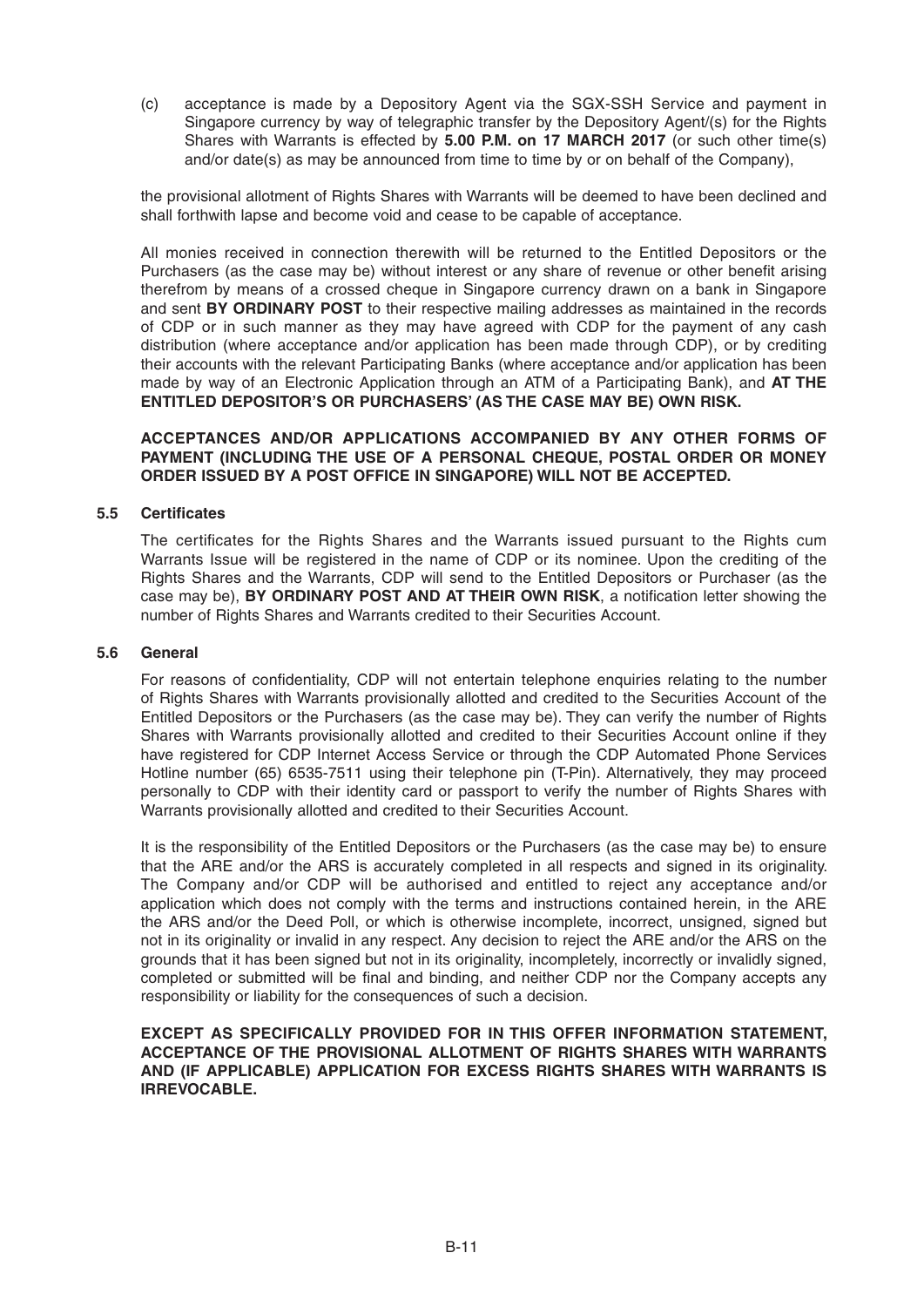(c) acceptance is made by a Depository Agent via the SGX-SSH Service and payment in Singapore currency by way of telegraphic transfer by the Depository Agent/(s) for the Rights Shares with Warrants is effected by **5.00 P.M. on 17MARCH 2017** (or such other time(s) and/or date(s) as may be announced from time to time by or on behalf of the Company),

 the provisional allotment of Rights Shares with Warrants will be deemed to have been declined and shall forthwith lapse and become void and cease to be capable of acceptance.

All monies received in connection therewith will be returned to the Entitled Depositors or the Purchasers (as the case may be) without interest or any share of revenue or other benefit arising therefrom by means of a crossed cheque in Singapore currency drawn on a bank in Singapore and sent **BY ORDINARY POST** to their respective mailing addresses as maintained in the records of CDP or in such manner as they may have agreed with CDP for the payment of any cash distribution (where acceptance and/or application has been made through CDP), or by crediting their accounts with the relevant Participating Banks (where acceptance and/or application has been made by way of an Electronic Application through an ATM of a Participating Bank), and **AT THE ENTITLED DEPOSITOR'S OR PURCHASERS' (AS THE CASE MAY BE) OWN RISK.** 

## **ACCEPTANCES AND/OR APPLICATIONS ACCOMPANIED BY ANY OTHER FORMS OF PAYMENT (INCLUDING THE USE OF A PERSONAL CHEQUE, POSTAL ORDER OR MONEY ORDER ISSUED BY A POST OFFICE IN SINGAPORE) WILL NOT BE ACCEPTED.**

## **5.5 Certifi cates**

The certificates for the Rights Shares and the Warrants issued pursuant to the Rights cum Warrants Issue will be registered in the name of CDP or its nominee. Upon the crediting of the Rights Shares and the Warrants, CDP will send to the Entitled Depositors or Purchaser (as the case may be), **BY ORDINARY POST AND AT THEIR OWN RISK**, a notification letter showing the number of Rights Shares and Warrants credited to their Securities Account.

## **5.6 General**

For reasons of confidentiality, CDP will not entertain telephone enquiries relating to the number of Rights Shares with Warrants provisionally allotted and credited to the Securities Account of the Entitled Depositors or the Purchasers (as the case may be). They can verify the number of Rights Shares with Warrants provisionally allotted and credited to their Securities Account online if they have registered for CDP Internet Access Service or through the CDP Automated Phone Services Hotline number (65) 6535-7511 using their telephone pin (T-Pin). Alternatively, they may proceed personally to CDP with their identity card or passport to verify the number of Rights Shares with Warrants provisionally allotted and credited to their Securities Account.

 It is the responsibility of the Entitled Depositors or the Purchasers (as the case may be) to ensure that the ARE and/or the ARS is accurately completed in all respects and signed in its originality. The Company and/or CDP will be authorised and entitled to reject any acceptance and/or application which does not comply with the terms and instructions contained herein, in the ARE the ARS and/or the Deed Poll, or which is otherwise incomplete, incorrect, unsigned, signed but not in its originality or invalid in any respect. Any decision to reject the ARE and/or the ARS on the grounds that it has been signed but not in its originality, incompletely, incorrectly or invalidly signed, completed or submitted will be final and binding, and neither CDP nor the Company accepts any responsibility or liability for the consequences of such a decision.

## **EXCEPT AS SPECIFICALLY PROVIDED FOR IN THIS OFFER INFORMATION STATEMENT, ACCEPTANCE OF THE PROVISIONAL ALLOTMENT OF RIGHTS SHARES WITH WARRANTS AND (IF APPLICABLE) APPLICATION FOR EXCESS RIGHTS SHARES WITH WARRANTS IS IRREVOCABLE.**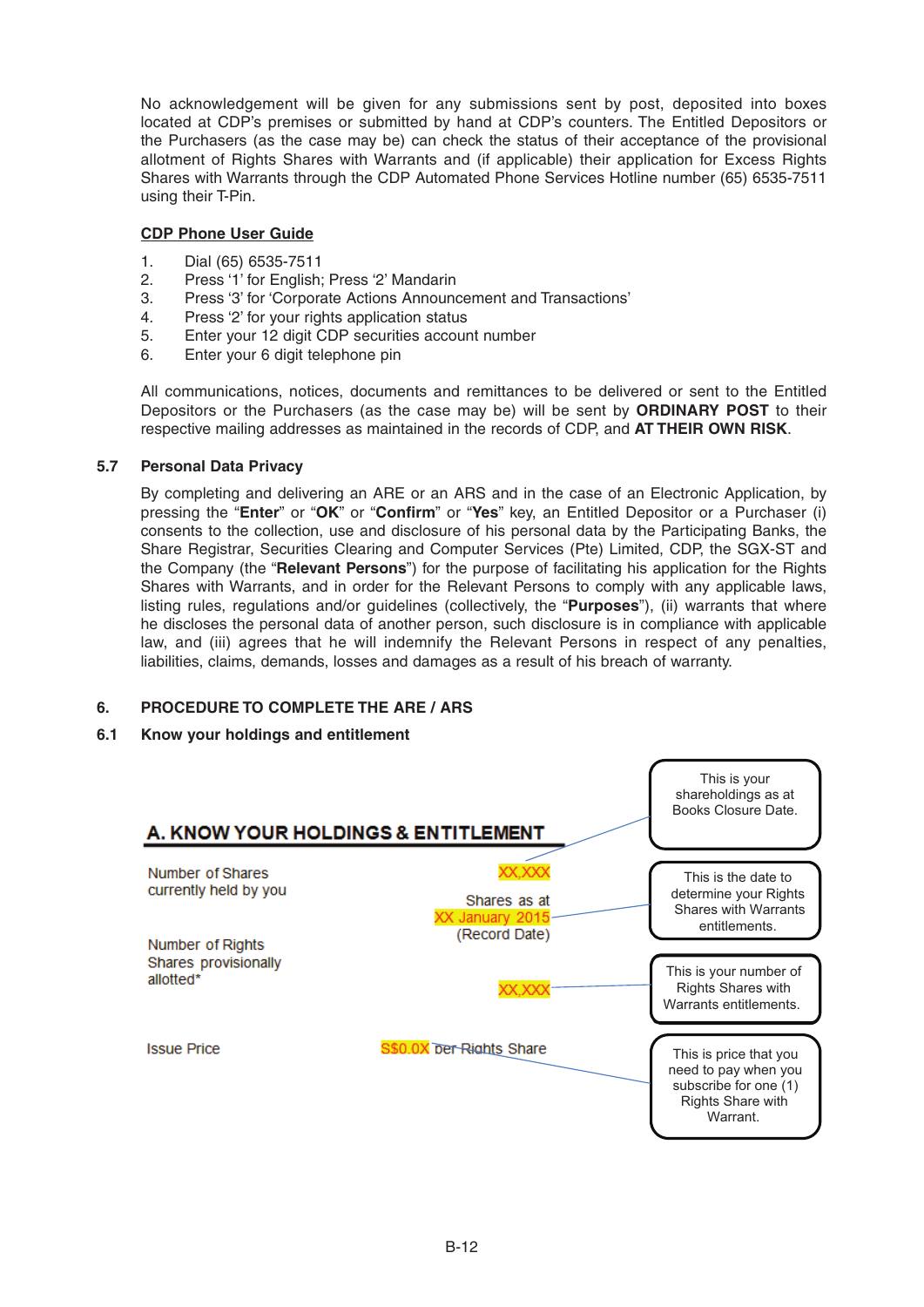No acknowledgement will be given for any submissions sent by post, deposited into boxes located at CDP's premises or submitted by hand at CDP's counters. The Entitled Depositors or the Purchasers (as the case may be) can check the status of their acceptance of the provisional allotment of Rights Shares with Warrants and (if applicable) their application for Excess Rights Shares with Warrants through the CDP Automated Phone Services Hotline number (65) 6535-7511 using their T-Pin.

## **CDP Phone User Guide**

- 1. Dial (65) 6535-7511
- 2. Press '1' for English; Press '2' Mandarin
- 3. Press '3' for 'Corporate Actions Announcement and Transactions'
- 4. Press '2' for your rights application status
- 5. Enter your 12 digit CDP securities account number
- 6. Enter your 6 digit telephone pin

 All communications, notices, documents and remittances to be delivered or sent to the Entitled Depositors or the Purchasers (as the case may be) will be sent by **ORDINARY POST** to their respective mailing addresses as maintained in the records of CDP, and **AT THEIR OWN RISK**.

## **5.7 Personal Data Privacy**

 By completing and delivering an ARE or an ARS and in the case of an Electronic Application, by pressing the "**Enter**" or "OK" or "Confirm" or "Yes" key, an Entitled Depositor or a Purchaser (i) consents to the collection, use and disclosure of his personal data by the Participating Banks, the Share Registrar, Securities Clearing and Computer Services (Pte) Limited, CDP, the SGX-ST and the Company (the "**Relevant Persons**") for the purpose of facilitating his application for the Rights Shares with Warrants, and in order for the Relevant Persons to comply with any applicable laws, listing rules, regulations and/or guidelines (collectively, the "**Purposes**"), (ii) warrants that where he discloses the personal data of another person, such disclosure is in compliance with applicable law, and (iii) agrees that he will indemnify the Relevant Persons in respect of any penalties, liabilities, claims, demands, losses and damages as a result of his breach of warranty.

## **6. PROCEDURE TO COMPLETE THE ARE / ARS**

## **6.1 Know your holdings and entitlement**

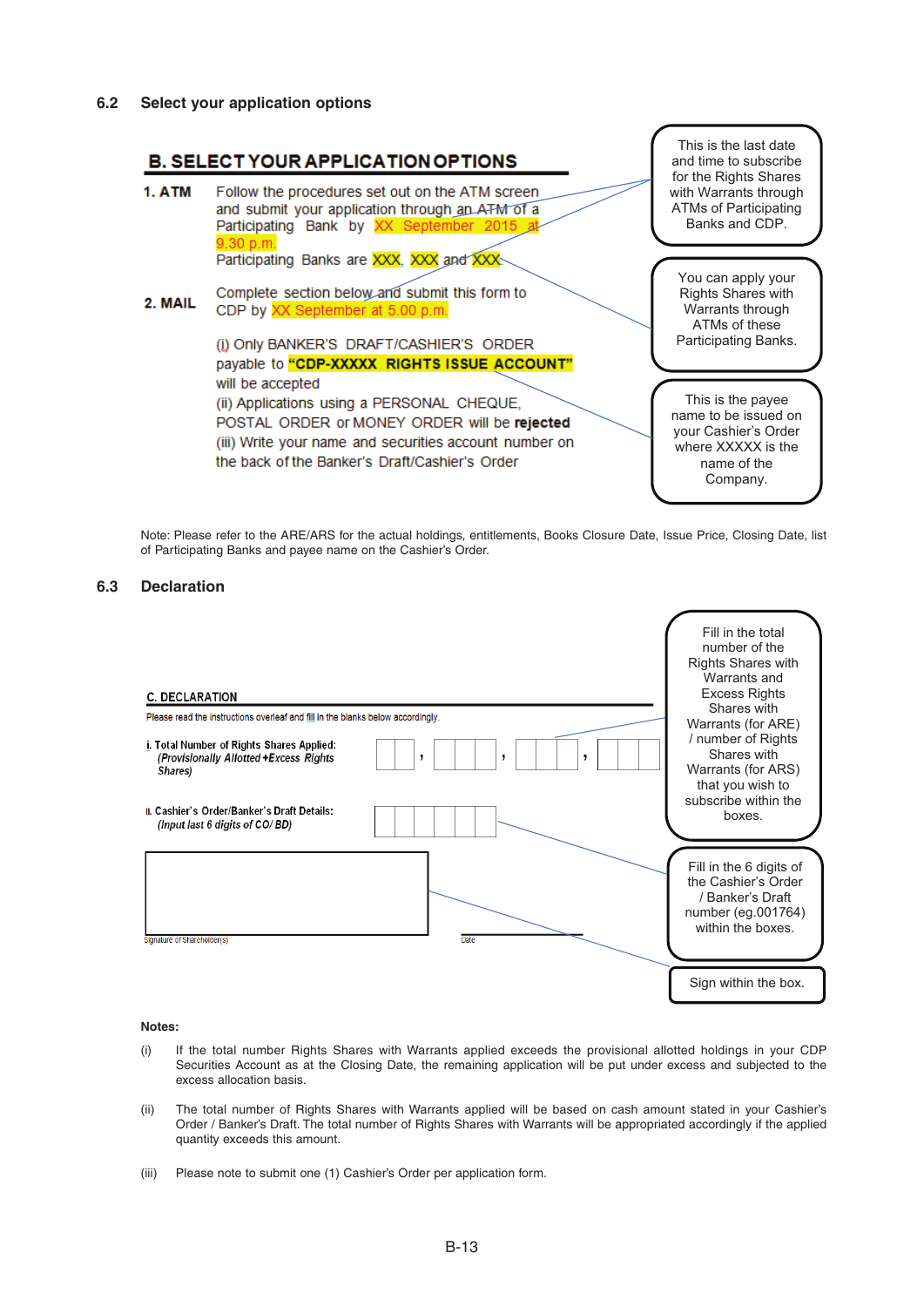

 Note: Please refer to the ARE/ARS for the actual holdings, entitlements, Books Closure Date, Issue Price, Closing Date, list of Participating Banks and payee name on the Cashier's Order.

## **6.3 Declaration**



### **Notes:**

- (i) If the total number Rights Shares with Warrants applied exceeds the provisional allotted holdings in your CDP Securities Account as at the Closing Date, the remaining application will be put under excess and subjected to the excess allocation basis.
- (ii) The total number of Rights Shares with Warrants applied will be based on cash amount stated in your Cashier's Order / Banker's Draft. The total number of Rights Shares with Warrants will be appropriated accordingly if the applied quantity exceeds this amount.
- (iii) Please note to submit one (1) Cashier's Order per application form.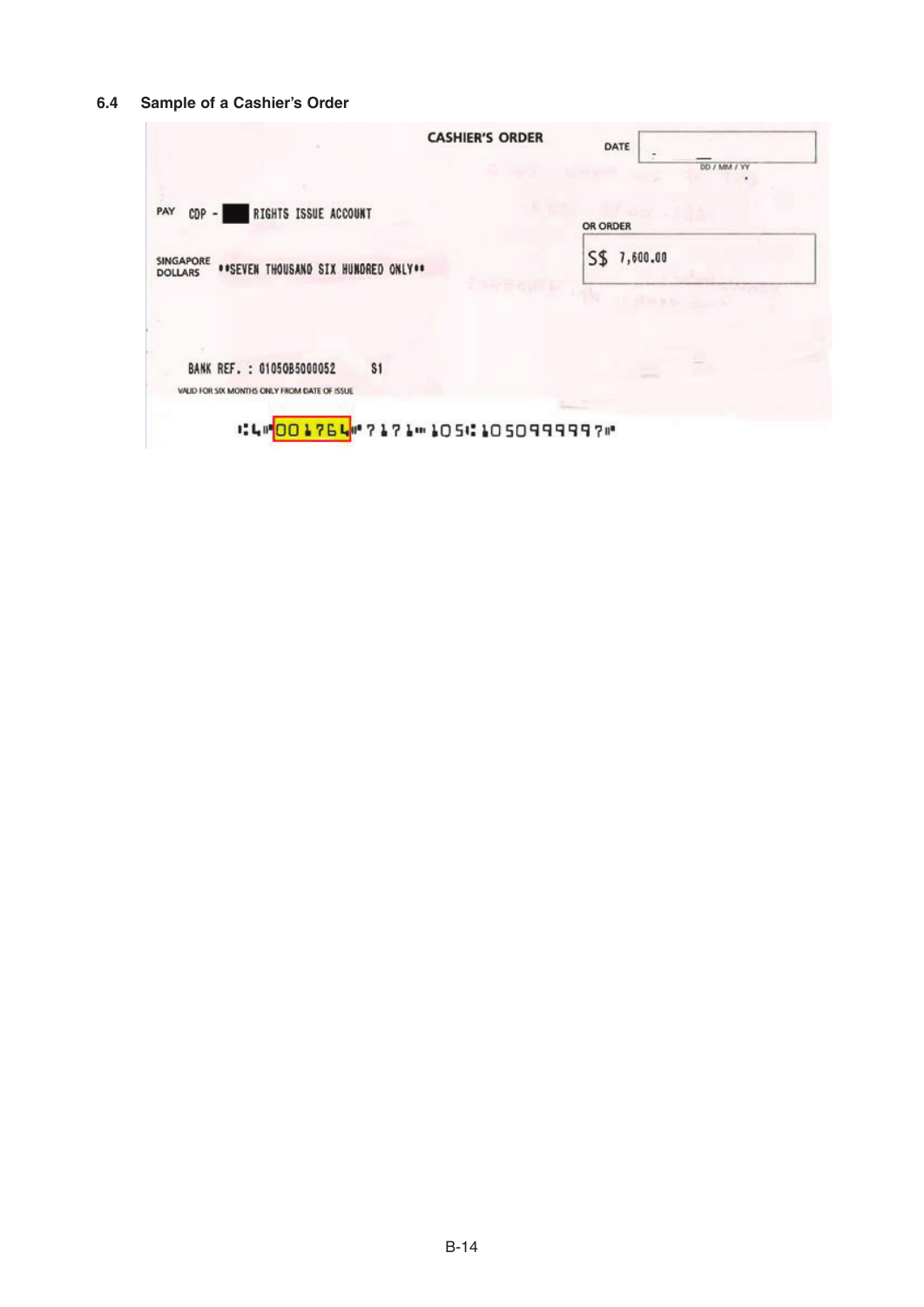## **6.4 Sample of a Cashier's Order**

| <b>CASHIER'S ORDER</b>                                                           | DATE<br>DD / MM / YY              |
|----------------------------------------------------------------------------------|-----------------------------------|
| PAY<br>RIGHTS ISSUE ACCOUNT<br>$CDP - 1$                                         | OR ORDER                          |
| SINGAPORE<br>**SEVEN THOUSAND SIX HUNDRED ONLY**<br><b>DOLLARS</b>               | S\$<br>7,600.00                   |
|                                                                                  | <b>STACK OF PERSONAL PROPERTY</b> |
| \$1<br>BANK REF. : 01050B5000052<br>VALID FOR SIX MONTHS ONLY FROM DATE OF ISSUE |                                   |
| :40017640717105:10509999970                                                      |                                   |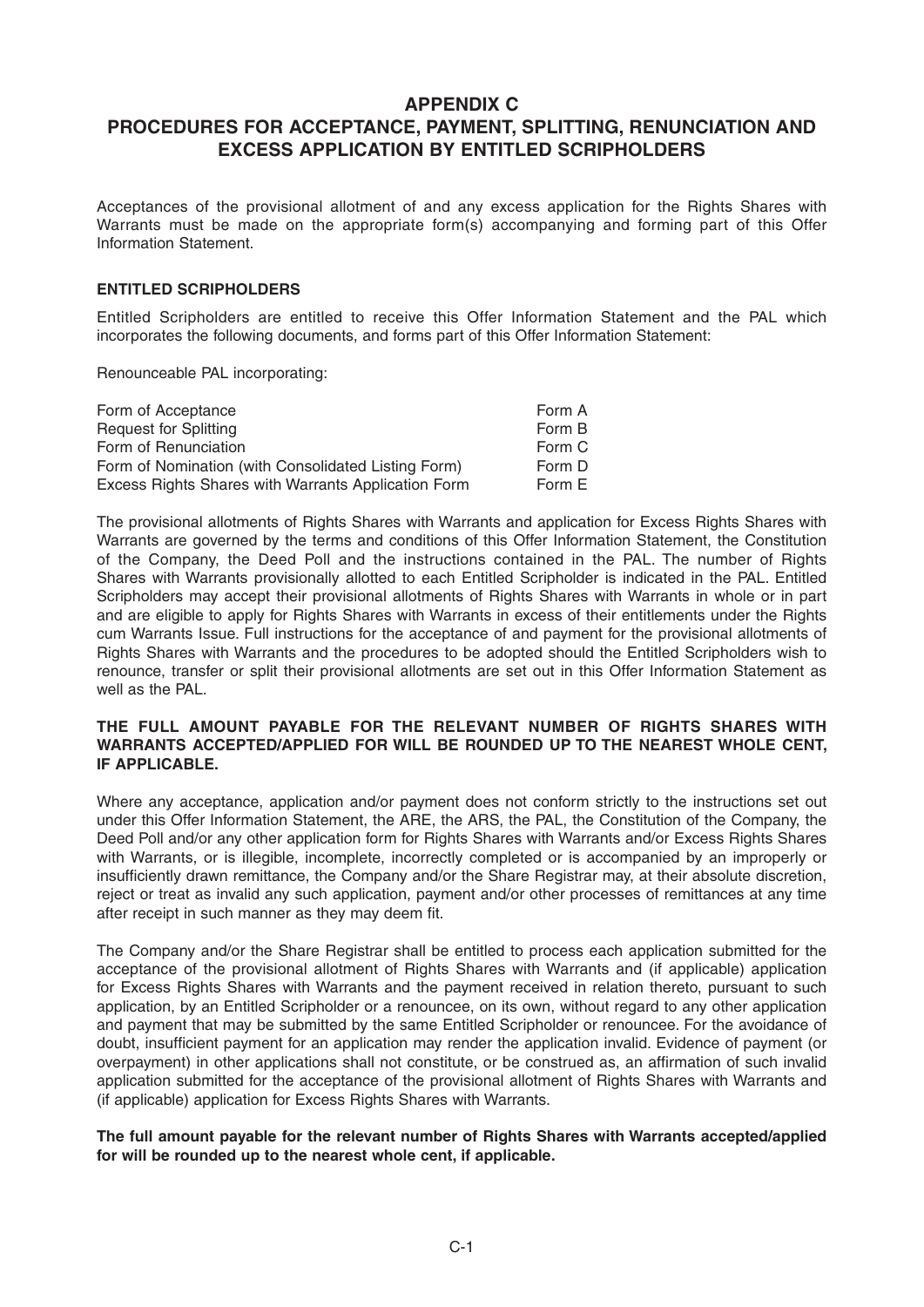## **APPENDIX C**

# **PROCEDURES FOR ACCEPTANCE, PAYMENT, SPLITTING, RENUNCIATION AND EXCESS APPLICATION BY ENTITLED SCRIPHOLDERS**

Acceptances of the provisional allotment of and any excess application for the Rights Shares with Warrants must be made on the appropriate form(s) accompanying and forming part of this Offer Information Statement.

## **ENTITLED SCRIPHOLDERS**

Entitled Scripholders are entitled to receive this Offer Information Statement and the PAL which incorporates the following documents, and forms part of this Offer Information Statement:

Renounceable PAL incorporating:

| Form of Acceptance                                  | Form A |
|-----------------------------------------------------|--------|
| <b>Request for Splitting</b>                        | Form B |
| Form of Renunciation                                | Form C |
| Form of Nomination (with Consolidated Listing Form) | Form D |
| Excess Rights Shares with Warrants Application Form | Form E |

The provisional allotments of Rights Shares with Warrants and application for Excess Rights Shares with Warrants are governed by the terms and conditions of this Offer Information Statement, the Constitution of the Company, the Deed Poll and the instructions contained in the PAL. The number of Rights Shares with Warrants provisionally allotted to each Entitled Scripholder is indicated in the PAL. Entitled Scripholders may accept their provisional allotments of Rights Shares with Warrants in whole or in part and are eligible to apply for Rights Shares with Warrants in excess of their entitlements under the Rights cum Warrants Issue. Full instructions for the acceptance of and payment for the provisional allotments of Rights Shares with Warrants and the procedures to be adopted should the Entitled Scripholders wish to renounce, transfer or split their provisional allotments are set out in this Offer Information Statement as well as the PAL.

## **THE FULL AMOUNT PAYABLE FOR THE RELEVANT NUMBER OF RIGHTS SHARES WITH WARRANTS ACCEPTED/APPLIED FOR WILL BE ROUNDED UP TO THE NEAREST WHOLE CENT, IF APPLICABLE.**

Where any acceptance, application and/or payment does not conform strictly to the instructions set out under this Offer Information Statement, the ARE, the ARS, the PAL, the Constitution of the Company, the Deed Poll and/or any other application form for Rights Shares with Warrants and/or Excess Rights Shares with Warrants, or is illegible, incomplete, incorrectly completed or is accompanied by an improperly or insufficiently drawn remittance, the Company and/or the Share Registrar may, at their absolute discretion, reject or treat as invalid any such application, payment and/or other processes of remittances at any time after receipt in such manner as they may deem fit.

The Company and/or the Share Registrar shall be entitled to process each application submitted for the acceptance of the provisional allotment of Rights Shares with Warrants and (if applicable) application for Excess Rights Shares with Warrants and the payment received in relation thereto, pursuant to such application, by an Entitled Scripholder or a renouncee, on its own, without regard to any other application and payment that may be submitted by the same Entitled Scripholder or renouncee. For the avoidance of doubt, insufficient payment for an application may render the application invalid. Evidence of payment (or overpayment) in other applications shall not constitute, or be construed as, an affirmation of such invalid application submitted for the acceptance of the provisional allotment of Rights Shares with Warrants and (if applicable) application for Excess Rights Shares with Warrants.

## **The full amount payable for the relevant number of Rights Shares with Warrants accepted/applied for will be rounded up to the nearest whole cent, if applicable.**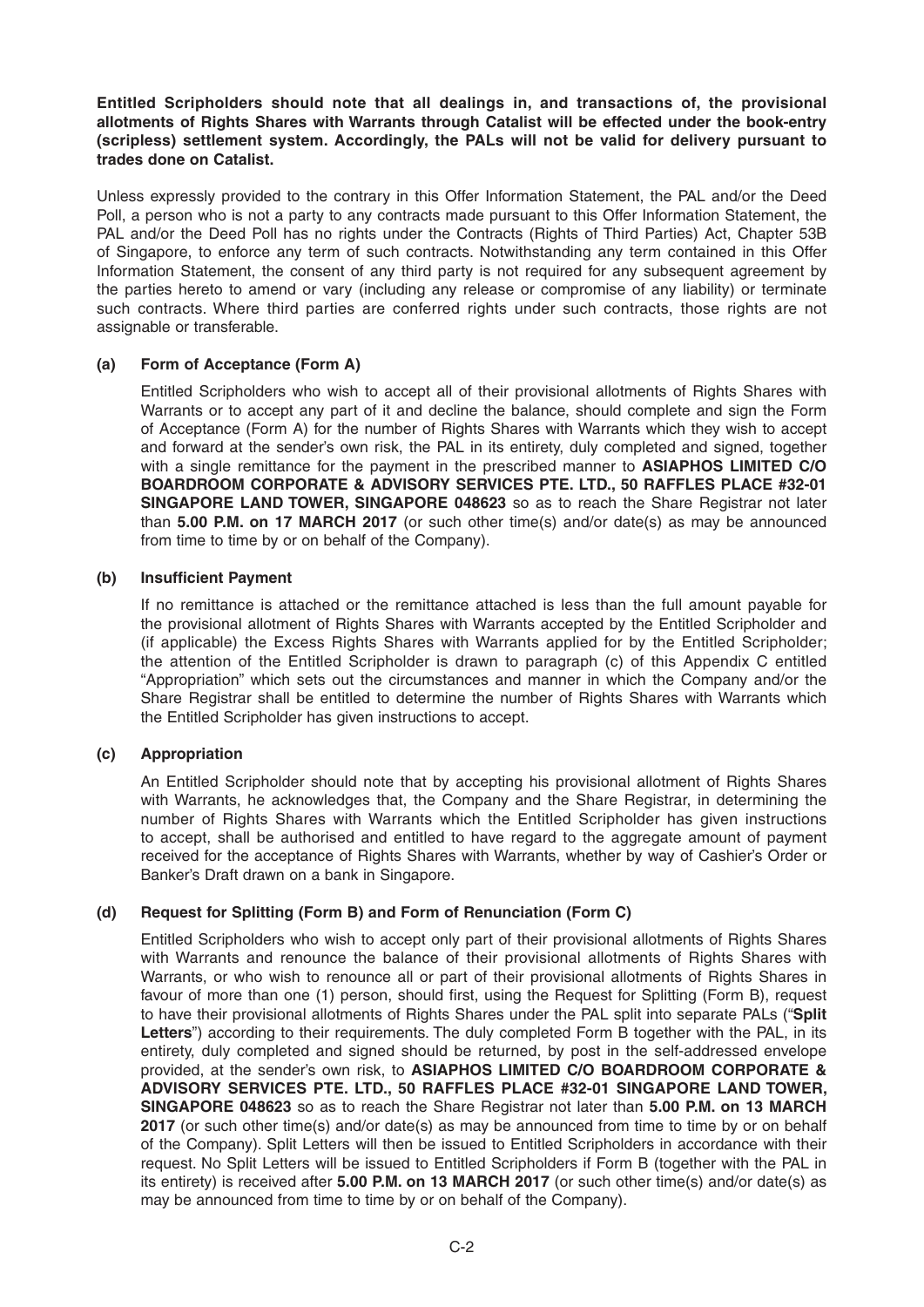## **Entitled Scripholders should note that all dealings in, and transactions of, the provisional allotments of Rights Shares with Warrants through Catalist will be effected under the book-entry (scripless) settlement system. Accordingly, the PALs will not be valid for delivery pursuant to trades done on Catalist.**

Unless expressly provided to the contrary in this Offer Information Statement, the PAL and/or the Deed Poll, a person who is not a party to any contracts made pursuant to this Offer Information Statement, the PAL and/or the Deed Poll has no rights under the Contracts (Rights of Third Parties) Act, Chapter 53B of Singapore, to enforce any term of such contracts. Notwithstanding any term contained in this Offer Information Statement, the consent of any third party is not required for any subsequent agreement by the parties hereto to amend or vary (including any release or compromise of any liability) or terminate such contracts. Where third parties are conferred rights under such contracts, those rights are not assignable or transferable.

## **(a) Form of Acceptance (Form A)**

Entitled Scripholders who wish to accept all of their provisional allotments of Rights Shares with Warrants or to accept any part of it and decline the balance, should complete and sign the Form of Acceptance (Form A) for the number of Rights Shares with Warrants which they wish to accept and forward at the sender's own risk, the PAL in its entirety, duly completed and signed, together with a single remittance for the payment in the prescribed manner to **ASIAPHOS LIMITED C/O BOARDROOM CORPORATE & ADVISORY SERVICES PTE. LTD., 50 RAFFLES PLACE #32-01 SINGAPORE LAND TOWER, SINGAPORE 048623** so as to reach the Share Registrar not later than **5.00 P.M. on 17MARCH 2017** (or such other time(s) and/or date(s) as may be announced from time to time by or on behalf of the Company).

## **(b)** Insufficient Payment

 If no remittance is attached or the remittance attached is less than the full amount payable for the provisional allotment of Rights Shares with Warrants accepted by the Entitled Scripholder and (if applicable) the Excess Rights Shares with Warrants applied for by the Entitled Scripholder; the attention of the Entitled Scripholder is drawn to paragraph (c) of this Appendix C entitled "Appropriation" which sets out the circumstances and manner in which the Company and/or the Share Registrar shall be entitled to determine the number of Rights Shares with Warrants which the Entitled Scripholder has given instructions to accept.

## **(c) Appropriation**

An Entitled Scripholder should note that by accepting his provisional allotment of Rights Shares with Warrants, he acknowledges that, the Company and the Share Registrar, in determining the number of Rights Shares with Warrants which the Entitled Scripholder has given instructions to accept, shall be authorised and entitled to have regard to the aggregate amount of payment received for the acceptance of Rights Shares with Warrants, whether by way of Cashier's Order or Banker's Draft drawn on a bank in Singapore.

## **(d) Request for Splitting (Form B) and Form of Renunciation (Form C)**

Entitled Scripholders who wish to accept only part of their provisional allotments of Rights Shares with Warrants and renounce the balance of their provisional allotments of Rights Shares with Warrants, or who wish to renounce all or part of their provisional allotments of Rights Shares in favour of more than one (1) person, should first, using the Request for Splitting (Form B), request to have their provisional allotments of Rights Shares under the PAL split into separate PALs ("**Split Letters**") according to their requirements. The duly completed Form B together with the PAL, in its entirety, duly completed and signed should be returned, by post in the self-addressed envelope provided, at the sender's own risk, to **ASIAPHOS LIMITED C/O BOARDROOM CORPORATE & ADVISORY SERVICES PTE. LTD., 50 RAFFLES PLACE #32-01 SINGAPORE LAND TOWER, SINGAPORE 048623** so as to reach the Share Registrar not later than 5.00 P.M. on 13 MARCH **2017** (or such other time(s) and/or date(s) as may be announced from time to time by or on behalf of the Company). Split Letters will then be issued to Entitled Scripholders in accordance with their request. No Split Letters will be issued to Entitled Scripholders if Form B (together with the PAL in its entirety) is received after **5.00 P.M. on 13 MARCH 2017** (or such other time(s) and/or date(s) as may be announced from time to time by or on behalf of the Company).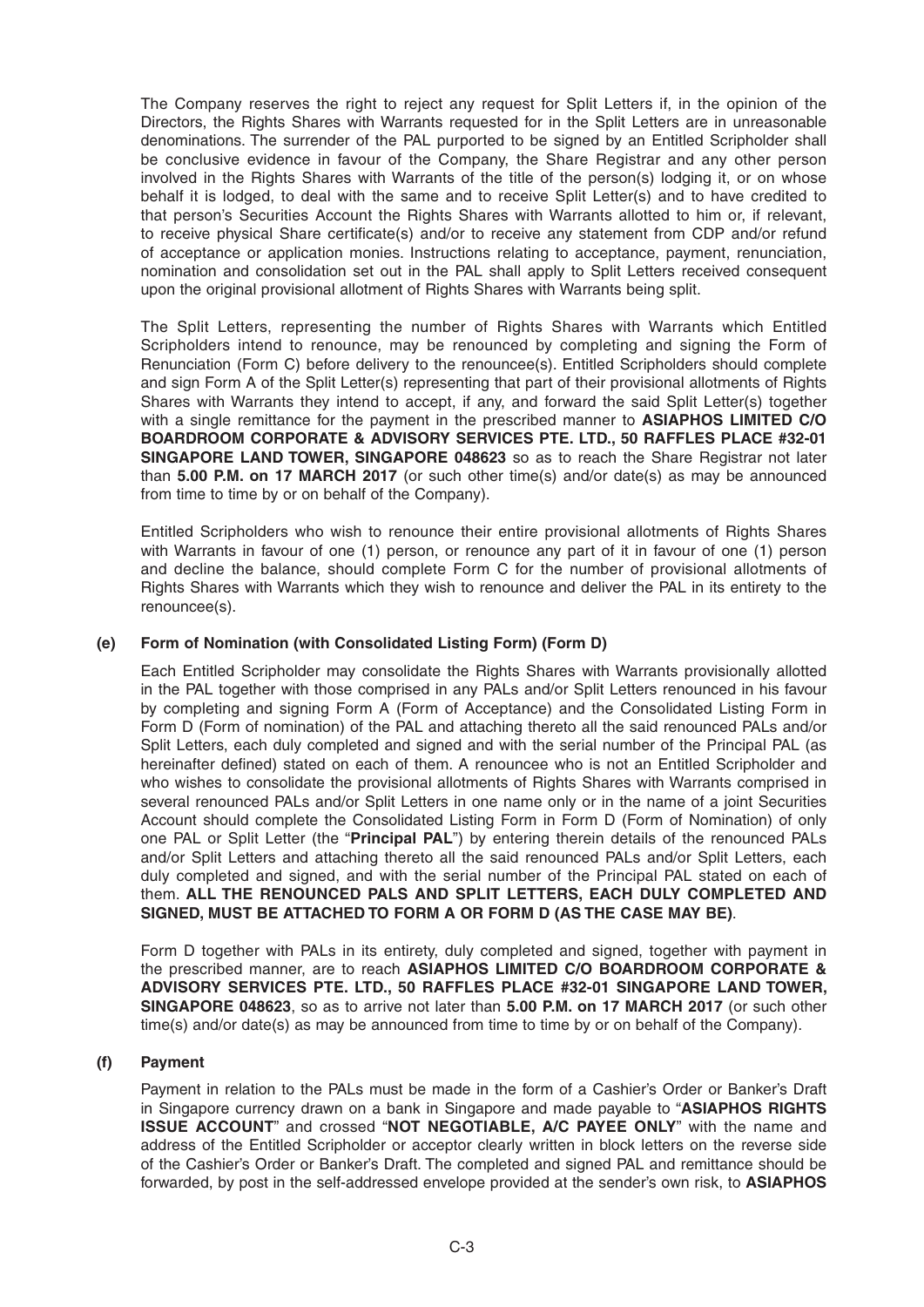The Company reserves the right to reject any request for Split Letters if, in the opinion of the Directors, the Rights Shares with Warrants requested for in the Split Letters are in unreasonable denominations. The surrender of the PAL purported to be signed by an Entitled Scripholder shall be conclusive evidence in favour of the Company, the Share Registrar and any other person involved in the Rights Shares with Warrants of the title of the person(s) lodging it, or on whose behalf it is lodged, to deal with the same and to receive Split Letter(s) and to have credited to that person's Securities Account the Rights Shares with Warrants allotted to him or, if relevant, to receive physical Share certificate(s) and/or to receive any statement from CDP and/or refund of acceptance or application monies. Instructions relating to acceptance, payment, renunciation, nomination and consolidation set out in the PAL shall apply to Split Letters received consequent upon the original provisional allotment of Rights Shares with Warrants being split.

 The Split Letters, representing the number of Rights Shares with Warrants which Entitled Scripholders intend to renounce, may be renounced by completing and signing the Form of Renunciation (Form C) before delivery to the renouncee(s). Entitled Scripholders should complete and sign Form A of the Split Letter(s) representing that part of their provisional allotments of Rights Shares with Warrants they intend to accept, if any, and forward the said Split Letter(s) together with a single remittance for the payment in the prescribed manner to **ASIAPHOS LIMITED C/O BOARDROOM CORPORATE & ADVISORY SERVICES PTE. LTD., 50 RAFFLES PLACE #32-01 SINGAPORE LAND TOWER, SINGAPORE 048623** so as to reach the Share Registrar not later than **5.00 P.M. on 17MARCH 2017** (or such other time(s) and/or date(s) as may be announced from time to time by or on behalf of the Company).

Entitled Scripholders who wish to renounce their entire provisional allotments of Rights Shares with Warrants in favour of one (1) person, or renounce any part of it in favour of one (1) person and decline the balance, should complete Form C for the number of provisional allotments of Rights Shares with Warrants which they wish to renounce and deliver the PAL in its entirety to the renouncee(s).

## **(e) Form of Nomination (with Consolidated Listing Form) (Form D)**

 Each Entitled Scripholder may consolidate the Rights Shares with Warrants provisionally allotted in the PAL together with those comprised in any PALs and/or Split Letters renounced in his favour by completing and signing Form A (Form of Acceptance) and the Consolidated Listing Form in Form D (Form of nomination) of the PAL and attaching thereto all the said renounced PALs and/or Split Letters, each duly completed and signed and with the serial number of the Principal PAL (as hereinafter defined) stated on each of them. A renouncee who is not an Entitled Scripholder and who wishes to consolidate the provisional allotments of Rights Shares with Warrants comprised in several renounced PALs and/or Split Letters in one name only or in the name of a joint Securities Account should complete the Consolidated Listing Form in Form D (Form of Nomination) of only one PAL or Split Letter (the "**Principal PAL**") by entering therein details of the renounced PALs and/or Split Letters and attaching thereto all the said renounced PALs and/or Split Letters, each duly completed and signed, and with the serial number of the Principal PAL stated on each of them. **ALL THE RENOUNCED PALS AND SPLIT LETTERS, EACH DULY COMPLETED AND SIGNED, MUST BE ATTACHED TO FORM A OR FORM D (AS THE CASE MAY BE)**.

 Form D together with PALs in its entirety, duly completed and signed, together with payment in the prescribed manner, are to reach **ASIAPHOS LIMITED C/O BOARDROOM CORPORATE & ADVISORY SERVICES PTE. LTD., 50 RAFFLES PLACE #32-01 SINGAPORE LAND TOWER, SINGAPORE 048623**, so as to arrive not later than **5.00 P.M. on 17MARCH 2017** (or such other time(s) and/or date(s) as may be announced from time to time by or on behalf of the Company).

## **(f) Payment**

Payment in relation to the PALs must be made in the form of a Cashier's Order or Banker's Draft in Singapore currency drawn on a bank in Singapore and made payable to "**ASIAPHOS RIGHTS ISSUE ACCOUNT**" and crossed "**NOT NEGOTIABLE, A/C PAYEE ONLY**" with the name and address of the Entitled Scripholder or acceptor clearly written in block letters on the reverse side of the Cashier's Order or Banker's Draft. The completed and signed PAL and remittance should be forwarded, by post in the self-addressed envelope provided at the sender's own risk, to **ASIAPHOS**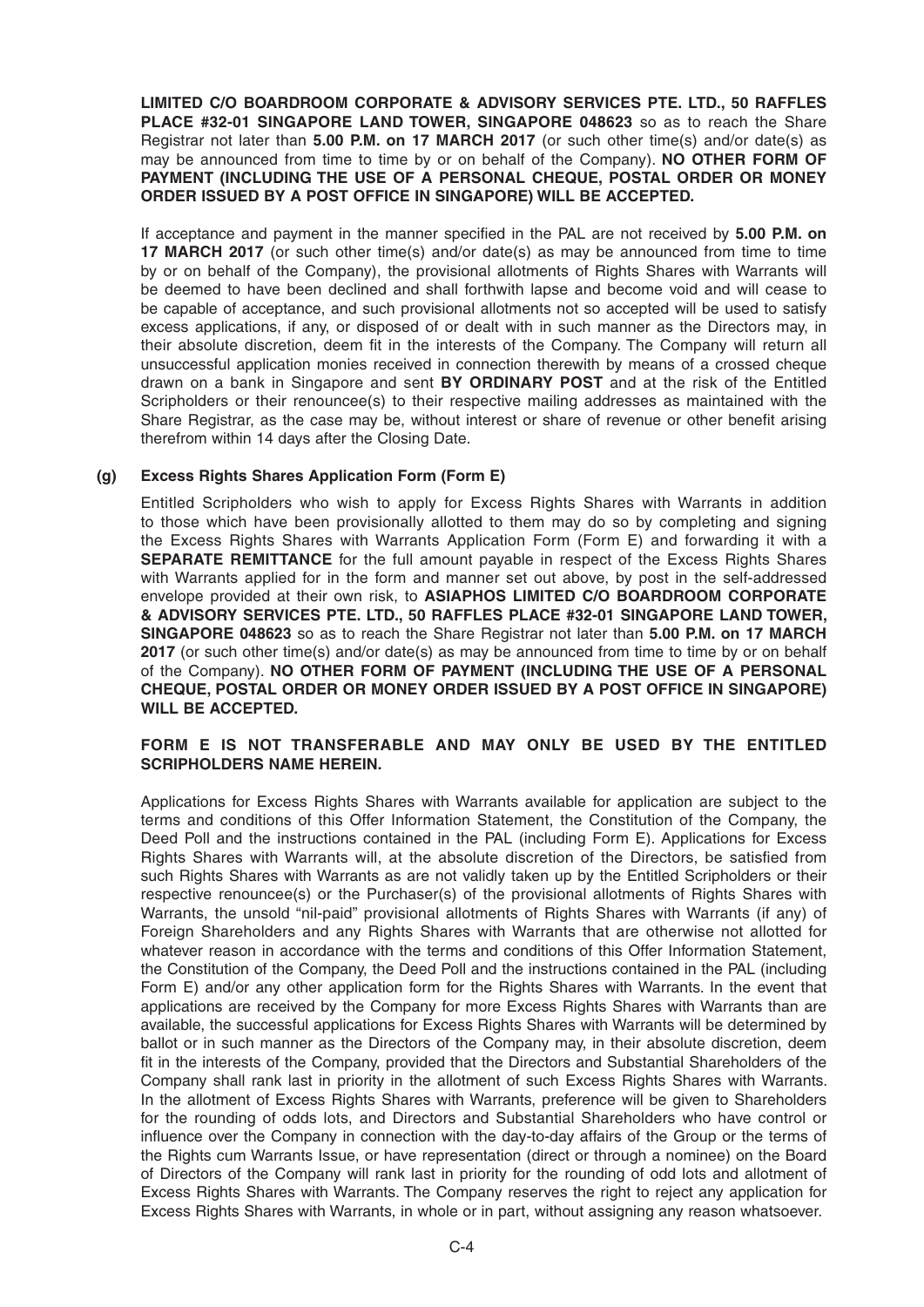**LIMITED C/O BOARDROOM CORPORATE & ADVISORY SERVICES PTE. LTD., 50 RAFFLES PLACE #32-01 SINGAPORE LAND TOWER, SINGAPORE 048623** so as to reach the Share Registrar not later than **5.00 P.M. on 17MARCH 2017** (or such other time(s) and/or date(s) as may be announced from time to time by or on behalf of the Company). **NO OTHER FORM OF PAYMENT (INCLUDING THE USE OF A PERSONAL CHEQUE, POSTAL ORDER OR MONEY ORDER ISSUED BY A POST OFFICE IN SINGAPORE) WILL BE ACCEPTED.**

If acceptance and payment in the manner specified in the PAL are not received by **5.00 P.M. on 17MARCH 2017** (or such other time(s) and/or date(s) as may be announced from time to time by or on behalf of the Company), the provisional allotments of Rights Shares with Warrants will be deemed to have been declined and shall forthwith lapse and become void and will cease to be capable of acceptance, and such provisional allotments not so accepted will be used to satisfy excess applications, if any, or disposed of or dealt with in such manner as the Directors may, in their absolute discretion, deem fit in the interests of the Company. The Company will return all unsuccessful application monies received in connection therewith by means of a crossed cheque drawn on a bank in Singapore and sent **BY ORDINARY POST** and at the risk of the Entitled Scripholders or their renouncee(s) to their respective mailing addresses as maintained with the Share Registrar, as the case may be, without interest or share of revenue or other benefit arising therefrom within 14 days after the Closing Date.

## **(g) Excess Rights Shares Application Form (Form E)**

 Entitled Scripholders who wish to apply for Excess Rights Shares with Warrants in addition to those which have been provisionally allotted to them may do so by completing and signing the Excess Rights Shares with Warrants Application Form (Form E) and forwarding it with a **SEPARATE REMITTANCE** for the full amount payable in respect of the Excess Rights Shares with Warrants applied for in the form and manner set out above, by post in the self-addressed envelope provided at their own risk, to **ASIAPHOS LIMITED C/O BOARDROOM CORPORATE & ADVISORY SERVICES PTE. LTD., 50 RAFFLES PLACE #32-01 SINGAPORE LAND TOWER, SINGAPORE 048623** so as to reach the Share Registrar not later than **5.00 P.M. on 17MARCH 2017** (or such other time(s) and/or date(s) as may be announced from time to time by or on behalf of the Company). **NO OTHER FORM OF PAYMENT (INCLUDING THE USE OF A PERSONAL CHEQUE, POSTAL ORDER OR MONEY ORDER ISSUED BY A POST OFFICE IN SINGAPORE) WILL BE ACCEPTED.**

## **FORM E IS NOT TRANSFERABLE AND MAY ONLY BE USED BY THE ENTITLED SCRIPHOLDERS NAME HEREIN.**

 Applications for Excess Rights Shares with Warrants available for application are subject to the terms and conditions of this Offer Information Statement, the Constitution of the Company, the Deed Poll and the instructions contained in the PAL (including Form E). Applications for Excess Rights Shares with Warrants will, at the absolute discretion of the Directors, be satisfied from such Rights Shares with Warrants as are not validly taken up by the Entitled Scripholders or their respective renouncee(s) or the Purchaser(s) of the provisional allotments of Rights Shares with Warrants, the unsold "nil-paid" provisional allotments of Rights Shares with Warrants (if any) of Foreign Shareholders and any Rights Shares with Warrants that are otherwise not allotted for whatever reason in accordance with the terms and conditions of this Offer Information Statement, the Constitution of the Company, the Deed Poll and the instructions contained in the PAL (including Form E) and/or any other application form for the Rights Shares with Warrants. In the event that applications are received by the Company for more Excess Rights Shares with Warrants than are available, the successful applications for Excess Rights Shares with Warrants will be determined by ballot or in such manner as the Directors of the Company may, in their absolute discretion, deem fit in the interests of the Company, provided that the Directors and Substantial Shareholders of the Company shall rank last in priority in the allotment of such Excess Rights Shares with Warrants. In the allotment of Excess Rights Shares with Warrants, preference will be given to Shareholders for the rounding of odds lots, and Directors and Substantial Shareholders who have control or influence over the Company in connection with the day-to-day affairs of the Group or the terms of the Rights cum Warrants Issue, or have representation (direct or through a nominee) on the Board of Directors of the Company will rank last in priority for the rounding of odd lots and allotment of Excess Rights Shares with Warrants. The Company reserves the right to reject any application for Excess Rights Shares with Warrants, in whole or in part, without assigning any reason whatsoever.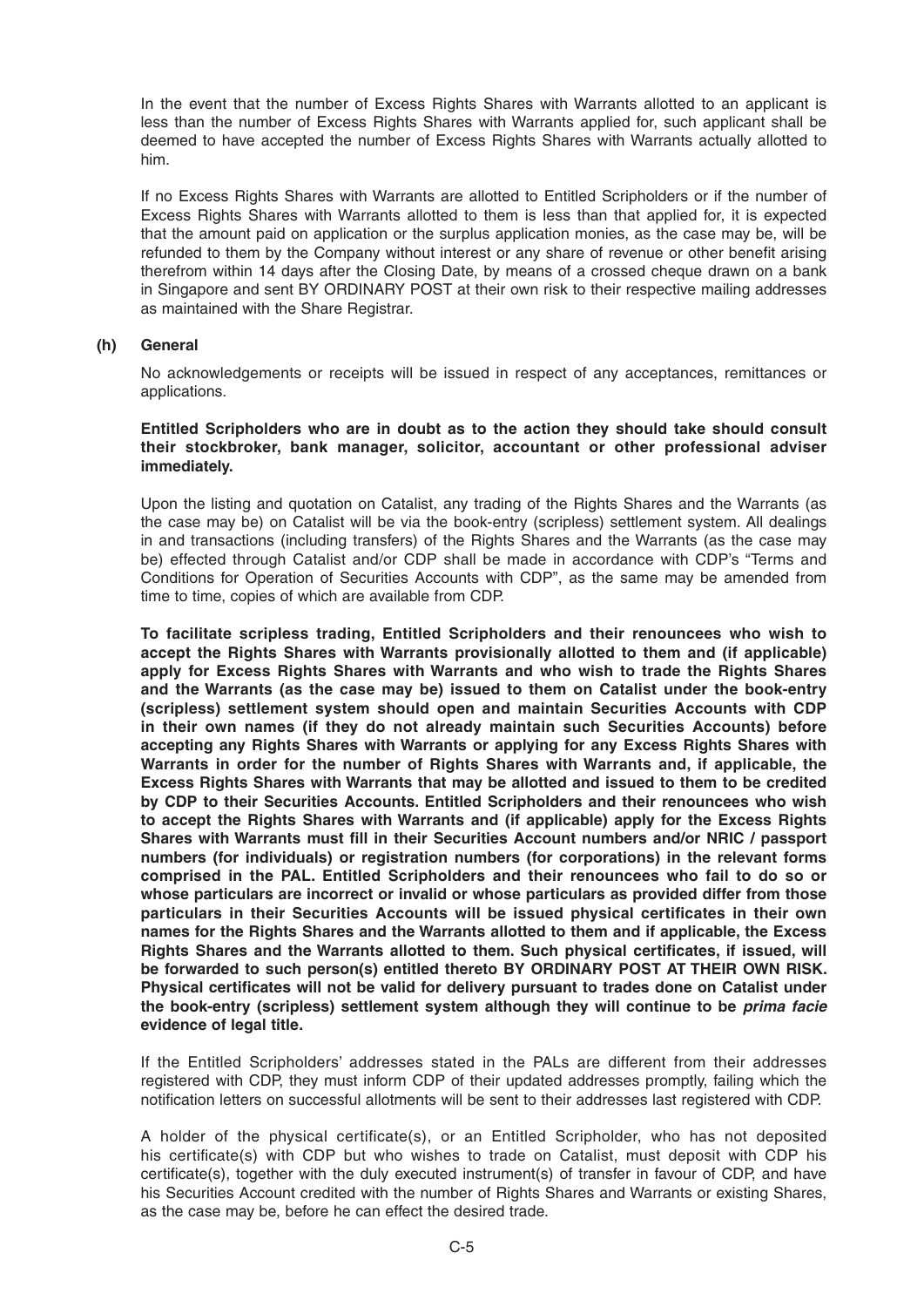In the event that the number of Excess Rights Shares with Warrants allotted to an applicant is less than the number of Excess Rights Shares with Warrants applied for, such applicant shall be deemed to have accepted the number of Excess Rights Shares with Warrants actually allotted to him.

 If no Excess Rights Shares with Warrants are allotted to Entitled Scripholders or if the number of Excess Rights Shares with Warrants allotted to them is less than that applied for, it is expected that the amount paid on application or the surplus application monies, as the case may be, will be refunded to them by the Company without interest or any share of revenue or other benefit arising therefrom within 14 days after the Closing Date, by means of a crossed cheque drawn on a bank in Singapore and sent BY ORDINARY POST at their own risk to their respective mailing addresses as maintained with the Share Registrar.

## **(h) General**

 No acknowledgements or receipts will be issued in respect of any acceptances, remittances or applications.

## **Entitled Scripholders who are in doubt as to the action they should take should consult their stockbroker, bank manager, solicitor, accountant or other professional adviser immediately.**

 Upon the listing and quotation on Catalist, any trading of the Rights Shares and the Warrants (as the case may be) on Catalist will be via the book-entry (scripless) settlement system. All dealings in and transactions (including transfers) of the Rights Shares and the Warrants (as the case may be) effected through Catalist and/or CDP shall be made in accordance with CDP's "Terms and Conditions for Operation of Securities Accounts with CDP", as the same may be amended from time to time, copies of which are available from CDP.

**To facilitate scripless trading, Entitled Scripholders and their renouncees who wish to accept the Rights Shares with Warrants provisionally allotted to them and (if applicable) apply for Excess Rights Shares with Warrants and who wish to trade the Rights Shares and the Warrants (as the case may be) issued to them on Catalist under the book-entry (scripless) settlement system should open and maintain Securities Accounts with CDP in their own names (if they do not already maintain such Securities Accounts) before accepting any Rights Shares with Warrants or applying for any Excess Rights Shares with Warrants in order for the number of Rights Shares with Warrants and, if applicable, the Excess Rights Shares with Warrants that may be allotted and issued to them to be credited by CDP to their Securities Accounts. Entitled Scripholders and their renouncees who wish to accept the Rights Shares with Warrants and (if applicable) apply for the Excess Rights**  Shares with Warrants must fill in their Securities Account numbers and/or NRIC / passport **numbers (for individuals) or registration numbers (for corporations) in the relevant forms comprised in the PAL. Entitled Scripholders and their renouncees who fail to do so or whose particulars are incorrect or invalid or whose particulars as provided differ from those**  particulars in their Securities Accounts will be issued physical certificates in their own **names for the Rights Shares and the Warrants allotted to them and if applicable, the Excess**  Rights Shares and the Warrants allotted to them. Such physical certificates, if issued, will **be forwarded to such person(s) entitled thereto BY ORDINARY POST AT THEIR OWN RISK.**  Physical certificates will not be valid for delivery pursuant to trades done on Catalist under **the book-entry (scripless) settlement system although they will continue to be** *prima facie* **evidence of legal title.**

 If the Entitled Scripholders' addresses stated in the PALs are different from their addresses registered with CDP, they must inform CDP of their updated addresses promptly, failing which the notification letters on successful allotments will be sent to their addresses last registered with CDP.

 A holder of the physical certificate(s), or an Entitled Scripholder, who has not deposited his certificate(s) with CDP but who wishes to trade on Catalist, must deposit with CDP his certificate(s), together with the duly executed instrument(s) of transfer in favour of CDP, and have his Securities Account credited with the number of Rights Shares and Warrants or existing Shares, as the case may be, before he can effect the desired trade.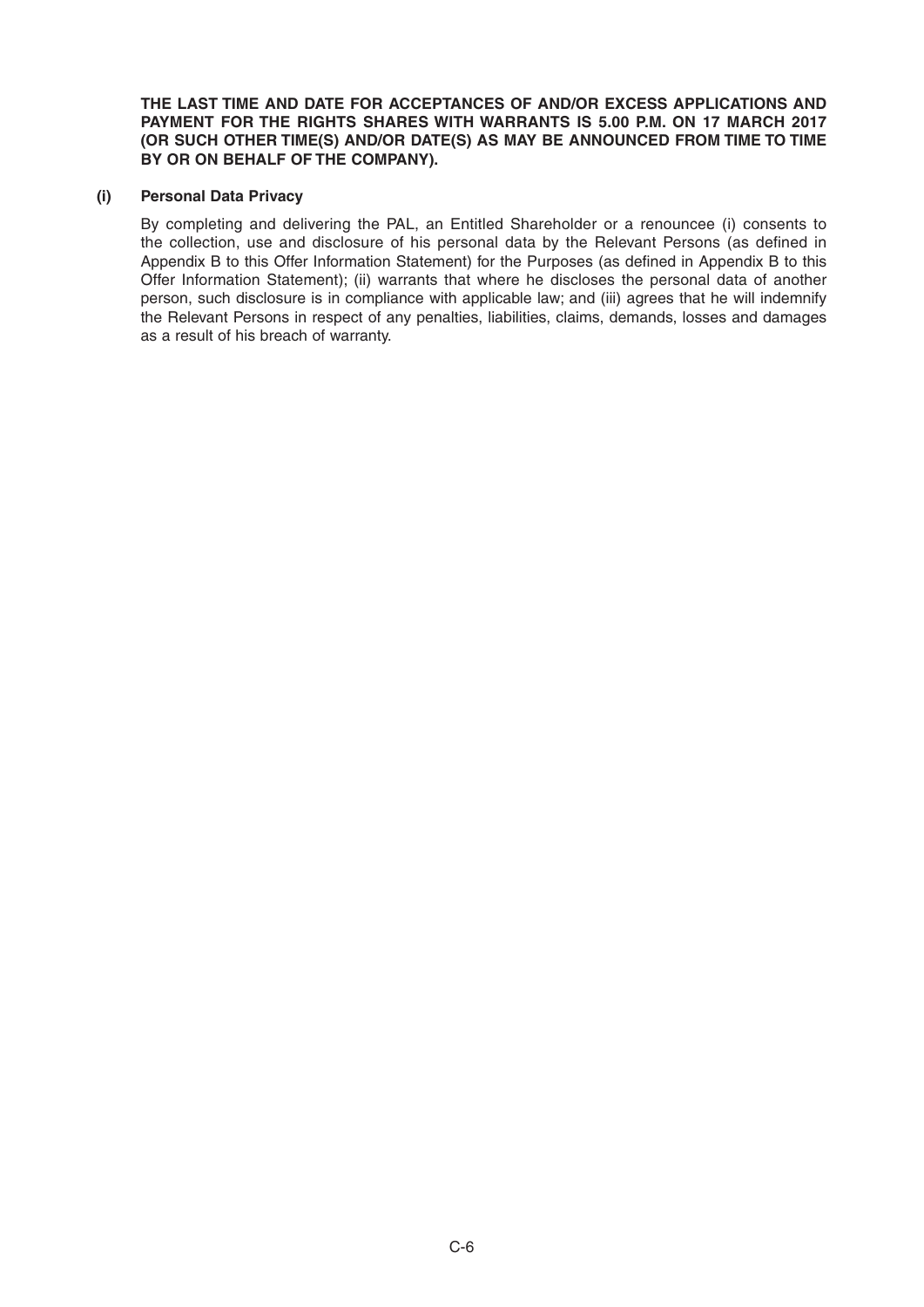**THE LAST TIME AND DATE FOR ACCEPTANCES OF AND/OR EXCESS APPLICATIONS AND**  PAYMENT FOR THE RIGHTS SHARES WITH WARRANTS IS 5.00 P.M. ON 17 MARCH 2017 **(OR SUCH OTHER TIME(S) AND/OR DATE(S) AS MAY BE ANNOUNCED FROM TIME TO TIME BY OR ON BEHALF OF THE COMPANY).**

## **(i) Personal Data Privacy**

 By completing and delivering the PAL, an Entitled Shareholder or a renouncee (i) consents to the collection, use and disclosure of his personal data by the Relevant Persons (as defined in Appendix B to this Offer Information Statement) for the Purposes (as defined in Appendix B to this Offer Information Statement); (ii) warrants that where he discloses the personal data of another person, such disclosure is in compliance with applicable law; and (iii) agrees that he will indemnify the Relevant Persons in respect of any penalties, liabilities, claims, demands, losses and damages as a result of his breach of warranty.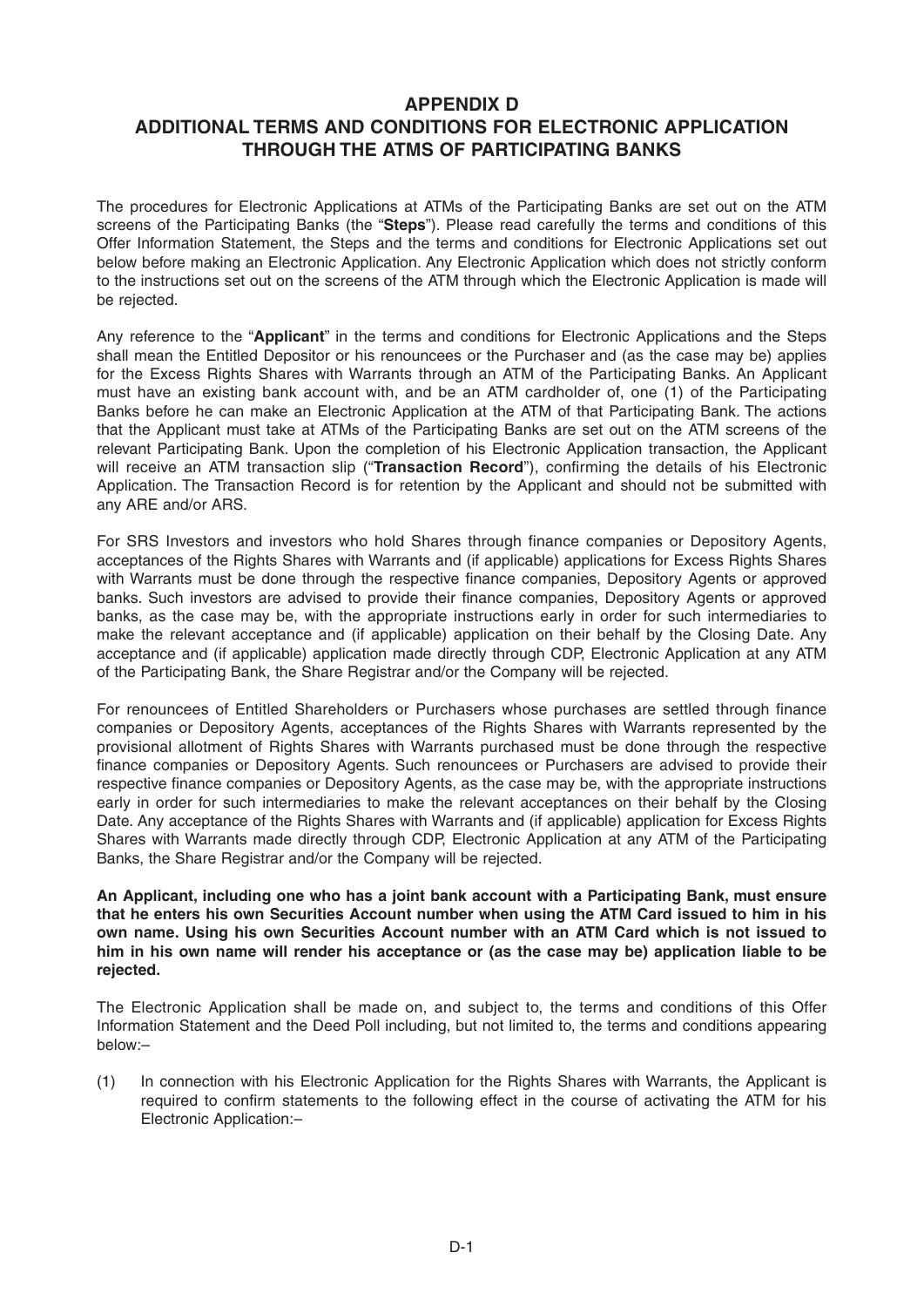## **APPENDIX D ADDITIONAL TERMS AND CONDITIONS FOR ELECTRONIC APPLICATION THROUGH THE ATMS OF PARTICIPATING BANKS**

The procedures for Electronic Applications at ATMs of the Participating Banks are set out on the ATM screens of the Participating Banks (the "**Steps**"). Please read carefully the terms and conditions of this Offer Information Statement, the Steps and the terms and conditions for Electronic Applications set out below before making an Electronic Application. Any Electronic Application which does not strictly conform to the instructions set out on the screens of the ATM through which the Electronic Application is made will be rejected.

Any reference to the "**Applicant**" in the terms and conditions for Electronic Applications and the Steps shall mean the Entitled Depositor or his renouncees or the Purchaser and (as the case may be) applies for the Excess Rights Shares with Warrants through an ATM of the Participating Banks. An Applicant must have an existing bank account with, and be an ATM cardholder of, one (1) of the Participating Banks before he can make an Electronic Application at the ATM of that Participating Bank. The actions that the Applicant must take at ATMs of the Participating Banks are set out on the ATM screens of the relevant Participating Bank. Upon the completion of his Electronic Application transaction, the Applicant will receive an ATM transaction slip ("Transaction Record"), confirming the details of his Electronic Application. The Transaction Record is for retention by the Applicant and should not be submitted with any ARE and/or ARS.

For SRS Investors and investors who hold Shares through finance companies or Depository Agents, acceptances of the Rights Shares with Warrants and (if applicable) applications for Excess Rights Shares with Warrants must be done through the respective finance companies, Depository Agents or approved banks. Such investors are advised to provide their finance companies, Depository Agents or approved banks, as the case may be, with the appropriate instructions early in order for such intermediaries to make the relevant acceptance and (if applicable) application on their behalf by the Closing Date. Any acceptance and (if applicable) application made directly through CDP, Electronic Application at any ATM of the Participating Bank, the Share Registrar and/or the Company will be rejected.

For renouncees of Entitled Shareholders or Purchasers whose purchases are settled through finance companies or Depository Agents, acceptances of the Rights Shares with Warrants represented by the provisional allotment of Rights Shares with Warrants purchased must be done through the respective finance companies or Depository Agents. Such renouncees or Purchasers are advised to provide their respective finance companies or Depository Agents, as the case may be, with the appropriate instructions early in order for such intermediaries to make the relevant acceptances on their behalf by the Closing Date. Any acceptance of the Rights Shares with Warrants and (if applicable) application for Excess Rights Shares with Warrants made directly through CDP, Electronic Application at any ATM of the Participating Banks, the Share Registrar and/or the Company will be rejected.

**An Applicant, including one who has a joint bank account with a Participating Bank, must ensure that he enters his own Securities Account number when using the ATM Card issued to him in his own name. Using his own Securities Account number with an ATM Card which is not issued to him in his own name will render his acceptance or (as the case may be) application liable to be rejected.**

The Electronic Application shall be made on, and subject to, the terms and conditions of this Offer Information Statement and the Deed Poll including, but not limited to, the terms and conditions appearing below:–

(1) In connection with his Electronic Application for the Rights Shares with Warrants, the Applicant is required to confirm statements to the following effect in the course of activating the ATM for his Electronic Application:–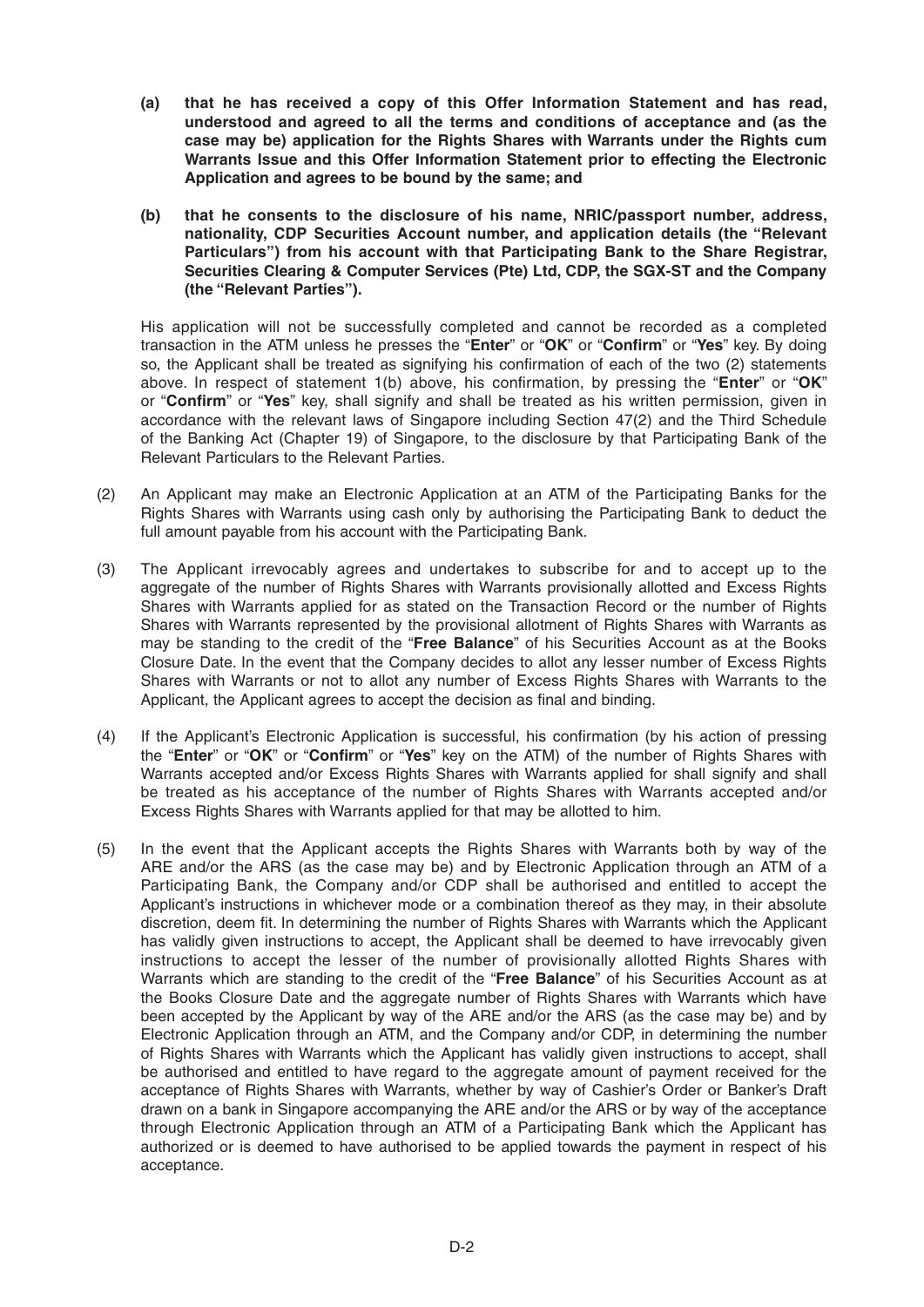- **(a) that he has received a copy of this Offer Information Statement and has read, understood and agreed to all the terms and conditions of acceptance and (as the case may be) application for the Rights Shares with Warrants under the Rights cum Warrants Issue and this Offer Information Statement prior to effecting the Electronic Application and agrees to be bound by the same; and**
- **(b) that he consents to the disclosure of his name, NRIC/passport number, address, nationality, CDP Securities Account number, and application details (the "Relevant Particulars") from his account with that Participating Bank to the Share Registrar, Securities Clearing & Computer Services (Pte) Ltd, CDP, the SGX-ST and the Company (the "Relevant Parties").**

 His application will not be successfully completed and cannot be recorded as a completed transaction in the ATM unless he presses the "**Enter**" or "OK" or "Confirm" or "Yes" key. By doing so, the Applicant shall be treated as signifying his confirmation of each of the two (2) statements above. In respect of statement 1(b) above, his confirmation, by pressing the "**Enter**" or "OK" or "Confirm" or "Yes" key, shall signify and shall be treated as his written permission, given in accordance with the relevant laws of Singapore including Section 47(2) and the Third Schedule of the Banking Act (Chapter 19) of Singapore, to the disclosure by that Participating Bank of the Relevant Particulars to the Relevant Parties.

- (2) An Applicant may make an Electronic Application at an ATM of the Participating Banks for the Rights Shares with Warrants using cash only by authorising the Participating Bank to deduct the full amount payable from his account with the Participating Bank.
- (3) The Applicant irrevocably agrees and undertakes to subscribe for and to accept up to the aggregate of the number of Rights Shares with Warrants provisionally allotted and Excess Rights Shares with Warrants applied for as stated on the Transaction Record or the number of Rights Shares with Warrants represented by the provisional allotment of Rights Shares with Warrants as may be standing to the credit of the "**Free Balance**" of his Securities Account as at the Books Closure Date. In the event that the Company decides to allot any lesser number of Excess Rights Shares with Warrants or not to allot any number of Excess Rights Shares with Warrants to the Applicant, the Applicant agrees to accept the decision as final and binding.
- (4) If the Applicant's Electronic Application is successful, his confirmation (by his action of pressing the "Enter" or "OK" or "Confirm" or "Yes" key on the ATM) of the number of Rights Shares with Warrants accepted and/or Excess Rights Shares with Warrants applied for shall signify and shall be treated as his acceptance of the number of Rights Shares with Warrants accepted and/or Excess Rights Shares with Warrants applied for that may be allotted to him.
- (5) In the event that the Applicant accepts the Rights Shares with Warrants both by way of the ARE and/or the ARS (as the case may be) and by Electronic Application through an ATM of a Participating Bank, the Company and/or CDP shall be authorised and entitled to accept the Applicant's instructions in whichever mode or a combination thereof as they may, in their absolute discretion, deem fit. In determining the number of Rights Shares with Warrants which the Applicant has validly given instructions to accept, the Applicant shall be deemed to have irrevocably given instructions to accept the lesser of the number of provisionally allotted Rights Shares with Warrants which are standing to the credit of the "**Free Balance**" of his Securities Account as at the Books Closure Date and the aggregate number of Rights Shares with Warrants which have been accepted by the Applicant by way of the ARE and/or the ARS (as the case may be) and by Electronic Application through an ATM, and the Company and/or CDP, in determining the number of Rights Shares with Warrants which the Applicant has validly given instructions to accept, shall be authorised and entitled to have regard to the aggregate amount of payment received for the acceptance of Rights Shares with Warrants, whether by way of Cashier's Order or Banker's Draft drawn on a bank in Singapore accompanying the ARE and/or the ARS or by way of the acceptance through Electronic Application through an ATM of a Participating Bank which the Applicant has authorized or is deemed to have authorised to be applied towards the payment in respect of his acceptance.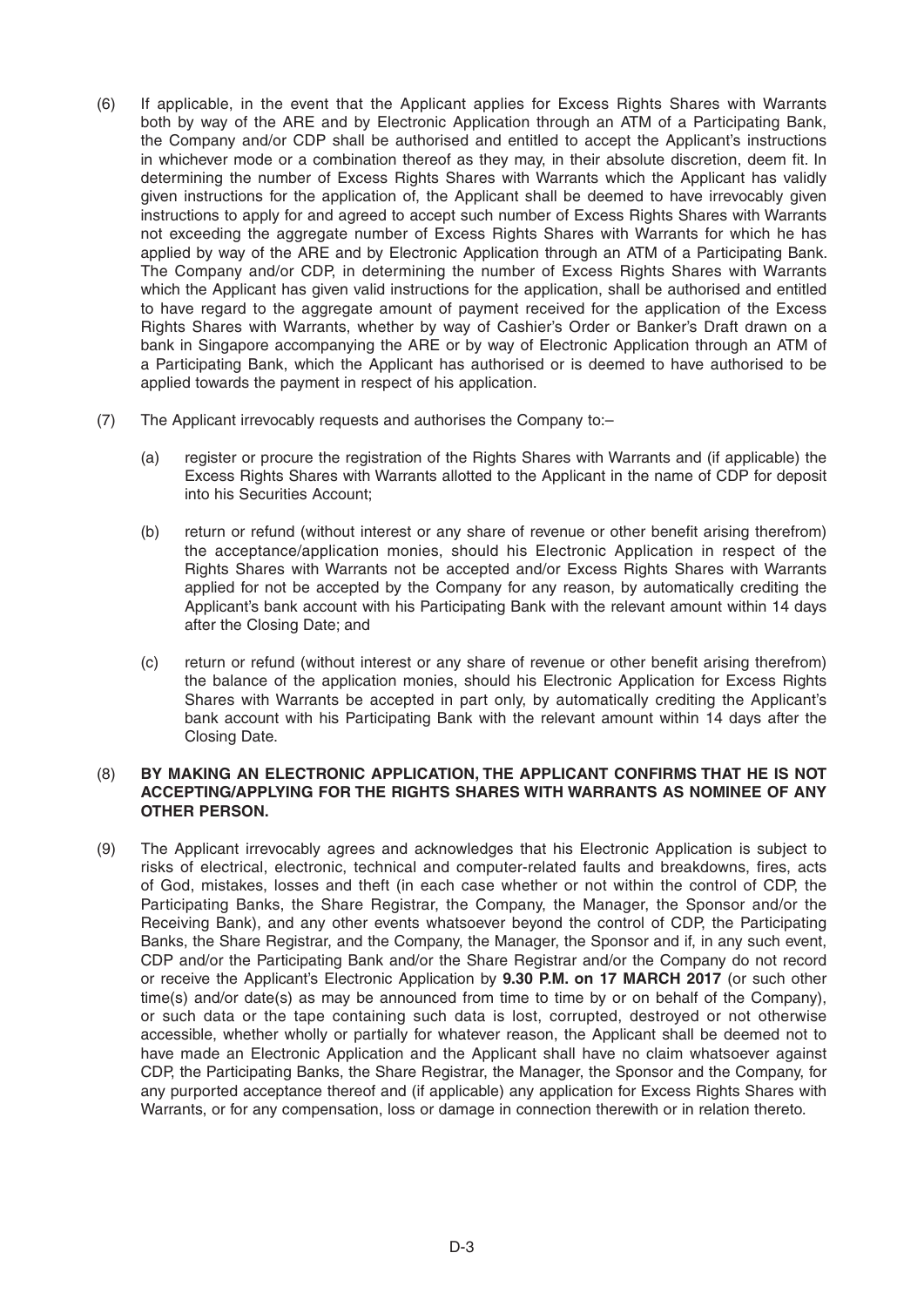- (6) If applicable, in the event that the Applicant applies for Excess Rights Shares with Warrants both by way of the ARE and by Electronic Application through an ATM of a Participating Bank, the Company and/or CDP shall be authorised and entitled to accept the Applicant's instructions in whichever mode or a combination thereof as they may, in their absolute discretion, deem fit. In determining the number of Excess Rights Shares with Warrants which the Applicant has validly given instructions for the application of, the Applicant shall be deemed to have irrevocably given instructions to apply for and agreed to accept such number of Excess Rights Shares with Warrants not exceeding the aggregate number of Excess Rights Shares with Warrants for which he has applied by way of the ARE and by Electronic Application through an ATM of a Participating Bank. The Company and/or CDP, in determining the number of Excess Rights Shares with Warrants which the Applicant has given valid instructions for the application, shall be authorised and entitled to have regard to the aggregate amount of payment received for the application of the Excess Rights Shares with Warrants, whether by way of Cashier's Order or Banker's Draft drawn on a bank in Singapore accompanying the ARE or by way of Electronic Application through an ATM of a Participating Bank, which the Applicant has authorised or is deemed to have authorised to be applied towards the payment in respect of his application.
- (7) The Applicant irrevocably requests and authorises the Company to:–
	- (a) register or procure the registration of the Rights Shares with Warrants and (if applicable) the Excess Rights Shares with Warrants allotted to the Applicant in the name of CDP for deposit into his Securities Account;
	- (b) return or refund (without interest or any share of revenue or other benefit arising therefrom) the acceptance/application monies, should his Electronic Application in respect of the Rights Shares with Warrants not be accepted and/or Excess Rights Shares with Warrants applied for not be accepted by the Company for any reason, by automatically crediting the Applicant's bank account with his Participating Bank with the relevant amount within 14 days after the Closing Date; and
	- (c) return or refund (without interest or any share of revenue or other benefit arising therefrom) the balance of the application monies, should his Electronic Application for Excess Rights Shares with Warrants be accepted in part only, by automatically crediting the Applicant's bank account with his Participating Bank with the relevant amount within 14 days after the Closing Date.

## (8) **BY MAKING AN ELECTRONIC APPLICATION, THE APPLICANT CONFIRMS THAT HE IS NOT ACCEPTING/APPLYING FOR THE RIGHTS SHARES WITH WARRANTS AS NOMINEE OF ANY OTHER PERSON.**

(9) The Applicant irrevocably agrees and acknowledges that his Electronic Application is subject to risks of electrical, electronic, technical and computer-related faults and breakdowns, fires, acts of God, mistakes, losses and theft (in each case whether or not within the control of CDP, the Participating Banks, the Share Registrar, the Company, the Manager, the Sponsor and/or the Receiving Bank), and any other events whatsoever beyond the control of CDP, the Participating Banks, the Share Registrar, and the Company, the Manager, the Sponsor and if, in any such event, CDP and/or the Participating Bank and/or the Share Registrar and/or the Company do not record or receive the Applicant's Electronic Application by **9.30 P.M. on 17MARCH 2017** (or such other time(s) and/or date(s) as may be announced from time to time by or on behalf of the Company), or such data or the tape containing such data is lost, corrupted, destroyed or not otherwise accessible, whether wholly or partially for whatever reason, the Applicant shall be deemed not to have made an Electronic Application and the Applicant shall have no claim whatsoever against CDP, the Participating Banks, the Share Registrar, the Manager, the Sponsor and the Company, for any purported acceptance thereof and (if applicable) any application for Excess Rights Shares with Warrants, or for any compensation, loss or damage in connection therewith or in relation thereto.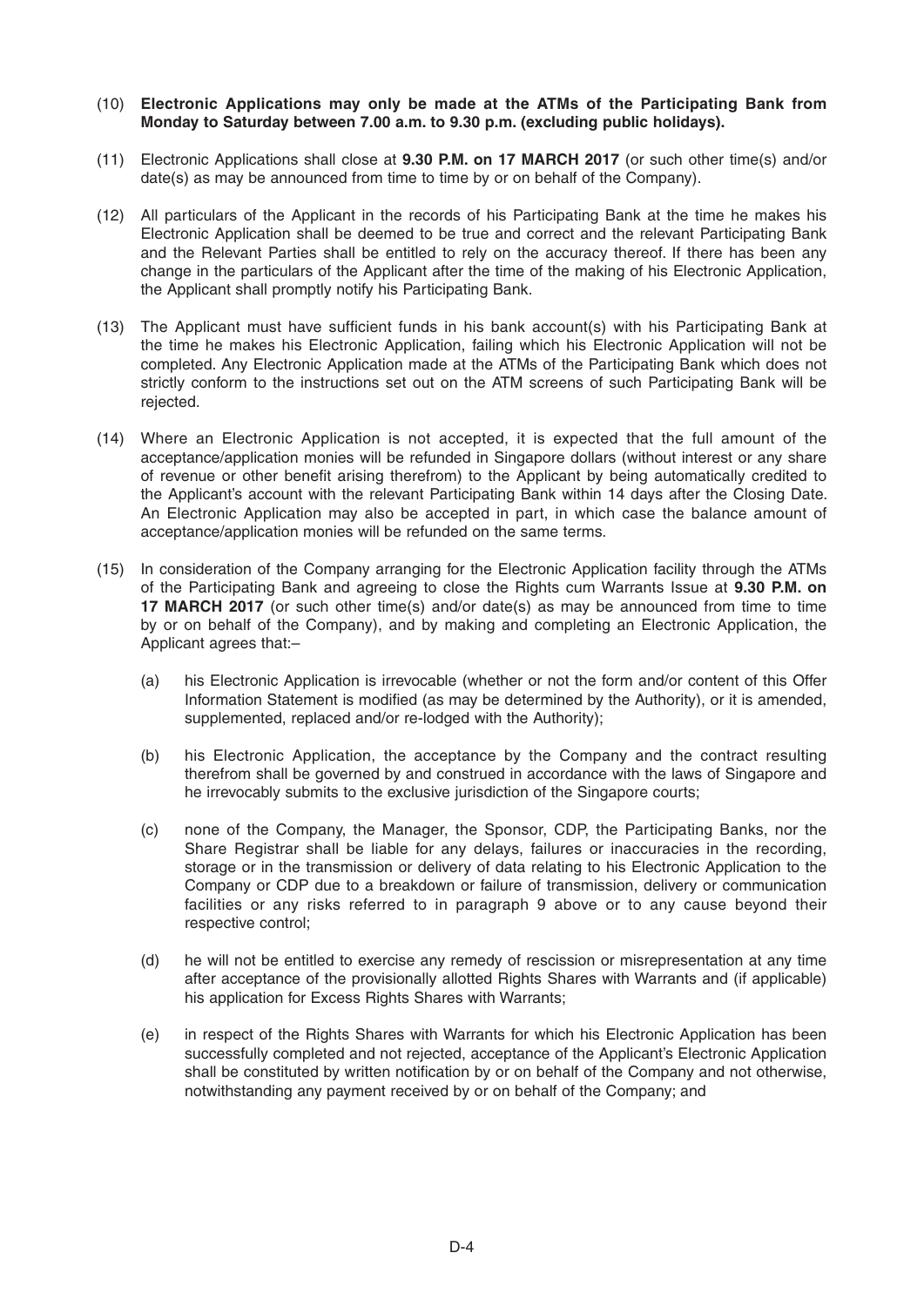## (10) **Electronic Applications may only be made at the ATMs of the Participating Bank from Monday to Saturday between 7.00 a.m. to 9.30 p.m. (excluding public holidays).**

- (11) Electronic Applications shall close at **9.30 P.M. on 17MARCH 2017** (or such other time(s) and/or date(s) as may be announced from time to time by or on behalf of the Company).
- (12) All particulars of the Applicant in the records of his Participating Bank at the time he makes his Electronic Application shall be deemed to be true and correct and the relevant Participating Bank and the Relevant Parties shall be entitled to rely on the accuracy thereof. If there has been any change in the particulars of the Applicant after the time of the making of his Electronic Application, the Applicant shall promptly notify his Participating Bank.
- (13) The Applicant must have sufficient funds in his bank account(s) with his Participating Bank at the time he makes his Electronic Application, failing which his Electronic Application will not be completed. Any Electronic Application made at the ATMs of the Participating Bank which does not strictly conform to the instructions set out on the ATM screens of such Participating Bank will be rejected.
- (14) Where an Electronic Application is not accepted, it is expected that the full amount of the acceptance/application monies will be refunded in Singapore dollars (without interest or any share of revenue or other benefit arising therefrom) to the Applicant by being automatically credited to the Applicant's account with the relevant Participating Bank within 14 days after the Closing Date. An Electronic Application may also be accepted in part, in which case the balance amount of acceptance/application monies will be refunded on the same terms.
- (15) In consideration of the Company arranging for the Electronic Application facility through the ATMs of the Participating Bank and agreeing to close the Rights cum Warrants Issue at **9.30 P.M. on 17MARCH 2017** (or such other time(s) and/or date(s) as may be announced from time to time by or on behalf of the Company), and by making and completing an Electronic Application, the Applicant agrees that:–
	- (a) his Electronic Application is irrevocable (whether or not the form and/or content of this Offer Information Statement is modified (as may be determined by the Authority), or it is amended, supplemented, replaced and/or re-lodged with the Authority);
	- (b) his Electronic Application, the acceptance by the Company and the contract resulting therefrom shall be governed by and construed in accordance with the laws of Singapore and he irrevocably submits to the exclusive jurisdiction of the Singapore courts;
	- (c) none of the Company, the Manager, the Sponsor, CDP, the Participating Banks, nor the Share Registrar shall be liable for any delays, failures or inaccuracies in the recording, storage or in the transmission or delivery of data relating to his Electronic Application to the Company or CDP due to a breakdown or failure of transmission, delivery or communication facilities or any risks referred to in paragraph 9 above or to any cause beyond their respective control;
	- (d) he will not be entitled to exercise any remedy of rescission or misrepresentation at any time after acceptance of the provisionally allotted Rights Shares with Warrants and (if applicable) his application for Excess Rights Shares with Warrants;
	- (e) in respect of the Rights Shares with Warrants for which his Electronic Application has been successfully completed and not rejected, acceptance of the Applicant's Electronic Application shall be constituted by written notification by or on behalf of the Company and not otherwise, notwithstanding any payment received by or on behalf of the Company; and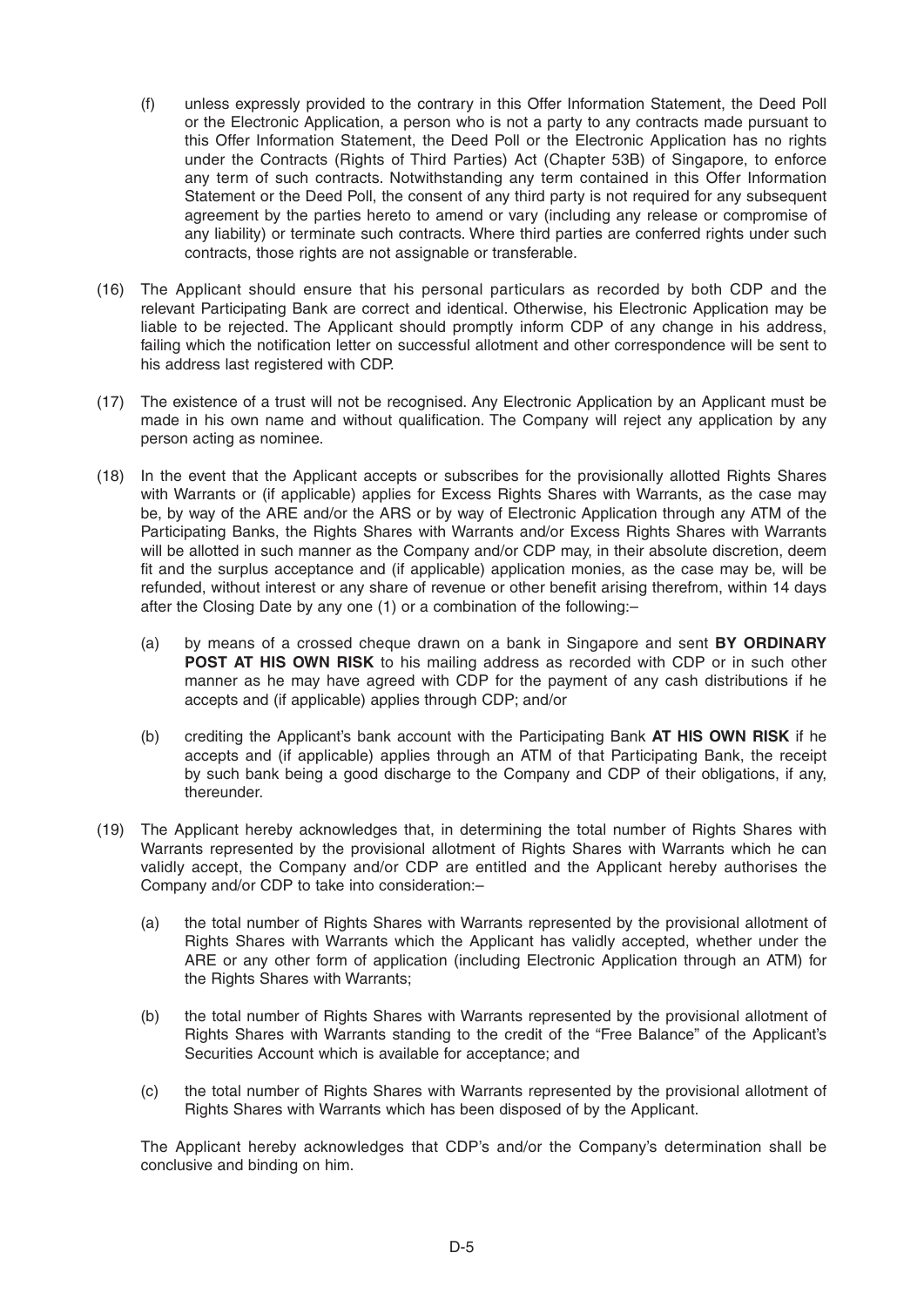- (f) unless expressly provided to the contrary in this Offer Information Statement, the Deed Poll or the Electronic Application, a person who is not a party to any contracts made pursuant to this Offer Information Statement, the Deed Poll or the Electronic Application has no rights under the Contracts (Rights of Third Parties) Act (Chapter 53B) of Singapore, to enforce any term of such contracts. Notwithstanding any term contained in this Offer Information Statement or the Deed Poll, the consent of any third party is not required for any subsequent agreement by the parties hereto to amend or vary (including any release or compromise of any liability) or terminate such contracts. Where third parties are conferred rights under such contracts, those rights are not assignable or transferable.
- (16) The Applicant should ensure that his personal particulars as recorded by both CDP and the relevant Participating Bank are correct and identical. Otherwise, his Electronic Application may be liable to be rejected. The Applicant should promptly inform CDP of any change in his address, failing which the notification letter on successful allotment and other correspondence will be sent to his address last registered with CDP.
- (17) The existence of a trust will not be recognised. Any Electronic Application by an Applicant must be made in his own name and without qualification. The Company will reject any application by any person acting as nominee.
- (18) In the event that the Applicant accepts or subscribes for the provisionally allotted Rights Shares with Warrants or (if applicable) applies for Excess Rights Shares with Warrants, as the case may be, by way of the ARE and/or the ARS or by way of Electronic Application through any ATM of the Participating Banks, the Rights Shares with Warrants and/or Excess Rights Shares with Warrants will be allotted in such manner as the Company and/or CDP may, in their absolute discretion, deem fit and the surplus acceptance and (if applicable) application monies, as the case may be, will be refunded, without interest or any share of revenue or other benefit arising therefrom, within 14 days after the Closing Date by any one (1) or a combination of the following:–
	- (a) by means of a crossed cheque drawn on a bank in Singapore and sent **BY ORDINARY POST AT HIS OWN RISK** to his mailing address as recorded with CDP or in such other manner as he may have agreed with CDP for the payment of any cash distributions if he accepts and (if applicable) applies through CDP; and/or
	- (b) crediting the Applicant's bank account with the Participating Bank **AT HIS OWN RISK** if he accepts and (if applicable) applies through an ATM of that Participating Bank, the receipt by such bank being a good discharge to the Company and CDP of their obligations, if any, thereunder.
- (19) The Applicant hereby acknowledges that, in determining the total number of Rights Shares with Warrants represented by the provisional allotment of Rights Shares with Warrants which he can validly accept, the Company and/or CDP are entitled and the Applicant hereby authorises the Company and/or CDP to take into consideration:–
	- (a) the total number of Rights Shares with Warrants represented by the provisional allotment of Rights Shares with Warrants which the Applicant has validly accepted, whether under the ARE or any other form of application (including Electronic Application through an ATM) for the Rights Shares with Warrants;
	- (b) the total number of Rights Shares with Warrants represented by the provisional allotment of Rights Shares with Warrants standing to the credit of the "Free Balance" of the Applicant's Securities Account which is available for acceptance; and
	- (c) the total number of Rights Shares with Warrants represented by the provisional allotment of Rights Shares with Warrants which has been disposed of by the Applicant.

 The Applicant hereby acknowledges that CDP's and/or the Company's determination shall be conclusive and binding on him.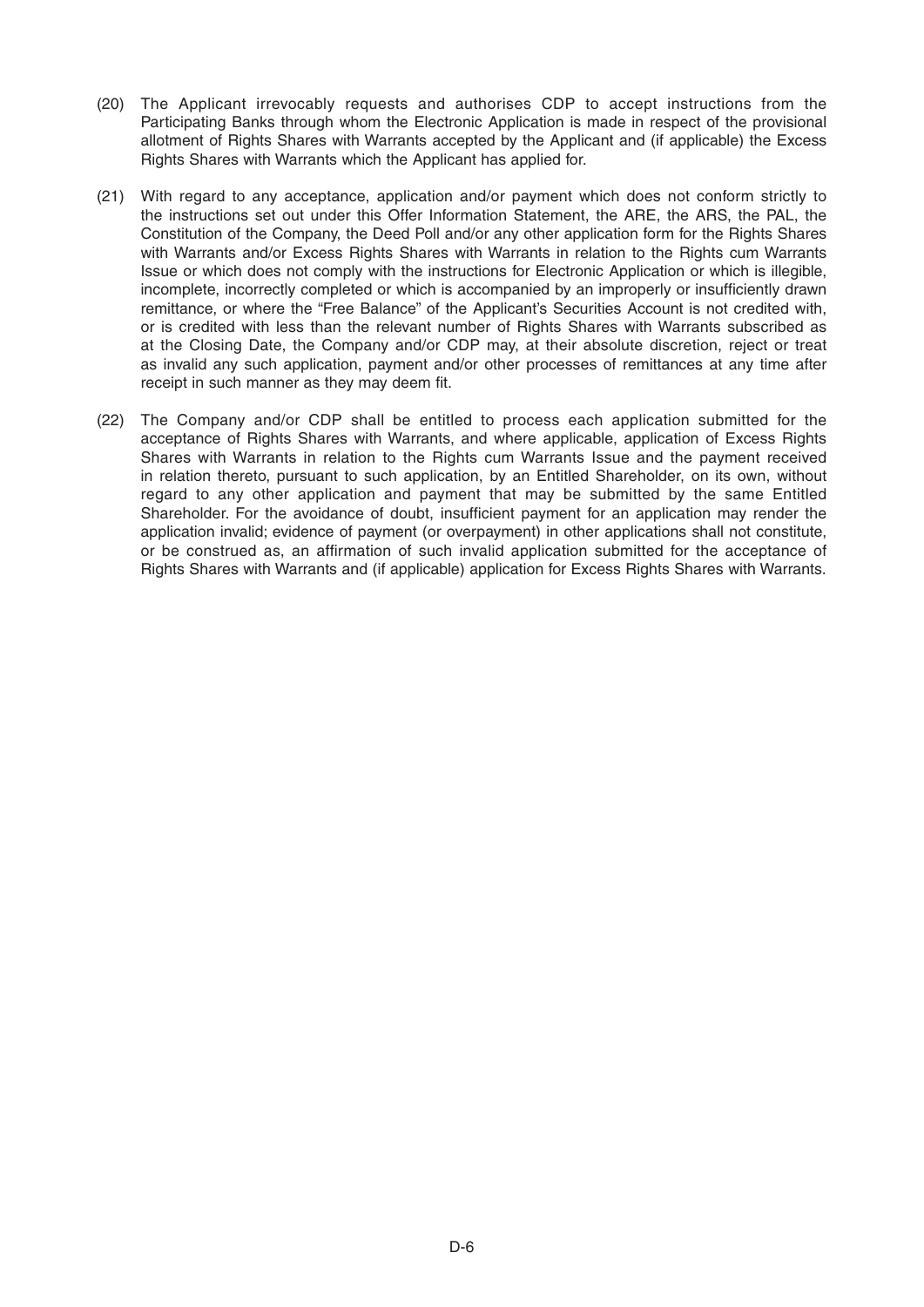- (20) The Applicant irrevocably requests and authorises CDP to accept instructions from the Participating Banks through whom the Electronic Application is made in respect of the provisional allotment of Rights Shares with Warrants accepted by the Applicant and (if applicable) the Excess Rights Shares with Warrants which the Applicant has applied for.
- (21) With regard to any acceptance, application and/or payment which does not conform strictly to the instructions set out under this Offer Information Statement, the ARE, the ARS, the PAL, the Constitution of the Company, the Deed Poll and/or any other application form for the Rights Shares with Warrants and/or Excess Rights Shares with Warrants in relation to the Rights cum Warrants Issue or which does not comply with the instructions for Electronic Application or which is illegible, incomplete, incorrectly completed or which is accompanied by an improperly or insufficiently drawn remittance, or where the "Free Balance" of the Applicant's Securities Account is not credited with, or is credited with less than the relevant number of Rights Shares with Warrants subscribed as at the Closing Date, the Company and/or CDP may, at their absolute discretion, reject or treat as invalid any such application, payment and/or other processes of remittances at any time after receipt in such manner as they may deem fit.
- (22) The Company and/or CDP shall be entitled to process each application submitted for the acceptance of Rights Shares with Warrants, and where applicable, application of Excess Rights Shares with Warrants in relation to the Rights cum Warrants Issue and the payment received in relation thereto, pursuant to such application, by an Entitled Shareholder, on its own, without regard to any other application and payment that may be submitted by the same Entitled Shareholder. For the avoidance of doubt, insufficient payment for an application may render the application invalid; evidence of payment (or overpayment) in other applications shall not constitute, or be construed as, an affirmation of such invalid application submitted for the acceptance of Rights Shares with Warrants and (if applicable) application for Excess Rights Shares with Warrants.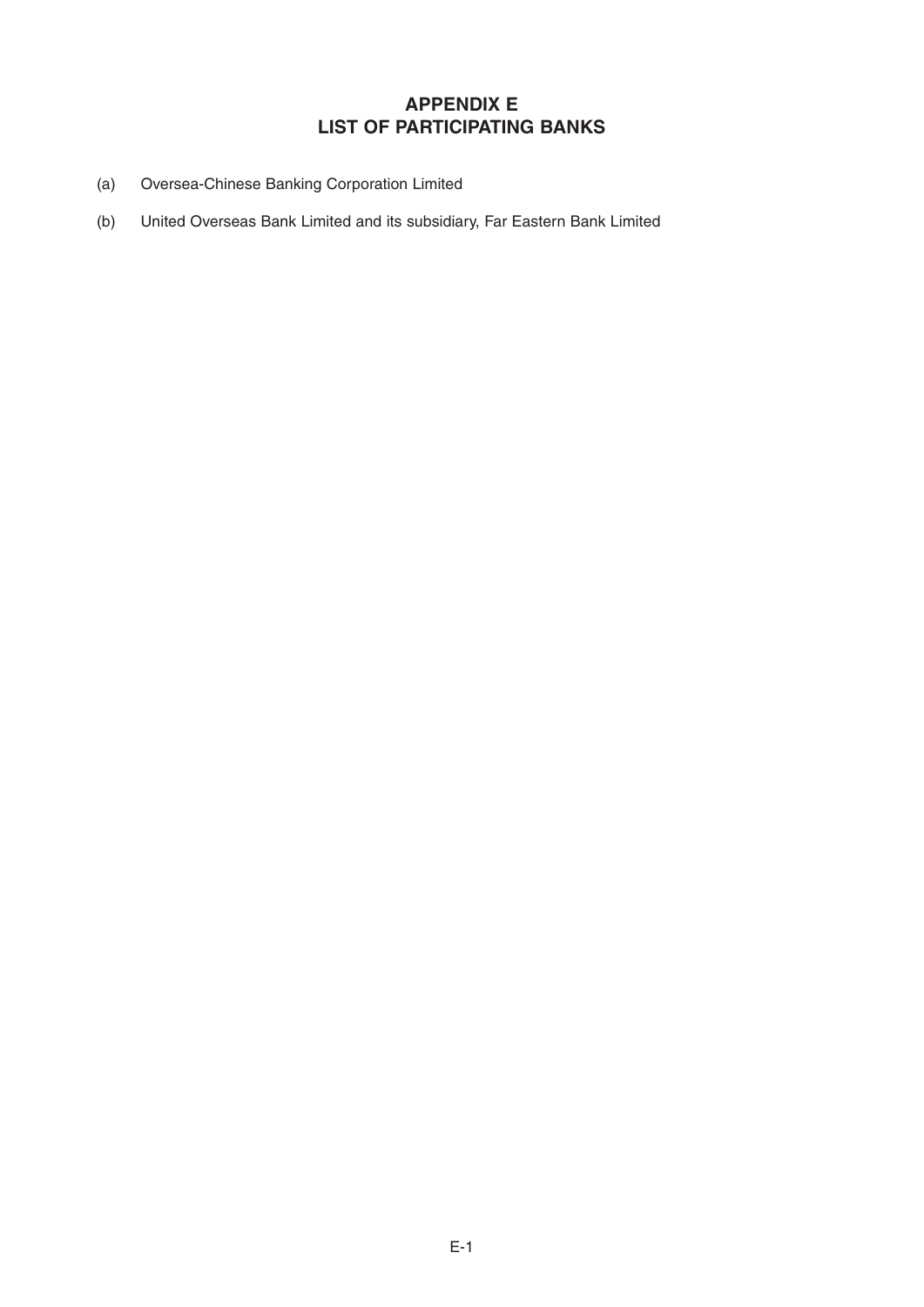# **APPENDIX E LIST OF PARTICIPATING BANKS**

- (a) Oversea-Chinese Banking Corporation Limited
- (b) United Overseas Bank Limited and its subsidiary, Far Eastern Bank Limited